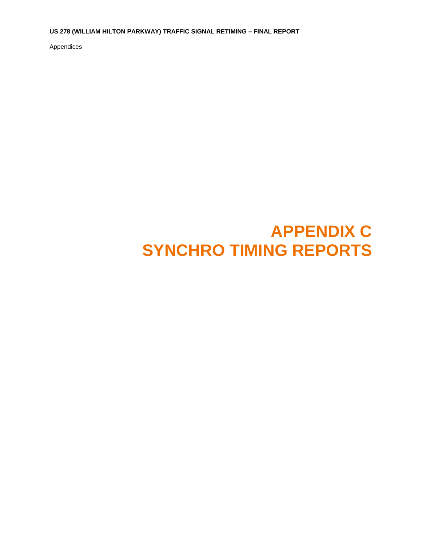**US 278 (WILLIAM HILTON PARKWAY) TRAFFIC SIGNAL RETIMING – FINAL REPORT** 

Appendices

## **APPENDIX C SYNCHRO TIMING REPORTS**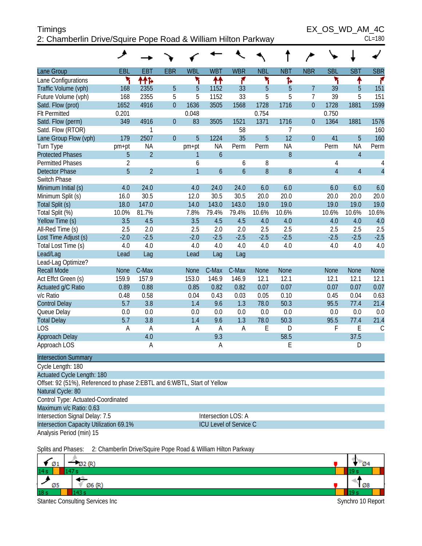| <b>Timings</b>                                                | EX OS WD AM 4C |
|---------------------------------------------------------------|----------------|
| 2: Chamberlin Drive/Squire Pope Road & William Hilton Parkway | $CL = 180$     |

 $EX\_OS\_WD\_AM\_4C$ <br>CL=180

| <b>SBR</b><br>EBL<br><b>EBT</b><br><b>EBR</b><br><b>WBL</b><br><b>WBT</b><br><b>WBR</b><br><b>NBL</b><br><b>NBT</b><br><b>NBR</b><br><b>SBL</b><br><b>SBT</b><br>۳<br>۲<br>۴<br>۲<br>۲<br>ተተኈ<br>₩<br>Ъ<br>↟<br>۴<br>5<br>$\overline{7}$<br>Traffic Volume (vph)<br>168<br>2355<br>33<br>5<br>5<br>39<br>151<br>5<br>1152<br>5<br>$\overline{7}$<br>168<br>2355<br>5<br>5<br>1152<br>33<br>5<br>5<br>39<br>5<br>151<br>Future Volume (vph)<br>1728<br>1728<br>1599<br>1652<br>4916<br>$\overline{0}$<br>1636<br>3505<br>1568<br>1716<br>$\overline{0}$<br>1881<br>Satd. Flow (prot)<br>0.754<br>0.750<br><b>Flt Permitted</b><br>0.201<br>0.048<br>1521<br>1371<br>349<br>4916<br>$\overline{0}$<br>83<br>3505<br>1716<br>$\overline{0}$<br>1364<br>1881<br>1576<br>Satd. Flow (perm)<br>Satd. Flow (RTOR)<br>58<br>7<br>160<br>1<br>5<br>12<br>2507<br>$\overline{0}$<br>5<br>35<br>$\overline{0}$<br>5<br>160<br>179<br>1224<br>41<br>Lane Group Flow (vph)<br>Turn Type<br><b>NA</b><br><b>NA</b><br><b>NA</b><br>Perm<br><b>NA</b><br>pm+pt<br>Perm<br>Perm<br>Perm<br>pm+pt<br><b>Protected Phases</b><br>$\overline{2}$<br>$\mathfrak b$<br>8<br>$\overline{4}$<br>5<br>1<br>$\overline{2}$<br>8<br><b>Permitted Phases</b><br>6<br>6<br>4<br>4<br>5<br>$\overline{4}$<br>$\overline{2}$<br>$\overline{4}$<br>$\overline{1}$<br>$\overline{6}$<br>8<br>8<br>$\mathfrak b$<br>$\overline{4}$<br><b>Detector Phase</b><br>Switch Phase<br>4.0<br>24.0<br>4.0<br>24.0<br>24.0<br>6.0<br>6.0<br>6.0<br>6.0<br>6.0<br>Minimum Initial (s)<br>30.5<br>12.0<br>30.5<br>30.5<br>20.0<br>20.0<br>20.0<br>20.0<br>20.0<br>Minimum Split (s)<br>16.0<br>19.0<br>19.0<br>19.0<br>Total Split (s)<br>18.0<br>147.0<br>14.0<br>143.0<br>143.0<br>19.0<br>19.0<br>7.8%<br>10.0%<br>81.7%<br>79.4%<br>79.4%<br>10.6%<br>10.6%<br>10.6%<br>10.6%<br>10.6%<br>3.5<br>4.5<br>3.5<br>4.5<br>4.5<br>4.0<br>4.0<br>4.0<br>4.0<br>4.0<br>2.5<br>2.0<br>2.5<br>2.5<br>2.5<br>2.5<br>2.5<br>2.5<br>2.0<br>2.0<br>$-2.5$<br>$-2.5$<br>$-2.5$<br>$-2.5$<br>Lost Time Adjust (s)<br>$-2.0$<br>$-2.5$<br>$-2.0$<br>$-2.5$<br>$-2.5$<br>$-2.5$<br>4.0<br>4.0<br>4.0<br>4.0<br>Total Lost Time (s)<br>4.0<br>4.0<br>4.0<br>4.0<br>4.0<br>4.0<br>Lead/Lag<br>Lag<br>Lead<br>Lag<br>Lead<br>Lag<br>Lead-Lag Optimize?<br>C-Max<br><b>Recall Mode</b><br>C-Max<br>C-Max<br><b>None</b><br><b>None</b><br><b>None</b><br><b>None</b><br>None<br><b>None</b><br><b>None</b><br>159.9<br>157.9<br>153.0<br>12.1<br>Act Effct Green (s)<br>146.9<br>146.9<br>12.1<br>12.1<br>12.1<br>12.1<br>0.07<br>Actuated g/C Ratio<br>0.89<br>0.88<br>0.85<br>0.82<br>0.82<br>0.07<br>0.07<br>0.07<br>0.07<br>0.58<br>0.63<br>v/c Ratio<br>0.48<br>0.04<br>0.43<br>0.03<br>0.10<br>0.45<br>0.04<br>0.05<br>5.7<br>1.3<br>50.3<br>21.4<br>3.8<br>1.4<br>9.6<br>78.0<br>95.5<br>77.4<br><b>Control Delay</b><br>Queue Delay<br>0.0<br>0.0<br>0.0<br>0.0<br>0.0<br>0.0<br>0.0<br>0.0<br>0.0<br>0.0<br>5.7<br>1.3<br>50.3<br>21.4<br><b>Total Delay</b><br>3.8<br>9.6<br>78.0<br>95.5<br>77.4<br>1.4<br><b>LOS</b><br>E<br>F<br>A<br>A<br>A<br>D<br>Ε<br>$\mathcal{C}$<br>A<br>Α<br>4.0<br>9.3<br>58.5<br>37.5<br>Approach Delay<br>E<br>Α<br>Α<br>D<br>Cycle Length: 180<br>Actuated Cycle Length: 180<br>Offset: 92 (51%), Referenced to phase 2: EBTL and 6: WBTL, Start of Yellow |                             | عر |  |  |  |  |  |  |
|----------------------------------------------------------------------------------------------------------------------------------------------------------------------------------------------------------------------------------------------------------------------------------------------------------------------------------------------------------------------------------------------------------------------------------------------------------------------------------------------------------------------------------------------------------------------------------------------------------------------------------------------------------------------------------------------------------------------------------------------------------------------------------------------------------------------------------------------------------------------------------------------------------------------------------------------------------------------------------------------------------------------------------------------------------------------------------------------------------------------------------------------------------------------------------------------------------------------------------------------------------------------------------------------------------------------------------------------------------------------------------------------------------------------------------------------------------------------------------------------------------------------------------------------------------------------------------------------------------------------------------------------------------------------------------------------------------------------------------------------------------------------------------------------------------------------------------------------------------------------------------------------------------------------------------------------------------------------------------------------------------------------------------------------------------------------------------------------------------------------------------------------------------------------------------------------------------------------------------------------------------------------------------------------------------------------------------------------------------------------------------------------------------------------------------------------------------------------------------------------------------------------------------------------------------------------------------------------------------------------------------------------------------------------------------------------------------------------------------------------------------------------------------------------------------------------------------------------------------------------------------------------------------------------------------------------------------------------------------------------------------------------------------------------------------------------------------------------------------------------------------------------------------------------------------------------------------------------------------------------------------------------------------------------------------------------------------------|-----------------------------|----|--|--|--|--|--|--|
|                                                                                                                                                                                                                                                                                                                                                                                                                                                                                                                                                                                                                                                                                                                                                                                                                                                                                                                                                                                                                                                                                                                                                                                                                                                                                                                                                                                                                                                                                                                                                                                                                                                                                                                                                                                                                                                                                                                                                                                                                                                                                                                                                                                                                                                                                                                                                                                                                                                                                                                                                                                                                                                                                                                                                                                                                                                                                                                                                                                                                                                                                                                                                                                                                                                                                                                                        | Lane Group                  |    |  |  |  |  |  |  |
|                                                                                                                                                                                                                                                                                                                                                                                                                                                                                                                                                                                                                                                                                                                                                                                                                                                                                                                                                                                                                                                                                                                                                                                                                                                                                                                                                                                                                                                                                                                                                                                                                                                                                                                                                                                                                                                                                                                                                                                                                                                                                                                                                                                                                                                                                                                                                                                                                                                                                                                                                                                                                                                                                                                                                                                                                                                                                                                                                                                                                                                                                                                                                                                                                                                                                                                                        | Lane Configurations         |    |  |  |  |  |  |  |
|                                                                                                                                                                                                                                                                                                                                                                                                                                                                                                                                                                                                                                                                                                                                                                                                                                                                                                                                                                                                                                                                                                                                                                                                                                                                                                                                                                                                                                                                                                                                                                                                                                                                                                                                                                                                                                                                                                                                                                                                                                                                                                                                                                                                                                                                                                                                                                                                                                                                                                                                                                                                                                                                                                                                                                                                                                                                                                                                                                                                                                                                                                                                                                                                                                                                                                                                        |                             |    |  |  |  |  |  |  |
|                                                                                                                                                                                                                                                                                                                                                                                                                                                                                                                                                                                                                                                                                                                                                                                                                                                                                                                                                                                                                                                                                                                                                                                                                                                                                                                                                                                                                                                                                                                                                                                                                                                                                                                                                                                                                                                                                                                                                                                                                                                                                                                                                                                                                                                                                                                                                                                                                                                                                                                                                                                                                                                                                                                                                                                                                                                                                                                                                                                                                                                                                                                                                                                                                                                                                                                                        |                             |    |  |  |  |  |  |  |
|                                                                                                                                                                                                                                                                                                                                                                                                                                                                                                                                                                                                                                                                                                                                                                                                                                                                                                                                                                                                                                                                                                                                                                                                                                                                                                                                                                                                                                                                                                                                                                                                                                                                                                                                                                                                                                                                                                                                                                                                                                                                                                                                                                                                                                                                                                                                                                                                                                                                                                                                                                                                                                                                                                                                                                                                                                                                                                                                                                                                                                                                                                                                                                                                                                                                                                                                        |                             |    |  |  |  |  |  |  |
|                                                                                                                                                                                                                                                                                                                                                                                                                                                                                                                                                                                                                                                                                                                                                                                                                                                                                                                                                                                                                                                                                                                                                                                                                                                                                                                                                                                                                                                                                                                                                                                                                                                                                                                                                                                                                                                                                                                                                                                                                                                                                                                                                                                                                                                                                                                                                                                                                                                                                                                                                                                                                                                                                                                                                                                                                                                                                                                                                                                                                                                                                                                                                                                                                                                                                                                                        |                             |    |  |  |  |  |  |  |
|                                                                                                                                                                                                                                                                                                                                                                                                                                                                                                                                                                                                                                                                                                                                                                                                                                                                                                                                                                                                                                                                                                                                                                                                                                                                                                                                                                                                                                                                                                                                                                                                                                                                                                                                                                                                                                                                                                                                                                                                                                                                                                                                                                                                                                                                                                                                                                                                                                                                                                                                                                                                                                                                                                                                                                                                                                                                                                                                                                                                                                                                                                                                                                                                                                                                                                                                        |                             |    |  |  |  |  |  |  |
|                                                                                                                                                                                                                                                                                                                                                                                                                                                                                                                                                                                                                                                                                                                                                                                                                                                                                                                                                                                                                                                                                                                                                                                                                                                                                                                                                                                                                                                                                                                                                                                                                                                                                                                                                                                                                                                                                                                                                                                                                                                                                                                                                                                                                                                                                                                                                                                                                                                                                                                                                                                                                                                                                                                                                                                                                                                                                                                                                                                                                                                                                                                                                                                                                                                                                                                                        |                             |    |  |  |  |  |  |  |
|                                                                                                                                                                                                                                                                                                                                                                                                                                                                                                                                                                                                                                                                                                                                                                                                                                                                                                                                                                                                                                                                                                                                                                                                                                                                                                                                                                                                                                                                                                                                                                                                                                                                                                                                                                                                                                                                                                                                                                                                                                                                                                                                                                                                                                                                                                                                                                                                                                                                                                                                                                                                                                                                                                                                                                                                                                                                                                                                                                                                                                                                                                                                                                                                                                                                                                                                        |                             |    |  |  |  |  |  |  |
|                                                                                                                                                                                                                                                                                                                                                                                                                                                                                                                                                                                                                                                                                                                                                                                                                                                                                                                                                                                                                                                                                                                                                                                                                                                                                                                                                                                                                                                                                                                                                                                                                                                                                                                                                                                                                                                                                                                                                                                                                                                                                                                                                                                                                                                                                                                                                                                                                                                                                                                                                                                                                                                                                                                                                                                                                                                                                                                                                                                                                                                                                                                                                                                                                                                                                                                                        |                             |    |  |  |  |  |  |  |
|                                                                                                                                                                                                                                                                                                                                                                                                                                                                                                                                                                                                                                                                                                                                                                                                                                                                                                                                                                                                                                                                                                                                                                                                                                                                                                                                                                                                                                                                                                                                                                                                                                                                                                                                                                                                                                                                                                                                                                                                                                                                                                                                                                                                                                                                                                                                                                                                                                                                                                                                                                                                                                                                                                                                                                                                                                                                                                                                                                                                                                                                                                                                                                                                                                                                                                                                        |                             |    |  |  |  |  |  |  |
|                                                                                                                                                                                                                                                                                                                                                                                                                                                                                                                                                                                                                                                                                                                                                                                                                                                                                                                                                                                                                                                                                                                                                                                                                                                                                                                                                                                                                                                                                                                                                                                                                                                                                                                                                                                                                                                                                                                                                                                                                                                                                                                                                                                                                                                                                                                                                                                                                                                                                                                                                                                                                                                                                                                                                                                                                                                                                                                                                                                                                                                                                                                                                                                                                                                                                                                                        |                             |    |  |  |  |  |  |  |
|                                                                                                                                                                                                                                                                                                                                                                                                                                                                                                                                                                                                                                                                                                                                                                                                                                                                                                                                                                                                                                                                                                                                                                                                                                                                                                                                                                                                                                                                                                                                                                                                                                                                                                                                                                                                                                                                                                                                                                                                                                                                                                                                                                                                                                                                                                                                                                                                                                                                                                                                                                                                                                                                                                                                                                                                                                                                                                                                                                                                                                                                                                                                                                                                                                                                                                                                        |                             |    |  |  |  |  |  |  |
|                                                                                                                                                                                                                                                                                                                                                                                                                                                                                                                                                                                                                                                                                                                                                                                                                                                                                                                                                                                                                                                                                                                                                                                                                                                                                                                                                                                                                                                                                                                                                                                                                                                                                                                                                                                                                                                                                                                                                                                                                                                                                                                                                                                                                                                                                                                                                                                                                                                                                                                                                                                                                                                                                                                                                                                                                                                                                                                                                                                                                                                                                                                                                                                                                                                                                                                                        |                             |    |  |  |  |  |  |  |
|                                                                                                                                                                                                                                                                                                                                                                                                                                                                                                                                                                                                                                                                                                                                                                                                                                                                                                                                                                                                                                                                                                                                                                                                                                                                                                                                                                                                                                                                                                                                                                                                                                                                                                                                                                                                                                                                                                                                                                                                                                                                                                                                                                                                                                                                                                                                                                                                                                                                                                                                                                                                                                                                                                                                                                                                                                                                                                                                                                                                                                                                                                                                                                                                                                                                                                                                        |                             |    |  |  |  |  |  |  |
|                                                                                                                                                                                                                                                                                                                                                                                                                                                                                                                                                                                                                                                                                                                                                                                                                                                                                                                                                                                                                                                                                                                                                                                                                                                                                                                                                                                                                                                                                                                                                                                                                                                                                                                                                                                                                                                                                                                                                                                                                                                                                                                                                                                                                                                                                                                                                                                                                                                                                                                                                                                                                                                                                                                                                                                                                                                                                                                                                                                                                                                                                                                                                                                                                                                                                                                                        |                             |    |  |  |  |  |  |  |
|                                                                                                                                                                                                                                                                                                                                                                                                                                                                                                                                                                                                                                                                                                                                                                                                                                                                                                                                                                                                                                                                                                                                                                                                                                                                                                                                                                                                                                                                                                                                                                                                                                                                                                                                                                                                                                                                                                                                                                                                                                                                                                                                                                                                                                                                                                                                                                                                                                                                                                                                                                                                                                                                                                                                                                                                                                                                                                                                                                                                                                                                                                                                                                                                                                                                                                                                        | Total Split (%)             |    |  |  |  |  |  |  |
|                                                                                                                                                                                                                                                                                                                                                                                                                                                                                                                                                                                                                                                                                                                                                                                                                                                                                                                                                                                                                                                                                                                                                                                                                                                                                                                                                                                                                                                                                                                                                                                                                                                                                                                                                                                                                                                                                                                                                                                                                                                                                                                                                                                                                                                                                                                                                                                                                                                                                                                                                                                                                                                                                                                                                                                                                                                                                                                                                                                                                                                                                                                                                                                                                                                                                                                                        | Yellow Time (s)             |    |  |  |  |  |  |  |
|                                                                                                                                                                                                                                                                                                                                                                                                                                                                                                                                                                                                                                                                                                                                                                                                                                                                                                                                                                                                                                                                                                                                                                                                                                                                                                                                                                                                                                                                                                                                                                                                                                                                                                                                                                                                                                                                                                                                                                                                                                                                                                                                                                                                                                                                                                                                                                                                                                                                                                                                                                                                                                                                                                                                                                                                                                                                                                                                                                                                                                                                                                                                                                                                                                                                                                                                        | All-Red Time (s)            |    |  |  |  |  |  |  |
|                                                                                                                                                                                                                                                                                                                                                                                                                                                                                                                                                                                                                                                                                                                                                                                                                                                                                                                                                                                                                                                                                                                                                                                                                                                                                                                                                                                                                                                                                                                                                                                                                                                                                                                                                                                                                                                                                                                                                                                                                                                                                                                                                                                                                                                                                                                                                                                                                                                                                                                                                                                                                                                                                                                                                                                                                                                                                                                                                                                                                                                                                                                                                                                                                                                                                                                                        |                             |    |  |  |  |  |  |  |
|                                                                                                                                                                                                                                                                                                                                                                                                                                                                                                                                                                                                                                                                                                                                                                                                                                                                                                                                                                                                                                                                                                                                                                                                                                                                                                                                                                                                                                                                                                                                                                                                                                                                                                                                                                                                                                                                                                                                                                                                                                                                                                                                                                                                                                                                                                                                                                                                                                                                                                                                                                                                                                                                                                                                                                                                                                                                                                                                                                                                                                                                                                                                                                                                                                                                                                                                        |                             |    |  |  |  |  |  |  |
|                                                                                                                                                                                                                                                                                                                                                                                                                                                                                                                                                                                                                                                                                                                                                                                                                                                                                                                                                                                                                                                                                                                                                                                                                                                                                                                                                                                                                                                                                                                                                                                                                                                                                                                                                                                                                                                                                                                                                                                                                                                                                                                                                                                                                                                                                                                                                                                                                                                                                                                                                                                                                                                                                                                                                                                                                                                                                                                                                                                                                                                                                                                                                                                                                                                                                                                                        |                             |    |  |  |  |  |  |  |
|                                                                                                                                                                                                                                                                                                                                                                                                                                                                                                                                                                                                                                                                                                                                                                                                                                                                                                                                                                                                                                                                                                                                                                                                                                                                                                                                                                                                                                                                                                                                                                                                                                                                                                                                                                                                                                                                                                                                                                                                                                                                                                                                                                                                                                                                                                                                                                                                                                                                                                                                                                                                                                                                                                                                                                                                                                                                                                                                                                                                                                                                                                                                                                                                                                                                                                                                        |                             |    |  |  |  |  |  |  |
|                                                                                                                                                                                                                                                                                                                                                                                                                                                                                                                                                                                                                                                                                                                                                                                                                                                                                                                                                                                                                                                                                                                                                                                                                                                                                                                                                                                                                                                                                                                                                                                                                                                                                                                                                                                                                                                                                                                                                                                                                                                                                                                                                                                                                                                                                                                                                                                                                                                                                                                                                                                                                                                                                                                                                                                                                                                                                                                                                                                                                                                                                                                                                                                                                                                                                                                                        |                             |    |  |  |  |  |  |  |
|                                                                                                                                                                                                                                                                                                                                                                                                                                                                                                                                                                                                                                                                                                                                                                                                                                                                                                                                                                                                                                                                                                                                                                                                                                                                                                                                                                                                                                                                                                                                                                                                                                                                                                                                                                                                                                                                                                                                                                                                                                                                                                                                                                                                                                                                                                                                                                                                                                                                                                                                                                                                                                                                                                                                                                                                                                                                                                                                                                                                                                                                                                                                                                                                                                                                                                                                        |                             |    |  |  |  |  |  |  |
|                                                                                                                                                                                                                                                                                                                                                                                                                                                                                                                                                                                                                                                                                                                                                                                                                                                                                                                                                                                                                                                                                                                                                                                                                                                                                                                                                                                                                                                                                                                                                                                                                                                                                                                                                                                                                                                                                                                                                                                                                                                                                                                                                                                                                                                                                                                                                                                                                                                                                                                                                                                                                                                                                                                                                                                                                                                                                                                                                                                                                                                                                                                                                                                                                                                                                                                                        |                             |    |  |  |  |  |  |  |
|                                                                                                                                                                                                                                                                                                                                                                                                                                                                                                                                                                                                                                                                                                                                                                                                                                                                                                                                                                                                                                                                                                                                                                                                                                                                                                                                                                                                                                                                                                                                                                                                                                                                                                                                                                                                                                                                                                                                                                                                                                                                                                                                                                                                                                                                                                                                                                                                                                                                                                                                                                                                                                                                                                                                                                                                                                                                                                                                                                                                                                                                                                                                                                                                                                                                                                                                        |                             |    |  |  |  |  |  |  |
|                                                                                                                                                                                                                                                                                                                                                                                                                                                                                                                                                                                                                                                                                                                                                                                                                                                                                                                                                                                                                                                                                                                                                                                                                                                                                                                                                                                                                                                                                                                                                                                                                                                                                                                                                                                                                                                                                                                                                                                                                                                                                                                                                                                                                                                                                                                                                                                                                                                                                                                                                                                                                                                                                                                                                                                                                                                                                                                                                                                                                                                                                                                                                                                                                                                                                                                                        |                             |    |  |  |  |  |  |  |
|                                                                                                                                                                                                                                                                                                                                                                                                                                                                                                                                                                                                                                                                                                                                                                                                                                                                                                                                                                                                                                                                                                                                                                                                                                                                                                                                                                                                                                                                                                                                                                                                                                                                                                                                                                                                                                                                                                                                                                                                                                                                                                                                                                                                                                                                                                                                                                                                                                                                                                                                                                                                                                                                                                                                                                                                                                                                                                                                                                                                                                                                                                                                                                                                                                                                                                                                        |                             |    |  |  |  |  |  |  |
|                                                                                                                                                                                                                                                                                                                                                                                                                                                                                                                                                                                                                                                                                                                                                                                                                                                                                                                                                                                                                                                                                                                                                                                                                                                                                                                                                                                                                                                                                                                                                                                                                                                                                                                                                                                                                                                                                                                                                                                                                                                                                                                                                                                                                                                                                                                                                                                                                                                                                                                                                                                                                                                                                                                                                                                                                                                                                                                                                                                                                                                                                                                                                                                                                                                                                                                                        |                             |    |  |  |  |  |  |  |
|                                                                                                                                                                                                                                                                                                                                                                                                                                                                                                                                                                                                                                                                                                                                                                                                                                                                                                                                                                                                                                                                                                                                                                                                                                                                                                                                                                                                                                                                                                                                                                                                                                                                                                                                                                                                                                                                                                                                                                                                                                                                                                                                                                                                                                                                                                                                                                                                                                                                                                                                                                                                                                                                                                                                                                                                                                                                                                                                                                                                                                                                                                                                                                                                                                                                                                                                        |                             |    |  |  |  |  |  |  |
|                                                                                                                                                                                                                                                                                                                                                                                                                                                                                                                                                                                                                                                                                                                                                                                                                                                                                                                                                                                                                                                                                                                                                                                                                                                                                                                                                                                                                                                                                                                                                                                                                                                                                                                                                                                                                                                                                                                                                                                                                                                                                                                                                                                                                                                                                                                                                                                                                                                                                                                                                                                                                                                                                                                                                                                                                                                                                                                                                                                                                                                                                                                                                                                                                                                                                                                                        | Approach LOS                |    |  |  |  |  |  |  |
|                                                                                                                                                                                                                                                                                                                                                                                                                                                                                                                                                                                                                                                                                                                                                                                                                                                                                                                                                                                                                                                                                                                                                                                                                                                                                                                                                                                                                                                                                                                                                                                                                                                                                                                                                                                                                                                                                                                                                                                                                                                                                                                                                                                                                                                                                                                                                                                                                                                                                                                                                                                                                                                                                                                                                                                                                                                                                                                                                                                                                                                                                                                                                                                                                                                                                                                                        | <b>Intersection Summary</b> |    |  |  |  |  |  |  |
|                                                                                                                                                                                                                                                                                                                                                                                                                                                                                                                                                                                                                                                                                                                                                                                                                                                                                                                                                                                                                                                                                                                                                                                                                                                                                                                                                                                                                                                                                                                                                                                                                                                                                                                                                                                                                                                                                                                                                                                                                                                                                                                                                                                                                                                                                                                                                                                                                                                                                                                                                                                                                                                                                                                                                                                                                                                                                                                                                                                                                                                                                                                                                                                                                                                                                                                                        |                             |    |  |  |  |  |  |  |
|                                                                                                                                                                                                                                                                                                                                                                                                                                                                                                                                                                                                                                                                                                                                                                                                                                                                                                                                                                                                                                                                                                                                                                                                                                                                                                                                                                                                                                                                                                                                                                                                                                                                                                                                                                                                                                                                                                                                                                                                                                                                                                                                                                                                                                                                                                                                                                                                                                                                                                                                                                                                                                                                                                                                                                                                                                                                                                                                                                                                                                                                                                                                                                                                                                                                                                                                        |                             |    |  |  |  |  |  |  |
|                                                                                                                                                                                                                                                                                                                                                                                                                                                                                                                                                                                                                                                                                                                                                                                                                                                                                                                                                                                                                                                                                                                                                                                                                                                                                                                                                                                                                                                                                                                                                                                                                                                                                                                                                                                                                                                                                                                                                                                                                                                                                                                                                                                                                                                                                                                                                                                                                                                                                                                                                                                                                                                                                                                                                                                                                                                                                                                                                                                                                                                                                                                                                                                                                                                                                                                                        |                             |    |  |  |  |  |  |  |
|                                                                                                                                                                                                                                                                                                                                                                                                                                                                                                                                                                                                                                                                                                                                                                                                                                                                                                                                                                                                                                                                                                                                                                                                                                                                                                                                                                                                                                                                                                                                                                                                                                                                                                                                                                                                                                                                                                                                                                                                                                                                                                                                                                                                                                                                                                                                                                                                                                                                                                                                                                                                                                                                                                                                                                                                                                                                                                                                                                                                                                                                                                                                                                                                                                                                                                                                        | Natural Cycle: 80           |    |  |  |  |  |  |  |
| Control Type: Actuated-Coordinated                                                                                                                                                                                                                                                                                                                                                                                                                                                                                                                                                                                                                                                                                                                                                                                                                                                                                                                                                                                                                                                                                                                                                                                                                                                                                                                                                                                                                                                                                                                                                                                                                                                                                                                                                                                                                                                                                                                                                                                                                                                                                                                                                                                                                                                                                                                                                                                                                                                                                                                                                                                                                                                                                                                                                                                                                                                                                                                                                                                                                                                                                                                                                                                                                                                                                                     |                             |    |  |  |  |  |  |  |
|                                                                                                                                                                                                                                                                                                                                                                                                                                                                                                                                                                                                                                                                                                                                                                                                                                                                                                                                                                                                                                                                                                                                                                                                                                                                                                                                                                                                                                                                                                                                                                                                                                                                                                                                                                                                                                                                                                                                                                                                                                                                                                                                                                                                                                                                                                                                                                                                                                                                                                                                                                                                                                                                                                                                                                                                                                                                                                                                                                                                                                                                                                                                                                                                                                                                                                                                        | Maximum v/c Ratio: 0.63     |    |  |  |  |  |  |  |
| Intersection Signal Delay: 7.5<br>Intersection LOS: A                                                                                                                                                                                                                                                                                                                                                                                                                                                                                                                                                                                                                                                                                                                                                                                                                                                                                                                                                                                                                                                                                                                                                                                                                                                                                                                                                                                                                                                                                                                                                                                                                                                                                                                                                                                                                                                                                                                                                                                                                                                                                                                                                                                                                                                                                                                                                                                                                                                                                                                                                                                                                                                                                                                                                                                                                                                                                                                                                                                                                                                                                                                                                                                                                                                                                  |                             |    |  |  |  |  |  |  |
| Intersection Capacity Utilization 69.1%<br><b>ICU Level of Service C</b>                                                                                                                                                                                                                                                                                                                                                                                                                                                                                                                                                                                                                                                                                                                                                                                                                                                                                                                                                                                                                                                                                                                                                                                                                                                                                                                                                                                                                                                                                                                                                                                                                                                                                                                                                                                                                                                                                                                                                                                                                                                                                                                                                                                                                                                                                                                                                                                                                                                                                                                                                                                                                                                                                                                                                                                                                                                                                                                                                                                                                                                                                                                                                                                                                                                               |                             |    |  |  |  |  |  |  |
|                                                                                                                                                                                                                                                                                                                                                                                                                                                                                                                                                                                                                                                                                                                                                                                                                                                                                                                                                                                                                                                                                                                                                                                                                                                                                                                                                                                                                                                                                                                                                                                                                                                                                                                                                                                                                                                                                                                                                                                                                                                                                                                                                                                                                                                                                                                                                                                                                                                                                                                                                                                                                                                                                                                                                                                                                                                                                                                                                                                                                                                                                                                                                                                                                                                                                                                                        | Analysis Period (min) 15    |    |  |  |  |  |  |  |

Splits and Phases: 2: Chamberlin Drive/Squire Pope Road & William Hilton Parkway

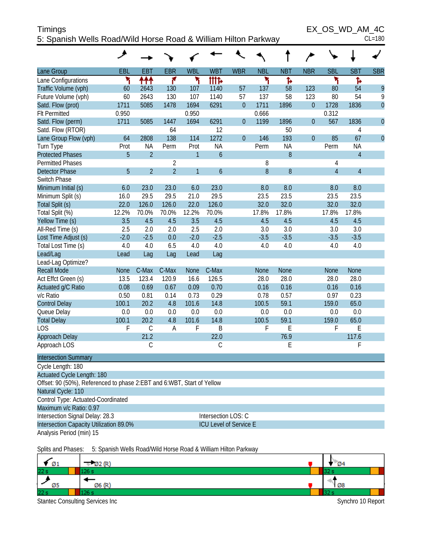| <b>Timings</b>                                                 | EX OS WD AM 4C |
|----------------------------------------------------------------|----------------|
| 5: Spanish Wells Road/Wild Horse Road & William Hilton Parkway | $CL = 180$     |

 $EX\_OS\_WD\_AM\_4C$ <br>CL=180

|                                                                        | هر          |                |                |              |                        |                  |             |             |                |                |                |                |
|------------------------------------------------------------------------|-------------|----------------|----------------|--------------|------------------------|------------------|-------------|-------------|----------------|----------------|----------------|----------------|
| Lane Group                                                             | EBL         | <b>EBT</b>     | <b>EBR</b>     | <b>WBL</b>   | <b>WBT</b>             | <b>WBR</b>       | <b>NBL</b>  | <b>NBT</b>  | <b>NBR</b>     | <b>SBL</b>     | <b>SBT</b>     | <b>SBR</b>     |
| Lane Configurations                                                    | ۲           | ተተተ            | ۴              | ۲            | <b>iiit</b> d          |                  | ۲           | Ъ           |                | ۲              | ħ              |                |
| Traffic Volume (vph)                                                   | 60          | 2643           | 130            | 107          | 1140                   | 57               | 137         | 58          | 123            | 80             | 54             | 9              |
| Future Volume (vph)                                                    | 60          | 2643           | 130            | 107          | 1140                   | 57               | 137         | 58          | 123            | 80             | 54             | 9              |
| Satd. Flow (prot)                                                      | 1711        | 5085           | 1478           | 1694         | 6291                   | $\boldsymbol{0}$ | 1711        | 1896        | $\overline{0}$ | 1728           | 1836           | $\overline{0}$ |
| <b>Flt Permitted</b>                                                   | 0.950       |                |                | 0.950        |                        |                  | 0.666       |             |                | 0.312          |                |                |
| Satd. Flow (perm)                                                      | 1711        | 5085           | 1447           | 1694         | 6291                   | $\theta$         | 1199        | 1896        | $\overline{0}$ | 567            | 1836           | $\overline{0}$ |
| Satd. Flow (RTOR)                                                      |             |                | 64             |              | 12                     |                  |             | 50          |                |                | $\overline{4}$ |                |
| Lane Group Flow (vph)                                                  | 64          | 2808           | 138            | 114          | 1272                   | $\theta$         | 146         | 193         | $\overline{0}$ | 85             | 67             | $\overline{0}$ |
| Turn Type                                                              | Prot        | <b>NA</b>      | Perm           | Prot         | <b>NA</b>              |                  | Perm        | <b>NA</b>   |                | Perm           | <b>NA</b>      |                |
| <b>Protected Phases</b>                                                | 5           | $\overline{2}$ |                | $\mathbf{1}$ | $\boldsymbol{6}$       |                  |             | 8           |                |                | $\overline{4}$ |                |
| <b>Permitted Phases</b>                                                |             |                | $\overline{2}$ |              |                        |                  | 8           |             |                | 4              |                |                |
| <b>Detector Phase</b>                                                  | 5           | $\overline{2}$ | $\overline{2}$ | $\mathbf{1}$ | $\boldsymbol{6}$       |                  | 8           | 8           |                | $\overline{4}$ | $\overline{4}$ |                |
| Switch Phase                                                           |             |                |                |              |                        |                  |             |             |                |                |                |                |
| Minimum Initial (s)                                                    | 6.0         | 23.0           | 23.0           | 6.0          | 23.0                   |                  | 8.0         | 8.0         |                | 8.0            | 8.0            |                |
| Minimum Split (s)                                                      | 16.0        | 29.5           | 29.5           | 21.0         | 29.5                   |                  | 23.5        | 23.5        |                | 23.5           | 23.5           |                |
| Total Split (s)                                                        | 22.0        | 126.0          | 126.0          | 22.0         | 126.0                  |                  | 32.0        | 32.0        |                | 32.0           | 32.0           |                |
| Total Split (%)                                                        | 12.2%       | 70.0%          | 70.0%          | 12.2%        | 70.0%                  |                  | 17.8%       | 17.8%       |                | 17.8%          | 17.8%          |                |
| Yellow Time (s)                                                        | 3.5         | 4.5            | 4.5            | 3.5          | 4.5                    |                  | 4.5         | 4.5         |                | 4.5            | 4.5            |                |
| All-Red Time (s)                                                       | 2.5         | 2.0            | 2.0            | 2.5          | 2.0                    |                  | 3.0         | 3.0         |                | 3.0            | 3.0            |                |
| Lost Time Adjust (s)                                                   | $-2.0$      | $-2.5$         | 0.0            | $-2.0$       | $-2.5$                 |                  | $-3.5$      | $-3.5$      |                | $-3.5$         | $-3.5$         |                |
| Total Lost Time (s)                                                    | 4.0         | 4.0            | 6.5            | 4.0          | 4.0                    |                  | 4.0         | 4.0         |                | 4.0            | 4.0            |                |
| Lead/Lag                                                               | Lead        | Lag            | Lag            | Lead         | Lag                    |                  |             |             |                |                |                |                |
| Lead-Lag Optimize?                                                     |             |                |                |              |                        |                  |             |             |                |                |                |                |
| <b>Recall Mode</b>                                                     | <b>None</b> | C-Max          | C-Max          | <b>None</b>  | C-Max                  |                  | <b>None</b> | <b>None</b> |                | <b>None</b>    | <b>None</b>    |                |
| Act Effct Green (s)                                                    | 13.5        | 123.4          | 120.9          | 16.6         | 126.5                  |                  | 28.0        | 28.0        |                | 28.0           | 28.0           |                |
| Actuated g/C Ratio                                                     | 0.08        | 0.69           | 0.67           | 0.09         | 0.70                   |                  | 0.16        | 0.16        |                | 0.16           | 0.16           |                |
| v/c Ratio                                                              | 0.50        | 0.81           | 0.14           | 0.73         | 0.29                   |                  | 0.78        | 0.57        |                | 0.97           | 0.23           |                |
| <b>Control Delay</b>                                                   | 100.1       | 20.2           | 4.8            | 101.6        | 14.8                   |                  | 100.5       | 59.1        |                | 159.0          | 65.0           |                |
| Queue Delay                                                            | 0.0         | 0.0            | 0.0            | 0.0          | 0.0                    |                  | 0.0         | 0.0         |                | 0.0            | 0.0            |                |
| <b>Total Delay</b>                                                     | 100.1       | 20.2           | 4.8            | 101.6        | 14.8                   |                  | 100.5       | 59.1        |                | 159.0          | 65.0           |                |
| <b>LOS</b>                                                             | F           | $\mathsf C$    | A              | F            | $\mathsf B$            |                  | F           | E           |                | F              | E              |                |
| <b>Approach Delay</b>                                                  |             | 21.2           |                |              | 22.0                   |                  |             | 76.9        |                |                | 117.6          |                |
| Approach LOS                                                           |             | C              |                |              | C                      |                  |             | E           |                |                | F              |                |
| <b>Intersection Summary</b>                                            |             |                |                |              |                        |                  |             |             |                |                |                |                |
| Cycle Length: 180                                                      |             |                |                |              |                        |                  |             |             |                |                |                |                |
| Actuated Cycle Length: 180                                             |             |                |                |              |                        |                  |             |             |                |                |                |                |
| Offset: 90 (50%), Referenced to phase 2:EBT and 6:WBT, Start of Yellow |             |                |                |              |                        |                  |             |             |                |                |                |                |
| Natural Cycle: 110                                                     |             |                |                |              |                        |                  |             |             |                |                |                |                |
| Control Type: Actuated-Coordinated                                     |             |                |                |              |                        |                  |             |             |                |                |                |                |
| Maximum v/c Ratio: 0.97                                                |             |                |                |              |                        |                  |             |             |                |                |                |                |
| Intersection Signal Delay: 28.3                                        |             |                |                |              | Intersection LOS: C    |                  |             |             |                |                |                |                |
| Intersection Capacity Utilization 89.0%                                |             |                |                |              | ICU Level of Service E |                  |             |             |                |                |                |                |
| Analysis Period (min) 15                                               |             |                |                |              |                        |                  |             |             |                |                |                |                |
|                                                                        |             |                |                |              |                        |                  |             |             |                |                |                |                |

Splits and Phases: 5: Spanish Wells Road/Wild Horse Road & William Hilton Parkway

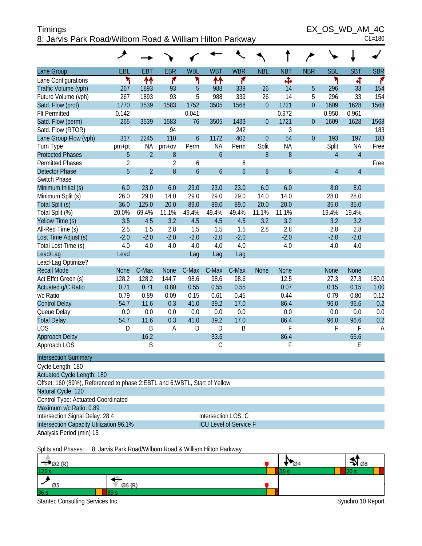| Timings                                                   | EX OS WD AM 4C |
|-----------------------------------------------------------|----------------|
| 8: Jarvis Park Road/Wilborn Road & William Hilton Parkway | $CL = 180$     |

|  | )<br>स |
|--|--------|
|  |        |

|                                                                             | هر             |                |                  |                  |                        |                  |                  |                  |                |                |                |            |
|-----------------------------------------------------------------------------|----------------|----------------|------------------|------------------|------------------------|------------------|------------------|------------------|----------------|----------------|----------------|------------|
| Lane Group                                                                  | EBL            | <b>EBT</b>     | <b>EBR</b>       | <b>WBL</b>       | <b>WBT</b>             | <b>WBR</b>       | <b>NBL</b>       | <b>NBT</b>       | <b>NBR</b>     | <b>SBL</b>     | <b>SBT</b>     | <b>SBR</b> |
| Lane Configurations                                                         | ۳              | ↟↟             | ۴                | ۲                | ↟↟                     | ۴                |                  | Ф                |                | ۲              | 4              | f.         |
| Traffic Volume (vph)                                                        | 267            | 1893           | 93               | 5                | 988                    | 339              | 26               | 14               | 5              | 296            | 33             | 154        |
| Future Volume (vph)                                                         | 267            | 1893           | 93               | 5                | 988                    | 339              | 26               | 14               | 5              | 296            | 33             | 154        |
| Satd. Flow (prot)                                                           | 1770           | 3539           | 1583             | 1752             | 3505                   | 1568             | $\boldsymbol{0}$ | 1721             | $\overline{0}$ | 1609           | 1628           | 1568       |
| <b>Flt Permitted</b>                                                        | 0.142          |                |                  | 0.041            |                        |                  |                  | 0.972            |                | 0.950          | 0.961          |            |
| Satd. Flow (perm)                                                           | 265            | 3539           | 1583             | 76               | 3505                   | 1433             | $\boldsymbol{0}$ | 1721             | $\overline{0}$ | 1609           | 1628           | 1568       |
| Satd. Flow (RTOR)                                                           |                |                | 94               |                  |                        | 242              |                  | $\mathfrak{Z}$   |                |                |                | 183        |
| Lane Group Flow (vph)                                                       | 317            | 2245           | 110              | $\boldsymbol{6}$ | 1172                   | 402              | $\mathbf{0}$     | 54               | $\overline{0}$ | 193            | 197            | 183        |
| Turn Type                                                                   | pm+pt          | ΝA             | $pm+ov$          | Perm             | NA                     | Perm             | Split            | <b>NA</b>        |                | Split          | <b>NA</b>      | Free       |
| <b>Protected Phases</b>                                                     | 5              | $\overline{2}$ | $\, 8$           |                  | $\mathfrak b$          |                  | $\, 8$           | $\boldsymbol{8}$ |                | $\overline{4}$ | $\overline{4}$ |            |
| <b>Permitted Phases</b>                                                     | $\overline{2}$ |                | $\overline{2}$   | 6                |                        | 6                |                  |                  |                |                |                | Free       |
| <b>Detector Phase</b>                                                       | 5              | $\overline{2}$ | $\boldsymbol{8}$ | $\overline{6}$   | $\boldsymbol{6}$       | $\boldsymbol{6}$ | $\, 8$           | 8                |                | $\overline{4}$ | $\overline{4}$ |            |
| Switch Phase                                                                |                |                |                  |                  |                        |                  |                  |                  |                |                |                |            |
| Minimum Initial (s)                                                         | 6.0            | 23.0           | 6.0              | 23.0             | 23.0                   | 23.0             | 6.0              | 6.0              |                | 8.0            | 8.0            |            |
| Minimum Split (s)                                                           | 26.0           | 29.0           | 14.0             | 29.0             | 29.0                   | 29.0             | 14.0             | 14.0             |                | 28.0           | 28.0           |            |
| Total Split (s)                                                             | 36.0           | 125.0          | 20.0             | 89.0             | 89.0                   | 89.0             | 20.0             | 20.0             |                | 35.0           | 35.0           |            |
| Total Split (%)                                                             | 20.0%          | 69.4%          | 11.1%            | 49.4%            | 49.4%                  | 49.4%            | 11.1%            | 11.1%            |                | 19.4%          | 19.4%          |            |
| Yellow Time (s)                                                             | 3.5            | 4.5            | 3.2              | 4.5              | 4.5                    | 4.5              | 3.2              | 3.2              |                | 3.2            | 3.2            |            |
| All-Red Time (s)                                                            | 2.5            | 1.5            | 2.8              | 1.5              | 1.5                    | 1.5              | 2.8              | 2.8              |                | 2.8            | 2.8            |            |
| Lost Time Adjust (s)                                                        | $-2.0$         | $-2.0$         | $-2.0$           | $-2.0$           | $-2.0$                 | $-2.0$           |                  | $-2.0$           |                | $-2.0$         | $-2.0$         |            |
| Total Lost Time (s)                                                         | 4.0            | 4.0            | 4.0              | 4.0              | 4.0                    | 4.0              |                  | 4.0              |                | 4.0            | 4.0            |            |
| Lead/Lag                                                                    | Lead           |                |                  | Lag              | Lag                    | Lag              |                  |                  |                |                |                |            |
| Lead-Lag Optimize?                                                          |                |                |                  |                  |                        |                  |                  |                  |                |                |                |            |
| <b>Recall Mode</b>                                                          | None           | C-Max          | <b>None</b>      | C-Max            | C-Max                  | C-Max            | <b>None</b>      | None             |                | None           | <b>None</b>    |            |
| Act Effct Green (s)                                                         | 128.2          | 128.2          | 144.7            | 98.6             | 98.6                   | 98.6             |                  | 12.5             |                | 27.3           | 27.3           | 180.0      |
| Actuated g/C Ratio                                                          | 0.71           | 0.71           | 0.80             | 0.55             | 0.55                   | 0.55             |                  | 0.07             |                | 0.15           | 0.15           | 1.00       |
| v/c Ratio                                                                   | 0.79           | 0.89           | 0.09             | 0.15             | 0.61                   | 0.45             |                  | 0.44             |                | 0.79           | 0.80           | 0.12       |
| <b>Control Delay</b>                                                        | 54.7           | 11.6           | 0.3              | 41.0             | 39.2                   | 17.0             |                  | 86.4             |                | 96.0           | 96.6           | 0.2        |
| Queue Delay                                                                 | 0.0            | 0.0            | 0.0              | 0.0              | 0.0                    | 0.0              |                  | 0.0              |                | 0.0            | 0.0            | 0.0        |
| <b>Total Delay</b>                                                          | 54.7           | 11.6           | 0.3              | 41.0             | 39.2                   | 17.0             |                  | 86.4             |                | 96.0           | 96.6           | 0.2        |
| <b>LOS</b>                                                                  | D              | B              | A                | D                | D                      | B                |                  | F                |                | F              | F              | A          |
| Approach Delay                                                              |                | 16.2           |                  |                  | 33.6                   |                  |                  | 86.4             |                |                | 65.6           |            |
| Approach LOS                                                                |                | Β              |                  |                  | $\mathsf C$            |                  |                  | F                |                |                | E              |            |
| <b>Intersection Summary</b>                                                 |                |                |                  |                  |                        |                  |                  |                  |                |                |                |            |
| Cycle Length: 180                                                           |                |                |                  |                  |                        |                  |                  |                  |                |                |                |            |
| Actuated Cycle Length: 180                                                  |                |                |                  |                  |                        |                  |                  |                  |                |                |                |            |
| Offset: 160 (89%), Referenced to phase 2: EBTL and 6: WBTL, Start of Yellow |                |                |                  |                  |                        |                  |                  |                  |                |                |                |            |
| Natural Cycle: 120                                                          |                |                |                  |                  |                        |                  |                  |                  |                |                |                |            |
| Control Type: Actuated-Coordinated                                          |                |                |                  |                  |                        |                  |                  |                  |                |                |                |            |
| Maximum v/c Ratio: 0.89                                                     |                |                |                  |                  |                        |                  |                  |                  |                |                |                |            |
| Intersection Signal Delay: 28.4                                             |                |                |                  |                  | Intersection LOS: C    |                  |                  |                  |                |                |                |            |
| Intersection Capacity Utilization 96.1%                                     |                |                |                  |                  | ICU Level of Service F |                  |                  |                  |                |                |                |            |
| Analysis Period (min) 15                                                    |                |                |                  |                  |                        |                  |                  |                  |                |                |                |            |
|                                                                             |                |                |                  |                  |                        |                  |                  |                  |                |                |                |            |

Splits and Phases: 8: Jarvis Park Road/Wilborn Road & William Hilton Parkway

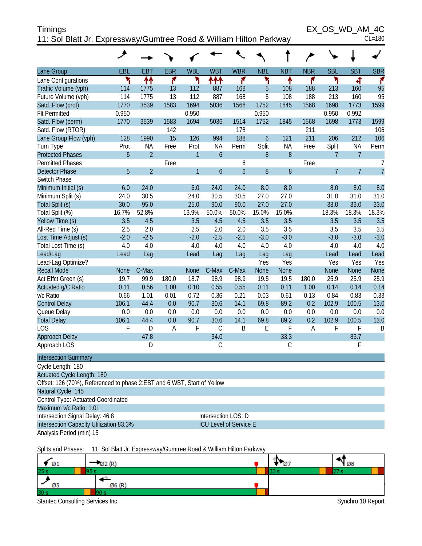| <b>Timings</b>                                                     | EX OS WD AM 4C |
|--------------------------------------------------------------------|----------------|
| 11: Sol Blatt Jr. Expressway/Gumtree Road & William Hilton Parkway | $CL = 180$     |

| $\sim$ . Our blancer. Expressway/Ourninge road $\alpha$ william i linom r<br>ainway |             |                                                                    |            |              |                  |                               |               |            |            |            |                |                |
|-------------------------------------------------------------------------------------|-------------|--------------------------------------------------------------------|------------|--------------|------------------|-------------------------------|---------------|------------|------------|------------|----------------|----------------|
|                                                                                     | ᢣ           |                                                                    |            |              |                  |                               |               |            | ∕          |            |                |                |
| Lane Group                                                                          | EBL         | <b>EBT</b>                                                         | <b>EBR</b> | <b>WBL</b>   | <b>WBT</b>       | <b>WBR</b>                    | <b>NBL</b>    | <b>NBT</b> | <b>NBR</b> | <b>SBL</b> | <b>SBT</b>     | <b>SBR</b>     |
| Lane Configurations                                                                 | ۲           | ↟↟                                                                 | ۴          | ۲            | ተተተ              | ۴                             | ኻ             | ↟          | ۴          | ۲          | 4              | r              |
| Traffic Volume (vph)                                                                | 114         | 1775                                                               | 13         | 112          | 887              | 168                           | 5             | 108        | 188        | 213        | 160            | 95             |
| Future Volume (vph)                                                                 | 114         | 1775                                                               | 13         | 112          | 887              | 168                           | 5             | 108        | 188        | 213        | 160            | 95             |
| Satd. Flow (prot)                                                                   | 1770        | 3539                                                               | 1583       | 1694         | 5036             | 1568                          | 1752          | 1845       | 1568       | 1698       | 1773           | 1599           |
| <b>Flt Permitted</b>                                                                | 0.950       |                                                                    |            | 0.950        |                  |                               | 0.950         |            |            | 0.950      | 0.992          |                |
| Satd. Flow (perm)                                                                   | 1770        | 3539                                                               | 1583       | 1694         | 5036             | 1514                          | 1752          | 1845       | 1568       | 1698       | 1773           | 1599           |
| Satd. Flow (RTOR)                                                                   |             |                                                                    | 142        |              |                  | 178                           |               |            | 211        |            |                | 106            |
| Lane Group Flow (vph)                                                               | 128         | 1990                                                               | 15         | 126          | 994              | 188                           | $\mathfrak b$ | 121        | 211        | 206        | 212            | 106            |
| Turn Type                                                                           | Prot        | <b>NA</b>                                                          | Free       | Prot         | <b>NA</b>        | Perm                          | Split         | <b>NA</b>  | Free       | Split      | <b>NA</b>      | Perm           |
| <b>Protected Phases</b>                                                             | 5           | $\overline{2}$                                                     |            | $\mathbf{1}$ | $\boldsymbol{6}$ |                               | 8             | $8\,$      |            | 7          | $\overline{7}$ |                |
| <b>Permitted Phases</b>                                                             |             |                                                                    | Free       |              |                  | 6                             |               |            | Free       |            |                | 7              |
| <b>Detector Phase</b>                                                               | 5           | $\overline{2}$                                                     |            | $\mathbf{1}$ | $\boldsymbol{6}$ | $\mathfrak b$                 | $\, 8$        | $8\,$      |            | 7          | $\overline{7}$ | $\overline{7}$ |
| Switch Phase                                                                        |             |                                                                    |            |              |                  |                               |               |            |            |            |                |                |
| Minimum Initial (s)                                                                 | 6.0         | 24.0                                                               |            | 6.0          | 24.0             | 24.0                          | 8.0           | 8.0        |            | 8.0        | 8.0            | 8.0            |
| Minimum Split (s)                                                                   | 24.0        | 30.5                                                               |            | 24.0         | 30.5             | 30.5                          | 27.0          | 27.0       |            | 31.0       | 31.0           | 31.0           |
| Total Split (s)                                                                     | 30.0        | 95.0                                                               |            | 25.0         | 90.0             | 90.0                          | 27.0          | 27.0       |            | 33.0       | 33.0           | 33.0           |
| Total Split (%)                                                                     | 16.7%       | 52.8%                                                              |            | 13.9%        | 50.0%            | 50.0%                         | 15.0%         | 15.0%      |            | 18.3%      | 18.3%          | 18.3%          |
| Yellow Time (s)                                                                     | 3.5         | 4.5                                                                |            | 3.5          | 4.5              | 4.5                           | 3.5           | 3.5        |            | 3.5        | 3.5            | 3.5            |
| All-Red Time (s)                                                                    | 2.5         | 2.0                                                                |            | 2.5          | 2.0              | 2.0                           | 3.5           | 3.5        |            | 3.5        | 3.5            | 3.5            |
| Lost Time Adjust (s)                                                                | $-2.0$      | $-2.5$                                                             |            | $-2.0$       | $-2.5$           | $-2.5$                        | $-3.0$        | $-3.0$     |            | $-3.0$     | $-3.0$         | $-3.0$         |
| Total Lost Time (s)                                                                 | 4.0         | 4.0                                                                |            | 4.0          | 4.0              | 4.0                           | 4.0           | 4.0        |            | 4.0        | 4.0            | 4.0            |
| Lead/Lag                                                                            | Lead        | Lag                                                                |            | Lead         | Lag              | Lag                           | Lag           | Lag        |            | Lead       | Lead           | Lead           |
| Lead-Lag Optimize?                                                                  |             |                                                                    |            |              |                  |                               | Yes           | Yes        |            | Yes        | Yes            | Yes            |
| <b>Recall Mode</b>                                                                  | <b>None</b> | C-Max                                                              |            | None         | C-Max            | C-Max                         | None          | None       |            | None       | <b>None</b>    | None           |
| Act Effct Green (s)                                                                 | 19.7        | 99.9                                                               | 180.0      | 18.7         | 98.9             | 98.9                          | 19.5          | 19.5       | 180.0      | 25.9       | 25.9           | 25.9           |
| Actuated g/C Ratio                                                                  | 0.11        | 0.56                                                               | 1.00       | 0.10         | 0.55             | 0.55                          | 0.11          | 0.11       | 1.00       | 0.14       | 0.14           | 0.14           |
| v/c Ratio                                                                           | 0.66        | 1.01                                                               | 0.01       | 0.72         | 0.36             | 0.21                          | 0.03          | 0.61       | 0.13       | 0.84       | 0.83           | 0.33           |
| <b>Control Delay</b>                                                                | 106.1       | 44.4                                                               | 0.0        | 90.7         | 30.6             | 14.1                          | 69.8          | 89.2       | 0.2        | 102.9      | 100.5          | 13.0           |
| Queue Delay                                                                         | 0.0         | 0.0                                                                | 0.0        | 0.0          | 0.0              | 0.0                           | 0.0           | 0.0        | 0.0        | 0.0        | 0.0            | 0.0            |
| <b>Total Delay</b>                                                                  | 106.1       | 44.4                                                               | 0.0        | 90.7         | 30.6             | 14.1                          | 69.8          | 89.2       | 0.2        | 102.9      | 100.5          | 13.0           |
| <b>LOS</b>                                                                          | F           | D                                                                  | A          | F            | $\mathsf C$      | B                             | E             | F          | A          | F          | F              | B              |
| Approach Delay                                                                      |             | 47.8                                                               |            |              | 34.0             |                               |               | 33.3       |            |            | 83.7           |                |
| Approach LOS                                                                        |             | D                                                                  |            |              | C                |                               |               | C          |            |            | F              |                |
| <b>Intersection Summary</b>                                                         |             |                                                                    |            |              |                  |                               |               |            |            |            |                |                |
| Cycle Length: 180                                                                   |             |                                                                    |            |              |                  |                               |               |            |            |            |                |                |
| Actuated Cycle Length: 180                                                          |             |                                                                    |            |              |                  |                               |               |            |            |            |                |                |
| Offset: 126 (70%), Referenced to phase 2:EBT and 6:WBT, Start of Yellow             |             |                                                                    |            |              |                  |                               |               |            |            |            |                |                |
| Natural Cycle: 145                                                                  |             |                                                                    |            |              |                  |                               |               |            |            |            |                |                |
| Control Type: Actuated-Coordinated                                                  |             |                                                                    |            |              |                  |                               |               |            |            |            |                |                |
| Maximum v/c Ratio: 1.01                                                             |             |                                                                    |            |              |                  |                               |               |            |            |            |                |                |
| Intersection Signal Delay: 46.8                                                     |             |                                                                    |            |              |                  | Intersection LOS: D           |               |            |            |            |                |                |
| Intersection Capacity Utilization 83.3%                                             |             |                                                                    |            |              |                  | <b>ICU Level of Service E</b> |               |            |            |            |                |                |
| Analysis Period (min) 15                                                            |             |                                                                    |            |              |                  |                               |               |            |            |            |                |                |
| Splits and Phases:                                                                  |             | 11: Sol Blatt Jr. Expressway/Gumtree Road & William Hilton Parkway |            |              |                  |                               |               |            |            |            |                |                |

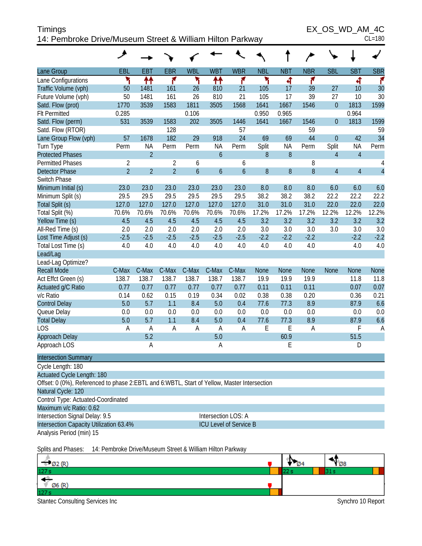| <b>Timings</b>                                            | EX OS WD AM 4C |
|-----------------------------------------------------------|----------------|
| 14: Pembroke Drive/Museum Street & William Hilton Parkway | $CL = 180$     |

EX\_OS\_WD\_AM\_4C

|  | 80 |
|--|----|
|  |    |

|                                                                                             | هر                                                        |                |                |                  |                  |                               |                  |             |             |                |                |                |
|---------------------------------------------------------------------------------------------|-----------------------------------------------------------|----------------|----------------|------------------|------------------|-------------------------------|------------------|-------------|-------------|----------------|----------------|----------------|
| Lane Group                                                                                  | EBL                                                       | <b>EBT</b>     | <b>EBR</b>     | <b>WBL</b>       | <b>WBT</b>       | <b>WBR</b>                    | <b>NBL</b>       | <b>NBT</b>  | <b>NBR</b>  | <b>SBL</b>     | <b>SBT</b>     | <b>SBR</b>     |
| Lane Configurations                                                                         | ۲                                                         | ↟↟             | ۴              | ۲                | ₩                | ۴                             | ۲                | 4           | ۴           |                | 4              | ۴              |
| Traffic Volume (vph)                                                                        | 50                                                        | 1481           | 161            | 26               | 810              | 21                            | 105              | 17          | 39          | 27             | 10             | 30             |
| Future Volume (vph)                                                                         | 50                                                        | 1481           | 161            | 26               | 810              | 21                            | 105              | 17          | 39          | 27             | 10             | 30             |
| Satd. Flow (prot)                                                                           | 1770                                                      | 3539           | 1583           | 1811             | 3505             | 1568                          | 1641             | 1667        | 1546        | $\mathbf 0$    | 1813           | 1599           |
| <b>Flt Permitted</b>                                                                        | 0.285                                                     |                |                | 0.106            |                  |                               | 0.950            | 0.965       |             |                | 0.964          |                |
| Satd. Flow (perm)                                                                           | 531                                                       | 3539           | 1583           | 202              | 3505             | 1446                          | 1641             | 1667        | 1546        | $\mathbf 0$    | 1813           | 1599           |
| Satd. Flow (RTOR)                                                                           |                                                           |                | 128            |                  |                  | 57                            |                  |             | 59          |                |                | 59             |
| Lane Group Flow (vph)                                                                       | 57                                                        | 1678           | 182            | 29               | 918              | 24                            | 69               | 69          | 44          | $\overline{0}$ | 42             | 34             |
| Turn Type                                                                                   | Perm                                                      | <b>NA</b>      | Perm           | Perm             | <b>NA</b>        | Perm                          | Split            | <b>NA</b>   | Perm        | Split          | ΝA             | Perm           |
| <b>Protected Phases</b>                                                                     |                                                           | $\overline{2}$ |                |                  | $\mathbf 6$      |                               | $8\,$            | 8           |             | $\overline{4}$ | $\overline{4}$ |                |
| <b>Permitted Phases</b>                                                                     | $\overline{c}$                                            |                | $\sqrt{2}$     | 6                |                  | 6                             |                  |             | 8           |                |                | 4              |
| <b>Detector Phase</b>                                                                       | $\overline{2}$                                            | $\overline{2}$ | $\overline{2}$ | $\boldsymbol{6}$ | $\boldsymbol{6}$ | $\boldsymbol{6}$              | $\boldsymbol{8}$ | 8           | 8           | $\overline{4}$ | $\overline{4}$ | $\overline{a}$ |
| Switch Phase                                                                                |                                                           |                |                |                  |                  |                               |                  |             |             |                |                |                |
| Minimum Initial (s)                                                                         | 23.0                                                      | 23.0           | 23.0           | 23.0             | 23.0             | 23.0                          | 8.0              | 8.0         | 8.0         | 6.0            | 6.0            | 6.0            |
| Minimum Split (s)                                                                           | 29.5                                                      | 29.5           | 29.5           | 29.5             | 29.5             | 29.5                          | 38.2             | 38.2        | 38.2        | 22.2           | 22.2           | 22.2           |
| Total Split (s)                                                                             | 127.0                                                     | 127.0          | 127.0          | 127.0            | 127.0            | 127.0                         | 31.0             | 31.0        | 31.0        | 22.0           | 22.0           | 22.0           |
| Total Split (%)                                                                             | 70.6%                                                     | 70.6%          | 70.6%          | 70.6%            | 70.6%            | 70.6%                         | 17.2%            | 17.2%       | 17.2%       | 12.2%          | 12.2%          | 12.2%          |
| Yellow Time (s)                                                                             | 4.5                                                       | 4.5            | 4.5            | 4.5              | 4.5              | 4.5                           | 3.2              | 3.2         | 3.2         | 3.2            | 3.2            | 3.2            |
| All-Red Time (s)                                                                            | 2.0                                                       | 2.0            | 2.0            | 2.0              | 2.0              | 2.0                           | 3.0              | 3.0         | 3.0         | 3.0            | 3.0            | 3.0            |
| Lost Time Adjust (s)                                                                        | $-2.5$                                                    | $-2.5$         | $-2.5$         | $-2.5$           | $-2.5$           | $-2.5$                        | $-2.2$           | $-2.2$      | $-2.2$      |                | $-2.2$         | $-2.2$         |
| Total Lost Time (s)                                                                         | 4.0                                                       | 4.0            | 4.0            | 4.0              | 4.0              | 4.0                           | 4.0              | 4.0         | 4.0         |                | 4.0            | 4.0            |
| Lead/Lag                                                                                    |                                                           |                |                |                  |                  |                               |                  |             |             |                |                |                |
| Lead-Lag Optimize?                                                                          |                                                           |                |                |                  |                  |                               |                  |             |             |                |                |                |
| <b>Recall Mode</b>                                                                          | C-Max                                                     | C-Max          | C-Max          | C-Max            | C-Max            | C-Max                         | <b>None</b>      | <b>None</b> | <b>None</b> | <b>None</b>    | <b>None</b>    | <b>None</b>    |
| Act Effct Green (s)                                                                         | 138.7                                                     | 138.7          | 138.7          | 138.7            | 138.7            | 138.7                         | 19.9             | 19.9        | 19.9        |                | 11.8           | 11.8           |
| Actuated g/C Ratio                                                                          | 0.77                                                      | 0.77           | 0.77           | 0.77             | 0.77             | 0.77                          | 0.11             | 0.11        | 0.11        |                | 0.07           | 0.07           |
| v/c Ratio                                                                                   | 0.14                                                      | 0.62           | 0.15           | 0.19             | 0.34             | 0.02                          | 0.38             | 0.38        | 0.20        |                | 0.36           | 0.21           |
| <b>Control Delay</b>                                                                        | 5.0                                                       | 5.7            | 1.1            | 8.4              | 5.0              | 0.4                           | 77.6             | 77.3        | 8.9         |                | 87.9           | 6.6            |
| Queue Delay                                                                                 | 0.0                                                       | 0.0            | 0.0            | 0.0              | 0.0              | 0.0                           | 0.0              | 0.0         | 0.0         |                | 0.0            | 0.0            |
| <b>Total Delay</b>                                                                          | 5.0                                                       | 5.7            | 1.1            | 8.4              | 5.0              | 0.4                           | 77.6             | 77.3        | 8.9         |                | 87.9           | 6.6            |
| <b>LOS</b>                                                                                  | A                                                         | A              | Α              | A                | $\mathsf{A}$     | A                             | E                | E           | A           |                | F              | A              |
| Approach Delay                                                                              |                                                           | 5.2            |                |                  | 5.0              |                               |                  | 60.9        |             |                | 51.5           |                |
| Approach LOS                                                                                |                                                           | Α              |                |                  | Α                |                               |                  | E           |             |                | D              |                |
| <b>Intersection Summary</b>                                                                 |                                                           |                |                |                  |                  |                               |                  |             |             |                |                |                |
| Cycle Length: 180                                                                           |                                                           |                |                |                  |                  |                               |                  |             |             |                |                |                |
| <b>Actuated Cycle Length: 180</b>                                                           |                                                           |                |                |                  |                  |                               |                  |             |             |                |                |                |
| Offset: 0 (0%), Referenced to phase 2:EBTL and 6:WBTL, Start of Yellow, Master Intersection |                                                           |                |                |                  |                  |                               |                  |             |             |                |                |                |
| Natural Cycle: 120                                                                          |                                                           |                |                |                  |                  |                               |                  |             |             |                |                |                |
| Control Type: Actuated-Coordinated                                                          |                                                           |                |                |                  |                  |                               |                  |             |             |                |                |                |
| Maximum v/c Ratio: 0.62                                                                     |                                                           |                |                |                  |                  |                               |                  |             |             |                |                |                |
| Intersection Signal Delay: 9.5                                                              |                                                           |                |                |                  |                  | Intersection LOS: A           |                  |             |             |                |                |                |
| Intersection Capacity Utilization 63.4%                                                     |                                                           |                |                |                  |                  | <b>ICU Level of Service B</b> |                  |             |             |                |                |                |
| Analysis Period (min) 15                                                                    |                                                           |                |                |                  |                  |                               |                  |             |             |                |                |                |
| Splits and Phases:                                                                          | 14: Pembroke Drive/Museum Street & William Hilton Parkway |                |                |                  |                  |                               |                  |             |             |                |                |                |

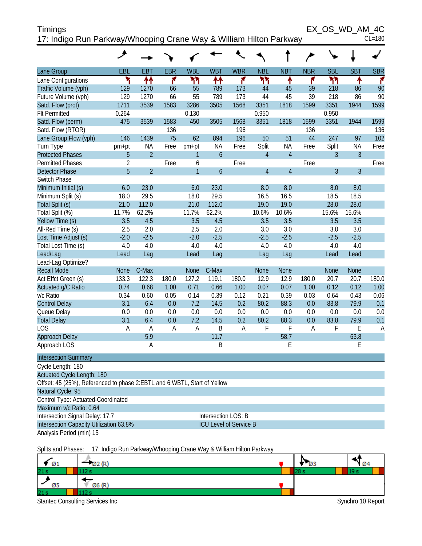| Timings                                                            | EX OS WD AM 4C |
|--------------------------------------------------------------------|----------------|
| 17: Indigo Run Parkway/Whooping Crane Way & William Hilton Parkway | $CL = 180$     |

|                                                                            | هر             |                |            |                |                               |            |                |                |            |                |                |            |
|----------------------------------------------------------------------------|----------------|----------------|------------|----------------|-------------------------------|------------|----------------|----------------|------------|----------------|----------------|------------|
| Lane Group                                                                 | <b>EBL</b>     | <b>EBT</b>     | <b>EBR</b> | <b>WBL</b>     | <b>WBT</b>                    | <b>WBR</b> | <b>NBL</b>     | <b>NBT</b>     | <b>NBR</b> | <b>SBL</b>     | <b>SBT</b>     | <b>SBR</b> |
| Lane Configurations                                                        | ۲              | ↟↟             | ۴          | ካካ             | 11                            | ۴          | ካነ             | ↟              | ۴          | ካካ             | ۸              | ۴          |
| Traffic Volume (vph)                                                       | 129            | 1270           | 66         | 55             | 789                           | 173        | 44             | 45             | 39         | 218            | 86             | 90         |
| Future Volume (vph)                                                        | 129            | 1270           | 66         | 55             | 789                           | 173        | 44             | 45             | 39         | 218            | 86             | 90         |
| Satd. Flow (prot)                                                          | 1711           | 3539           | 1583       | 3286           | 3505                          | 1568       | 3351           | 1818           | 1599       | 3351           | 1944           | 1599       |
| <b>Flt Permitted</b>                                                       | 0.264          |                |            | 0.130          |                               |            | 0.950          |                |            | 0.950          |                |            |
| Satd. Flow (perm)                                                          | 475            | 3539           | 1583       | 450            | 3505                          | 1568       | 3351           | 1818           | 1599       | 3351           | 1944           | 1599       |
| Satd. Flow (RTOR)                                                          |                |                | 136        |                |                               | 196        |                |                | 136        |                |                | 136        |
| Lane Group Flow (vph)                                                      | 146            | 1439           | 75         | 62             | 894                           | 196        | 50             | 51             | 44         | 247            | 97             | 102        |
| Turn Type                                                                  | pm+pt          | <b>NA</b>      | Free       | pm+pt          | <b>NA</b>                     | Free       | Split          | <b>NA</b>      | Free       | Split          | <b>NA</b>      | Free       |
| <b>Protected Phases</b>                                                    | 5              | $\overline{2}$ |            | 1              | $\boldsymbol{6}$              |            | $\overline{4}$ | $\overline{4}$ |            | 3              | $\overline{3}$ |            |
| <b>Permitted Phases</b>                                                    | $\overline{2}$ |                | Free       | 6              |                               | Free       |                |                | Free       |                |                | Free       |
| <b>Detector Phase</b>                                                      | 5              | $\overline{2}$ |            | $\overline{1}$ | $\boldsymbol{6}$              |            | $\overline{4}$ | $\overline{4}$ |            | $\overline{3}$ | $\overline{3}$ |            |
| Switch Phase                                                               |                |                |            |                |                               |            |                |                |            |                |                |            |
| Minimum Initial (s)                                                        | 6.0            | 23.0           |            | 6.0            | 23.0                          |            | 8.0            | 8.0            |            | 8.0            | 8.0            |            |
| Minimum Split (s)                                                          | 18.0           | 29.5           |            | 18.0           | 29.5                          |            | 16.5           | 16.5           |            | 18.5           | 18.5           |            |
| Total Split (s)                                                            | 21.0           | 112.0          |            | 21.0           | 112.0                         |            | 19.0           | 19.0           |            | 28.0           | 28.0           |            |
| Total Split (%)                                                            | 11.7%          | 62.2%          |            | 11.7%          | 62.2%                         |            | 10.6%          | 10.6%          |            | 15.6%          | 15.6%          |            |
| Yellow Time (s)                                                            | 3.5            | 4.5            |            | 3.5            | 4.5                           |            | 3.5            | 3.5            |            | 3.5            | 3.5            |            |
| All-Red Time (s)                                                           | 2.5            | 2.0            |            | 2.5            | 2.0                           |            | 3.0            | 3.0            |            | 3.0            | 3.0            |            |
| Lost Time Adjust (s)                                                       | $-2.0$         | $-2.5$         |            | $-2.0$         | $-2.5$                        |            | $-2.5$         | $-2.5$         |            | $-2.5$         | $-2.5$         |            |
| Total Lost Time (s)                                                        | 4.0            | 4.0            |            | 4.0            | 4.0                           |            | 4.0            | 4.0            |            | 4.0            | 4.0            |            |
| Lead/Lag                                                                   | Lead           | Lag            |            | Lead           | Lag                           |            | Lag            | Lag            |            | Lead           | Lead           |            |
| Lead-Lag Optimize?                                                         |                |                |            |                |                               |            |                |                |            |                |                |            |
| <b>Recall Mode</b>                                                         | <b>None</b>    | C-Max          |            | <b>None</b>    | C-Max                         |            | <b>None</b>    | <b>None</b>    |            | None           | <b>None</b>    |            |
| Act Effct Green (s)                                                        | 133.3          | 122.3          | 180.0      | 127.2          | 119.1                         | 180.0      | 12.9           | 12.9           | 180.0      | 20.7           | 20.7           | 180.0      |
| Actuated g/C Ratio                                                         | 0.74           | 0.68           | 1.00       | 0.71           | 0.66                          | 1.00       | 0.07           | 0.07           | 1.00       | 0.12           | 0.12           | 1.00       |
| v/c Ratio                                                                  | 0.34           | 0.60           | 0.05       | 0.14           | 0.39                          | 0.12       | 0.21           | 0.39           | 0.03       | 0.64           | 0.43           | 0.06       |
| <b>Control Delay</b>                                                       | 3.1            | 6.4            | 0.0        | 7.2            | 14.5                          | 0.2        | 80.2           | 88.3           | 0.0        | 83.8           | 79.9           | 0.1        |
| Queue Delay                                                                | 0.0            | 0.0            | 0.0        | 0.0            | 0.0                           | 0.0        | 0.0            | 0.0            | 0.0        | 0.0            | 0.0            | 0.0        |
| <b>Total Delay</b>                                                         | 3.1            | 6.4            | 0.0        | 7.2            | 14.5                          | 0.2        | 80.2           | 88.3           | 0.0        | 83.8           | 79.9           | 0.1        |
| <b>LOS</b>                                                                 | A              | A              | A          | $\overline{A}$ | B                             | A          | F              | F              | A          | F              | E              | A          |
| Approach Delay                                                             |                | 5.9            |            |                | 11.7                          |            |                | 58.7           |            |                | 63.8           |            |
| Approach LOS                                                               |                | Α              |            |                | Β                             |            |                | E              |            |                | E              |            |
| <b>Intersection Summary</b>                                                |                |                |            |                |                               |            |                |                |            |                |                |            |
| Cycle Length: 180                                                          |                |                |            |                |                               |            |                |                |            |                |                |            |
| Actuated Cycle Length: 180                                                 |                |                |            |                |                               |            |                |                |            |                |                |            |
| Offset: 45 (25%), Referenced to phase 2: EBTL and 6: WBTL, Start of Yellow |                |                |            |                |                               |            |                |                |            |                |                |            |
| Natural Cycle: 95                                                          |                |                |            |                |                               |            |                |                |            |                |                |            |
| Control Type: Actuated-Coordinated                                         |                |                |            |                |                               |            |                |                |            |                |                |            |
| Maximum v/c Ratio: 0.64                                                    |                |                |            |                |                               |            |                |                |            |                |                |            |
| Intersection Signal Delay: 17.7                                            |                |                |            |                | Intersection LOS: B           |            |                |                |            |                |                |            |
| Intersection Capacity Utilization 63.8%                                    |                |                |            |                | <b>ICU Level of Service B</b> |            |                |                |            |                |                |            |
| Analysis Period (min) 15                                                   |                |                |            |                |                               |            |                |                |            |                |                |            |

Splits and Phases: 17: Indigo Run Parkway/Whooping Crane Way & William Hilton Parkway

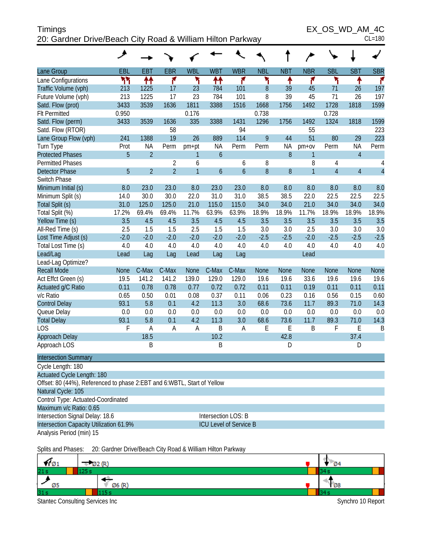| <b>Timings</b>                                             | EX OS WD AM 4C |
|------------------------------------------------------------|----------------|
| 20: Gardner Drive/Beach City Road & William Hilton Parkway | $CL = 180$     |

EX\_OS\_WD\_AM\_4C

|  | ៴៴៲ | AIVI |  |  |
|--|-----|------|--|--|
|  |     |      |  |  |

|                                                                         | هر          |                |                |                |                               |                  |             |            |                |                |                |                |
|-------------------------------------------------------------------------|-------------|----------------|----------------|----------------|-------------------------------|------------------|-------------|------------|----------------|----------------|----------------|----------------|
| Lane Group                                                              | EBL         | <b>EBT</b>     | <b>EBR</b>     | <b>WBL</b>     | <b>WBT</b>                    | <b>WBR</b>       | <b>NBL</b>  | <b>NBT</b> | <b>NBR</b>     | <b>SBL</b>     | <b>SBT</b>     | <b>SBR</b>     |
| Lane Configurations                                                     | ካካ          | ↟↟             | ۴              | ۲              | 11                            | ۴                | ۲           | ۸          | ۴              | ۲              | ↟              | ۴              |
| Traffic Volume (vph)                                                    | 213         | 1225           | 17             | 23             | 784                           | 101              | 8           | 39         | 45             | 71             | 26             | 197            |
| Future Volume (vph)                                                     | 213         | 1225           | 17             | 23             | 784                           | 101              | 8           | 39         | 45             | 71             | 26             | 197            |
| Satd. Flow (prot)                                                       | 3433        | 3539           | 1636           | 1811           | 3388                          | 1516             | 1668        | 1756       | 1492           | 1728           | 1818           | 1599           |
| <b>Flt Permitted</b>                                                    | 0.950       |                |                | 0.176          |                               |                  | 0.738       |            |                | 0.728          |                |                |
| Satd. Flow (perm)                                                       | 3433        | 3539           | 1636           | 335            | 3388                          | 1431             | 1296        | 1756       | 1492           | 1324           | 1818           | 1599           |
| Satd. Flow (RTOR)                                                       |             |                | 58             |                |                               | 94               |             |            | 55             |                |                | 223            |
| Lane Group Flow (vph)                                                   | 241         | 1388           | 19             | 26             | 889                           | 114              | 9           | 44         | 51             | 80             | 29             | 223            |
| Turn Type                                                               | Prot        | ΝA             | Perm           | pm+pt          | <b>NA</b>                     | Perm             | Perm        | <b>NA</b>  | $pm+ov$        | Perm           | <b>NA</b>      | Perm           |
| <b>Protected Phases</b>                                                 | 5           | $\overline{2}$ |                | 1              | $\mathfrak b$                 |                  |             | 8          | 1              |                | $\overline{4}$ |                |
| <b>Permitted Phases</b>                                                 |             |                | $\overline{2}$ | 6              |                               | 6                | 8           |            | 8              | 4              |                | 4              |
| <b>Detector Phase</b>                                                   | 5           | $\overline{2}$ | $\overline{2}$ | $\overline{1}$ | 6                             | $\boldsymbol{6}$ | 8           | 8          | $\overline{1}$ | $\overline{4}$ | $\overline{4}$ | $\overline{4}$ |
| Switch Phase                                                            |             |                |                |                |                               |                  |             |            |                |                |                |                |
| Minimum Initial (s)                                                     | 8.0         | 23.0           | 23.0           | 8.0            | 23.0                          | 23.0             | 8.0         | 8.0        | 8.0            | 8.0            | 8.0            | 8.0            |
| Minimum Split (s)                                                       | 14.0        | 30.0           | 30.0           | 22.0           | 31.0                          | 31.0             | 38.5        | 38.5       | 22.0           | 22.5           | 22.5           | 22.5           |
| Total Split (s)                                                         | 31.0        | 125.0          | 125.0          | 21.0           | 115.0                         | 115.0            | 34.0        | 34.0       | 21.0           | 34.0           | 34.0           | 34.0           |
| Total Split (%)                                                         | 17.2%       | 69.4%          | 69.4%          | 11.7%          | 63.9%                         | 63.9%            | 18.9%       | 18.9%      | 11.7%          | 18.9%          | 18.9%          | 18.9%          |
| Yellow Time (s)                                                         | 3.5         | 4.5            | 4.5            | 3.5            | 4.5                           | 4.5              | 3.5         | 3.5        | 3.5            | 3.5            | 3.5            | 3.5            |
| All-Red Time (s)                                                        | 2.5         | 1.5            | 1.5            | 2.5            | 1.5                           | 1.5              | 3.0         | 3.0        | 2.5            | 3.0            | 3.0            | 3.0            |
| Lost Time Adjust (s)                                                    | $-2.0$      | $-2.0$         | $-2.0$         | $-2.0$         | $-2.0$                        | $-2.0$           | $-2.5$      | $-2.5$     | $-2.0$         | $-2.5$         | $-2.5$         | $-2.5$         |
| Total Lost Time (s)                                                     | 4.0         | 4.0            | 4.0            | 4.0            | 4.0                           | 4.0              | 4.0         | 4.0        | 4.0            | 4.0            | 4.0            | 4.0            |
| Lead/Lag                                                                | Lead        | Lag            | Lag            | Lead           | Lag                           | Lag              |             |            | Lead           |                |                |                |
| Lead-Lag Optimize?<br><b>Recall Mode</b>                                | <b>None</b> | C-Max          | C-Max          | <b>None</b>    | C-Max                         | C-Max            | <b>None</b> | None       | <b>None</b>    | <b>None</b>    | <b>None</b>    | None           |
| Act Effct Green (s)                                                     | 19.5        | 141.2          | 141.2          | 139.0          | 129.0                         | 129.0            | 19.6        | 19.6       | 33.6           | 19.6           | 19.6           | 19.6           |
| Actuated g/C Ratio                                                      | 0.11        | 0.78           | 0.78           | 0.77           | 0.72                          | 0.72             | 0.11        | 0.11       | 0.19           | 0.11           | 0.11           | 0.11           |
| v/c Ratio                                                               | 0.65        | 0.50           | 0.01           | 0.08           | 0.37                          | 0.11             | 0.06        | 0.23       | 0.16           | 0.56           | 0.15           | 0.60           |
| <b>Control Delay</b>                                                    | 93.1        | 5.8            | 0.1            | 4.2            | 11.3                          | 3.0              | 68.6        | 73.6       | 11.7           | 89.3           | 71.0           | 14.3           |
| Queue Delay                                                             | 0.0         | 0.0            | 0.0            | 0.0            | 0.0                           | 0.0              | 0.0         | 0.0        | 0.0            | 0.0            | 0.0            | 0.0            |
| <b>Total Delay</b>                                                      | 93.1        | 5.8            | 0.1            | 4.2            | 11.3                          | 3.0              | 68.6        | 73.6       | 11.7           | 89.3           | 71.0           | 14.3           |
| <b>LOS</b>                                                              | F           | A              | A              | A              | B                             | Α                | E           | E          | B              | F              | Ε              | B              |
| Approach Delay                                                          |             | 18.5           |                |                | 10.2                          |                  |             | 42.8       |                |                | 37.4           |                |
| Approach LOS                                                            |             | B              |                |                | $\sf B$                       |                  |             | D          |                |                | D              |                |
| <b>Intersection Summary</b>                                             |             |                |                |                |                               |                  |             |            |                |                |                |                |
| Cycle Length: 180                                                       |             |                |                |                |                               |                  |             |            |                |                |                |                |
| Actuated Cycle Length: 180                                              |             |                |                |                |                               |                  |             |            |                |                |                |                |
| Offset: 80 (44%), Referenced to phase 2:EBT and 6:WBTL, Start of Yellow |             |                |                |                |                               |                  |             |            |                |                |                |                |
| Natural Cycle: 105                                                      |             |                |                |                |                               |                  |             |            |                |                |                |                |
| Control Type: Actuated-Coordinated                                      |             |                |                |                |                               |                  |             |            |                |                |                |                |
| Maximum v/c Ratio: 0.65                                                 |             |                |                |                |                               |                  |             |            |                |                |                |                |
| Intersection Signal Delay: 18.6                                         |             |                |                |                | Intersection LOS: B           |                  |             |            |                |                |                |                |
| Intersection Capacity Utilization 61.9%                                 |             |                |                |                | <b>ICU Level of Service B</b> |                  |             |            |                |                |                |                |
| Analysis Period (min) 15                                                |             |                |                |                |                               |                  |             |            |                |                |                |                |
|                                                                         |             |                |                |                |                               |                  |             |            |                |                |                |                |

Splits and Phases: 20: Gardner Drive/Beach City Road & William Hilton Parkway

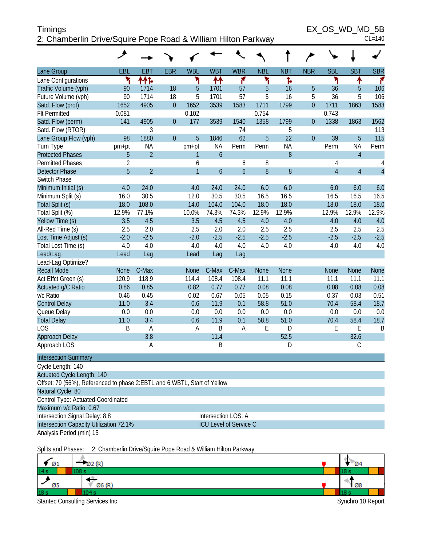| <b>Timings</b>                                                | EX OS WD MD 5B |
|---------------------------------------------------------------|----------------|
| 2: Chamberlin Drive/Squire Pope Road & William Hilton Parkway | $CL=140$       |

 $EX\_OS\_WD\_MD\_5B$ <br>CL=140

|                                                                          | ᢣ              |                |                |                |                |                               |             |            |                |                |                |                |
|--------------------------------------------------------------------------|----------------|----------------|----------------|----------------|----------------|-------------------------------|-------------|------------|----------------|----------------|----------------|----------------|
| Lane Group                                                               | EBL            | <b>EBT</b>     | <b>EBR</b>     | <b>WBL</b>     | <b>WBT</b>     | <b>WBR</b>                    | <b>NBL</b>  | <b>NBT</b> | <b>NBR</b>     | <b>SBL</b>     | <b>SBT</b>     | <b>SBR</b>     |
| Lane Configurations                                                      | ኻ              | ተተኈ            |                | ۲              | ↟↟             | ۴                             | ۲           | Ъ          |                | ۲              | ↟              | ۴              |
| Traffic Volume (vph)                                                     | 90             | 1714           | 18             | 5              | 1701           | 57                            | 5           | 16         | 5              | 36             | 5              | 106            |
| Future Volume (vph)                                                      | 90             | 1714           | 18             | 5              | 1701           | 57                            | 5           | 16         | 5              | 36             | 5              | 106            |
| Satd. Flow (prot)                                                        | 1652           | 4905           | $\overline{0}$ | 1652           | 3539           | 1583                          | 1711        | 1799       | $\overline{0}$ | 1711           | 1863           | 1583           |
| <b>Flt Permitted</b>                                                     | 0.081          |                |                | 0.102          |                |                               | 0.754       |            |                | 0.743          |                |                |
| Satd. Flow (perm)                                                        | 141            | 4905           | $\overline{0}$ | 177            | 3539           | 1540                          | 1358        | 1799       | $\mathbf{0}$   | 1338           | 1863           | 1562           |
| Satd. Flow (RTOR)                                                        |                | 3              |                |                |                | 74                            |             | 5          |                |                |                | 113            |
| Lane Group Flow (vph)                                                    | 98             | 1880           | $\overline{0}$ | 5              | 1846           | 62                            | 5           | 22         | $\overline{0}$ | 39             | 5              | 115            |
| Turn Type                                                                | pm+pt          | <b>NA</b>      |                | pm+pt          | <b>NA</b>      | Perm                          | Perm        | <b>NA</b>  |                | Perm           | <b>NA</b>      | Perm           |
| <b>Protected Phases</b>                                                  | 5              | $\overline{2}$ |                | 1              | $\mathfrak b$  |                               |             | 8          |                |                | $\overline{4}$ |                |
| <b>Permitted Phases</b>                                                  | $\overline{2}$ |                |                | 6              |                | 6                             | 8           |            |                | $\overline{4}$ |                | 4              |
| <b>Detector Phase</b>                                                    | 5              | $\overline{2}$ |                | $\overline{1}$ | $\overline{6}$ | $\mathfrak b$                 | 8           | 8          |                | $\overline{4}$ | $\overline{4}$ | $\overline{4}$ |
| Switch Phase                                                             |                |                |                |                |                |                               |             |            |                |                |                |                |
| Minimum Initial (s)                                                      | 4.0            | 24.0           |                | 4.0            | 24.0           | 24.0                          | 6.0         | 6.0        |                | 6.0            | 6.0            | 6.0            |
| Minimum Split (s)                                                        | 16.0           | 30.5           |                | 12.0           | 30.5           | 30.5                          | 16.5        | 16.5       |                | 16.5           | 16.5           | 16.5           |
| Total Split (s)                                                          | 18.0           | 108.0          |                | 14.0           | 104.0          | 104.0                         | 18.0        | 18.0       |                | 18.0           | 18.0           | 18.0           |
| Total Split (%)                                                          | 12.9%<br>3.5   | 77.1%<br>4.5   |                | 10.0%<br>3.5   | 74.3%          | 74.3%<br>4.5                  | 12.9%       | 12.9%      |                | 12.9%<br>4.0   | 12.9%<br>4.0   | 12.9%          |
| Yellow Time (s)<br>All-Red Time (s)                                      | 2.5            | 2.0            |                | 2.5            | 4.5<br>2.0     | 2.0                           | 4.0<br>2.5  | 4.0<br>2.5 |                | 2.5            | 2.5            | 4.0<br>2.5     |
| Lost Time Adjust (s)                                                     | $-2.0$         | $-2.5$         |                | $-2.0$         | $-2.5$         | $-2.5$                        | $-2.5$      | $-2.5$     |                | $-2.5$         | $-2.5$         | $-2.5$         |
| Total Lost Time (s)                                                      | 4.0            | 4.0            |                | 4.0            | 4.0            | 4.0                           | 4.0         | 4.0        |                | 4.0            | 4.0            | 4.0            |
| Lead/Lag                                                                 | Lead           | Lag            |                | Lead           | Lag            | Lag                           |             |            |                |                |                |                |
| Lead-Lag Optimize?                                                       |                |                |                |                |                |                               |             |            |                |                |                |                |
| <b>Recall Mode</b>                                                       | <b>None</b>    | C-Max          |                | <b>None</b>    | C-Max          | C-Max                         | <b>None</b> | None       |                | <b>None</b>    | <b>None</b>    | None           |
| Act Effct Green (s)                                                      | 120.9          | 118.9          |                | 114.4          | 108.4          | 108.4                         | 11.1        | 11.1       |                | 11.1           | 11.1           | 11.1           |
| Actuated g/C Ratio                                                       | 0.86           | 0.85           |                | 0.82           | 0.77           | 0.77                          | 0.08        | 0.08       |                | 0.08           | 0.08           | 0.08           |
| v/c Ratio                                                                | 0.46           | 0.45           |                | 0.02           | 0.67           | 0.05                          | 0.05        | 0.15       |                | 0.37           | 0.03           | 0.51           |
| <b>Control Delay</b>                                                     | 11.0           | 3.4            |                | 0.6            | 11.9           | 0.1                           | 58.8        | 51.0       |                | 70.4           | 58.4           | 18.7           |
| Queue Delay                                                              | 0.0            | 0.0            |                | 0.0            | 0.0            | 0.0                           | 0.0         | 0.0        |                | 0.0            | 0.0            | 0.0            |
| <b>Total Delay</b>                                                       | 11.0           | 3.4            |                | 0.6            | 11.9           | 0.1                           | 58.8        | 51.0       |                | 70.4           | 58.4           | 18.7           |
| LOS                                                                      | Β              | A              |                | A              | B              | A                             | E           | D          |                | E              | Ε              | B              |
| Approach Delay                                                           |                | 3.8            |                |                | 11.4           |                               |             | 52.5       |                |                | 32.6           |                |
| Approach LOS                                                             |                | Α              |                |                | B              |                               |             | D          |                |                | $\mathcal{C}$  |                |
| <b>Intersection Summary</b>                                              |                |                |                |                |                |                               |             |            |                |                |                |                |
| Cycle Length: 140                                                        |                |                |                |                |                |                               |             |            |                |                |                |                |
| <b>Actuated Cycle Length: 140</b>                                        |                |                |                |                |                |                               |             |            |                |                |                |                |
| Offset: 79 (56%), Referenced to phase 2:EBTL and 6:WBTL, Start of Yellow |                |                |                |                |                |                               |             |            |                |                |                |                |
| Natural Cycle: 80                                                        |                |                |                |                |                |                               |             |            |                |                |                |                |
| Control Type: Actuated-Coordinated                                       |                |                |                |                |                |                               |             |            |                |                |                |                |
| Maximum v/c Ratio: 0.67                                                  |                |                |                |                |                |                               |             |            |                |                |                |                |
| Intersection Signal Delay: 8.8                                           |                |                |                |                |                | Intersection LOS: A           |             |            |                |                |                |                |
| Intersection Capacity Utilization 72.1%                                  |                |                |                |                |                | <b>ICU Level of Service C</b> |             |            |                |                |                |                |
| Analysis Period (min) 15                                                 |                |                |                |                |                |                               |             |            |                |                |                |                |
|                                                                          |                |                |                |                |                |                               |             |            |                |                |                |                |

Splits and Phases: 2: Chamberlin Drive/Squire Pope Road & William Hilton Parkway

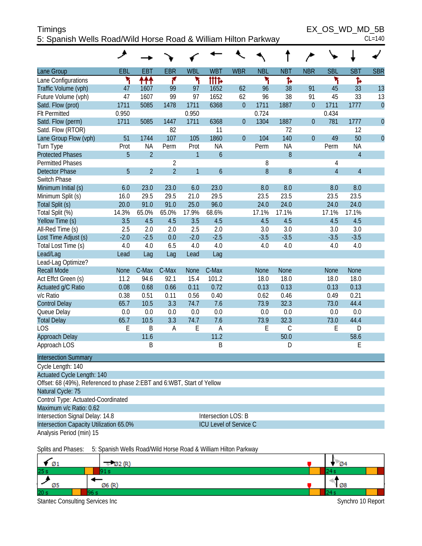| <b>Timings</b>                                                 | EX OS WD MD 5B |
|----------------------------------------------------------------|----------------|
| 5: Spanish Wells Road/Wild Horse Road & William Hilton Parkway | $CL=140$       |

 $EX\_OS\_WD\_MD\_5B$ <br>CL=140

|                                                                        | عر          |                |                |                |                               |                |             |             |                |                |                |                |
|------------------------------------------------------------------------|-------------|----------------|----------------|----------------|-------------------------------|----------------|-------------|-------------|----------------|----------------|----------------|----------------|
| Lane Group                                                             | EBL         | <b>EBT</b>     | <b>EBR</b>     | <b>WBL</b>     | <b>WBT</b>                    | <b>WBR</b>     | <b>NBL</b>  | <b>NBT</b>  | <b>NBR</b>     | <b>SBL</b>     | <b>SBT</b>     | <b>SBR</b>     |
| Lane Configurations                                                    | ۲           | ተተተ            | ۴              | ۲              | <b>itite</b>                  |                | ۲           | ħ           |                | ۲              | Ъ              |                |
| Traffic Volume (vph)                                                   | 47          | 1607           | 99             | 97             | 1652                          | 62             | 96          | 38          | 91             | 45             | 33             | 13             |
| Future Volume (vph)                                                    | 47          | 1607           | 99             | 97             | 1652                          | 62             | 96          | 38          | 91             | 45             | 33             | 13             |
| Satd. Flow (prot)                                                      | 1711        | 5085           | 1478           | 1711           | 6368                          | $\overline{0}$ | 1711        | 1887        | $\mathbf{0}$   | 1711           | 1777           | $\mathbf{0}$   |
| <b>Flt Permitted</b>                                                   | 0.950       |                |                | 0.950          |                               |                | 0.724       |             |                | 0.434          |                |                |
| Satd. Flow (perm)                                                      | 1711        | 5085           | 1447           | 1711           | 6368                          | $\mathbf{0}$   | 1304        | 1887        | $\mathbf 0$    | 781            | 1777           | $\overline{0}$ |
| Satd. Flow (RTOR)                                                      |             |                | 82             |                | 11                            |                |             | 72          |                |                | 12             |                |
| Lane Group Flow (vph)                                                  | 51          | 1744           | 107            | 105            | 1860                          | $\overline{0}$ | 104         | 140         | $\overline{0}$ | 49             | 50             | $\overline{0}$ |
| Turn Type                                                              | Prot        | <b>NA</b>      | Perm           | Prot           | <b>NA</b>                     |                | Perm        | <b>NA</b>   |                | Perm           | <b>NA</b>      |                |
| <b>Protected Phases</b>                                                | 5           | $\overline{2}$ |                | $\mathbf{1}$   | 6                             |                |             | 8           |                |                | $\overline{4}$ |                |
| <b>Permitted Phases</b>                                                |             |                | $\overline{2}$ |                |                               |                | 8           |             |                | 4              |                |                |
| <b>Detector Phase</b>                                                  | 5           | $\overline{2}$ | $\overline{2}$ | $\overline{1}$ | 6                             |                | 8           | 8           |                | $\overline{4}$ | $\overline{4}$ |                |
| Switch Phase                                                           |             |                |                |                |                               |                |             |             |                |                |                |                |
| Minimum Initial (s)                                                    | 6.0         | 23.0           | 23.0           | 6.0            | 23.0                          |                | 8.0         | 8.0         |                | 8.0            | 8.0            |                |
| Minimum Split (s)                                                      | 16.0        | 29.5           | 29.5           | 21.0           | 29.5                          |                | 23.5        | 23.5        |                | 23.5           | 23.5           |                |
| Total Split (s)                                                        | 20.0        | 91.0           | 91.0           | 25.0           | 96.0                          |                | 24.0        | 24.0        |                | 24.0           | 24.0           |                |
| Total Split (%)                                                        | 14.3%       | 65.0%          | 65.0%          | 17.9%          | 68.6%                         |                | 17.1%       | 17.1%       |                | 17.1%          | 17.1%          |                |
| Yellow Time (s)                                                        | 3.5         | 4.5            | 4.5            | 3.5            | 4.5                           |                | 4.5         | 4.5         |                | 4.5            | 4.5            |                |
| All-Red Time (s)                                                       | 2.5         | 2.0            | 2.0            | 2.5            | 2.0                           |                | 3.0         | 3.0         |                | 3.0            | 3.0            |                |
| Lost Time Adjust (s)                                                   | $-2.0$      | $-2.5$         | 0.0            | $-2.0$         | $-2.5$                        |                | $-3.5$      | $-3.5$      |                | $-3.5$         | $-3.5$         |                |
| Total Lost Time (s)                                                    | 4.0         | 4.0            | 6.5            | 4.0            | 4.0                           |                | 4.0         | 4.0         |                | 4.0            | 4.0            |                |
| Lead/Lag                                                               | Lead        | Lag            | Lag            | Lead           | Lag                           |                |             |             |                |                |                |                |
| Lead-Lag Optimize?                                                     |             |                |                |                |                               |                |             |             |                |                |                |                |
| <b>Recall Mode</b>                                                     | <b>None</b> | C-Max          | C-Max          | <b>None</b>    | C-Max                         |                | <b>None</b> | None        |                | <b>None</b>    | <b>None</b>    |                |
| Act Effct Green (s)                                                    | 11.2        | 94.6           | 92.1           | 15.4           | 101.2                         |                | 18.0        | 18.0        |                | 18.0           | 18.0           |                |
| Actuated g/C Ratio                                                     | 0.08        | 0.68           | 0.66           | 0.11           | 0.72                          |                | 0.13        | 0.13        |                | 0.13           | 0.13           |                |
| v/c Ratio                                                              | 0.38        | 0.51           | 0.11           | 0.56           | 0.40                          |                | 0.62        | 0.46        |                | 0.49           | 0.21           |                |
| <b>Control Delay</b>                                                   | 65.7        | 10.5           | 3.3            | 74.7           | 7.6                           |                | 73.9        | 32.3        |                | 73.0           | 44.4           |                |
| Queue Delay                                                            | 0.0         | 0.0            | 0.0            | 0.0            | 0.0                           |                | 0.0         | 0.0         |                | 0.0            | 0.0            |                |
| <b>Total Delay</b>                                                     | 65.7        | 10.5           | 3.3            | 74.7           | 7.6                           |                | 73.9        | 32.3        |                | 73.0           | 44.4           |                |
| <b>LOS</b>                                                             | E           | B              | Α              | E              | A                             |                | Ε           | $\mathsf C$ |                | E              | D              |                |
| Approach Delay                                                         |             | 11.6           |                |                | 11.2                          |                |             | 50.0        |                |                | 58.6           |                |
| Approach LOS                                                           |             | B              |                |                | B                             |                |             | D           |                |                | Ε              |                |
| <b>Intersection Summary</b>                                            |             |                |                |                |                               |                |             |             |                |                |                |                |
| Cycle Length: 140<br>Actuated Cycle Length: 140                        |             |                |                |                |                               |                |             |             |                |                |                |                |
| Offset: 68 (49%), Referenced to phase 2:EBT and 6:WBT, Start of Yellow |             |                |                |                |                               |                |             |             |                |                |                |                |
| Natural Cycle: 75                                                      |             |                |                |                |                               |                |             |             |                |                |                |                |
| Control Type: Actuated-Coordinated                                     |             |                |                |                |                               |                |             |             |                |                |                |                |
| Maximum v/c Ratio: 0.62                                                |             |                |                |                |                               |                |             |             |                |                |                |                |
| Intersection Signal Delay: 14.8<br>Intersection LOS: B                 |             |                |                |                |                               |                |             |             |                |                |                |                |
| Intersection Capacity Utilization 65.0%                                |             |                |                |                | <b>ICU Level of Service C</b> |                |             |             |                |                |                |                |
| Analysis Period (min) 15                                               |             |                |                |                |                               |                |             |             |                |                |                |                |
|                                                                        |             |                |                |                |                               |                |             |             |                |                |                |                |

Splits and Phases: 5: Spanish Wells Road/Wild Horse Road & William Hilton Parkway

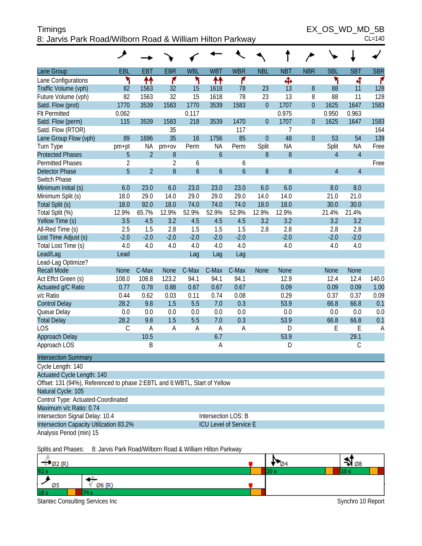| <b>Timings</b>                                            | EX OS WD MD 5B |
|-----------------------------------------------------------|----------------|
| 8: Jarvis Park Road/Wilborn Road & William Hilton Parkway | $CL = 140$     |

|                                                                             | ۸              |                |                |                  |                  |                               |                  |             |                |                |                |                |
|-----------------------------------------------------------------------------|----------------|----------------|----------------|------------------|------------------|-------------------------------|------------------|-------------|----------------|----------------|----------------|----------------|
| Lane Group                                                                  | EBL            | <b>EBT</b>     | <b>EBR</b>     | <b>WBL</b>       | <b>WBT</b>       | <b>WBR</b>                    | <b>NBL</b>       | <b>NBT</b>  | <b>NBR</b>     | <b>SBL</b>     | <b>SBT</b>     | <b>SBR</b>     |
| Lane Configurations                                                         | ۲              | ↟↟             | ۴              | ۲                | 11               | ۴                             |                  | Ф           |                | ۲              | 4              | f.             |
| Traffic Volume (vph)                                                        | 82             | 1563           | 32             | 15               | 1618             | 78                            | 23               | 13          | 8              | 88             | 11             | 128            |
| Future Volume (vph)                                                         | 82             | 1563           | 32             | 15               | 1618             | 78                            | 23               | 13          | 8              | 88             | 11             | 128            |
| Satd. Flow (prot)                                                           | 1770           | 3539           | 1583           | 1770             | 3539             | 1583                          | $\boldsymbol{0}$ | 1707        | $\overline{0}$ | 1625           | 1647           | 1583           |
| <b>Flt Permitted</b>                                                        | 0.062          |                |                | 0.117            |                  |                               |                  | 0.975       |                | 0.950          | 0.963          |                |
| Satd. Flow (perm)                                                           | 115            | 3539           | 1583           | 218              | 3539             | 1470                          | $\boldsymbol{0}$ | 1707        | 0              | 1625           | 1647           | 1583           |
| Satd. Flow (RTOR)                                                           |                |                | 35             |                  |                  | 117                           |                  | 7           |                |                |                | 164            |
| Lane Group Flow (vph)                                                       | 89             | 1696           | 35             | 16               | 1756             | 85                            | $\theta$         | 48          | $\overline{0}$ | 53             | 54             | 139            |
| Turn Type                                                                   | pm+pt          | <b>NA</b>      | $pm+ov$        | Perm             | <b>NA</b>        | Perm                          | Split            | <b>NA</b>   |                | Split          | <b>NA</b>      | Free           |
| <b>Protected Phases</b>                                                     | 5              | $\overline{2}$ | $8\,$          |                  | $\boldsymbol{6}$ |                               | 8                | 8           |                | $\overline{4}$ | $\overline{4}$ |                |
| <b>Permitted Phases</b>                                                     | $\overline{2}$ |                | $\overline{2}$ | 6                |                  | 6                             |                  |             |                |                |                | Free           |
| <b>Detector Phase</b>                                                       | 5              | $\overline{2}$ | $8\,$          | $\boldsymbol{6}$ | 6                | $\mathfrak b$                 | $\boldsymbol{8}$ | 8           |                | $\overline{4}$ | $\overline{4}$ |                |
| Switch Phase                                                                |                |                |                |                  |                  |                               |                  |             |                |                |                |                |
| Minimum Initial (s)                                                         | 6.0            | 23.0           | 6.0            | 23.0             | 23.0             | 23.0                          | 6.0              | 6.0         |                | 8.0            | 8.0            |                |
| Minimum Split (s)                                                           | 18.0           | 29.0           | 14.0           | 29.0             | 29.0             | 29.0                          | 14.0             | 14.0        |                | 21.0           | 21.0           |                |
| Total Split (s)                                                             | 18.0           | 92.0           | 18.0           | 74.0             | 74.0             | 74.0                          | 18.0             | 18.0        |                | 30.0           | 30.0           |                |
| Total Split (%)                                                             | 12.9%          | 65.7%          | 12.9%          | 52.9%            | 52.9%            | 52.9%                         | 12.9%            | 12.9%       |                | 21.4%          | 21.4%          |                |
| Yellow Time (s)                                                             | 3.5            | 4.5            | 3.2            | 4.5              | 4.5              | 4.5                           | 3.2              | 3.2         |                | 3.2            | 3.2            |                |
| All-Red Time (s)                                                            | 2.5            | 1.5            | 2.8            | 1.5              | 1.5              | 1.5                           | 2.8              | 2.8         |                | 2.8            | 2.8            |                |
| Lost Time Adjust (s)                                                        | $-2.0$         | $-2.0$         | $-2.0$         | $-2.0$           | $-2.0$           | $-2.0$                        |                  | $-2.0$      |                | $-2.0$         | $-2.0$         |                |
| Total Lost Time (s)                                                         | 4.0            | 4.0            | 4.0            | 4.0              | 4.0              | 4.0                           |                  | 4.0         |                | 4.0            | 4.0            |                |
| Lead/Lag                                                                    | Lead           |                |                | Lag              | Lag              | Lag                           |                  |             |                |                |                |                |
| Lead-Lag Optimize?                                                          |                |                |                |                  |                  |                               |                  |             |                |                |                |                |
| <b>Recall Mode</b>                                                          | <b>None</b>    | C-Max          | <b>None</b>    | C-Max            | C-Max            | C-Max                         | <b>None</b>      | <b>None</b> |                | <b>None</b>    | <b>None</b>    |                |
| Act Effct Green (s)                                                         | 108.0          | 108.8          | 123.2          | 94.1             | 94.1             | 94.1                          |                  | 12.9        |                | 12.4           | 12.4           | 140.0          |
| Actuated g/C Ratio                                                          | 0.77           | 0.78           | 0.88           | 0.67             | 0.67             | 0.67                          |                  | 0.09        |                | 0.09           | 0.09           | 1.00           |
| v/c Ratio                                                                   | 0.44           | 0.62           | 0.03           | 0.11             | 0.74             | 0.08                          |                  | 0.29        |                | 0.37           | 0.37           | 0.09           |
| <b>Control Delay</b>                                                        | 28.2           | 9.8            | 1.5            | 5.5              | 7.0              | 0.3                           |                  | 53.9        |                | 66.8           | 66.8           | 0.1            |
| Queue Delay                                                                 | 0.0            | 0.0            | 0.0            | 0.0              | 0.0              | 0.0                           |                  | 0.0         |                | 0.0            | 0.0            | 0.0            |
| <b>Total Delay</b>                                                          | 28.2           | 9.8            | 1.5            | 5.5              | 7.0              | 0.3                           |                  | 53.9        |                | 66.8           | 66.8           | 0.1            |
| <b>LOS</b>                                                                  | C              | Α              | A              | A                | A                | A                             |                  | D           |                | E              | E              | $\overline{A}$ |
| Approach Delay                                                              |                | 10.5           |                |                  | 6.7              |                               |                  | 53.9        |                |                | 29.1           |                |
| Approach LOS                                                                |                | B              |                |                  | A                |                               |                  | D           |                |                | $\mathsf C$    |                |
| <b>Intersection Summary</b>                                                 |                |                |                |                  |                  |                               |                  |             |                |                |                |                |
| Cycle Length: 140                                                           |                |                |                |                  |                  |                               |                  |             |                |                |                |                |
| <b>Actuated Cycle Length: 140</b>                                           |                |                |                |                  |                  |                               |                  |             |                |                |                |                |
| Offset: 131 (94%), Referenced to phase 2: EBTL and 6: WBTL, Start of Yellow |                |                |                |                  |                  |                               |                  |             |                |                |                |                |
| Natural Cycle: 105                                                          |                |                |                |                  |                  |                               |                  |             |                |                |                |                |
| Control Type: Actuated-Coordinated                                          |                |                |                |                  |                  |                               |                  |             |                |                |                |                |
| Maximum v/c Ratio: 0.74                                                     |                |                |                |                  |                  |                               |                  |             |                |                |                |                |
| Intersection Signal Delay: 10.4                                             |                |                |                |                  |                  | Intersection LOS: B           |                  |             |                |                |                |                |
| Intersection Capacity Utilization 83.2%                                     |                |                |                |                  |                  | <b>ICU Level of Service E</b> |                  |             |                |                |                |                |
| Analysis Period (min) 15                                                    |                |                |                |                  |                  |                               |                  |             |                |                |                |                |

Splits and Phases: 8: Jarvis Park Road/Wilborn Road & William Hilton Parkway

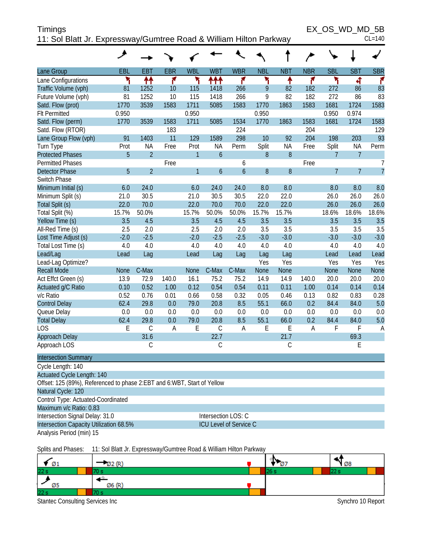| <b>Timings</b>                                                     | EX OS WD MD 5B |
|--------------------------------------------------------------------|----------------|
| 11: Sol Blatt Jr. Expressway/Gumtree Road & William Hilton Parkway | $CL = 140$     |

|                                                                         | ◢      |                                                                    |            |              |                     |                        |            |            |            |                |                |                |
|-------------------------------------------------------------------------|--------|--------------------------------------------------------------------|------------|--------------|---------------------|------------------------|------------|------------|------------|----------------|----------------|----------------|
|                                                                         |        |                                                                    |            |              |                     |                        |            |            |            |                |                |                |
| Lane Group                                                              | EBL    | <b>EBT</b>                                                         | <b>EBR</b> | <b>WBL</b>   | <b>WBT</b>          | <b>WBR</b>             | <b>NBL</b> | <b>NBT</b> | <b>NBR</b> | <b>SBL</b>     | <b>SBT</b>     | <b>SBR</b>     |
| Lane Configurations                                                     | ۲      | ₩                                                                  | ۴          | ۲            | ተተተ                 | ۴                      | ۲          | ↟          | ۴          | ኻ              | ची             | ۴              |
| Traffic Volume (vph)                                                    | 81     | 1252                                                               | 10         | 115          | 1418                | 266                    | 9          | 82         | 182        | 272            | 86             | 83             |
| Future Volume (vph)                                                     | 81     | 1252                                                               | 10         | 115          | 1418                | 266                    | 9          | 82         | 182        | 272            | 86             | 83             |
| Satd. Flow (prot)                                                       | 1770   | 3539                                                               | 1583       | 1711         | 5085                | 1583                   | 1770       | 1863       | 1583       | 1681           | 1724           | 1583           |
| <b>Flt Permitted</b>                                                    | 0.950  |                                                                    |            | 0.950        |                     |                        | 0.950      |            |            | 0.950          | 0.974          |                |
| Satd. Flow (perm)                                                       | 1770   | 3539                                                               | 1583       | 1711         | 5085                | 1534                   | 1770       | 1863       | 1583       | 1681           | 1724           | 1583           |
| Satd. Flow (RTOR)                                                       |        |                                                                    | 183        |              |                     | 224                    |            |            | 204        |                |                | 129            |
| Lane Group Flow (vph)                                                   | 91     | 1403                                                               | 11         | 129          | 1589                | 298                    | 10         | 92         | 204        | 198            | 203            | 93             |
| Turn Type                                                               | Prot   | <b>NA</b>                                                          | Free       | Prot         | <b>NA</b>           | Perm                   | Split      | <b>NA</b>  | Free       | Split          | <b>NA</b>      | Perm           |
| <b>Protected Phases</b>                                                 | 5      | $\overline{2}$                                                     |            | 1            | $\boldsymbol{6}$    |                        | 8          | 8          |            | $\overline{7}$ | $\overline{7}$ |                |
| <b>Permitted Phases</b>                                                 |        |                                                                    | Free       |              |                     | 6                      |            |            | Free       |                |                | 7              |
| <b>Detector Phase</b>                                                   | 5      | $\overline{2}$                                                     |            | $\mathbf{1}$ | $\boldsymbol{6}$    | $\boldsymbol{6}$       | $\, 8$     | $8\,$      |            | $\overline{7}$ | $\overline{7}$ | $\overline{7}$ |
| Switch Phase                                                            |        |                                                                    |            |              |                     |                        |            |            |            |                |                |                |
| Minimum Initial (s)                                                     | 6.0    | 24.0                                                               |            | 6.0          | 24.0                | 24.0                   | 8.0        | 8.0        |            | 8.0            | 8.0            | 8.0            |
| Minimum Split (s)                                                       | 21.0   | 30.5                                                               |            | 21.0         | 30.5                | 30.5                   | 22.0       | 22.0       |            | 26.0           | 26.0           | 26.0           |
| Total Split (s)                                                         | 22.0   | 70.0                                                               |            | 22.0         | 70.0                | 70.0                   | 22.0       | 22.0       |            | 26.0           | 26.0           | 26.0           |
| Total Split (%)                                                         | 15.7%  | 50.0%                                                              |            | 15.7%        | 50.0%               | 50.0%                  | 15.7%      | 15.7%      |            | 18.6%          | 18.6%          | 18.6%          |
| Yellow Time (s)                                                         | 3.5    | 4.5                                                                |            | 3.5          | 4.5                 | 4.5                    | 3.5        | 3.5        |            | 3.5            | 3.5            | 3.5            |
| All-Red Time (s)                                                        | 2.5    | 2.0                                                                |            | 2.5          | 2.0                 | 2.0                    | 3.5        | 3.5        |            | 3.5            | 3.5            | 3.5            |
| Lost Time Adjust (s)                                                    | $-2.0$ | $-2.5$                                                             |            | $-2.0$       | $-2.5$              | $-2.5$                 | $-3.0$     | $-3.0$     |            | $-3.0$         | $-3.0$         | $-3.0$         |
| Total Lost Time (s)                                                     | 4.0    | 4.0                                                                |            | 4.0          | 4.0                 | 4.0                    | 4.0        | 4.0        |            | 4.0            | 4.0            | 4.0            |
| Lead/Lag                                                                | Lead   | Lag                                                                |            | Lead         | Lag                 | Lag                    | Lag        | Lag        |            | Lead           | Lead           | Lead           |
| Lead-Lag Optimize?                                                      |        |                                                                    |            |              |                     |                        | Yes        | Yes        |            | Yes            | Yes            | Yes            |
| <b>Recall Mode</b>                                                      | None   | C-Max                                                              |            | <b>None</b>  | C-Max               | C-Max                  | None       | None       |            | <b>None</b>    | None           | None           |
| Act Effct Green (s)                                                     | 13.9   | 72.9                                                               | 140.0      | 16.1         | 75.2                | 75.2                   | 14.9       | 14.9       | 140.0      | 20.0           | 20.0           | 20.0           |
| Actuated g/C Ratio                                                      | 0.10   | 0.52                                                               | 1.00       | 0.12         | 0.54                | 0.54                   | 0.11       | 0.11       | 1.00       | 0.14           | 0.14           | 0.14           |
| v/c Ratio                                                               | 0.52   | 0.76                                                               | 0.01       | 0.66         | 0.58                | 0.32                   | 0.05       | 0.46       | 0.13       | 0.82           | 0.83           | 0.28           |
| <b>Control Delay</b>                                                    | 62.4   | 29.8                                                               | 0.0        | 79.0         | 20.8                | 8.5                    | 55.1       | 66.0       | 0.2        | 84.4           | 84.0           | 5.0            |
| Queue Delay                                                             | 0.0    | 0.0                                                                | 0.0        | 0.0          | 0.0                 | 0.0                    | 0.0        | 0.0        | 0.0        | 0.0            | 0.0            | 0.0            |
| <b>Total Delay</b>                                                      | 62.4   | 29.8                                                               | 0.0        | 79.0         | 20.8                | 8.5                    | 55.1       | 66.0       | 0.2        | 84.4           | 84.0           | 5.0            |
| <b>LOS</b>                                                              | E      | $\mathsf{C}$                                                       | A          | E            | С                   | A                      | E          | E          | A          | F              | F              | A              |
| Approach Delay                                                          |        | 31.6                                                               |            |              | 22.7                |                        |            | 21.7       |            |                | 69.3           |                |
| Approach LOS                                                            |        | С                                                                  |            |              | С                   |                        |            | С          |            |                | Ε              |                |
| <b>Intersection Summary</b>                                             |        |                                                                    |            |              |                     |                        |            |            |            |                |                |                |
| Cycle Length: 140                                                       |        |                                                                    |            |              |                     |                        |            |            |            |                |                |                |
| <b>Actuated Cycle Length: 140</b>                                       |        |                                                                    |            |              |                     |                        |            |            |            |                |                |                |
| Offset: 125 (89%), Referenced to phase 2:EBT and 6:WBT, Start of Yellow |        |                                                                    |            |              |                     |                        |            |            |            |                |                |                |
| Natural Cycle: 120                                                      |        |                                                                    |            |              |                     |                        |            |            |            |                |                |                |
| Control Type: Actuated-Coordinated                                      |        |                                                                    |            |              |                     |                        |            |            |            |                |                |                |
| Maximum v/c Ratio: 0.83                                                 |        |                                                                    |            |              |                     |                        |            |            |            |                |                |                |
| Intersection Signal Delay: 31.0                                         |        |                                                                    |            |              | Intersection LOS: C |                        |            |            |            |                |                |                |
| Intersection Capacity Utilization 68.5%                                 |        |                                                                    |            |              |                     | ICU Level of Service C |            |            |            |                |                |                |
| Analysis Period (min) 15                                                |        |                                                                    |            |              |                     |                        |            |            |            |                |                |                |
| Splits and Phases:                                                      |        | 11: Sol Blatt Jr. Expressway/Gumtree Road & William Hilton Parkway |            |              |                     |                        |            |            |            |                |                |                |

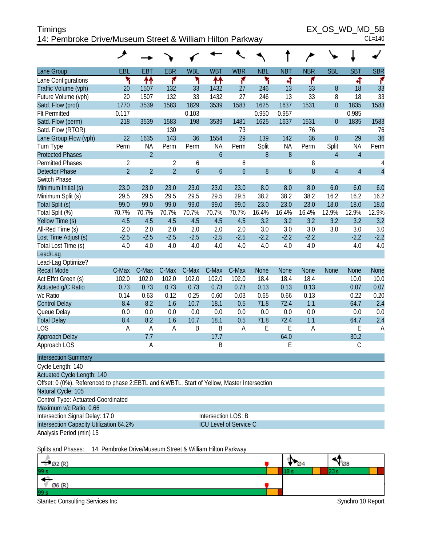| <b>Timings</b>                                            | EX OS WD MD 5B |
|-----------------------------------------------------------|----------------|
| 14: Pembroke Drive/Museum Street & William Hilton Parkway | $CL = 140$     |

EX\_OS\_WD\_MD\_5B

|                                                                                             | گر             |                |                |                  |                  |                               |                  |             |             |                |                |                |
|---------------------------------------------------------------------------------------------|----------------|----------------|----------------|------------------|------------------|-------------------------------|------------------|-------------|-------------|----------------|----------------|----------------|
| Lane Group                                                                                  | EBL            | <b>EBT</b>     | <b>EBR</b>     | <b>WBL</b>       | <b>WBT</b>       | <b>WBR</b>                    | <b>NBL</b>       | <b>NBT</b>  | <b>NBR</b>  | <b>SBL</b>     | <b>SBT</b>     | <b>SBR</b>     |
| Lane Configurations                                                                         | ۲              | ↟↟             | ۴              | ۲                | ↟↟               | ۴                             | ۲                | 4           | ۴           |                | 4              | ۴              |
| Traffic Volume (vph)                                                                        | 20             | 1507           | 132            | 33               | 1432             | 27                            | 246              | 13          | 33          | 8              | 18             | 33             |
| Future Volume (vph)                                                                         | 20             | 1507           | 132            | 33               | 1432             | 27                            | 246              | 13          | 33          | 8              | 18             | 33             |
| Satd. Flow (prot)                                                                           | 1770           | 3539           | 1583           | 1829             | 3539             | 1583                          | 1625             | 1637        | 1531        | 0              | 1835           | 1583           |
| <b>Flt Permitted</b>                                                                        | 0.117          |                |                | 0.103            |                  |                               | 0.950            | 0.957       |             |                | 0.985          |                |
| Satd. Flow (perm)                                                                           | 218            | 3539           | 1583           | 198              | 3539             | 1481                          | 1625             | 1637        | 1531        | $\mathbf 0$    | 1835           | 1583           |
| Satd. Flow (RTOR)                                                                           |                |                | 130            |                  |                  | 73                            |                  |             | 76          |                |                | 76             |
| Lane Group Flow (vph)                                                                       | 22             | 1635           | 143            | 36               | 1554             | 29                            | 139              | 142         | 36          | $\theta$       | 29             | 36             |
| Turn Type                                                                                   | Perm           | <b>NA</b>      | Perm           | Perm             | <b>NA</b>        | Perm                          | Split            | <b>NA</b>   | Perm        | Split          | <b>NA</b>      | Perm           |
| <b>Protected Phases</b>                                                                     |                | $\overline{2}$ |                |                  | $\boldsymbol{6}$ |                               | 8                | 8           |             | 4              | $\overline{4}$ |                |
| <b>Permitted Phases</b>                                                                     | 2              |                | 2              | 6                |                  | 6                             |                  |             | 8           |                |                | 4              |
| <b>Detector Phase</b>                                                                       | $\overline{2}$ | $\overline{2}$ | $\overline{2}$ | $\boldsymbol{6}$ | $\boldsymbol{6}$ | $\mathfrak b$                 | $\boldsymbol{8}$ | 8           | 8           | $\overline{4}$ | $\overline{4}$ | $\overline{4}$ |
| Switch Phase                                                                                |                |                |                |                  |                  |                               |                  |             |             |                |                |                |
| Minimum Initial (s)                                                                         | 23.0           | 23.0           | 23.0           | 23.0             | 23.0             | 23.0                          | 8.0              | 8.0         | 8.0         | 6.0            | 6.0            | 6.0            |
| Minimum Split (s)                                                                           | 29.5           | 29.5           | 29.5           | 29.5             | 29.5             | 29.5                          | 38.2             | 38.2        | 38.2        | 16.2           | 16.2           | 16.2           |
| Total Split (s)                                                                             | 99.0           | 99.0           | 99.0           | 99.0             | 99.0             | 99.0                          | 23.0             | 23.0        | 23.0        | 18.0           | 18.0           | 18.0           |
| Total Split (%)                                                                             | 70.7%          | 70.7%          | 70.7%          | 70.7%            | 70.7%            | 70.7%                         | 16.4%            | 16.4%       | 16.4%       | 12.9%          | 12.9%          | 12.9%          |
| Yellow Time (s)                                                                             | 4.5            | 4.5            | 4.5            | 4.5              | 4.5              | 4.5                           | 3.2              | 3.2         | 3.2         | 3.2            | 3.2            | 3.2            |
| All-Red Time (s)                                                                            | 2.0            | 2.0            | 2.0            | 2.0              | 2.0              | 2.0                           | 3.0              | 3.0         | 3.0         | 3.0            | 3.0            | 3.0            |
| Lost Time Adjust (s)                                                                        | $-2.5$         | $-2.5$         | $-2.5$         | $-2.5$           | $-2.5$           | $-2.5$                        | $-2.2$           | $-2.2$      | $-2.2$      |                | $-2.2$         | $-2.2$         |
| Total Lost Time (s)                                                                         | 4.0            | 4.0            | 4.0            | 4.0              | 4.0              | 4.0                           | 4.0              | 4.0         | 4.0         |                | 4.0            | 4.0            |
| Lead/Lag                                                                                    |                |                |                |                  |                  |                               |                  |             |             |                |                |                |
| Lead-Lag Optimize?                                                                          |                |                |                |                  |                  |                               |                  |             |             |                |                |                |
| <b>Recall Mode</b>                                                                          | C-Max          | C-Max          | C-Max          | C-Max            | C-Max            | C-Max                         | None             | <b>None</b> | <b>None</b> | None           | <b>None</b>    | <b>None</b>    |
| Act Effct Green (s)                                                                         | 102.0          | 102.0          | 102.0          | 102.0            | 102.0            | 102.0                         | 18.4             | 18.4        | 18.4        |                | 10.0           | 10.0           |
| Actuated g/C Ratio                                                                          | 0.73           | 0.73           | 0.73           | 0.73             | 0.73             | 0.73                          | 0.13             | 0.13        | 0.13        |                | 0.07           | 0.07           |
| v/c Ratio                                                                                   | 0.14           | 0.63           | 0.12           | 0.25             | 0.60             | 0.03                          | 0.65             | 0.66        | 0.13        |                | 0.22           | 0.20           |
| <b>Control Delay</b>                                                                        | 8.4            | 8.2            | 1.6            | 10.7             | 18.1             | 0.5                           | 71.8             | 72.4        | 1.1         |                | 64.7           | 2.4            |
| Queue Delay                                                                                 | 0.0            | 0.0            | 0.0            | 0.0              | 0.0              | 0.0                           | 0.0              | 0.0         | 0.0         |                | 0.0            | 0.0            |
| <b>Total Delay</b>                                                                          | 8.4            | 8.2            | 1.6            | 10.7             | 18.1             | 0.5                           | 71.8             | 72.4        | 1.1         |                | 64.7           | 2.4            |
| <b>LOS</b>                                                                                  | A              | Α              | A              | B                | B                | A                             | E                | E           | A           |                | Ε              | A              |
| Approach Delay                                                                              |                | 7.7            |                |                  | 17.7             |                               |                  | 64.0        |             |                | 30.2           |                |
| Approach LOS                                                                                |                | Α              |                |                  | Β                |                               |                  | Ε           |             |                | $\mathsf C$    |                |
| <b>Intersection Summary</b>                                                                 |                |                |                |                  |                  |                               |                  |             |             |                |                |                |
| Cycle Length: 140                                                                           |                |                |                |                  |                  |                               |                  |             |             |                |                |                |
| Actuated Cycle Length: 140                                                                  |                |                |                |                  |                  |                               |                  |             |             |                |                |                |
| Offset: 0 (0%), Referenced to phase 2:EBTL and 6:WBTL, Start of Yellow, Master Intersection |                |                |                |                  |                  |                               |                  |             |             |                |                |                |
| Natural Cycle: 105                                                                          |                |                |                |                  |                  |                               |                  |             |             |                |                |                |
| Control Type: Actuated-Coordinated                                                          |                |                |                |                  |                  |                               |                  |             |             |                |                |                |
| Maximum v/c Ratio: 0.66                                                                     |                |                |                |                  |                  |                               |                  |             |             |                |                |                |
| Intersection Signal Delay: 17.0                                                             |                |                |                |                  |                  | Intersection LOS: B           |                  |             |             |                |                |                |
| Intersection Capacity Utilization 64.2%                                                     |                |                |                |                  |                  | <b>ICU Level of Service C</b> |                  |             |             |                |                |                |
| Analysis Period (min) 15                                                                    |                |                |                |                  |                  |                               |                  |             |             |                |                |                |
| Colite and Dhasses 14: Dembroke Drive/Museum Ctreat & William Hilton Darkway                |                |                |                |                  |                  |                               |                  |             |             |                |                |                |

Splits and Phases: 14: Pembroke Drive/Museum Street & William Hilton Parkway

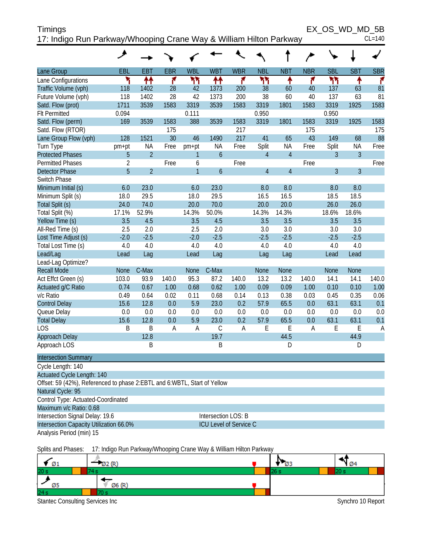| Timings                                                            | EX OS WD MD 5B |          |
|--------------------------------------------------------------------|----------------|----------|
| 17: Indigo Run Parkway/Whooping Crane Way & William Hilton Parkway |                | $CL=140$ |

| Lane Group                                                               | EBL            | <b>EBT</b>                                                         | <b>EBR</b> | <b>WBL</b>   | <b>WBT</b>             | <b>WBR</b> | <b>NBL</b>     | <b>NBT</b>     | <b>NBR</b> | <b>SBL</b>  | <b>SBT</b>     | <b>SBR</b> |
|--------------------------------------------------------------------------|----------------|--------------------------------------------------------------------|------------|--------------|------------------------|------------|----------------|----------------|------------|-------------|----------------|------------|
| Lane Configurations                                                      | ۲              | ₩                                                                  | ۴          | ካካ           | ₩                      | ۴          | ካነ             | ↟              | ۴          | ካካ          | ↟              | ۴          |
| Traffic Volume (vph)                                                     | 118            | 1402                                                               | 28         | 42           | 1373                   | 200        | 38             | 60             | 40         | 137         | 63             | 81         |
| Future Volume (vph)                                                      | 118            | 1402                                                               | 28         | 42           | 1373                   | 200        | 38             | 60             | 40         | 137         | 63             | 81         |
| Satd. Flow (prot)                                                        | 1711           | 3539                                                               | 1583       | 3319         | 3539                   | 1583       | 3319           | 1801           | 1583       | 3319        | 1925           | 1583       |
| <b>Flt Permitted</b>                                                     | 0.094          |                                                                    |            | 0.111        |                        |            | 0.950          |                |            | 0.950       |                |            |
| Satd. Flow (perm)                                                        | 169            | 3539                                                               | 1583       | 388          | 3539                   | 1583       | 3319           | 1801           | 1583       | 3319        | 1925           | 1583       |
| Satd. Flow (RTOR)                                                        |                |                                                                    | 175        |              |                        | 217        |                |                | 175        |             |                | 175        |
| Lane Group Flow (vph)                                                    | 128            | 1521                                                               | 30         | 46           | 1490                   | 217        | 41             | 65             | 43         | 149         | 68             | 88         |
| Turn Type                                                                | pm+pt          | <b>NA</b>                                                          | Free       | pm+pt        | <b>NA</b>              | Free       | Split          | <b>NA</b>      | Free       | Split       | ΝA             | Free       |
| <b>Protected Phases</b>                                                  | 5              | $\overline{2}$                                                     |            | 1            | $\boldsymbol{6}$       |            | $\overline{4}$ | $\overline{4}$ |            | 3           | $\overline{3}$ |            |
| <b>Permitted Phases</b>                                                  | $\overline{2}$ |                                                                    | Free       | 6            |                        | Free       |                |                | Free       |             |                | Free       |
| <b>Detector Phase</b>                                                    | 5              | $\overline{2}$                                                     |            | $\mathbf{1}$ | 6                      |            | $\overline{4}$ | $\overline{4}$ |            | 3           | $\overline{3}$ |            |
| Switch Phase                                                             |                |                                                                    |            |              |                        |            |                |                |            |             |                |            |
| Minimum Initial (s)                                                      | 6.0            | 23.0                                                               |            | 6.0          | 23.0                   |            | 8.0            | 8.0            |            | 8.0         | 8.0            |            |
| Minimum Split (s)                                                        | 18.0           | 29.5                                                               |            | 18.0         | 29.5                   |            | 16.5           | 16.5           |            | 18.5        | 18.5           |            |
| Total Split (s)                                                          | 24.0           | 74.0                                                               |            | 20.0         | 70.0                   |            | 20.0           | 20.0           |            | 26.0        | 26.0           |            |
| Total Split (%)                                                          | 17.1%          | 52.9%                                                              |            | 14.3%        | 50.0%                  |            | 14.3%          | 14.3%          |            | 18.6%       | 18.6%          |            |
| Yellow Time (s)                                                          | 3.5            | 4.5                                                                |            | 3.5          | 4.5                    |            | 3.5            | 3.5            |            | 3.5         | 3.5            |            |
| All-Red Time (s)                                                         | 2.5            | 2.0                                                                |            | 2.5          | 2.0                    |            | 3.0            | 3.0            |            | 3.0         | 3.0            |            |
| Lost Time Adjust (s)                                                     | $-2.0$         | $-2.5$                                                             |            | $-2.0$       | $-2.5$                 |            | $-2.5$         | $-2.5$         |            | $-2.5$      | $-2.5$         |            |
| Total Lost Time (s)                                                      | 4.0            | 4.0                                                                |            | 4.0          | 4.0                    |            | 4.0            | 4.0            |            | 4.0         | 4.0            |            |
| Lead/Lag                                                                 | Lead           | Lag                                                                |            | Lead         | Lag                    |            | Lag            | Lag            |            | Lead        | Lead           |            |
| Lead-Lag Optimize?                                                       |                |                                                                    |            |              |                        |            |                |                |            |             |                |            |
| <b>Recall Mode</b>                                                       | <b>None</b>    | C-Max                                                              |            | <b>None</b>  | C-Max                  |            | None           | None           |            | <b>None</b> | None           |            |
| Act Effct Green (s)                                                      | 103.0          | 93.9                                                               | 140.0      | 95.3         | 87.2                   | 140.0      | 13.2           | 13.2           | 140.0      | 14.1        | 14.1           | 140.0      |
| Actuated g/C Ratio                                                       | 0.74           | 0.67                                                               | 1.00       | 0.68         | 0.62                   | 1.00       | 0.09           | 0.09           | 1.00       | 0.10        | 0.10           | 1.00       |
| v/c Ratio                                                                | 0.49           | 0.64                                                               | 0.02       | 0.11         | 0.68                   | 0.14       | 0.13           | 0.38           | 0.03       | 0.45        | 0.35           | 0.06       |
| <b>Control Delay</b>                                                     | 15.6           | 12.8                                                               | 0.0        | 5.9          | 23.0                   | 0.2        | 57.9           | 65.5           | 0.0        | 63.1        | 63.1           | 0.1        |
| Queue Delay                                                              | 0.0            | 0.0                                                                | 0.0        | 0.0          | 0.0                    | 0.0        | 0.0            | 0.0            | 0.0        | 0.0         | 0.0            | 0.0        |
| <b>Total Delay</b>                                                       | 15.6           | 12.8                                                               | 0.0        | 5.9          | 23.0                   | 0.2        | 57.9           | 65.5           | 0.0        | 63.1        | 63.1           | 0.1        |
| <b>LOS</b>                                                               | B              | B                                                                  | A          | A            | C                      | Α          | E              | E              | A          | E           | Ε              | A          |
| Approach Delay                                                           |                | 12.8                                                               |            |              | 19.7                   |            |                | 44.5           |            |             | 44.9           |            |
| Approach LOS                                                             |                | B                                                                  |            |              | B                      |            |                | D              |            |             | D              |            |
| <b>Intersection Summary</b>                                              |                |                                                                    |            |              |                        |            |                |                |            |             |                |            |
| Cycle Length: 140                                                        |                |                                                                    |            |              |                        |            |                |                |            |             |                |            |
| <b>Actuated Cycle Length: 140</b>                                        |                |                                                                    |            |              |                        |            |                |                |            |             |                |            |
| Offset: 59 (42%), Referenced to phase 2:EBTL and 6:WBTL, Start of Yellow |                |                                                                    |            |              |                        |            |                |                |            |             |                |            |
| Natural Cycle: 95                                                        |                |                                                                    |            |              |                        |            |                |                |            |             |                |            |
| Control Type: Actuated-Coordinated                                       |                |                                                                    |            |              |                        |            |                |                |            |             |                |            |
| Maximum v/c Ratio: 0.68                                                  |                |                                                                    |            |              |                        |            |                |                |            |             |                |            |
| Intersection Signal Delay: 19.6                                          |                |                                                                    |            |              | Intersection LOS: B    |            |                |                |            |             |                |            |
| Intersection Capacity Utilization 66.0%                                  |                |                                                                    |            |              | ICU Level of Service C |            |                |                |            |             |                |            |
| Analysis Period (min) 15                                                 |                |                                                                    |            |              |                        |            |                |                |            |             |                |            |
| Splits and Phases:                                                       |                | 17: Indigo Run Parkway/Whooping Crane Way & William Hilton Parkway |            |              |                        |            |                |                |            |             |                |            |
|                                                                          |                |                                                                    |            |              |                        |            |                |                |            |             |                |            |

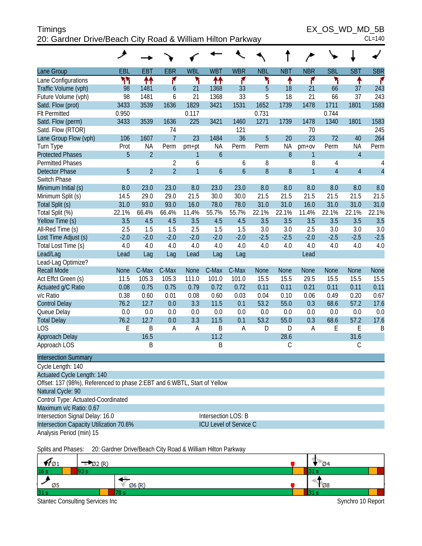| Timings                                                    |  |  |
|------------------------------------------------------------|--|--|
| 20: Gardner Drive/Beach City Road & William Hilton Parkway |  |  |

 $EX\_OS\_WD\_MD\_5B$ 

| 20: Gardner Drive/Beach City Road & William Hilton Parkway               |               |                |                |                |               |                               |               |               |                |                |                | $CL=140$       |
|--------------------------------------------------------------------------|---------------|----------------|----------------|----------------|---------------|-------------------------------|---------------|---------------|----------------|----------------|----------------|----------------|
|                                                                          | ◢             |                |                |                |               |                               |               |               |                |                |                |                |
| Lane Group                                                               | EBL           | <b>EBT</b>     | <b>EBR</b>     | <b>WBL</b>     | <b>WBT</b>    | <b>WBR</b>                    | <b>NBL</b>    | <b>NBT</b>    | <b>NBR</b>     | <b>SBL</b>     | <b>SBT</b>     | <b>SBR</b>     |
| Lane Configurations                                                      | ካካ            | ↟↟             | ۴              | ۲              | ₩             | ۴                             | ۲             | ↟             | ۴              | ۳              | ٠              | ۴              |
| Traffic Volume (vph)                                                     | 98            | 1481           | 6              | 21             | 1368          | 33                            | 5             | 18            | 21             | 66             | 37             | 243            |
| Future Volume (vph)                                                      | 98            | 1481           | 6              | 21             | 1368          | 33                            | 5             | 18            | 21             | 66             | 37             | 243            |
| Satd. Flow (prot)                                                        | 3433          | 3539           | 1636           | 1829           | 3421          | 1531                          | 1652          | 1739          | 1478           | 1711           | 1801           | 1583           |
| <b>Flt Permitted</b>                                                     | 0.950         |                |                | 0.117          |               |                               | 0.731         |               |                | 0.744          |                |                |
| Satd. Flow (perm)                                                        | 3433          | 3539           | 1636           | 225            | 3421          | 1460                          | 1271          | 1739          | 1478           | 1340           | 1801           | 1583           |
| Satd. Flow (RTOR)                                                        |               |                | 74             |                |               | 121                           |               |               | 70             |                |                | 245            |
| Lane Group Flow (vph)                                                    | 106           | 1607           | $\overline{1}$ | 23             | 1484          | 36                            | 5             | 20            | 23             | 72             | 40             | 264            |
| Turn Type                                                                | Prot          | <b>NA</b>      | Perm           | pm+pt          | <b>NA</b>     | Perm                          | Perm          | ΝA            | $pm+ov$        | Perm           | <b>NA</b>      | Perm           |
| <b>Protected Phases</b>                                                  | 5             | $\overline{2}$ |                | 1              | $\mathfrak b$ |                               |               | 8             | $\mathbf{1}$   |                | $\overline{4}$ |                |
| <b>Permitted Phases</b>                                                  |               |                | $\overline{2}$ | 6              |               | 6                             | 8             |               | 8              | 4              |                | 4              |
| <b>Detector Phase</b>                                                    | 5             | $\overline{2}$ | $\overline{2}$ | $\overline{1}$ | 6             | $\boldsymbol{6}$              | 8             | 8             | $\overline{1}$ | $\overline{4}$ | $\overline{4}$ | $\overline{4}$ |
| Switch Phase                                                             |               |                |                |                |               |                               |               |               |                |                |                |                |
| Minimum Initial (s)                                                      | 8.0           | 23.0           | 23.0           | 8.0            | 23.0          | 23.0                          | 8.0           | 8.0           | 8.0            | 8.0            | 8.0            | 8.0            |
| Minimum Split (s)                                                        | 14.5          | 29.0           | 29.0           | 21.5           | 30.0          | 30.0                          | 21.5          | 21.5          | 21.5           | 21.5           | 21.5           | 21.5           |
| Total Split (s)                                                          | 31.0          | 93.0           | 93.0           | 16.0           | 78.0          | 78.0                          | 31.0          | 31.0          | 16.0           | 31.0           | 31.0           | 31.0           |
| Total Split (%)                                                          | 22.1%         | 66.4%          | 66.4%          | 11.4%          | 55.7%         | 55.7%                         | 22.1%         | 22.1%         | 11.4%          | 22.1%          | 22.1%          | 22.1%          |
| Yellow Time (s)                                                          | 3.5           | 4.5            | 4.5            | 3.5            | 4.5           | 4.5                           | 3.5           | 3.5           | 3.5            | 3.5            | 3.5            | 3.5            |
| All-Red Time (s)<br>Lost Time Adjust (s)                                 | 2.5<br>$-2.0$ | 1.5<br>$-2.0$  | 1.5<br>$-2.0$  | 2.5<br>$-2.0$  | 1.5<br>$-2.0$ | 1.5<br>$-2.0$                 | 3.0<br>$-2.5$ | 3.0<br>$-2.5$ | 2.5<br>$-2.0$  | 3.0<br>$-2.5$  | 3.0<br>$-2.5$  | 3.0<br>$-2.5$  |
| Total Lost Time (s)                                                      | 4.0           | 4.0            | 4.0            | 4.0            | 4.0           | 4.0                           | 4.0           | 4.0           | 4.0            | 4.0            | 4.0            | 4.0            |
| Lead/Lag                                                                 | Lead          | Lag            | Lag            | Lead           | Lag           | Lag                           |               |               | Lead           |                |                |                |
| Lead-Lag Optimize?                                                       |               |                |                |                |               |                               |               |               |                |                |                |                |
| <b>Recall Mode</b>                                                       | <b>None</b>   | C-Max          | C-Max          | <b>None</b>    | C-Max         | C-Max                         | <b>None</b>   | None          | <b>None</b>    | None           | <b>None</b>    | None           |
| Act Effct Green (s)                                                      | 11.5          | 105.3          | 105.3          | 111.0          | 101.0         | 101.0                         | 15.5          | 15.5          | 29.5           | 15.5           | 15.5           | 15.5           |
| Actuated g/C Ratio                                                       | 0.08          | 0.75           | 0.75           | 0.79           | 0.72          | 0.72                          | 0.11          | 0.11          | 0.21           | 0.11           | 0.11           | 0.11           |
| v/c Ratio                                                                | 0.38          | 0.60           | 0.01           | 0.08           | 0.60          | 0.03                          | 0.04          | 0.10          | 0.06           | 0.49           | 0.20           | 0.67           |
| <b>Control Delay</b>                                                     | 76.2          | 12.7           | 0.0            | 3.3            | 11.5          | 0.1                           | 53.2          | 55.0          | 0.3            | 68.6           | 57.2           | 17.6           |
| Queue Delay                                                              | 0.0           | 0.0            | 0.0            | 0.0            | 0.0           | 0.0                           | 0.0           | 0.0           | 0.0            | 0.0            | 0.0            | 0.0            |
| <b>Total Delay</b>                                                       | 76.2          | 12.7           | 0.0            | 3.3            | 11.5          | 0.1                           | 53.2          | 55.0          | 0.3            | 68.6           | 57.2           | 17.6           |
| LOS                                                                      | E             | B              | A              | A              | B             | Α                             | D             | D             | A              | E              | E              | B              |
| Approach Delay                                                           |               | 16.5           |                |                | 11.2          |                               |               | 28.6          |                |                | 31.6           |                |
| Approach LOS                                                             |               | B              |                |                | B             |                               |               | C             |                |                | C              |                |
| <b>Intersection Summary</b>                                              |               |                |                |                |               |                               |               |               |                |                |                |                |
| Cycle Length: 140                                                        |               |                |                |                |               |                               |               |               |                |                |                |                |
| Actuated Cycle Length: 140                                               |               |                |                |                |               |                               |               |               |                |                |                |                |
| Offset: 137 (98%), Referenced to phase 2:EBT and 6:WBTL, Start of Yellow |               |                |                |                |               |                               |               |               |                |                |                |                |
| Natural Cycle: 90                                                        |               |                |                |                |               |                               |               |               |                |                |                |                |
| Control Type: Actuated-Coordinated                                       |               |                |                |                |               |                               |               |               |                |                |                |                |
| Maximum v/c Ratio: 0.67                                                  |               |                |                |                |               |                               |               |               |                |                |                |                |
| Intersection Signal Delay: 16.0                                          |               |                |                |                |               | Intersection LOS: B           |               |               |                |                |                |                |
| Intersection Capacity Utilization 70.6%                                  |               |                |                |                |               | <b>ICU Level of Service C</b> |               |               |                |                |                |                |

Analysis Period (min) 15

Splits and Phases: 20: Gardner Drive/Beach City Road & William Hilton Parkway

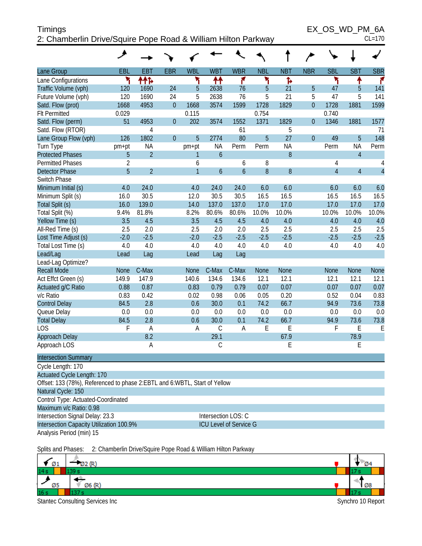| <b>Timings</b>                                                | EX OS WD PM 6A |
|---------------------------------------------------------------|----------------|
| 2: Chamberlin Drive/Squire Pope Road & William Hilton Parkway | $CL=170$       |

 $EX\_OS\_WD\_PM\_6A$ <br>CL=170

|                                                                                                   | ◢              |                |                |                |                     |                               |              |              |                |                |                |                |
|---------------------------------------------------------------------------------------------------|----------------|----------------|----------------|----------------|---------------------|-------------------------------|--------------|--------------|----------------|----------------|----------------|----------------|
| Lane Group                                                                                        | EBL            | <b>EBT</b>     | <b>EBR</b>     | <b>WBL</b>     | <b>WBT</b>          | <b>WBR</b>                    | <b>NBL</b>   | <b>NBT</b>   | <b>NBR</b>     | <b>SBL</b>     | <b>SBT</b>     | <b>SBR</b>     |
| Lane Configurations                                                                               | ۲              | ተተኈ            |                | ۲              | ↟↟                  | ۴                             | ۲            | Ъ            |                | ۲              | ↟              | ۴              |
| Traffic Volume (vph)                                                                              | 120            | 1690           | 24             | 5              | 2638                | 76                            | 5            | 21           | 5              | 47             | 5              | 141            |
| Future Volume (vph)                                                                               | 120            | 1690           | 24             | 5              | 2638                | 76                            | 5            | 21           | 5              | 47             | 5              | 141            |
| Satd. Flow (prot)                                                                                 | 1668           | 4953           | $\overline{0}$ | 1668           | 3574                | 1599                          | 1728         | 1829         | $\overline{0}$ | 1728           | 1881           | 1599           |
| <b>Flt Permitted</b>                                                                              | 0.029          |                |                | 0.115          |                     |                               | 0.754        |              |                | 0.740          |                |                |
| Satd. Flow (perm)                                                                                 | 51             | 4953           | $\overline{0}$ | 202            | 3574                | 1552                          | 1371         | 1829         | $\overline{0}$ | 1346           | 1881           | 1577           |
| Satd. Flow (RTOR)                                                                                 |                | 4              |                |                |                     | 61                            |              | 5            |                |                |                | 71             |
| Lane Group Flow (vph)                                                                             | 126            | 1802           | $\overline{0}$ | 5              | 2774                | 80                            | 5            | 27           | $\overline{0}$ | 49             | 5              | 148            |
| Turn Type                                                                                         | pm+pt          | <b>NA</b>      |                | pm+pt          | <b>NA</b>           | Perm                          | Perm         | <b>NA</b>    |                | Perm           | <b>NA</b>      | Perm           |
| <b>Protected Phases</b>                                                                           | 5              | $\overline{2}$ |                | 1              | $\boldsymbol{6}$    |                               |              | 8            |                |                | $\overline{4}$ |                |
| <b>Permitted Phases</b>                                                                           | $\overline{2}$ |                |                | 6              |                     | 6                             | 8            |              |                | 4              |                | 4              |
| <b>Detector Phase</b>                                                                             | 5              | $\overline{2}$ |                | $\overline{1}$ | $\overline{6}$      | $\overline{6}$                | 8            | 8            |                | $\overline{4}$ | $\overline{4}$ | $\overline{4}$ |
| Switch Phase                                                                                      |                |                |                |                |                     |                               |              |              |                |                |                |                |
| Minimum Initial (s)                                                                               | 4.0            | 24.0           |                | 4.0            | 24.0                | 24.0                          | 6.0          | 6.0          |                | 6.0            | 6.0            | 6.0            |
| Minimum Split (s)                                                                                 | 16.0           | 30.5           |                | 12.0           | 30.5                | 30.5                          | 16.5         | 16.5         |                | 16.5           | 16.5           | 16.5           |
| Total Split (s)                                                                                   | 16.0           | 139.0          |                | 14.0           | 137.0               | 137.0                         | 17.0         | 17.0         |                | 17.0           | 17.0           | 17.0           |
| Total Split (%)                                                                                   | 9.4%           | 81.8%          |                | 8.2%           | 80.6%               | 80.6%                         | 10.0%        | 10.0%        |                | 10.0%          | 10.0%          | 10.0%          |
| Yellow Time (s)                                                                                   | 3.5            | 4.5            |                | 3.5            | 4.5                 | 4.5                           | 4.0          | 4.0          |                | 4.0            | 4.0            | 4.0            |
| All-Red Time (s)                                                                                  | 2.5            | 2.0            |                | 2.5            | 2.0                 | 2.0                           | 2.5          | 2.5          |                | 2.5            | 2.5            | 2.5            |
| Lost Time Adjust (s)                                                                              | $-2.0$         | $-2.5$         |                | $-2.0$         | $-2.5$              | $-2.5$                        | $-2.5$       | $-2.5$       |                | $-2.5$         | $-2.5$         | $-2.5$         |
| Total Lost Time (s)                                                                               | 4.0            | 4.0            |                | 4.0            | 4.0                 | 4.0                           | 4.0          | 4.0          |                | 4.0            | 4.0            | 4.0            |
| Lead/Lag                                                                                          | Lead           | Lag            |                | Lead           | Lag                 | Lag                           |              |              |                |                |                |                |
| Lead-Lag Optimize?                                                                                |                |                |                |                |                     |                               |              |              |                |                |                |                |
| <b>Recall Mode</b>                                                                                | <b>None</b>    | C-Max          |                | None           | C-Max               | C-Max                         | None         | None         |                | None           | <b>None</b>    | None           |
| Act Effct Green (s)                                                                               | 149.9          | 147.9          |                | 140.6          | 134.6               | 134.6                         | 12.1         | 12.1         |                | 12.1           | 12.1           | 12.1           |
| Actuated g/C Ratio                                                                                | 0.88           | 0.87           |                | 0.83           | 0.79                | 0.79                          | 0.07         | 0.07         |                | 0.07           | 0.07           | 0.07           |
| v/c Ratio                                                                                         | 0.83<br>84.5   | 0.42<br>2.8    |                | 0.02<br>0.6    | 0.98<br>30.0        | 0.06<br>0.1                   | 0.05<br>74.2 | 0.20<br>66.7 |                | 0.52<br>94.9   | 0.04<br>73.6   | 0.83<br>73.8   |
| <b>Control Delay</b>                                                                              | 0.0            | 0.0            |                | 0.0            | 0.0                 | 0.0                           | 0.0          | 0.0          |                | 0.0            | 0.0            | 0.0            |
| Queue Delay<br><b>Total Delay</b>                                                                 | 84.5           | 2.8            |                | 0.6            | 30.0                | 0.1                           | 74.2         | 66.7         |                | 94.9           | 73.6           | 73.8           |
| <b>LOS</b>                                                                                        | F              |                |                | A              | $\mathsf C$         | A                             | E            | E            |                | F              | Ε              | E              |
| <b>Approach Delay</b>                                                                             |                | Α<br>8.2       |                |                | 29.1                |                               |              | 67.9         |                |                | 78.9           |                |
| Approach LOS                                                                                      |                | А              |                |                | $\mathsf C$         |                               |              | E            |                |                | E              |                |
|                                                                                                   |                |                |                |                |                     |                               |              |              |                |                |                |                |
| <b>Intersection Summary</b>                                                                       |                |                |                |                |                     |                               |              |              |                |                |                |                |
| Cycle Length: 170                                                                                 |                |                |                |                |                     |                               |              |              |                |                |                |                |
| Actuated Cycle Length: 170                                                                        |                |                |                |                |                     |                               |              |              |                |                |                |                |
| Offset: 133 (78%), Referenced to phase 2: EBTL and 6: WBTL, Start of Yellow<br>Natural Cycle: 150 |                |                |                |                |                     |                               |              |              |                |                |                |                |
| Control Type: Actuated-Coordinated                                                                |                |                |                |                |                     |                               |              |              |                |                |                |                |
| Maximum v/c Ratio: 0.98                                                                           |                |                |                |                |                     |                               |              |              |                |                |                |                |
| Intersection Signal Delay: 23.3                                                                   |                |                |                |                | Intersection LOS: C |                               |              |              |                |                |                |                |
| Intersection Capacity Utilization 100.9%                                                          |                |                |                |                |                     | <b>ICU Level of Service G</b> |              |              |                |                |                |                |
| Analysis Period (min) 15                                                                          |                |                |                |                |                     |                               |              |              |                |                |                |                |
| 3. Chamberlin Drive Cautre Dane Dood & William Hilton Dark                                        |                |                |                |                |                     |                               |              |              |                |                |                |                |

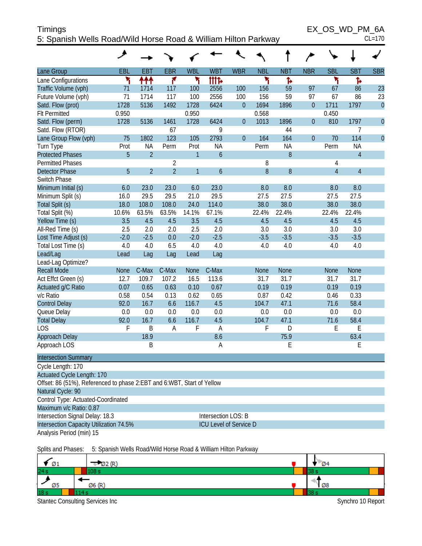| <b>Timings</b>                                                 | EX OS WD PM 6A |
|----------------------------------------------------------------|----------------|
| 5: Spanish Wells Road/Wild Horse Road & William Hilton Parkway | $CL=170$       |

 $EX\_OS\_WD\_PM\_6A$ <br>CL=170

|                                                                        | ᢣ           |                |                |              |                     |                               |             |            |              |                |                |                |
|------------------------------------------------------------------------|-------------|----------------|----------------|--------------|---------------------|-------------------------------|-------------|------------|--------------|----------------|----------------|----------------|
| Lane Group                                                             | EBL         | <b>EBT</b>     | <b>EBR</b>     | <b>WBL</b>   | <b>WBT</b>          | <b>WBR</b>                    | <b>NBL</b>  | <b>NBT</b> | <b>NBR</b>   | <b>SBL</b>     | <b>SBT</b>     | <b>SBR</b>     |
| Lane Configurations                                                    | ٦           | ተተተ            | ۴              | ۲            | tttd                |                               | ۲           | Ъ          |              | ۲              | ħ              |                |
| Traffic Volume (vph)                                                   | 71          | 1714           | 117            | 100          | 2556                | 100                           | 156         | 59         | 97           | 67             | 86             | 23             |
| Future Volume (vph)                                                    | 71          | 1714           | 117            | 100          | 2556                | 100                           | 156         | 59         | 97           | 67             | 86             | 23             |
| Satd. Flow (prot)                                                      | 1728        | 5136           | 1492           | 1728         | 6424                | $\mathbf{0}$                  | 1694        | 1896       | $\mathbf{0}$ | 1711           | 1797           | $\mathbf{0}$   |
| <b>Flt Permitted</b>                                                   | 0.950       |                |                | 0.950        |                     |                               | 0.568       |            |              | 0.450          |                |                |
| Satd. Flow (perm)                                                      | 1728        | 5136           | 1461           | 1728         | 6424                | $\mathbf{0}$                  | 1013        | 1896       | $\mathbf{0}$ | 810            | 1797           | $\overline{0}$ |
| Satd. Flow (RTOR)                                                      |             |                | 67             |              | 9                   |                               |             | 44         |              |                | 7              |                |
| Lane Group Flow (vph)                                                  | 75          | 1802           | 123            | 105          | 2793                | $\overline{0}$                | 164         | 164        | $\mathbf{0}$ | 70             | 114            | $\overline{0}$ |
| Turn Type                                                              | Prot        | <b>NA</b>      | Perm           | Prot         | <b>NA</b>           |                               | Perm        | <b>NA</b>  |              | Perm           | <b>NA</b>      |                |
| <b>Protected Phases</b>                                                | 5           | $\overline{2}$ |                | $\mathbf{1}$ | $\ddot{\mathbf{6}}$ |                               |             | 8          |              |                | $\overline{4}$ |                |
| <b>Permitted Phases</b>                                                |             |                | $\overline{2}$ |              |                     |                               | 8           |            |              | 4              |                |                |
| <b>Detector Phase</b>                                                  | 5           | $\overline{2}$ | $\overline{2}$ | $\mathbf{1}$ | $\ddot{\mathbf{6}}$ |                               | 8           | 8          |              | $\overline{4}$ | $\overline{4}$ |                |
| Switch Phase                                                           |             |                |                |              |                     |                               |             |            |              |                |                |                |
| Minimum Initial (s)                                                    | 6.0         | 23.0           | 23.0           | 6.0          | 23.0                |                               | 8.0         | 8.0        |              | 8.0            | 8.0            |                |
| Minimum Split (s)                                                      | 16.0        | 29.5           | 29.5           | 21.0         | 29.5                |                               | 27.5        | 27.5       |              | 27.5           | 27.5           |                |
| Total Split (s)                                                        | 18.0        | 108.0          | 108.0          | 24.0         | 114.0               |                               | 38.0        | 38.0       |              | 38.0           | 38.0           |                |
| Total Split (%)                                                        | 10.6%       | 63.5%          | 63.5%          | 14.1%        | 67.1%               |                               | 22.4%       | 22.4%      |              | 22.4%          | 22.4%          |                |
| Yellow Time (s)                                                        | 3.5         | 4.5            | 4.5            | 3.5          | 4.5                 |                               | 4.5         | 4.5        |              | 4.5            | 4.5            |                |
| All-Red Time (s)                                                       | 2.5         | 2.0            | 2.0            | 2.5          | 2.0                 |                               | 3.0         | 3.0        |              | 3.0            | 3.0            |                |
| Lost Time Adjust (s)                                                   | $-2.0$      | $-2.5$         | 0.0            | $-2.0$       | $-2.5$              |                               | $-3.5$      | $-3.5$     |              | $-3.5$         | $-3.5$         |                |
| Total Lost Time (s)                                                    | 4.0         | 4.0            | 6.5            | 4.0          | 4.0                 |                               | 4.0         | 4.0        |              | 4.0            | 4.0            |                |
| Lead/Lag                                                               | Lead        | Lag            | Lag            | Lead         | Lag                 |                               |             |            |              |                |                |                |
| Lead-Lag Optimize?<br><b>Recall Mode</b>                               | <b>None</b> | C-Max          | C-Max          | <b>None</b>  | C-Max               |                               | <b>None</b> | None       |              | None           | <b>None</b>    |                |
| Act Effct Green (s)                                                    | 12.7        | 109.7          | 107.2          | 16.5         | 113.6               |                               | 31.7        | 31.7       |              | 31.7           | 31.7           |                |
| Actuated g/C Ratio                                                     | 0.07        | 0.65           | 0.63           | 0.10         | 0.67                |                               | 0.19        | 0.19       |              | 0.19           | 0.19           |                |
| v/c Ratio                                                              | 0.58        | 0.54           | 0.13           | 0.62         | 0.65                |                               | 0.87        | 0.42       |              | 0.46           | 0.33           |                |
| <b>Control Delay</b>                                                   | 92.0        | 16.7           | 6.6            | 116.7        | 4.5                 |                               | 104.7       | 47.1       |              | 71.6           | 58.4           |                |
| Queue Delay                                                            | 0.0         | 0.0            | 0.0            | 0.0          | 0.0                 |                               | 0.0         | 0.0        |              | 0.0            | 0.0            |                |
| <b>Total Delay</b>                                                     | 92.0        | 16.7           | 6.6            | 116.7        | 4.5                 |                               | 104.7       | 47.1       |              | 71.6           | 58.4           |                |
| <b>LOS</b>                                                             | F           | B              | A              | F            | $\overline{A}$      |                               | F           | D          |              | Е              | E              |                |
| Approach Delay                                                         |             | 18.9           |                |              | 8.6                 |                               |             | 75.9       |              |                | 63.4           |                |
| Approach LOS                                                           |             | Β              |                |              | Α                   |                               |             | E          |              |                | E              |                |
| <b>Intersection Summary</b>                                            |             |                |                |              |                     |                               |             |            |              |                |                |                |
| Cycle Length: 170                                                      |             |                |                |              |                     |                               |             |            |              |                |                |                |
| Actuated Cycle Length: 170                                             |             |                |                |              |                     |                               |             |            |              |                |                |                |
| Offset: 86 (51%), Referenced to phase 2:EBT and 6:WBT, Start of Yellow |             |                |                |              |                     |                               |             |            |              |                |                |                |
| Natural Cycle: 90                                                      |             |                |                |              |                     |                               |             |            |              |                |                |                |
| Control Type: Actuated-Coordinated                                     |             |                |                |              |                     |                               |             |            |              |                |                |                |
| Maximum v/c Ratio: 0.87                                                |             |                |                |              |                     |                               |             |            |              |                |                |                |
| Intersection Signal Delay: 18.3                                        |             |                |                |              | Intersection LOS: B |                               |             |            |              |                |                |                |
| Intersection Capacity Utilization 74.5%                                |             |                |                |              |                     | <b>ICU Level of Service D</b> |             |            |              |                |                |                |
| Analysis Period (min) 15                                               |             |                |                |              |                     |                               |             |            |              |                |                |                |

Splits and Phases: 5: Spanish Wells Road/Wild Horse Road & William Hilton Parkway

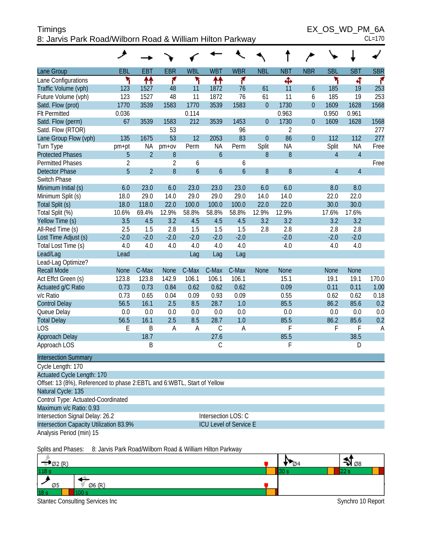| ____<br>Timings                                           | EX OS WD PM 6A |
|-----------------------------------------------------------|----------------|
| 8: Jarvis Park Road/Wilborn Road & William Hilton Parkway | $CL=170$       |

| ۰, |  |
|----|--|
|    |  |

|                                                                         | هر             |                |                |                  |                               |                  |              |                |                |                |                |            |
|-------------------------------------------------------------------------|----------------|----------------|----------------|------------------|-------------------------------|------------------|--------------|----------------|----------------|----------------|----------------|------------|
| Lane Group                                                              | <b>EBL</b>     | <b>EBT</b>     | <b>EBR</b>     | <b>WBL</b>       | <b>WBT</b>                    | <b>WBR</b>       | <b>NBL</b>   | <b>NBT</b>     | <b>NBR</b>     | <b>SBL</b>     | <b>SBT</b>     | <b>SBR</b> |
| Lane Configurations                                                     | ۳              | ↟↟             | ۴              | ۲                | ↟↟                            | ۴                |              | Ф              |                | ۲              | 4              | f.         |
| Traffic Volume (vph)                                                    | 123            | 1527           | 48             | 11               | 1872                          | 76               | 61           | 11             | 6              | 185            | 19             | 253        |
| Future Volume (vph)                                                     | 123            | 1527           | 48             | 11               | 1872                          | 76               | 61           | 11             | 6              | 185            | 19             | 253        |
| Satd. Flow (prot)                                                       | 1770           | 3539           | 1583           | 1770             | 3539                          | 1583             | $\mathbf{0}$ | 1730           | $\overline{0}$ | 1609           | 1628           | 1568       |
| <b>Flt Permitted</b>                                                    | 0.036          |                |                | 0.114            |                               |                  |              | 0.963          |                | 0.950          | 0.961          |            |
| Satd. Flow (perm)                                                       | 67             | 3539           | 1583           | 212              | 3539                          | 1453             | $\mathbf{0}$ | 1730           | $\overline{0}$ | 1609           | 1628           | 1568       |
| Satd. Flow (RTOR)                                                       |                |                | 53             |                  |                               | 96               |              | $\overline{2}$ |                |                |                | 277        |
| Lane Group Flow (vph)                                                   | 135            | 1675           | 53             | 12               | 2053                          | 83               | $\mathbf{0}$ | 86             | $\overline{0}$ | 112            | 112            | 277        |
| Turn Type                                                               | pm+pt          | ΝA             | $pm+ov$        | Perm             | <b>NA</b>                     | Perm             | Split        | <b>NA</b>      |                | Split          | <b>NA</b>      | Free       |
| <b>Protected Phases</b>                                                 | 5              | $\overline{2}$ | 8              |                  | $\boldsymbol{6}$              |                  | 8            | $\, 8$         |                | $\overline{4}$ | $\overline{4}$ |            |
| <b>Permitted Phases</b>                                                 | $\overline{2}$ |                | $\overline{2}$ | 6                |                               | 6                |              |                |                |                |                | Free       |
| <b>Detector Phase</b>                                                   | 5              | $\overline{2}$ | 8              | $\boldsymbol{6}$ | $\boldsymbol{6}$              | $\boldsymbol{6}$ | $\, 8$       | 8              |                | $\overline{4}$ | $\overline{4}$ |            |
| Switch Phase                                                            |                |                |                |                  |                               |                  |              |                |                |                |                |            |
| Minimum Initial (s)                                                     | 6.0            | 23.0           | 6.0            | 23.0             | 23.0                          | 23.0             | 6.0          | 6.0            |                | 8.0            | 8.0            |            |
| Minimum Split (s)                                                       | 18.0           | 29.0           | 14.0           | 29.0             | 29.0                          | 29.0             | 14.0         | 14.0           |                | 22.0           | 22.0           |            |
| Total Split (s)                                                         | 18.0           | 118.0          | 22.0           | 100.0            | 100.0                         | 100.0            | 22.0         | 22.0           |                | 30.0           | 30.0           |            |
| Total Split (%)                                                         | 10.6%          | 69.4%          | 12.9%          | 58.8%            | 58.8%                         | 58.8%            | 12.9%        | 12.9%          |                | 17.6%          | 17.6%          |            |
| Yellow Time (s)                                                         | 3.5            | 4.5            | 3.2            | 4.5              | 4.5                           | 4.5              | 3.2          | 3.2            |                | 3.2            | 3.2            |            |
| All-Red Time (s)                                                        | 2.5            | 1.5            | 2.8            | 1.5              | 1.5                           | 1.5              | 2.8          | 2.8            |                | 2.8            | 2.8            |            |
| Lost Time Adjust (s)                                                    | $-2.0$         | $-2.0$         | $-2.0$         | $-2.0$           | $-2.0$                        | $-2.0$           |              | $-2.0$         |                | $-2.0$         | $-2.0$         |            |
| Total Lost Time (s)                                                     | 4.0            | 4.0            | 4.0            | 4.0              | 4.0                           | 4.0              |              | 4.0            |                | 4.0            | 4.0            |            |
| Lead/Lag                                                                | Lead           |                |                | Lag              | Lag                           | Lag              |              |                |                |                |                |            |
| Lead-Lag Optimize?                                                      |                |                |                |                  |                               |                  |              |                |                |                |                |            |
| <b>Recall Mode</b>                                                      | None           | C-Max          | <b>None</b>    | C-Max            | C-Max                         | C-Max            | <b>None</b>  | None           |                | <b>None</b>    | <b>None</b>    |            |
| Act Effct Green (s)                                                     | 123.8          | 123.8          | 142.9          | 106.1            | 106.1                         | 106.1            |              | 15.1           |                | 19.1           | 19.1           | 170.0      |
| Actuated g/C Ratio                                                      | 0.73           | 0.73           | 0.84           | 0.62             | 0.62                          | 0.62             |              | 0.09           |                | 0.11           | 0.11           | 1.00       |
| v/c Ratio                                                               | 0.73           | 0.65           | 0.04           | 0.09             | 0.93                          | 0.09             |              | 0.55           |                | 0.62           | 0.62           | 0.18       |
| <b>Control Delay</b>                                                    | 56.5           | 16.1           | 2.5            | 8.5              | 28.7                          | 1.0              |              | 85.5           |                | 86.2           | 85.6           | 0.2        |
| Queue Delay                                                             | 0.0            | 0.0            | 0.0            | 0.0              | 0.0                           | 0.0              |              | 0.0            |                | 0.0            | 0.0            | 0.0        |
| <b>Total Delay</b>                                                      | 56.5           | 16.1           | 2.5            | 8.5              | 28.7                          | 1.0              |              | 85.5           |                | 86.2           | 85.6           | 0.2        |
| <b>LOS</b>                                                              | E              | B              | Α              | A                | $\mathsf C$                   | A                |              | F              |                | F              | F              | Α          |
| Approach Delay                                                          |                | 18.7           |                |                  | 27.6                          |                  |              | 85.5           |                |                | 38.5           |            |
| Approach LOS                                                            |                | B              |                |                  | $\mathsf C$                   |                  |              | F              |                |                | D              |            |
| <b>Intersection Summary</b>                                             |                |                |                |                  |                               |                  |              |                |                |                |                |            |
| Cycle Length: 170                                                       |                |                |                |                  |                               |                  |              |                |                |                |                |            |
| <b>Actuated Cycle Length: 170</b>                                       |                |                |                |                  |                               |                  |              |                |                |                |                |            |
| Offset: 13 (8%), Referenced to phase 2:EBTL and 6:WBTL, Start of Yellow |                |                |                |                  |                               |                  |              |                |                |                |                |            |
| Natural Cycle: 135                                                      |                |                |                |                  |                               |                  |              |                |                |                |                |            |
| Control Type: Actuated-Coordinated                                      |                |                |                |                  |                               |                  |              |                |                |                |                |            |
| Maximum v/c Ratio: 0.93                                                 |                |                |                |                  |                               |                  |              |                |                |                |                |            |
| Intersection Signal Delay: 26.2                                         |                |                |                |                  | Intersection LOS: C           |                  |              |                |                |                |                |            |
| Intersection Capacity Utilization 83.9%                                 |                |                |                |                  | <b>ICU Level of Service E</b> |                  |              |                |                |                |                |            |
| Analysis Period (min) 15                                                |                |                |                |                  |                               |                  |              |                |                |                |                |            |
|                                                                         |                |                |                |                  |                               |                  |              |                |                |                |                |            |

Splits and Phases: 8: Jarvis Park Road/Wilborn Road & William Hilton Parkway

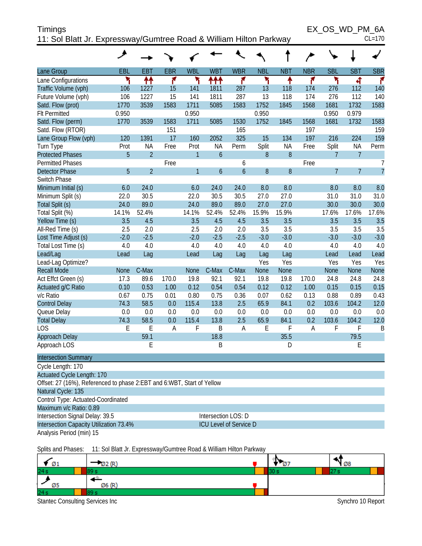| <b>Timings</b>                                                     | EX OS WD PM 6A |
|--------------------------------------------------------------------|----------------|
| 11: Sol Blatt Jr. Expressway/Gumtree Road & William Hilton Parkway | $CL=170$       |

|                                                                        | ◢           |                                                                    |            |              |                     |                |            |            |            |                |                |                |
|------------------------------------------------------------------------|-------------|--------------------------------------------------------------------|------------|--------------|---------------------|----------------|------------|------------|------------|----------------|----------------|----------------|
| Lane Group                                                             | EBL         | <b>EBT</b>                                                         | <b>EBR</b> | <b>WBL</b>   | <b>WBT</b>          | <b>WBR</b>     | <b>NBL</b> | <b>NBT</b> | <b>NBR</b> | <b>SBL</b>     | <b>SBT</b>     | <b>SBR</b>     |
| Lane Configurations                                                    | ۲           | ↟↟                                                                 | ۴          | ۲            | ተተ                  | ۴              | ۲          | ↟          | ۴          | ۲              | 4              | r              |
| Traffic Volume (vph)                                                   | 106         | 1227                                                               | 15         | 141          | 1811                | 287            | 13         | 118        | 174        | 276            | 112            | 140            |
| Future Volume (vph)                                                    | 106         | 1227                                                               | 15         | 141          | 1811                | 287            | 13         | 118        | 174        | 276            | 112            | 140            |
| Satd. Flow (prot)                                                      | 1770        | 3539                                                               | 1583       | 1711         | 5085                | 1583           | 1752       | 1845       | 1568       | 1681           | 1732           | 1583           |
| <b>Flt Permitted</b>                                                   | 0.950       |                                                                    |            | 0.950        |                     |                | 0.950      |            |            | 0.950          | 0.979          |                |
| Satd. Flow (perm)                                                      | 1770        | 3539                                                               | 1583       | 1711         | 5085                | 1530           | 1752       | 1845       | 1568       | 1681           | 1732           | 1583           |
| Satd. Flow (RTOR)                                                      |             |                                                                    | 151        |              |                     | 165            |            |            | 197        |                |                | 159            |
| Lane Group Flow (vph)                                                  | 120         | 1391                                                               | 17         | 160          | 2052                | 325            | 15         | 134        | 197        | 216            | 224            | 159            |
| Turn Type                                                              | Prot        | <b>NA</b>                                                          | Free       | Prot         | <b>NA</b>           | Perm           | Split      | <b>NA</b>  | Free       | Split          | <b>NA</b>      | Perm           |
| <b>Protected Phases</b>                                                | 5           | $\overline{2}$                                                     |            | $\mathbf{1}$ | $\overline{6}$      |                | 8          | 8          |            | $\overline{7}$ | $\overline{7}$ |                |
| <b>Permitted Phases</b>                                                |             |                                                                    | Free       |              |                     | 6              |            |            | Free       |                |                | 7              |
| <b>Detector Phase</b>                                                  | 5           | $\overline{2}$                                                     |            | $\mathbf{1}$ | $\overline{6}$      | $\overline{6}$ | 8          | 8          |            | $\overline{7}$ | $\overline{7}$ | $\overline{7}$ |
| Switch Phase                                                           |             |                                                                    |            |              |                     |                |            |            |            |                |                |                |
| Minimum Initial (s)                                                    | 6.0         | 24.0                                                               |            | 6.0          | 24.0                | 24.0           | 8.0        | 8.0        |            | 8.0            | 8.0            | 8.0            |
| Minimum Split (s)                                                      | 22.0        | 30.5                                                               |            | 22.0         | 30.5                | 30.5           | 27.0       | 27.0       |            | 31.0           | 31.0           | 31.0           |
| Total Split (s)                                                        | 24.0        | 89.0                                                               |            | 24.0         | 89.0                | 89.0           | 27.0       | 27.0       |            | 30.0           | 30.0           | 30.0           |
| Total Split (%)                                                        | 14.1%       | 52.4%                                                              |            | 14.1%        | 52.4%               | 52.4%          | 15.9%      | 15.9%      |            | 17.6%          | 17.6%          | 17.6%          |
| Yellow Time (s)                                                        | 3.5         | 4.5                                                                |            | 3.5          | 4.5                 | 4.5            | 3.5        | 3.5        |            | 3.5            | 3.5            | 3.5            |
| All-Red Time (s)                                                       | 2.5         | 2.0                                                                |            | 2.5          | 2.0                 | 2.0            | 3.5        | 3.5        |            | 3.5            | 3.5            | 3.5            |
| Lost Time Adjust (s)                                                   | $-2.0$      | $-2.5$                                                             |            | $-2.0$       | $-2.5$              | $-2.5$         | $-3.0$     | $-3.0$     |            | $-3.0$         | $-3.0$         | $-3.0$         |
| Total Lost Time (s)                                                    | 4.0         | 4.0                                                                |            | 4.0          | 4.0                 | 4.0            | 4.0        | 4.0        |            | 4.0            | 4.0            | 4.0            |
| Lead/Lag                                                               | Lead        | Lag                                                                |            | Lead         | Lag                 | Lag            | Lag<br>Yes | Lag<br>Yes |            | Lead<br>Yes    | Lead<br>Yes    | Lead<br>Yes    |
| Lead-Lag Optimize?<br><b>Recall Mode</b>                               | <b>None</b> | C-Max                                                              |            | <b>None</b>  | C-Max               | C-Max          | None       | None       |            | <b>None</b>    | <b>None</b>    | None           |
| Act Effct Green (s)                                                    | 17.3        | 89.6                                                               | 170.0      | 19.8         | 92.1                | 92.1           | 19.8       | 19.8       | 170.0      | 24.8           | 24.8           | 24.8           |
| Actuated g/C Ratio                                                     | 0.10        | 0.53                                                               | 1.00       | 0.12         | 0.54                | 0.54           | 0.12       | 0.12       | 1.00       | 0.15           | 0.15           | 0.15           |
| v/c Ratio                                                              | 0.67        | 0.75                                                               | 0.01       | 0.80         | 0.75                | 0.36           | 0.07       | 0.62       | 0.13       | 0.88           | 0.89           | 0.43           |
| <b>Control Delay</b>                                                   | 74.3        | 58.5                                                               | 0.0        | 115.4        | 13.8                | 2.5            | 65.9       | 84.1       | 0.2        | 103.6          | 104.2          | 12.0           |
| Queue Delay                                                            | 0.0         | 0.0                                                                | 0.0        | 0.0          | 0.0                 | 0.0            | 0.0        | 0.0        | 0.0        | 0.0            | 0.0            | 0.0            |
| <b>Total Delay</b>                                                     | 74.3        | 58.5                                                               | 0.0        | 115.4        | 13.8                | 2.5            | 65.9       | 84.1       | 0.2        | 103.6          | 104.2          | 12.0           |
| LOS                                                                    | E           | E                                                                  | A          | F            | B                   | A              | E          | F          | A          | F              | F              | B              |
| Approach Delay                                                         |             | 59.1                                                               |            |              | 18.8                |                |            | 35.5       |            |                | 79.5           |                |
| Approach LOS                                                           |             | E                                                                  |            |              | B                   |                |            | D          |            |                | E              |                |
| <b>Intersection Summary</b>                                            |             |                                                                    |            |              |                     |                |            |            |            |                |                |                |
| Cycle Length: 170                                                      |             |                                                                    |            |              |                     |                |            |            |            |                |                |                |
| <b>Actuated Cycle Length: 170</b>                                      |             |                                                                    |            |              |                     |                |            |            |            |                |                |                |
| Offset: 27 (16%), Referenced to phase 2:EBT and 6:WBT, Start of Yellow |             |                                                                    |            |              |                     |                |            |            |            |                |                |                |
| Natural Cycle: 135                                                     |             |                                                                    |            |              |                     |                |            |            |            |                |                |                |
| Control Type: Actuated-Coordinated                                     |             |                                                                    |            |              |                     |                |            |            |            |                |                |                |
| Maximum v/c Ratio: 0.89                                                |             |                                                                    |            |              |                     |                |            |            |            |                |                |                |
| Intersection Signal Delay: 39.5                                        |             |                                                                    |            |              | Intersection LOS: D |                |            |            |            |                |                |                |
| Intersection Capacity Utilization 73.4%                                |             |                                                                    |            |              |                     |                |            |            |            |                |                |                |
| <b>ICU Level of Service D</b><br>Analysis Period (min) 15              |             |                                                                    |            |              |                     |                |            |            |            |                |                |                |
| Splits and Phases:                                                     |             | 11: Sol Blatt Jr. Expressway/Gumtree Road & William Hilton Parkway |            |              |                     |                |            |            |            |                |                |                |

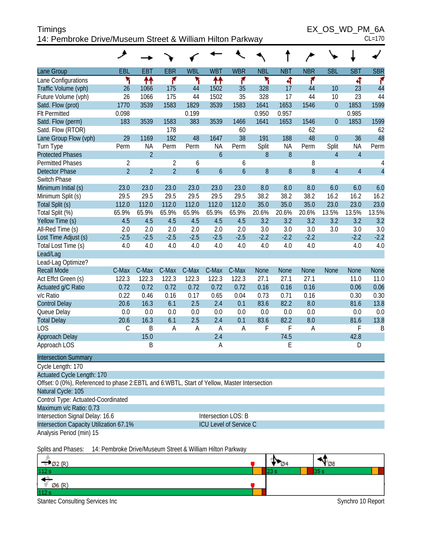| Timings |                                                           |  |  |
|---------|-----------------------------------------------------------|--|--|
|         | 14: Pembroke Drive/Museum Street & William Hilton Parkway |  |  |

EX\_OS\_WD\_PM\_6A

| $CL=170$<br>14: Pembroke Drive/Museum Street & William Hilton Parkway                       |                |                |                |                |               |                     |             |             |            |                |                |                |
|---------------------------------------------------------------------------------------------|----------------|----------------|----------------|----------------|---------------|---------------------|-------------|-------------|------------|----------------|----------------|----------------|
|                                                                                             | ◢              |                |                |                |               |                     |             |             |            |                |                |                |
| Lane Group                                                                                  | EBL            | <b>EBT</b>     | <b>EBR</b>     | <b>WBL</b>     | <b>WBT</b>    | <b>WBR</b>          | <b>NBL</b>  | <b>NBT</b>  | <b>NBR</b> | <b>SBL</b>     | <b>SBT</b>     | <b>SBR</b>     |
| Lane Configurations                                                                         | ۲              | ↟↟             | ۴              | ۲              | ↟↟            | ۴                   | ۲           | बी          | ۴          |                | 4              | ۴              |
| Traffic Volume (vph)                                                                        | 26             | 1066           | 175            | 44             | 1502          | 35                  | 328         | 17          | 44         | 10             | 23             | 44             |
| Future Volume (vph)                                                                         | 26             | 1066           | 175            | 44             | 1502          | 35                  | 328         | 17          | 44         | 10             | 23             | 44             |
| Satd. Flow (prot)                                                                           | 1770           | 3539           | 1583           | 1829           | 3539          | 1583                | 1641        | 1653        | 1546       | $\overline{0}$ | 1853           | 1599           |
| <b>Flt Permitted</b>                                                                        | 0.098          |                |                | 0.199          |               |                     | 0.950       | 0.957       |            |                | 0.985          |                |
| Satd. Flow (perm)                                                                           | 183            | 3539           | 1583           | 383            | 3539          | 1466                | 1641        | 1653        | 1546       | $\theta$       | 1853           | 1599           |
| Satd. Flow (RTOR)                                                                           |                |                | 178            |                |               | 60                  |             |             | 62         |                |                | 62             |
| Lane Group Flow (vph)                                                                       | 29             | 1169           | 192            | 48             | 1647          | 38                  | 191         | 188         | 48         | $\theta$       | 36             | 48             |
| Turn Type                                                                                   | Perm           | NA             | Perm           | Perm           | <b>NA</b>     | Perm                | Split       | NA          | Perm       | Split          | <b>NA</b>      | Perm           |
| <b>Protected Phases</b>                                                                     |                | $\overline{2}$ |                |                | $\mathfrak b$ |                     | 8           | 8           |            | $\overline{4}$ | $\overline{4}$ |                |
| <b>Permitted Phases</b>                                                                     | $\overline{2}$ |                | $\overline{2}$ | 6              |               | 6                   |             |             | 8          |                |                | 4              |
| <b>Detector Phase</b>                                                                       | $\overline{2}$ | $\overline{2}$ | $\overline{2}$ | $\overline{6}$ | $\mathfrak b$ | $\boldsymbol{6}$    | 8           | 8           | 8          | $\overline{4}$ | $\overline{4}$ | $\overline{4}$ |
| Switch Phase                                                                                |                |                |                |                |               |                     |             |             |            |                |                |                |
| Minimum Initial (s)                                                                         | 23.0           | 23.0           | 23.0           | 23.0           | 23.0          | 23.0                | 8.0         | 8.0         | 8.0        | 6.0            | 6.0            | 6.0            |
| Minimum Split (s)                                                                           | 29.5           | 29.5           | 29.5           | 29.5           | 29.5          | 29.5                | 38.2        | 38.2        | 38.2       | 16.2           | 16.2           | 16.2           |
| Total Split (s)                                                                             | 112.0          | 112.0          | 112.0          | 112.0          | 112.0         | 112.0               | 35.0        | 35.0        | 35.0       | 23.0           | 23.0           | 23.0           |
| Total Split (%)                                                                             | 65.9%          | 65.9%          | 65.9%          | 65.9%          | 65.9%         | 65.9%               | 20.6%       | 20.6%       | 20.6%      | 13.5%          | 13.5%          | 13.5%          |
| Yellow Time (s)                                                                             | 4.5            | 4.5            | 4.5            | 4.5            | 4.5           | 4.5                 | 3.2         | 3.2         | 3.2        | 3.2            | 3.2            | 3.2            |
| All-Red Time (s)                                                                            | 2.0            | 2.0            | 2.0            | 2.0            | 2.0           | 2.0                 | 3.0         | 3.0         | 3.0        | 3.0            | 3.0            | 3.0            |
| Lost Time Adjust (s)                                                                        | $-2.5$         | $-2.5$         | $-2.5$         | $-2.5$         | $-2.5$        | $-2.5$              | $-2.2$      | $-2.2$      | $-2.2$     |                | $-2.2$         | $-2.2$         |
| Total Lost Time (s)                                                                         | 4.0            | 4.0            | 4.0            | 4.0            | 4.0           | 4.0                 | 4.0         | 4.0         | 4.0        |                | 4.0            | 4.0            |
| Lead/Lag                                                                                    |                |                |                |                |               |                     |             |             |            |                |                |                |
| Lead-Lag Optimize?                                                                          |                |                |                |                |               |                     |             |             |            |                |                |                |
| <b>Recall Mode</b>                                                                          | C-Max          | C-Max          | C-Max          | C-Max          | C-Max         | C-Max               | <b>None</b> | <b>None</b> | None       | <b>None</b>    | None           | <b>None</b>    |
| Act Effct Green (s)                                                                         | 122.3          | 122.3          | 122.3          | 122.3          | 122.3         | 122.3               | 27.1        | 27.1        | 27.1       |                | 11.0           | 11.0           |
| Actuated g/C Ratio                                                                          | 0.72           | 0.72           | 0.72           | 0.72           | 0.72          | 0.72                | 0.16        | 0.16        | 0.16       |                | 0.06           | 0.06           |
| v/c Ratio                                                                                   | 0.22           | 0.46           | 0.16           | 0.17           | 0.65          | 0.04                | 0.73        | 0.71        | 0.16       |                | 0.30           | 0.30           |
| <b>Control Delay</b>                                                                        | 20.6           | 16.3           | 6.1            | 2.5            | 2.4           | 0.1                 | 83.6        | 82.2        | 8.0        |                | 81.6           | 13.8           |
| Queue Delay                                                                                 | 0.0            | 0.0            | 0.0            | 0.0            | 0.0           | 0.0                 | 0.0         | 0.0         | 0.0        |                | 0.0            | 0.0            |
| <b>Total Delay</b>                                                                          | 20.6           | 16.3           | 6.1            | 2.5            | 2.4           | 0.1                 | 83.6        | 82.2        | 8.0        |                | 81.6           | 13.8           |
| <b>LOS</b>                                                                                  | $\mathcal{C}$  | B              | A              | A              | A             | A                   | F           | F           | Α          |                | F              | B              |
| Approach Delay                                                                              |                | 15.0           |                |                | 2.4           |                     |             | 74.5        |            |                | 42.8           |                |
| Approach LOS                                                                                |                | B              |                |                | Α             |                     |             | E           |            |                | D              |                |
| <b>Intersection Summary</b>                                                                 |                |                |                |                |               |                     |             |             |            |                |                |                |
| Cycle Length: 170                                                                           |                |                |                |                |               |                     |             |             |            |                |                |                |
| <b>Actuated Cycle Length: 170</b>                                                           |                |                |                |                |               |                     |             |             |            |                |                |                |
| Offset: 0 (0%), Referenced to phase 2:EBTL and 6:WBTL, Start of Yellow, Master Intersection |                |                |                |                |               |                     |             |             |            |                |                |                |
| Natural Cycle: 105                                                                          |                |                |                |                |               |                     |             |             |            |                |                |                |
| Control Type: Actuated-Coordinated                                                          |                |                |                |                |               |                     |             |             |            |                |                |                |
| Maximum v/c Ratio: 0.73                                                                     |                |                |                |                |               |                     |             |             |            |                |                |                |
| Intersection Signal Delay: 16.6                                                             |                |                |                |                |               | Intersection LOS: R |             |             |            |                |                |                |

Intersection Signal Delay: 10.6 Intersection Capacity Utilization 67.1% ICU Level of Service C

Analysis Period (min) 15

Splits and Phases: 14: Pembroke Drive/Museum Street & William Hilton Parkway



Stantec Consulting Services Inc **Synchro 10 Report** Synchro 10 Report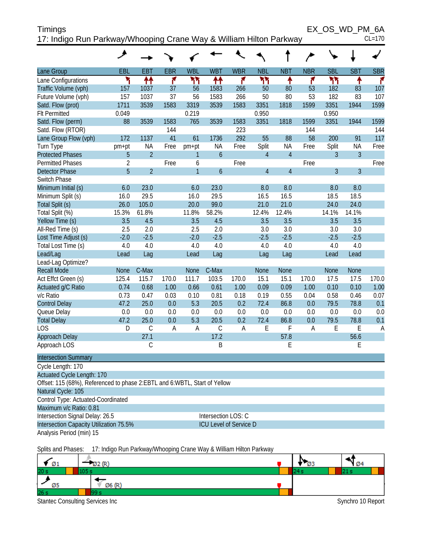| Timings                                                            | EX OS WD PM 6A |
|--------------------------------------------------------------------|----------------|
| 17: Indigo Run Parkway/Whooping Crane Way & William Hilton Parkway | $CL=170$       |

|                                                                             | ◢              |                |              |              |                               |              |                |                |              |                |                |              |
|-----------------------------------------------------------------------------|----------------|----------------|--------------|--------------|-------------------------------|--------------|----------------|----------------|--------------|----------------|----------------|--------------|
| Lane Group                                                                  | EBL            | <b>EBT</b>     | <b>EBR</b>   | <b>WBL</b>   | <b>WBT</b>                    | <b>WBR</b>   | <b>NBL</b>     | <b>NBT</b>     | <b>NBR</b>   | <b>SBL</b>     | <b>SBT</b>     | <b>SBR</b>   |
| Lane Configurations                                                         | ۲              | ↟↟             | ۴            | ካካ           | ↟↟                            | ۴            | ካካ             | ٠              | ۴            | ካካ             | ٠              | ۴            |
| Traffic Volume (vph)                                                        | 157            | 1037           | 37           | 56           | 1583                          | 266          | 50             | 80             | 53           | 182            | 83             | 107          |
| Future Volume (vph)                                                         | 157            | 1037           | 37           | 56           | 1583                          | 266          | 50             | 80             | 53           | 182            | 83             | 107          |
| Satd. Flow (prot)                                                           | 1711           | 3539           | 1583         | 3319         | 3539                          | 1583         | 3351           | 1818           | 1599         | 3351           | 1944           | 1599         |
| <b>Flt Permitted</b>                                                        | 0.049          |                |              | 0.219        |                               |              | 0.950          |                |              | 0.950          |                |              |
| Satd. Flow (perm)                                                           | 88             | 3539           | 1583         | 765          | 3539                          | 1583         | 3351           | 1818           | 1599         | 3351           | 1944           | 1599         |
| Satd. Flow (RTOR)                                                           | 172            | 1137           | 144<br>41    | 61           | 1736                          | 223<br>292   | 55             | 88             | 144<br>58    | 200            | 91             | 144<br>117   |
| Lane Group Flow (vph)<br>Turn Type                                          |                | NA             | Free         | pm+pt        | NA                            | Free         | Split          | <b>NA</b>      | Free         | Split          | <b>NA</b>      | Free         |
| <b>Protected Phases</b>                                                     | pm+pt<br>5     | $\overline{2}$ |              | 1            | $\boldsymbol{6}$              |              | $\overline{4}$ | $\overline{4}$ |              | 3              | $\overline{3}$ |              |
| <b>Permitted Phases</b>                                                     | $\overline{2}$ |                | Free         | 6            |                               | Free         |                |                | Free         |                |                | Free         |
| <b>Detector Phase</b>                                                       | $\overline{5}$ | $\overline{2}$ |              | $\mathbf{1}$ | 6                             |              | $\overline{4}$ | $\overline{4}$ |              | $\overline{3}$ | $\overline{3}$ |              |
| Switch Phase                                                                |                |                |              |              |                               |              |                |                |              |                |                |              |
| Minimum Initial (s)                                                         | 6.0            | 23.0           |              | 6.0          | 23.0                          |              | 8.0            | 8.0            |              | 8.0            | 8.0            |              |
| Minimum Split (s)                                                           | 16.0           | 29.5           |              | 16.0         | 29.5                          |              | 16.5           | 16.5           |              | 18.5           | 18.5           |              |
| Total Split (s)                                                             | 26.0           | 105.0          |              | 20.0         | 99.0                          |              | 21.0           | 21.0           |              | 24.0           | 24.0           |              |
| Total Split (%)                                                             | 15.3%          | 61.8%          |              | 11.8%        | 58.2%                         |              | 12.4%          | 12.4%          |              | 14.1%          | 14.1%          |              |
| Yellow Time (s)                                                             | 3.5            | 4.5            |              | 3.5          | 4.5                           |              | 3.5            | 3.5            |              | 3.5            | 3.5            |              |
| All-Red Time (s)                                                            | 2.5            | 2.0            |              | 2.5          | 2.0                           |              | 3.0            | 3.0            |              | 3.0            | 3.0            |              |
| Lost Time Adjust (s)                                                        | $-2.0$         | $-2.5$         |              | $-2.0$       | $-2.5$                        |              | $-2.5$         | $-2.5$         |              | $-2.5$         | $-2.5$         |              |
| Total Lost Time (s)                                                         | 4.0            | 4.0            |              | 4.0          | 4.0                           |              | 4.0            | 4.0            |              | 4.0            | 4.0            |              |
| Lead/Lag                                                                    | Lead           | Lag            |              | Lead         | Lag                           |              | Lag            | Lag            |              | Lead           | Lead           |              |
| Lead-Lag Optimize?                                                          |                |                |              |              |                               |              |                |                |              |                |                |              |
| <b>Recall Mode</b>                                                          | <b>None</b>    | C-Max          |              | None         | C-Max                         |              | <b>None</b>    | <b>None</b>    |              | <b>None</b>    | <b>None</b>    |              |
| Act Effct Green (s)                                                         | 125.4          | 115.7<br>0.68  | 170.0        | 111.7        | 103.5                         | 170.0        | 15.1           | 15.1           | 170.0        | 17.5           | 17.5           | 170.0        |
| Actuated g/C Ratio<br>v/c Ratio                                             | 0.74<br>0.73   | 0.47           | 1.00<br>0.03 | 0.66<br>0.10 | 0.61<br>0.81                  | 1.00<br>0.18 | 0.09<br>0.19   | 0.09<br>0.55   | 1.00<br>0.04 | 0.10<br>0.58   | 0.10<br>0.46   | 1.00<br>0.07 |
| <b>Control Delay</b>                                                        | 47.2           | 25.0           | 0.0          | 5.3          | 20.5                          | 0.2          | 72.4           | 86.8           | 0.0          | 79.5           | 78.8           | 0.1          |
| Queue Delay                                                                 | 0.0            | 0.0            | 0.0          | 0.0          | 0.0                           | 0.0          | 0.0            | 0.0            | 0.0          | 0.0            | 0.0            | 0.0          |
| <b>Total Delay</b>                                                          | 47.2           | 25.0           | 0.0          | 5.3          | 20.5                          | 0.2          | 72.4           | 86.8           | 0.0          | 79.5           | 78.8           | 0.1          |
| <b>LOS</b>                                                                  | D              | $\mathsf C$    | A            | Α            | $\mathsf C$                   | A            | E              | F              | A            | E              | Ε              | A            |
| Approach Delay                                                              |                | 27.1           |              |              | 17.2                          |              |                | 57.8           |              |                | 56.6           |              |
| Approach LOS                                                                |                | С              |              |              | B                             |              |                | E              |              |                | E              |              |
| <b>Intersection Summary</b>                                                 |                |                |              |              |                               |              |                |                |              |                |                |              |
| Cycle Length: 170                                                           |                |                |              |              |                               |              |                |                |              |                |                |              |
| Actuated Cycle Length: 170                                                  |                |                |              |              |                               |              |                |                |              |                |                |              |
| Offset: 115 (68%), Referenced to phase 2: EBTL and 6: WBTL, Start of Yellow |                |                |              |              |                               |              |                |                |              |                |                |              |
| Natural Cycle: 105                                                          |                |                |              |              |                               |              |                |                |              |                |                |              |
| Control Type: Actuated-Coordinated                                          |                |                |              |              |                               |              |                |                |              |                |                |              |
| Maximum v/c Ratio: 0.81                                                     |                |                |              |              |                               |              |                |                |              |                |                |              |
| Intersection Signal Delay: 26.5                                             |                |                |              |              | Intersection LOS: C           |              |                |                |              |                |                |              |
| Intersection Capacity Utilization 75.5%                                     |                |                |              |              | <b>ICU Level of Service D</b> |              |                |                |              |                |                |              |
| Analysis Period (min) 15                                                    |                |                |              |              |                               |              |                |                |              |                |                |              |
|                                                                             |                |                |              |              |                               |              |                |                |              |                |                |              |

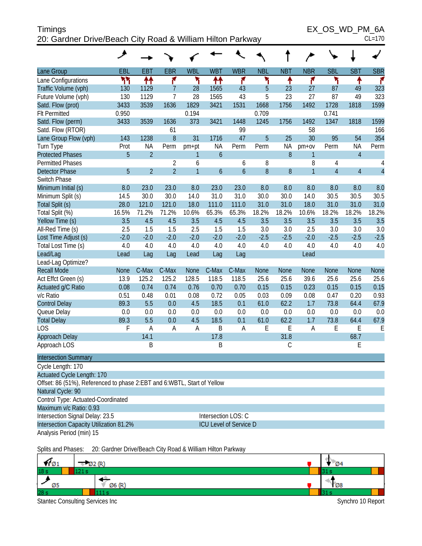## Timings EX\_OS\_WD\_PM\_6A 20: Gardner Drive/Beach City Road & William Hilton Parkway CL=170

|                                                                         | ◢           |                |                |                |            |                               |             |            |                |                |                |                |
|-------------------------------------------------------------------------|-------------|----------------|----------------|----------------|------------|-------------------------------|-------------|------------|----------------|----------------|----------------|----------------|
| Lane Group                                                              | <b>EBL</b>  | <b>EBT</b>     | <b>EBR</b>     | <b>WBL</b>     | <b>WBT</b> | <b>WBR</b>                    | <b>NBL</b>  | <b>NBT</b> | <b>NBR</b>     | <b>SBL</b>     | <b>SBT</b>     | <b>SBR</b>     |
| Lane Configurations                                                     | ሻሻ          | ↟↟             | ۴              | ۲              | ₩          | ۴                             | ۲           | ٠          | ۴              | ۲              | ↟              | r              |
| Traffic Volume (vph)                                                    | 130         | 1129           | $\overline{7}$ | 28             | 1565       | 43                            | 5           | 23         | 27             | 87             | 49             | 323            |
| Future Volume (vph)                                                     | 130         | 1129           | $\overline{7}$ | 28             | 1565       | 43                            | 5           | 23         | 27             | 87             | 49             | 323            |
| Satd. Flow (prot)                                                       | 3433        | 3539           | 1636           | 1829           | 3421       | 1531                          | 1668        | 1756       | 1492           | 1728           | 1818           | 1599           |
| <b>Flt Permitted</b>                                                    | 0.950       |                |                | 0.194          |            |                               | 0.709       |            |                | 0.741          |                |                |
| Satd. Flow (perm)                                                       | 3433        | 3539           | 1636           | 373            | 3421       | 1448                          | 1245        | 1756       | 1492           | 1347           | 1818           | 1599           |
| Satd. Flow (RTOR)                                                       |             |                | 61             |                |            | 99                            |             |            | 58             |                |                | 166            |
| Lane Group Flow (vph)                                                   | 143         | 1238           | 8              | 31             | 1716       | 47                            | 5           | 25         | 30             | 95             | 54             | 354            |
| Turn Type                                                               | Prot        | ΝA             | Perm           | pm+pt          | NA         | Perm                          | Perm        | <b>NA</b>  | $pm+ov$        | Perm           | <b>NA</b>      | Perm           |
| <b>Protected Phases</b>                                                 | 5           | $\overline{2}$ |                | 1              | 6          |                               |             | 8          | $\mathbf{1}$   |                | $\overline{4}$ |                |
| <b>Permitted Phases</b>                                                 |             |                | $\overline{2}$ | 6              |            | 6                             | 8           |            | 8              | 4              |                | 4              |
| <b>Detector Phase</b>                                                   | 5           | $\overline{2}$ | $\overline{2}$ | $\overline{1}$ | 6          | $\overline{6}$                | 8           | 8          | $\overline{1}$ | $\overline{4}$ | $\overline{4}$ | $\overline{4}$ |
| Switch Phase                                                            |             |                |                |                |            |                               |             |            |                |                |                |                |
| Minimum Initial (s)                                                     | 8.0         | 23.0           | 23.0           | 8.0            | 23.0       | 23.0                          | 8.0         | 8.0        | 8.0            | 8.0            | 8.0            | 8.0            |
| Minimum Split (s)                                                       | 14.5        | 30.0           | 30.0           | 14.0           | 31.0       | 31.0                          | 30.0        | 30.0       | 14.0           | 30.5           | 30.5           | 30.5           |
| Total Split (s)                                                         | 28.0        | 121.0          | 121.0          | 18.0           | 111.0      | 111.0                         | 31.0        | 31.0       | 18.0           | 31.0           | 31.0           | 31.0           |
| Total Split (%)                                                         | 16.5%       | 71.2%          | 71.2%          | 10.6%          | 65.3%      | 65.3%                         | 18.2%       | 18.2%      | 10.6%          | 18.2%          | 18.2%          | 18.2%          |
| Yellow Time (s)                                                         | 3.5         | 4.5            | 4.5            | 3.5            | 4.5        | 4.5                           | 3.5         | 3.5        | 3.5            | 3.5            | 3.5            | 3.5            |
| All-Red Time (s)                                                        | 2.5         | 1.5            | 1.5            | 2.5            | 1.5        | 1.5                           | 3.0         | 3.0        | 2.5            | 3.0            | 3.0            | 3.0            |
| Lost Time Adjust (s)                                                    | $-2.0$      | $-2.0$         | $-2.0$         | $-2.0$         | $-2.0$     | $-2.0$                        | $-2.5$      | $-2.5$     | $-2.0$         | $-2.5$         | $-2.5$         | $-2.5$         |
| Total Lost Time (s)                                                     | 4.0         | 4.0            | 4.0            | 4.0            | 4.0        | 4.0                           | 4.0         | 4.0        | 4.0            | 4.0            | 4.0            | 4.0            |
| Lead/Lag                                                                | Lead        | Lag            | Lag            | Lead           | Lag        | Lag                           |             |            | Lead           |                |                |                |
| Lead-Lag Optimize?                                                      |             |                |                |                |            |                               |             |            |                |                |                |                |
| <b>Recall Mode</b>                                                      | <b>None</b> | C-Max          | C-Max          | <b>None</b>    | C-Max      | C-Max                         | <b>None</b> | None       | <b>None</b>    | <b>None</b>    | <b>None</b>    | None           |
| Act Effct Green (s)                                                     | 13.9        | 125.2          | 125.2          | 128.5          | 118.5      | 118.5                         | 25.6        | 25.6       | 39.6           | 25.6           | 25.6           | 25.6           |
| Actuated g/C Ratio                                                      | 0.08        | 0.74           | 0.74           | 0.76           | 0.70       | 0.70                          | 0.15        | 0.15       | 0.23           | 0.15           | 0.15           | 0.15           |
| v/c Ratio                                                               | 0.51        | 0.48           | 0.01           | 0.08           | 0.72       | 0.05                          | 0.03        | 0.09       | 0.08           | 0.47           | 0.20           | 0.93           |
| <b>Control Delay</b>                                                    | 89.3        | 5.5            | 0.0            | 4.5            | 18.5       | 0.1                           | 61.0        | 62.2       | 1.7            | 73.8           | 64.4           | 67.9           |
| Queue Delay                                                             | 0.0         | 0.0            | 0.0            | 0.0            | 0.0        | 0.0                           | 0.0         | 0.0        | 0.0            | 0.0            | 0.0            | 0.0            |
| <b>Total Delay</b>                                                      | 89.3        | 5.5            | 0.0            | 4.5            | 18.5       | 0.1                           | 61.0        | 62.2       | 1.7            | 73.8           | 64.4           | 67.9           |
| <b>LOS</b>                                                              | F           | A              | Α              | A              | B          | Α                             | E           | E          | A              | E              | Ε              | E              |
| Approach Delay                                                          |             | 14.1           |                |                | 17.8       |                               |             | 31.8       |                |                | 68.7           |                |
| Approach LOS                                                            |             | B              |                |                | B          |                               |             | С          |                |                | Ε              |                |
| <b>Intersection Summary</b>                                             |             |                |                |                |            |                               |             |            |                |                |                |                |
| Cycle Length: 170                                                       |             |                |                |                |            |                               |             |            |                |                |                |                |
| Actuated Cycle Length: 170                                              |             |                |                |                |            |                               |             |            |                |                |                |                |
| Offset: 86 (51%), Referenced to phase 2:EBT and 6:WBTL, Start of Yellow |             |                |                |                |            |                               |             |            |                |                |                |                |
| Natural Cycle: 90                                                       |             |                |                |                |            |                               |             |            |                |                |                |                |
| Control Type: Actuated-Coordinated                                      |             |                |                |                |            |                               |             |            |                |                |                |                |
| Maximum v/c Ratio: 0.93                                                 |             |                |                |                |            |                               |             |            |                |                |                |                |
| Intersection Signal Delay: 23.5                                         |             |                |                |                |            | Intersection LOS: C           |             |            |                |                |                |                |
| Intersection Capacity Utilization 81.2%                                 |             |                |                |                |            | <b>ICU Level of Service D</b> |             |            |                |                |                |                |
| Analysis Period (min) 15                                                |             |                |                |                |            |                               |             |            |                |                |                |                |
|                                                                         |             |                |                |                |            |                               |             |            |                |                |                |                |

Splits and Phases: 20: Gardner Drive/Beach City Road & William Hilton Parkway

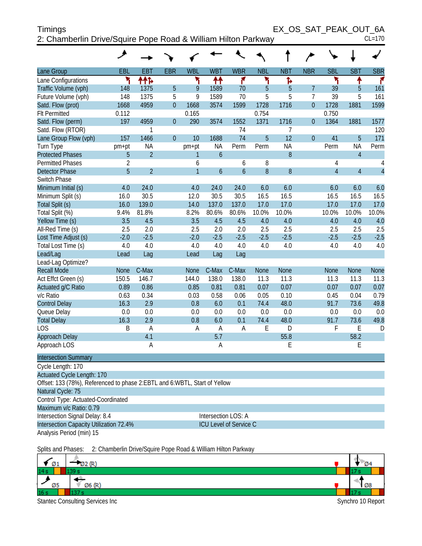| Timings                                                       | EX OS SAT PEAK OUT 6A |          |
|---------------------------------------------------------------|-----------------------|----------|
| 2: Chamberlin Drive/Squire Pope Road & William Hilton Parkway |                       | $CL=170$ |

|                                                                             | حر             |                |                |              |                  |               |            |                  |                |                |                |                |
|-----------------------------------------------------------------------------|----------------|----------------|----------------|--------------|------------------|---------------|------------|------------------|----------------|----------------|----------------|----------------|
| Lane Group                                                                  | EBL            | EBT            | <b>EBR</b>     | <b>WBL</b>   | <b>WBT</b>       | <b>WBR</b>    | <b>NBL</b> | <b>NBT</b>       | <b>NBR</b>     | <b>SBL</b>     | <b>SBT</b>     | <b>SBR</b>     |
| Lane Configurations                                                         | ۲              | ተተኑ            |                | ۲            | ቶቶ               | ۴             | ۲          | Þ                |                | ۲              | ↟              | ۴              |
| Traffic Volume (vph)                                                        | 148            | 1375           | $\overline{5}$ | 9            | 1589             | 70            | 5          | $\overline{5}$   | $\overline{7}$ | 39             | 5              | 161            |
| Future Volume (vph)                                                         | 148            | 1375           | 5              | 9            | 1589             | 70            | 5          | 5                | $\overline{7}$ | 39             | 5              | 161            |
| Satd. Flow (prot)                                                           | 1668           | 4959           | $\overline{0}$ | 1668         | 3574             | 1599          | 1728       | 1716             | $\overline{0}$ | 1728           | 1881           | 1599           |
| <b>Flt Permitted</b>                                                        | 0.112          |                |                | 0.165        |                  |               | 0.754      |                  |                | 0.750          |                |                |
| Satd. Flow (perm)                                                           | 197            | 4959           | $\overline{0}$ | 290          | 3574             | 1552          | 1371       | 1716             | $\overline{0}$ | 1364           | 1881           | 1577           |
| Satd. Flow (RTOR)                                                           |                | 1              |                |              |                  | 74            |            | 7                |                |                |                | 120            |
| Lane Group Flow (vph)                                                       | 157            | 1466           | $\overline{0}$ | 10           | 1688             | 74            | 5          | 12               | $\overline{0}$ | 41             | 5              | 171            |
| Turn Type                                                                   | pm+pt          | NA             |                | pm+pt        | <b>NA</b>        | Perm          | Perm       | <b>NA</b>        |                | Perm           | <b>NA</b>      | Perm           |
| <b>Protected Phases</b>                                                     | 5              | $\overline{2}$ |                | 1            | $\overline{6}$   |               |            | 8                |                |                | $\overline{4}$ |                |
| <b>Permitted Phases</b>                                                     | $\overline{2}$ |                |                | 6            |                  | 6             | 8          |                  |                | $\overline{4}$ |                | $\overline{4}$ |
| <b>Detector Phase</b>                                                       | 5              | $\overline{2}$ |                | $\mathbf{1}$ | $\boldsymbol{6}$ | $\mathfrak b$ | 8          | $\boldsymbol{8}$ |                | $\overline{4}$ | $\overline{4}$ | $\overline{4}$ |
| Switch Phase                                                                |                |                |                |              |                  |               |            |                  |                |                |                |                |
| Minimum Initial (s)                                                         | 4.0            | 24.0           |                | 4.0          | 24.0             | 24.0          | 6.0        | 6.0              |                | 6.0            | 6.0            | 6.0            |
| Minimum Split (s)                                                           | 16.0           | 30.5           |                | 12.0         | 30.5             | 30.5          | 16.5       | 16.5             |                | 16.5           | 16.5           | 16.5           |
| Total Split (s)                                                             | 16.0           | 139.0          |                | 14.0         | 137.0            | 137.0         | 17.0       | 17.0             |                | 17.0           | 17.0           | 17.0           |
| Total Split (%)                                                             | 9.4%           | 81.8%          |                | 8.2%         | 80.6%            | 80.6%         | 10.0%      | 10.0%            |                | 10.0%          | 10.0%          | 10.0%          |
| Yellow Time (s)                                                             | 3.5            | 4.5            |                | 3.5          | 4.5              | 4.5           | 4.0        | 4.0              |                | 4.0            | 4.0            | 4.0            |
| All-Red Time (s)                                                            | 2.5            | 2.0            |                | 2.5          | 2.0              | 2.0           | 2.5        | 2.5              |                | 2.5            | 2.5            | 2.5            |
| Lost Time Adjust (s)                                                        | $-2.0$         | $-2.5$         |                | $-2.0$       | $-2.5$           | $-2.5$        | $-2.5$     | $-2.5$           |                | $-2.5$         | $-2.5$         | $-2.5$         |
| Total Lost Time (s)                                                         | 4.0            | 4.0            |                | 4.0          | 4.0              | 4.0           | 4.0        | 4.0              |                | 4.0            | 4.0            | 4.0            |
| Lead/Lag                                                                    | Lead           | Lag            |                | Lead         | Lag              | Lag           |            |                  |                |                |                |                |
| Lead-Lag Optimize?                                                          |                |                |                |              |                  |               |            |                  |                |                |                |                |
| <b>Recall Mode</b>                                                          | <b>None</b>    | C-Max          |                | None         | C-Max            | C-Max         | None       | None             |                | <b>None</b>    | <b>None</b>    | <b>None</b>    |
| Act Effct Green (s)                                                         | 150.5          | 146.7          |                | 144.0        | 138.0            | 138.0         | 11.3       | 11.3             |                | 11.3           | 11.3           | 11.3           |
| Actuated g/C Ratio                                                          | 0.89           | 0.86           |                | 0.85         | 0.81             | 0.81          | 0.07       | 0.07             |                | 0.07           | 0.07           | 0.07           |
| v/c Ratio                                                                   | 0.63           | 0.34           |                | 0.03         | 0.58             | 0.06          | 0.05       | 0.10             |                | 0.45           | 0.04           | 0.79           |
| <b>Control Delay</b>                                                        | 16.3           | 2.9            |                | 0.8          | 6.0              | 0.1           | 74.4       | 48.0             |                | 91.7           | 73.6           | 49.8           |
| Queue Delay                                                                 | 0.0            | 0.0            |                | 0.0          | 0.0              | 0.0           | 0.0        | 0.0              |                | 0.0            | 0.0            | 0.0            |
| <b>Total Delay</b>                                                          | 16.3           | 2.9            |                | 0.8          | 6.0              | 0.1           | 74.4       | 48.0             |                | 91.7           | 73.6           | 49.8           |
| LOS                                                                         | B              | A              |                | A            | $\overline{A}$   | A             | E          | D                |                | F              | Ε              | D              |
| Approach Delay                                                              |                | 4.1            |                |              | 5.7              |               |            | 55.8             |                |                | 58.2           |                |
| Approach LOS                                                                |                | $\overline{A}$ |                |              | $\overline{A}$   |               |            | E                |                |                | E              |                |
| <b>Intersection Summary</b>                                                 |                |                |                |              |                  |               |            |                  |                |                |                |                |
| Cycle Length: 170                                                           |                |                |                |              |                  |               |            |                  |                |                |                |                |
| <b>Actuated Cycle Length: 170</b>                                           |                |                |                |              |                  |               |            |                  |                |                |                |                |
| Offset: 133 (78%), Referenced to phase 2: EBTL and 6: WBTL, Start of Yellow |                |                |                |              |                  |               |            |                  |                |                |                |                |

Natural Cycle: 75 Control Type: Actuated-Coordinated Maximum v/c Ratio: 0.79

Intersection Signal Delay: 8.4 Intersection LOS: A Intersection Capacity Utilization 72.4% ICU Level of Service C

Analysis Period (min) 15

Splits and Phases: 2: Chamberlin Drive/Squire Pope Road & William Hilton Parkway

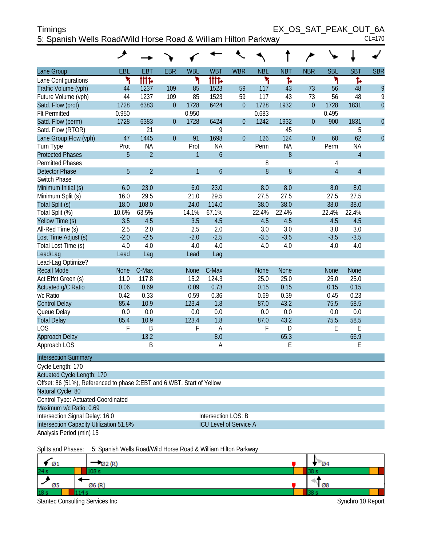|                                                                        | ◢           |                |                |                |                  |                  |             |             |                  |                |                |                |
|------------------------------------------------------------------------|-------------|----------------|----------------|----------------|------------------|------------------|-------------|-------------|------------------|----------------|----------------|----------------|
|                                                                        |             |                |                |                |                  |                  |             |             |                  |                |                |                |
| Lane Group                                                             | EBL         | <b>EBT</b>     | <b>EBR</b>     | <b>WBL</b>     | <b>WBT</b>       | <b>WBR</b>       | <b>NBL</b>  | <b>NBT</b>  | <b>NBR</b>       | <b>SBL</b>     | <b>SBT</b>     | <b>SBR</b>     |
| Lane Configurations                                                    | ۲           | tttd           |                | ۲              | tttd             |                  | ۲           | ħ           |                  | ۲              | ħ              |                |
| Traffic Volume (vph)                                                   | 44          | 1237           | 109            | 85             | 1523             | 59               | 117         | 43          | 73               | 56             | 48             | 9              |
| Future Volume (vph)                                                    | 44          | 1237           | 109            | 85             | 1523             | 59               | 117         | 43          | 73               | 56             | 48             | 9              |
| Satd. Flow (prot)                                                      | 1728        | 6383           | $\mathbf 0$    | 1728           | 6424             | $\boldsymbol{0}$ | 1728        | 1932        | $\boldsymbol{0}$ | 1728           | 1831           | $\overline{0}$ |
| <b>Flt Permitted</b>                                                   | 0.950       |                |                | 0.950          |                  |                  | 0.683       |             |                  | 0.495          |                |                |
| Satd. Flow (perm)                                                      | 1728        | 6383           | $\mathbf 0$    | 1728           | 6424             | $\boldsymbol{0}$ | 1242        | 1932        | $\boldsymbol{0}$ | 900            | 1831           | $\theta$       |
| Satd. Flow (RTOR)                                                      |             | 21             |                |                | 9                |                  |             | 45          |                  |                | 5              |                |
| Lane Group Flow (vph)                                                  | 47          | 1445           | $\overline{0}$ | 91             | 1698             | $\boldsymbol{0}$ | 126         | 124         | $\overline{0}$   | 60             | 62             | $\overline{0}$ |
| Turn Type                                                              | Prot        | <b>NA</b>      |                | Prot           | <b>NA</b>        |                  | Perm        | <b>NA</b>   |                  | Perm           | ΝA             |                |
| <b>Protected Phases</b>                                                | 5           | $\overline{2}$ |                | 1              | $\boldsymbol{6}$ |                  |             | $\, 8$      |                  |                | $\overline{4}$ |                |
| <b>Permitted Phases</b>                                                |             |                |                |                |                  |                  | 8           |             |                  | 4              |                |                |
| <b>Detector Phase</b>                                                  | 5           | $\overline{2}$ |                | $\overline{1}$ | $\boldsymbol{6}$ |                  | 8           | $\, 8$      |                  | $\overline{4}$ | $\overline{4}$ |                |
| Switch Phase                                                           |             |                |                |                |                  |                  |             |             |                  |                |                |                |
| Minimum Initial (s)                                                    | 6.0         | 23.0           |                | 6.0            | 23.0             |                  | 8.0         | 8.0         |                  | 8.0            | 8.0            |                |
| Minimum Split (s)                                                      | 16.0        | 29.5           |                | 21.0           | 29.5             |                  | 27.5        | 27.5        |                  | 27.5           | 27.5           |                |
| Total Split (s)                                                        | 18.0        | 108.0          |                | 24.0           | 114.0            |                  | 38.0        | 38.0        |                  | 38.0           | 38.0           |                |
| Total Split (%)                                                        | 10.6%       | 63.5%          |                | 14.1%          | 67.1%            |                  | 22.4%       | 22.4%       |                  | 22.4%          | 22.4%          |                |
| Yellow Time (s)                                                        | 3.5         | 4.5            |                | 3.5            | 4.5              |                  | 4.5         | 4.5         |                  | 4.5            | 4.5            |                |
| All-Red Time (s)                                                       | 2.5         | 2.0            |                | 2.5            | 2.0              |                  | 3.0         | 3.0         |                  | 3.0            | 3.0            |                |
| Lost Time Adjust (s)                                                   | $-2.0$      | $-2.5$         |                | $-2.0$         | $-2.5$           |                  | $-3.5$      | $-3.5$      |                  | $-3.5$         | $-3.5$         |                |
| Total Lost Time (s)                                                    | 4.0         | 4.0            |                | 4.0            | 4.0              |                  | 4.0         | 4.0         |                  | 4.0            | 4.0            |                |
| Lead/Lag                                                               | Lead        | Lag            |                | Lead           | Lag              |                  |             |             |                  |                |                |                |
| Lead-Lag Optimize?                                                     |             |                |                |                |                  |                  |             |             |                  |                |                |                |
| <b>Recall Mode</b>                                                     | <b>None</b> | C-Max          |                | None           | C-Max            |                  | <b>None</b> | <b>None</b> |                  | <b>None</b>    | <b>None</b>    |                |
| Act Effct Green (s)                                                    | 11.0        | 117.8          |                | 15.2           | 124.3            |                  | 25.0        | 25.0        |                  | 25.0           | 25.0           |                |
| Actuated g/C Ratio                                                     | 0.06        | 0.69           |                | 0.09           | 0.73             |                  | 0.15        | 0.15        |                  | 0.15           | 0.15           |                |
| v/c Ratio                                                              | 0.42        | 0.33           |                | 0.59           | 0.36             |                  | 0.69        | 0.39        |                  | 0.45           | 0.23           |                |
| <b>Control Delay</b>                                                   | 85.4        | 10.9           |                | 123.4          | 1.8              |                  | 87.0        | 43.2        |                  | 75.5           | 58.5           |                |
| Queue Delay                                                            | 0.0         | 0.0            |                | 0.0            | 0.0              |                  | 0.0         | 0.0         |                  | 0.0            | 0.0            |                |
| <b>Total Delay</b>                                                     | 85.4        | 10.9           |                | 123.4          | 1.8              |                  | 87.0        | 43.2        |                  | 75.5           | 58.5           |                |
| LOS                                                                    | F           | B              |                | F              | $\mathsf A$      |                  | F           | D           |                  | Ε              | E              |                |
| Approach Delay                                                         |             | 13.2           |                |                | 8.0              |                  |             | 65.3        |                  |                | 66.9           |                |
| Approach LOS                                                           |             | Β              |                |                | Α                |                  |             | Ε           |                  |                | Е              |                |
| <b>Intersection Summary</b>                                            |             |                |                |                |                  |                  |             |             |                  |                |                |                |
| Cycle Length: 170                                                      |             |                |                |                |                  |                  |             |             |                  |                |                |                |
| <b>Actuated Cycle Length: 170</b>                                      |             |                |                |                |                  |                  |             |             |                  |                |                |                |
| Offset: 86 (51%), Referenced to phase 2:EBT and 6:WBT, Start of Yellow |             |                |                |                |                  |                  |             |             |                  |                |                |                |
| Natural Cycle: 80                                                      |             |                |                |                |                  |                  |             |             |                  |                |                |                |
| Control Type: Actuated-Coordinated                                     |             |                |                |                |                  |                  |             |             |                  |                |                |                |

Maximum v/c Ratio: 0.69 Intersection Signal Delay: 16.0 Intersection LOS: B

Intersection Capacity Utilization 51.8% ICU Level of Service A

Analysis Period (min) 15

Splits and Phases: 5: Spanish Wells Road/Wild Horse Road & William Hilton Parkway

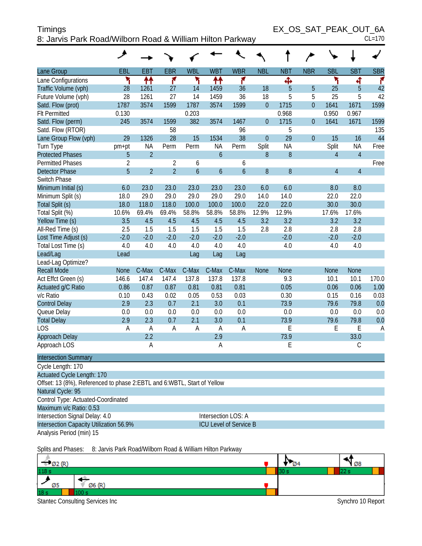| <b>Timings</b>                                            | EX OS SAT PEAK OUT 6A |
|-----------------------------------------------------------|-----------------------|
| 8: Jarvis Park Road/Wilborn Road & William Hilton Parkway | $CL=170$              |

|                                                                              | عر             |                |                |                |                               |                |                |             |                |                |                |            |
|------------------------------------------------------------------------------|----------------|----------------|----------------|----------------|-------------------------------|----------------|----------------|-------------|----------------|----------------|----------------|------------|
| Lane Group                                                                   | EBL            | <b>EBT</b>     | <b>EBR</b>     | <b>WBL</b>     | <b>WBT</b>                    | <b>WBR</b>     | <b>NBL</b>     | <b>NBT</b>  | <b>NBR</b>     | <b>SBL</b>     | <b>SBT</b>     | <b>SBR</b> |
| Lane Configurations                                                          | ۲              | ₩              | ۴              | ۳              | 11                            | ۴              |                | ф           |                | ۲              | 4              | ۴          |
| Traffic Volume (vph)                                                         | 28             | 1261           | 27             | 14             | 1459                          | 36             | 18             | 5           | 5              | 25             | 5              | 42         |
| Future Volume (vph)                                                          | 28             | 1261           | 27             | 14             | 1459                          | 36             | 18             | 5           | 5              | 25             | 5              | 42         |
| Satd. Flow (prot)                                                            | 1787           | 3574           | 1599           | 1787           | 3574                          | 1599           | $\overline{0}$ | 1715        | $\overline{0}$ | 1641           | 1671           | 1599       |
| <b>Flt Permitted</b>                                                         | 0.130          |                |                | 0.203          |                               |                |                | 0.968       |                | 0.950          | 0.967          |            |
| Satd. Flow (perm)                                                            | 245            | 3574           | 1599           | 382            | 3574                          | 1467           | $\overline{0}$ | 1715        | $\theta$       | 1641           | 1671           | 1599       |
| Satd. Flow (RTOR)                                                            |                |                | 58             |                |                               | 96             |                | 5           |                |                |                | 135        |
| Lane Group Flow (vph)                                                        | 29             | 1326           | 28             | 15             | 1534                          | 38             | $\overline{0}$ | 29          | $\overline{0}$ | 15             | 16             | 44         |
| Turn Type                                                                    | pm+pt          | <b>NA</b>      | Perm           | Perm           | <b>NA</b>                     | Perm           | Split          | <b>NA</b>   |                | Split          | <b>NA</b>      | Free       |
| <b>Protected Phases</b>                                                      | 5              | $\overline{2}$ |                |                | $\overline{6}$                |                | 8              | 8           |                | $\overline{4}$ | $\overline{4}$ |            |
| <b>Permitted Phases</b>                                                      | $\overline{2}$ |                | $\sqrt{2}$     | 6              |                               | 6              |                |             |                |                |                | Free       |
| <b>Detector Phase</b>                                                        | 5              | $\overline{2}$ | $\overline{2}$ | $\overline{6}$ | $\boldsymbol{6}$              | $\overline{6}$ | 8              | 8           |                | $\overline{4}$ | $\overline{4}$ |            |
| Switch Phase                                                                 |                |                |                |                |                               |                |                |             |                |                |                |            |
| Minimum Initial (s)                                                          | 6.0            | 23.0           | 23.0           | 23.0           | 23.0                          | 23.0           | 6.0            | 6.0         |                | 8.0            | 8.0            |            |
| Minimum Split (s)                                                            | 18.0           | 29.0           | 29.0           | 29.0           | 29.0                          | 29.0           | 14.0           | 14.0        |                | 22.0           | 22.0           |            |
| Total Split (s)                                                              | 18.0           | 118.0          | 118.0          | 100.0          | 100.0                         | 100.0          | 22.0           | 22.0        |                | 30.0           | 30.0           |            |
| Total Split (%)                                                              | 10.6%          | 69.4%          | 69.4%          | 58.8%          | 58.8%                         | 58.8%          | 12.9%          | 12.9%       |                | 17.6%          | 17.6%          |            |
| Yellow Time (s)                                                              | 3.5            | 4.5            | 4.5            | 4.5            | 4.5                           | 4.5            | 3.2            | 3.2         |                | 3.2            | 3.2            |            |
| All-Red Time (s)                                                             | 2.5            | 1.5            | 1.5            | 1.5            | 1.5                           | 1.5            | 2.8            | 2.8         |                | 2.8            | 2.8            |            |
| Lost Time Adjust (s)                                                         | $-2.0$         | $-2.0$         | $-2.0$         | $-2.0$         | $-2.0$                        | $-2.0$         |                | $-2.0$      |                | $-2.0$         | $-2.0$         |            |
| Total Lost Time (s)                                                          | 4.0            | 4.0            | 4.0            | 4.0            | 4.0                           | 4.0            |                | 4.0         |                | 4.0            | 4.0            |            |
| Lead/Lag                                                                     | Lead           |                |                | Lag            | Lag                           | Lag            |                |             |                |                |                |            |
| Lead-Lag Optimize?                                                           |                |                |                |                |                               |                |                |             |                |                |                |            |
| <b>Recall Mode</b>                                                           | <b>None</b>    | C-Max          | C-Max          | C-Max          | C-Max                         | C-Max          | <b>None</b>    | <b>None</b> |                | <b>None</b>    | None           |            |
| Act Effct Green (s)                                                          | 146.6          | 147.4          | 147.4          | 137.8          | 137.8                         | 137.8          |                | 9.3         |                | 10.1           | 10.1           | 170.0      |
| Actuated g/C Ratio                                                           | 0.86           | 0.87           | 0.87           | 0.81           | 0.81                          | 0.81           |                | 0.05        |                | 0.06           | 0.06           | 1.00       |
| v/c Ratio                                                                    | 0.10           | 0.43           | 0.02           | 0.05           | 0.53                          | 0.03           |                | 0.30        |                | 0.15           | 0.16           | 0.03       |
| <b>Control Delay</b>                                                         | 2.9            | 2.3            | 0.7            | 2.1            | 3.0                           | 0.1            |                | 73.9        |                | 79.6           | 79.8           | 0.0        |
| Queue Delay                                                                  | 0.0            | 0.0            | 0.0            | 0.0            | 0.0                           | 0.0            |                | 0.0         |                | 0.0            | 0.0            | 0.0        |
| <b>Total Delay</b>                                                           | 2.9            | 2.3            | 0.7            | 2.1            | 3.0                           | 0.1            |                | 73.9        |                | 79.6           | 79.8           | 0.0        |
| <b>LOS</b>                                                                   | A              | A              | A              | A              | A                             | A              |                | E           |                | E              | E              | A          |
| Approach Delay                                                               |                | 2.2            |                |                | 2.9                           |                |                | 73.9        |                |                | 33.0           |            |
| Approach LOS                                                                 |                | A              |                |                | Α                             |                |                | E           |                |                | $\mathsf C$    |            |
| <b>Intersection Summary</b>                                                  |                |                |                |                |                               |                |                |             |                |                |                |            |
| Cycle Length: 170                                                            |                |                |                |                |                               |                |                |             |                |                |                |            |
| <b>Actuated Cycle Length: 170</b>                                            |                |                |                |                |                               |                |                |             |                |                |                |            |
| Offset: 13 (8%), Referenced to phase 2:EBTL and 6:WBTL, Start of Yellow      |                |                |                |                |                               |                |                |             |                |                |                |            |
| Natural Cycle: 95                                                            |                |                |                |                |                               |                |                |             |                |                |                |            |
| Control Type: Actuated-Coordinated                                           |                |                |                |                |                               |                |                |             |                |                |                |            |
| Maximum v/c Ratio: 0.53                                                      |                |                |                |                |                               |                |                |             |                |                |                |            |
| Intersection Signal Delay: 4.0                                               |                |                |                |                | Intersection LOS: A           |                |                |             |                |                |                |            |
| Intersection Capacity Utilization 56.9%                                      |                |                |                |                | <b>ICU Level of Service B</b> |                |                |             |                |                |                |            |
| Analysis Period (min) 15                                                     |                |                |                |                |                               |                |                |             |                |                |                |            |
| Splits and Phases: 8: Jarvis Park Road/Wilborn Road & William Hilton Parkway |                |                |                |                |                               |                |                |             |                |                |                |            |

Splits and Phases: 8: Jarvis Park Road/Wilborn Road & William Hilton Parkway

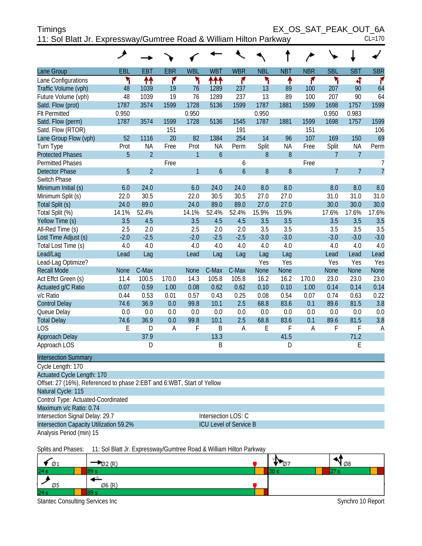| Timings                                                            |       |            |            |            |            |            |            |            |                  |            | EX_OS_SAT_PEAK_OUT 6A |            |
|--------------------------------------------------------------------|-------|------------|------------|------------|------------|------------|------------|------------|------------------|------------|-----------------------|------------|
| 11: Sol Blatt Jr. Expressway/Gumtree Road & William Hilton Parkway |       |            |            |            |            |            |            |            |                  |            |                       | $CL=170$   |
|                                                                    |       |            |            |            |            |            |            |            |                  |            |                       |            |
| Lane Group                                                         | EBL   | <b>EBT</b> | <b>EBR</b> | <b>WBL</b> | <b>WBT</b> | <b>WBR</b> | <b>NBL</b> | <b>NBT</b> | <b>NBR</b>       | <b>SBL</b> | <b>SBT</b>            | <b>SBR</b> |
| Lane Configurations                                                |       | ቶቶ         |            |            | ተተተ        |            |            |            |                  |            |                       |            |
| Traffic Volume (vph)                                               | 48    | 1039       | 19         | 76         | 1289       | 237        | 13         | 89         | 100 <sup>°</sup> | 207        | 90                    | 64         |
| Future Volume (vph)                                                | 48    | 1039       | 19         | 76         | 1289       | 237        | 13         | 89         | 100              | 207        | 90                    | 64         |
| Satd. Flow (prot)                                                  | 1787  | 3574       | 1599       | 1728       | 5136       | 1599       | 1787       | 1881       | 1599             | 1698       | 1757                  | 1599       |
| <b>FIt Permitted</b>                                               | 0.950 |            |            | 0.950      |            |            | 0.950      |            |                  | 0.950      | 0.983                 |            |

Satd. Flow (perm) 1787 3574 1599 1728 5136 1545 1787 1881 1599 1698 1757 1599 Satd. Flow (RTOR) <br>
Lane Group Flow (vph) 52 1116 20 82 1384 254 14 96 107 169 150 69 Lane Group Flow (vph) 52 1116 20 82 1384 254 14 96 107 169 150

Turn Type Prot NA Free Prot NA Perm Split NA Free Split NA Perm

| <b>Protected Phases</b> | 5           | $\overline{2}$ |       |             | $\overline{6}$ |                  | 8      | 8           |       | 7              | 7              |        |
|-------------------------|-------------|----------------|-------|-------------|----------------|------------------|--------|-------------|-------|----------------|----------------|--------|
| <b>Permitted Phases</b> |             |                | Free  |             |                | 6                |        |             | Free  |                |                |        |
| <b>Detector Phase</b>   | 5           | $\overline{2}$ |       | 1           | 6              | $\boldsymbol{6}$ | 8      | $8\,$       |       | $\overline{7}$ | $\overline{7}$ |        |
| Switch Phase            |             |                |       |             |                |                  |        |             |       |                |                |        |
| Minimum Initial (s)     | 6.0         | 24.0           |       | 6.0         | 24.0           | 24.0             | 8.0    | 8.0         |       | 8.0            | 8.0            | 8.0    |
| Minimum Split (s)       | 22.0        | 30.5           |       | 22.0        | 30.5           | 30.5             | 27.0   | 27.0        |       | 31.0           | 31.0           | 31.0   |
| Total Split (s)         | 24.0        | 89.0           |       | 24.0        | 89.0           | 89.0             | 27.0   | 27.0        |       | 30.0           | 30.0           | 30.0   |
| Total Split (%)         | 14.1%       | 52.4%          |       | 14.1%       | 52.4%          | 52.4%            | 15.9%  | 15.9%       |       | 17.6%          | 17.6%          | 17.6%  |
| Yellow Time (s)         | 3.5         | 4.5            |       | 3.5         | 4.5            | 4.5              | 3.5    | 3.5         |       | 3.5            | 3.5            | 3.5    |
| All-Red Time (s)        | 2.5         | 2.0            |       | 2.5         | 2.0            | 2.0              | 3.5    | 3.5         |       | 3.5            | 3.5            | 3.5    |
| Lost Time Adjust (s)    | $-2.0$      | $-2.5$         |       | $-2.0$      | $-2.5$         | $-2.5$           | $-3.0$ | $-3.0$      |       | $-3.0$         | $-3.0$         | $-3.0$ |
| Total Lost Time (s)     | 4.0         | 4.0            |       | 4.0         | 4.0            | 4.0              | 4.0    | 4.0         |       | 4.0            | 4.0            | 4.0    |
| Lead/Lag                | Lead        | Lag            |       | Lead        | Lag            | Lag              | Lag    | Lag         |       | Lead           | Lead           | Lead   |
| Lead-Lag Optimize?      |             |                |       |             |                |                  | Yes    | Yes         |       | Yes            | Yes            | Yes    |
| <b>Recall Mode</b>      | <b>None</b> | C-Max          |       | <b>None</b> | C-Max          | C-Max            | None   | <b>None</b> |       | <b>None</b>    | <b>None</b>    | None   |
| Act Effct Green (s)     | 11.4        | 100.5          | 170.0 | 14.3        | 105.8          | 105.8            | 16.2   | 16.2        | 170.0 | 23.0           | 23.0           | 23.0   |
| Actuated g/C Ratio      | 0.07        | 0.59           | 1.00  | 0.08        | 0.62           | 0.62             | 0.10   | 0.10        | 1.00  | 0.14           | 0.14           | 0.14   |
| v/c Ratio               | 0.44        | 0.53           | 0.01  | 0.57        | 0.43           | 0.25             | 0.08   | 0.54        | 0.07  | 0.74           | 0.63           | 0.22   |
| <b>Control Delay</b>    | 74.6        | 36.9           | 0.0   | 99.8        | 10.1           | 2.5              | 68.8   | 83.6        | 0.1   | 89.6           | 81.5           | 3.8    |
| Queue Delay             | 0.0         | 0.0            | 0.0   | 0.0         | 0.0            | 0.0              | 0.0    | 0.0         | 0.0   | 0.0            | 0.0            | 0.0    |
| <b>Total Delay</b>      | 74.6        | 36.9           | 0.0   | 99.8        | 10.1           | 2.5              | 68.8   | 83.6        | 0.1   | 89.6           | 81.5           | 3.8    |
| LOS                     | E           | D              | A     | F           | B              | Α                | Ε      | F           | А     | F              | F              | A      |
| <b>Approach Delay</b>   |             | 37.9           |       |             | 13.3           |                  |        | 41.5        |       |                | 71.2           |        |
| Approach LOS            |             | D              |       |             | B              |                  |        | D           |       |                | E              |        |

| <b>Intersection Summary</b>                                            |                               |  |  |  |  |  |  |  |
|------------------------------------------------------------------------|-------------------------------|--|--|--|--|--|--|--|
| Cycle Length: 170                                                      |                               |  |  |  |  |  |  |  |
| <b>Actuated Cycle Length: 170</b>                                      |                               |  |  |  |  |  |  |  |
| Offset: 27 (16%), Referenced to phase 2:EBT and 6:WBT, Start of Yellow |                               |  |  |  |  |  |  |  |
| Natural Cycle: 115                                                     |                               |  |  |  |  |  |  |  |
| Control Type: Actuated-Coordinated                                     |                               |  |  |  |  |  |  |  |
| Maximum v/c Ratio: 0.74                                                |                               |  |  |  |  |  |  |  |
| Intersection Signal Delay: 29.7                                        | Intersection LOS: C           |  |  |  |  |  |  |  |
| Intersection Capacity Utilization 59.2%                                | <b>ICU Level of Service B</b> |  |  |  |  |  |  |  |

Analysis Period (min) 15

Splits and Phases: 11: Sol Blatt Jr. Expressway/Gumtree Road & William Hilton Parkway

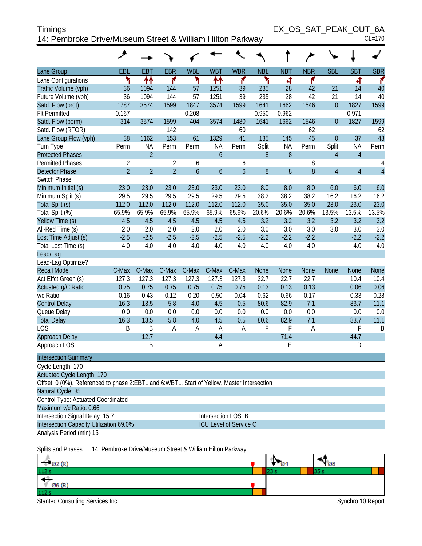| <b>Timings</b>                                            | EX OS SAT PEAK OUT 6A |
|-----------------------------------------------------------|-----------------------|
| 14: Pembroke Drive/Museum Street & William Hilton Parkway | $CI = 170$            |

|                                                                                             | ᢣ              |                |                |                     |                  |                               |              |              |             |                  |                |                |
|---------------------------------------------------------------------------------------------|----------------|----------------|----------------|---------------------|------------------|-------------------------------|--------------|--------------|-------------|------------------|----------------|----------------|
| Lane Group                                                                                  | EBL            | <b>EBT</b>     | <b>EBR</b>     | <b>WBL</b>          | <b>WBT</b>       | <b>WBR</b>                    | <b>NBL</b>   | <b>NBT</b>   | <b>NBR</b>  | <b>SBL</b>       | <b>SBT</b>     | <b>SBR</b>     |
| Lane Configurations                                                                         | ۲              | ቶቶ             | ۴              | ۲                   | ቶቶ               | ۴                             | ۲            | 4            | ۴           |                  | 4              | ۴              |
| Traffic Volume (vph)                                                                        | 36             | 1094           | 144            | 57                  | 1251             | 39                            | 235          | 28           | 42          | 21               | 14             | 40             |
| Future Volume (vph)                                                                         | 36             | 1094           | 144            | 57                  | 1251             | 39                            | 235          | 28           | 42          | 21               | 14             | 40             |
| Satd. Flow (prot)                                                                           | 1787           | 3574           | 1599           | 1847                | 3574             | 1599                          | 1641         | 1662         | 1546        | $\overline{0}$   | 1827           | 1599           |
| <b>Flt Permitted</b>                                                                        | 0.167          |                |                | 0.208               |                  |                               | 0.950        | 0.962        |             |                  | 0.971          |                |
| Satd. Flow (perm)                                                                           | 314            | 3574           | 1599           | 404                 | 3574             | 1480                          | 1641         | 1662         | 1546        | $\boldsymbol{0}$ | 1827           | 1599           |
| Satd. Flow (RTOR)                                                                           |                |                | 142            |                     |                  | 60                            |              |              | 62          |                  |                | 62             |
| Lane Group Flow (vph)                                                                       | 38             | 1162           | 153            | 61                  | 1329             | 41                            | 135          | 145          | 45          | $\overline{0}$   | 37             | 43             |
| Turn Type                                                                                   | Perm           | <b>NA</b>      | Perm           | Perm                | <b>NA</b>        | Perm                          | Split        | <b>NA</b>    | Perm        | Split            | NA             | Perm           |
| <b>Protected Phases</b>                                                                     |                | $\overline{2}$ |                |                     | $\overline{6}$   |                               | 8            | 8            |             | $\overline{4}$   | $\overline{4}$ |                |
| <b>Permitted Phases</b>                                                                     | $\overline{2}$ |                | $\overline{2}$ | 6                   |                  | 6                             |              |              | 8           |                  |                | 4              |
| <b>Detector Phase</b>                                                                       | $\overline{2}$ | $\overline{2}$ | $\overline{2}$ | $\ddot{\mathbf{6}}$ | $\boldsymbol{6}$ | $\mathfrak b$                 | 8            | 8            | 8           | $\overline{4}$   | $\overline{4}$ | $\overline{4}$ |
| Switch Phase                                                                                |                |                |                |                     |                  |                               |              |              |             |                  |                |                |
| Minimum Initial (s)                                                                         | 23.0           | 23.0           | 23.0           | 23.0                | 23.0             | 23.0                          | 8.0          | 8.0          | 8.0         | 6.0              | 6.0            | 6.0            |
| Minimum Split (s)                                                                           | 29.5           | 29.5           | 29.5           | 29.5                | 29.5             | 29.5                          | 38.2         | 38.2         | 38.2        | 16.2             | 16.2           | 16.2           |
| Total Split (s)                                                                             | 112.0          | 112.0          | 112.0          | 112.0               | 112.0            | 112.0                         | 35.0         | 35.0         | 35.0        | 23.0             | 23.0           | 23.0           |
| Total Split (%)                                                                             | 65.9%          | 65.9%          | 65.9%          | 65.9%               | 65.9%            | 65.9%                         | 20.6%        | 20.6%        | 20.6%       | 13.5%            | 13.5%          | 13.5%          |
| Yellow Time (s)                                                                             | 4.5            | 4.5            | 4.5            | 4.5                 | 4.5              | 4.5                           | 3.2          | 3.2          | 3.2         | 3.2              | 3.2            | 3.2            |
| All-Red Time (s)                                                                            | 2.0            | 2.0            | 2.0            | 2.0                 | 2.0              | 2.0                           | 3.0          | 3.0          | 3.0         | 3.0              | 3.0            | 3.0            |
| Lost Time Adjust (s)                                                                        | $-2.5$         | $-2.5$         | $-2.5$         | $-2.5$              | $-2.5$           | $-2.5$                        | $-2.2$       | $-2.2$       | $-2.2$      |                  | $-2.2$         | $-2.2$         |
| Total Lost Time (s)                                                                         | 4.0            | 4.0            | 4.0            | 4.0                 | 4.0              | 4.0                           | 4.0          | 4.0          | 4.0         |                  | 4.0            | 4.0            |
| Lead/Lag                                                                                    |                |                |                |                     |                  |                               |              |              |             |                  |                |                |
| Lead-Lag Optimize?                                                                          |                |                |                |                     |                  |                               |              |              |             |                  |                |                |
| <b>Recall Mode</b>                                                                          | C-Max          | C-Max          | C-Max          | C-Max               | C-Max            | C-Max                         | <b>None</b>  | <b>None</b>  | <b>None</b> | <b>None</b>      | <b>None</b>    | <b>None</b>    |
| Act Effct Green (s)                                                                         | 127.3          | 127.3          | 127.3          | 127.3               | 127.3            | 127.3                         | 22.7         | 22.7         | 22.7        |                  | 10.4           | 10.4           |
| Actuated g/C Ratio                                                                          | 0.75           | 0.75           | 0.75           | 0.75                | 0.75             | 0.75                          | 0.13         | 0.13         | 0.13        |                  | 0.06           | 0.06<br>0.28   |
| v/c Ratio                                                                                   | 0.16<br>16.3   | 0.43<br>13.5   | 0.12<br>5.8    | 0.20<br>4.0         | 0.50<br>4.5      | 0.04<br>0.5                   | 0.62<br>80.6 | 0.66<br>82.9 | 0.17<br>7.1 |                  | 0.33<br>83.7   | 11.1           |
| <b>Control Delay</b>                                                                        | 0.0            | 0.0            | 0.0            | 0.0                 | 0.0              | 0.0                           | 0.0          | 0.0          | 0.0         |                  | 0.0            | 0.0            |
| Queue Delay<br><b>Total Delay</b>                                                           | 16.3           | 13.5           | 5.8            | 4.0                 | 4.5              | 0.5                           | 80.6         | 82.9         | 7.1         |                  | 83.7           | 11.1           |
| LOS                                                                                         | Β              | B              | A              | A                   | $\overline{A}$   | A                             | F            | F            | A           |                  | F              | B              |
| Approach Delay                                                                              |                | 12.7           |                |                     | 4.4              |                               |              | 71.4         |             |                  | 44.7           |                |
| Approach LOS                                                                                |                | B              |                |                     | Α                |                               |              | E            |             |                  | D              |                |
|                                                                                             |                |                |                |                     |                  |                               |              |              |             |                  |                |                |
| <b>Intersection Summary</b>                                                                 |                |                |                |                     |                  |                               |              |              |             |                  |                |                |
| Cycle Length: 170                                                                           |                |                |                |                     |                  |                               |              |              |             |                  |                |                |
| <b>Actuated Cycle Length: 170</b>                                                           |                |                |                |                     |                  |                               |              |              |             |                  |                |                |
| Offset: 0 (0%), Referenced to phase 2:EBTL and 6:WBTL, Start of Yellow, Master Intersection |                |                |                |                     |                  |                               |              |              |             |                  |                |                |
| Natural Cycle: 85                                                                           |                |                |                |                     |                  |                               |              |              |             |                  |                |                |
| Control Type: Actuated-Coordinated                                                          |                |                |                |                     |                  |                               |              |              |             |                  |                |                |
| Maximum v/c Ratio: 0.66                                                                     |                |                |                |                     |                  |                               |              |              |             |                  |                |                |
| Intersection Signal Delay: 15.7                                                             |                |                |                |                     |                  | Intersection LOS: B           |              |              |             |                  |                |                |
| Intersection Capacity Utilization 69.0%                                                     |                |                |                |                     |                  | <b>ICU Level of Service C</b> |              |              |             |                  |                |                |
| Analysis Period (min) 15                                                                    |                |                |                |                     |                  |                               |              |              |             |                  |                |                |

Splits and Phases: 14: Pembroke Drive/Museum Street & William Hilton Parkway

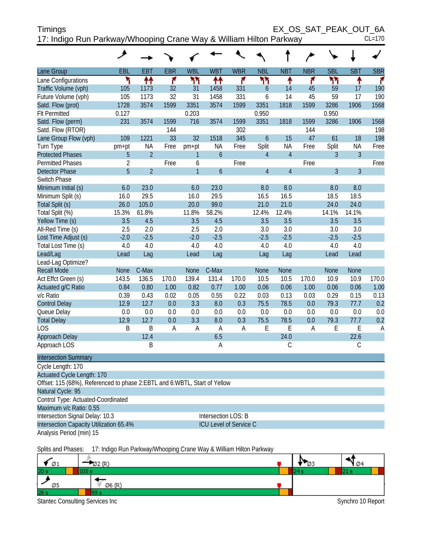| <b>Timings</b>                                                     | EX OS SAT PEAK OUT 6A |          |
|--------------------------------------------------------------------|-----------------------|----------|
| 17: Indigo Run Parkway/Whooping Crane Way & William Hilton Parkway |                       | $CL=170$ |

|                                                                           | عر             |                |            |                |                  |             |                  |                |            |                |                |            |
|---------------------------------------------------------------------------|----------------|----------------|------------|----------------|------------------|-------------|------------------|----------------|------------|----------------|----------------|------------|
| Lane Group                                                                | EBL            | <b>EBT</b>     | <b>EBR</b> | <b>WBL</b>     | <b>WBT</b>       | <b>WBR</b>  | <b>NBL</b>       | <b>NBT</b>     | <b>NBR</b> | <b>SBL</b>     | <b>SBT</b>     | <b>SBR</b> |
| Lane Configurations                                                       | ۲              | ↟↟             | ۴          | ካካ             | ተተ               | ۴           | ካነ               | ↟              | ۴          | ካካ             | ↟              | ۴          |
| Traffic Volume (vph)                                                      | 105            | 1173           | 32         | 31             | 1458             | 331         | 6                | 14             | 45         | 59             | 17             | 190        |
| Future Volume (vph)                                                       | 105            | 1173           | 32         | 31             | 1458             | 331         | 6                | 14             | 45         | 59             | 17             | 190        |
| Satd. Flow (prot)                                                         | 1728           | 3574           | 1599       | 3351           | 3574             | 1599        | 3351             | 1818           | 1599       | 3286           | 1906           | 1568       |
| <b>Flt Permitted</b>                                                      | 0.127          |                |            | 0.203          |                  |             | 0.950            |                |            | 0.950          |                |            |
| Satd. Flow (perm)                                                         | 231            | 3574           | 1599       | 716            | 3574             | 1599        | 3351             | 1818           | 1599       | 3286           | 1906           | 1568       |
| Satd. Flow (RTOR)                                                         |                |                | 144        |                |                  | 302         |                  |                | 144        |                |                | 198        |
| Lane Group Flow (vph)                                                     | 109            | 1221           | 33         | 32             | 1518             | 345         | $\boldsymbol{6}$ | 15             | 47         | 61             | 18             | 198        |
| Turn Type                                                                 | pm+pt          | <b>NA</b>      | Free       | pm+pt          | <b>NA</b>        | Free        | Split            | <b>NA</b>      | Free       | Split          | <b>NA</b>      | Free       |
| <b>Protected Phases</b>                                                   | 5              | $\overline{2}$ |            | 1              | $\mathfrak b$    |             | $\overline{4}$   | $\overline{4}$ |            | 3              | $\overline{3}$ |            |
| <b>Permitted Phases</b>                                                   | $\overline{2}$ |                | Free       | 6              |                  | Free        |                  |                | Free       |                |                | Free       |
| <b>Detector Phase</b>                                                     | 5              | $\overline{2}$ |            | $\overline{1}$ | $\boldsymbol{6}$ |             | $\overline{4}$   | $\overline{4}$ |            | $\overline{3}$ | $\mathfrak{Z}$ |            |
| Switch Phase                                                              |                |                |            |                |                  |             |                  |                |            |                |                |            |
| Minimum Initial (s)                                                       | 6.0            | 23.0           |            | 6.0            | 23.0             |             | 8.0              | 8.0            |            | 8.0            | 8.0            |            |
| Minimum Split (s)                                                         | 16.0           | 29.5           |            | 16.0           | 29.5             |             | 16.5             | 16.5           |            | 18.5           | 18.5           |            |
| Total Split (s)                                                           | 26.0           | 105.0          |            | 20.0           | 99.0             |             | 21.0             | 21.0           |            | 24.0           | 24.0           |            |
| Total Split (%)                                                           | 15.3%          | 61.8%          |            | 11.8%          | 58.2%            |             | 12.4%            | 12.4%          |            | 14.1%          | 14.1%          |            |
| Yellow Time (s)                                                           | 3.5            | 4.5            |            | 3.5            | 4.5              |             | 3.5              | 3.5            |            | 3.5            | 3.5            |            |
| All-Red Time (s)                                                          | 2.5            | 2.0            |            | 2.5            | 2.0              |             | 3.0              | 3.0            |            | 3.0            | 3.0            |            |
| Lost Time Adjust (s)                                                      | $-2.0$         | $-2.5$         |            | $-2.0$         | $-2.5$           |             | $-2.5$           | $-2.5$         |            | $-2.5$         | $-2.5$         |            |
| Total Lost Time (s)                                                       | 4.0            | 4.0            |            | 4.0            | 4.0              |             | 4.0              | 4.0            |            | 4.0            | 4.0            |            |
| Lead/Lag                                                                  | Lead           | Lag            |            | Lead           | Lag              |             | Lag              | Lag            |            | Lead           | Lead           |            |
| Lead-Lag Optimize?                                                        |                |                |            |                |                  |             |                  |                |            |                |                |            |
| <b>Recall Mode</b>                                                        | <b>None</b>    | C-Max          |            | <b>None</b>    | C-Max            |             | <b>None</b>      | <b>None</b>    |            | <b>None</b>    | <b>None</b>    |            |
| Act Effct Green (s)                                                       | 143.5          | 136.5          | 170.0      | 139.4          | 131.4            | 170.0       | 10.5             | 10.5           | 170.0      | 10.9           | 10.9           | 170.0      |
| Actuated g/C Ratio                                                        | 0.84           | 0.80           | 1.00       | 0.82           | 0.77             | 1.00        | 0.06             | 0.06           | 1.00       | 0.06           | 0.06           | 1.00       |
| v/c Ratio                                                                 | 0.39           | 0.43           | 0.02       | 0.05           | 0.55             | 0.22        | 0.03             | 0.13           | 0.03       | 0.29           | 0.15           | 0.13       |
| <b>Control Delay</b>                                                      | 12.9           | 12.7           | 0.0        | 3.3            | 8.0              | 0.3         | 75.5             | 78.5           | 0.0        | 79.3           | 77.7           | 0.2        |
| Queue Delay                                                               | 0.0            | 0.0            | 0.0        | 0.0            | 0.0              | 0.0         | 0.0              | 0.0            | 0.0        | 0.0            | 0.0            | 0.0        |
| <b>Total Delay</b>                                                        | 12.9           | 12.7           | 0.0        | 3.3            | 8.0              | 0.3         | 75.5             | 78.5           | 0.0        | 79.3           | 77.7           | 0.2        |
| <b>LOS</b>                                                                | B              | B              | Α          | A              | A                | $\mathsf A$ | E                | E              | A          | E              | E              | A          |
| Approach Delay                                                            |                | 12.4           |            |                | 6.5              |             |                  | 24.0           |            |                | 22.6           |            |
| Approach LOS                                                              |                | B              |            |                | $\overline{A}$   |             |                  | $\mathsf{C}$   |            |                | $\mathsf C$    |            |
| <b>Intersection Summary</b>                                               |                |                |            |                |                  |             |                  |                |            |                |                |            |
| Cycle Length: 170                                                         |                |                |            |                |                  |             |                  |                |            |                |                |            |
| <b>Actuated Cycle Length: 170</b>                                         |                |                |            |                |                  |             |                  |                |            |                |                |            |
| Offset: 115 (68%), Referenced to phase 2:EBTL and 6:WBTL, Start of Yellow |                |                |            |                |                  |             |                  |                |            |                |                |            |
| Natural Cycle: 95                                                         |                |                |            |                |                  |             |                  |                |            |                |                |            |
| Control Type: Actuated-Coordinated                                        |                |                |            |                |                  |             |                  |                |            |                |                |            |
| Maximum v/c Ratio: 0.55                                                   |                |                |            |                |                  |             |                  |                |            |                |                |            |

Analysis Period (min) 15

Intersection Signal Delay: 10.3 Intersection LOS: B Intersection Capacity Utilization 65.4% ICU Level of Service C

Splits and Phases: 17: Indigo Run Parkway/Whooping Crane Way & William Hilton Parkway

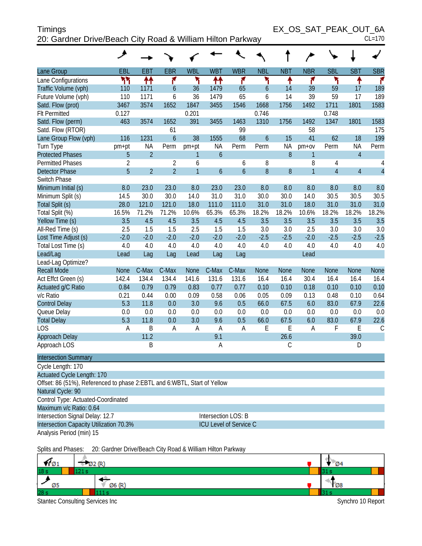| <b>Timings</b>                                             | EX OS SAT PEAK OUT 6A |
|------------------------------------------------------------|-----------------------|
| 20: Gardner Drive/Beach City Road & William Hilton Parkway | $CL=170$              |

|                                                                            | عر             |                |                  |                |                     |                               |                  |             |              |                |                |                |
|----------------------------------------------------------------------------|----------------|----------------|------------------|----------------|---------------------|-------------------------------|------------------|-------------|--------------|----------------|----------------|----------------|
| Lane Group                                                                 | EBL            | <b>EBT</b>     | <b>EBR</b>       | <b>WBL</b>     | <b>WBT</b>          | <b>WBR</b>                    | <b>NBL</b>       | <b>NBT</b>  | <b>NBR</b>   | <b>SBL</b>     | <b>SBT</b>     | <b>SBR</b>     |
| Lane Configurations                                                        | ካካ             | ↟↟             | ۴                | ۲              | ↟↟                  | ۴                             | ۲                | ۰           | ۴            | ۲              | ↟              | ۴              |
| Traffic Volume (vph)                                                       | 110            | 1171           | $\boldsymbol{6}$ | 36             | 1479                | 65                            | $\boldsymbol{6}$ | 14          | 39           | 59             | 17             | 189            |
| Future Volume (vph)                                                        | 110            | 1171           | 6                | 36             | 1479                | 65                            | 6                | 14          | 39           | 59             | 17             | 189            |
| Satd. Flow (prot)                                                          | 3467           | 3574           | 1652             | 1847           | 3455                | 1546                          | 1668             | 1756        | 1492         | 1711           | 1801           | 1583           |
| <b>Flt Permitted</b>                                                       | 0.127          |                |                  | 0.201          |                     |                               | 0.746            |             |              | 0.748          |                |                |
| Satd. Flow (perm)                                                          | 463            | 3574           | 1652             | 391            | 3455                | 1463                          | 1310             | 1756        | 1492         | 1347           | 1801           | 1583           |
| Satd. Flow (RTOR)                                                          |                |                | 61               |                |                     | 99                            |                  |             | 58           |                |                | 175            |
| Lane Group Flow (vph)                                                      | 116            | 1231           | $\overline{6}$   | 38             | 1555                | 68                            | $\mathfrak b$    | 15          | 41           | 62             | 18             | 199            |
| Turn Type                                                                  | pm+pt          | NA             | Perm             | pm+pt          | <b>NA</b>           | Perm                          | Perm             | <b>NA</b>   | pm+ov        | Perm           | <b>NA</b>      | Perm           |
| <b>Protected Phases</b>                                                    | 5              | $\overline{2}$ |                  | 1              | $\boldsymbol{6}$    |                               |                  | 8           | 1            |                | $\overline{4}$ |                |
| <b>Permitted Phases</b>                                                    | $\overline{2}$ |                | $\overline{2}$   | 6              |                     | 6                             | 8                |             | 8            | 4              |                | 4              |
| <b>Detector Phase</b>                                                      | 5              | $\overline{2}$ | $\overline{2}$   | $\overline{1}$ | $\overline{6}$      | $\boldsymbol{6}$              | 8                | $8\,$       | $\mathbf{1}$ | $\overline{4}$ | $\overline{4}$ | $\overline{4}$ |
| Switch Phase                                                               |                |                |                  |                |                     |                               |                  |             |              |                |                |                |
| Minimum Initial (s)                                                        | 8.0            | 23.0           | 23.0             | 8.0            | 23.0                | 23.0                          | 8.0              | 8.0         | 8.0          | 8.0            | 8.0            | 8.0            |
| Minimum Split (s)                                                          | 14.5           | 30.0           | 30.0             | 14.0           | 31.0                | 31.0                          | 30.0             | 30.0        | 14.0         | 30.5           | 30.5           | 30.5           |
| Total Split (s)                                                            | 28.0           | 121.0          | 121.0            | 18.0           | 111.0               | 111.0                         | 31.0             | 31.0        | 18.0         | 31.0           | 31.0           | 31.0           |
| Total Split (%)                                                            | 16.5%          | 71.2%          | 71.2%            | 10.6%          | 65.3%               | 65.3%                         | 18.2%            | 18.2%       | 10.6%        | 18.2%          | 18.2%          | 18.2%          |
| Yellow Time (s)                                                            | 3.5            | 4.5            | 4.5              | 3.5            | 4.5                 | 4.5                           | 3.5              | 3.5         | 3.5          | 3.5            | 3.5            | 3.5            |
| All-Red Time (s)                                                           | 2.5            | 1.5            | 1.5              | 2.5            | 1.5                 | 1.5                           | 3.0              | 3.0         | 2.5          | 3.0            | 3.0            | 3.0            |
| Lost Time Adjust (s)                                                       | $-2.0$         | $-2.0$         | $-2.0$           | $-2.0$         | $-2.0$              | $-2.0$                        | $-2.5$           | $-2.5$      | $-2.0$       | $-2.5$         | $-2.5$         | $-2.5$         |
| Total Lost Time (s)                                                        | 4.0            | 4.0            | 4.0              | 4.0            | 4.0                 | 4.0                           | 4.0              | 4.0         | 4.0          | 4.0            | 4.0            | 4.0            |
| Lead/Lag                                                                   | Lead           | Lag            | Lag              | Lead           | Lag                 | Lag                           |                  |             | Lead         |                |                |                |
| Lead-Lag Optimize?                                                         |                |                |                  |                |                     |                               |                  |             |              |                |                |                |
| <b>Recall Mode</b>                                                         | <b>None</b>    | C-Max          | C-Max            | <b>None</b>    | C-Max               | C-Max                         | None             | <b>None</b> | <b>None</b>  | None           | <b>None</b>    | <b>None</b>    |
| Act Effct Green (s)                                                        | 142.4          | 134.4          | 134.4            | 141.6          | 131.6               | 131.6                         | 16.4             | 16.4        | 30.4         | 16.4           | 16.4           | 16.4           |
| Actuated g/C Ratio                                                         | 0.84           | 0.79           | 0.79             | 0.83           | 0.77                | 0.77                          | 0.10             | 0.10        | 0.18         | 0.10           | 0.10           | 0.10           |
| v/c Ratio                                                                  | 0.21           | 0.44           | 0.00             | 0.09           | 0.58                | 0.06                          | 0.05             | 0.09        | 0.13         | 0.48           | 0.10           | 0.64           |
| <b>Control Delay</b>                                                       | 5.3            | 11.8           | 0.0              | 3.0            | 9.6                 | 0.5                           | 66.0             | 67.5        | 6.0          | 83.0           | 67.9           | 22.6           |
| Queue Delay                                                                | 0.0            | 0.0            | 0.0              | 0.0            | 0.0                 | 0.0                           | 0.0              | 0.0         | 0.0          | 0.0            | 0.0            | 0.0            |
| <b>Total Delay</b>                                                         | 5.3            | 11.8           | 0.0              | 3.0            | 9.6                 | 0.5                           | 66.0             | 67.5        | 6.0          | 83.0           | 67.9           | 22.6           |
| <b>LOS</b>                                                                 | A              | B              | A                | A              | $\overline{A}$      | A                             | E                | E           | A            | F              | E              | $\mathsf C$    |
| Approach Delay                                                             |                | 11.2           |                  |                | 9.1                 |                               |                  | 26.6        |              |                | 39.0           |                |
| Approach LOS                                                               |                | B              |                  |                | Α                   |                               |                  | C           |              |                | D              |                |
| <b>Intersection Summary</b>                                                |                |                |                  |                |                     |                               |                  |             |              |                |                |                |
| Cycle Length: 170                                                          |                |                |                  |                |                     |                               |                  |             |              |                |                |                |
| Actuated Cycle Length: 170                                                 |                |                |                  |                |                     |                               |                  |             |              |                |                |                |
| Offset: 86 (51%), Referenced to phase 2: EBTL and 6: WBTL, Start of Yellow |                |                |                  |                |                     |                               |                  |             |              |                |                |                |
| Natural Cycle: 90                                                          |                |                |                  |                |                     |                               |                  |             |              |                |                |                |
| Control Type: Actuated-Coordinated                                         |                |                |                  |                |                     |                               |                  |             |              |                |                |                |
| Maximum v/c Ratio: 0.64                                                    |                |                |                  |                |                     |                               |                  |             |              |                |                |                |
| Intersection Signal Delay: 12.7                                            |                |                |                  |                | Intersection LOS: B |                               |                  |             |              |                |                |                |
| Intersection Capacity Utilization 70.3%                                    |                |                |                  |                |                     | <b>ICU Level of Service C</b> |                  |             |              |                |                |                |
| Analysis Period (min) 15                                                   |                |                |                  |                |                     |                               |                  |             |              |                |                |                |

Splits and Phases: 20: Gardner Drive/Beach City Road & William Hilton Parkway

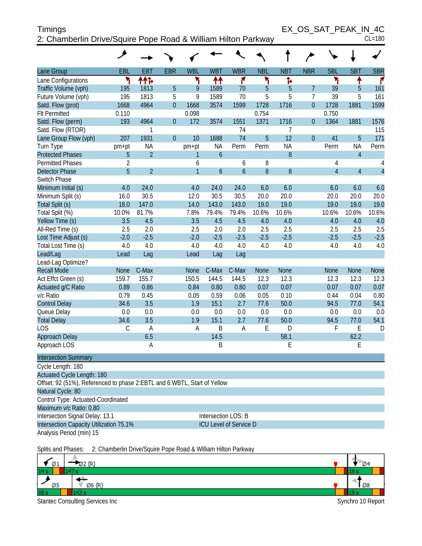| <b>Timings</b>                                                | EX OS SAT PEAK IN 4C |            |
|---------------------------------------------------------------|----------------------|------------|
| 2: Chamberlin Drive/Squire Pope Road & William Hilton Parkway |                      | $CL = 180$ |

EX\_OS\_SAT\_PEAK\_IN\_4C<br>CL=180

|                                                                          | خر             |                |                  |              |                     |                               |             |                  |                |                |                |                |
|--------------------------------------------------------------------------|----------------|----------------|------------------|--------------|---------------------|-------------------------------|-------------|------------------|----------------|----------------|----------------|----------------|
| Lane Group                                                               | EBL            | <b>EBT</b>     | <b>EBR</b>       | <b>WBL</b>   | <b>WBT</b>          | <b>WBR</b>                    | <b>NBL</b>  | <b>NBT</b>       | <b>NBR</b>     | <b>SBL</b>     | <b>SBT</b>     | <b>SBR</b>     |
| Lane Configurations                                                      | ኻ              | ተተኈ            |                  | ۲            | ↟↟                  | ۴                             | ۲           | ħ                |                | ۲              | ↟              | ۴              |
| Traffic Volume (vph)                                                     | 195            | 1813           | 5                | 9            | 1589                | 70                            | 5           | 5                | $\overline{7}$ | 39             | 5              | 161            |
| Future Volume (vph)                                                      | 195            | 1813           | 5                | 9            | 1589                | 70                            | 5           | 5                | 7              | 39             | 5              | 161            |
| Satd. Flow (prot)                                                        | 1668           | 4964           | $\boldsymbol{0}$ | 1668         | 3574                | 1599                          | 1728        | 1716             | $\mathbf{0}$   | 1728           | 1881           | 1599           |
| <b>Flt Permitted</b>                                                     | 0.110          |                |                  | 0.098        |                     |                               | 0.754       |                  |                | 0.750          |                |                |
| Satd. Flow (perm)                                                        | 193            | 4964           | $\overline{0}$   | 172          | 3574                | 1551                          | 1371        | 1716             | $\mathbf 0$    | 1364           | 1881           | 1576           |
| Satd. Flow (RTOR)                                                        |                | 1              |                  |              |                     | 74                            |             | 7                |                |                |                | 115            |
| Lane Group Flow (vph)                                                    | 207            | 1931           | $\overline{0}$   | 10           | 1688                | 74                            | 5           | 12               | $\overline{0}$ | 41             | 5              | 171            |
| Turn Type                                                                | pm+pt          | <b>NA</b>      |                  | pm+pt        | <b>NA</b>           | Perm                          | Perm        | <b>NA</b>        |                | Perm           | <b>NA</b>      | Perm           |
| <b>Protected Phases</b>                                                  | 5              | $\overline{2}$ |                  | 1            | $\ddot{\mathbf{6}}$ |                               |             | 8                |                |                | $\overline{4}$ |                |
| <b>Permitted Phases</b>                                                  | $\overline{2}$ |                |                  | 6            |                     | 6                             | 8           |                  |                | 4              |                | 4              |
| <b>Detector Phase</b>                                                    | 5              | $\overline{2}$ |                  | $\mathbf{1}$ | $\ddot{\mathbf{6}}$ | $\boldsymbol{6}$              | 8           | $\boldsymbol{8}$ |                | $\overline{4}$ | $\overline{4}$ | $\overline{4}$ |
| Switch Phase                                                             | 4.0            | 24.0           |                  | 4.0          | 24.0                | 24.0                          | 6.0         | 6.0              |                | 6.0            | 6.0            |                |
| Minimum Initial (s)<br>Minimum Split (s)                                 | 16.0           | 30.5           |                  | 12.0         | 30.5                | 30.5                          | 20.0        | 20.0             |                | 20.0           | 20.0           | 6.0<br>20.0    |
| Total Split (s)                                                          | 18.0           | 147.0          |                  | 14.0         | 143.0               | 143.0                         | 19.0        | 19.0             |                | 19.0           | 19.0           | 19.0           |
| Total Split (%)                                                          | 10.0%          | 81.7%          |                  | 7.8%         | 79.4%               | 79.4%                         | 10.6%       | 10.6%            |                | 10.6%          | 10.6%          | 10.6%          |
| Yellow Time (s)                                                          | 3.5            | 4.5            |                  | 3.5          | 4.5                 | 4.5                           | 4.0         | 4.0              |                | 4.0            | 4.0            | 4.0            |
| All-Red Time (s)                                                         | 2.5            | 2.0            |                  | 2.5          | 2.0                 | 2.0                           | 2.5         | 2.5              |                | 2.5            | 2.5            | 2.5            |
| Lost Time Adjust (s)                                                     | $-2.0$         | $-2.5$         |                  | $-2.0$       | $-2.5$              | $-2.5$                        | $-2.5$      | $-2.5$           |                | $-2.5$         | $-2.5$         | $-2.5$         |
| Total Lost Time (s)                                                      | 4.0            | 4.0            |                  | 4.0          | 4.0                 | 4.0                           | 4.0         | 4.0              |                | 4.0            | 4.0            | 4.0            |
| Lead/Lag                                                                 | Lead           | Lag            |                  | Lead         | Lag                 | Lag                           |             |                  |                |                |                |                |
| Lead-Lag Optimize?                                                       |                |                |                  |              |                     |                               |             |                  |                |                |                |                |
| <b>Recall Mode</b>                                                       | <b>None</b>    | C-Max          |                  | <b>None</b>  | C-Max               | C-Max                         | <b>None</b> | None             |                | <b>None</b>    | <b>None</b>    | <b>None</b>    |
| Act Effct Green (s)                                                      | 159.7          | 155.7          |                  | 150.5        | 144.5               | 144.5                         | 12.3        | 12.3             |                | 12.3           | 12.3           | 12.3           |
| Actuated g/C Ratio                                                       | 0.89           | 0.86           |                  | 0.84         | 0.80                | 0.80                          | 0.07        | 0.07             |                | 0.07           | 0.07           | 0.07           |
| v/c Ratio                                                                | 0.79           | 0.45           |                  | 0.05         | 0.59                | 0.06                          | 0.05        | 0.10             |                | 0.44           | 0.04           | 0.80           |
| <b>Control Delay</b>                                                     | 34.6           | 3.5            |                  | 1.9          | 15.1                | 2.7                           | 77.6        | 50.0             |                | 94.5           | 77.0           | 54.1           |
| Queue Delay                                                              | 0.0            | 0.0            |                  | 0.0          | 0.0                 | 0.0                           | 0.0         | 0.0              |                | 0.0            | 0.0            | 0.0            |
| <b>Total Delay</b>                                                       | 34.6           | 3.5            |                  | 1.9          | 15.1                | 2.7                           | 77.6        | 50.0             |                | 94.5           | 77.0           | 54.1           |
| LOS                                                                      | $\mathsf C$    | A              |                  | A            | B                   | A                             | E           | D                |                | F              | Ε              | D              |
| Approach Delay                                                           |                | 6.5            |                  |              | 14.5                |                               |             | 58.1             |                |                | 62.2           |                |
| Approach LOS                                                             |                | A              |                  |              | B                   |                               |             | E                |                |                | E              |                |
| <b>Intersection Summary</b>                                              |                |                |                  |              |                     |                               |             |                  |                |                |                |                |
| Cycle Length: 180                                                        |                |                |                  |              |                     |                               |             |                  |                |                |                |                |
| <b>Actuated Cycle Length: 180</b>                                        |                |                |                  |              |                     |                               |             |                  |                |                |                |                |
| Offset: 92 (51%), Referenced to phase 2:EBTL and 6:WBTL, Start of Yellow |                |                |                  |              |                     |                               |             |                  |                |                |                |                |
| Natural Cycle: 80                                                        |                |                |                  |              |                     |                               |             |                  |                |                |                |                |
| Control Type: Actuated-Coordinated                                       |                |                |                  |              |                     |                               |             |                  |                |                |                |                |
| Maximum v/c Ratio: 0.80                                                  |                |                |                  |              |                     |                               |             |                  |                |                |                |                |
| Intersection Signal Delay: 13.1                                          |                |                |                  |              | Intersection LOS: B |                               |             |                  |                |                |                |                |
| Intersection Capacity Utilization 75.1%                                  |                |                |                  |              |                     | <b>ICU Level of Service D</b> |             |                  |                |                |                |                |
| Analysis Period (min) 15                                                 |                |                |                  |              |                     |                               |             |                  |                |                |                |                |

Splits and Phases: 2: Chamberlin Drive/Squire Pope Road & William Hilton Parkway

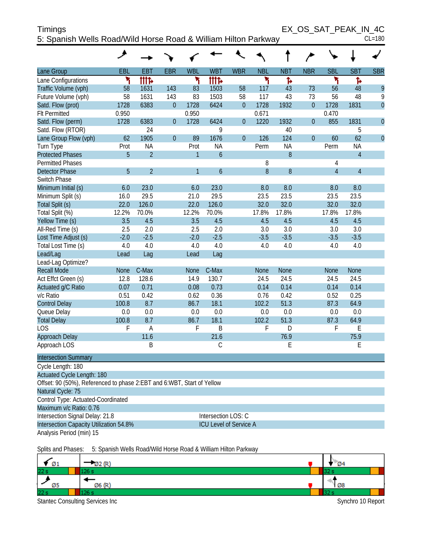| <b>Timings</b>                                                 | EX OS SAT PEAK IN 4C |        |
|----------------------------------------------------------------|----------------------|--------|
| 5: Spanish Wells Road/Wild Horse Road & William Hilton Parkway |                      | CL=180 |

|                                                                        | ↗            |                |                |                     |                               |                |              |              |                |                |                |                |
|------------------------------------------------------------------------|--------------|----------------|----------------|---------------------|-------------------------------|----------------|--------------|--------------|----------------|----------------|----------------|----------------|
| Lane Group                                                             | EBL          | <b>EBT</b>     | <b>EBR</b>     | <b>WBL</b>          | <b>WBT</b>                    | <b>WBR</b>     | <b>NBL</b>   | <b>NBT</b>   | <b>NBR</b>     | <b>SBL</b>     | <b>SBT</b>     | <b>SBR</b>     |
| Lane Configurations                                                    | ۲            | tttd           |                | ۲                   | tttd                          |                | ۲            | Ъ            |                | ٦              | Ъ              |                |
| Traffic Volume (vph)                                                   | 58           | 1631           | 143            | 83                  | 1503                          | 58             | 117          | 43           | 73             | 56             | 48             | 9              |
| Future Volume (vph)                                                    | 58           | 1631           | 143            | 83                  | 1503                          | 58             | 117          | 43           | 73             | 56             | 48             | 9              |
| Satd. Flow (prot)                                                      | 1728         | 6383           | $\overline{0}$ | 1728                | 6424                          | $\theta$       | 1728         | 1932         | $\overline{0}$ | 1728           | 1831           | $\mathbf 0$    |
| <b>Flt Permitted</b>                                                   | 0.950        |                |                | 0.950               |                               |                | 0.671        |              |                | 0.470          |                |                |
| Satd. Flow (perm)                                                      | 1728         | 6383           | $\overline{0}$ | 1728                | 6424                          | $\mathbf{0}$   | 1220         | 1932         | $\mathbf{0}$   | 855            | 1831           | $\overline{0}$ |
| Satd. Flow (RTOR)                                                      |              | 24             |                |                     | 9                             |                |              | 40           |                |                | 5              |                |
| Lane Group Flow (vph)                                                  | 62           | 1905           | $\overline{0}$ | 89                  | 1676                          | $\overline{0}$ | 126          | 124          | $\overline{0}$ | 60             | 62             | $\overline{0}$ |
| Turn Type                                                              | Prot         | <b>NA</b>      |                | Prot                | <b>NA</b>                     |                | Perm         | <b>NA</b>    |                | Perm           | <b>NA</b>      |                |
| <b>Protected Phases</b>                                                | 5            | $\overline{2}$ |                | $\mathbf{1}$        | $\overline{6}$                |                |              | $\, 8$       |                |                | $\overline{4}$ |                |
| <b>Permitted Phases</b>                                                |              |                |                |                     |                               |                | 8            |              |                | 4              |                |                |
| <b>Detector Phase</b>                                                  | 5            | $\overline{2}$ |                | $\mathbf{1}$        | $\ddot{\mathbf{6}}$           |                | 8            | $\, 8$       |                | $\overline{4}$ | $\overline{4}$ |                |
| Switch Phase                                                           |              |                |                |                     |                               |                |              |              |                |                |                |                |
| Minimum Initial (s)                                                    | 6.0          | 23.0           |                | 6.0                 | 23.0                          |                | 8.0          | 8.0          |                | 8.0            | 8.0            |                |
| Minimum Split (s)                                                      | 16.0         | 29.5           |                | 21.0                | 29.5                          |                | 23.5         | 23.5         |                | 23.5           | 23.5           |                |
| Total Split (s)                                                        | 22.0         | 126.0          |                | 22.0                | 126.0                         |                | 32.0         | 32.0         |                | 32.0           | 32.0           |                |
| Total Split (%)                                                        | 12.2%        | 70.0%          |                | 12.2%               | 70.0%                         |                | 17.8%        | 17.8%        |                | 17.8%          | 17.8%          |                |
| Yellow Time (s)                                                        | 3.5          | 4.5            |                | 3.5                 | 4.5                           |                | 4.5          | 4.5          |                | 4.5            | 4.5            |                |
| All-Red Time (s)                                                       | 2.5          | 2.0            |                | 2.5                 | 2.0                           |                | 3.0          | 3.0          |                | 3.0            | 3.0            |                |
| Lost Time Adjust (s)                                                   | $-2.0$       | $-2.5$         |                | $-2.0$              | $-2.5$                        |                | $-3.5$       | $-3.5$       |                | $-3.5$         | $-3.5$         |                |
| Total Lost Time (s)                                                    | 4.0          | 4.0            |                | 4.0                 | 4.0                           |                | 4.0          | 4.0          |                | 4.0            | 4.0            |                |
| Lead/Lag                                                               | Lead         | Lag            |                | Lead                | Lag                           |                |              |              |                |                |                |                |
| Lead-Lag Optimize?<br><b>Recall Mode</b>                               |              |                |                |                     |                               |                |              |              |                |                |                |                |
|                                                                        | <b>None</b>  | C-Max<br>128.6 |                | <b>None</b><br>14.9 | C-Max                         |                | <b>None</b>  | <b>None</b>  |                | <b>None</b>    | <b>None</b>    |                |
| Act Effct Green (s)                                                    | 12.8<br>0.07 | 0.71           |                | 0.08                | 130.7<br>0.73                 |                | 24.5<br>0.14 | 24.5<br>0.14 |                | 24.5<br>0.14   | 24.5<br>0.14   |                |
| Actuated g/C Ratio<br>v/c Ratio                                        | 0.51         | 0.42           |                | 0.62                | 0.36                          |                | 0.76         | 0.42         |                | 0.52           | 0.25           |                |
| <b>Control Delay</b>                                                   | 100.8        | 8.7            |                | 86.7                | 18.1                          |                | 102.2        | 51.3         |                | 87.3           | 64.9           |                |
| Queue Delay                                                            | 0.0          | 0.0            |                | 0.0                 | 0.0                           |                | 0.0          | 0.0          |                | 0.0            | 0.0            |                |
| <b>Total Delay</b>                                                     | 100.8        | 8.7            |                | 86.7                | 18.1                          |                | 102.2        | 51.3         |                | 87.3           | 64.9           |                |
| LOS                                                                    | F            | A              |                | F                   | B                             |                | F            | D            |                | F              | E              |                |
| Approach Delay                                                         |              | 11.6           |                |                     | 21.6                          |                |              | 76.9         |                |                | 75.9           |                |
| Approach LOS                                                           |              | B              |                |                     | С                             |                |              | E            |                |                | E              |                |
| <b>Intersection Summary</b>                                            |              |                |                |                     |                               |                |              |              |                |                |                |                |
| Cycle Length: 180                                                      |              |                |                |                     |                               |                |              |              |                |                |                |                |
| Actuated Cycle Length: 180                                             |              |                |                |                     |                               |                |              |              |                |                |                |                |
| Offset: 90 (50%), Referenced to phase 2:EBT and 6:WBT, Start of Yellow |              |                |                |                     |                               |                |              |              |                |                |                |                |
| Natural Cycle: 75                                                      |              |                |                |                     |                               |                |              |              |                |                |                |                |
| Control Type: Actuated-Coordinated                                     |              |                |                |                     |                               |                |              |              |                |                |                |                |
| Maximum v/c Ratio: 0.76                                                |              |                |                |                     |                               |                |              |              |                |                |                |                |
| Intersection Signal Delay: 21.8                                        |              |                |                |                     | Intersection LOS: C           |                |              |              |                |                |                |                |
| Intersection Capacity Utilization 54.8%                                |              |                |                |                     | <b>ICU Level of Service A</b> |                |              |              |                |                |                |                |
| Analysis Period (min) 15                                               |              |                |                |                     |                               |                |              |              |                |                |                |                |
|                                                                        |              |                |                |                     |                               |                |              |              |                |                |                |                |

Splits and Phases: 5: Spanish Wells Road/Wild Horse Road & William Hilton Parkway

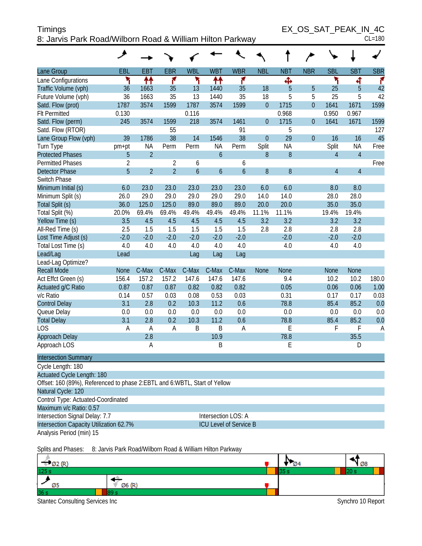## Timings EX\_OS\_SAT\_PEAK\_IN\_4C 8: Jarvis Park Road/Wilborn Road & William Hilton Parkway CL=180

|                                                                             | ◢              |                |                |                     |                     |                        |              |            |                  |             |                |            |
|-----------------------------------------------------------------------------|----------------|----------------|----------------|---------------------|---------------------|------------------------|--------------|------------|------------------|-------------|----------------|------------|
| Lane Group                                                                  | EBL            | <b>EBT</b>     | <b>EBR</b>     | <b>WBL</b>          | <b>WBT</b>          | <b>WBR</b>             | <b>NBL</b>   | <b>NBT</b> | <b>NBR</b>       | <b>SBL</b>  | <b>SBT</b>     | <b>SBR</b> |
| Lane Configurations                                                         | ۲              | 11             | ۴              | ۲                   | ↟↟                  | ۴                      |              | ф          |                  | ۲           | 4              | ۴          |
| Traffic Volume (vph)                                                        | 36             | 1663           | 35             | 13                  | 1440                | 35                     | 18           | 5          | 5                | 25          | 5              | 42         |
| Future Volume (vph)                                                         | 36             | 1663           | 35             | 13                  | 1440                | 35                     | 18           | 5          | 5                | 25          | 5              | 42         |
| Satd. Flow (prot)                                                           | 1787           | 3574           | 1599           | 1787                | 3574                | 1599                   | $\mathbf{0}$ | 1715       | $\overline{0}$   | 1641        | 1671           | 1599       |
| <b>Flt Permitted</b>                                                        | 0.130          |                |                | 0.116               |                     |                        |              | 0.968      |                  | 0.950       | 0.967          |            |
| Satd. Flow (perm)                                                           | 245            | 3574           | 1599           | 218                 | 3574                | 1461                   | $\mathbf{0}$ | 1715       | $\boldsymbol{0}$ | 1641        | 1671           | 1599       |
| Satd. Flow (RTOR)                                                           |                |                | 55             |                     |                     | 91                     |              | 5          |                  |             |                | 127        |
| Lane Group Flow (vph)                                                       | 39             | 1786           | 38             | 14                  | 1546                | 38                     | $\mathbf{0}$ | 29         | $\overline{0}$   | 16          | 16             | 45         |
| Turn Type                                                                   | pm+pt          | <b>NA</b>      | Perm           | Perm                | <b>NA</b>           | Perm                   | Split        | <b>NA</b>  |                  | Split       | <b>NA</b>      | Free       |
| <b>Protected Phases</b>                                                     | 5              | $\overline{2}$ |                |                     | $\overline{6}$      |                        | 8            | 8          |                  | 4           | $\overline{4}$ |            |
| <b>Permitted Phases</b>                                                     | $\overline{2}$ |                | $\overline{2}$ | 6                   |                     | 6                      |              |            |                  |             |                | Free       |
| <b>Detector Phase</b>                                                       | 5              | $\overline{2}$ | $\overline{2}$ | $\ddot{\mathbf{6}}$ | $\overline{6}$      | $\boldsymbol{6}$       | 8            | 8          |                  | 4           | $\overline{4}$ |            |
| Switch Phase                                                                |                |                |                |                     |                     |                        |              |            |                  |             |                |            |
| Minimum Initial (s)                                                         | 6.0            | 23.0           | 23.0           | 23.0                | 23.0                | 23.0                   | 6.0          | 6.0        |                  | 8.0         | 8.0            |            |
| Minimum Split (s)                                                           | 26.0           | 29.0           | 29.0           | 29.0                | 29.0                | 29.0                   | 14.0         | 14.0       |                  | 28.0        | 28.0           |            |
| Total Split (s)                                                             | 36.0           | 125.0          | 125.0          | 89.0                | 89.0                | 89.0                   | 20.0         | 20.0       |                  | 35.0        | 35.0           |            |
| Total Split (%)                                                             | 20.0%          | 69.4%          | 69.4%          | 49.4%               | 49.4%               | 49.4%                  | 11.1%        | 11.1%      |                  | 19.4%       | 19.4%          |            |
| Yellow Time (s)                                                             | 3.5            | 4.5            | 4.5            | 4.5                 | 4.5                 | 4.5                    | 3.2          | 3.2        |                  | 3.2         | 3.2            |            |
| All-Red Time (s)                                                            | 2.5            | 1.5            | 1.5            | 1.5                 | 1.5                 | 1.5                    | 2.8          | 2.8        |                  | 2.8         | 2.8            |            |
| Lost Time Adjust (s)                                                        | $-2.0$         | $-2.0$         | $-2.0$         | $-2.0$              | $-2.0$              | $-2.0$                 |              | $-2.0$     |                  | $-2.0$      | $-2.0$         |            |
| Total Lost Time (s)                                                         | 4.0            | 4.0            | 4.0            | 4.0                 | 4.0                 | 4.0                    |              | 4.0        |                  | 4.0         | 4.0            |            |
| Lead/Lag                                                                    | Lead           |                |                | Lag                 | Lag                 | Lag                    |              |            |                  |             |                |            |
| Lead-Lag Optimize?                                                          |                |                |                |                     |                     |                        |              |            |                  |             |                |            |
| <b>Recall Mode</b>                                                          | <b>None</b>    | C-Max          | C-Max          | C-Max               | C-Max               | C-Max                  | <b>None</b>  | None       |                  | <b>None</b> | <b>None</b>    |            |
| Act Effct Green (s)                                                         | 156.4          | 157.2          | 157.2          | 147.6               | 147.6               | 147.6                  |              | 9.4        |                  | 10.2        | 10.2           | 180.0      |
| Actuated g/C Ratio                                                          | 0.87           | 0.87           | 0.87           | 0.82                | 0.82                | 0.82                   |              | 0.05       |                  | 0.06        | 0.06           | 1.00       |
| v/c Ratio                                                                   | 0.14           | 0.57           | 0.03           | 0.08                | 0.53                | 0.03                   |              | 0.31       |                  | 0.17        | 0.17           | 0.03       |
| <b>Control Delay</b>                                                        | 3.1            | 2.8            | 0.2            | 10.3                | 11.2                | 0.6                    |              | 78.8       |                  | 85.4        | 85.2           | 0.0        |
| Queue Delay                                                                 | 0.0            | 0.0            | 0.0            | 0.0                 | 0.0                 | 0.0                    |              | 0.0        |                  | 0.0         | 0.0            | 0.0        |
| <b>Total Delay</b>                                                          | 3.1            | 2.8            | 0.2            | 10.3                | 11.2                | 0.6                    |              | 78.8       |                  | 85.4        | 85.2           | 0.0        |
| LOS                                                                         | A              | A              | Α              | B                   | B                   | Α                      |              | E          |                  | F           | F              | A          |
| Approach Delay                                                              |                | 2.8            |                |                     | 10.9                |                        |              | 78.8       |                  |             | 35.5           |            |
|                                                                             |                |                |                |                     |                     |                        |              |            |                  |             |                |            |
| <b>Intersection Summary</b>                                                 |                |                |                |                     |                     |                        |              |            |                  |             |                |            |
| Cycle Length: 180                                                           |                |                |                |                     |                     |                        |              |            |                  |             |                |            |
| <b>Actuated Cycle Length: 180</b>                                           |                |                |                |                     |                     |                        |              |            |                  |             |                |            |
| Offset: 160 (89%), Referenced to phase 2: EBTL and 6: WBTL, Start of Yellow |                |                |                |                     |                     |                        |              |            |                  |             |                |            |
| Natural Cycle: 120                                                          |                |                |                |                     |                     |                        |              |            |                  |             |                |            |
| Control Type: Actuated-Coordinated                                          |                |                |                |                     |                     |                        |              |            |                  |             |                |            |
| Maximum v/c Ratio: 0.57                                                     |                |                |                |                     |                     |                        |              |            |                  |             |                |            |
| Intersection Signal Delay: 7.7                                              |                |                |                |                     | Intersection LOS: A |                        |              |            |                  |             |                |            |
| Intersection Capacity Utilization 62.7%                                     |                |                |                |                     |                     | ICU Level of Service B |              |            |                  |             |                |            |
| Analysis Period (min) 15                                                    |                |                |                |                     |                     |                        |              |            |                  |             |                |            |
| Approach LOS                                                                |                | Α              |                |                     | Β                   |                        |              | E          |                  |             | D              |            |

Splits and Phases: 8: Jarvis Park Road/Wilborn Road & William Hilton Parkway

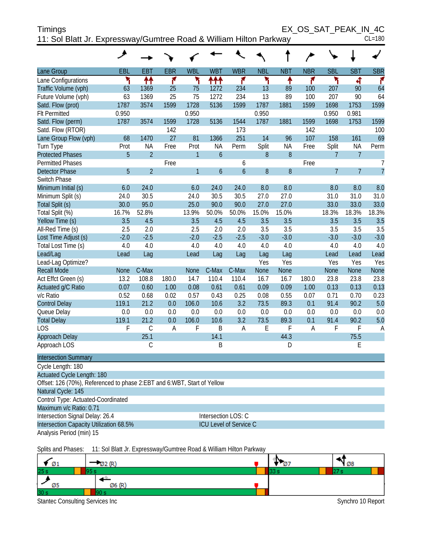| <b>Timings</b>                                                     | EX OS SAT PEAK IN 4C |
|--------------------------------------------------------------------|----------------------|
| 11: Sol Blatt Jr. Expressway/Gumtree Road & William Hilton Parkway | $CL = 180$           |

|                             | حر          |                |            |              |                  |                  |             |                  |                |                |                |                |
|-----------------------------|-------------|----------------|------------|--------------|------------------|------------------|-------------|------------------|----------------|----------------|----------------|----------------|
| Lane Group                  | EBL         | <b>EBT</b>     | <b>EBR</b> | <b>WBL</b>   | <b>WBT</b>       | <b>WBR</b>       | <b>NBL</b>  | <b>NBT</b>       | <b>NBR</b>     | <b>SBL</b>     | <b>SBT</b>     | <b>SBR</b>     |
| Lane Configurations         | ۲           | ↟↟             | ۴          | ۳            | 111              | ۴                | ۲           | ۸                | ۴              | ۲              | 4              | ۴              |
| Traffic Volume (vph)        | 63          | 1369           | 25         | 75           | 1272             | 234              | 13          | 89               | 100            | 207            | 90             | 64             |
| Future Volume (vph)         | 63          | 1369           | 25         | 75           | 1272             | 234              | 13          | 89               | 100            | 207            | 90             | 64             |
| Satd. Flow (prot)           | 1787        | 3574           | 1599       | 1728         | 5136             | 1599             | 1787        | 1881             | 1599           | 1698           | 1753           | 1599           |
| <b>Flt Permitted</b>        | 0.950       |                |            | 0.950        |                  |                  | 0.950       |                  |                | 0.950          | 0.981          |                |
| Satd. Flow (perm)           | 1787        | 3574           | 1599       | 1728         | 5136             | 1544             | 1787        | 1881             | 1599           | 1698           | 1753           | 1599           |
| Satd. Flow (RTOR)           |             |                | 142        |              |                  | 173              |             |                  | 142            |                |                | 100            |
| Lane Group Flow (vph)       | 68          | 1470           | 27         | 81           | 1366             | 251              | 14          | 96               | 107            | 158            | 161            | 69             |
| Turn Type                   | Prot        | <b>NA</b>      | Free       | Prot         | <b>NA</b>        | Perm             | Split       | <b>NA</b>        | Free           | Split          | <b>NA</b>      | Perm           |
| <b>Protected Phases</b>     | 5           | $\overline{2}$ |            | $\mathbf{1}$ | $\overline{6}$   |                  | 8           | 8                |                | $\overline{7}$ | $\overline{7}$ |                |
| <b>Permitted Phases</b>     |             |                | Free       |              |                  | 6                |             |                  | Free           |                |                | $\overline{7}$ |
| <b>Detector Phase</b>       | 5           | $\overline{2}$ |            | $\mathbf{1}$ | $\boldsymbol{6}$ | $\boldsymbol{6}$ | 8           | $\boldsymbol{8}$ |                | $\overline{7}$ | $\overline{7}$ | $\overline{7}$ |
| Switch Phase                |             |                |            |              |                  |                  |             |                  |                |                |                |                |
| Minimum Initial (s)         | 6.0         | 24.0           |            | 6.0          | 24.0             | 24.0             | 8.0         | 8.0              |                | 8.0            | 8.0            | 8.0            |
| Minimum Split (s)           | 24.0        | 30.5           |            | 24.0         | 30.5             | 30.5             | 27.0        | 27.0             |                | 31.0           | 31.0           | 31.0           |
| Total Split (s)             | 30.0        | 95.0           |            | 25.0         | 90.0             | 90.0             | 27.0        | 27.0             |                | 33.0           | 33.0           | 33.0           |
| Total Split (%)             | 16.7%       | 52.8%          |            | 13.9%        | 50.0%            | 50.0%            | 15.0%       | 15.0%            |                | 18.3%          | 18.3%          | 18.3%          |
| Yellow Time (s)             | 3.5         | 4.5            |            | 3.5          | 4.5              | 4.5              | 3.5         | 3.5              |                | 3.5            | 3.5            | 3.5            |
| All-Red Time (s)            | 2.5         | 2.0            |            | 2.5          | 2.0              | 2.0              | 3.5         | 3.5              |                | 3.5            | 3.5            | 3.5            |
| Lost Time Adjust (s)        | $-2.0$      | $-2.5$         |            | $-2.0$       | $-2.5$           | $-2.5$           | $-3.0$      | $-3.0$           |                | $-3.0$         | $-3.0$         | $-3.0$         |
| Total Lost Time (s)         | 4.0         | 4.0            |            | 4.0          | 4.0              | 4.0              | 4.0         | 4.0              |                | $4.0\,$        | 4.0            | 4.0            |
| Lead/Lag                    | Lead        | Lag            |            | Lead         | Lag              | Lag              | Lag         | Lag              |                | Lead           | Lead           | Lead           |
| Lead-Lag Optimize?          |             |                |            |              |                  |                  | Yes         | Yes              |                | Yes            | Yes            | Yes            |
| <b>Recall Mode</b>          | <b>None</b> | C-Max          |            | <b>None</b>  | C-Max            | C-Max            | <b>None</b> | <b>None</b>      |                | None           | <b>None</b>    | None           |
| Act Effct Green (s)         | 13.2        | 108.8          | 180.0      | 14.7         | 110.4            | 110.4            | 16.7        | 16.7             | 180.0          | 23.8           | 23.8           | 23.8           |
| Actuated g/C Ratio          | 0.07        | 0.60           | 1.00       | 0.08         | 0.61             | 0.61             | 0.09        | 0.09             | 1.00           | 0.13           | 0.13           | 0.13           |
| v/c Ratio                   | 0.52        | 0.68           | 0.02       | 0.57         | 0.43             | 0.25             | 0.08        | 0.55             | 0.07           | 0.71           | 0.70           | 0.23           |
| <b>Control Delay</b>        | 119.1       | 21.2           | 0.0        | 106.0        | 10.6             | 3.2              | 73.5        | 89.3             | 0.1            | 91.4           | 90.2           | 5.0            |
| Queue Delay                 | 0.0         | 0.0            | 0.0        | 0.0          | 0.0              | 0.0              | 0.0         | 0.0              | 0.0            | 0.0            | 0.0            | 0.0            |
| <b>Total Delay</b>          | 119.1       | 21.2           | 0.0        | 106.0        | 10.6             | 3.2              | 73.5        | 89.3             | 0.1            | 91.4           | 90.2           | 5.0            |
| LOS                         | F           | $\mathcal{C}$  | A          | F            | B                | A                | E           | F                | $\overline{A}$ | F              | F              | $\overline{A}$ |
| Approach Delay              |             | 25.1           |            |              | 14.1             |                  |             | 44.3             |                |                | 75.5           |                |
| Approach LOS                |             | C              |            |              | B                |                  |             | D                |                |                | E              |                |
| <b>Intersection Summary</b> |             |                |            |              |                  |                  |             |                  |                |                |                |                |

Cycle Length: 180 Actuated Cycle Length: 180 Offset: 126 (70%), Referenced to phase 2:EBT and 6:WBT, Start of Yellow Natural Cycle: 145 Control Type: Actuated-Coordinated Maximum v/c Ratio: 0.71 Intersection Signal Delay: 26.4 Intersection LOS: C Intersection Capacity Utilization 68.5% ICU Level of Service C

Analysis Period (min) 15

Splits and Phases: 11: Sol Blatt Jr. Expressway/Gumtree Road & William Hilton Parkway

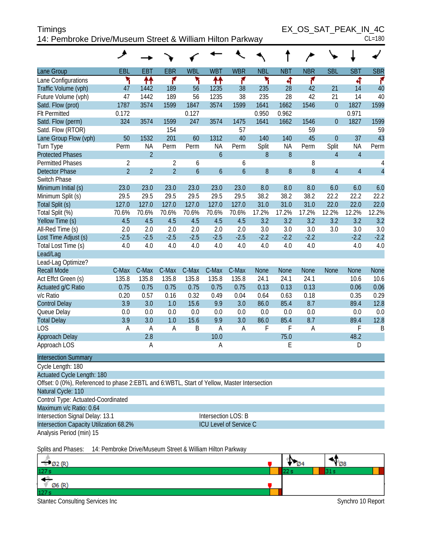| <b>Timings</b>                                            | EX OS SAT PEAK IN 4C |
|-----------------------------------------------------------|----------------------|
| 14: Pembroke Drive/Museum Street & William Hilton Parkway | $CL = 180$           |

|                                                                                             | ᢣ              |                |                |               |                     |                               |              |              |              |                  |                |                |
|---------------------------------------------------------------------------------------------|----------------|----------------|----------------|---------------|---------------------|-------------------------------|--------------|--------------|--------------|------------------|----------------|----------------|
| Lane Group                                                                                  | EBL            | <b>EBT</b>     | <b>EBR</b>     | <b>WBL</b>    | <b>WBT</b>          | <b>WBR</b>                    | <b>NBL</b>   | <b>NBT</b>   | <b>NBR</b>   | <b>SBL</b>       | <b>SBT</b>     | <b>SBR</b>     |
| Lane Configurations                                                                         | ۲              | ↟↟             | ۴              | ٦             | ↟↟                  | ۴                             | ۲            | 4            | ۴            |                  | 4              | ۴              |
| Traffic Volume (vph)                                                                        | 47             | 1442           | 189            | 56            | 1235                | 38                            | 235          | 28           | 42           | 21               | 14             | 40             |
| Future Volume (vph)                                                                         | 47             | 1442           | 189            | 56            | 1235                | 38                            | 235          | 28           | 42           | 21               | 14             | 40             |
| Satd. Flow (prot)                                                                           | 1787           | 3574           | 1599           | 1847          | 3574                | 1599                          | 1641         | 1662         | 1546         | $\boldsymbol{0}$ | 1827           | 1599           |
| <b>Flt Permitted</b>                                                                        | 0.172          |                |                | 0.127         |                     |                               | 0.950        | 0.962        |              |                  | 0.971          |                |
| Satd. Flow (perm)                                                                           | 324            | 3574           | 1599           | 247           | 3574                | 1475                          | 1641         | 1662         | 1546         | $\overline{0}$   | 1827           | 1599           |
| Satd. Flow (RTOR)                                                                           |                |                | 154            |               |                     | 57                            |              |              | 59           |                  |                | 59             |
| Lane Group Flow (vph)                                                                       | 50             | 1532           | 201            | 60            | 1312                | 40                            | 140          | 140          | 45           | $\overline{0}$   | 37             | 43             |
| Turn Type                                                                                   | Perm           | <b>NA</b>      | Perm           | Perm          | <b>NA</b>           | Perm                          | Split        | <b>NA</b>    | Perm         | Split            | <b>NA</b>      | Perm           |
| <b>Protected Phases</b>                                                                     |                | $\overline{2}$ |                |               | $\boldsymbol{6}$    |                               | 8            | $8\,$        |              | $\overline{4}$   | $\overline{4}$ |                |
| <b>Permitted Phases</b>                                                                     | $\overline{2}$ |                | $\overline{2}$ | 6             |                     | 6                             |              |              | 8            |                  |                | 4              |
| <b>Detector Phase</b>                                                                       | $\overline{2}$ | $\overline{2}$ | $\overline{2}$ | $\mathfrak b$ | $\boldsymbol{6}$    | $\overline{6}$                | $\, 8$       | 8            | 8            | $\overline{4}$   | $\overline{4}$ | $\overline{4}$ |
| Switch Phase                                                                                |                |                |                |               |                     |                               |              |              |              |                  |                |                |
| Minimum Initial (s)                                                                         | 23.0           | 23.0           | 23.0           | 23.0          | 23.0                | 23.0                          | 8.0          | 8.0          | 8.0          | 6.0              | 6.0            | 6.0            |
| Minimum Split (s)                                                                           | 29.5           | 29.5           | 29.5           | 29.5          | 29.5                | 29.5                          | 38.2         | 38.2         | 38.2         | 22.2             | 22.2           | 22.2           |
| Total Split (s)                                                                             | 127.0          | 127.0          | 127.0          | 127.0         | 127.0               | 127.0                         | 31.0         | 31.0         | 31.0         | 22.0             | 22.0           | 22.0           |
| Total Split (%)                                                                             | 70.6%          | 70.6%          | 70.6%          | 70.6%         | 70.6%               | 70.6%                         | 17.2%        | 17.2%        | 17.2%        | 12.2%            | 12.2%          | 12.2%          |
| Yellow Time (s)                                                                             | 4.5            | 4.5            | 4.5            | 4.5           | 4.5                 | 4.5                           | 3.2          | 3.2          | 3.2          | 3.2              | 3.2            | 3.2            |
| All-Red Time (s)                                                                            | 2.0            | 2.0            | 2.0            | 2.0           | 2.0                 | 2.0                           | 3.0          | 3.0          | 3.0          | 3.0              | 3.0            | 3.0            |
| Lost Time Adjust (s)                                                                        | $-2.5$         | $-2.5$         | $-2.5$         | $-2.5$        | $-2.5$              | $-2.5$                        | $-2.2$       | $-2.2$       | $-2.2$       |                  | $-2.2$         | $-2.2$         |
| Total Lost Time (s)                                                                         | 4.0            | 4.0            | 4.0            | 4.0           | 4.0                 | 4.0                           | 4.0          | 4.0          | 4.0          |                  | 4.0            | 4.0            |
| Lead/Lag                                                                                    |                |                |                |               |                     |                               |              |              |              |                  |                |                |
| Lead-Lag Optimize?                                                                          |                |                |                |               |                     |                               |              |              |              |                  |                |                |
| <b>Recall Mode</b>                                                                          | C-Max          | C-Max          | C-Max          | C-Max         | C-Max               | C-Max                         | None         | <b>None</b>  | <b>None</b>  | <b>None</b>      | <b>None</b>    | None           |
| Act Effct Green (s)                                                                         | 135.8<br>0.75  | 135.8<br>0.75  | 135.8          | 135.8<br>0.75 | 135.8               | 135.8<br>0.75                 | 24.1<br>0.13 | 24.1<br>0.13 | 24.1<br>0.13 |                  | 10.6           | 10.6<br>0.06   |
| Actuated g/C Ratio<br>v/c Ratio                                                             |                | 0.57           | 0.75<br>0.16   | 0.32          | 0.75<br>0.49        | 0.04                          | 0.64         | 0.63         | 0.18         |                  | 0.06<br>0.35   | 0.29           |
| <b>Control Delay</b>                                                                        | 0.20<br>3.9    | 3.0            | 1.0            | 15.6          | 9.9                 | 3.0                           | 86.0         | 85.4         | 8.7          |                  | 89.4           | 12.8           |
| Queue Delay                                                                                 | 0.0            | 0.0            | 0.0            | 0.0           | 0.0                 | 0.0                           | 0.0          | 0.0          | 0.0          |                  | 0.0            | 0.0            |
| <b>Total Delay</b>                                                                          | 3.9            | 3.0            | 1.0            | 15.6          | 9.9                 | 3.0                           | 86.0         | 85.4         | 8.7          |                  | 89.4           | 12.8           |
| LOS                                                                                         | A              | A              | Α              | B             | $\overline{A}$      | A                             | F            | F            | A            |                  | F              | B              |
| Approach Delay                                                                              |                | 2.8            |                |               | 10.0                |                               |              | 75.0         |              |                  | 48.2           |                |
| Approach LOS                                                                                |                | Α              |                |               | A                   |                               |              | E            |              |                  | D              |                |
| <b>Intersection Summary</b>                                                                 |                |                |                |               |                     |                               |              |              |              |                  |                |                |
| Cycle Length: 180                                                                           |                |                |                |               |                     |                               |              |              |              |                  |                |                |
| Actuated Cycle Length: 180                                                                  |                |                |                |               |                     |                               |              |              |              |                  |                |                |
| Offset: 0 (0%), Referenced to phase 2:EBTL and 6:WBTL, Start of Yellow, Master Intersection |                |                |                |               |                     |                               |              |              |              |                  |                |                |
| Natural Cycle: 110                                                                          |                |                |                |               |                     |                               |              |              |              |                  |                |                |
| Control Type: Actuated-Coordinated                                                          |                |                |                |               |                     |                               |              |              |              |                  |                |                |
| Maximum v/c Ratio: 0.64                                                                     |                |                |                |               |                     |                               |              |              |              |                  |                |                |
| Intersection Signal Delay: 13.1                                                             |                |                |                |               | Intersection LOS: B |                               |              |              |              |                  |                |                |
| Intersection Capacity Utilization 68.2%                                                     |                |                |                |               |                     | <b>ICU Level of Service C</b> |              |              |              |                  |                |                |
| Analysis Period (min) 15                                                                    |                |                |                |               |                     |                               |              |              |              |                  |                |                |
|                                                                                             |                |                |                |               |                     |                               |              |              |              |                  |                |                |

Splits and Phases: 14: Pembroke Drive/Museum Street & William Hilton Parkway

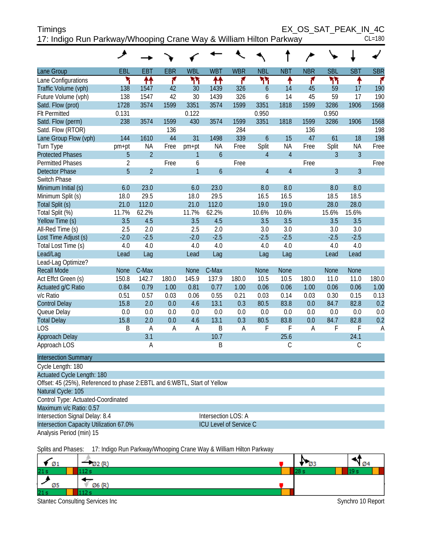| <b>Timings</b>                                                     | EX OS SAT PEAK IN 4C |
|--------------------------------------------------------------------|----------------------|
| 17: Indigo Run Parkway/Whooping Crane Way & William Hilton Parkway | $CL = 180$           |

|                                                                            | ◢              |                |            |                |                  |                |                  |                |            |                |                |            |
|----------------------------------------------------------------------------|----------------|----------------|------------|----------------|------------------|----------------|------------------|----------------|------------|----------------|----------------|------------|
| Lane Group                                                                 | EBL            | <b>EBT</b>     | <b>EBR</b> | <b>WBL</b>     | <b>WBT</b>       | <b>WBR</b>     | <b>NBL</b>       | <b>NBT</b>     | <b>NBR</b> | <b>SBL</b>     | <b>SBT</b>     | <b>SBR</b> |
| Lane Configurations                                                        | ۲              | ቶቶ             | ۴          | ካካ             | ቶቶ               | ۴              | ሻሻ               | ۸              | ۴          | ۲٢             | ۸              | ۴          |
| Traffic Volume (vph)                                                       | 138            | 1547           | 42         | 30             | 1439             | 326            | 6                | 14             | 45         | 59             | 17             | 190        |
| Future Volume (vph)                                                        | 138            | 1547           | 42         | 30             | 1439             | 326            | 6                | 14             | 45         | 59             | 17             | 190        |
| Satd. Flow (prot)                                                          | 1728           | 3574           | 1599       | 3351           | 3574             | 1599           | 3351             | 1818           | 1599       | 3286           | 1906           | 1568       |
| <b>Flt Permitted</b>                                                       | 0.131          |                |            | 0.122          |                  |                | 0.950            |                |            | 0.950          |                |            |
| Satd. Flow (perm)                                                          | 238            | 3574           | 1599       | 430            | 3574             | 1599           | 3351             | 1818           | 1599       | 3286           | 1906           | 1568       |
| Satd. Flow (RTOR)                                                          |                |                | 136        |                |                  | 284            |                  |                | 136        |                |                | 198        |
| Lane Group Flow (vph)                                                      | 144            | 1610           | 44         | 31             | 1498             | 339            | $\boldsymbol{6}$ | 15             | 47         | 61             | 18             | 198        |
| Turn Type                                                                  | pm+pt          | NA             | Free       | pm+pt          | NA               | Free           | Split            | <b>NA</b>      | Free       | Split          | <b>NA</b>      | Free       |
| <b>Protected Phases</b>                                                    | 5              | $\overline{2}$ |            | $\mathbf{1}$   | $\boldsymbol{6}$ |                | $\overline{4}$   | $\overline{4}$ |            | $\overline{3}$ | $\overline{3}$ |            |
| <b>Permitted Phases</b>                                                    | $\overline{2}$ |                | Free       | 6              |                  | Free           |                  |                | Free       |                |                | Free       |
| <b>Detector Phase</b>                                                      | 5              | $\overline{2}$ |            | $\overline{1}$ | 6                |                | $\overline{4}$   | $\overline{4}$ |            | $\overline{3}$ | 3              |            |
| Switch Phase                                                               |                |                |            |                |                  |                |                  |                |            |                |                |            |
| Minimum Initial (s)                                                        | 6.0            | 23.0           |            | 6.0            | 23.0             |                | 8.0              | 8.0            |            | 8.0            | 8.0            |            |
| Minimum Split (s)                                                          | 18.0           | 29.5           |            | 18.0           | 29.5             |                | 16.5             | 16.5           |            | 18.5           | 18.5           |            |
| Total Split (s)                                                            | 21.0           | 112.0          |            | 21.0           | 112.0            |                | 19.0             | 19.0           |            | 28.0           | 28.0           |            |
| Total Split (%)                                                            | 11.7%          | 62.2%          |            | 11.7%          | 62.2%            |                | 10.6%            | 10.6%          |            | 15.6%          | 15.6%          |            |
| Yellow Time (s)                                                            | 3.5            | 4.5            |            | 3.5            | 4.5              |                | 3.5              | 3.5            |            | 3.5            | 3.5            |            |
| All-Red Time (s)                                                           | 2.5            | 2.0            |            | 2.5            | 2.0              |                | 3.0              | 3.0            |            | 3.0            | 3.0            |            |
| Lost Time Adjust (s)                                                       | $-2.0$         | $-2.5$         |            | $-2.0$         | $-2.5$           |                | $-2.5$           | $-2.5$         |            | $-2.5$         | $-2.5$         |            |
| Total Lost Time (s)                                                        | 4.0            | 4.0            |            | 4.0            | 4.0              |                | 4.0              | 4.0            |            | 4.0            | 4.0            |            |
| Lead/Lag                                                                   | Lead           | Lag            |            | Lead           | Lag              |                | Lag              | Lag            |            | Lead           | Lead           |            |
| Lead-Lag Optimize?                                                         |                |                |            |                |                  |                |                  |                |            |                |                |            |
| <b>Recall Mode</b>                                                         | <b>None</b>    | C-Max          |            | None           | C-Max            |                | <b>None</b>      | None           |            | None           | <b>None</b>    |            |
| Act Effct Green (s)                                                        | 150.8          | 142.7          | 180.0      | 145.9          | 137.9            | 180.0          | 10.5             | 10.5           | 180.0      | 11.0           | 11.0           | 180.0      |
| Actuated g/C Ratio                                                         | 0.84           | 0.79           | 1.00       | 0.81           | 0.77             | 1.00           | 0.06             | 0.06           | 1.00       | 0.06           | 0.06           | 1.00       |
| v/c Ratio                                                                  | 0.51           | 0.57           | 0.03       | 0.06           | 0.55             | 0.21           | 0.03             | 0.14           | 0.03       | 0.30           | 0.15           | 0.13       |
| <b>Control Delay</b>                                                       | 15.8           | 2.0            | 0.0        | 4.6            | 13.1             | 0.3            | 80.5             | 83.8           | 0.0        | 84.7           | 82.8           | 0.2        |
| Queue Delay                                                                | 0.0            | 0.0            | 0.0        | 0.0            | 0.0              | 0.0            | 0.0              | 0.0            | 0.0        | 0.0            | 0.0            | 0.0        |
| <b>Total Delay</b>                                                         | 15.8           | 2.0            | 0.0        | 4.6            | 13.1             | 0.3            | 80.5             | 83.8           | 0.0        | 84.7           | 82.8           | 0.2        |
| LOS                                                                        | B              | A              | A          | A              | B                | $\overline{A}$ | F                | F              | Α          | F              | F              | A          |
| Approach Delay                                                             |                | 3.1            |            |                | 10.7             |                |                  | 25.6           |            |                | 24.1           |            |
| Approach LOS                                                               |                | Α              |            |                | B                |                |                  | C              |            |                | $\mathsf C$    |            |
| <b>Intersection Summary</b>                                                |                |                |            |                |                  |                |                  |                |            |                |                |            |
| Cycle Length: 180                                                          |                |                |            |                |                  |                |                  |                |            |                |                |            |
| Actuated Cycle Length: 180                                                 |                |                |            |                |                  |                |                  |                |            |                |                |            |
| Offset: 45 (25%), Referenced to phase 2: EBTL and 6: WBTL, Start of Yellow |                |                |            |                |                  |                |                  |                |            |                |                |            |
| Natural Cycle: 105                                                         |                |                |            |                |                  |                |                  |                |            |                |                |            |

Control Type: Actuated-Coordinated Maximum v/c Ratio: 0.57

Intersection Signal Delay: 8.4 Intersection LOS: A

Intersection Capacity Utilization 67.0% ICU Level of Service C

Analysis Period (min) 15

Splits and Phases: 17: Indigo Run Parkway/Whooping Crane Way & William Hilton Parkway

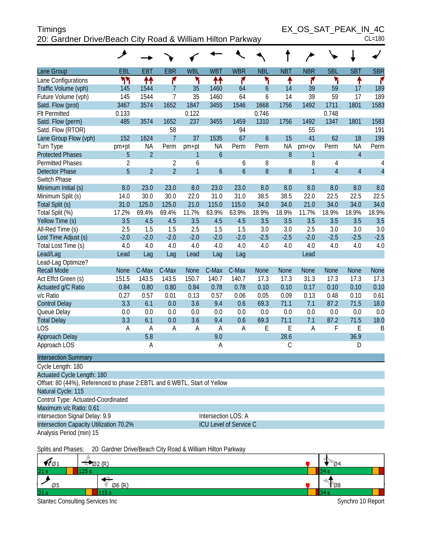| <b>Timings</b>                                             | EX OS SAT PEAK IN 4C |
|------------------------------------------------------------|----------------------|
| 20: Gardner Drive/Beach City Road & William Hilton Parkway | $CL = 180$           |

| Lane Group                                                               | EBL                 | <b>EBT</b>     | <b>EBR</b>     | <b>WBL</b>     | <b>WBT</b>       | <b>WBR</b>       | <b>NBL</b>    | <b>NBT</b>    | <b>NBR</b>     | <b>SBL</b>     | <b>SBT</b>     | <b>SBR</b>     |
|--------------------------------------------------------------------------|---------------------|----------------|----------------|----------------|------------------|------------------|---------------|---------------|----------------|----------------|----------------|----------------|
| Lane Configurations                                                      | ካካ                  | ↟↟             | ۴              | ۲              | ↟↟               | ۴                | ۲             | ↟             | ۴              | ۲              | ↟              | ۴              |
| Traffic Volume (vph)                                                     | 145                 | 1544           | $\overline{7}$ | 35             | 1460             | 64               | $\mathfrak b$ | 14            | 39             | 59             | 17             | 189            |
| Future Volume (vph)                                                      | 145                 | 1544           | $\overline{7}$ | 35             | 1460             | 64               | 6             | 14            | 39             | 59             | 17             | 189            |
| Satd. Flow (prot)                                                        | 3467                | 3574           | 1652           | 1847           | 3455             | 1546             | 1668          | 1756          | 1492           | 1711           | 1801           | 1583           |
| <b>Flt Permitted</b>                                                     | 0.133               |                |                | 0.122          |                  |                  | 0.746         |               |                | 0.748          |                |                |
| Satd. Flow (perm)                                                        | 485                 | 3574           | 1652           | 237            | 3455             | 1459             | 1310          | 1756          | 1492           | 1347           | 1801           | 1583           |
| Satd. Flow (RTOR)                                                        |                     |                | 58             |                |                  | 94               |               |               | 55             |                |                | 191            |
| Lane Group Flow (vph)                                                    | 152                 | 1624           | $\overline{7}$ | 37             | 1535             | 67               | $\mathfrak b$ | 15            | 41             | 62             | 18             | 199            |
| Turn Type                                                                | pm+pt               | NA             | Perm           | pm+pt          | <b>NA</b>        | Perm             | Perm          | <b>NA</b>     | pm+ov          | Perm           | <b>NA</b>      | Perm           |
| <b>Protected Phases</b>                                                  | 5                   | $\overline{2}$ |                | $\mathbf{1}$   | $\boldsymbol{6}$ |                  |               | $8\,$         | $\mathbf{1}$   |                | $\overline{4}$ |                |
| <b>Permitted Phases</b>                                                  | $\overline{2}$      |                | $\overline{2}$ | 6              |                  | 6                | 8             |               | 8              | $\overline{4}$ |                | 4              |
| <b>Detector Phase</b>                                                    | 5                   | $\overline{2}$ | $\overline{2}$ | $\overline{1}$ | $\boldsymbol{6}$ | $\boldsymbol{6}$ | $\, 8$        | $8\,$         | $\overline{1}$ | $\overline{4}$ | $\overline{4}$ | $\overline{4}$ |
| Switch Phase                                                             |                     |                |                |                |                  |                  |               |               |                |                |                |                |
| Minimum Initial (s)                                                      | 8.0                 | 23.0           | 23.0           | 8.0            | 23.0             | 23.0             | 8.0           | 8.0           | 8.0            | 8.0            | 8.0            | 8.0            |
| Minimum Split (s)                                                        | 14.0                | 30.0           | 30.0           | 22.0           | 31.0             | 31.0             | 38.5          | 38.5          | 22.0           | 22.5           | 22.5           | 22.5           |
| Total Split (s)                                                          | 31.0                | 125.0          | 125.0          | 21.0           | 115.0            | 115.0            | 34.0          | 34.0          | 21.0           | 34.0           | 34.0           | 34.0           |
| Total Split (%)                                                          | 17.2%               | 69.4%          | 69.4%          | 11.7%          | 63.9%            | 63.9%            | 18.9%         | 18.9%         | 11.7%          | 18.9%          | 18.9%          | 18.9%          |
| Yellow Time (s)                                                          | 3.5                 | 4.5            | 4.5            | 3.5            | 4.5              | 4.5              | 3.5           | 3.5           | 3.5            | 3.5            | 3.5            | 3.5            |
| All-Red Time (s)                                                         | 2.5                 | 1.5            | 1.5            | 2.5            | 1.5              | 1.5              | 3.0           | 3.0           | 2.5            | 3.0            | 3.0            | 3.0            |
| Lost Time Adjust (s)                                                     | $-2.0$              | $-2.0$         | $-2.0$         | $-2.0$         | $-2.0$           | $-2.0$           | $-2.5$        | $-2.5$        | $-2.0$         | $-2.5$         | $-2.5$         | $-2.5$         |
| Total Lost Time (s)                                                      | 4.0                 | 4.0            | 4.0            | 4.0            | 4.0              | 4.0              | 4.0           | 4.0           | 4.0            | 4.0            | 4.0            | 4.0            |
| Lead/Lag                                                                 | Lead                | Lag            | Lag            | Lead           | Lag              | Lag              |               |               | Lead           |                |                |                |
| Lead-Lag Optimize?                                                       |                     |                |                |                |                  |                  |               |               |                |                |                |                |
| <b>Recall Mode</b>                                                       | <b>None</b>         | C-Max          | C-Max          | <b>None</b>    | C-Max            | C-Max            | <b>None</b>   | <b>None</b>   | <b>None</b>    | <b>None</b>    | <b>None</b>    | <b>None</b>    |
| Act Effct Green (s)                                                      | 151.5               | 143.5          | 143.5          | 150.7          | 140.7            | 140.7            | 17.3          | 17.3          | 31.3           | 17.3           | 17.3           | 17.3           |
| Actuated g/C Ratio                                                       | 0.84                | 0.80           | 0.80           | 0.84           | 0.78             | 0.78             | 0.10          | 0.10          | 0.17           | 0.10           | 0.10           | 0.10           |
| v/c Ratio                                                                | 0.27                | 0.57           | 0.01           | 0.13           | 0.57             | 0.06             | 0.05          | 0.09          | 0.13           | 0.48           | 0.10           | 0.61           |
| <b>Control Delay</b>                                                     | 3.3                 | 6.1            | 0.0            | 3.6            | 9.4              | 0.6              | 69.3          | 71.1          | 7.1            | 87.2           | 71.5           | 18.0           |
| Queue Delay                                                              | 0.0                 | 0.0            | 0.0            | 0.0            | 0.0              | 0.0              | 0.0           | 0.0           | 0.0            | 0.0            | 0.0            | 0.0            |
| <b>Total Delay</b>                                                       | 3.3                 | 6.1            | 0.0            | 3.6            | 9.4              | 0.6              | 69.3          | 71.1          | 7.1            | 87.2           | 71.5           | 18.0           |
| <b>LOS</b>                                                               | A                   | A              | A              | Α              | $\overline{A}$   | A                | E             | E             | $\overline{A}$ | F              | E              | B              |
| Approach Delay                                                           |                     | 5.8            |                |                | 9.0              |                  |               | 28.6          |                |                | 36.9           |                |
| Approach LOS                                                             |                     | A              |                |                | $\overline{A}$   |                  |               | $\mathcal{C}$ |                |                | D              |                |
| <b>Intersection Summary</b>                                              |                     |                |                |                |                  |                  |               |               |                |                |                |                |
| Cycle Length: 180                                                        |                     |                |                |                |                  |                  |               |               |                |                |                |                |
| <b>Actuated Cycle Length: 180</b>                                        |                     |                |                |                |                  |                  |               |               |                |                |                |                |
| Offset: 80 (44%), Referenced to phase 2:EBTL and 6:WBTL, Start of Yellow |                     |                |                |                |                  |                  |               |               |                |                |                |                |
| Natural Cycle: 115                                                       |                     |                |                |                |                  |                  |               |               |                |                |                |                |
| Control Type: Actuated-Coordinated                                       |                     |                |                |                |                  |                  |               |               |                |                |                |                |
| Maximum v/c Ratio: 0.61                                                  |                     |                |                |                |                  |                  |               |               |                |                |                |                |
| Intersection Signal Delay: 9.9                                           | Intersection LOS: A |                |                |                |                  |                  |               |               |                |                |                |                |
| Intersection Capacity Utilization 70.2%<br>ICU Level of Service C        |                     |                |                |                |                  |                  |               |               |                |                |                |                |
| Analysis Period (min) 15                                                 |                     |                |                |                |                  |                  |               |               |                |                |                |                |

Splits and Phases: 20: Gardner Drive/Beach City Road & William Hilton Parkway

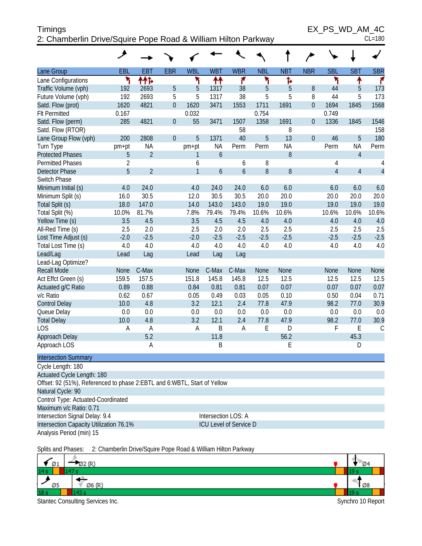## Timings EX\_PS\_WD\_AM\_4C 2: Chamberlin Drive/Squire Pope Road & William Hilton Parkway CL=180

|                                                                          | عر             |                       |                  |              |                |                               |                     |                     |                  |                |                |                     |
|--------------------------------------------------------------------------|----------------|-----------------------|------------------|--------------|----------------|-------------------------------|---------------------|---------------------|------------------|----------------|----------------|---------------------|
| Lane Group                                                               | EBL            | <b>EBT</b>            | <b>EBR</b>       | <b>WBL</b>   | <b>WBT</b>     | <b>WBR</b>                    | <b>NBL</b>          | <b>NBT</b>          | <b>NBR</b>       | <b>SBL</b>     | <b>SBT</b>     | <b>SBR</b>          |
| Lane Configurations                                                      | ۲              | ተተኈ                   |                  | ۲            | 11             | ۴                             | ۲                   | Ъ                   |                  | ۲              | ↟              | ۴                   |
| Traffic Volume (vph)                                                     | 192            | 2693                  | 5                | 5            | 1317           | 38                            | 5                   | 5                   | $8\,$            | 44             | 5              | 173                 |
| Future Volume (vph)                                                      | 192            | 2693                  | 5                | 5            | 1317           | 38                            | 5                   | 5                   | 8                | 44             | 5              | 173                 |
| Satd. Flow (prot)                                                        | 1620           | 4821                  | $\overline{0}$   | 1620         | 3471           | 1553                          | 1711                | 1691                | $\mathbf 0$      | 1694           | 1845           | 1568                |
| <b>Flt Permitted</b>                                                     | 0.167          |                       |                  | 0.032        |                |                               | 0.754               |                     |                  | 0.749          |                |                     |
| Satd. Flow (perm)                                                        | 285            | 4821                  | $\boldsymbol{0}$ | 55           | 3471           | 1507                          | 1358                | 1691                | $\boldsymbol{0}$ | 1336           | 1845           | 1546                |
| Satd. Flow (RTOR)                                                        |                |                       |                  |              |                | 58                            |                     | 8                   |                  |                |                | 158                 |
| Lane Group Flow (vph)                                                    | 200            | 2808                  | $\theta$         | 5            | 1371           | 40                            | 5                   | 13                  | $\overline{0}$   | 46             | 5              | 180                 |
| Turn Type                                                                | pm+pt          | <b>NA</b>             |                  | pm+pt        | <b>NA</b>      | Perm                          | Perm                | <b>NA</b>           |                  | Perm           | <b>NA</b>      | Perm                |
| <b>Protected Phases</b>                                                  | 5              | $\overline{2}$        |                  | 1            | $\overline{6}$ |                               |                     | 8                   |                  |                | $\overline{4}$ |                     |
| <b>Permitted Phases</b>                                                  | $\overline{2}$ |                       |                  | 6            |                | 6                             | 8                   |                     |                  | 4              |                | 4                   |
| <b>Detector Phase</b>                                                    | 5              | $\overline{2}$        |                  | $\mathbf{1}$ | 6              | 6                             | 8                   | $8\,$               |                  | $\overline{4}$ | $\overline{4}$ | $\overline{4}$      |
| Switch Phase                                                             |                |                       |                  |              |                |                               |                     |                     |                  |                |                |                     |
| Minimum Initial (s)                                                      | 4.0            | 24.0                  |                  | 4.0          | 24.0           | 24.0                          | 6.0                 | 6.0                 |                  | 6.0            | 6.0            | 6.0                 |
| Minimum Split (s)                                                        | 16.0           | 30.5                  |                  | 12.0         | 30.5           | 30.5                          | 20.0                | 20.0                |                  | 20.0           | 20.0           | 20.0                |
| Total Split (s)                                                          | 18.0           | 147.0                 |                  | 14.0         | 143.0          | 143.0                         | 19.0                | 19.0                |                  | 19.0           | 19.0           | 19.0                |
| Total Split (%)                                                          | 10.0%          | 81.7%                 |                  | 7.8%         | 79.4%          | 79.4%                         | 10.6%               | 10.6%               |                  | 10.6%          | 10.6%          | 10.6%               |
| Yellow Time (s)                                                          | 3.5            | 4.5                   |                  | 3.5          | 4.5            | 4.5                           | 4.0                 | 4.0                 |                  | 4.0            | 4.0            | 4.0                 |
| All-Red Time (s)                                                         | 2.5            | 2.0                   |                  | 2.5          | 2.0            | 2.0                           | 2.5                 | 2.5                 |                  | 2.5            | 2.5            | 2.5                 |
| Lost Time Adjust (s)                                                     | $-2.0$         | $-2.5$                |                  | $-2.0$       | $-2.5$         | $-2.5$                        | $-2.5$              | $-2.5$              |                  | $-2.5$         | $-2.5$         | $-2.5$              |
| Total Lost Time (s)                                                      | 4.0            | 4.0                   |                  | 4.0          | 4.0            | 4.0                           | 4.0                 | 4.0                 |                  | 4.0            | 4.0            | 4.0                 |
| Lead/Lag                                                                 | Lead           | Lag                   |                  | Lead         | Lag            | Lag                           |                     |                     |                  |                |                |                     |
| Lead-Lag Optimize?                                                       |                |                       |                  |              |                |                               |                     |                     |                  |                |                |                     |
| <b>Recall Mode</b>                                                       | None           | C-Max                 |                  | None         | C-Max          | C-Max                         | None                | None                |                  | None           | None           | None                |
| Act Effct Green (s)                                                      | 159.5          | 157.5                 |                  | 151.8        | 145.8          | 145.8                         | 12.5                | 12.5                |                  | 12.5           | 12.5           | 12.5                |
| Actuated g/C Ratio                                                       | 0.89           | 0.88                  |                  | 0.84         | 0.81           | 0.81                          | 0.07                | 0.07                |                  | 0.07           | 0.07           | 0.07                |
| v/c Ratio                                                                | 0.62           | 0.67                  |                  | 0.05         | 0.49           | 0.03                          | 0.05                | 0.10                |                  | 0.50           | 0.04           | 0.71                |
| <b>Control Delay</b>                                                     | 10.0           | 4.8                   |                  | 3.2          | 12.1           | 2.4                           | 77.8                | 47.9                |                  | 98.2           | 77.0           | 30.9                |
| Queue Delay                                                              | 0.0            | 0.0                   |                  | 0.0<br>3.2   | 0.0<br>12.1    | 0.0<br>2.4                    | 0.0                 | 0.0                 |                  | 0.0            | 0.0            | 0.0                 |
| <b>Total Delay</b><br><b>LOS</b>                                         | 10.0<br>A      | 4.8<br>$\overline{A}$ |                  | $\mathsf A$  | B              | $\overline{A}$                | 77.8<br>$\mathsf E$ | 47.9<br>$\mathsf D$ |                  | 98.2<br>F      | 77.0<br>E      | 30.9<br>$\mathsf C$ |
|                                                                          |                | 5.2                   |                  |              | 11.8           |                               |                     | 56.2                |                  |                | 45.3           |                     |
| Approach Delay<br>Approach LOS                                           |                | A                     |                  |              | B              |                               |                     | E                   |                  |                | D              |                     |
|                                                                          |                |                       |                  |              |                |                               |                     |                     |                  |                |                |                     |
| <b>Intersection Summary</b>                                              |                |                       |                  |              |                |                               |                     |                     |                  |                |                |                     |
| Cycle Length: 180                                                        |                |                       |                  |              |                |                               |                     |                     |                  |                |                |                     |
| Actuated Cycle Length: 180                                               |                |                       |                  |              |                |                               |                     |                     |                  |                |                |                     |
| Offset: 92 (51%), Referenced to phase 2:EBTL and 6:WBTL, Start of Yellow |                |                       |                  |              |                |                               |                     |                     |                  |                |                |                     |
| Natural Cycle: 90                                                        |                |                       |                  |              |                |                               |                     |                     |                  |                |                |                     |
| Control Type: Actuated-Coordinated                                       |                |                       |                  |              |                |                               |                     |                     |                  |                |                |                     |
| Maximum v/c Ratio: 0.71                                                  |                |                       |                  |              |                |                               |                     |                     |                  |                |                |                     |
| Intersection Signal Delay: 9.4                                           |                |                       |                  |              |                | Intersection LOS: A           |                     |                     |                  |                |                |                     |
| Intersection Capacity Utilization 76.1%                                  |                |                       |                  |              |                | <b>ICU Level of Service D</b> |                     |                     |                  |                |                |                     |
| Analysis Period (min) 15                                                 |                |                       |                  |              |                |                               |                     |                     |                  |                |                |                     |

Splits and Phases: 2: Chamberlin Drive/Squire Pope Road & William Hilton Parkway

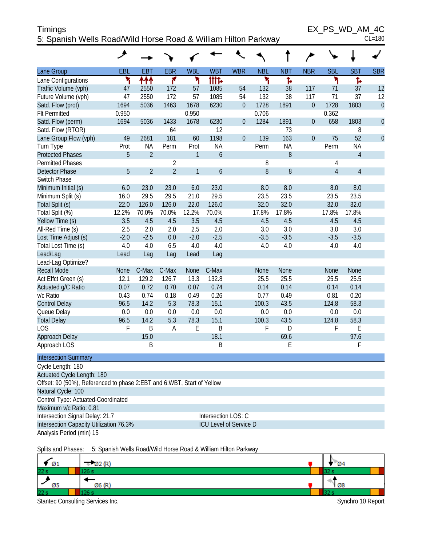| <b>Timings</b>                                                 | EX PS WD AM 4C |
|----------------------------------------------------------------|----------------|
| 5: Spanish Wells Road/Wild Horse Road & William Hilton Parkway | $CL = 180$     |

 $EX_PS_WD_AM_4C_{CL=180}$ 

|                                                                        | ۶          |                |                |                |                               |                  |            |            |                  |                |                |                |
|------------------------------------------------------------------------|------------|----------------|----------------|----------------|-------------------------------|------------------|------------|------------|------------------|----------------|----------------|----------------|
| Lane Group                                                             | <b>EBL</b> | <b>EBT</b>     | <b>EBR</b>     | <b>WBL</b>     | <b>WBT</b>                    | <b>WBR</b>       | <b>NBL</b> | <b>NBT</b> | <b>NBR</b>       | <b>SBL</b>     | <b>SBT</b>     | <b>SBR</b>     |
| Lane Configurations                                                    | ۲          | ተተተ            | ۴              | ۳              | <b>itite</b>                  |                  | ۲          | Ъ          |                  | ۲              | Ъ              |                |
| Traffic Volume (vph)                                                   | 47         | 2550           | 172            | 57             | 1085                          | 54               | 132        | 38         | 117              | 71             | 37             | 12             |
| Future Volume (vph)                                                    | 47         | 2550           | 172            | 57             | 1085                          | 54               | 132        | 38         | 117              | 71             | 37             | 12             |
| Satd. Flow (prot)                                                      | 1694       | 5036           | 1463           | 1678           | 6230                          | $\boldsymbol{0}$ | 1728       | 1891       | $\boldsymbol{0}$ | 1728           | 1803           | $\mathbf{0}$   |
| <b>Flt Permitted</b>                                                   | 0.950      |                |                | 0.950          |                               |                  | 0.706      |            |                  | 0.362          |                |                |
| Satd. Flow (perm)                                                      | 1694       | 5036           | 1433           | 1678           | 6230                          | $\boldsymbol{0}$ | 1284       | 1891       | $\overline{0}$   | 658            | 1803           | $\overline{0}$ |
| Satd. Flow (RTOR)                                                      |            |                | 64             |                | 12                            |                  |            | 73         |                  |                | 8              |                |
| Lane Group Flow (vph)                                                  | 49         | 2681           | 181            | 60             | 1198                          | $\boldsymbol{0}$ | 139        | 163        | $\overline{0}$   | 75             | 52             | $\overline{0}$ |
| Turn Type                                                              | Prot       | <b>NA</b>      | Perm           | Prot           | <b>NA</b>                     |                  | Perm       | <b>NA</b>  |                  | Perm           | <b>NA</b>      |                |
| <b>Protected Phases</b>                                                | 5          | $\overline{2}$ |                | $\mathbf{1}$   | 6                             |                  |            | 8          |                  |                | $\overline{4}$ |                |
| <b>Permitted Phases</b>                                                |            |                | $\overline{2}$ |                |                               |                  | 8          |            |                  | 4              |                |                |
| <b>Detector Phase</b>                                                  | 5          | $\overline{2}$ | $\overline{2}$ | $\overline{1}$ | $\overline{6}$                |                  | 8          | 8          |                  | $\overline{4}$ | $\overline{4}$ |                |
| Switch Phase                                                           |            |                |                |                |                               |                  |            |            |                  |                |                |                |
| Minimum Initial (s)                                                    | 6.0        | 23.0           | 23.0           | 6.0            | 23.0                          |                  | 8.0        | 8.0        |                  | 8.0            | 8.0            |                |
| Minimum Split (s)                                                      | 16.0       | 29.5           | 29.5           | 21.0           | 29.5                          |                  | 23.5       | 23.5       |                  | 23.5           | 23.5           |                |
| Total Split (s)                                                        | 22.0       | 126.0          | 126.0          | 22.0           | 126.0                         |                  | 32.0       | 32.0       |                  | 32.0           | 32.0           |                |
| Total Split (%)                                                        | 12.2%      | 70.0%          | 70.0%          | 12.2%          | 70.0%                         |                  | 17.8%      | 17.8%      |                  | 17.8%          | 17.8%          |                |
| Yellow Time (s)                                                        | 3.5        | 4.5            | 4.5            | 3.5            | 4.5                           |                  | 4.5        | 4.5        |                  | 4.5            | 4.5            |                |
| All-Red Time (s)                                                       | 2.5        | 2.0            | 2.0            | 2.5            | 2.0                           |                  | 3.0        | 3.0        |                  | 3.0            | 3.0            |                |
| Lost Time Adjust (s)                                                   | $-2.0$     | $-2.5$         | 0.0            | $-2.0$         | $-2.5$                        |                  | $-3.5$     | $-3.5$     |                  | $-3.5$         | $-3.5$         |                |
| Total Lost Time (s)                                                    | 4.0        | 4.0            | 6.5            | 4.0            | 4.0                           |                  | 4.0        | 4.0        |                  | 4.0            | 4.0            |                |
| Lead/Lag                                                               | Lead       | Lag            | Lag            | Lead           | Lag                           |                  |            |            |                  |                |                |                |
| Lead-Lag Optimize?                                                     |            |                |                |                |                               |                  |            |            |                  |                |                |                |
| <b>Recall Mode</b>                                                     | None       | C-Max          | C-Max          | None           | C-Max                         |                  | None       | None       |                  | <b>None</b>    | <b>None</b>    |                |
| Act Effct Green (s)                                                    | 12.1       | 129.2          | 126.7          | 13.3           | 132.8                         |                  | 25.5       | 25.5       |                  | 25.5           | 25.5           |                |
| Actuated g/C Ratio                                                     | 0.07       | 0.72           | 0.70           | 0.07           | 0.74                          |                  | 0.14       | 0.14       |                  | 0.14           | 0.14           |                |
| v/c Ratio                                                              | 0.43       | 0.74           | 0.18           | 0.49           | 0.26                          |                  | 0.77       | 0.49       |                  | 0.81           | 0.20           |                |
| <b>Control Delay</b>                                                   | 96.5       | 14.2           | 5.3            | 78.3           | 15.1                          |                  | 100.3      | 43.5       |                  | 124.8          | 58.3           |                |
| Queue Delay                                                            | 0.0        | 0.0            | 0.0            | 0.0            | 0.0                           |                  | 0.0        | 0.0        |                  | 0.0            | 0.0            |                |
| <b>Total Delay</b>                                                     | 96.5       | 14.2           | 5.3            | 78.3           | 15.1                          |                  | 100.3      | 43.5       |                  | 124.8          | 58.3           |                |
| <b>LOS</b>                                                             | F          | $\sf B$        | A              | E              | B                             |                  | F          | D          |                  | F              | E              |                |
| Approach Delay                                                         |            | 15.0           |                |                | 18.1                          |                  |            | 69.6       |                  |                | 97.6           |                |
| Approach LOS                                                           |            | B              |                |                | B                             |                  |            | E          |                  |                | F              |                |
| <b>Intersection Summary</b>                                            |            |                |                |                |                               |                  |            |            |                  |                |                |                |
| Cycle Length: 180                                                      |            |                |                |                |                               |                  |            |            |                  |                |                |                |
| Actuated Cycle Length: 180                                             |            |                |                |                |                               |                  |            |            |                  |                |                |                |
| Offset: 90 (50%), Referenced to phase 2:EBT and 6:WBT, Start of Yellow |            |                |                |                |                               |                  |            |            |                  |                |                |                |
| Natural Cycle: 100                                                     |            |                |                |                |                               |                  |            |            |                  |                |                |                |
| Control Type: Actuated-Coordinated                                     |            |                |                |                |                               |                  |            |            |                  |                |                |                |
| Maximum v/c Ratio: 0.81                                                |            |                |                |                |                               |                  |            |            |                  |                |                |                |
| Intersection Signal Delay: 21.7                                        |            |                |                |                | Intersection LOS: C           |                  |            |            |                  |                |                |                |
| Intersection Capacity Utilization 76.3%                                |            |                |                |                | <b>ICU Level of Service D</b> |                  |            |            |                  |                |                |                |
| Analysis Period (min) 15                                               |            |                |                |                |                               |                  |            |            |                  |                |                |                |
|                                                                        |            |                |                |                |                               |                  |            |            |                  |                |                |                |

Splits and Phases: 5: Spanish Wells Road/Wild Horse Road & William Hilton Parkway

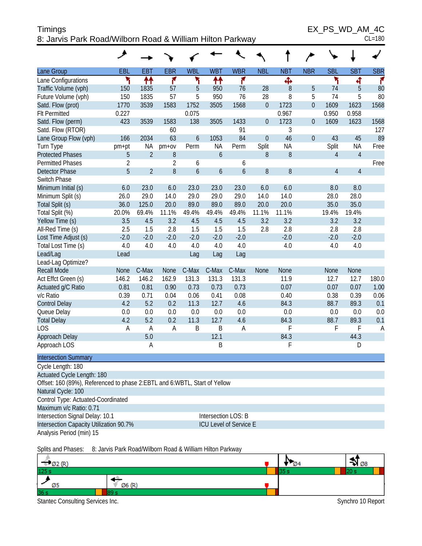| Timings                                                   | EX PS WD AM 4C |
|-----------------------------------------------------------|----------------|
| 8: Jarvis Park Road/Wilborn Road & William Hilton Parkway | $CL = 180$     |

 $EX_PS_WD_AM_4C$ 

|  | ៴៴∟៸ | AIVI |  |  |
|--|------|------|--|--|
|  |      |      |  |  |

|                                                                           | عر         |                |                |            |                  |                               |             |            |                |                |                |            |
|---------------------------------------------------------------------------|------------|----------------|----------------|------------|------------------|-------------------------------|-------------|------------|----------------|----------------|----------------|------------|
| Lane Group                                                                | <b>EBL</b> | <b>EBT</b>     | <b>EBR</b>     | <b>WBL</b> | <b>WBT</b>       | <b>WBR</b>                    | <b>NBL</b>  | <b>NBT</b> | <b>NBR</b>     | <b>SBL</b>     | <b>SBT</b>     | <b>SBR</b> |
| Lane Configurations                                                       | ۲          | ↟↟             | ۴              | ۲          | ↟↟               | ۴                             |             | Ф          |                | ۲              | 4              | ۴          |
| Traffic Volume (vph)                                                      | 150        | 1835           | 57             | 5          | 950              | 76                            | 28          | 8          | 5              | 74             | 5              | 80         |
| Future Volume (vph)                                                       | 150        | 1835           | 57             | 5          | 950              | 76                            | 28          | 8          | 5              | 74             | 5              | 80         |
| Satd. Flow (prot)                                                         | 1770       | 3539           | 1583           | 1752       | 3505             | 1568                          | $\mathbf 0$ | 1723       | $\overline{0}$ | 1609           | 1623           | 1568       |
| <b>Flt Permitted</b>                                                      | 0.227      |                |                | 0.075      |                  |                               |             | 0.967      |                | 0.950          | 0.958          |            |
| Satd. Flow (perm)                                                         | 423        | 3539           | 1583           | 138        | 3505             | 1433                          | $\mathbf 0$ | 1723       | 0              | 1609           | 1623           | 1568       |
| Satd. Flow (RTOR)                                                         |            |                | 60             |            |                  | 91                            |             | 3          |                |                |                | 127        |
| Lane Group Flow (vph)                                                     | 166        | 2034           | 63             | 6          | 1053             | 84                            | $\mathbf 0$ | 46         | $\overline{0}$ | 43             | 45             | 89         |
| Turn Type                                                                 | pm+pt      | NA             | $pm+ov$        | Perm       | <b>NA</b>        | Perm                          | Split       | <b>NA</b>  |                | Split          | <b>NA</b>      | Free       |
| <b>Protected Phases</b>                                                   | 5          | $\overline{2}$ | 8              |            | $\overline{6}$   |                               | 8           | 8          |                | $\overline{4}$ | $\overline{4}$ |            |
| <b>Permitted Phases</b>                                                   | 2          |                | $\overline{2}$ | 6          |                  | 6                             |             |            |                |                |                | Free       |
| <b>Detector Phase</b>                                                     | 5          | $\overline{2}$ | 8              | 6          | $\boldsymbol{6}$ | 6                             | $8\,$       | $8\,$      |                | $\overline{4}$ | $\overline{4}$ |            |
| <b>Switch Phase</b>                                                       |            |                |                |            |                  |                               |             |            |                |                |                |            |
| Minimum Initial (s)                                                       | 6.0        | 23.0           | 6.0            | 23.0       | 23.0             | 23.0                          | 6.0         | 6.0        |                | 8.0            | 8.0            |            |
| Minimum Split (s)                                                         | 26.0       | 29.0           | 14.0           | 29.0       | 29.0             | 29.0                          | 14.0        | 14.0       |                | 28.0           | 28.0           |            |
| Total Split (s)                                                           | 36.0       | 125.0          | 20.0           | 89.0       | 89.0             | 89.0                          | 20.0        | 20.0       |                | 35.0           | 35.0           |            |
| Total Split (%)                                                           | 20.0%      | 69.4%          | 11.1%          | 49.4%      | 49.4%            | 49.4%                         | 11.1%       | 11.1%      |                | 19.4%          | 19.4%          |            |
| Yellow Time (s)                                                           | 3.5        | 4.5            | 3.2            | 4.5        | 4.5              | 4.5                           | 3.2         | 3.2        |                | 3.2            | 3.2            |            |
| All-Red Time (s)                                                          | 2.5        | 1.5            | 2.8            | 1.5        | 1.5              | 1.5                           | 2.8         | 2.8        |                | 2.8            | 2.8            |            |
| Lost Time Adjust (s)                                                      | $-2.0$     | $-2.0$         | $-2.0$         | $-2.0$     | $-2.0$           | $-2.0$                        |             | $-2.0$     |                | $-2.0$         | $-2.0$         |            |
| Total Lost Time (s)                                                       | 4.0        | 4.0            | 4.0            | 4.0        | 4.0              | 4.0                           |             | 4.0        |                | 4.0            | 4.0            |            |
| Lead/Lag                                                                  | Lead       |                |                | Lag        | Lag              | Lag                           |             |            |                |                |                |            |
| Lead-Lag Optimize?                                                        |            |                |                |            |                  |                               |             |            |                |                |                |            |
| <b>Recall Mode</b>                                                        | None       | C-Max          | None           | C-Max      | C-Max            | C-Max                         | None        | None       |                | None           | None           |            |
| Act Effct Green (s)                                                       | 146.2      | 146.2          | 162.9          | 131.3      | 131.3            | 131.3                         |             | 11.9       |                | 12.7           | 12.7           | 180.0      |
| Actuated g/C Ratio                                                        | 0.81       | 0.81           | 0.90           | 0.73       | 0.73             | 0.73                          |             | 0.07       |                | 0.07           | 0.07           | 1.00       |
| v/c Ratio                                                                 | 0.39       | 0.71           | 0.04           | 0.06       | 0.41             | 0.08                          |             | 0.40       |                | 0.38           | 0.39           | 0.06       |
| <b>Control Delay</b>                                                      | 4.2        | 5.2            | 0.2            | 11.3       | 12.7             | 4.6                           |             | 84.3       |                | 88.7           | 89.3           | 0.1        |
| Queue Delay                                                               | 0.0        | 0.0            | 0.0            | 0.0        | 0.0              | 0.0                           |             | 0.0        |                | 0.0            | 0.0            | 0.0        |
| <b>Total Delay</b>                                                        | 4.2        | 5.2            | 0.2            | 11.3       | 12.7             | 4.6                           |             | 84.3       |                | 88.7           | 89.3           | 0.1        |
| LOS                                                                       | A          | A              | Α              | Β          | B                | A                             |             | F          |                | F              | F              | A          |
| Approach Delay                                                            |            | 5.0            |                |            | 12.1             |                               |             | 84.3       |                |                | 44.3           |            |
| Approach LOS                                                              |            | Α              |                |            | B                |                               |             | F          |                |                | D              |            |
| <b>Intersection Summary</b>                                               |            |                |                |            |                  |                               |             |            |                |                |                |            |
| Cycle Length: 180                                                         |            |                |                |            |                  |                               |             |            |                |                |                |            |
| Actuated Cycle Length: 180                                                |            |                |                |            |                  |                               |             |            |                |                |                |            |
| Offset: 160 (89%), Referenced to phase 2:EBTL and 6:WBTL, Start of Yellow |            |                |                |            |                  |                               |             |            |                |                |                |            |
| Natural Cycle: 100                                                        |            |                |                |            |                  |                               |             |            |                |                |                |            |
| Control Type: Actuated-Coordinated                                        |            |                |                |            |                  |                               |             |            |                |                |                |            |
| Maximum v/c Ratio: 0.71                                                   |            |                |                |            |                  |                               |             |            |                |                |                |            |
| Intersection Signal Delay: 10.1                                           |            |                |                |            |                  | Intersection LOS: B           |             |            |                |                |                |            |
| Intersection Capacity Utilization 90.7%                                   |            |                |                |            |                  | <b>ICU Level of Service E</b> |             |            |                |                |                |            |
| Analysis Period (min) 15                                                  |            |                |                |            |                  |                               |             |            |                |                |                |            |
|                                                                           |            |                |                |            |                  |                               |             |            |                |                |                |            |

Splits and Phases: 8: Jarvis Park Road/Wilborn Road & William Hilton Parkway

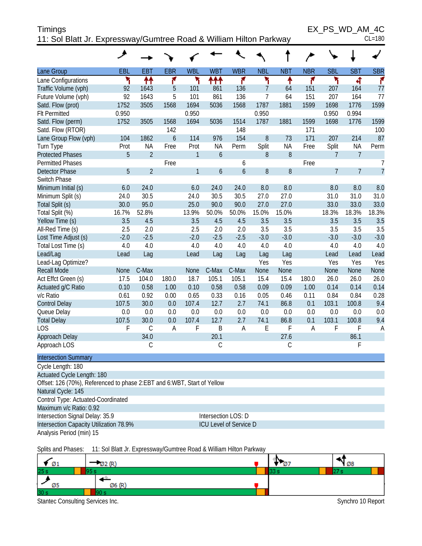| <b>Timings</b>                                                     | EX PS WD AM 4C |
|--------------------------------------------------------------------|----------------|
| 11: Sol Blatt Jr. Expressway/Gumtree Road & William Hilton Parkway | $CL = 180$     |

|                                                                                                         | ᢣ            |                   |                        |              |                  |                               |                |                 |             |                         |                  |                |
|---------------------------------------------------------------------------------------------------------|--------------|-------------------|------------------------|--------------|------------------|-------------------------------|----------------|-----------------|-------------|-------------------------|------------------|----------------|
| Lane Group                                                                                              | EBL          | <b>EBT</b>        | <b>EBR</b>             | <b>WBL</b>   | <b>WBT</b>       | <b>WBR</b>                    | <b>NBL</b>     | <b>NBT</b>      | <b>NBR</b>  | <b>SBL</b>              | <b>SBT</b>       | <b>SBR</b>     |
| Lane Configurations                                                                                     | ۳            | ↟↟                | ۴                      | ۲            | ተተተ              | ۴                             | ۲              | ↟               | ۴           | ۲                       | 4                | ۴              |
| Traffic Volume (vph)                                                                                    | 92           | 1643              | 5                      | 101          | 861              | 136                           | 7              | 64              | 151         | 207                     | 164              | 77             |
| Future Volume (vph)                                                                                     | 92           | 1643              | 5                      | 101          | 861              | 136                           | $\overline{7}$ | 64              | 151         | 207                     | 164              | 77             |
| Satd. Flow (prot)                                                                                       | 1752         | 3505              | 1568                   | 1694         | 5036             | 1568                          | 1787           | 1881            | 1599        | 1698                    | 1776             | 1599           |
| <b>Flt Permitted</b>                                                                                    | 0.950        |                   |                        | 0.950        |                  |                               | 0.950          |                 |             | 0.950                   | 0.994            |                |
| Satd. Flow (perm)                                                                                       | 1752         | 3505              | 1568                   | 1694         | 5036             | 1514                          | 1787           | 1881            | 1599        | 1698                    | 1776             | 1599           |
| Satd. Flow (RTOR)                                                                                       |              |                   | 142                    |              |                  | 148                           |                |                 | 171         |                         |                  | 100            |
| Lane Group Flow (vph)                                                                                   | 104<br>Prot  | 1862<br><b>NA</b> | $\overline{6}$<br>Free | 114<br>Prot  | 976<br><b>NA</b> | 154<br>Perm                   | 8<br>Split     | 73<br><b>NA</b> | 171<br>Free | 207                     | 214<br><b>NA</b> | 87<br>Perm     |
| Turn Type<br><b>Protected Phases</b>                                                                    | 5            | $\overline{2}$    |                        | $\mathbf{1}$ | 6                |                               | 8              | 8               |             | Split<br>$\overline{7}$ | $\overline{7}$   |                |
| <b>Permitted Phases</b>                                                                                 |              |                   | Free                   |              |                  | 6                             |                |                 | Free        |                         |                  | $\overline{1}$ |
| <b>Detector Phase</b>                                                                                   | 5            | $\overline{2}$    |                        | $\mathbf{1}$ | $\overline{6}$   | 6                             | 8              | 8               |             | $\overline{7}$          | $\overline{7}$   | $\overline{1}$ |
| Switch Phase                                                                                            |              |                   |                        |              |                  |                               |                |                 |             |                         |                  |                |
| Minimum Initial (s)                                                                                     | 6.0          | 24.0              |                        | 6.0          | 24.0             | 24.0                          | 8.0            | 8.0             |             | 8.0                     | 8.0              | 8.0            |
| Minimum Split (s)                                                                                       | 24.0         | 30.5              |                        | 24.0         | 30.5             | 30.5                          | 27.0           | 27.0            |             | 31.0                    | 31.0             | 31.0           |
| Total Split (s)                                                                                         | 30.0         | 95.0              |                        | 25.0         | 90.0             | 90.0                          | 27.0           | 27.0            |             | 33.0                    | 33.0             | 33.0           |
| Total Split (%)                                                                                         | 16.7%        | 52.8%             |                        | 13.9%        | 50.0%            | 50.0%                         | 15.0%          | 15.0%           |             | 18.3%                   | 18.3%            | 18.3%          |
| Yellow Time (s)                                                                                         | 3.5          | 4.5               |                        | 3.5          | 4.5              | 4.5                           | 3.5            | 3.5             |             | 3.5                     | 3.5              | 3.5            |
| All-Red Time (s)                                                                                        | 2.5          | 2.0               |                        | 2.5          | 2.0              | 2.0                           | 3.5            | 3.5             |             | 3.5                     | 3.5              | 3.5            |
| Lost Time Adjust (s)                                                                                    | $-2.0$       | $-2.5$            |                        | $-2.0$       | $-2.5$           | $-2.5$                        | $-3.0$         | $-3.0$          |             | $-3.0$                  | $-3.0$           | $-3.0$         |
| Total Lost Time (s)                                                                                     | 4.0          | 4.0               |                        | 4.0          | 4.0              | 4.0                           | 4.0            | 4.0             |             | 4.0                     | 4.0              | 4.0            |
| Lead/Lag                                                                                                | Lead         | Lag               |                        | Lead         | Lag              | Lag                           | Lag            | Lag             |             | Lead                    | Lead             | Lead           |
| Lead-Lag Optimize?                                                                                      |              |                   |                        |              |                  |                               | Yes            | Yes             |             | Yes                     | Yes              | Yes            |
| <b>Recall Mode</b>                                                                                      | None         | C-Max             |                        | None         | C-Max            | C-Max                         | None           | None            |             | None                    | None             | None           |
| Act Effct Green (s)                                                                                     | 17.5         | 104.0             | 180.0                  | 18.7         | 105.1            | 105.1                         | 15.4           | 15.4            | 180.0       | 26.0                    | 26.0             | 26.0           |
| Actuated g/C Ratio                                                                                      | 0.10         | 0.58              | 1.00                   | 0.10         | 0.58             | 0.58                          | 0.09           | 0.09            | 1.00        | 0.14                    | 0.14             | 0.14           |
| v/c Ratio                                                                                               | 0.61         | 0.92              | 0.00                   | 0.65         | 0.33             | 0.16                          | 0.05           | 0.46            | 0.11        | 0.84                    | 0.84             | 0.28           |
| <b>Control Delay</b>                                                                                    | 107.5        | 30.0              | 0.0                    | 107.4        | 12.7             | 2.7                           | 74.1           | 86.8            | 0.1         | 103.1                   | 100.8            | 9.4            |
| Queue Delay                                                                                             | 0.0<br>107.5 | 0.0<br>30.0       | 0.0<br>0.0             | 0.0<br>107.4 | 0.0<br>12.7      | 0.0<br>2.7                    | 0.0<br>74.1    | 0.0<br>86.8     | 0.0<br>0.1  | 0.0<br>103.1            | 0.0<br>100.8     | 0.0<br>9.4     |
| <b>Total Delay</b><br>LOS                                                                               | F            | $\mathsf C$       | $\overline{A}$         | F            | B                | A                             | E              | F               | A           | F                       | F                | A              |
| Approach Delay                                                                                          |              | 34.0              |                        |              | 20.1             |                               |                | 27.6            |             |                         | 86.1             |                |
| Approach LOS                                                                                            |              | C                 |                        |              | С                |                               |                | C               |             |                         | F                |                |
|                                                                                                         |              |                   |                        |              |                  |                               |                |                 |             |                         |                  |                |
| <b>Intersection Summary</b>                                                                             |              |                   |                        |              |                  |                               |                |                 |             |                         |                  |                |
| Cycle Length: 180                                                                                       |              |                   |                        |              |                  |                               |                |                 |             |                         |                  |                |
| Actuated Cycle Length: 180<br>Offset: 126 (70%), Referenced to phase 2: EBT and 6: WBT, Start of Yellow |              |                   |                        |              |                  |                               |                |                 |             |                         |                  |                |
| Natural Cycle: 145                                                                                      |              |                   |                        |              |                  |                               |                |                 |             |                         |                  |                |
| Control Type: Actuated-Coordinated                                                                      |              |                   |                        |              |                  |                               |                |                 |             |                         |                  |                |
| Maximum v/c Ratio: 0.92                                                                                 |              |                   |                        |              |                  |                               |                |                 |             |                         |                  |                |
| Intersection Signal Delay: 35.9                                                                         |              |                   |                        |              |                  | Intersection LOS: D           |                |                 |             |                         |                  |                |
| Intersection Capacity Utilization 78.9%                                                                 |              |                   |                        |              |                  | <b>ICU Level of Service D</b> |                |                 |             |                         |                  |                |
| Analysis Period (min) 15                                                                                |              |                   |                        |              |                  |                               |                |                 |             |                         |                  |                |
|                                                                                                         |              |                   |                        |              |                  |                               |                |                 |             |                         |                  |                |



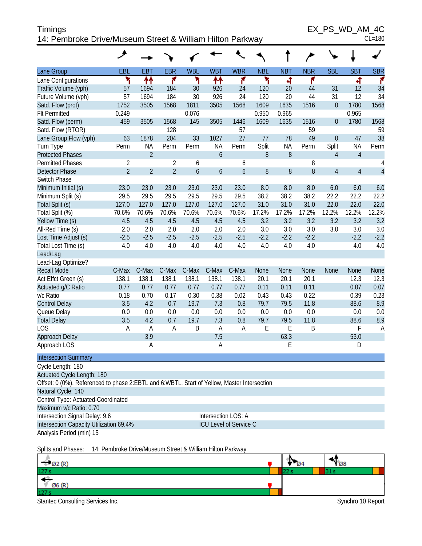| Timings                                                   | EX PS WD AM 4C |
|-----------------------------------------------------------|----------------|
| 14: Pembroke Drive/Museum Street & William Hilton Parkway | $CL = 180$     |

 $EX_PS_WD_AM_4C$ 

|  | vv | $\mathbf{J}$ |  | AIVI |  |
|--|----|--------------|--|------|--|
|  |    |              |  |      |  |

|                                                                                             | ۶                                                                 |                |                |                |                     |                  |            |            |            |                  |                |                |
|---------------------------------------------------------------------------------------------|-------------------------------------------------------------------|----------------|----------------|----------------|---------------------|------------------|------------|------------|------------|------------------|----------------|----------------|
| Lane Group                                                                                  | EBL                                                               | <b>EBT</b>     | <b>EBR</b>     | <b>WBL</b>     | <b>WBT</b>          | <b>WBR</b>       | <b>NBL</b> | <b>NBT</b> | <b>NBR</b> | <b>SBL</b>       | <b>SBT</b>     | <b>SBR</b>     |
| Lane Configurations                                                                         | ۲                                                                 | ↟↟             | ۴              | ۳              | ↟↟                  | ۴                | ۲          | 4          | ۴          |                  | 4              | ۴              |
| Traffic Volume (vph)                                                                        | 57                                                                | 1694           | 184            | 30             | 926                 | 24               | 120        | 20         | 44         | 31               | 12             | 34             |
| Future Volume (vph)                                                                         | 57                                                                | 1694           | 184            | 30             | 926                 | 24               | 120        | 20         | 44         | 31               | 12             | 34             |
| Satd. Flow (prot)                                                                           | 1752                                                              | 3505           | 1568           | 1811           | 3505                | 1568             | 1609       | 1635       | 1516       | $\boldsymbol{0}$ | 1780           | 1568           |
| Flt Permitted                                                                               | 0.249                                                             |                |                | 0.076          |                     |                  | 0.950      | 0.965      |            |                  | 0.965          |                |
| Satd. Flow (perm)                                                                           | 459                                                               | 3505           | 1568           | 145            | 3505                | 1446             | 1609       | 1635       | 1516       | $\boldsymbol{0}$ | 1780           | 1568           |
| Satd. Flow (RTOR)                                                                           |                                                                   |                | 128            |                |                     | 57               |            |            | 59         |                  |                | 59             |
| Lane Group Flow (vph)                                                                       | 63                                                                | 1878           | 204            | 33             | 1027                | 27               | 77         | 78         | 49         | $\boldsymbol{0}$ | 47             | 38             |
| Turn Type                                                                                   | Perm                                                              | <b>NA</b>      | Perm           | Perm           | <b>NA</b>           | Perm             | Split      | <b>NA</b>  | Perm       | Split            | <b>NA</b>      | Perm           |
| <b>Protected Phases</b>                                                                     |                                                                   | $\overline{2}$ |                |                | $\boldsymbol{6}$    |                  | $\, 8$     | 8          |            | $\overline{4}$   | $\overline{4}$ |                |
| <b>Permitted Phases</b>                                                                     | $\overline{2}$                                                    |                | $\overline{2}$ | 6              |                     | 6                |            |            | 8          |                  |                | 4              |
| <b>Detector Phase</b>                                                                       | $\overline{2}$                                                    | $\overline{2}$ | $\overline{2}$ | $\overline{6}$ | $\boldsymbol{6}$    | $\boldsymbol{6}$ | $8\,$      | 8          | 8          | $\overline{4}$   | $\overline{4}$ | $\overline{4}$ |
| Switch Phase                                                                                |                                                                   |                |                |                |                     |                  |            |            |            |                  |                |                |
| Minimum Initial (s)                                                                         | 23.0                                                              | 23.0           | 23.0           | 23.0           | 23.0                | 23.0             | 8.0        | 8.0        | 8.0        | 6.0              | 6.0            | 6.0            |
| Minimum Split (s)                                                                           | 29.5                                                              | 29.5           | 29.5           | 29.5           | 29.5                | 29.5             | 38.2       | 38.2       | 38.2       | 22.2             | 22.2           | 22.2           |
| Total Split (s)                                                                             | 127.0                                                             | 127.0          | 127.0          | 127.0          | 127.0               | 127.0            | 31.0       | 31.0       | 31.0       | 22.0             | 22.0           | 22.0           |
| Total Split (%)                                                                             | 70.6%                                                             | 70.6%          | 70.6%          | 70.6%          | 70.6%               | 70.6%            | 17.2%      | 17.2%      | 17.2%      | 12.2%            | 12.2%          | 12.2%          |
| Yellow Time (s)                                                                             | 4.5                                                               | 4.5            | 4.5            | 4.5            | 4.5                 | 4.5              | 3.2        | 3.2        | 3.2        | 3.2              | 3.2            | 3.2            |
| All-Red Time (s)                                                                            | 2.0                                                               | 2.0            | 2.0            | 2.0            | 2.0                 | 2.0              | 3.0        | 3.0        | 3.0        | 3.0              | 3.0            | 3.0            |
| Lost Time Adjust (s)                                                                        | $-2.5$                                                            | $-2.5$         | $-2.5$         | $-2.5$         | $-2.5$              | $-2.5$           | $-2.2$     | $-2.2$     | $-2.2$     |                  | $-2.2$         | $-2.2$         |
| Total Lost Time (s)                                                                         | 4.0                                                               | 4.0            | 4.0            | 4.0            | 4.0                 | 4.0              | 4.0        | 4.0        | 4.0        |                  | 4.0            | 4.0            |
| Lead/Lag                                                                                    |                                                                   |                |                |                |                     |                  |            |            |            |                  |                |                |
| Lead-Lag Optimize?                                                                          |                                                                   |                |                |                |                     |                  |            |            |            |                  |                |                |
| <b>Recall Mode</b>                                                                          | C-Max                                                             | C-Max          | C-Max          | C-Max          | C-Max               | C-Max            | None       | None       | None       | None             | None           | None           |
| Act Effct Green (s)                                                                         | 138.1                                                             | 138.1          | 138.1          | 138.1          | 138.1               | 138.1            | 20.1       | 20.1       | 20.1       |                  | 12.3           | 12.3           |
| Actuated g/C Ratio                                                                          | 0.77                                                              | 0.77           | 0.77           | 0.77           | 0.77                | 0.77             | 0.11       | 0.11       | 0.11       |                  | 0.07           | 0.07           |
| v/c Ratio                                                                                   | 0.18                                                              | 0.70           | 0.17           | 0.30           | 0.38                | 0.02             | 0.43       | 0.43       | 0.22       |                  | 0.39           | 0.23           |
| <b>Control Delay</b>                                                                        | 3.5                                                               | 4.2            | 0.7            | 19.7           | 7.3                 | 0.8              | 79.7       | 79.5       | 11.8       |                  | 88.6           | 8.9            |
| Queue Delay                                                                                 | $0.0\,$                                                           | 0.0            | 0.0            | 0.0            | 0.0                 | 0.0              | 0.0        | 0.0        | 0.0        |                  | 0.0            | 0.0            |
| <b>Total Delay</b>                                                                          | 3.5                                                               | 4.2            | 0.7            | 19.7           | 7.3                 | 0.8              | 79.7       | 79.5       | 11.8       |                  | 88.6           | 8.9            |
| <b>LOS</b>                                                                                  | A                                                                 | A              | A              | B              | $\overline{A}$      | Α                | E          | E          | B          |                  | F              | $\overline{A}$ |
| Approach Delay                                                                              |                                                                   | 3.9            |                |                | 7.5                 |                  |            | 63.3       |            |                  | 53.0           |                |
| Approach LOS                                                                                |                                                                   | A              |                |                | $\overline{A}$      |                  |            | E          |            |                  | D              |                |
| <b>Intersection Summary</b>                                                                 |                                                                   |                |                |                |                     |                  |            |            |            |                  |                |                |
| Cycle Length: 180                                                                           |                                                                   |                |                |                |                     |                  |            |            |            |                  |                |                |
| Actuated Cycle Length: 180                                                                  |                                                                   |                |                |                |                     |                  |            |            |            |                  |                |                |
| Offset: 0 (0%), Referenced to phase 2:EBTL and 6:WBTL, Start of Yellow, Master Intersection |                                                                   |                |                |                |                     |                  |            |            |            |                  |                |                |
| Natural Cycle: 140                                                                          |                                                                   |                |                |                |                     |                  |            |            |            |                  |                |                |
| Control Type: Actuated-Coordinated                                                          |                                                                   |                |                |                |                     |                  |            |            |            |                  |                |                |
| Maximum v/c Ratio: 0.70                                                                     |                                                                   |                |                |                |                     |                  |            |            |            |                  |                |                |
| Intersection Signal Delay: 9.6                                                              |                                                                   |                |                |                | Intersection LOS: A |                  |            |            |            |                  |                |                |
|                                                                                             | Intersection Capacity Utilization 69.4%<br>ICU Level of Service C |                |                |                |                     |                  |            |            |            |                  |                |                |
| Analysis Period (min) 15                                                                    |                                                                   |                |                |                |                     |                  |            |            |            |                  |                |                |
|                                                                                             |                                                                   |                |                |                |                     |                  |            |            |            |                  |                |                |

#### Splits and Phases: 14: Pembroke Drive/Museum Street & William Hilton Parkway

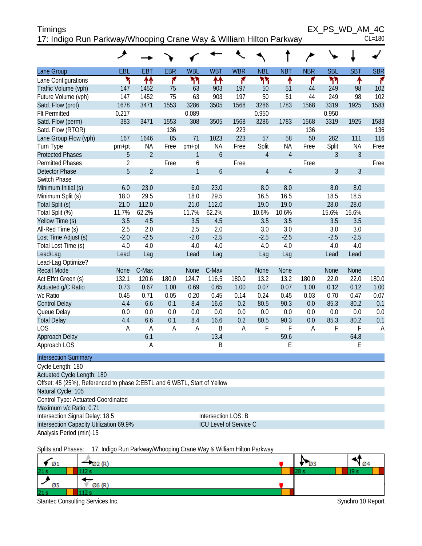| Timings                                                            | EX PS WD AM 4C |
|--------------------------------------------------------------------|----------------|
| 17: Indigo Run Parkway/Whooping Crane Way & William Hilton Parkway | $CL = 180$     |

|                                                                          | ◢              |                   |            |              |                        |            |                         |                 |            |            |                  |             |
|--------------------------------------------------------------------------|----------------|-------------------|------------|--------------|------------------------|------------|-------------------------|-----------------|------------|------------|------------------|-------------|
| Lane Group                                                               | EBL            | <b>EBT</b>        | <b>EBR</b> | <b>WBL</b>   | <b>WBT</b>             | <b>WBR</b> | <b>NBL</b>              | <b>NBT</b>      | <b>NBR</b> | <b>SBL</b> | <b>SBT</b>       | <b>SBR</b>  |
| Lane Configurations                                                      | ۲              | ↟↟                | ۴          | ካካ           | ↟↟                     | ۴          | ካካ                      | ۰               | ۴          | ካካ         | ↟                | ۴           |
| Traffic Volume (vph)                                                     | 147            | 1452              | 75         | 63           | 903                    | 197        | 50                      | 51              | 44         | 249        | 98               | 102         |
| Future Volume (vph)                                                      | 147            | 1452              | 75         | 63           | 903                    | 197        | 50                      | 51              | 44         | 249        | 98               | 102         |
| Satd. Flow (prot)                                                        | 1678           | 3471              | 1553       | 3286         | 3505                   | 1568       | 3286                    | 1783            | 1568       | 3319       | 1925             | 1583        |
| <b>Flt Permitted</b>                                                     | 0.217          |                   |            | 0.089        |                        |            | 0.950                   |                 |            | 0.950      |                  |             |
| Satd. Flow (perm)                                                        | 383            | 3471              | 1553       | 308          | 3505                   | 1568       | 3286                    | 1783            | 1568       | 3319       | 1925             | 1583        |
| Satd. Flow (RTOR)                                                        |                |                   | 136        |              |                        | 223        |                         |                 | 136        |            |                  | 136         |
| Lane Group Flow (vph)                                                    | 167            | 1646<br><b>NA</b> | 85         | 71           | 1023<br><b>NA</b>      | 223        | 57                      | 58<br><b>NA</b> | 50         | 282        | 111<br><b>NA</b> | 116<br>Free |
| Turn Type<br><b>Protected Phases</b>                                     | pm+pt<br>5     | $\overline{2}$    | Free       | pm+pt<br>1   | 6                      | Free       | Split<br>$\overline{4}$ | $\overline{4}$  | Free       | Split<br>3 | 3                |             |
| <b>Permitted Phases</b>                                                  | $\overline{2}$ |                   | Free       | 6            |                        | Free       |                         |                 | Free       |            |                  | Free        |
| <b>Detector Phase</b>                                                    | 5              | $\overline{2}$    |            | $\mathbf{1}$ | 6                      |            | $\overline{4}$          | $\overline{4}$  |            | 3          | 3                |             |
| Switch Phase                                                             |                |                   |            |              |                        |            |                         |                 |            |            |                  |             |
| Minimum Initial (s)                                                      | 6.0            | 23.0              |            | 6.0          | 23.0                   |            | 8.0                     | 8.0             |            | 8.0        | 8.0              |             |
| Minimum Split (s)                                                        | 18.0           | 29.5              |            | 18.0         | 29.5                   |            | 16.5                    | 16.5            |            | 18.5       | 18.5             |             |
| Total Split (s)                                                          | 21.0           | 112.0             |            | 21.0         | 112.0                  |            | 19.0                    | 19.0            |            | 28.0       | 28.0             |             |
| Total Split (%)                                                          | 11.7%          | 62.2%             |            | 11.7%        | 62.2%                  |            | 10.6%                   | 10.6%           |            | 15.6%      | 15.6%            |             |
| Yellow Time (s)                                                          | 3.5            | 4.5               |            | 3.5          | 4.5                    |            | 3.5                     | 3.5             |            | 3.5        | 3.5              |             |
| All-Red Time (s)                                                         | 2.5            | 2.0               |            | 2.5          | 2.0                    |            | 3.0                     | 3.0             |            | 3.0        | 3.0              |             |
| Lost Time Adjust (s)                                                     | $-2.0$         | $-2.5$            |            | $-2.0$       | $-2.5$                 |            | $-2.5$                  | $-2.5$          |            | $-2.5$     | $-2.5$           |             |
| Total Lost Time (s)                                                      | 4.0            | 4.0               |            | 4.0          | 4.0                    |            | 4.0                     | 4.0             |            | 4.0        | 4.0              |             |
| Lead/Lag                                                                 | Lead           | Lag               |            | Lead         | Lag                    |            | Lag                     | Lag             |            | Lead       | Lead             |             |
| Lead-Lag Optimize?                                                       |                |                   |            |              |                        |            |                         |                 |            |            |                  |             |
| <b>Recall Mode</b>                                                       | <b>None</b>    | C-Max             |            | None         | C-Max                  |            | None                    | None            |            | None       | <b>None</b>      |             |
| Act Effct Green (s)                                                      | 132.1          | 120.6             | 180.0      | 124.7        | 116.5                  | 180.0      | 13.2                    | 13.2            | 180.0      | 22.0       | 22.0             | 180.0       |
| Actuated g/C Ratio                                                       | 0.73           | 0.67              | 1.00       | 0.69         | 0.65                   | 1.00       | 0.07                    | 0.07            | 1.00       | 0.12       | 0.12             | 1.00        |
| v/c Ratio                                                                | 0.45           | 0.71              | 0.05       | 0.20         | 0.45                   | 0.14       | 0.24                    | 0.45            | 0.03       | 0.70       | 0.47             | 0.07        |
| <b>Control Delay</b>                                                     | 4.4            | 6.6               | 0.1        | 8.4          | 16.6                   | 0.2        | 80.5                    | 90.3            | 0.0        | 85.3       | 80.2             | 0.1         |
| Queue Delay                                                              | 0.0            | 0.0               | 0.0        | 0.0          | 0.0                    | 0.0        | 0.0                     | 0.0             | 0.0        | 0.0        | 0.0              | 0.0         |
| <b>Total Delay</b><br>LOS                                                | 4.4<br>A       | 6.6<br>A          | 0.1<br>Α   | 8.4<br>Α     | 16.6<br>B              | 0.2<br>A   | 80.5<br>F               | 90.3<br>F       | 0.0<br>Α   | 85.3<br>F  | 80.2<br>F        | 0.1<br>A    |
| Approach Delay                                                           |                | 6.1               |            |              | 13.4                   |            |                         | 59.6            |            |            | 64.8             |             |
| Approach LOS                                                             |                | A                 |            |              | Β                      |            |                         | E               |            |            | Ε                |             |
|                                                                          |                |                   |            |              |                        |            |                         |                 |            |            |                  |             |
| <b>Intersection Summary</b>                                              |                |                   |            |              |                        |            |                         |                 |            |            |                  |             |
| Cycle Length: 180                                                        |                |                   |            |              |                        |            |                         |                 |            |            |                  |             |
| Actuated Cycle Length: 180                                               |                |                   |            |              |                        |            |                         |                 |            |            |                  |             |
| Offset: 45 (25%), Referenced to phase 2:EBTL and 6:WBTL, Start of Yellow |                |                   |            |              |                        |            |                         |                 |            |            |                  |             |
| Natural Cycle: 105                                                       |                |                   |            |              |                        |            |                         |                 |            |            |                  |             |
| Control Type: Actuated-Coordinated<br>Maximum v/c Ratio: 0.71            |                |                   |            |              |                        |            |                         |                 |            |            |                  |             |
| Intersection Signal Delay: 18.5                                          |                |                   |            |              | Intersection LOS: B    |            |                         |                 |            |            |                  |             |
| Intersection Capacity Utilization 69.9%                                  |                |                   |            |              | ICU Level of Service C |            |                         |                 |            |            |                  |             |
| Analysis Period (min) 15                                                 |                |                   |            |              |                        |            |                         |                 |            |            |                  |             |
|                                                                          |                |                   |            |              |                        |            |                         |                 |            |            |                  |             |

Splits and Phases: 17: Indigo Run Parkway/Whooping Crane Way & William Hilton Parkway

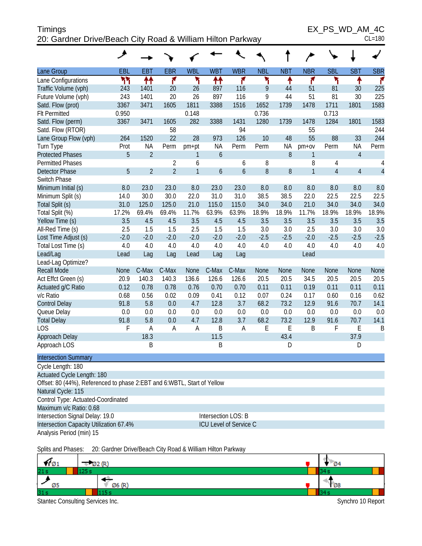## Timings EX\_PS\_WD\_AM\_4C 20: Gardner Drive/Beach City Road & William Hilton Parkway CL=180

|                                                                         | عر          |                |                |              |            |                        |            |            |                |                |                |                |
|-------------------------------------------------------------------------|-------------|----------------|----------------|--------------|------------|------------------------|------------|------------|----------------|----------------|----------------|----------------|
| Lane Group                                                              | EBL         | <b>EBT</b>     | <b>EBR</b>     | <b>WBL</b>   | <b>WBT</b> | <b>WBR</b>             | <b>NBL</b> | <b>NBT</b> | <b>NBR</b>     | <b>SBL</b>     | <b>SBT</b>     | <b>SBR</b>     |
| Lane Configurations                                                     | ካካ          | ↟↟             | ۴              | ۲            | ₩          | ۴                      | ۲          | ↟          | ۴              | ۲              | ٠              | ۴              |
| Traffic Volume (vph)                                                    | 243         | 1401           | 20             | 26           | 897        | 116                    | 9          | 44         | 51             | 81             | 30             | 225            |
| Future Volume (vph)                                                     | 243         | 1401           | 20             | 26           | 897        | 116                    | 9          | 44         | 51             | 81             | 30             | 225            |
| Satd. Flow (prot)                                                       | 3367        | 3471           | 1605           | 1811         | 3388       | 1516                   | 1652       | 1739       | 1478           | 1711           | 1801           | 1583           |
| <b>Flt Permitted</b>                                                    | 0.950       |                |                | 0.148        |            |                        | 0.736      |            |                | 0.713          |                |                |
| Satd. Flow (perm)                                                       | 3367        | 3471           | 1605           | 282          | 3388       | 1431                   | 1280       | 1739       | 1478           | 1284           | 1801           | 1583           |
| Satd. Flow (RTOR)                                                       |             |                | 58             |              |            | 94                     |            |            | 55             |                |                | 244            |
| Lane Group Flow (vph)                                                   | 264         | 1520           | 22             | 28           | 973        | 126                    | 10         | 48         | 55             | 88             | 33             | 244            |
| Turn Type                                                               | Prot        | <b>NA</b>      | Perm           | pm+pt        | <b>NA</b>  | Perm                   | Perm       | <b>NA</b>  | pm+ov          | Perm           | <b>NA</b>      | Perm           |
| <b>Protected Phases</b>                                                 | 5           | $\overline{2}$ |                | 1            | 6          |                        |            | 8          | 1              |                | $\overline{4}$ |                |
| <b>Permitted Phases</b>                                                 |             |                | $\overline{2}$ | 6            |            | 6                      | 8          |            | 8              | 4              |                | 4              |
| <b>Detector Phase</b>                                                   | 5           | $\overline{2}$ | $\overline{2}$ | $\mathbf{1}$ | 6          | $\boldsymbol{6}$       | 8          | 8          | $\overline{1}$ | $\overline{4}$ | $\overline{4}$ | $\overline{4}$ |
| Switch Phase                                                            |             |                |                |              |            |                        |            |            |                |                |                |                |
| Minimum Initial (s)                                                     | 8.0         | 23.0           | 23.0           | 8.0          | 23.0       | 23.0                   | 8.0        | 8.0        | 8.0            | 8.0            | 8.0            | 8.0            |
| Minimum Split (s)                                                       | 14.0        | 30.0           | 30.0           | 22.0         | 31.0       | 31.0                   | 38.5       | 38.5       | 22.0           | 22.5           | 22.5           | 22.5           |
| Total Split (s)                                                         | 31.0        | 125.0          | 125.0          | 21.0         | 115.0      | 115.0                  | 34.0       | 34.0       | 21.0           | 34.0           | 34.0           | 34.0           |
| Total Split (%)                                                         | 17.2%       | 69.4%          | 69.4%          | 11.7%        | 63.9%      | 63.9%                  | 18.9%      | 18.9%      | 11.7%          | 18.9%          | 18.9%          | 18.9%          |
| Yellow Time (s)                                                         | 3.5         | 4.5            | 4.5            | 3.5          | 4.5        | 4.5                    | 3.5        | 3.5        | 3.5            | 3.5            | 3.5            | 3.5            |
| All-Red Time (s)                                                        | 2.5         | 1.5            | 1.5            | 2.5          | 1.5        | 1.5                    | 3.0        | 3.0        | 2.5            | 3.0            | 3.0            | 3.0            |
| Lost Time Adjust (s)                                                    | $-2.0$      | $-2.0$         | $-2.0$         | $-2.0$       | $-2.0$     | $-2.0$                 | $-2.5$     | $-2.5$     | $-2.0$         | $-2.5$         | $-2.5$         | $-2.5$         |
| Total Lost Time (s)                                                     | 4.0         | 4.0            | 4.0            | 4.0          | 4.0        | 4.0                    | 4.0        | 4.0        | 4.0            | 4.0            | 4.0            | 4.0            |
| Lead/Lag                                                                | Lead        | Lag            | Lag            | Lead         | Lag        | Lag                    |            |            | Lead           |                |                |                |
| Lead-Lag Optimize?                                                      |             |                |                |              |            |                        |            |            |                |                |                |                |
| <b>Recall Mode</b>                                                      | <b>None</b> | C-Max          | C-Max          | <b>None</b>  | C-Max      | C-Max                  | None       | None       | None           | None           | None           | None           |
| Act Effct Green (s)                                                     | 20.9        | 140.3          | 140.3          | 136.6        | 126.6      | 126.6                  | 20.5       | 20.5       | 34.5           | 20.5           | 20.5           | 20.5           |
| Actuated g/C Ratio                                                      | 0.12        | 0.78           | 0.78           | 0.76         | 0.70       | 0.70                   | 0.11       | 0.11       | 0.19           | 0.11           | 0.11           | 0.11           |
| v/c Ratio                                                               | 0.68        | 0.56           | 0.02           | 0.09         | 0.41       | 0.12                   | 0.07       | 0.24       | 0.17           | 0.60           | 0.16           | 0.62           |
| <b>Control Delay</b>                                                    | 91.8        | 5.8            | 0.0            | 4.7          | 12.8       | 3.7                    | 68.2       | 73.2       | 12.9           | 91.6           | 70.7           | 14.1           |
| Queue Delay                                                             | 0.0         | 0.0            | 0.0            | 0.0          | 0.0        | 0.0                    | 0.0        | 0.0        | 0.0            | 0.0            | 0.0            | 0.0            |
| <b>Total Delay</b>                                                      | 91.8        | 5.8            | 0.0            | 4.7          | 12.8       | 3.7                    | 68.2       | 73.2       | 12.9           | 91.6           | 70.7           | 14.1           |
| <b>LOS</b>                                                              | F           | Α              | A              | A            | B          | A                      | E          | E          | B              | F              | E              | B              |
| Approach Delay                                                          |             | 18.3           |                |              | 11.5       |                        |            | 43.4       |                |                | 37.9           |                |
| Approach LOS                                                            |             | Β              |                |              | B          |                        |            | D          |                |                | D              |                |
| <b>Intersection Summary</b>                                             |             |                |                |              |            |                        |            |            |                |                |                |                |
| Cycle Length: 180                                                       |             |                |                |              |            |                        |            |            |                |                |                |                |
| Actuated Cycle Length: 180                                              |             |                |                |              |            |                        |            |            |                |                |                |                |
| Offset: 80 (44%), Referenced to phase 2:EBT and 6:WBTL, Start of Yellow |             |                |                |              |            |                        |            |            |                |                |                |                |
| Natural Cycle: 115                                                      |             |                |                |              |            |                        |            |            |                |                |                |                |
| Control Type: Actuated-Coordinated                                      |             |                |                |              |            |                        |            |            |                |                |                |                |
| Maximum v/c Ratio: 0.68                                                 |             |                |                |              |            |                        |            |            |                |                |                |                |
| Intersection Signal Delay: 19.0                                         |             |                |                |              |            | Intersection LOS: B    |            |            |                |                |                |                |
| Intersection Capacity Utilization 67.4%                                 |             |                |                |              |            | ICU Level of Service C |            |            |                |                |                |                |
| Analysis Period (min) 15                                                |             |                |                |              |            |                        |            |            |                |                |                |                |

Splits and Phases: 20: Gardner Drive/Beach City Road & William Hilton Parkway

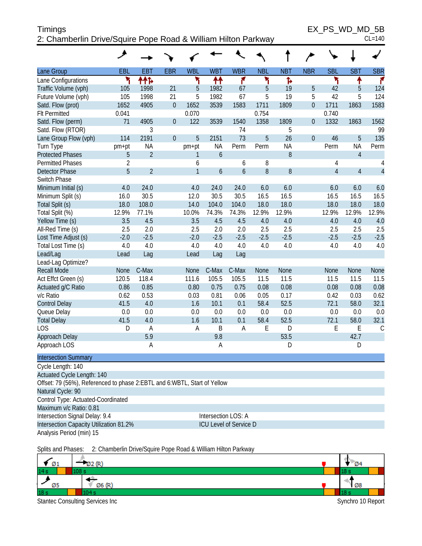| <b>Timings</b>                                                | EX PS WD MD 5B |
|---------------------------------------------------------------|----------------|
| 2: Chamberlin Drive/Squire Pope Road & William Hilton Parkway | $CL = 140$     |

 $EX_PS_WD_MD_5B_{CL=140}$ 

|                                                                            | ᢣ                   |                |                |                |             |                        |            |            |                  |                |                |                |
|----------------------------------------------------------------------------|---------------------|----------------|----------------|----------------|-------------|------------------------|------------|------------|------------------|----------------|----------------|----------------|
| Lane Group                                                                 | EBL                 | <b>EBT</b>     | <b>EBR</b>     | <b>WBL</b>     | <b>WBT</b>  | <b>WBR</b>             | <b>NBL</b> | <b>NBT</b> | <b>NBR</b>       | <b>SBL</b>     | <b>SBT</b>     | <b>SBR</b>     |
| Lane Configurations                                                        | ۲                   | ተተኈ            |                | ۲              | ↟↟          | ۴                      | ۲          | Ъ          |                  | ۳              | ↟              | ۴              |
| Traffic Volume (vph)                                                       | 105                 | 1998           | 21             | 5              | 1982        | 67                     | 5          | 19         | 5                | 42             | 5              | 124            |
| Future Volume (vph)                                                        | 105                 | 1998           | 21             | 5              | 1982        | 67                     | 5          | 19         | 5                | 42             | 5              | 124            |
| Satd. Flow (prot)                                                          | 1652                | 4905           | $\overline{0}$ | 1652           | 3539        | 1583                   | 1711       | 1809       | $\overline{0}$   | 1711           | 1863           | 1583           |
| <b>Flt Permitted</b>                                                       | 0.041               |                |                | 0.070          |             |                        | 0.754      |            |                  | 0.740          |                |                |
| Satd. Flow (perm)                                                          | 71                  | 4905           | $\overline{0}$ | 122            | 3539        | 1540                   | 1358       | 1809       | $\boldsymbol{0}$ | 1332           | 1863           | 1562           |
| Satd. Flow (RTOR)                                                          |                     | 3              |                |                |             | 74                     |            | 5          |                  |                |                | 99             |
| Lane Group Flow (vph)                                                      | 114                 | 2191           | $\overline{0}$ | 5              | 2151        | 73                     | 5          | 26         | $\overline{0}$   | 46             | 5              | 135            |
| Turn Type                                                                  | pm+pt               | <b>NA</b>      |                | pm+pt          | <b>NA</b>   | Perm                   | Perm       | <b>NA</b>  |                  | Perm           | <b>NA</b>      | Perm           |
| <b>Protected Phases</b>                                                    | 5                   | $\overline{2}$ |                | 1              | 6           |                        |            | 8          |                  |                | $\overline{4}$ |                |
| <b>Permitted Phases</b>                                                    | $\overline{2}$      |                |                | 6              |             | 6                      | 8          |            |                  | 4              |                | 4              |
| <b>Detector Phase</b>                                                      | 5                   | $\overline{2}$ |                | $\overline{1}$ | 6           | $\boldsymbol{6}$       | 8          | 8          |                  | $\overline{4}$ | $\overline{4}$ | $\overline{4}$ |
| Switch Phase                                                               |                     |                |                |                |             |                        |            |            |                  |                |                |                |
| Minimum Initial (s)                                                        | 4.0                 | 24.0           |                | 4.0            | 24.0        | 24.0                   | 6.0        | 6.0        |                  | 6.0            | 6.0            | 6.0            |
| Minimum Split (s)                                                          | 16.0                | 30.5           |                | 12.0           | 30.5        | 30.5                   | 16.5       | 16.5       |                  | 16.5           | 16.5           | 16.5           |
| Total Split (s)                                                            | 18.0                | 108.0          |                | 14.0           | 104.0       | 104.0                  | 18.0       | 18.0       |                  | 18.0           | 18.0           | 18.0           |
| Total Split (%)                                                            | 12.9%               | 77.1%          |                | 10.0%          | 74.3%       | 74.3%                  | 12.9%      | 12.9%      |                  | 12.9%          | 12.9%          | 12.9%          |
| Yellow Time (s)                                                            | 3.5                 | 4.5            |                | 3.5            | 4.5         | 4.5                    | 4.0        | 4.0        |                  | 4.0            | 4.0            | 4.0            |
| All-Red Time (s)                                                           | 2.5                 | 2.0            |                | 2.5            | 2.0         | 2.0                    | 2.5        | 2.5        |                  | 2.5            | 2.5            | 2.5            |
| Lost Time Adjust (s)                                                       | $-2.0$              | $-2.5$         |                | $-2.0$         | $-2.5$      | $-2.5$                 | $-2.5$     | $-2.5$     |                  | $-2.5$         | $-2.5$         | $-2.5$         |
| Total Lost Time (s)                                                        | 4.0                 | 4.0            |                | 4.0            | 4.0         | 4.0                    | 4.0        | 4.0        |                  | 4.0            | 4.0            | 4.0            |
| Lead/Lag                                                                   | Lead                | Lag            |                | Lead           | Lag         | Lag                    |            |            |                  |                |                |                |
| Lead-Lag Optimize?                                                         |                     |                |                |                |             |                        |            |            |                  |                |                |                |
| <b>Recall Mode</b>                                                         | <b>None</b>         | C-Max          |                | None           | C-Max       | C-Max                  | None       | None       |                  | None           | None           | None           |
| Act Effct Green (s)                                                        | 120.5               | 118.4          |                | 111.6          | 105.5       | 105.5                  | 11.5       | 11.5       |                  | 11.5           | 11.5           | 11.5           |
| Actuated g/C Ratio                                                         | 0.86                | 0.85           |                | 0.80           | 0.75        | 0.75                   | 0.08       | 0.08       |                  | 0.08           | 0.08           | 0.08           |
| v/c Ratio                                                                  | 0.62                | 0.53           |                | 0.03           | 0.81        | 0.06                   | 0.05       | 0.17       |                  | 0.42           | 0.03           | 0.62           |
| <b>Control Delay</b>                                                       | 41.5                | 4.0            |                | 1.6            | 10.1        | 0.1                    | 58.4       | 52.5       |                  | 72.1           | 58.0           | 32.1           |
| Queue Delay                                                                | 0.0                 | 0.0            |                | 0.0            | 0.0         | 0.0                    | 0.0        | $0.0\,$    |                  | 0.0            | 0.0            | 0.0            |
| <b>Total Delay</b>                                                         | 41.5                | 4.0            |                | 1.6            | 10.1        | 0.1                    | 58.4       | 52.5       |                  | 72.1           | 58.0           | 32.1           |
| <b>LOS</b>                                                                 | D                   | $\overline{A}$ |                | A              | $\mathsf B$ | $\mathsf A$            | E          | D          |                  | E              | E              | $\mathsf C$    |
| Approach Delay                                                             |                     | 5.9            |                |                | 9.8         |                        |            | 53.5       |                  |                | 42.7           |                |
| Approach LOS                                                               |                     | Α              |                |                | A           |                        |            | D          |                  |                | D              |                |
| <b>Intersection Summary</b>                                                |                     |                |                |                |             |                        |            |            |                  |                |                |                |
| Cycle Length: 140                                                          |                     |                |                |                |             |                        |            |            |                  |                |                |                |
| Actuated Cycle Length: 140                                                 |                     |                |                |                |             |                        |            |            |                  |                |                |                |
| Offset: 79 (56%), Referenced to phase 2: EBTL and 6: WBTL, Start of Yellow |                     |                |                |                |             |                        |            |            |                  |                |                |                |
| Natural Cycle: 90                                                          |                     |                |                |                |             |                        |            |            |                  |                |                |                |
| Control Type: Actuated-Coordinated                                         |                     |                |                |                |             |                        |            |            |                  |                |                |                |
| Maximum v/c Ratio: 0.81                                                    |                     |                |                |                |             |                        |            |            |                  |                |                |                |
| Intersection Signal Delay: 9.4                                             | Intersection LOS: A |                |                |                |             |                        |            |            |                  |                |                |                |
| Intersection Capacity Utilization 81.2%                                    |                     |                |                |                |             | ICU Level of Service D |            |            |                  |                |                |                |
| Analysis Period (min) 15                                                   |                     |                |                |                |             |                        |            |            |                  |                |                |                |

Splits and Phases: 2: Chamberlin Drive/Squire Pope Road & William Hilton Parkway

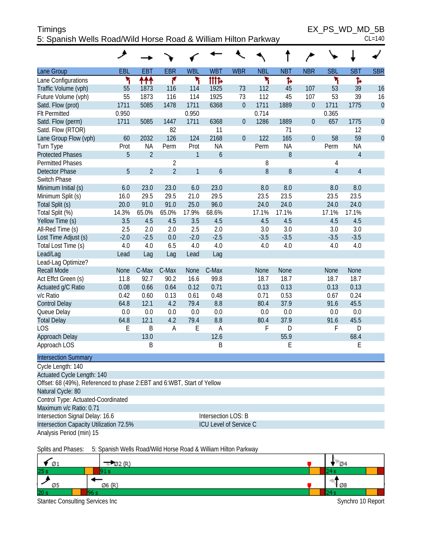| <b>Timings</b>                                                 | EX PS WD MD 5B |
|----------------------------------------------------------------|----------------|
| 5: Spanish Wells Road/Wild Horse Road & William Hilton Parkway | $CL=140$       |

 $EX_PS_WD_MD_5B_{CL=140}$ 

|                                                                        | ۸                   |                |                |              |                               |                  |            |                  |                  |                |                |             |
|------------------------------------------------------------------------|---------------------|----------------|----------------|--------------|-------------------------------|------------------|------------|------------------|------------------|----------------|----------------|-------------|
| Lane Group                                                             | EBL                 | <b>EBT</b>     | <b>EBR</b>     | <b>WBL</b>   | <b>WBT</b>                    | <b>WBR</b>       | <b>NBL</b> | <b>NBT</b>       | <b>NBR</b>       | <b>SBL</b>     | <b>SBT</b>     | <b>SBR</b>  |
| Lane Configurations                                                    | ۲                   | ተተተ            | ۴              | ۲            | tttd                          |                  | ۲          | Ъ                |                  | ۲              | Ъ              |             |
| Traffic Volume (vph)                                                   | 55                  | 1873           | 116            | 114          | 1925                          | 73               | 112        | 45               | 107              | 53             | 39             | 16          |
| Future Volume (vph)                                                    | 55                  | 1873           | 116            | 114          | 1925                          | 73               | 112        | 45               | 107              | 53             | 39             | 16          |
| Satd. Flow (prot)                                                      | 1711                | 5085           | 1478           | 1711         | 6368                          | $\boldsymbol{0}$ | 1711       | 1889             | $\boldsymbol{0}$ | 1711           | 1775           | $\theta$    |
| <b>Flt Permitted</b>                                                   | 0.950               |                |                | 0.950        |                               |                  | 0.714      |                  |                  | 0.365          |                |             |
| Satd. Flow (perm)                                                      | 1711                | 5085           | 1447           | 1711         | 6368                          | $\boldsymbol{0}$ | 1286       | 1889             | $\boldsymbol{0}$ | 657            | 1775           | $\mathbf 0$ |
| Satd. Flow (RTOR)                                                      |                     |                | 82             |              | 11                            |                  |            | 71               |                  |                | 12             |             |
| Lane Group Flow (vph)                                                  | 60                  | 2032           | 126            | 124          | 2168                          | $\boldsymbol{0}$ | 122        | 165              | $\mathbf{0}$     | 58             | 59             | $\mathbf 0$ |
| Turn Type                                                              | Prot                | ΝA             | Perm           | Prot         | <b>NA</b>                     |                  | Perm       | NA               |                  | Perm           | <b>NA</b>      |             |
| <b>Protected Phases</b>                                                | 5                   | $\overline{2}$ |                | 1            | $\boldsymbol{6}$              |                  |            | $\, 8$           |                  |                | $\overline{4}$ |             |
| <b>Permitted Phases</b>                                                |                     |                | $\overline{2}$ |              |                               |                  | 8          |                  |                  | 4              |                |             |
| <b>Detector Phase</b>                                                  | 5                   | $\overline{2}$ | $\overline{2}$ | $\mathbf{1}$ | 6                             |                  | 8          | $\boldsymbol{8}$ |                  | $\overline{4}$ | $\overline{4}$ |             |
| Switch Phase                                                           |                     |                |                |              |                               |                  |            |                  |                  |                |                |             |
| Minimum Initial (s)                                                    | 6.0                 | 23.0           | 23.0           | 6.0          | 23.0                          |                  | 8.0        | 8.0              |                  | 8.0            | 8.0            |             |
| Minimum Split (s)                                                      | 16.0                | 29.5           | 29.5           | 21.0         | 29.5                          |                  | 23.5       | 23.5             |                  | 23.5           | 23.5           |             |
| Total Split (s)                                                        | 20.0                | 91.0           | 91.0           | 25.0         | 96.0                          |                  | 24.0       | 24.0             |                  | 24.0           | 24.0           |             |
| Total Split (%)                                                        | 14.3%               | 65.0%          | 65.0%          | 17.9%        | 68.6%                         |                  | 17.1%      | 17.1%            |                  | 17.1%          | 17.1%          |             |
| Yellow Time (s)                                                        | 3.5                 | 4.5            | 4.5            | 3.5          | 4.5                           |                  | 4.5        | 4.5              |                  | 4.5            | 4.5            |             |
| All-Red Time (s)                                                       | 2.5                 | 2.0            | 2.0            | 2.5          | 2.0                           |                  | 3.0        | 3.0              |                  | 3.0            | 3.0            |             |
| Lost Time Adjust (s)                                                   | $-2.0$              | $-2.5$         | 0.0            | $-2.0$       | $-2.5$                        |                  | $-3.5$     | $-3.5$           |                  | $-3.5$         | $-3.5$         |             |
| Total Lost Time (s)                                                    | 4.0                 | 4.0            | 6.5            | 4.0          | 4.0                           |                  | 4.0        | 4.0              |                  | 4.0            | 4.0            |             |
| Lead/Lag                                                               | Lead                | Lag            | Lag            | Lead         | Lag                           |                  |            |                  |                  |                |                |             |
| Lead-Lag Optimize?                                                     |                     |                |                |              |                               |                  |            |                  |                  |                |                |             |
| <b>Recall Mode</b>                                                     | None                | C-Max          | C-Max          | None         | C-Max                         |                  | None       | None             |                  | None           | None           |             |
| Act Effct Green (s)                                                    | 11.8                | 92.7           | 90.2           | 16.6         | 99.8                          |                  | 18.7       | 18.7             |                  | 18.7           | 18.7           |             |
| Actuated g/C Ratio                                                     | 0.08                | 0.66           | 0.64           | 0.12         | 0.71                          |                  | 0.13       | 0.13             |                  | 0.13           | 0.13           |             |
| v/c Ratio                                                              | 0.42                | 0.60           | 0.13           | 0.61         | 0.48                          |                  | 0.71       | 0.53             |                  | 0.67           | 0.24           |             |
| <b>Control Delay</b>                                                   | 64.8                | 12.1           | 4.2            | 79.4         | 8.8                           |                  | 80.4       | 37.9             |                  | 91.6           | 45.5           |             |
| Queue Delay                                                            | 0.0                 | 0.0            | 0.0            | 0.0          | 0.0                           |                  | 0.0        | 0.0              |                  | 0.0            | 0.0            |             |
| <b>Total Delay</b>                                                     | 64.8                | 12.1           | 4.2            | 79.4         | 8.8                           |                  | 80.4       | 37.9             |                  | 91.6           | 45.5           |             |
| <b>LOS</b>                                                             | Ε                   | B              | A              | Ε            | A                             |                  | F          | D                |                  | F              | D              |             |
| Approach Delay                                                         |                     | 13.0           |                |              | 12.6                          |                  |            | 55.9             |                  |                | 68.4           |             |
| Approach LOS                                                           |                     | B              |                |              | B                             |                  |            | Ε                |                  |                | Ε              |             |
| <b>Intersection Summary</b>                                            |                     |                |                |              |                               |                  |            |                  |                  |                |                |             |
| Cycle Length: 140                                                      |                     |                |                |              |                               |                  |            |                  |                  |                |                |             |
| Actuated Cycle Length: 140                                             |                     |                |                |              |                               |                  |            |                  |                  |                |                |             |
| Offset: 68 (49%), Referenced to phase 2:EBT and 6:WBT, Start of Yellow |                     |                |                |              |                               |                  |            |                  |                  |                |                |             |
| Natural Cycle: 80                                                      |                     |                |                |              |                               |                  |            |                  |                  |                |                |             |
| Control Type: Actuated-Coordinated                                     |                     |                |                |              |                               |                  |            |                  |                  |                |                |             |
| Maximum v/c Ratio: 0.71                                                |                     |                |                |              |                               |                  |            |                  |                  |                |                |             |
| Intersection Signal Delay: 16.6                                        | Intersection LOS: B |                |                |              |                               |                  |            |                  |                  |                |                |             |
| Intersection Capacity Utilization 72.5%                                |                     |                |                |              | <b>ICU Level of Service C</b> |                  |            |                  |                  |                |                |             |
| Analysis Period (min) 15                                               |                     |                |                |              |                               |                  |            |                  |                  |                |                |             |
|                                                                        |                     |                |                |              |                               |                  |            |                  |                  |                |                |             |

Splits and Phases: 5: Spanish Wells Road/Wild Horse Road & William Hilton Parkway

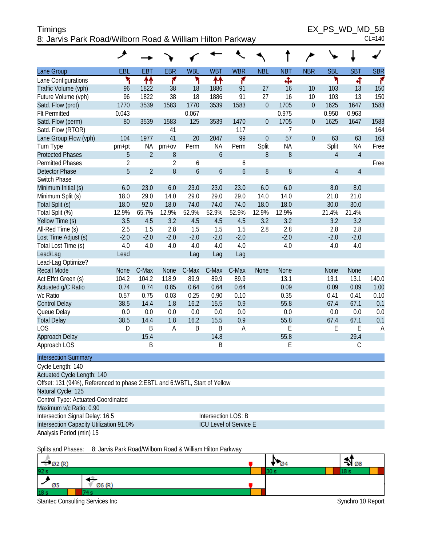| Timings                                                   | EX PS WD MD 5B |
|-----------------------------------------------------------|----------------|
| 8: Jarvis Park Road/Wilborn Road & William Hilton Parkway | $CL = 140$     |

|  | ۱<br>40 |
|--|---------|
|  |         |

|                                                                             | ۸              |                |                |                  |                     |                        |                  |            |                  |                |                |            |
|-----------------------------------------------------------------------------|----------------|----------------|----------------|------------------|---------------------|------------------------|------------------|------------|------------------|----------------|----------------|------------|
| Lane Group                                                                  | <b>EBL</b>     | <b>EBT</b>     | <b>EBR</b>     | <b>WBL</b>       | <b>WBT</b>          | <b>WBR</b>             | <b>NBL</b>       | <b>NBT</b> | <b>NBR</b>       | <b>SBL</b>     | <b>SBT</b>     | <b>SBR</b> |
| Lane Configurations                                                         | ۲              | ₩              | ۴              | ۲                | ↟↟                  | ۴                      |                  | Ф          |                  | ۲              | 4              | r          |
| Traffic Volume (vph)                                                        | 96             | 1822           | 38             | 18               | 1886                | 91                     | 27               | 16         | 10               | 103            | 13             | 150        |
| Future Volume (vph)                                                         | 96             | 1822           | 38             | 18               | 1886                | 91                     | 27               | 16         | 10               | 103            | 13             | 150        |
| Satd. Flow (prot)                                                           | 1770           | 3539           | 1583           | 1770             | 3539                | 1583                   | $\boldsymbol{0}$ | 1705       | $\boldsymbol{0}$ | 1625           | 1647           | 1583       |
| <b>Flt Permitted</b>                                                        | 0.043          |                |                | 0.067            |                     |                        |                  | 0.975      |                  | 0.950          | 0.963          |            |
| Satd. Flow (perm)                                                           | 80             | 3539           | 1583           | 125              | 3539                | 1470                   | $\boldsymbol{0}$ | 1705       | 0                | 1625           | 1647           | 1583       |
| Satd. Flow (RTOR)                                                           |                |                | 41             |                  |                     | 117                    |                  | 7          |                  |                |                | 164        |
| Lane Group Flow (vph)                                                       | 104            | 1977           | 41             | 20               | 2047                | 99                     | $\overline{0}$   | 57         | 0                | 63             | 63             | 163        |
| Turn Type                                                                   | pm+pt          | <b>NA</b>      | $pm+ov$        | Perm             | <b>NA</b>           | Perm                   | Split            | ΝA         |                  | Split          | ΝA             | Free       |
| <b>Protected Phases</b>                                                     | 5              | $\overline{2}$ | $\, 8$         |                  | $\boldsymbol{6}$    |                        | $8\,$            | 8          |                  | 4              | $\overline{4}$ |            |
| <b>Permitted Phases</b>                                                     | $\overline{2}$ |                | $\overline{2}$ | 6                |                     | 6                      |                  |            |                  |                |                | Free       |
| <b>Detector Phase</b>                                                       | 5              | $\overline{2}$ | 8              | $\boldsymbol{6}$ | $\boldsymbol{6}$    | $\mathfrak b$          | $8\,$            | 8          |                  | $\overline{4}$ | $\overline{4}$ |            |
| Switch Phase                                                                |                |                |                |                  |                     |                        |                  |            |                  |                |                |            |
| Minimum Initial (s)                                                         | 6.0            | 23.0           | 6.0            | 23.0             | 23.0                | 23.0                   | 6.0              | 6.0        |                  | 8.0            | 8.0            |            |
| Minimum Split (s)                                                           | 18.0           | 29.0           | 14.0           | 29.0             | 29.0                | 29.0                   | 14.0             | 14.0       |                  | 21.0           | 21.0           |            |
| Total Split (s)                                                             | 18.0           | 92.0           | 18.0           | 74.0             | 74.0                | 74.0                   | 18.0             | 18.0       |                  | 30.0           | 30.0           |            |
| Total Split (%)                                                             | 12.9%          | 65.7%          | 12.9%          | 52.9%            | 52.9%               | 52.9%                  | 12.9%            | 12.9%      |                  | 21.4%          | 21.4%          |            |
| Yellow Time (s)                                                             | 3.5            | 4.5            | 3.2            | 4.5              | 4.5                 | 4.5                    | 3.2              | 3.2        |                  | 3.2            | 3.2            |            |
| All-Red Time (s)                                                            | 2.5            | 1.5            | 2.8            | 1.5              | 1.5                 | 1.5                    | 2.8              | 2.8        |                  | 2.8            | 2.8            |            |
| Lost Time Adjust (s)                                                        | $-2.0$         | $-2.0$         | $-2.0$         | $-2.0$           | $-2.0$              | $-2.0$                 |                  | $-2.0$     |                  | $-2.0$         | $-2.0$         |            |
| Total Lost Time (s)                                                         | 4.0            | 4.0            | 4.0            | 4.0              | 4.0                 | 4.0                    |                  | 4.0        |                  | 4.0            | 4.0            |            |
| Lead/Lag                                                                    | Lead           |                |                | Lag              | Lag                 | Lag                    |                  |            |                  |                |                |            |
| Lead-Lag Optimize?                                                          |                |                |                |                  |                     |                        |                  |            |                  |                |                |            |
| <b>Recall Mode</b>                                                          | <b>None</b>    | C-Max          | None           | C-Max            | C-Max               | C-Max                  | None             | None       |                  | None           | None           |            |
| Act Effct Green (s)                                                         | 104.2          | 104.2          | 118.9          | 89.9             | 89.9                | 89.9                   |                  | 13.1       |                  | 13.1           | 13.1           | 140.0      |
| Actuated g/C Ratio                                                          | 0.74           | 0.74           | 0.85           | 0.64             | 0.64                | 0.64                   |                  | 0.09       |                  | 0.09           | 0.09           | 1.00       |
| v/c Ratio                                                                   | 0.57           | 0.75           | 0.03           | 0.25             | 0.90                | 0.10                   |                  | 0.35       |                  | 0.41           | 0.41           | 0.10       |
| <b>Control Delay</b>                                                        | 38.5           | 14.4           | 1.8            | 16.2             | 15.5                | 0.9                    |                  | 55.8       |                  | 67.4           | 67.1           | 0.1        |
| Queue Delay                                                                 | 0.0            | 0.0            | 0.0            | 0.0              | 0.0                 | 0.0                    |                  | 0.0        |                  | 0.0            | 0.0            | 0.0        |
| <b>Total Delay</b>                                                          | 38.5           | 14.4           | 1.8            | 16.2             | 15.5                | 0.9                    |                  | 55.8       |                  | 67.4           | 67.1           | 0.1        |
| <b>LOS</b>                                                                  | D              | B              | A              | B                | B                   | A                      |                  | E          |                  | E              | Ε              | A          |
| Approach Delay                                                              |                | 15.4           |                |                  | 14.8                |                        |                  | 55.8       |                  |                | 29.4           |            |
| Approach LOS                                                                |                | B              |                |                  | B                   |                        |                  | Ε          |                  |                | $\mathsf C$    |            |
| <b>Intersection Summary</b>                                                 |                |                |                |                  |                     |                        |                  |            |                  |                |                |            |
| Cycle Length: 140                                                           |                |                |                |                  |                     |                        |                  |            |                  |                |                |            |
| Actuated Cycle Length: 140                                                  |                |                |                |                  |                     |                        |                  |            |                  |                |                |            |
| Offset: 131 (94%), Referenced to phase 2: EBTL and 6: WBTL, Start of Yellow |                |                |                |                  |                     |                        |                  |            |                  |                |                |            |
| Natural Cycle: 125                                                          |                |                |                |                  |                     |                        |                  |            |                  |                |                |            |
| Control Type: Actuated-Coordinated                                          |                |                |                |                  |                     |                        |                  |            |                  |                |                |            |
| Maximum v/c Ratio: 0.90                                                     |                |                |                |                  |                     |                        |                  |            |                  |                |                |            |
| Intersection Signal Delay: 16.5                                             |                |                |                |                  | Intersection LOS: B |                        |                  |            |                  |                |                |            |
| Intersection Capacity Utilization 91.0%                                     |                |                |                |                  |                     | ICU Level of Service E |                  |            |                  |                |                |            |
| Analysis Period (min) 15                                                    |                |                |                |                  |                     |                        |                  |            |                  |                |                |            |

Splits and Phases: 8: Jarvis Park Road/Wilborn Road & William Hilton Parkway

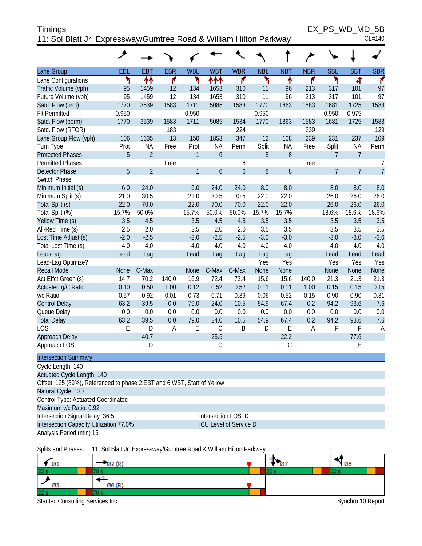| <b>Timings</b>                                                     | EX PS WD MD 5B |
|--------------------------------------------------------------------|----------------|
| 11: Sol Blatt Jr. Expressway/Gumtree Road & William Hilton Parkway | $CL=140$       |

|                                                                         | ◢          |                                                                    |            |              |                     |                        |            |            |            |                |                |                |
|-------------------------------------------------------------------------|------------|--------------------------------------------------------------------|------------|--------------|---------------------|------------------------|------------|------------|------------|----------------|----------------|----------------|
|                                                                         |            |                                                                    |            |              |                     |                        |            |            |            |                |                |                |
| Lane Group                                                              | <b>EBL</b> | <b>EBT</b>                                                         | <b>EBR</b> | <b>WBL</b>   | <b>WBT</b>          | <b>WBR</b>             | <b>NBL</b> | <b>NBT</b> | <b>NBR</b> | <b>SBL</b>     | <b>SBT</b>     | <b>SBR</b>     |
| Lane Configurations                                                     | ۲          | ↟↟                                                                 | ۴          | ۲            | ተተተ                 | ۴                      | ۲          | ↟          | ۴          | ۲              | ची             | ۴              |
| Traffic Volume (vph)                                                    | 95         | 1459                                                               | 12         | 134          | 1653                | 310                    | 11         | 96         | 213        | 317            | 101            | 97             |
| Future Volume (vph)                                                     | 95         | 1459                                                               | 12         | 134          | 1653                | 310                    | 11         | 96         | 213        | 317            | 101            | 97             |
| Satd. Flow (prot)                                                       | 1770       | 3539                                                               | 1583       | 1711         | 5085                | 1583                   | 1770       | 1863       | 1583       | 1681           | 1725           | 1583           |
| <b>Flt Permitted</b>                                                    | 0.950      |                                                                    |            | 0.950        |                     |                        | 0.950      |            |            | 0.950          | 0.975          |                |
| Satd. Flow (perm)                                                       | 1770       | 3539                                                               | 1583       | 1711         | 5085                | 1534                   | 1770       | 1863       | 1583       | 1681           | 1725           | 1583           |
| Satd. Flow (RTOR)                                                       |            |                                                                    | 183        |              |                     | 224                    |            |            | 239        |                |                | 129            |
| Lane Group Flow (vph)                                                   | 106        | 1635                                                               | 13         | 150          | 1853                | 347                    | 12         | 108        | 239        | 231            | 237            | 109            |
| Turn Type                                                               | Prot       | <b>NA</b>                                                          | Free       | Prot         | ΝA                  | Perm                   | Split      | <b>NA</b>  | Free       | Split          | NA             | Perm           |
| <b>Protected Phases</b>                                                 | 5          | $\overline{2}$                                                     |            | $\mathbf{1}$ | 6                   |                        | 8          | 8          |            | 7              | $\overline{7}$ |                |
| Permitted Phases                                                        |            |                                                                    | Free       |              |                     | 6                      |            |            | Free       |                |                | 7              |
| <b>Detector Phase</b>                                                   | 5          | $\overline{2}$                                                     |            | $\mathbf{1}$ | $\boldsymbol{6}$    | 6                      | 8          | 8          |            | $\overline{7}$ | $\overline{7}$ | $\overline{7}$ |
| Switch Phase                                                            |            |                                                                    |            |              |                     |                        |            |            |            |                |                |                |
| Minimum Initial (s)                                                     | 6.0        | 24.0                                                               |            | 6.0          | 24.0                | 24.0                   | 8.0        | 8.0        |            | 8.0            | 8.0            | 8.0            |
| Minimum Split (s)                                                       | 21.0       | 30.5                                                               |            | 21.0         | 30.5                | 30.5                   | 22.0       | 22.0       |            | 26.0           | 26.0           | 26.0           |
| Total Split (s)                                                         | 22.0       | 70.0                                                               |            | 22.0         | 70.0                | 70.0                   | 22.0       | 22.0       |            | 26.0           | 26.0           | 26.0           |
| Total Split (%)                                                         | 15.7%      | 50.0%                                                              |            | 15.7%        | 50.0%               | 50.0%                  | 15.7%      | 15.7%      |            | 18.6%          | 18.6%          | 18.6%          |
| Yellow Time (s)                                                         | 3.5        | 4.5                                                                |            | 3.5          | 4.5                 | 4.5                    | 3.5        | 3.5        |            | 3.5            | 3.5            | 3.5            |
| All-Red Time (s)                                                        | 2.5        | 2.0                                                                |            | 2.5          | 2.0                 | 2.0                    | 3.5        | 3.5        |            | 3.5            | 3.5            | 3.5            |
| Lost Time Adjust (s)                                                    | $-2.0$     | $-2.5$                                                             |            | $-2.0$       | $-2.5$              | $-2.5$                 | $-3.0$     | $-3.0$     |            | $-3.0$         | $-3.0$         | $-3.0$         |
| Total Lost Time (s)                                                     | 4.0        | 4.0                                                                |            | 4.0          | 4.0                 | 4.0                    | 4.0        | 4.0        |            | 4.0            | 4.0            | 4.0            |
| Lead/Lag                                                                | Lead       | Lag                                                                |            | Lead         | Lag                 | Lag                    | Lag        | Lag        |            | Lead           | Lead           | Lead           |
| Lead-Lag Optimize?                                                      |            |                                                                    |            |              |                     |                        | Yes        | Yes        |            | Yes            | Yes            | Yes            |
| <b>Recall Mode</b>                                                      | None       | C-Max                                                              |            | None         | C-Max               | C-Max                  | None       | None       |            | None           | None           | None           |
| Act Effct Green (s)                                                     | 14.7       | 70.2                                                               | 140.0      | 16.9         | 72.4                | 72.4                   | 15.6       | 15.6       | 140.0      | 21.3           | 21.3           | 21.3           |
| Actuated g/C Ratio                                                      | 0.10       | 0.50                                                               | 1.00       | 0.12         | 0.52                | 0.52                   | 0.11       | 0.11       | 1.00       | 0.15           | 0.15           | 0.15           |
| v/c Ratio                                                               | 0.57       | 0.92                                                               | 0.01       | 0.73         | 0.71                | 0.39                   | 0.06       | 0.52       | 0.15       | 0.90           | 0.90           | 0.31           |
| <b>Control Delay</b>                                                    | 63.2       | 39.5                                                               | 0.0        | 79.0         | 24.0                | 10.5                   | 54.9       | 67.4       | 0.2        | 94.2           | 93.6           | 7.6            |
| Queue Delay                                                             | 0.0        | 0.0                                                                | 0.0        | 0.0          | 0.0                 | 0.0                    | 0.0        | 0.0        | 0.0        | 0.0            | 0.0            | 0.0            |
| <b>Total Delay</b>                                                      | 63.2       | 39.5                                                               | 0.0        | 79.0         | 24.0                | 10.5                   | 54.9       | 67.4       | 0.2        | 94.2           | 93.6           | 7.6            |
| <b>LOS</b>                                                              | E          | D                                                                  | A          | E            | С                   | B                      | D          | E          | A          | F              | F              | A              |
| Approach Delay                                                          |            | 40.7                                                               |            |              | 25.5                |                        |            | 22.2       |            |                | 77.6           |                |
| Approach LOS                                                            |            | D                                                                  |            |              | С                   |                        |            | С          |            |                | Ε              |                |
| <b>Intersection Summary</b>                                             |            |                                                                    |            |              |                     |                        |            |            |            |                |                |                |
| Cycle Length: 140                                                       |            |                                                                    |            |              |                     |                        |            |            |            |                |                |                |
| Actuated Cycle Length: 140                                              |            |                                                                    |            |              |                     |                        |            |            |            |                |                |                |
| Offset: 125 (89%), Referenced to phase 2:EBT and 6:WBT, Start of Yellow |            |                                                                    |            |              |                     |                        |            |            |            |                |                |                |
| Natural Cycle: 130                                                      |            |                                                                    |            |              |                     |                        |            |            |            |                |                |                |
| Control Type: Actuated-Coordinated                                      |            |                                                                    |            |              |                     |                        |            |            |            |                |                |                |
| Maximum v/c Ratio: 0.92                                                 |            |                                                                    |            |              |                     |                        |            |            |            |                |                |                |
| Intersection Signal Delay: 36.5                                         |            |                                                                    |            |              | Intersection LOS: D |                        |            |            |            |                |                |                |
| Intersection Capacity Utilization 77.0%                                 |            |                                                                    |            |              |                     | ICU Level of Service D |            |            |            |                |                |                |
| Analysis Period (min) 15                                                |            |                                                                    |            |              |                     |                        |            |            |            |                |                |                |
| Splits and Phases:                                                      |            | 11: Sol Blatt Jr. Expressway/Gumtree Road & William Hilton Parkway |            |              |                     |                        |            |            |            |                |                |                |

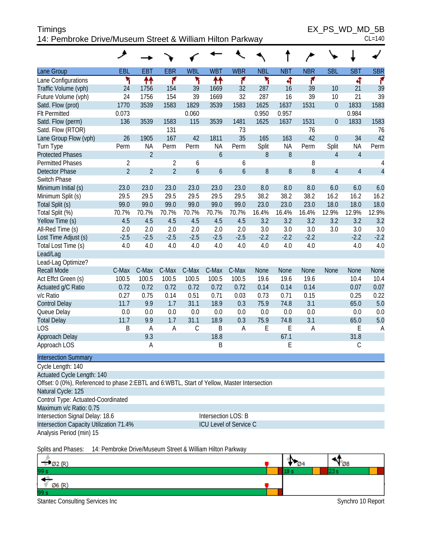| <b>Timings</b>                                            | EX PS WD MD 5B |
|-----------------------------------------------------------|----------------|
| 14: Pembroke Drive/Museum Street & William Hilton Parkway | $CL = 140$     |

|                                                                                             | ۶                                |                |                                  |                    |                                                   |                        |            |            |                |                  |                |                     |
|---------------------------------------------------------------------------------------------|----------------------------------|----------------|----------------------------------|--------------------|---------------------------------------------------|------------------------|------------|------------|----------------|------------------|----------------|---------------------|
| Lane Group                                                                                  | EBL                              | <b>EBT</b>     | <b>EBR</b>                       | <b>WBL</b>         | <b>WBT</b>                                        | <b>WBR</b>             | <b>NBL</b> | <b>NBT</b> | <b>NBR</b>     | <b>SBL</b>       | <b>SBT</b>     | <b>SBR</b>          |
| Lane Configurations                                                                         | ۲                                | ↟↟             | ۴                                | ۲                  | ↟↟                                                | ۴                      | ۲          | 4          | ۴              |                  | 4              | ۴                   |
| Traffic Volume (vph)                                                                        | 24                               | 1756           | 154                              | 39                 | 1669                                              | 32                     | 287        | 16         | 39             | 10               | 21             | 39                  |
| Future Volume (vph)                                                                         | 24                               | 1756           | 154                              | 39                 | 1669                                              | 32                     | 287        | 16         | 39             | 10               | 21             | 39                  |
| Satd. Flow (prot)                                                                           | 1770                             | 3539           | 1583                             | 1829               | 3539                                              | 1583                   | 1625       | 1637       | 1531           | $\boldsymbol{0}$ | 1833           | 1583                |
| <b>Flt Permitted</b>                                                                        | 0.073                            |                |                                  | 0.060              |                                                   |                        | 0.950      | 0.957      |                |                  | 0.984          |                     |
| Satd. Flow (perm)                                                                           | 136                              | 3539           | 1583                             | 115                | 3539                                              | 1481                   | 1625       | 1637       | 1531           | $\boldsymbol{0}$ | 1833           | 1583                |
| Satd. Flow (RTOR)                                                                           |                                  |                | 131                              |                    |                                                   | 73                     |            |            | 76             |                  |                | 76                  |
| Lane Group Flow (vph)                                                                       | 26                               | 1905           | 167                              | 42                 | 1811                                              | 35                     | 165        | 163        | 42             | $\boldsymbol{0}$ | 34             | 42                  |
| Turn Type                                                                                   | Perm                             | <b>NA</b>      | Perm                             | Perm               | <b>NA</b>                                         | Perm                   | Split      | <b>NA</b>  | Perm           | Split            | <b>NA</b>      | Perm                |
| <b>Protected Phases</b>                                                                     |                                  | $\overline{2}$ |                                  |                    | 6                                                 |                        | 8          | 8          |                | $\overline{4}$   | $\overline{4}$ |                     |
| <b>Permitted Phases</b>                                                                     | $\overline{2}$<br>$\overline{2}$ | $\overline{2}$ | $\overline{2}$<br>$\overline{2}$ | 6<br>$\mathfrak b$ |                                                   | 6                      |            |            | 8<br>8         |                  |                | 4<br>$\overline{4}$ |
| <b>Detector Phase</b><br>Switch Phase                                                       |                                  |                |                                  |                    | 6                                                 | $\boldsymbol{6}$       | 8          | 8          |                | $\overline{4}$   | $\overline{4}$ |                     |
| Minimum Initial (s)                                                                         | 23.0                             | 23.0           | 23.0                             | 23.0               | 23.0                                              | 23.0                   | 8.0        | 8.0        | 8.0            | 6.0              | 6.0            | 6.0                 |
| Minimum Split (s)                                                                           | 29.5                             | 29.5           | 29.5                             | 29.5               | 29.5                                              | 29.5                   | 38.2       | 38.2       | 38.2           | 16.2             | 16.2           | 16.2                |
| Total Split (s)                                                                             | 99.0                             | 99.0           | 99.0                             | 99.0               | 99.0                                              | 99.0                   | 23.0       | 23.0       | 23.0           | 18.0             | 18.0           | 18.0                |
| Total Split (%)                                                                             | 70.7%                            | 70.7%          | 70.7%                            | 70.7%              | 70.7%                                             | 70.7%                  | 16.4%      | 16.4%      | 16.4%          | 12.9%            | 12.9%          | 12.9%               |
| Yellow Time (s)                                                                             | 4.5                              | 4.5            | 4.5                              | 4.5                | 4.5                                               | 4.5                    | 3.2        | 3.2        | 3.2            | 3.2              | 3.2            | 3.2                 |
| All-Red Time (s)                                                                            | 2.0                              | 2.0            | 2.0                              | 2.0                | 2.0                                               | 2.0                    | 3.0        | 3.0        | 3.0            | 3.0              | 3.0            | 3.0                 |
| Lost Time Adjust (s)                                                                        | $-2.5$                           | $-2.5$         | $-2.5$                           | $-2.5$             | $-2.5$                                            | $-2.5$                 | $-2.2$     | $-2.2$     | $-2.2$         |                  | $-2.2$         | $-2.2$              |
| Total Lost Time (s)                                                                         | 4.0                              | 4.0            | 4.0                              | 4.0                | 4.0                                               | 4.0                    | 4.0        | 4.0        | 4.0            |                  | 4.0            | 4.0                 |
| Lead/Lag                                                                                    |                                  |                |                                  |                    |                                                   |                        |            |            |                |                  |                |                     |
| Lead-Lag Optimize?                                                                          |                                  |                |                                  |                    |                                                   |                        |            |            |                |                  |                |                     |
| <b>Recall Mode</b>                                                                          | C-Max                            | C-Max          | C-Max                            | C-Max              | C-Max                                             | C-Max                  | None       | None       | None           | None             | <b>None</b>    | None                |
| Act Effct Green (s)                                                                         | 100.5                            | 100.5          | 100.5                            | 100.5              | 100.5                                             | 100.5                  | 19.6       | 19.6       | 19.6           |                  | 10.4           | 10.4                |
| Actuated g/C Ratio                                                                          | 0.72                             | 0.72           | 0.72                             | 0.72               | 0.72                                              | 0.72                   | 0.14       | 0.14       | 0.14           |                  | 0.07           | 0.07                |
| v/c Ratio                                                                                   | 0.27                             | 0.75           | 0.14                             | 0.51               | 0.71                                              | 0.03                   | 0.73       | 0.71       | 0.15           |                  | 0.25           | 0.22                |
| <b>Control Delay</b>                                                                        | 11.7                             | 9.9            | 1.7                              | 31.1               | 18.9                                              | 0.3                    | 75.9       | 74.8       | 3.1            |                  | 65.0           | 5.0                 |
| Queue Delay                                                                                 | 0.0                              | 0.0            | 0.0                              | 0.0                | 0.0                                               | 0.0                    | 0.0        | 0.0        | 0.0            |                  | 0.0            | 0.0                 |
| <b>Total Delay</b>                                                                          | 11.7                             | 9.9            | 1.7                              | 31.1               | 18.9                                              | 0.3                    | 75.9       | 74.8       | 3.1            |                  | 65.0           | 5.0                 |
| <b>LOS</b>                                                                                  | B                                | A              | A                                | $\mathcal{C}$      | B                                                 | A                      | E          | E          | $\overline{A}$ |                  | Ε              | $\overline{A}$      |
| Approach Delay                                                                              |                                  | 9.3            |                                  |                    | 18.8                                              |                        |            | 67.1       |                |                  | 31.8           |                     |
| Approach LOS                                                                                |                                  | Α              |                                  |                    | B                                                 |                        |            | E          |                |                  | $\mathsf C$    |                     |
| <b>Intersection Summary</b>                                                                 |                                  |                |                                  |                    |                                                   |                        |            |            |                |                  |                |                     |
| Cycle Length: 140                                                                           |                                  |                |                                  |                    |                                                   |                        |            |            |                |                  |                |                     |
| Actuated Cycle Length: 140                                                                  |                                  |                |                                  |                    |                                                   |                        |            |            |                |                  |                |                     |
| Offset: 0 (0%), Referenced to phase 2:EBTL and 6:WBTL, Start of Yellow, Master Intersection |                                  |                |                                  |                    |                                                   |                        |            |            |                |                  |                |                     |
| Natural Cycle: 125                                                                          |                                  |                |                                  |                    |                                                   |                        |            |            |                |                  |                |                     |
| Control Type: Actuated-Coordinated                                                          |                                  |                |                                  |                    |                                                   |                        |            |            |                |                  |                |                     |
| Maximum v/c Ratio: 0.75                                                                     |                                  |                |                                  |                    |                                                   |                        |            |            |                |                  |                |                     |
| Intersection Signal Delay: 18.6                                                             |                                  |                |                                  |                    |                                                   | Intersection LOS: B    |            |            |                |                  |                |                     |
| Intersection Capacity Utilization 71.4%                                                     |                                  |                |                                  |                    |                                                   | ICU Level of Service C |            |            |                |                  |                |                     |
| Analysis Period (min) 15                                                                    |                                  |                |                                  |                    |                                                   |                        |            |            |                |                  |                |                     |
|                                                                                             |                                  |                |                                  |                    | Dembroke Drug/Museum Ctreat 0 William Hilton Derl |                        |            |            |                |                  |                |                     |



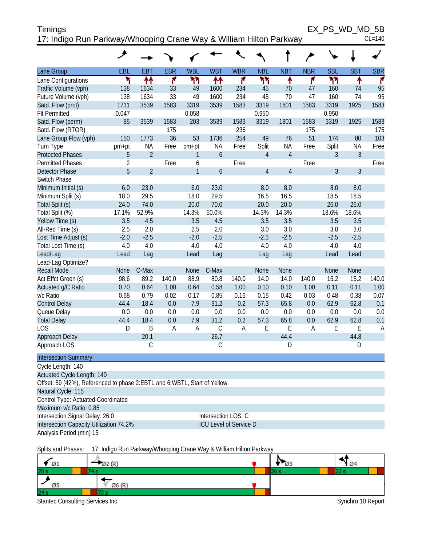| Timings                                                            | EX PS WD MD 5B |
|--------------------------------------------------------------------|----------------|
| 17: Indigo Run Parkway/Whooping Crane Way & William Hilton Parkway | $CL=140$       |

|                                                                                                | $\overline{\phantom{a}}$ |                |                |                |                               |             |                |                |            |            |             |            |
|------------------------------------------------------------------------------------------------|--------------------------|----------------|----------------|----------------|-------------------------------|-------------|----------------|----------------|------------|------------|-------------|------------|
| Lane Group                                                                                     | EBL                      | <b>EBT</b>     | <b>EBR</b>     | <b>WBL</b>     | <b>WBT</b>                    | <b>WBR</b>  | <b>NBL</b>     | <b>NBT</b>     | <b>NBR</b> | <b>SBL</b> | <b>SBT</b>  | <b>SBR</b> |
| Lane Configurations                                                                            | ۲                        | ↟↟             | ۴              | ካካ             | ₩                             | ۴           | ۲٢             | ↟              | ۴          | ۲٢         | ↟           | ۴          |
| Traffic Volume (vph)                                                                           | 138                      | 1634           | 33             | 49             | 1600                          | 234         | 45             | 70             | 47         | 160        | 74          | 95         |
| Future Volume (vph)                                                                            | 138                      | 1634           | 33             | 49             | 1600                          | 234         | 45             | 70             | 47         | 160        | 74          | 95         |
| Satd. Flow (prot)                                                                              | 1711                     | 3539           | 1583           | 3319           | 3539                          | 1583        | 3319           | 1801           | 1583       | 3319       | 1925        | 1583       |
| <b>Flt Permitted</b>                                                                           | 0.047                    |                |                | 0.058          |                               |             | 0.950          |                |            | 0.950      |             |            |
| Satd. Flow (perm)                                                                              | 85                       | 3539           | 1583           | 203            | 3539                          | 1583        | 3319           | 1801           | 1583       | 3319       | 1925        | 1583       |
| Satd. Flow (RTOR)                                                                              |                          |                | 175            |                |                               | 236         |                |                | 175        |            |             | 175        |
| Lane Group Flow (vph)                                                                          | 150                      | 1773           | 36             | 53             | 1736                          | 254         | 49             | 76             | 51         | 174        | 80          | 103        |
| Turn Type                                                                                      | pm+pt                    | NA             | Free           | pm+pt          | <b>NA</b>                     | Free        | Split          | <b>NA</b>      | Free       | Split      | <b>NA</b>   | Free       |
| <b>Protected Phases</b>                                                                        | 5                        | $\overline{2}$ |                | 1              | $\boldsymbol{6}$              |             | $\overline{4}$ | $\overline{4}$ |            | 3          | 3           |            |
| <b>Permitted Phases</b>                                                                        | $\overline{2}$           |                | Free           | 6              |                               | Free        |                |                | Free       |            |             | Free       |
| <b>Detector Phase</b>                                                                          | 5                        | $\overline{2}$ |                | $\mathbf{1}$   | 6                             |             | $\overline{4}$ | $\overline{4}$ |            | 3          | 3           |            |
| Switch Phase                                                                                   |                          |                |                |                |                               |             |                |                |            |            |             |            |
| Minimum Initial (s)                                                                            | 6.0                      | 23.0           |                | 6.0            | 23.0                          |             | 8.0            | 8.0            |            | 8.0        | 8.0         |            |
| Minimum Split (s)                                                                              | 18.0                     | 29.5           |                | 18.0           | 29.5                          |             | 16.5           | 16.5           |            | 18.5       | 18.5        |            |
| Total Split (s)                                                                                | 24.0                     | 74.0           |                | 20.0           | 70.0                          |             | 20.0           | 20.0           |            | 26.0       | 26.0        |            |
| Total Split (%)                                                                                | 17.1%                    | 52.9%          |                | 14.3%          | 50.0%                         |             | 14.3%          | 14.3%          |            | 18.6%      | 18.6%       |            |
| Yellow Time (s)                                                                                | 3.5                      | 4.5            |                | 3.5            | 4.5                           |             | 3.5            | 3.5            |            | 3.5        | 3.5         |            |
| All-Red Time (s)                                                                               | 2.5                      | 2.0            |                | 2.5            | 2.0                           |             | 3.0            | 3.0            |            | 3.0        | 3.0         |            |
| Lost Time Adjust (s)                                                                           | $-2.0$                   | $-2.5$         |                | $-2.0$         | $-2.5$                        |             | $-2.5$         | $-2.5$         |            | $-2.5$     | $-2.5$      |            |
| Total Lost Time (s)                                                                            | 4.0                      | 4.0            |                | 4.0            | 4.0                           |             | 4.0            | 4.0            |            | 4.0        | 4.0         |            |
| Lead/Lag                                                                                       | Lead                     | Lag            |                | Lead           | Lag                           |             | Lag            | Lag            |            | Lead       | Lead        |            |
| Lead-Lag Optimize?                                                                             |                          |                |                |                |                               |             |                |                |            |            |             |            |
| <b>Recall Mode</b>                                                                             | None                     | C-Max          |                | None           | C-Max                         |             | <b>None</b>    | None           |            | None       | None        |            |
| Act Effct Green (s)                                                                            | 98.6                     | 89.2           | 140.0          | 88.9           | 80.8                          | 140.0       | 14.0           | 14.0           | 140.0      | 15.2       | 15.2        | 140.0      |
| Actuated g/C Ratio                                                                             | 0.70                     | 0.64           | 1.00           | 0.64           | 0.58                          | 1.00        | 0.10           | 0.10           | 1.00       | 0.11       | 0.11        | 1.00       |
| v/c Ratio                                                                                      | 0.68                     | 0.79           | 0.02           | 0.17           | 0.85                          | 0.16        | 0.15           | 0.42           | 0.03       | 0.48       | 0.38        | 0.07       |
| <b>Control Delay</b>                                                                           | 44.4                     | 18.4           | 0.0            | 7.9            | 31.2                          | 0.2         | 57.3           | 65.8           | 0.0        | 62.9       | 62.8        | 0.1        |
| Queue Delay                                                                                    | 0.0<br>44.4              | 0.0<br>18.4    | 0.0<br>0.0     | 0.0<br>7.9     | 0.0<br>31.2                   | 0.0<br>0.2  | 0.0<br>57.3    | 0.0<br>65.8    | 0.0<br>0.0 | 0.0        | 0.0<br>62.8 | 0.0        |
| <b>Total Delay</b><br><b>LOS</b>                                                               | D                        | B              | $\overline{A}$ | $\overline{A}$ | $\mathsf C$                   | $\mathsf A$ | E              | $\mathsf E$    | A          | 62.9<br>E  | E           | 0.1        |
| Approach Delay                                                                                 |                          | 20.1           |                |                | 26.7                          |             |                | 44.4           |            |            | 44.8        | A          |
| Approach LOS                                                                                   |                          | C              |                |                | $\mathsf C$                   |             |                | D              |            |            | D           |            |
| <b>Intersection Summary</b>                                                                    |                          |                |                |                |                               |             |                |                |            |            |             |            |
| Cycle Length: 140                                                                              |                          |                |                |                |                               |             |                |                |            |            |             |            |
| Actuated Cycle Length: 140                                                                     |                          |                |                |                |                               |             |                |                |            |            |             |            |
| Offset: 59 (42%), Referenced to phase 2:EBTL and 6:WBTL, Start of Yellow<br>Natural Cycle: 115 |                          |                |                |                |                               |             |                |                |            |            |             |            |
| Control Type: Actuated-Coordinated                                                             |                          |                |                |                |                               |             |                |                |            |            |             |            |
| Maximum v/c Ratio: 0.85                                                                        |                          |                |                |                |                               |             |                |                |            |            |             |            |
| Intersection Signal Delay: 26.0                                                                |                          |                |                |                | Intersection LOS: C           |             |                |                |            |            |             |            |
| Intersection Capacity Utilization 74.2%                                                        |                          |                |                |                | <b>ICU Level of Service D</b> |             |                |                |            |            |             |            |
| Analysis Period (min) 15                                                                       |                          |                |                |                |                               |             |                |                |            |            |             |            |
|                                                                                                |                          |                |                |                |                               |             |                |                |            |            |             |            |

Splits and Phases: 17: Indigo Run Parkway/Whooping Crane Way & William Hilton Parkway

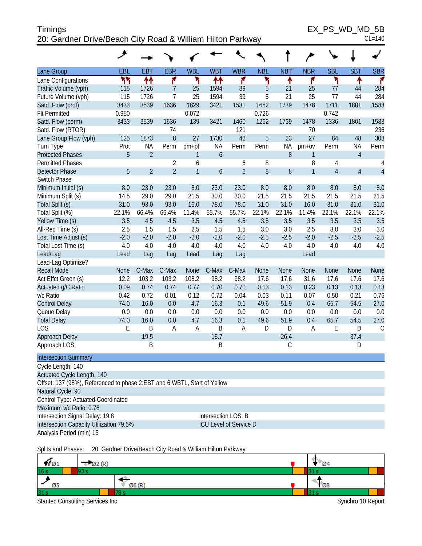#### Timings EX\_PS\_WD\_MD\_5B 20: Gardner Drive/Beach City Road & William Hilton Parkway CL=140

|                                                                          | ◢          |                |                |              |                  |                        |            |            |                |                |                |                |
|--------------------------------------------------------------------------|------------|----------------|----------------|--------------|------------------|------------------------|------------|------------|----------------|----------------|----------------|----------------|
| Lane Group                                                               | <b>EBL</b> | <b>EBT</b>     | <b>EBR</b>     | <b>WBL</b>   | <b>WBT</b>       | <b>WBR</b>             | <b>NBL</b> | <b>NBT</b> | <b>NBR</b>     | <b>SBL</b>     | <b>SBT</b>     | <b>SBR</b>     |
| Lane Configurations                                                      | ካነ         | ₩              | ۴              | ۲            | ↟↟               | ۴                      | ۲          | ↟          | ۴              | ۲              | ۰              | ۴              |
| Traffic Volume (vph)                                                     | 115        | 1726           | $\overline{7}$ | 25           | 1594             | 39                     | 5          | 21         | 25             | 77             | 44             | 284            |
| Future Volume (vph)                                                      | 115        | 1726           | $\overline{7}$ | 25           | 1594             | 39                     | 5          | 21         | 25             | 77             | 44             | 284            |
| Satd. Flow (prot)                                                        | 3433       | 3539           | 1636           | 1829         | 3421             | 1531                   | 1652       | 1739       | 1478           | 1711           | 1801           | 1583           |
| <b>Flt Permitted</b>                                                     | 0.950      |                |                | 0.072        |                  |                        | 0.726      |            |                | 0.742          |                |                |
| Satd. Flow (perm)                                                        | 3433       | 3539           | 1636           | 139          | 3421             | 1460                   | 1262       | 1739       | 1478           | 1336           | 1801           | 1583           |
| Satd. Flow (RTOR)                                                        |            |                | 74             |              |                  | 121                    |            |            | 70             |                |                | 236            |
| Lane Group Flow (vph)                                                    | 125        | 1873           | 8              | 27           | 1730             | 42                     | 5          | 23         | 27             | 84             | 48             | 308            |
| Turn Type                                                                | Prot       | <b>NA</b>      | Perm           | pm+pt        | NA               | Perm                   | Perm       | <b>NA</b>  | $pm+ov$        | Perm           | <b>NA</b>      | Perm           |
| <b>Protected Phases</b>                                                  | 5          | $\overline{2}$ |                | 1            | $\boldsymbol{6}$ |                        |            | 8          | 1              |                | $\overline{4}$ |                |
| <b>Permitted Phases</b>                                                  |            |                | 2              | 6            |                  | 6                      | 8          |            | 8              | 4              |                | 4              |
| <b>Detector Phase</b>                                                    | 5          | $\overline{2}$ | $\overline{2}$ | $\mathbf{1}$ | 6                | $\boldsymbol{6}$       | 8          | $8\,$      | $\overline{1}$ | $\overline{4}$ | $\overline{4}$ | $\overline{4}$ |
| Switch Phase                                                             |            |                |                |              |                  |                        |            |            |                |                |                |                |
| Minimum Initial (s)                                                      | 8.0        | 23.0           | 23.0           | 8.0          | 23.0             | 23.0                   | 8.0        | 8.0        | 8.0            | 8.0            | 8.0            | 8.0            |
| Minimum Split (s)                                                        | 14.5       | 29.0           | 29.0           | 21.5         | 30.0             | 30.0                   | 21.5       | 21.5       | 21.5           | 21.5           | 21.5           | 21.5           |
| Total Split (s)                                                          | 31.0       | 93.0           | 93.0           | 16.0         | 78.0             | 78.0                   | 31.0       | 31.0       | 16.0           | 31.0           | 31.0           | 31.0           |
| Total Split (%)                                                          | 22.1%      | 66.4%          | 66.4%          | 11.4%        | 55.7%            | 55.7%                  | 22.1%      | 22.1%      | 11.4%          | 22.1%          | 22.1%          | 22.1%          |
| Yellow Time (s)                                                          | 3.5        | 4.5            | 4.5            | 3.5          | 4.5              | 4.5                    | 3.5        | 3.5        | 3.5            | 3.5            | 3.5            | 3.5            |
| All-Red Time (s)                                                         | 2.5        | 1.5            | 1.5            | 2.5          | 1.5              | 1.5                    | 3.0        | 3.0        | 2.5            | 3.0            | 3.0            | 3.0            |
| Lost Time Adjust (s)                                                     | $-2.0$     | $-2.0$         | $-2.0$         | $-2.0$       | $-2.0$           | $-2.0$                 | $-2.5$     | $-2.5$     | $-2.0$         | $-2.5$         | $-2.5$         | $-2.5$         |
| Total Lost Time (s)                                                      | 4.0        | 4.0            | 4.0            | 4.0          | 4.0              | 4.0                    | 4.0        | 4.0        | 4.0            | 4.0            | 4.0            | 4.0            |
| Lead/Lag                                                                 | Lead       | Lag            | Lag            | Lead         | Lag              | Lag                    |            |            | Lead           |                |                |                |
| Lead-Lag Optimize?                                                       |            |                |                |              |                  |                        |            |            |                |                |                |                |
| <b>Recall Mode</b>                                                       | None       | C-Max          | C-Max          | <b>None</b>  | C-Max            | C-Max                  | None       | None       | None           | None           | None           | None           |
| Act Effct Green (s)                                                      | 12.2       | 103.2          | 103.2          | 108.2        | 98.2             | 98.2                   | 17.6       | 17.6       | 31.6           | 17.6           | 17.6           | 17.6           |
| Actuated g/C Ratio                                                       | 0.09       | 0.74           | 0.74           | 0.77         | 0.70             | 0.70                   | 0.13       | 0.13       | 0.23           | 0.13           | 0.13           | 0.13           |
| v/c Ratio                                                                | 0.42       | 0.72           | 0.01           | 0.12         | 0.72             | 0.04                   | 0.03       | 0.11       | 0.07           | 0.50           | 0.21           | 0.76           |
| <b>Control Delay</b>                                                     | 74.0       | 16.0           | 0.0            | 4.7          | 16.3             | 0.1                    | 49.6       | 51.9       | 0.4            | 65.7           | 54.5           | 27.0           |
| Queue Delay                                                              | 0.0        | 0.0            | 0.0            | 0.0          | 0.0              | 0.0                    | 0.0        | 0.0        | 0.0            | 0.0            | 0.0            | 0.0            |
| <b>Total Delay</b>                                                       | 74.0       | 16.0           | 0.0            | 4.7          | 16.3             | 0.1                    | 49.6       | 51.9       | 0.4            | 65.7           | 54.5           | 27.0           |
| <b>LOS</b>                                                               | E          | B              | A              | A            | B                | Α                      | D          | D          | A              | Ε              | D              | $\mathsf C$    |
| Approach Delay                                                           |            | 19.5           |                |              | 15.7             |                        |            | 26.4       |                |                | 37.4           |                |
| Approach LOS                                                             |            | B              |                |              | B                |                        |            | С          |                |                | D              |                |
| <b>Intersection Summary</b>                                              |            |                |                |              |                  |                        |            |            |                |                |                |                |
| Cycle Length: 140                                                        |            |                |                |              |                  |                        |            |            |                |                |                |                |
| Actuated Cycle Length: 140                                               |            |                |                |              |                  |                        |            |            |                |                |                |                |
| Offset: 137 (98%), Referenced to phase 2:EBT and 6:WBTL, Start of Yellow |            |                |                |              |                  |                        |            |            |                |                |                |                |
| Natural Cycle: 90                                                        |            |                |                |              |                  |                        |            |            |                |                |                |                |
| Control Type: Actuated-Coordinated                                       |            |                |                |              |                  |                        |            |            |                |                |                |                |
| Maximum v/c Ratio: 0.76                                                  |            |                |                |              |                  |                        |            |            |                |                |                |                |
| Intersection Signal Delay: 19.8                                          |            |                |                |              |                  | Intersection LOS: B    |            |            |                |                |                |                |
| Intersection Capacity Utilization 79.5%                                  |            |                |                |              |                  | ICU Level of Service D |            |            |                |                |                |                |
| Analysis Period (min) 15                                                 |            |                |                |              |                  |                        |            |            |                |                |                |                |
|                                                                          |            |                |                |              |                  |                        |            |            |                |                |                |                |

Splits and Phases: 20: Gardner Drive/Beach City Road & William Hilton Parkway

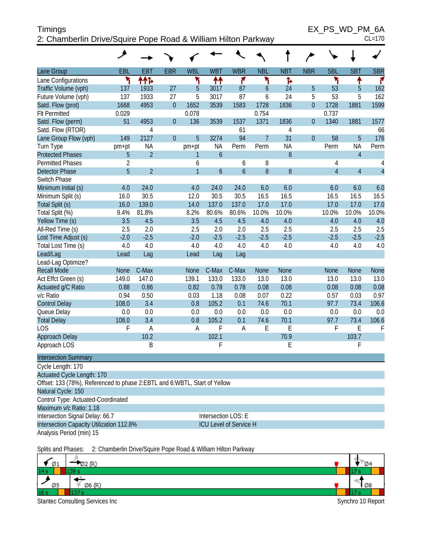| <b>Timings</b>                                                | EX PS WD PM 6A |
|---------------------------------------------------------------|----------------|
| 2: Chamberlin Drive/Squire Pope Road & William Hilton Parkway | $CL=170$       |

|                                                                             | ᢣ              |                                                               |                |                |                               |                  |                |              |                |                |                |                |
|-----------------------------------------------------------------------------|----------------|---------------------------------------------------------------|----------------|----------------|-------------------------------|------------------|----------------|--------------|----------------|----------------|----------------|----------------|
| Lane Group                                                                  | EBL            | <b>EBT</b>                                                    | <b>EBR</b>     | <b>WBL</b>     | <b>WBT</b>                    | <b>WBR</b>       | <b>NBL</b>     | <b>NBT</b>   | <b>NBR</b>     | <b>SBL</b>     | <b>SBT</b>     | <b>SBR</b>     |
| Lane Configurations                                                         | ۲              | ተተኑ                                                           |                | ۲              | ↟↟                            | ۴                | ۲              | Ъ            |                | ۲              | ↟              | ۴              |
| Traffic Volume (vph)                                                        | 137            | 1933                                                          | 27             | 5              | 3017                          | 87               | 6              | 24           | 5              | 53             | 5              | 162            |
| Future Volume (vph)                                                         | 137            | 1933                                                          | 27             | 5              | 3017                          | 87               | 6              | 24           | 5              | 53             | 5              | 162            |
| Satd. Flow (prot)                                                           | 1668           | 4953                                                          | $\overline{0}$ | 1652           | 3539                          | 1583             | 1728           | 1836         | $\overline{0}$ | 1728           | 1881           | 1599           |
| <b>Flt Permitted</b>                                                        | 0.029          |                                                               |                | 0.078          |                               |                  | 0.754          |              |                | 0.737          |                |                |
| Satd. Flow (perm)                                                           | 51             | 4953                                                          | $\overline{0}$ | 136            | 3539                          | 1537             | 1371           | 1836         | $\mathbf{0}$   | 1340           | 1881           | 1577           |
| Satd. Flow (RTOR)                                                           |                | 4                                                             |                |                |                               | 61               |                | 4            |                |                |                | 66             |
| Lane Group Flow (vph)                                                       | 149            | 2127                                                          | $\overline{0}$ | 5              | 3274                          | 94               | $\overline{7}$ | 31           | $\overline{0}$ | 58             | 5              | 176            |
| Turn Type                                                                   | pm+pt          | <b>NA</b>                                                     |                | pm+pt          | <b>NA</b>                     | Perm             | Perm           | <b>NA</b>    |                | Perm           | <b>NA</b>      | Perm           |
| <b>Protected Phases</b>                                                     | 5              | $\overline{2}$                                                |                | 1              | $\overline{6}$                |                  |                | $8\,$        |                |                | $\overline{4}$ |                |
| <b>Permitted Phases</b>                                                     | $\overline{2}$ |                                                               |                | 6              |                               | 6                | 8              |              |                | 4              |                | 4              |
| <b>Detector Phase</b>                                                       | 5              | $\overline{2}$                                                |                | $\overline{1}$ | $\overline{6}$                | $\boldsymbol{6}$ | 8              | 8            |                | $\overline{4}$ | $\overline{4}$ | $\overline{4}$ |
| Switch Phase                                                                |                |                                                               |                |                |                               |                  |                |              |                |                |                |                |
| Minimum Initial (s)                                                         | 4.0            | 24.0                                                          |                | 4.0            | 24.0                          | 24.0             | 6.0            | 6.0          |                | 6.0            | 6.0            | 6.0            |
| Minimum Split (s)                                                           | 16.0           | 30.5                                                          |                | 12.0           | 30.5                          | 30.5             | 16.5           | 16.5         |                | 16.5           | 16.5           | 16.5           |
| Total Split (s)                                                             | 16.0           | 139.0                                                         |                | 14.0           | 137.0                         | 137.0            | 17.0           | 17.0         |                | 17.0           | 17.0           | 17.0           |
| Total Split (%)                                                             | 9.4%           | 81.8%                                                         |                | 8.2%           | 80.6%                         | 80.6%            | 10.0%          | 10.0%        |                | 10.0%          | 10.0%          | 10.0%          |
| Yellow Time (s)                                                             | 3.5            | 4.5                                                           |                | 3.5            | 4.5                           | 4.5              | 4.0            | 4.0          |                | 4.0            | 4.0            | 4.0            |
| All-Red Time (s)                                                            | 2.5            | 2.0                                                           |                | 2.5            | 2.0                           | 2.0              | 2.5            | 2.5          |                | 2.5            | 2.5            | 2.5            |
| Lost Time Adjust (s)                                                        | $-2.0$         | $-2.5$                                                        |                | $-2.0$         | $-2.5$                        | $-2.5$           | $-2.5$         | $-2.5$       |                | $-2.5$         | $-2.5$         | $-2.5$         |
| Total Lost Time (s)                                                         | 4.0            | 4.0                                                           |                | 4.0            | 4.0                           | 4.0              | 4.0            | 4.0          |                | 4.0            | 4.0            | 4.0            |
| Lead/Lag                                                                    | Lead           | Lag                                                           |                | Lead           | Lag                           | Lag              |                |              |                |                |                |                |
| Lead-Lag Optimize?                                                          |                |                                                               |                |                |                               |                  |                |              |                |                |                |                |
| <b>Recall Mode</b>                                                          | <b>None</b>    | C-Max<br>147.0                                                |                | <b>None</b>    | C-Max                         | C-Max            | None           | None         |                | <b>None</b>    | None           | None           |
| Act Effct Green (s)                                                         | 149.0<br>0.88  | 0.86                                                          |                | 139.1<br>0.82  | 133.0<br>0.78                 | 133.0<br>0.78    | 13.0<br>0.08   | 13.0<br>0.08 |                | 13.0<br>0.08   | 13.0<br>0.08   | 13.0<br>0.08   |
| Actuated g/C Ratio<br>v/c Ratio                                             | 0.94           | 0.50                                                          |                | 0.03           | 1.18                          | 0.08             | 0.07           | 0.22         |                | 0.57           | 0.03           | 0.97           |
| <b>Control Delay</b>                                                        | 108.0          | 3.4                                                           |                | 0.8            | 105.2                         | 0.1              | 74.6           | 70.1         |                | 97.7           | 73.4           | 106.6          |
| Queue Delay                                                                 | 0.0            | 0.0                                                           |                | 0.0            | 0.0                           | 0.0              | 0.0            | 0.0          |                | 0.0            | 0.0            | 0.0            |
| <b>Total Delay</b>                                                          | 108.0          | 3.4                                                           |                | 0.8            | 105.2                         | 0.1              | 74.6           | 70.1         |                | 97.7           | 73.4           | 106.6          |
| <b>LOS</b>                                                                  | F              | $\overline{A}$                                                |                | A              | F                             | A                | E              | E            |                | F              | E              | F              |
| Approach Delay                                                              |                | 10.2                                                          |                |                | 102.1                         |                  |                | 70.9         |                |                | 103.7          |                |
| Approach LOS                                                                |                | B                                                             |                |                | F                             |                  |                | E            |                |                | F              |                |
| <b>Intersection Summary</b>                                                 |                |                                                               |                |                |                               |                  |                |              |                |                |                |                |
| Cycle Length: 170                                                           |                |                                                               |                |                |                               |                  |                |              |                |                |                |                |
| Actuated Cycle Length: 170                                                  |                |                                                               |                |                |                               |                  |                |              |                |                |                |                |
| Offset: 133 (78%), Referenced to phase 2: EBTL and 6: WBTL, Start of Yellow |                |                                                               |                |                |                               |                  |                |              |                |                |                |                |
| Natural Cycle: 150                                                          |                |                                                               |                |                |                               |                  |                |              |                |                |                |                |
| Control Type: Actuated-Coordinated                                          |                |                                                               |                |                |                               |                  |                |              |                |                |                |                |
| Maximum v/c Ratio: 1.18                                                     |                |                                                               |                |                |                               |                  |                |              |                |                |                |                |
| Intersection Signal Delay: 66.7                                             |                |                                                               |                |                | Intersection LOS: E           |                  |                |              |                |                |                |                |
| Intersection Capacity Utilization 112.8%                                    |                |                                                               |                |                | <b>ICU Level of Service H</b> |                  |                |              |                |                |                |                |
| Analysis Period (min) 15                                                    |                |                                                               |                |                |                               |                  |                |              |                |                |                |                |
| Splits and Phases:                                                          |                | 2: Chamberlin Drive/Squire Pope Road & William Hilton Parkway |                |                |                               |                  |                |              |                |                |                |                |

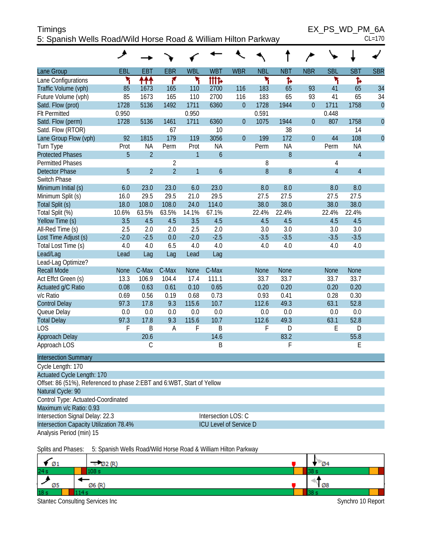| <b>Timings</b>                                                 | EX PS WD PM 6A |
|----------------------------------------------------------------|----------------|
| 5: Spanish Wells Road/Wild Horse Road & William Hilton Parkway | $CL=170$       |

 $EX_PS_WD_PM_6A$ <sub>CL=170</sub>

|                                                                        | ۸           |                |                |                |                               |                |             |             |                |                |                |                |
|------------------------------------------------------------------------|-------------|----------------|----------------|----------------|-------------------------------|----------------|-------------|-------------|----------------|----------------|----------------|----------------|
| Lane Group                                                             | EBL         | <b>EBT</b>     | <b>EBR</b>     | <b>WBL</b>     | <b>WBT</b>                    | <b>WBR</b>     | <b>NBL</b>  | <b>NBT</b>  | <b>NBR</b>     | <b>SBL</b>     | <b>SBT</b>     | <b>SBR</b>     |
| Lane Configurations                                                    | ۲           | ተተተ            | ۴              | ۲              | tttd                          |                | ۲           | Ъ           |                | ۲              | Ъ              |                |
| Traffic Volume (vph)                                                   | 85          | 1673           | 165            | 110            | 2700                          | 116            | 183         | 65          | 93             | 41             | 65             | 34             |
| Future Volume (vph)                                                    | 85          | 1673           | 165            | 110            | 2700                          | 116            | 183         | 65          | 93             | 41             | 65             | 34             |
| Satd. Flow (prot)                                                      | 1728        | 5136           | 1492           | 1711           | 6360                          | $\overline{0}$ | 1728        | 1944        | $\overline{0}$ | 1711           | 1758           | $\overline{0}$ |
| <b>Flt Permitted</b>                                                   | 0.950       |                |                | 0.950          |                               |                | 0.591       |             |                | 0.448          |                |                |
| Satd. Flow (perm)                                                      | 1728        | 5136           | 1461           | 1711           | 6360                          | $\theta$       | 1075        | 1944        | $\theta$       | 807            | 1758           | $\overline{0}$ |
| Satd. Flow (RTOR)                                                      |             |                | 67             |                | 10                            |                |             | 38          |                |                | 14             |                |
| Lane Group Flow (vph)                                                  | 92          | 1815           | 179            | 119            | 3056                          | $\overline{0}$ | 199         | 172         | $\theta$       | 44             | 108            | $\overline{0}$ |
| Turn Type                                                              | Prot        | <b>NA</b>      | Perm           | Prot           | <b>NA</b>                     |                | Perm        | <b>NA</b>   |                | Perm           | <b>NA</b>      |                |
| <b>Protected Phases</b>                                                | 5           | $\overline{2}$ |                | $\mathbf{1}$   | $\ddot{\mathbf{6}}$           |                |             | 8           |                |                | $\overline{4}$ |                |
| <b>Permitted Phases</b>                                                |             |                | $\overline{2}$ |                |                               |                | 8           |             |                | 4              |                |                |
| <b>Detector Phase</b>                                                  | 5           | $\overline{2}$ | $\overline{2}$ | $\overline{1}$ | $\ddot{\mathbf{6}}$           |                | 8           | 8           |                | $\overline{4}$ | $\overline{4}$ |                |
| <b>Switch Phase</b>                                                    |             |                |                |                |                               |                |             |             |                |                |                |                |
| Minimum Initial (s)                                                    | 6.0         | 23.0           | 23.0           | 6.0            | 23.0                          |                | 8.0         | 8.0         |                | 8.0            | 8.0            |                |
| Minimum Split (s)                                                      | 16.0        | 29.5           | 29.5           | 21.0           | 29.5                          |                | 27.5        | 27.5        |                | 27.5           | 27.5           |                |
| Total Split (s)                                                        | 18.0        | 108.0          | 108.0          | 24.0           | 114.0                         |                | 38.0        | 38.0        |                | 38.0           | 38.0           |                |
| Total Split (%)                                                        | 10.6%       | 63.5%          | 63.5%          | 14.1%          | 67.1%                         |                | 22.4%       | 22.4%       |                | 22.4%          | 22.4%          |                |
| Yellow Time (s)                                                        | 3.5         | 4.5            | 4.5            | 3.5            | 4.5                           |                | 4.5         | 4.5         |                | 4.5            | 4.5            |                |
| All-Red Time (s)                                                       | 2.5         | 2.0            | 2.0            | 2.5            | 2.0                           |                | 3.0         | 3.0         |                | 3.0            | 3.0            |                |
| Lost Time Adjust (s)                                                   | $-2.0$      | $-2.5$         | 0.0            | $-2.0$         | $-2.5$                        |                | $-3.5$      | $-3.5$      |                | $-3.5$         | $-3.5$         |                |
| Total Lost Time (s)                                                    | 4.0         | 4.0            | 6.5            | 4.0            | 4.0                           |                | 4.0         | 4.0         |                | 4.0            | 4.0            |                |
| Lead/Lag                                                               | Lead        | Lag            | Lag            | Lead           | Lag                           |                |             |             |                |                |                |                |
| Lead-Lag Optimize?                                                     |             |                |                |                |                               |                |             |             |                |                |                |                |
| <b>Recall Mode</b>                                                     | <b>None</b> | C-Max          | C-Max          | <b>None</b>    | C-Max                         |                | <b>None</b> | <b>None</b> |                | <b>None</b>    | <b>None</b>    |                |
| Act Effct Green (s)                                                    | 13.3        | 106.9          | 104.4          | 17.4           | 111.1                         |                | 33.7        | 33.7        |                | 33.7           | 33.7           |                |
| Actuated g/C Ratio                                                     | 0.08        | 0.63           | 0.61           | 0.10           | 0.65                          |                | 0.20        | 0.20        |                | 0.20           | 0.20           |                |
| v/c Ratio                                                              | 0.69        | 0.56           | 0.19           | 0.68           | 0.73                          |                | 0.93        | 0.41        |                | 0.28           | 0.30           |                |
| <b>Control Delay</b>                                                   | 97.3        | 17.8           | 9.3            | 115.6          | 10.7                          |                | 112.6       | 49.3        |                | 63.1           | 52.8           |                |
| Queue Delay                                                            | 0.0         | 0.0            | 0.0            | 0.0            | 0.0                           |                | 0.0         | 0.0         |                | 0.0            | 0.0            |                |
| <b>Total Delay</b>                                                     | 97.3        | 17.8           | 9.3            | 115.6          | 10.7                          |                | 112.6       | 49.3        |                | 63.1           | 52.8           |                |
| <b>LOS</b>                                                             | F           | B              | A              | F              | B                             |                | F           | D           |                | E              | D              |                |
| Approach Delay                                                         |             | 20.6           |                |                | 14.6                          |                |             | 83.2        |                |                | 55.8           |                |
| Approach LOS                                                           |             | $\mathsf C$    |                |                | B                             |                |             | F           |                |                | E              |                |
| <b>Intersection Summary</b>                                            |             |                |                |                |                               |                |             |             |                |                |                |                |
| Cycle Length: 170                                                      |             |                |                |                |                               |                |             |             |                |                |                |                |
| <b>Actuated Cycle Length: 170</b>                                      |             |                |                |                |                               |                |             |             |                |                |                |                |
| Offset: 86 (51%), Referenced to phase 2:EBT and 6:WBT, Start of Yellow |             |                |                |                |                               |                |             |             |                |                |                |                |
| Natural Cycle: 90                                                      |             |                |                |                |                               |                |             |             |                |                |                |                |
| Control Type: Actuated-Coordinated                                     |             |                |                |                |                               |                |             |             |                |                |                |                |
| Maximum v/c Ratio: 0.93                                                |             |                |                |                |                               |                |             |             |                |                |                |                |
| Intersection Signal Delay: 22.3                                        |             |                |                |                | Intersection LOS: C           |                |             |             |                |                |                |                |
| Intersection Capacity Utilization 78.4%                                |             |                |                |                | <b>ICU Level of Service D</b> |                |             |             |                |                |                |                |
| Analysis Period (min) 15                                               |             |                |                |                |                               |                |             |             |                |                |                |                |
|                                                                        |             |                |                |                |                               |                |             |             |                |                |                |                |

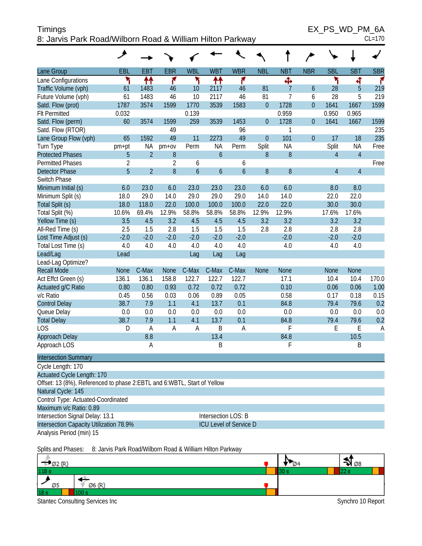| ____<br>Timings                                           | EX PS WD PM 6A |
|-----------------------------------------------------------|----------------|
| 8: Jarvis Park Road/Wilborn Road & William Hilton Parkway | $CL=170$       |

| ۰, |  |
|----|--|

|                                                                                                 | ۸           |                |                |                  |                               |               |                  |                |                  |                |                |                |
|-------------------------------------------------------------------------------------------------|-------------|----------------|----------------|------------------|-------------------------------|---------------|------------------|----------------|------------------|----------------|----------------|----------------|
| Lane Group                                                                                      | EBL         | <b>EBT</b>     | <b>EBR</b>     | <b>WBL</b>       | <b>WBT</b>                    | <b>WBR</b>    | <b>NBL</b>       | <b>NBT</b>     | <b>NBR</b>       | <b>SBL</b>     | <b>SBT</b>     | <b>SBR</b>     |
| Lane Configurations                                                                             | ۲           | ₩              | ۴              | ۲                | ₩                             | ۴             |                  | ф              |                  | ۲              | 4              | r              |
| Traffic Volume (vph)                                                                            | 61          | 1483           | 46             | 10               | 2117                          | 46            | 81               | $\overline{7}$ | 6                | 28             | 5              | 219            |
| Future Volume (vph)                                                                             | 61          | 1483           | 46             | 10               | 2117                          | 46            | 81               | 7              | 6                | 28             | 5              | 219            |
| Satd. Flow (prot)                                                                               | 1787        | 3574           | 1599           | 1770             | 3539                          | 1583          | $\mathbf{0}$     | 1728           | $\overline{0}$   | 1641           | 1667           | 1599           |
| <b>Flt Permitted</b>                                                                            | 0.032       |                |                | 0.139            |                               |               |                  | 0.959          |                  | 0.950          | 0.965          |                |
| Satd. Flow (perm)                                                                               | 60          | 3574           | 1599           | 259              | 3539                          | 1453          | $\boldsymbol{0}$ | 1728           | $\overline{0}$   | 1641           | 1667           | 1599           |
| Satd. Flow (RTOR)                                                                               |             |                | 49             |                  |                               | 96            |                  | 1              |                  |                |                | 235            |
| Lane Group Flow (vph)                                                                           | 65          | 1592           | 49             | 11               | 2273                          | 49            | $\mathbf{0}$     | 101            | $\boldsymbol{0}$ | 17             | 18             | 235            |
| Turn Type                                                                                       | pm+pt       | <b>NA</b>      | $pm+ov$        | Perm             | <b>NA</b>                     | Perm          | Split            | NA             |                  | Split          | <b>NA</b>      | Free           |
| <b>Protected Phases</b>                                                                         | 5           | $\overline{2}$ | $8\,$          |                  | $\boldsymbol{6}$              |               | 8                | 8              |                  | $\overline{4}$ | $\overline{4}$ |                |
| <b>Permitted Phases</b>                                                                         | 2           |                | $\overline{2}$ | 6                |                               | 6             |                  |                |                  |                |                | Free           |
| <b>Detector Phase</b>                                                                           | 5           | $\overline{2}$ | $8\,$          | $\boldsymbol{6}$ | $\boldsymbol{6}$              | $\mathfrak b$ | $\boldsymbol{8}$ | 8              |                  | 4              | $\overline{4}$ |                |
| Switch Phase                                                                                    |             |                |                |                  |                               |               |                  |                |                  |                |                |                |
| Minimum Initial (s)                                                                             | 6.0         | 23.0           | 6.0            | 23.0             | 23.0                          | 23.0          | 6.0              | 6.0            |                  | 8.0            | 8.0            |                |
| Minimum Split (s)                                                                               | 18.0        | 29.0           | 14.0           | 29.0             | 29.0                          | 29.0          | 14.0             | 14.0           |                  | 22.0           | 22.0           |                |
| Total Split (s)                                                                                 | 18.0        | 118.0          | 22.0           | 100.0            | 100.0                         | 100.0         | 22.0             | 22.0           |                  | 30.0           | 30.0           |                |
| Total Split (%)                                                                                 | 10.6%       | 69.4%          | 12.9%          | 58.8%            | 58.8%                         | 58.8%         | 12.9%            | 12.9%          |                  | 17.6%          | 17.6%          |                |
| Yellow Time (s)                                                                                 | 3.5         | 4.5            | 3.2            | 4.5              | 4.5                           | 4.5           | 3.2              | 3.2            |                  | 3.2            | 3.2            |                |
| All-Red Time (s)                                                                                | 2.5         | 1.5            | 2.8            | 1.5              | 1.5                           | 1.5           | 2.8              | 2.8            |                  | 2.8            | 2.8            |                |
| Lost Time Adjust (s)                                                                            | $-2.0$      | $-2.0$         | $-2.0$         | $-2.0$           | $-2.0$                        | $-2.0$        |                  | $-2.0$         |                  | $-2.0$         | $-2.0$         |                |
| Total Lost Time (s)                                                                             | 4.0         | 4.0            | 4.0            | 4.0              | 4.0                           | 4.0           |                  | 4.0            |                  | 4.0            | 4.0            |                |
| Lead/Lag                                                                                        | Lead        |                |                | Lag              | Lag                           | Lag           |                  |                |                  |                |                |                |
| Lead-Lag Optimize?                                                                              |             |                |                |                  |                               |               |                  |                |                  |                |                |                |
| <b>Recall Mode</b>                                                                              | <b>None</b> | C-Max          | <b>None</b>    | C-Max            | C-Max                         | C-Max         | <b>None</b>      | <b>None</b>    |                  | <b>None</b>    | <b>None</b>    |                |
| Act Effct Green (s)                                                                             | 136.1       | 136.1          | 158.8          | 122.7            | 122.7                         | 122.7         |                  | 17.1           |                  | 10.4           | 10.4           | 170.0          |
| Actuated g/C Ratio                                                                              | 0.80        | 0.80           | 0.93           | 0.72             | 0.72                          | 0.72          |                  | 0.10           |                  | 0.06           | 0.06           | 1.00           |
| v/c Ratio                                                                                       | 0.45        | 0.56           | 0.03           | 0.06             | 0.89                          | 0.05          |                  | 0.58           |                  | 0.17           | 0.18           | 0.15           |
| <b>Control Delay</b>                                                                            | 38.7        | 7.9            | 1.1            | 4.1              | 13.7                          | 0.1           |                  | 84.8           |                  | 79.4           | 79.6           | 0.2            |
| Queue Delay                                                                                     | 0.0         | 0.0            | 0.0            | 0.0              | 0.0                           | 0.0           |                  | 0.0            |                  | 0.0            | 0.0            | 0.0            |
| <b>Total Delay</b>                                                                              | 38.7        | 7.9            | 1.1            | 4.1              | 13.7                          | 0.1           |                  | 84.8           |                  | 79.4           | 79.6           | 0.2            |
| <b>LOS</b>                                                                                      | D           | A              | A              | A                | B                             | Α             |                  | F              |                  | Ε              | E              | $\overline{A}$ |
| Approach Delay                                                                                  |             | 8.8            |                |                  | 13.4                          |               |                  | 84.8           |                  |                | 10.5           |                |
| Approach LOS                                                                                    |             | Α              |                |                  | B                             |               |                  | F              |                  |                | Β              |                |
| <b>Intersection Summary</b>                                                                     |             |                |                |                  |                               |               |                  |                |                  |                |                |                |
| Cycle Length: 170                                                                               |             |                |                |                  |                               |               |                  |                |                  |                |                |                |
| <b>Actuated Cycle Length: 170</b>                                                               |             |                |                |                  |                               |               |                  |                |                  |                |                |                |
| Offset: 13 (8%), Referenced to phase 2: EBTL and 6: WBTL, Start of Yellow<br>Natural Cycle: 145 |             |                |                |                  |                               |               |                  |                |                  |                |                |                |
| Control Type: Actuated-Coordinated                                                              |             |                |                |                  |                               |               |                  |                |                  |                |                |                |
| Maximum v/c Ratio: 0.89                                                                         |             |                |                |                  |                               |               |                  |                |                  |                |                |                |
| Intersection Signal Delay: 13.1                                                                 |             |                |                |                  | Intersection LOS: B           |               |                  |                |                  |                |                |                |
| Intersection Capacity Utilization 78.9%                                                         |             |                |                |                  | <b>ICU Level of Service D</b> |               |                  |                |                  |                |                |                |
| Analysis Period (min) 15                                                                        |             |                |                |                  |                               |               |                  |                |                  |                |                |                |
|                                                                                                 |             |                |                |                  |                               |               |                  |                |                  |                |                |                |

Splits and Phases: 8: Jarvis Park Road/Wilborn Road & William Hilton Parkway

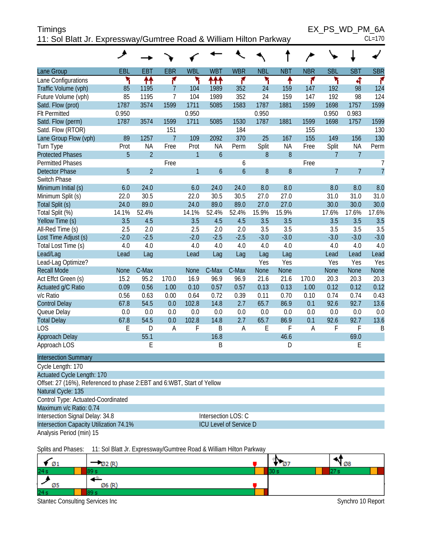| <b>Timings</b>                                                     | EX PS WD PM 6A |
|--------------------------------------------------------------------|----------------|
| 11: Sol Blatt Jr. Expressway/Gumtree Road & William Hilton Parkway | $CL=170$       |

 $EX_PS_WD_PM_6A$ <sub>CL=170</sub>

|                                                                        | لحر          |                |                |              |                |                               |              |              |                |                |                |                |
|------------------------------------------------------------------------|--------------|----------------|----------------|--------------|----------------|-------------------------------|--------------|--------------|----------------|----------------|----------------|----------------|
| Lane Group                                                             | <b>EBL</b>   | <b>EBT</b>     | <b>EBR</b>     | <b>WBL</b>   | <b>WBT</b>     | <b>WBR</b>                    | <b>NBL</b>   | <b>NBT</b>   | <b>NBR</b>     | <b>SBL</b>     | <b>SBT</b>     | <b>SBR</b>     |
| Lane Configurations                                                    | ۲            | ↟↟             | ۴              | ۲            | ተተ             | ۴                             | ۲            | ↟            | ۴              | ۲              | 4              | ۴              |
| Traffic Volume (vph)                                                   | 85           | 1195           | $\overline{7}$ | 104          | 1989           | 352                           | 24           | 159          | 147            | 192            | 98             | 124            |
| Future Volume (vph)                                                    | 85           | 1195           | $\overline{7}$ | 104          | 1989           | 352                           | 24           | 159          | 147            | 192            | 98             | 124            |
| Satd. Flow (prot)                                                      | 1787         | 3574           | 1599           | 1711         | 5085           | 1583                          | 1787         | 1881         | 1599           | 1698           | 1757           | 1599           |
| <b>Flt Permitted</b>                                                   | 0.950        |                |                | 0.950        |                |                               | 0.950        |              |                | 0.950          | 0.983          |                |
| Satd. Flow (perm)                                                      | 1787         | 3574           | 1599           | 1711         | 5085           | 1530                          | 1787         | 1881         | 1599           | 1698           | 1757           | 1599           |
| Satd. Flow (RTOR)                                                      |              |                | 151            |              |                | 184                           |              |              | 155            |                |                | 130            |
| Lane Group Flow (vph)                                                  | 89           | 1257           | $\overline{7}$ | 109          | 2092           | 370                           | 25           | 167          | 155            | 149            | 156            | 130            |
| Turn Type                                                              | Prot         | <b>NA</b>      | Free           | Prot         | <b>NA</b>      | Perm                          | Split        | <b>NA</b>    | Free           | Split          | <b>NA</b>      | Perm           |
| <b>Protected Phases</b>                                                | 5            | $\overline{2}$ |                | $\mathbf{1}$ | $\mathfrak b$  |                               | 8            | $8\,$        |                | $\overline{7}$ | $\overline{7}$ |                |
| <b>Permitted Phases</b>                                                |              |                | Free           |              |                | 6                             |              |              | Free           |                |                | 7              |
| <b>Detector Phase</b>                                                  | 5            | $\overline{2}$ |                | $\mathbf{1}$ | $\overline{6}$ | $\boldsymbol{6}$              | 8            | 8            |                | $\overline{7}$ | $\overline{7}$ | $\overline{7}$ |
| Switch Phase                                                           |              |                |                |              |                |                               |              |              |                |                |                |                |
| Minimum Initial (s)                                                    | 6.0          | 24.0           |                | 6.0          | 24.0           | 24.0                          | 8.0          | 8.0          |                | 8.0            | 8.0            | 8.0            |
| Minimum Split (s)                                                      | 22.0         | 30.5           |                | 22.0         | 30.5           | 30.5                          | 27.0         | 27.0         |                | 31.0           | 31.0           | 31.0           |
| Total Split (s)                                                        | 24.0         | 89.0           |                | 24.0         | 89.0           | 89.0                          | 27.0         | 27.0         |                | 30.0           | 30.0           | 30.0           |
| Total Split (%)                                                        | 14.1%        | 52.4%          |                | 14.1%        | 52.4%          | 52.4%                         | 15.9%        | 15.9%        |                | 17.6%          | 17.6%          | 17.6%          |
| Yellow Time (s)                                                        | 3.5          | 4.5            |                | 3.5          | 4.5            | 4.5                           | 3.5          | 3.5          |                | 3.5            | 3.5            | 3.5            |
| All-Red Time (s)                                                       | 2.5          | 2.0            |                | 2.5          | 2.0            | 2.0                           | 3.5          | 3.5          |                | 3.5            | 3.5            | 3.5            |
| Lost Time Adjust (s)                                                   | $-2.0$       | $-2.5$         |                | $-2.0$       | $-2.5$         | $-2.5$                        | $-3.0$       | $-3.0$       |                | $-3.0$         | $-3.0$         | $-3.0$         |
| Total Lost Time (s)                                                    | 4.0          | 4.0            |                | 4.0          | 4.0            | 4.0                           | 4.0          | 4.0          |                | 4.0            | 4.0            | 4.0            |
| Lead/Lag                                                               | Lead         | Lag            |                | Lead         | Lag            | Lag                           | Lag          | Lag          |                | Lead           | Lead           | Lead           |
| Lead-Lag Optimize?                                                     |              |                |                |              |                |                               | Yes          | Yes          |                | Yes            | Yes            | Yes            |
| <b>Recall Mode</b>                                                     | <b>None</b>  | C-Max          |                | <b>None</b>  | C-Max          | C-Max                         | None         | None         |                | <b>None</b>    | <b>None</b>    | None           |
| Act Effct Green (s)                                                    | 15.2         | 95.2<br>0.56   | 170.0          | 16.9         | 96.9           | 96.9<br>0.57                  | 21.6         | 21.6<br>0.13 | 170.0          | 20.3<br>0.12   | 20.3<br>0.12   | 20.3           |
| Actuated g/C Ratio<br>v/c Ratio                                        | 0.09<br>0.56 | 0.63           | 1.00           | 0.10<br>0.64 | 0.57<br>0.72   | 0.39                          | 0.13<br>0.11 | 0.70         | 1.00<br>0.10   | 0.74           | 0.74           | 0.12<br>0.43   |
| <b>Control Delay</b>                                                   | 67.8         | 54.5           | 0.00<br>0.0    | 102.8        | 14.8           | 2.7                           | 65.7         | 86.9         | 0.1            | 92.6           | 92.7           | 13.6           |
|                                                                        | 0.0          | 0.0            | 0.0            | 0.0          | 0.0            | 0.0                           | 0.0          | 0.0          | 0.0            | 0.0            | 0.0            | 0.0            |
| Queue Delay<br><b>Total Delay</b>                                      | 67.8         | 54.5           | 0.0            | 102.8        | 14.8           | 2.7                           | 65.7         | 86.9         | 0.1            | 92.6           | 92.7           | 13.6           |
| <b>LOS</b>                                                             | E            | D              | A              | F            | B              | A                             | E            | F            | $\overline{A}$ | F              | F              | B              |
| Approach Delay                                                         |              | 55.1           |                |              | 16.8           |                               |              | 46.6         |                |                | 69.0           |                |
| Approach LOS                                                           |              | E              |                |              | B              |                               |              | D            |                |                | E              |                |
| <b>Intersection Summary</b>                                            |              |                |                |              |                |                               |              |              |                |                |                |                |
| Cycle Length: 170                                                      |              |                |                |              |                |                               |              |              |                |                |                |                |
| <b>Actuated Cycle Length: 170</b>                                      |              |                |                |              |                |                               |              |              |                |                |                |                |
| Offset: 27 (16%), Referenced to phase 2:EBT and 6:WBT, Start of Yellow |              |                |                |              |                |                               |              |              |                |                |                |                |
| Natural Cycle: 135                                                     |              |                |                |              |                |                               |              |              |                |                |                |                |
| Control Type: Actuated-Coordinated                                     |              |                |                |              |                |                               |              |              |                |                |                |                |
| Maximum v/c Ratio: 0.74                                                |              |                |                |              |                |                               |              |              |                |                |                |                |
| Intersection Signal Delay: 34.8                                        |              |                |                |              |                | Intersection LOS: C           |              |              |                |                |                |                |
| Intersection Capacity Utilization 74.1%                                |              |                |                |              |                | <b>ICU Level of Service D</b> |              |              |                |                |                |                |
| Analysis Period (min) 15                                               |              |                |                |              |                |                               |              |              |                |                |                |                |
|                                                                        |              |                |                |              |                |                               |              |              |                |                |                |                |

Splits and Phases: 11: Sol Blatt Jr. Expressway/Gumtree Road & William Hilton Parkway

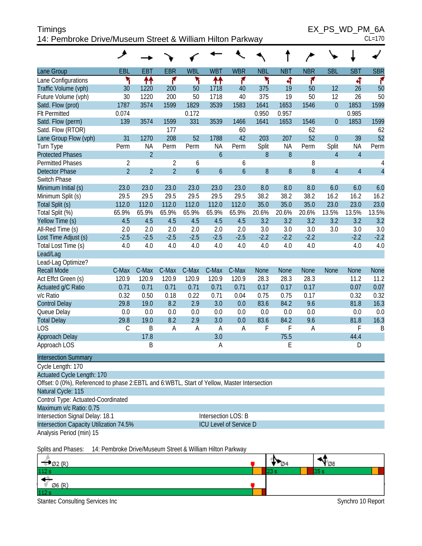| Timings                                                   | EX PS WD PM 6A |
|-----------------------------------------------------------|----------------|
| 14: Pembroke Drive/Museum Street & William Hilton Parkway | $CL=170$       |

|                                                                                             | ◢                                                         |                |                |                |            |                               |             |             |             |                |                |                |
|---------------------------------------------------------------------------------------------|-----------------------------------------------------------|----------------|----------------|----------------|------------|-------------------------------|-------------|-------------|-------------|----------------|----------------|----------------|
| Lane Group                                                                                  | EBL                                                       | <b>EBT</b>     | <b>EBR</b>     | <b>WBL</b>     | <b>WBT</b> | <b>WBR</b>                    | <b>NBL</b>  | <b>NBT</b>  | <b>NBR</b>  | <b>SBL</b>     | <b>SBT</b>     | <b>SBR</b>     |
| Lane Configurations                                                                         | ۲                                                         | ₩              | ۴              | ۲              | ↟↟         | ۴                             | ۲           | 4           | ۴           |                | 4              | ۴              |
| Traffic Volume (vph)                                                                        | 30                                                        | 1220           | 200            | 50             | 1718       | 40                            | 375         | 19          | 50          | 12             | 26             | 50             |
| Future Volume (vph)                                                                         | 30                                                        | 1220           | 200            | 50             | 1718       | 40                            | 375         | 19          | 50          | 12             | 26             | 50             |
| Satd. Flow (prot)                                                                           | 1787                                                      | 3574           | 1599           | 1829           | 3539       | 1583                          | 1641        | 1653        | 1546        | $\overline{0}$ | 1853           | 1599           |
| <b>Flt Permitted</b>                                                                        | 0.074                                                     |                |                | 0.172          |            |                               | 0.950       | 0.957       |             |                | 0.985          |                |
| Satd. Flow (perm)                                                                           | 139                                                       | 3574           | 1599           | 331            | 3539       | 1466                          | 1641        | 1653        | 1546        | $\theta$       | 1853           | 1599           |
| Satd. Flow (RTOR)                                                                           |                                                           |                | 177            |                |            | 60                            |             |             | 62          |                |                | 62             |
| Lane Group Flow (vph)                                                                       | 31                                                        | 1270           | 208            | 52             | 1788       | 42                            | 203         | 207         | 52          | $\overline{0}$ | 39             | 52             |
| Turn Type                                                                                   | Perm                                                      | <b>NA</b>      | Perm           | Perm           | <b>NA</b>  | Perm                          | Split       | <b>NA</b>   | Perm        | Split          | <b>NA</b>      | Perm           |
| <b>Protected Phases</b>                                                                     |                                                           | $\overline{2}$ |                |                | 6          |                               | 8           | 8           |             | $\overline{4}$ | $\overline{4}$ |                |
| <b>Permitted Phases</b>                                                                     | 2                                                         |                | $\overline{2}$ | 6              |            | 6                             |             |             | 8           |                |                | 4              |
| <b>Detector Phase</b>                                                                       | $\overline{2}$                                            | $\overline{2}$ | $\overline{2}$ | $\overline{6}$ | 6          | $\overline{6}$                | 8           | 8           | 8           | $\overline{4}$ | $\overline{4}$ | $\overline{4}$ |
| Switch Phase                                                                                |                                                           |                |                |                |            |                               |             |             |             |                |                |                |
| Minimum Initial (s)                                                                         | 23.0                                                      | 23.0           | 23.0           | 23.0           | 23.0       | 23.0                          | 8.0         | 8.0         | 8.0         | 6.0            | 6.0            | 6.0            |
| Minimum Split (s)                                                                           | 29.5                                                      | 29.5           | 29.5           | 29.5           | 29.5       | 29.5                          | 38.2        | 38.2        | 38.2        | 16.2           | 16.2           | 16.2           |
| Total Split (s)                                                                             | 112.0                                                     | 112.0          | 112.0          | 112.0          | 112.0      | 112.0                         | 35.0        | 35.0        | 35.0        | 23.0           | 23.0           | 23.0           |
| Total Split (%)                                                                             | 65.9%                                                     | 65.9%          | 65.9%          | 65.9%          | 65.9%      | 65.9%                         | 20.6%       | 20.6%       | 20.6%       | 13.5%          | 13.5%          | 13.5%          |
| Yellow Time (s)                                                                             | 4.5                                                       | 4.5            | 4.5            | 4.5            | 4.5        | 4.5                           | 3.2         | 3.2         | 3.2         | 3.2            | 3.2            | 3.2            |
| All-Red Time (s)                                                                            | 2.0                                                       | 2.0            | 2.0            | 2.0            | 2.0        | 2.0                           | 3.0         | 3.0         | 3.0         | 3.0            | 3.0            | 3.0            |
| Lost Time Adjust (s)                                                                        | $-2.5$                                                    | $-2.5$         | $-2.5$         | $-2.5$         | $-2.5$     | $-2.5$                        | $-2.2$      | $-2.2$      | $-2.2$      |                | $-2.2$         | $-2.2$         |
| Total Lost Time (s)                                                                         | 4.0                                                       | 4.0            | 4.0            | 4.0            | 4.0        | 4.0                           | 4.0         | 4.0         | 4.0         |                | 4.0            | 4.0            |
| Lead/Lag                                                                                    |                                                           |                |                |                |            |                               |             |             |             |                |                |                |
| Lead-Lag Optimize?                                                                          |                                                           |                |                |                |            |                               |             |             |             |                |                |                |
| <b>Recall Mode</b>                                                                          | C-Max                                                     | C-Max          | C-Max          | C-Max          | C-Max      | C-Max                         | <b>None</b> | <b>None</b> | <b>None</b> | <b>None</b>    | <b>None</b>    | None           |
| Act Effct Green (s)                                                                         | 120.9                                                     | 120.9          | 120.9          | 120.9          | 120.9      | 120.9                         | 28.3        | 28.3        | 28.3        |                | 11.2           | 11.2           |
| Actuated g/C Ratio                                                                          | 0.71                                                      | 0.71           | 0.71           | 0.71           | 0.71       | 0.71                          | 0.17        | 0.17        | 0.17        |                | 0.07           | 0.07           |
| v/c Ratio                                                                                   | 0.32                                                      | 0.50           | 0.18           | 0.22           | 0.71       | 0.04                          | 0.75        | 0.75        | 0.17        |                | 0.32           | 0.32           |
| <b>Control Delay</b>                                                                        | 29.8                                                      | 19.0           | 8.2            | 2.9            | 3.0        | 0.0                           | 83.6        | 84.2        | 9.6         |                | 81.8           | 16.3           |
| Queue Delay                                                                                 | 0.0                                                       | 0.0            | 0.0            | 0.0            | 0.0        | 0.0                           | 0.0         | 0.0         | 0.0         |                | 0.0            | 0.0            |
| <b>Total Delay</b>                                                                          | 29.8                                                      | 19.0           | 8.2            | 2.9            | 3.0        | 0.0                           | 83.6        | 84.2        | 9.6         |                | 81.8           | 16.3           |
| <b>LOS</b>                                                                                  | $\mathsf C$                                               | B              | A              | A              | A          | Α                             | F           | F           | A           |                | F              | Β              |
| Approach Delay                                                                              |                                                           | 17.8           |                |                | 3.0        |                               |             | 75.5        |             |                | 44.4           |                |
| Approach LOS                                                                                |                                                           | B              |                |                | A          |                               |             | E           |             |                | D              |                |
| <b>Intersection Summary</b>                                                                 |                                                           |                |                |                |            |                               |             |             |             |                |                |                |
| Cycle Length: 170                                                                           |                                                           |                |                |                |            |                               |             |             |             |                |                |                |
| Actuated Cycle Length: 170                                                                  |                                                           |                |                |                |            |                               |             |             |             |                |                |                |
| Offset: 0 (0%), Referenced to phase 2:EBTL and 6:WBTL, Start of Yellow, Master Intersection |                                                           |                |                |                |            |                               |             |             |             |                |                |                |
| Natural Cycle: 115                                                                          |                                                           |                |                |                |            |                               |             |             |             |                |                |                |
| Control Type: Actuated-Coordinated                                                          |                                                           |                |                |                |            |                               |             |             |             |                |                |                |
| Maximum v/c Ratio: 0.75                                                                     |                                                           |                |                |                |            |                               |             |             |             |                |                |                |
| Intersection Signal Delay: 18.1                                                             |                                                           |                |                |                |            | Intersection LOS: B           |             |             |             |                |                |                |
| Intersection Capacity Utilization 74.5%                                                     |                                                           |                |                |                |            | <b>ICU Level of Service D</b> |             |             |             |                |                |                |
| Analysis Period (min) 15                                                                    |                                                           |                |                |                |            |                               |             |             |             |                |                |                |
| Splits and Phases:                                                                          | 14: Pembroke Drive/Museum Street & William Hilton Parkway |                |                |                |            |                               |             |             |             |                |                |                |
|                                                                                             |                                                           |                |                |                |            |                               |             |             |             |                |                |                |



Stantec Consulting Services Inc **Synchro 10 Report** Synchro 10 Report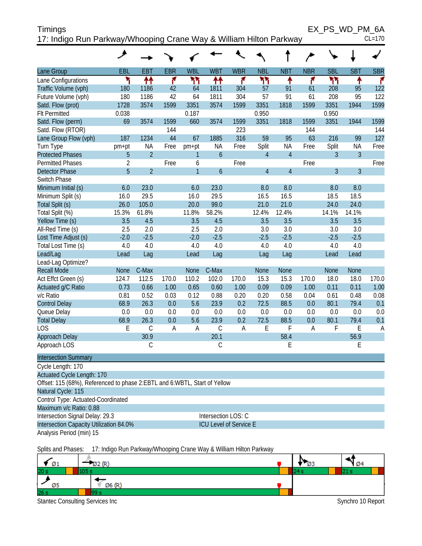| Timings                                                            | EX PS WD PM 6A |
|--------------------------------------------------------------------|----------------|
| 17: Indigo Run Parkway/Whooping Crane Way & William Hilton Parkway | $CL=170$       |

|                                                                             | ۶                   |                |            |                |                               |            |                |                |            |                |             |            |
|-----------------------------------------------------------------------------|---------------------|----------------|------------|----------------|-------------------------------|------------|----------------|----------------|------------|----------------|-------------|------------|
| Lane Group                                                                  | EBL                 | EBT            | <b>EBR</b> | <b>WBL</b>     | <b>WBT</b>                    | <b>WBR</b> | <b>NBL</b>     | <b>NBT</b>     | <b>NBR</b> | <b>SBL</b>     | <b>SBT</b>  | <b>SBR</b> |
| Lane Configurations                                                         | ۲                   | ↟↟             | ۴          | ካካ             | ₩                             | ۴          | ካካ             | ↟              | ۴          | ካካ             | ቶ           | ۴          |
| Traffic Volume (vph)                                                        | 180                 | 1186           | 42         | 64             | 1811                          | 304        | 57             | 91             | 61         | 208            | 95          | 122        |
| Future Volume (vph)                                                         | 180                 | 1186           | 42         | 64             | 1811                          | 304        | 57             | 91             | 61         | 208            | 95          | 122        |
| Satd. Flow (prot)                                                           | 1728                | 3574           | 1599       | 3351           | 3574                          | 1599       | 3351           | 1818           | 1599       | 3351           | 1944        | 1599       |
| <b>Flt Permitted</b>                                                        | 0.038               |                |            | 0.187          |                               |            | 0.950          |                |            | 0.950          |             |            |
| Satd. Flow (perm)                                                           | 69                  | 3574           | 1599       | 660            | 3574                          | 1599       | 3351           | 1818           | 1599       | 3351           | 1944        | 1599       |
| Satd. Flow (RTOR)                                                           |                     |                | 144        |                |                               | 223        |                |                | 144        |                |             | 144        |
| Lane Group Flow (vph)                                                       | 187                 | 1234           | 44         | 67             | 1885                          | 316        | 59             | 95             | 63         | 216            | 99          | 127        |
| Turn Type                                                                   | pm+pt               | ΝA             | Free       | pm+pt          | <b>NA</b>                     | Free       | Split          | <b>NA</b>      | Free       | Split          | <b>NA</b>   | Free       |
| <b>Protected Phases</b>                                                     | 5                   | $\overline{2}$ |            | $\mathbf{1}$   | $\mathfrak b$                 |            | $\overline{4}$ | $\overline{4}$ |            | 3              | 3           |            |
| <b>Permitted Phases</b>                                                     | $\overline{2}$      |                | Free       | 6              |                               | Free       |                |                | Free       |                |             | Free       |
| <b>Detector Phase</b>                                                       | 5                   | $\overline{2}$ |            | $\overline{1}$ | $\boldsymbol{6}$              |            | $\overline{4}$ | $\overline{4}$ |            | $\overline{3}$ | 3           |            |
| Switch Phase                                                                |                     |                |            |                |                               |            |                |                |            |                |             |            |
| Minimum Initial (s)                                                         | 6.0                 | 23.0           |            | 6.0            | 23.0                          |            | 8.0            | 8.0            |            | 8.0            | 8.0         |            |
| Minimum Split (s)                                                           | 16.0                | 29.5           |            | 16.0           | 29.5                          |            | 16.5           | 16.5           |            | 18.5           | 18.5        |            |
| Total Split (s)                                                             | 26.0                | 105.0          |            | 20.0           | 99.0                          |            | 21.0           | 21.0           |            | 24.0           | 24.0        |            |
| Total Split (%)                                                             | 15.3%               | 61.8%          |            | 11.8%          | 58.2%                         |            | 12.4%          | 12.4%          |            | 14.1%          | 14.1%       |            |
| Yellow Time (s)                                                             | 3.5                 | 4.5            |            | 3.5            | 4.5                           |            | 3.5            | 3.5            |            | 3.5            | 3.5         |            |
| All-Red Time (s)                                                            | 2.5                 | 2.0            |            | 2.5            | 2.0                           |            | 3.0            | 3.0            |            | 3.0            | 3.0         |            |
| Lost Time Adjust (s)                                                        | $-2.0$              | $-2.5$         |            | $-2.0$         | $-2.5$                        |            | $-2.5$         | $-2.5$         |            | $-2.5$         | $-2.5$      |            |
| Total Lost Time (s)                                                         | 4.0                 | 4.0            |            | 4.0            | 4.0                           |            | 4.0            | 4.0            |            | 4.0            | 4.0         |            |
| Lead/Lag                                                                    | Lead                | Lag            |            | Lead           | Lag                           |            | Lag            | Lag            |            | Lead           | Lead        |            |
| Lead-Lag Optimize?                                                          |                     |                |            |                |                               |            |                |                |            |                |             |            |
| <b>Recall Mode</b>                                                          | <b>None</b>         | C-Max          |            | None           | C-Max                         |            | <b>None</b>    | <b>None</b>    |            | <b>None</b>    | <b>None</b> |            |
| Act Effct Green (s)                                                         | 124.7               | 112.5          | 170.0      | 110.2          | 102.0                         | 170.0      | 15.3           | 15.3           | 170.0      | 18.0           | 18.0        | 170.0      |
| Actuated g/C Ratio                                                          | 0.73                | 0.66           | 1.00       | 0.65           | 0.60                          | 1.00       | 0.09           | 0.09           | 1.00       | 0.11           | 0.11        | 1.00       |
| v/c Ratio                                                                   | 0.81                | 0.52           | 0.03       | 0.12           | 0.88                          | 0.20       | 0.20           | 0.58           | 0.04       | 0.61           | 0.48        | 0.08       |
| <b>Control Delay</b>                                                        | 68.9                | 26.3           | 0.0        | 5.6            | 23.9                          | 0.2        | 72.5           | 88.5           | 0.0        | 80.1           | 79.4        | 0.1        |
| Queue Delay                                                                 | 0.0                 | 0.0            | 0.0        | 0.0            | 0.0                           | 0.0        | 0.0            | 0.0            | 0.0        | 0.0            | 0.0         | 0.0        |
| <b>Total Delay</b>                                                          | 68.9                | 26.3           | 0.0        | 5.6            | 23.9                          | 0.2        | 72.5           | 88.5           | 0.0        | 80.1           | 79.4        | 0.1        |
| LOS                                                                         | E                   | $\mathsf C$    | A          | A              | $\mathsf C$                   | A          | E              | F              | A          | F              | E           | A          |
| Approach Delay                                                              |                     | 30.9           |            |                | 20.1                          |            |                | 58.4           |            |                | 56.9        |            |
| Approach LOS                                                                |                     | $\mathsf C$    |            |                | $\mathsf C$                   |            |                | E              |            |                | E           |            |
| <b>Intersection Summary</b>                                                 |                     |                |            |                |                               |            |                |                |            |                |             |            |
| Cycle Length: 170                                                           |                     |                |            |                |                               |            |                |                |            |                |             |            |
| Actuated Cycle Length: 170                                                  |                     |                |            |                |                               |            |                |                |            |                |             |            |
| Offset: 115 (68%), Referenced to phase 2: EBTL and 6: WBTL, Start of Yellow |                     |                |            |                |                               |            |                |                |            |                |             |            |
| Natural Cycle: 115                                                          |                     |                |            |                |                               |            |                |                |            |                |             |            |
| Control Type: Actuated-Coordinated                                          |                     |                |            |                |                               |            |                |                |            |                |             |            |
| Maximum v/c Ratio: 0.88                                                     |                     |                |            |                |                               |            |                |                |            |                |             |            |
| Intersection Signal Delay: 29.3                                             | Intersection LOS: C |                |            |                |                               |            |                |                |            |                |             |            |
| Intersection Capacity Utilization 84.0%                                     |                     |                |            |                | <b>ICU Level of Service E</b> |            |                |                |            |                |             |            |
| Analysis Period (min) 15                                                    |                     |                |            |                |                               |            |                |                |            |                |             |            |
|                                                                             |                     |                |            |                |                               |            |                |                |            |                |             |            |

Splits and Phases: 17: Indigo Run Parkway/Whooping Crane Way & William Hilton Parkway

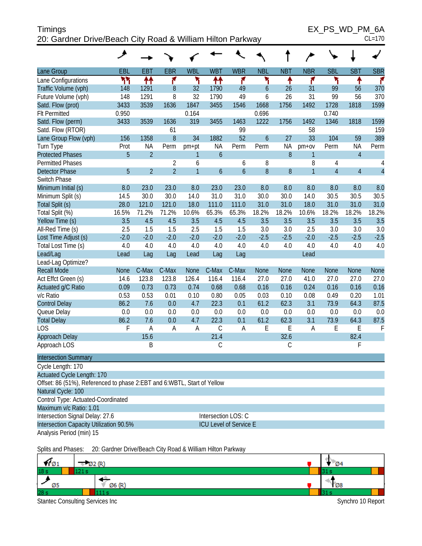| <b>Timings</b>                                             | EX PS WD PM 6A |
|------------------------------------------------------------|----------------|
| 20: Gardner Drive/Beach City Road & William Hilton Parkway | $CL=170$       |

EX\_PS\_WD\_PM\_6A

| ۰, |  |
|----|--|

|                                                                           | هر                  |                |                |                |                  |                        |                  |             |                |                |                |                |
|---------------------------------------------------------------------------|---------------------|----------------|----------------|----------------|------------------|------------------------|------------------|-------------|----------------|----------------|----------------|----------------|
| Lane Group                                                                | EBL                 | <b>EBT</b>     | <b>EBR</b>     | <b>WBL</b>     | <b>WBT</b>       | <b>WBR</b>             | <b>NBL</b>       | <b>NBT</b>  | <b>NBR</b>     | <b>SBL</b>     | <b>SBT</b>     | <b>SBR</b>     |
| Lane Configurations                                                       | ۲٢                  | ↟↟             | ۴              | ۲              | ↟↟               | ۴                      | ۲                | ↟           | ۴              | ۳              | ۸              | ۴              |
| Traffic Volume (vph)                                                      | 148                 | 1291           | $\, 8$         | 32             | 1790             | 49                     | 6                | 26          | 31             | 99             | 56             | 370            |
| Future Volume (vph)                                                       | 148                 | 1291           | 8              | 32             | 1790             | 49                     | 6                | 26          | 31             | 99             | 56             | 370            |
| Satd. Flow (prot)                                                         | 3433                | 3539           | 1636           | 1847           | 3455             | 1546                   | 1668             | 1756        | 1492           | 1728           | 1818           | 1599           |
| <b>Flt Permitted</b>                                                      | 0.950               |                |                | 0.164          |                  |                        | 0.696            |             |                | 0.740          |                |                |
| Satd. Flow (perm)                                                         | 3433                | 3539           | 1636           | 319            | 3455             | 1463                   | 1222             | 1756        | 1492           | 1346           | 1818           | 1599           |
| Satd. Flow (RTOR)                                                         |                     |                | 61             |                |                  | 99                     |                  |             | 58             |                |                | 159            |
| Lane Group Flow (vph)                                                     | 156                 | 1358           | $8\,$          | 34             | 1882             | 52                     | $\boldsymbol{6}$ | 27          | 33             | 104            | 59             | 389            |
| Turn Type                                                                 | Prot                | ΝA             | Perm           | pm+pt          | NA               | Perm                   | Perm             | <b>NA</b>   | pm+ov          | Perm           | <b>NA</b>      | Perm           |
| <b>Protected Phases</b>                                                   | 5                   | $\overline{2}$ |                | 1              | $\boldsymbol{6}$ |                        |                  | 8           | $\mathbf{1}$   |                | $\overline{4}$ |                |
| <b>Permitted Phases</b>                                                   |                     |                | $\overline{2}$ | 6              |                  | 6                      | 8                |             | 8              | 4              |                | 4              |
| <b>Detector Phase</b>                                                     | 5                   | $\overline{2}$ | $\overline{2}$ | $\overline{1}$ | $\boldsymbol{6}$ | $\boldsymbol{6}$       | 8                | 8           | $\overline{1}$ | $\overline{4}$ | $\overline{4}$ | $\overline{4}$ |
| Switch Phase                                                              |                     |                |                |                |                  |                        |                  |             |                |                |                |                |
| Minimum Initial (s)                                                       | 8.0                 | 23.0           | 23.0           | 8.0            | 23.0             | 23.0                   | 8.0              | 8.0         | 8.0            | 8.0            | 8.0            | 8.0            |
| Minimum Split (s)                                                         | 14.5                | 30.0           | 30.0           | 14.0           | 31.0             | 31.0                   | 30.0             | 30.0        | 14.0           | 30.5           | 30.5           | 30.5           |
| Total Split (s)                                                           | 28.0                | 121.0          | 121.0          | 18.0           | 111.0            | 111.0                  | 31.0             | 31.0        | 18.0           | 31.0           | 31.0           | 31.0           |
| Total Split (%)                                                           | 16.5%               | 71.2%          | 71.2%          | 10.6%          | 65.3%            | 65.3%                  | 18.2%            | 18.2%       | 10.6%          | 18.2%          | 18.2%          | 18.2%          |
| Yellow Time (s)                                                           | 3.5                 | 4.5            | 4.5            | 3.5            | 4.5              | 4.5                    | 3.5              | 3.5         | 3.5            | 3.5            | 3.5            | 3.5            |
| All-Red Time (s)                                                          | 2.5                 | 1.5            | 1.5            | 2.5            | 1.5              | 1.5                    | 3.0              | 3.0         | 2.5            | 3.0            | 3.0            | 3.0            |
| Lost Time Adjust (s)                                                      | $-2.0$              | $-2.0$         | $-2.0$         | $-2.0$         | $-2.0$           | $-2.0$                 | $-2.5$           | $-2.5$      | $-2.0$         | $-2.5$         | $-2.5$         | $-2.5$         |
| Total Lost Time (s)                                                       | 4.0                 | 4.0            | 4.0            | 4.0            | 4.0              | 4.0                    | 4.0              | 4.0         | 4.0            | 4.0            | 4.0            | 4.0            |
| Lead/Lag                                                                  | Lead                | Lag            | Lag            | Lead           | Lag              | Lag                    |                  |             | Lead           |                |                |                |
| Lead-Lag Optimize?                                                        |                     |                |                |                |                  |                        |                  |             |                |                |                |                |
| <b>Recall Mode</b>                                                        | <b>None</b>         | C-Max          | C-Max          | <b>None</b>    | C-Max            | C-Max                  | <b>None</b>      | <b>None</b> | <b>None</b>    | None           | <b>None</b>    | <b>None</b>    |
| Act Effct Green (s)                                                       | 14.6                | 123.8          | 123.8          | 126.4          | 116.4            | 116.4                  | 27.0             | 27.0        | 41.0           | 27.0           | 27.0           | 27.0           |
| Actuated g/C Ratio                                                        | 0.09                | 0.73           | 0.73           | 0.74           | 0.68             | 0.68                   | 0.16             | 0.16        | 0.24           | 0.16           | 0.16           | 0.16           |
| v/c Ratio                                                                 | 0.53                | 0.53           | 0.01           | 0.10           | 0.80             | 0.05                   | 0.03             | 0.10        | 0.08           | 0.49           | 0.20           | 1.01           |
| <b>Control Delay</b>                                                      | 86.2                | 7.6            | 0.0            | 4.7            | 22.3             | 0.1                    | 61.2             | 62.3        | 3.1            | 73.9           | 64.3           | 87.5           |
| Queue Delay                                                               | 0.0                 | 0.0            | 0.0            | 0.0            | 0.0              | 0.0                    | 0.0              | 0.0         | 0.0            | 0.0            | 0.0            | 0.0            |
| <b>Total Delay</b>                                                        | 86.2                | 7.6            | 0.0            | 4.7            | 22.3             | 0.1                    | 61.2             | 62.3        | 3.1            | 73.9           | 64.3           | 87.5           |
| <b>LOS</b>                                                                | F                   | Α              | A              | A              | C                | A                      | E                | E           | A              | E              | E              | $\mathsf{F}$   |
| <b>Approach Delay</b>                                                     |                     | 15.6           |                |                | 21.4             |                        |                  | 32.6        |                |                | 82.4           |                |
| Approach LOS                                                              |                     | B              |                |                | C                |                        |                  | $\mathsf C$ |                |                | F              |                |
| <b>Intersection Summary</b>                                               |                     |                |                |                |                  |                        |                  |             |                |                |                |                |
| Cycle Length: 170                                                         |                     |                |                |                |                  |                        |                  |             |                |                |                |                |
| <b>Actuated Cycle Length: 170</b>                                         |                     |                |                |                |                  |                        |                  |             |                |                |                |                |
| Offset: 86 (51%), Referenced to phase 2: EBT and 6: WBTL, Start of Yellow |                     |                |                |                |                  |                        |                  |             |                |                |                |                |
| Natural Cycle: 100                                                        |                     |                |                |                |                  |                        |                  |             |                |                |                |                |
| Control Type: Actuated-Coordinated                                        |                     |                |                |                |                  |                        |                  |             |                |                |                |                |
| Maximum v/c Ratio: 1.01                                                   |                     |                |                |                |                  |                        |                  |             |                |                |                |                |
| Intersection Signal Delay: 27.6                                           | Intersection LOS: C |                |                |                |                  |                        |                  |             |                |                |                |                |
| Intersection Capacity Utilization 90.5%                                   |                     |                |                |                |                  | ICU Level of Service E |                  |             |                |                |                |                |
| Analysis Period (min) 15                                                  |                     |                |                |                |                  |                        |                  |             |                |                |                |                |
|                                                                           |                     |                |                |                |                  |                        |                  |             |                |                |                |                |

Splits and Phases: 20: Gardner Drive/Beach City Road & William Hilton Parkway

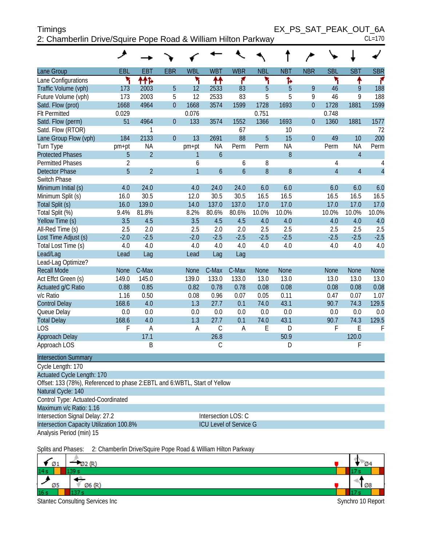| Timings                                                       | EX PS SAT PEAK OUT 6A |          |
|---------------------------------------------------------------|-----------------------|----------|
| 2: Chamberlin Drive/Squire Pope Road & William Hilton Parkway |                       | $CL=170$ |

|  | . . | ۰. |   |
|--|-----|----|---|
|  |     |    | U |

| Lane Group                                                                                        | EBL         | <b>EBT</b>     | <b>EBR</b>     | <b>WBL</b>     | <b>WBT</b>                    | <b>WBR</b>    | <b>NBL</b> | <b>NBT</b>       | <b>NBR</b>       | <b>SBL</b>     | <b>SBT</b>     | <b>SBR</b>     |
|---------------------------------------------------------------------------------------------------|-------------|----------------|----------------|----------------|-------------------------------|---------------|------------|------------------|------------------|----------------|----------------|----------------|
| Lane Configurations                                                                               | ۲           | ተተኈ            |                | ۳              | ↟↟                            | ۴             | ۲          | Ъ                |                  | ۲              | ↟              | ۴              |
| Traffic Volume (vph)                                                                              | 173         | 2003           | 5              | 12             | 2533                          | 83            | 5          | 5                | 9                | 46             | 9              | 188            |
| Future Volume (vph)                                                                               | 173         | 2003           | 5              | 12             | 2533                          | 83            | 5          | 5                | 9                | 46             | 9              | 188            |
| Satd. Flow (prot)                                                                                 | 1668        | 4964           | $\overline{0}$ | 1668           | 3574                          | 1599          | 1728       | 1693             | $\overline{0}$   | 1728           | 1881           | 1599           |
| <b>Flt Permitted</b>                                                                              | 0.029       |                |                | 0.076          |                               |               | 0.751      |                  |                  | 0.748          |                |                |
| Satd. Flow (perm)                                                                                 | 51          | 4964           | $\theta$       | 133            | 3574                          | 1552          | 1366       | 1693             | $\boldsymbol{0}$ | 1360           | 1881           | 1577           |
| Satd. Flow (RTOR)                                                                                 |             | 1              |                |                |                               | 67            |            | 10               |                  |                |                | 72             |
| Lane Group Flow (vph)                                                                             | 184         | 2133           | $\overline{0}$ | 13             | 2691                          | 88            | 5          | 15               | $\overline{0}$   | 49             | 10             | 200            |
| Turn Type                                                                                         | pm+pt       | <b>NA</b>      |                | pm+pt          | <b>NA</b>                     | Perm          | Perm       | ΝA               |                  | Perm           | <b>NA</b>      | Perm           |
| <b>Protected Phases</b>                                                                           | 5           | $\overline{2}$ |                | 1              | $\overline{6}$                |               |            | 8                |                  |                | $\overline{4}$ |                |
| <b>Permitted Phases</b>                                                                           | 2           |                |                | 6              |                               | 6             | 8          |                  |                  | 4              |                | 4              |
| <b>Detector Phase</b>                                                                             | 5           | $\overline{2}$ |                | $\overline{1}$ | $\boldsymbol{6}$              | $\mathfrak b$ | 8          | $\boldsymbol{8}$ |                  | $\overline{4}$ | $\overline{4}$ | $\overline{4}$ |
| Switch Phase                                                                                      |             |                |                |                |                               |               |            |                  |                  |                |                |                |
| Minimum Initial (s)                                                                               | 4.0         | 24.0           |                | 4.0            | 24.0                          | 24.0          | 6.0        | 6.0              |                  | 6.0            | 6.0            | 6.0            |
| Minimum Split (s)                                                                                 | 16.0        | 30.5           |                | 12.0           | 30.5                          | 30.5          | 16.5       | 16.5             |                  | 16.5           | 16.5           | 16.5           |
| Total Split (s)                                                                                   | 16.0        | 139.0          |                | 14.0           | 137.0                         | 137.0         | 17.0       | 17.0             |                  | 17.0           | 17.0           | 17.0           |
| Total Split (%)                                                                                   | 9.4%        | 81.8%          |                | 8.2%           | 80.6%                         | 80.6%         | 10.0%      | 10.0%            |                  | 10.0%          | 10.0%          | 10.0%          |
| Yellow Time (s)                                                                                   | 3.5         | 4.5            |                | 3.5            | 4.5                           | 4.5           | 4.0        | 4.0              |                  | 4.0            | 4.0            | 4.0            |
| All-Red Time (s)                                                                                  | 2.5         | 2.0            |                | 2.5            | 2.0                           | 2.0           | 2.5        | 2.5              |                  | 2.5            | 2.5            | 2.5            |
| Lost Time Adjust (s)                                                                              | $-2.0$      | $-2.5$         |                | $-2.0$         | $-2.5$                        | $-2.5$        | $-2.5$     | $-2.5$           |                  | $-2.5$         | $-2.5$         | $-2.5$         |
| Total Lost Time (s)                                                                               | 4.0         | 4.0            |                | 4.0            | 4.0                           | 4.0           | 4.0        | 4.0              |                  | 4.0            | 4.0            | 4.0            |
| Lead/Lag                                                                                          | Lead        | Lag            |                | Lead           | Lag                           | Lag           |            |                  |                  |                |                |                |
| Lead-Lag Optimize?                                                                                |             |                |                |                |                               |               |            |                  |                  |                |                |                |
| <b>Recall Mode</b>                                                                                | <b>None</b> | C-Max          |                | <b>None</b>    | C-Max                         | C-Max         | None       | <b>None</b>      |                  | <b>None</b>    | <b>None</b>    | None           |
| Act Effct Green (s)                                                                               | 149.0       | 145.0          |                | 139.0          | 133.0                         | 133.0         | 13.0       | 13.0             |                  | 13.0           | 13.0           | 13.0           |
| Actuated g/C Ratio                                                                                | 0.88        | 0.85           |                | 0.82           | 0.78                          | 0.78          | 0.08       | 0.08             |                  | 0.08           | 0.08           | 0.08           |
| v/c Ratio                                                                                         | 1.16        | 0.50           |                | 0.08           | 0.96                          | 0.07          | 0.05       | 0.11             |                  | 0.47           | 0.07           | 1.07           |
| <b>Control Delay</b>                                                                              | 168.6       | 4.0            |                | 1.3            | 27.7                          | 0.1           | 74.0       | 43.1             |                  | 90.7           | 74.3           | 129.5          |
| Queue Delay                                                                                       | 0.0         | 0.0            |                | 0.0            | 0.0                           | 0.0           | 0.0        | 0.0              |                  | 0.0            | 0.0            | 0.0            |
| <b>Total Delay</b>                                                                                | 168.6       | 4.0            |                | 1.3            | 27.7                          | 0.1           | 74.0       | 43.1             |                  | 90.7           | 74.3           | 129.5          |
| <b>LOS</b><br><b>Approach Delay</b>                                                               | F           | Α<br>17.1      |                | A              | $\mathcal{C}$<br>26.8         | A             | E          | D<br>50.9        |                  | F              | E<br>120.0     | F              |
|                                                                                                   |             |                |                |                |                               |               |            |                  |                  |                |                |                |
| Approach LOS                                                                                      |             | B              |                |                | C                             |               |            | D                |                  |                | F              |                |
| <b>Intersection Summary</b>                                                                       |             |                |                |                |                               |               |            |                  |                  |                |                |                |
| Cycle Length: 170                                                                                 |             |                |                |                |                               |               |            |                  |                  |                |                |                |
| Actuated Cycle Length: 170                                                                        |             |                |                |                |                               |               |            |                  |                  |                |                |                |
| Offset: 133 (78%), Referenced to phase 2: EBTL and 6: WBTL, Start of Yellow<br>Natural Cycle: 140 |             |                |                |                |                               |               |            |                  |                  |                |                |                |
| Control Type: Actuated-Coordinated                                                                |             |                |                |                |                               |               |            |                  |                  |                |                |                |
| Maximum v/c Ratio: 1.16                                                                           |             |                |                |                |                               |               |            |                  |                  |                |                |                |
| Intersection Signal Delay: 27.2                                                                   |             |                |                |                | Intersection LOS: C           |               |            |                  |                  |                |                |                |
| Intersection Capacity Utilization 100.8%                                                          |             |                |                |                | <b>ICU Level of Service G</b> |               |            |                  |                  |                |                |                |
| Analysis Period (min) 15                                                                          |             |                |                |                |                               |               |            |                  |                  |                |                |                |
|                                                                                                   |             |                |                |                |                               |               |            |                  |                  |                |                |                |

Splits and Phases: 2: Chamberlin Drive/Squire Pope Road & William Hilton Parkway  $\neg$  Ø2 (R) Ø4 ✔  $\varnothing$ 1  $14s$ 39 s -9 , Ø5 Ø6 (R) Ø8  $16<sub>s</sub>$ 137 s Stantec Consulting Services Inc **Synchro 10 Report** Synchro 10 Report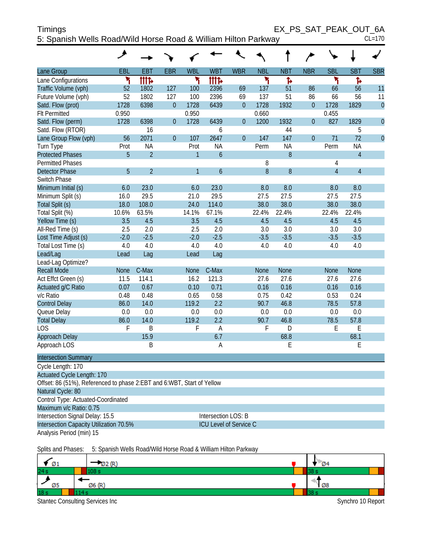| <b>Timings</b>                                                 | EX PS SAT PEAK OUT 6A |          |
|----------------------------------------------------------------|-----------------------|----------|
| 5: Spanish Wells Road/Wild Horse Road & William Hilton Parkway |                       | $CL=170$ |

| Lane Group                  | EBL         | <b>EBT</b>     | <b>EBR</b>     | <b>WBL</b>     | <b>WBT</b>       | <b>WBR</b>     | <b>NBL</b>  | <b>NBT</b>  | <b>NBR</b>     | <b>SBL</b>     | <b>SBT</b>     | <b>SBR</b>     |
|-----------------------------|-------------|----------------|----------------|----------------|------------------|----------------|-------------|-------------|----------------|----------------|----------------|----------------|
| Lane Configurations         | ۲           | tttd           |                | ۲              | tttd.            |                | ۲           | Ъ           |                | ۳              | ħ              |                |
| Traffic Volume (vph)        | 52          | 1802           | 127            | 100            | 2396             | 69             | 137         | 51          | 86             | 66             | 56             | 11             |
| Future Volume (vph)         | 52          | 1802           | 127            | 100            | 2396             | 69             | 137         | 51          | 86             | 66             | 56             | 11             |
| Satd. Flow (prot)           | 1728        | 6398           | $\overline{0}$ | 1728           | 6439             | $\mathbf{0}$   | 1728        | 1932        | $\overline{0}$ | 1728           | 1829           | $\overline{0}$ |
| <b>Flt Permitted</b>        | 0.950       |                |                | 0.950          |                  |                | 0.660       |             |                | 0.455          |                |                |
| Satd. Flow (perm)           | 1728        | 6398           | $\overline{0}$ | 1728           | 6439             | $\mathbf{0}$   | 1200        | 1932        | $\overline{0}$ | 827            | 1829           | $\overline{0}$ |
| Satd. Flow (RTOR)           |             | 16             |                |                | 6                |                |             | 44          |                |                | 5              |                |
| Lane Group Flow (vph)       | 56          | 2071           | $\overline{0}$ | 107            | 2647             | $\overline{0}$ | 147         | 147         | $\overline{0}$ | 71             | 72             | $\overline{0}$ |
| Turn Type                   | Prot        | <b>NA</b>      |                | Prot           | <b>NA</b>        |                | Perm        | <b>NA</b>   |                | Perm           | <b>NA</b>      |                |
| <b>Protected Phases</b>     | 5           | $\overline{2}$ |                | $\mathbf{1}$   | $\boldsymbol{6}$ |                |             | 8           |                |                | $\overline{4}$ |                |
| <b>Permitted Phases</b>     |             |                |                |                |                  |                | 8           |             |                | 4              |                |                |
| <b>Detector Phase</b>       | 5           | $\overline{2}$ |                | $\overline{1}$ | $\overline{6}$   |                | 8           | 8           |                | $\overline{4}$ | $\overline{4}$ |                |
| Switch Phase                |             |                |                |                |                  |                |             |             |                |                |                |                |
| Minimum Initial (s)         | 6.0         | 23.0           |                | 6.0            | 23.0             |                | 8.0         | 8.0         |                | 8.0            | 8.0            |                |
| Minimum Split (s)           | 16.0        | 29.5           |                | 21.0           | 29.5             |                | 27.5        | 27.5        |                | 27.5           | 27.5           |                |
| Total Split (s)             | 18.0        | 108.0          |                | 24.0           | 114.0            |                | 38.0        | 38.0        |                | 38.0           | 38.0           |                |
| Total Split (%)             | 10.6%       | 63.5%          |                | 14.1%          | 67.1%            |                | 22.4%       | 22.4%       |                | 22.4%          | 22.4%          |                |
| Yellow Time (s)             | 3.5         | 4.5            |                | 3.5            | 4.5              |                | 4.5         | 4.5         |                | 4.5            | 4.5            |                |
| All-Red Time (s)            | 2.5         | 2.0            |                | 2.5            | 2.0              |                | 3.0         | 3.0         |                | 3.0            | 3.0            |                |
| Lost Time Adjust (s)        | $-2.0$      | $-2.5$         |                | $-2.0$         | $-2.5$           |                | $-3.5$      | $-3.5$      |                | $-3.5$         | $-3.5$         |                |
| Total Lost Time (s)         | 4.0         | 4.0            |                | 4.0            | 4.0              |                | 4.0         | 4.0         |                | 4.0            | 4.0            |                |
| Lead/Lag                    | Lead        | Lag            |                | Lead           | Lag              |                |             |             |                |                |                |                |
| Lead-Lag Optimize?          |             |                |                |                |                  |                |             |             |                |                |                |                |
| <b>Recall Mode</b>          | <b>None</b> | C-Max          |                | <b>None</b>    | C-Max            |                | <b>None</b> | <b>None</b> |                | <b>None</b>    | <b>None</b>    |                |
| Act Effct Green (s)         | 11.5        | 114.1          |                | 16.2           | 121.3            |                | 27.6        | 27.6        |                | 27.6           | 27.6           |                |
| Actuated g/C Ratio          | 0.07        | 0.67           |                | 0.10           | 0.71             |                | 0.16        | 0.16        |                | 0.16           | 0.16           |                |
| v/c Ratio                   | 0.48        | 0.48           |                | 0.65           | 0.58             |                | 0.75        | 0.42        |                | 0.53           | 0.24           |                |
| <b>Control Delay</b>        | 86.0        | 14.0           |                | 119.2          | 2.2              |                | 90.7        | 46.8        |                | 78.5           | 57.8           |                |
| Queue Delay                 | $0.0\,$     | 0.0            |                | 0.0            | 0.0              |                | 0.0         | 0.0         |                | 0.0            | 0.0            |                |
| <b>Total Delay</b>          | 86.0        | 14.0           |                | 119.2          | 2.2              |                | 90.7        | 46.8        |                | 78.5           | 57.8           |                |
| LOS                         | F           | B              |                | F              | $\overline{A}$   |                | F           | D           |                | E              | E              |                |
| Approach Delay              |             | 15.9           |                |                | 6.7              |                |             | 68.8        |                |                | 68.1           |                |
| Approach LOS                |             | Β              |                |                | A                |                |             | E           |                |                | E              |                |
| <b>Intersection Summary</b> |             |                |                |                |                  |                |             |             |                |                |                |                |
| $C$ value $l$ and $l$       |             |                |                |                |                  |                |             |             |                |                |                |                |

| Cycle Length: 170                                                      |                               |  |  |  |  |  |  |  |
|------------------------------------------------------------------------|-------------------------------|--|--|--|--|--|--|--|
| <b>Actuated Cycle Length: 170</b>                                      |                               |  |  |  |  |  |  |  |
| Offset: 86 (51%), Referenced to phase 2:EBT and 6:WBT, Start of Yellow |                               |  |  |  |  |  |  |  |
| Natural Cycle: 80                                                      |                               |  |  |  |  |  |  |  |
| Control Type: Actuated-Coordinated                                     |                               |  |  |  |  |  |  |  |
| Maximum v/c Ratio: 0.75                                                |                               |  |  |  |  |  |  |  |
| Intersection Signal Delay: 15.5                                        | Intersection LOS: B           |  |  |  |  |  |  |  |
| Intersection Capacity Utilization 70.5%                                | <b>ICU Level of Service C</b> |  |  |  |  |  |  |  |
| Analysis Period (min) 15                                               |                               |  |  |  |  |  |  |  |

Splits and Phases: 5: Spanish Wells Road/Wild Horse Road & William Hilton Parkway

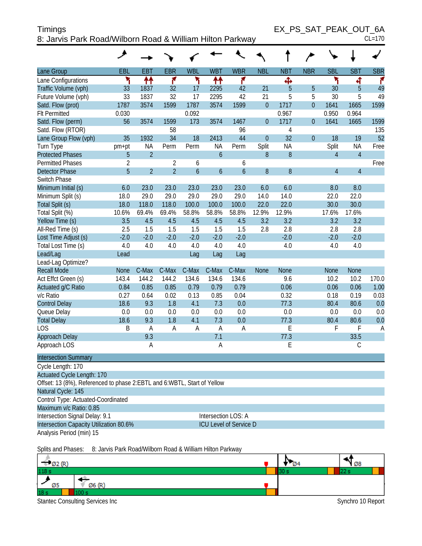| Timings                                                   |  |  |
|-----------------------------------------------------------|--|--|
| 8: Jarvis Park Road/Wilborn Road & William Hilton Parkway |  |  |

| ×<br>۰, |  |
|---------|--|

|                                                                         | ◢              |                |                |               |                        |                  |                |            |                |                |                |                |
|-------------------------------------------------------------------------|----------------|----------------|----------------|---------------|------------------------|------------------|----------------|------------|----------------|----------------|----------------|----------------|
| Lane Group                                                              | <b>EBL</b>     | <b>EBT</b>     | <b>EBR</b>     | <b>WBL</b>    | <b>WBT</b>             | <b>WBR</b>       | <b>NBL</b>     | <b>NBT</b> | <b>NBR</b>     | <b>SBL</b>     | <b>SBT</b>     | <b>SBR</b>     |
| Lane Configurations                                                     | ۲              | ₩              | ۴              | ۲             | ↟↟                     | ۴                |                | ф          |                | ۲              | 4              | r              |
| Traffic Volume (vph)                                                    | 33             | 1837           | 32             | 17            | 2295                   | 42               | 21             | 5          | 5              | 30             | 5              | 49             |
| Future Volume (vph)                                                     | 33             | 1837           | 32             | 17            | 2295                   | 42               | 21             | 5          | 5              | 30             | 5              | 49             |
| Satd. Flow (prot)                                                       | 1787           | 3574           | 1599           | 1787          | 3574                   | 1599             | $\overline{0}$ | 1717       | $\overline{0}$ | 1641           | 1665           | 1599           |
| <b>Flt Permitted</b>                                                    | 0.030          |                |                | 0.092         |                        |                  |                | 0.967      |                | 0.950          | 0.964          |                |
| Satd. Flow (perm)                                                       | 56             | 3574           | 1599           | 173           | 3574                   | 1467             | $\overline{0}$ | 1717       | $\mathbf{0}$   | 1641           | 1665           | 1599           |
| Satd. Flow (RTOR)                                                       |                |                | 58             |               |                        | 96               |                | 4          |                |                |                | 135            |
| Lane Group Flow (vph)                                                   | 35             | 1932           | 34             | 18            | 2413                   | 44               | $\overline{0}$ | 32         | $\mathbf{0}$   | 18             | 19             | 52             |
| Turn Type                                                               | pm+pt          | <b>NA</b>      | Perm           | Perm          | <b>NA</b>              | Perm             | Split          | <b>NA</b>  |                | Split          | <b>NA</b>      | Free           |
| <b>Protected Phases</b>                                                 | 5              | $\overline{2}$ |                |               | $\mathfrak b$          |                  | 8              | $\, 8$     |                | $\overline{4}$ | $\overline{4}$ |                |
| <b>Permitted Phases</b>                                                 | $\overline{2}$ |                | $\overline{2}$ | 6             |                        | 6                |                |            |                |                |                | Free           |
| <b>Detector Phase</b>                                                   | 5              | $\overline{2}$ | $\overline{2}$ | $\mathfrak b$ | $\boldsymbol{6}$       | $\boldsymbol{6}$ | 8              | $8\,$      |                | $\overline{4}$ | 4              |                |
| Switch Phase                                                            |                |                |                |               |                        |                  |                |            |                |                |                |                |
| Minimum Initial (s)                                                     | 6.0            | 23.0           | 23.0           | 23.0          | 23.0                   | 23.0             | 6.0            | 6.0        |                | 8.0            | 8.0            |                |
| Minimum Split (s)                                                       | 18.0           | 29.0           | 29.0           | 29.0          | 29.0                   | 29.0             | 14.0           | 14.0       |                | 22.0           | 22.0           |                |
| Total Split (s)                                                         | 18.0           | 118.0          | 118.0          | 100.0         | 100.0                  | 100.0            | 22.0           | 22.0       |                | 30.0           | 30.0           |                |
| Total Split (%)                                                         | 10.6%          | 69.4%          | 69.4%          | 58.8%         | 58.8%                  | 58.8%            | 12.9%          | 12.9%      |                | 17.6%          | 17.6%          |                |
| Yellow Time (s)                                                         | 3.5            | 4.5            | 4.5            | 4.5           | 4.5                    | 4.5              | 3.2            | 3.2        |                | 3.2            | 3.2            |                |
| All-Red Time (s)                                                        | 2.5            | 1.5            | 1.5            | 1.5           | 1.5                    | 1.5              | 2.8            | 2.8        |                | 2.8            | 2.8            |                |
| Lost Time Adjust (s)                                                    | $-2.0$         | $-2.0$         | $-2.0$         | $-2.0$        | $-2.0$                 | $-2.0$           |                | $-2.0$     |                | $-2.0$         | $-2.0$         |                |
| Total Lost Time (s)                                                     | 4.0            | 4.0            | 4.0            | 4.0           | 4.0                    | 4.0              |                | 4.0        |                | 4.0            | 4.0            |                |
| Lead/Lag                                                                | Lead           |                |                | Lag           | Lag                    | Lag              |                |            |                |                |                |                |
| Lead-Lag Optimize?                                                      |                |                |                |               |                        |                  |                |            |                |                |                |                |
| <b>Recall Mode</b>                                                      | <b>None</b>    | C-Max          | C-Max          | C-Max         | C-Max                  | C-Max            | <b>None</b>    | None       |                | <b>None</b>    | <b>None</b>    |                |
| Act Effct Green (s)                                                     | 143.4          | 144.2          | 144.2          | 134.6         | 134.6                  | 134.6            |                | 9.6        |                | 10.2           | 10.2           | 170.0          |
| Actuated g/C Ratio                                                      | 0.84           | 0.85           | 0.85           | 0.79          | 0.79                   | 0.79             |                | 0.06       |                | 0.06           | 0.06           | 1.00           |
| v/c Ratio                                                               | 0.27           | 0.64           | 0.02           | 0.13          | 0.85                   | 0.04             |                | 0.32       |                | 0.18           | 0.19           | 0.03           |
| <b>Control Delay</b>                                                    | 18.6           | 9.3            | 1.8            | 4.1           | 7.3                    | 0.0              |                | 77.3       |                | 80.4           | 80.6           | 0.0            |
| Queue Delay                                                             | 0.0            | 0.0            | 0.0            | 0.0           | 0.0                    | 0.0              |                | 0.0        |                | 0.0            | 0.0            | 0.0            |
| <b>Total Delay</b>                                                      | 18.6           | 9.3            | 1.8            | 4.1           | 7.3                    | 0.0              |                | 77.3       |                | 80.4           | 80.6           | 0.0            |
| <b>LOS</b>                                                              | Β              | A              | Α              | Α             | A                      | A                |                | E          |                | F              | F              | $\overline{A}$ |
| Approach Delay                                                          |                | 9.3            |                |               | 7.1                    |                  |                | 77.3       |                |                | 33.5           |                |
| Approach LOS                                                            |                | A              |                |               | Α                      |                  |                | E          |                |                | $\mathsf C$    |                |
| <b>Intersection Summary</b>                                             |                |                |                |               |                        |                  |                |            |                |                |                |                |
| Cycle Length: 170                                                       |                |                |                |               |                        |                  |                |            |                |                |                |                |
| <b>Actuated Cycle Length: 170</b>                                       |                |                |                |               |                        |                  |                |            |                |                |                |                |
| Offset: 13 (8%), Referenced to phase 2:EBTL and 6:WBTL, Start of Yellow |                |                |                |               |                        |                  |                |            |                |                |                |                |
| Natural Cycle: 145                                                      |                |                |                |               |                        |                  |                |            |                |                |                |                |
| Control Type: Actuated-Coordinated                                      |                |                |                |               |                        |                  |                |            |                |                |                |                |
| Maximum v/c Ratio: 0.85                                                 |                |                |                |               |                        |                  |                |            |                |                |                |                |
| Intersection Signal Delay: 9.1                                          |                |                |                |               | Intersection LOS: A    |                  |                |            |                |                |                |                |
| Intersection Capacity Utilization 80.6%                                 |                |                |                |               | ICU Level of Service D |                  |                |            |                |                |                |                |
| Analysis Period (min) 15                                                |                |                |                |               |                        |                  |                |            |                |                |                |                |
|                                                                         |                |                |                |               |                        |                  |                |            |                |                |                |                |

Splits and Phases: 8: Jarvis Park Road/Wilborn Road & William Hilton Parkway

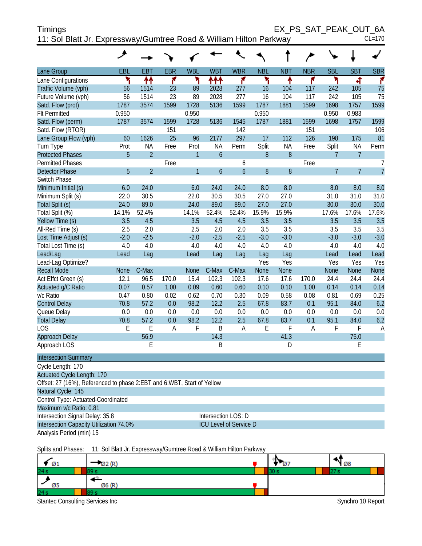| Timings                                                            | EX PS SAT PEAK OUT 6A |
|--------------------------------------------------------------------|-----------------------|
| 11: Sol Blatt Jr. Expressway/Gumtree Road & William Hilton Parkway | CL=170                |

|                             | ◢           |                |              |                |                |                |             |            |            |                |                |                |
|-----------------------------|-------------|----------------|--------------|----------------|----------------|----------------|-------------|------------|------------|----------------|----------------|----------------|
| Lane Group                  | EBL         | <b>EBT</b>     | <b>EBR</b>   | <b>WBL</b>     | <b>WBT</b>     | <b>WBR</b>     | <b>NBL</b>  | <b>NBT</b> | <b>NBR</b> | <b>SBL</b>     | <b>SBT</b>     | <b>SBR</b>     |
| Lane Configurations         | ۳           | ↟↟             | ۴            | ۳              | ተተ             | ۴              | ۲           | ↟          | ۴          | ۲              | 4              | ۴              |
| Traffic Volume (vph)        | 56          | 1514           | 23           | 89             | 2028           | 277            | 16          | 104        | 117        | 242            | 105            | 75             |
| Future Volume (vph)         | 56          | 1514           | 23           | 89             | 2028           | 277            | 16          | 104        | 117        | 242            | 105            | 75             |
| Satd. Flow (prot)           | 1787        | 3574           | 1599         | 1728           | 5136           | 1599           | 1787        | 1881       | 1599       | 1698           | 1757           | 1599           |
| <b>Flt Permitted</b>        | 0.950       |                |              | 0.950          |                |                | 0.950       |            |            | 0.950          | 0.983          |                |
| Satd. Flow (perm)           | 1787        | 3574           | 1599         | 1728           | 5136           | 1545           | 1787        | 1881       | 1599       | 1698           | 1757           | 1599           |
| Satd. Flow (RTOR)           |             |                | 151          |                |                | 142            |             |            | 151        |                |                | 106            |
| Lane Group Flow (vph)       | 60          | 1626           | 25           | 96             | 2177           | 297            | 17          | 112        | 126        | 198            | 175            | 81             |
| Turn Type                   | Prot        | <b>NA</b>      | Free         | Prot           | <b>NA</b>      | Perm           | Split       | <b>NA</b>  | Free       | Split          | <b>NA</b>      | Perm           |
| <b>Protected Phases</b>     | 5           | $\overline{2}$ |              | $\mathbf{1}$   | $\mathfrak b$  |                | 8           | 8          |            | $\overline{7}$ | $\overline{7}$ |                |
| <b>Permitted Phases</b>     |             |                | Free         |                |                | 6              |             |            | Free       |                |                | 7              |
| <b>Detector Phase</b>       | 5           | $\overline{2}$ |              | $\overline{1}$ | $\overline{6}$ | $\overline{6}$ | 8           | $\delta$   |            | $\overline{7}$ | $\overline{7}$ | $\overline{7}$ |
| Switch Phase                |             |                |              |                |                |                |             |            |            |                |                |                |
| Minimum Initial (s)         | 6.0         | 24.0           |              | 6.0            | 24.0           | 24.0           | 8.0         | 8.0        |            | 8.0            | 8.0            | 8.0            |
| Minimum Split (s)           | 22.0        | 30.5           |              | 22.0           | 30.5           | 30.5           | 27.0        | 27.0       |            | 31.0           | 31.0           | 31.0           |
| Total Split (s)             | 24.0        | 89.0           |              | 24.0           | 89.0           | 89.0           | 27.0        | 27.0       |            | 30.0           | 30.0           | 30.0           |
| Total Split (%)             | 14.1%       | 52.4%          |              | 14.1%          | 52.4%          | 52.4%          | 15.9%       | 15.9%      |            | 17.6%          | 17.6%          | 17.6%          |
| Yellow Time (s)             | 3.5         | 4.5            |              | 3.5            | 4.5            | 4.5            | 3.5         | 3.5        |            | 3.5            | 3.5            | 3.5            |
| All-Red Time (s)            | 2.5         | 2.0            |              | 2.5            | 2.0            | 2.0            | 3.5         | 3.5        |            | 3.5            | 3.5            | 3.5            |
| Lost Time Adjust (s)        | $-2.0$      | $-2.5$         |              | $-2.0$         | $-2.5$         | $-2.5$         | $-3.0$      | $-3.0$     |            | $-3.0$         | $-3.0$         | $-3.0$         |
| Total Lost Time (s)         | 4.0         | 4.0            |              | 4.0            | 4.0            | 4.0            | 4.0         | 4.0        |            | 4.0            | 4.0            | 4.0            |
| Lead/Lag                    | Lead        | Lag            |              | Lead           | Lag            | Lag            | Lag         | Lag        |            | Lead           | Lead           | Lead           |
| Lead-Lag Optimize?          |             |                |              |                |                |                | Yes         | Yes        |            | Yes            | Yes            | Yes            |
| <b>Recall Mode</b>          | <b>None</b> | C-Max          |              | None           | C-Max          | C-Max          | <b>None</b> | None       |            | <b>None</b>    | <b>None</b>    | None           |
| Act Effct Green (s)         | 12.1        | 96.5           | 170.0        | 15.4           | 102.3          | 102.3          | 17.6        | 17.6       | 170.0      | 24.4           | 24.4           | 24.4           |
| Actuated g/C Ratio          | 0.07        | 0.57           | 1.00         | 0.09           | 0.60           | 0.60           | 0.10        | 0.10       | 1.00       | 0.14           | 0.14           | 0.14           |
| v/c Ratio                   | 0.47        | 0.80           | 0.02         | 0.62           | 0.70           | 0.30           | 0.09        | 0.58       | 0.08       | 0.81           | 0.69           | 0.25           |
| <b>Control Delay</b>        | 70.8        | 57.2           | 0.0          | 98.2           | 12.2           | 2.5            | 67.8        | 83.7       | 0.1        | 95.1           | 84.0           | 6.2            |
| Queue Delay                 | 0.0         | 0.0            | 0.0          | 0.0            | 0.0            | 0.0            | 0.0         | 0.0        | 0.0        | 0.0            | 0.0            | 0.0            |
| <b>Total Delay</b>          | 70.8        | 57.2           | 0.0          | 98.2           | 12.2           | 2.5            | 67.8        | 83.7       | 0.1        | 95.1           | 84.0           | 6.2            |
| <b>LOS</b>                  | E           | E              | $\mathsf{A}$ | F              | B              | $\overline{A}$ | E           | F          | A          | F              | F              | $\overline{A}$ |
| Approach Delay              |             | 56.9           |              |                | 14.3           |                |             | 41.3       |            |                | 75.0           |                |
| Approach LOS                |             | E              |              |                | B              |                |             | D          |            |                | $\mathsf E$    |                |
| <b>Intersection Summary</b> |             |                |              |                |                |                |             |            |            |                |                |                |
| Cycle Length: 170           |             |                |              |                |                |                |             |            |            |                |                |                |

| <b>OYOR LONGER 170</b>                                                 |                               |  |  |  |  |  |  |  |
|------------------------------------------------------------------------|-------------------------------|--|--|--|--|--|--|--|
| <b>Actuated Cycle Length: 170</b>                                      |                               |  |  |  |  |  |  |  |
| Offset: 27 (16%), Referenced to phase 2:EBT and 6:WBT, Start of Yellow |                               |  |  |  |  |  |  |  |
| Natural Cycle: 145                                                     |                               |  |  |  |  |  |  |  |
| Control Type: Actuated-Coordinated                                     |                               |  |  |  |  |  |  |  |
| Maximum v/c Ratio: 0.81                                                |                               |  |  |  |  |  |  |  |
| Intersection Signal Delay: 35.8                                        | Intersection LOS: D           |  |  |  |  |  |  |  |
| Intersection Capacity Utilization 74.0%                                | <b>ICU Level of Service D</b> |  |  |  |  |  |  |  |
| Analysis Period (min) 15                                               |                               |  |  |  |  |  |  |  |
|                                                                        |                               |  |  |  |  |  |  |  |

Splits and Phases: 11: Sol Blatt Jr. Expressway/Gumtree Road & William Hilton Parkway

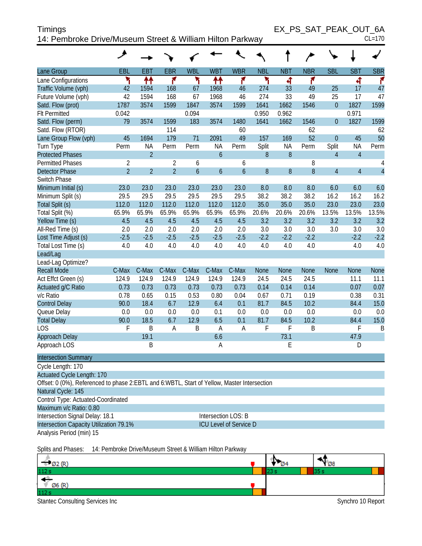| <b>Timings</b>                                            | EX PS SAT PEAK OUT 6A |
|-----------------------------------------------------------|-----------------------|
| 14: Pembroke Drive/Museum Street & William Hilton Parkway | $CL=170$              |

|                                                                                             | هر             |                |                |                     |                |                               |             |             |             |                  |                |                |
|---------------------------------------------------------------------------------------------|----------------|----------------|----------------|---------------------|----------------|-------------------------------|-------------|-------------|-------------|------------------|----------------|----------------|
| Lane Group                                                                                  | EBL            | <b>EBT</b>     | <b>EBR</b>     | <b>WBL</b>          | <b>WBT</b>     | <b>WBR</b>                    | <b>NBL</b>  | <b>NBT</b>  | <b>NBR</b>  | <b>SBL</b>       | <b>SBT</b>     | <b>SBR</b>     |
| Lane Configurations                                                                         | ۲              | ↟↟             | ۴              | ۲                   | ↟↟             | ۴                             | ۲           | ৰ           | ۴           |                  | 4              | ۴              |
| Traffic Volume (vph)                                                                        | 42             | 1594           | 168            | 67                  | 1968           | 46                            | 274         | 33          | 49          | 25               | 17             | 47             |
| Future Volume (vph)                                                                         | 42             | 1594           | 168            | 67                  | 1968           | 46                            | 274         | 33          | 49          | 25               | 17             | 47             |
| Satd. Flow (prot)                                                                           | 1787           | 3574           | 1599           | 1847                | 3574           | 1599                          | 1641        | 1662        | 1546        | $\boldsymbol{0}$ | 1827           | 1599           |
| <b>Flt Permitted</b>                                                                        | 0.042          |                |                | 0.094               |                |                               | 0.950       | 0.962       |             |                  | 0.971          |                |
| Satd. Flow (perm)                                                                           | 79             | 3574           | 1599           | 183                 | 3574           | 1480                          | 1641        | 1662        | 1546        | $\overline{0}$   | 1827           | 1599           |
| Satd. Flow (RTOR)                                                                           |                |                | 114            |                     |                | 60                            |             |             | 62          |                  |                | 62             |
| Lane Group Flow (vph)                                                                       | 45             | 1694           | 179            | 71                  | 2091           | 49                            | 157         | 169         | 52          | $\overline{0}$   | 45             | 50             |
| Turn Type                                                                                   | Perm           | <b>NA</b>      | Perm           | Perm                | <b>NA</b>      | Perm                          | Split       | <b>NA</b>   | Perm        | Split            | <b>NA</b>      | Perm           |
| <b>Protected Phases</b>                                                                     |                | $\overline{2}$ |                |                     | $\overline{6}$ |                               | 8           | 8           |             | $\overline{4}$   | $\overline{4}$ |                |
| <b>Permitted Phases</b>                                                                     | $\overline{2}$ |                | $\overline{2}$ | 6                   |                | 6                             |             |             | 8           |                  |                | 4              |
| <b>Detector Phase</b>                                                                       | $\overline{2}$ | $\overline{2}$ | $\overline{2}$ | $\ddot{\mathbf{6}}$ | $\overline{6}$ | $\mathfrak b$                 | 8           | 8           | 8           | $\overline{4}$   | $\overline{4}$ | $\overline{4}$ |
| Switch Phase                                                                                |                |                |                |                     |                |                               |             |             |             |                  |                |                |
| Minimum Initial (s)                                                                         | 23.0           | 23.0           | 23.0           | 23.0                | 23.0           | 23.0                          | 8.0         | 8.0         | 8.0         | 6.0              | 6.0            | 6.0            |
| Minimum Split (s)                                                                           | 29.5           | 29.5           | 29.5           | 29.5                | 29.5           | 29.5                          | 38.2        | 38.2        | 38.2        | 16.2             | 16.2           | 16.2           |
| Total Split (s)                                                                             | 112.0          | 112.0          | 112.0          | 112.0               | 112.0          | 112.0                         | 35.0        | 35.0        | 35.0        | 23.0             | 23.0           | 23.0           |
| Total Split (%)                                                                             | 65.9%          | 65.9%          | 65.9%          | 65.9%               | 65.9%          | 65.9%                         | 20.6%       | 20.6%       | 20.6%       | 13.5%            | 13.5%          | 13.5%          |
| Yellow Time (s)                                                                             | 4.5            | 4.5            | 4.5            | 4.5                 | 4.5            | 4.5                           | 3.2         | 3.2         | 3.2         | 3.2              | 3.2            | 3.2            |
| All-Red Time (s)                                                                            | 2.0            | 2.0            | 2.0            | 2.0                 | 2.0            | 2.0                           | 3.0         | 3.0         | 3.0         | 3.0              | 3.0            | 3.0            |
| Lost Time Adjust (s)                                                                        | $-2.5$         | $-2.5$         | $-2.5$         | $-2.5$              | $-2.5$         | $-2.5$                        | $-2.2$      | $-2.2$      | $-2.2$      |                  | $-2.2$         | $-2.2$         |
| Total Lost Time (s)                                                                         | 4.0            | 4.0            | 4.0            | 4.0                 | 4.0            | 4.0                           | 4.0         | 4.0         | 4.0         |                  | 4.0            | 4.0            |
| Lead/Lag                                                                                    |                |                |                |                     |                |                               |             |             |             |                  |                |                |
| Lead-Lag Optimize?                                                                          |                |                |                |                     |                |                               |             |             |             |                  |                |                |
| <b>Recall Mode</b>                                                                          | C-Max          | C-Max          | C-Max          | C-Max               | C-Max          | C-Max                         | <b>None</b> | <b>None</b> | <b>None</b> | <b>None</b>      | <b>None</b>    | <b>None</b>    |
| Act Effct Green (s)                                                                         | 124.9          | 124.9          | 124.9          | 124.9               | 124.9          | 124.9                         | 24.5        | 24.5        | 24.5        |                  | 11.1           | 11.1           |
| Actuated g/C Ratio                                                                          | 0.73           | 0.73           | 0.73           | 0.73                | 0.73           | 0.73                          | 0.14        | 0.14        | 0.14        |                  | 0.07           | 0.07           |
| v/c Ratio                                                                                   | 0.78           | 0.65           | 0.15           | 0.53                | 0.80           | 0.04                          | 0.67        | 0.71        | 0.19        |                  | 0.38           | 0.31           |
| <b>Control Delay</b>                                                                        | 90.0           | 18.4           | 6.7            | 12.9                | 6.4            | 0.1                           | 81.7        | 84.5        | 10.2        |                  | 84.4           | 15.0           |
| Queue Delay                                                                                 | 0.0            | 0.0            | 0.0            | 0.0                 | 0.1            | 0.0                           | 0.0         | 0.0         | 0.0         |                  | 0.0            | 0.0            |
| <b>Total Delay</b>                                                                          | 90.0           | 18.5           | 6.7            | 12.9                | 6.5            | 0.1                           | 81.7        | 84.5        | 10.2        |                  | 84.4           | 15.0           |
| <b>LOS</b>                                                                                  | F              | $\mathsf B$    | A              | B                   | $\overline{A}$ | A                             | F           | F           | B           |                  | F              | B              |
| Approach Delay                                                                              |                | 19.1           |                |                     | 6.6            |                               |             | 73.1        |             |                  | 47.9           |                |
| Approach LOS                                                                                |                | $\mathsf B$    |                |                     | Α              |                               |             | E           |             |                  | D              |                |
| <b>Intersection Summary</b>                                                                 |                |                |                |                     |                |                               |             |             |             |                  |                |                |
| Cycle Length: 170<br><b>Actuated Cycle Length: 170</b>                                      |                |                |                |                     |                |                               |             |             |             |                  |                |                |
| Offset: 0 (0%), Referenced to phase 2:EBTL and 6:WBTL, Start of Yellow, Master Intersection |                |                |                |                     |                |                               |             |             |             |                  |                |                |
| Natural Cycle: 145                                                                          |                |                |                |                     |                |                               |             |             |             |                  |                |                |
| Control Type: Actuated-Coordinated                                                          |                |                |                |                     |                |                               |             |             |             |                  |                |                |
| Maximum v/c Ratio: 0.80                                                                     |                |                |                |                     |                |                               |             |             |             |                  |                |                |
| Intersection Signal Delay: 18.1                                                             |                |                |                |                     |                | Intersection LOS: B           |             |             |             |                  |                |                |
| Intersection Capacity Utilization 79.1%                                                     |                |                |                |                     |                | <b>ICU Level of Service D</b> |             |             |             |                  |                |                |
| Analysis Period (min) 15                                                                    |                |                |                |                     |                |                               |             |             |             |                  |                |                |
|                                                                                             |                |                |                |                     |                |                               |             |             |             |                  |                |                |

Splits and Phases: 14: Pembroke Drive/Museum Street & William Hilton Parkway

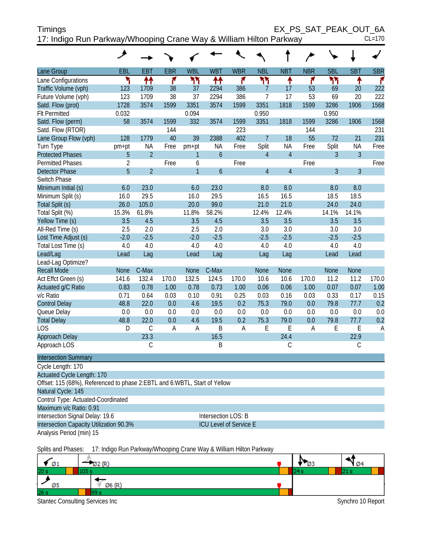| <b>Timings</b>                                                     | EX PS SAT PEAK OUT 6A |          |
|--------------------------------------------------------------------|-----------------------|----------|
| 17: Indigo Run Parkway/Whooping Crane Way & William Hilton Parkway |                       | $CL=170$ |

|                                                                             | عر             |                |                |                |                  |                |                |                |              |                |                |                |
|-----------------------------------------------------------------------------|----------------|----------------|----------------|----------------|------------------|----------------|----------------|----------------|--------------|----------------|----------------|----------------|
| Lane Group                                                                  | EBL            | EBT            | <b>EBR</b>     | <b>WBL</b>     | <b>WBT</b>       | <b>WBR</b>     | <b>NBL</b>     | <b>NBT</b>     | <b>NBR</b>   | <b>SBL</b>     | <b>SBT</b>     | <b>SBR</b>     |
| Lane Configurations                                                         | ۲              | ↟↟             | ۴              | ۲٢             | ↟↟               | ۴              | ካነ             | ↟              | ۴            | ۲٢             | ↟              | ۴              |
| Traffic Volume (vph)                                                        | 123            | 1709           | 38             | 37             | 2294             | 386            | $\overline{7}$ | 17             | 53           | 69             | 20             | 222            |
| Future Volume (vph)                                                         | 123            | 1709           | 38             | 37             | 2294             | 386            | 7              | 17             | 53           | 69             | 20             | 222            |
| Satd. Flow (prot)                                                           | 1728           | 3574           | 1599           | 3351           | 3574             | 1599           | 3351           | 1818           | 1599         | 3286           | 1906           | 1568           |
| <b>Flt Permitted</b>                                                        | 0.032          |                |                | 0.094          |                  |                | 0.950          |                |              | 0.950          |                |                |
| Satd. Flow (perm)                                                           | 58             | 3574           | 1599           | 332            | 3574             | 1599           | 3351           | 1818           | 1599         | 3286           | 1906           | 1568           |
| Satd. Flow (RTOR)                                                           |                |                | 144            |                |                  | 223            |                |                | 144          |                |                | 231            |
| Lane Group Flow (vph)                                                       | 128            | 1779           | 40             | 39             | 2388             | 402            | $\overline{7}$ | 18             | 55           | 72             | 21             | 231            |
| Turn Type                                                                   | pm+pt          | <b>NA</b>      | Free           | pm+pt          | NA               | Free           | Split          | <b>NA</b>      | Free         | Split          | <b>NA</b>      | Free           |
| <b>Protected Phases</b>                                                     | 5              | $\overline{2}$ |                | $\mathbf{1}$   | $\boldsymbol{6}$ |                | $\overline{4}$ | $\overline{4}$ |              | 3              | $\overline{3}$ |                |
| <b>Permitted Phases</b>                                                     | $\overline{2}$ |                | Free           | 6              |                  | Free           |                |                | Free         |                |                | Free           |
| <b>Detector Phase</b>                                                       | $\overline{5}$ | $\overline{2}$ |                | $\overline{1}$ | 6                |                | $\overline{4}$ | $\overline{4}$ |              | $\overline{3}$ | $\overline{3}$ |                |
| Switch Phase                                                                |                |                |                |                |                  |                |                |                |              |                |                |                |
| Minimum Initial (s)                                                         | 6.0            | 23.0           |                | 6.0            | 23.0             |                | 8.0            | 8.0            |              | 8.0            | 8.0            |                |
| Minimum Split (s)                                                           | 16.0           | 29.5           |                | 16.0           | 29.5             |                | 16.5           | 16.5           |              | 18.5           | 18.5           |                |
| Total Split (s)                                                             | 26.0           | 105.0          |                | 20.0           | 99.0             |                | 21.0           | 21.0           |              | 24.0           | 24.0           |                |
| Total Split (%)                                                             | 15.3%          | 61.8%          |                | 11.8%          | 58.2%            |                | 12.4%          | 12.4%          |              | 14.1%          | 14.1%          |                |
| Yellow Time (s)                                                             | 3.5            | 4.5            |                | 3.5            | 4.5              |                | 3.5            | 3.5            |              | 3.5            | 3.5            |                |
| All-Red Time (s)                                                            | 2.5            | 2.0            |                | 2.5            | 2.0              |                | 3.0            | 3.0            |              | 3.0            | 3.0            |                |
| Lost Time Adjust (s)                                                        | $-2.0$         | $-2.5$         |                | $-2.0$         | $-2.5$           |                | $-2.5$         | $-2.5$         |              | $-2.5$         | $-2.5$         |                |
| Total Lost Time (s)                                                         | 4.0            | 4.0            |                | 4.0            | 4.0              |                | 4.0            | 4.0            |              | 4.0            | 4.0            |                |
| Lead/Lag                                                                    | Lead           | Lag            |                | Lead           | Lag              |                | Lag            | Lag            |              | Lead           | Lead           |                |
| Lead-Lag Optimize?                                                          |                |                |                |                |                  |                |                |                |              |                |                |                |
| <b>Recall Mode</b>                                                          | <b>None</b>    | C-Max          |                | <b>None</b>    | C-Max            |                | <b>None</b>    | None           |              | None           | <b>None</b>    |                |
| Act Effct Green (s)                                                         | 141.6          | 132.4          | 170.0          | 132.5          | 124.5            | 170.0          | 10.6           | 10.6           | 170.0        | 11.2           | 11.2           | 170.0          |
| Actuated g/C Ratio                                                          | 0.83           | 0.78           | 1.00           | 0.78           | 0.73             | 1.00           | 0.06           | 0.06           | 1.00         | 0.07           | 0.07           | 1.00           |
| v/c Ratio                                                                   | 0.71           | 0.64           | 0.03           | 0.10           | 0.91             | 0.25           | 0.03           | 0.16           | 0.03         | 0.33           | 0.17           | 0.15           |
| <b>Control Delay</b>                                                        | 48.8           | 22.0           | 0.0            | 4.6            | 19.5             | 0.2            | 75.3           | 79.0           | 0.0          | 79.8           | 77.7           | 0.2            |
| Queue Delay                                                                 | 0.0            | 0.0            | 0.0            | 0.0            | 0.0              | 0.0            | 0.0            | 0.0            | 0.0          | 0.0            | 0.0            | 0.0            |
| <b>Total Delay</b>                                                          | 48.8           | 22.0           | 0.0            | 4.6            | 19.5             | 0.2            | 75.3           | 79.0           | 0.0          | 79.8           | 77.7           | 0.2            |
| LOS                                                                         | D              | $\mathcal{C}$  | $\overline{A}$ | $\mathsf A$    | $\mathsf B$      | $\overline{A}$ | E              | E              | $\mathsf{A}$ | E              | E              | $\overline{A}$ |
| Approach Delay                                                              |                | 23.3           |                |                | 16.5             |                |                | 24.4           |              |                | 22.9           |                |
| Approach LOS                                                                |                | $\mathsf C$    |                |                | B                |                |                | С              |              |                | $\mathsf C$    |                |
| <b>Intersection Summary</b>                                                 |                |                |                |                |                  |                |                |                |              |                |                |                |
| Cycle Length: 170                                                           |                |                |                |                |                  |                |                |                |              |                |                |                |
| Actuated Cycle Length: 170                                                  |                |                |                |                |                  |                |                |                |              |                |                |                |
| Offset: 115 (68%), Referenced to phase 2: EBTL and 6: WBTL, Start of Yellow |                |                |                |                |                  |                |                |                |              |                |                |                |
| Natural Cycle: 145                                                          |                |                |                |                |                  |                |                |                |              |                |                |                |
| Control Type: Actuated-Coordinated                                          |                |                |                |                |                  |                |                |                |              |                |                |                |

Maximum v/c Ratio: 0.91

Intersection Signal Delay: 19.6 Intersection LOS: B

Analysis Period (min) 15

Intersection Capacity Utilization 90.3% ICU Level of Service E

Splits and Phases: 17: Indigo Run Parkway/Whooping Crane Way & William Hilton Parkway

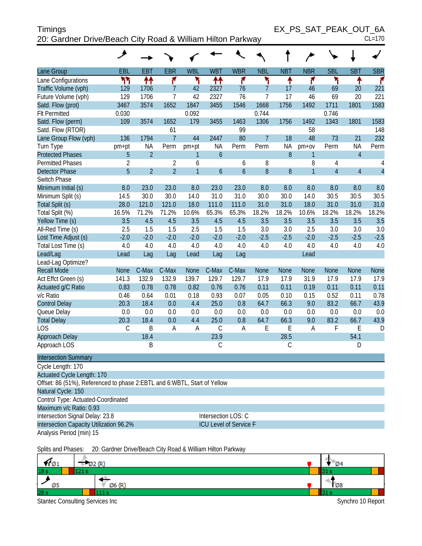| <b>Timings</b>                                             | EX PS SAT PEAK OUT 6A |
|------------------------------------------------------------|-----------------------|
| 20: Gardner Drive/Beach City Road & William Hilton Parkway | $CL=170$              |

|                                                                            | عر                  |                |                              |                     |                  |                               |                |            |                     |                                  |                |                     |
|----------------------------------------------------------------------------|---------------------|----------------|------------------------------|---------------------|------------------|-------------------------------|----------------|------------|---------------------|----------------------------------|----------------|---------------------|
| Lane Group                                                                 | EBL                 | <b>EBT</b>     | <b>EBR</b>                   | <b>WBL</b>          | <b>WBT</b>       | <b>WBR</b>                    | <b>NBL</b>     | <b>NBT</b> | <b>NBR</b>          | <b>SBL</b>                       | <b>SBT</b>     | <b>SBR</b>          |
| Lane Configurations                                                        | ካካ                  | ↟↟             | ۴                            | ۲                   | ₩                | ۴                             | ۲              | ↟          | ۴                   | ۲                                | ۸              | ۴                   |
| Traffic Volume (vph)                                                       | 129                 | 1706           | $\overline{7}$               | 42                  | 2327             | 76                            | $\overline{7}$ | 17         | 46                  | 69                               | 20             | 221                 |
| Future Volume (vph)                                                        | 129                 | 1706           | $\overline{1}$               | 42                  | 2327             | 76                            | $\overline{7}$ | 17         | 46                  | 69                               | 20             | 221                 |
| Satd. Flow (prot)                                                          | 3467                | 3574           | 1652                         | 1847                | 3455             | 1546                          | 1668           | 1756       | 1492                | 1711                             | 1801           | 1583                |
| <b>Flt Permitted</b>                                                       | 0.030               |                |                              | 0.092               |                  |                               | 0.744          |            |                     | 0.746                            |                |                     |
| Satd. Flow (perm)                                                          | 109                 | 3574           | 1652                         | 179                 | 3455             | 1463                          | 1306           | 1756       | 1492                | 1343                             | 1801           | 1583                |
| Satd. Flow (RTOR)                                                          |                     |                | 61                           |                     |                  | 99                            |                |            | 58                  |                                  |                | 148                 |
| Lane Group Flow (vph)                                                      | 136                 | 1794           | $\overline{7}$               | 44                  | 2447             | 80                            | $\overline{7}$ | 18         | 48                  | 73                               | 21             | 232                 |
| Turn Type                                                                  | pm+pt               | <b>NA</b>      | Perm                         | pm+pt               | <b>NA</b>        | Perm                          | Perm           | <b>NA</b>  | $pm+ov$             | Perm                             | <b>NA</b>      | Perm                |
| <b>Protected Phases</b>                                                    | 5                   | $\overline{2}$ |                              | 1                   | $\boldsymbol{6}$ |                               |                | 8          | $\mathbf{1}$        |                                  | $\overline{4}$ |                     |
| <b>Permitted Phases</b>                                                    | $\overline{2}$<br>5 | $\overline{2}$ | $\sqrt{2}$<br>$\overline{2}$ | 6<br>$\overline{1}$ |                  | 6                             | 8              |            | 8<br>$\overline{1}$ | $\overline{4}$<br>$\overline{4}$ | $\overline{4}$ | 4<br>$\overline{4}$ |
| <b>Detector Phase</b><br>Switch Phase                                      |                     |                |                              |                     | $\overline{6}$   | $\mathfrak b$                 | 8              | 8          |                     |                                  |                |                     |
| Minimum Initial (s)                                                        | 8.0                 | 23.0           | 23.0                         | 8.0                 | 23.0             | 23.0                          | 8.0            | 8.0        | 8.0                 | 8.0                              | 8.0            | 8.0                 |
| Minimum Split (s)                                                          | 14.5                | 30.0           | 30.0                         | 14.0                | 31.0             | 31.0                          | 30.0           | 30.0       | 14.0                | 30.5                             | 30.5           | 30.5                |
| Total Split (s)                                                            | 28.0                | 121.0          | 121.0                        | 18.0                | 111.0            | 111.0                         | 31.0           | 31.0       | 18.0                | 31.0                             | 31.0           | 31.0                |
| Total Split (%)                                                            | 16.5%               | 71.2%          | 71.2%                        | 10.6%               | 65.3%            | 65.3%                         | 18.2%          | 18.2%      | 10.6%               | 18.2%                            | 18.2%          | 18.2%               |
| Yellow Time (s)                                                            | 3.5                 | 4.5            | 4.5                          | 3.5                 | 4.5              | 4.5                           | 3.5            | 3.5        | 3.5                 | 3.5                              | 3.5            | 3.5                 |
| All-Red Time (s)                                                           | 2.5                 | 1.5            | 1.5                          | 2.5                 | 1.5              | 1.5                           | 3.0            | 3.0        | 2.5                 | 3.0                              | 3.0            | 3.0                 |
| Lost Time Adjust (s)                                                       | $-2.0$              | $-2.0$         | $-2.0$                       | $-2.0$              | $-2.0$           | $-2.0$                        | $-2.5$         | $-2.5$     | $-2.0$              | $-2.5$                           | $-2.5$         | $-2.5$              |
| Total Lost Time (s)                                                        | 4.0                 | 4.0            | 4.0                          | 4.0                 | 4.0              | 4.0                           | 4.0            | 4.0        | 4.0                 | 4.0                              | 4.0            | 4.0                 |
| Lead/Lag                                                                   | Lead                | Lag            | Lag                          | Lead                | Lag              | Lag                           |                |            | Lead                |                                  |                |                     |
| Lead-Lag Optimize?                                                         |                     |                |                              |                     |                  |                               |                |            |                     |                                  |                |                     |
| <b>Recall Mode</b>                                                         | <b>None</b>         | C-Max          | C-Max                        | None                | C-Max            | C-Max                         | <b>None</b>    | None       | <b>None</b>         | None                             | <b>None</b>    | None                |
| Act Effct Green (s)                                                        | 141.3               | 132.9          | 132.9                        | 139.7               | 129.7            | 129.7                         | 17.9           | 17.9       | 31.9                | 17.9                             | 17.9           | 17.9                |
| Actuated g/C Ratio                                                         | 0.83                | 0.78           | 0.78                         | 0.82                | 0.76             | 0.76                          | 0.11           | 0.11       | 0.19                | 0.11                             | 0.11           | 0.11                |
| v/c Ratio                                                                  | 0.46                | 0.64           | 0.01                         | 0.18                | 0.93             | 0.07                          | 0.05           | 0.10       | 0.15                | 0.52                             | 0.11           | 0.78                |
| <b>Control Delay</b>                                                       | 20.3                | 18.4           | 0.0                          | 4.4                 | 25.0             | 0.8                           | 64.7           | 66.3       | 9.0                 | 83.2                             | 66.7           | 43.9                |
| Queue Delay                                                                | 0.0                 | 0.0            | 0.0                          | 0.0                 | 0.0              | 0.0                           | 0.0            | 0.0        | 0.0                 | 0.0                              | 0.0            | 0.0                 |
| <b>Total Delay</b>                                                         | 20.3                | 18.4           | 0.0                          | 4.4                 | 25.0             | 0.8                           | 64.7           | 66.3       | 9.0                 | 83.2                             | 66.7           | 43.9                |
| <b>LOS</b>                                                                 | $\mathsf C$         | B              | A                            | A                   | $\mathsf C$      | Α                             | Ε              | E          | A                   | F                                | E              | D                   |
| Approach Delay                                                             |                     | 18.4           |                              |                     | 23.9             |                               |                | 28.5       |                     |                                  | 54.1           |                     |
| Approach LOS                                                               |                     | B              |                              |                     | С                |                               |                | C          |                     |                                  | D              |                     |
| <b>Intersection Summary</b>                                                |                     |                |                              |                     |                  |                               |                |            |                     |                                  |                |                     |
| Cycle Length: 170                                                          |                     |                |                              |                     |                  |                               |                |            |                     |                                  |                |                     |
| Actuated Cycle Length: 170                                                 |                     |                |                              |                     |                  |                               |                |            |                     |                                  |                |                     |
| Offset: 86 (51%), Referenced to phase 2: EBTL and 6: WBTL, Start of Yellow |                     |                |                              |                     |                  |                               |                |            |                     |                                  |                |                     |
| Natural Cycle: 150                                                         |                     |                |                              |                     |                  |                               |                |            |                     |                                  |                |                     |
| Control Type: Actuated-Coordinated                                         |                     |                |                              |                     |                  |                               |                |            |                     |                                  |                |                     |
| Maximum v/c Ratio: 0.93                                                    |                     |                |                              |                     |                  |                               |                |            |                     |                                  |                |                     |
| Intersection Signal Delay: 23.8                                            |                     |                |                              |                     |                  | Intersection LOS: C           |                |            |                     |                                  |                |                     |
| Intersection Capacity Utilization 96.2%                                    |                     |                |                              |                     |                  | <b>ICU Level of Service F</b> |                |            |                     |                                  |                |                     |
| Analysis Period (min) 15                                                   |                     |                |                              |                     |                  |                               |                |            |                     |                                  |                |                     |

Splits and Phases: 20: Gardner Drive/Beach City Road & William Hilton Parkway

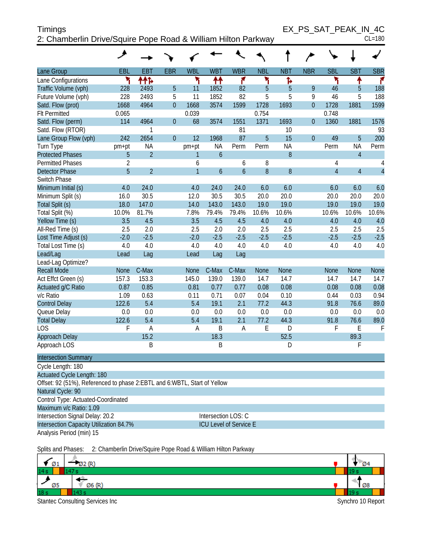| <b>Timings</b>                                                | EX PS SAT PEAK IN 4C |            |
|---------------------------------------------------------------|----------------------|------------|
| 2: Chamberlin Drive/Squire Pope Road & William Hilton Parkway |                      | $CL = 180$ |

EX\_PS\_SAT\_PEAK\_IN\_4C<br>CL=180

|                                                                                                 | عر                                                                                              |                             |                |                |                               |                |            |                |                |                |                             |                |
|-------------------------------------------------------------------------------------------------|-------------------------------------------------------------------------------------------------|-----------------------------|----------------|----------------|-------------------------------|----------------|------------|----------------|----------------|----------------|-----------------------------|----------------|
| Lane Group                                                                                      | EBL                                                                                             | <b>EBT</b>                  | <b>EBR</b>     | <b>WBL</b>     | <b>WBT</b>                    | <b>WBR</b>     | <b>NBL</b> | <b>NBT</b>     | <b>NBR</b>     | <b>SBL</b>     | <b>SBT</b>                  | <b>SBR</b>     |
| Lane Configurations                                                                             | ۲                                                                                               | ተተኈ                         |                | ۲              | ↟↟                            | ۴              | ۲          | Ъ              |                | ۲              | ↟                           | ۴              |
| Traffic Volume (vph)                                                                            | 228                                                                                             | 2493                        | 5              | 11             | 1852                          | 82             | 5          | 5              | 9              | 46             | 5                           | 188            |
| Future Volume (vph)                                                                             | 228                                                                                             | 2493                        | 5              | 11             | 1852                          | 82             | 5          | 5              | 9              | 46             | 5                           | 188            |
| Satd. Flow (prot)                                                                               | 1668                                                                                            | 4964                        | $\overline{0}$ | 1668           | 3574                          | 1599           | 1728       | 1693           | $\overline{0}$ | 1728           | 1881                        | 1599           |
| <b>Flt Permitted</b>                                                                            | 0.065                                                                                           |                             |                | 0.039          |                               |                | 0.754      |                |                | 0.748          |                             |                |
| Satd. Flow (perm)                                                                               | 114                                                                                             | 4964                        | $\overline{0}$ | 68             | 3574                          | 1551           | 1371       | 1693           | $\overline{0}$ | 1360           | 1881                        | 1576           |
| Satd. Flow (RTOR)                                                                               |                                                                                                 | 1                           |                |                |                               | 81             |            | 10             |                |                |                             | 93             |
| Lane Group Flow (vph)                                                                           | 242                                                                                             | 2654                        | $\overline{0}$ | 12             | 1968                          | 87             | 5          | 15             | $\overline{0}$ | 49             | 5                           | 200            |
| Turn Type<br><b>Protected Phases</b>                                                            | pm+pt<br>5                                                                                      | <b>NA</b><br>$\overline{2}$ |                | pm+pt          | <b>NA</b><br>$\boldsymbol{6}$ | Perm           | Perm       | <b>NA</b><br>8 |                | Perm           | <b>NA</b><br>$\overline{4}$ | Perm           |
| <b>Permitted Phases</b>                                                                         | $\overline{2}$                                                                                  |                             |                | 1<br>6         |                               | 6              | 8          |                |                | 4              |                             | 4              |
| <b>Detector Phase</b>                                                                           | 5                                                                                               | $\overline{2}$              |                | $\overline{1}$ | $\overline{6}$                | $\overline{6}$ | 8          | 8              |                | $\overline{4}$ | $\overline{4}$              | $\overline{4}$ |
| Switch Phase                                                                                    |                                                                                                 |                             |                |                |                               |                |            |                |                |                |                             |                |
| Minimum Initial (s)                                                                             | 4.0                                                                                             | 24.0                        |                | 4.0            | 24.0                          | 24.0           | 6.0        | 6.0            |                | 6.0            | 6.0                         | 6.0            |
| Minimum Split (s)                                                                               | 16.0                                                                                            | 30.5                        |                | 12.0           | 30.5                          | 30.5           | 20.0       | 20.0           |                | 20.0           | 20.0                        | 20.0           |
| Total Split (s)                                                                                 | 18.0                                                                                            | 147.0                       |                | 14.0           | 143.0                         | 143.0          | 19.0       | 19.0           |                | 19.0           | 19.0                        | 19.0           |
| Total Split (%)                                                                                 | 10.0%                                                                                           | 81.7%                       |                | 7.8%           | 79.4%                         | 79.4%          | 10.6%      | 10.6%          |                | 10.6%          | 10.6%                       | 10.6%          |
| Yellow Time (s)                                                                                 | 3.5                                                                                             | 4.5                         |                | 3.5            | 4.5                           | 4.5            | 4.0        | 4.0            |                | 4.0            | 4.0                         | 4.0            |
| All-Red Time (s)                                                                                | 2.5                                                                                             | 2.0                         |                | 2.5            | 2.0                           | 2.0            | 2.5        | 2.5            |                | 2.5            | 2.5                         | 2.5            |
| Lost Time Adjust (s)                                                                            | $-2.0$                                                                                          | $-2.5$                      |                | $-2.0$         | $-2.5$                        | $-2.5$         | $-2.5$     | $-2.5$         |                | $-2.5$         | $-2.5$                      | $-2.5$         |
| Total Lost Time (s)                                                                             | 4.0                                                                                             | 4.0                         |                | 4.0            | 4.0                           | 4.0            | 4.0        | 4.0            |                | 4.0            | 4.0                         | 4.0            |
| Lead/Lag                                                                                        | Lead                                                                                            | Lag                         |                | Lead           | Lag                           | Lag            |            |                |                |                |                             |                |
| Lead-Lag Optimize?                                                                              |                                                                                                 |                             |                |                |                               |                |            |                |                |                |                             |                |
| <b>Recall Mode</b>                                                                              | <b>None</b>                                                                                     | C-Max                       |                | <b>None</b>    | C-Max                         | C-Max          | None       | None           |                | None           | <b>None</b>                 | None           |
| Act Effct Green (s)                                                                             | 157.3                                                                                           | 153.3                       |                | 145.0          | 139.0                         | 139.0          | 14.7       | 14.7           |                | 14.7           | 14.7                        | 14.7           |
| Actuated g/C Ratio                                                                              | 0.87                                                                                            | 0.85                        |                | 0.81           | 0.77                          | 0.77           | 0.08       | 0.08           |                | 0.08           | 0.08                        | 0.08           |
| v/c Ratio                                                                                       | 1.09                                                                                            | 0.63                        |                | 0.11           | 0.71                          | 0.07           | 0.04       | 0.10           |                | 0.44           | 0.03                        | 0.94           |
| <b>Control Delay</b>                                                                            | 122.6                                                                                           | 5.4                         |                | 5.4            | 19.1                          | 2.1            | 77.2       | 44.3           |                | 91.8           | 76.6                        | 89.0           |
| Queue Delay                                                                                     | 0.0                                                                                             | 0.0                         |                | 0.0            | 0.0                           | 0.0            | 0.0        | 0.0            |                | 0.0            | 0.0                         | 0.0            |
| <b>Total Delay</b><br>LOS                                                                       | 122.6                                                                                           | 5.4                         |                | 5.4            | 19.1                          | 2.1            | 77.2       | 44.3           |                | 91.8           | 76.6                        | 89.0           |
| <b>Approach Delay</b>                                                                           | F                                                                                               | A<br>15.2                   |                | A              | B<br>18.3                     | A              | E          | D<br>52.5      |                | F              | Ε<br>89.3                   | $\mathsf{F}$   |
| Approach LOS                                                                                    |                                                                                                 | B                           |                |                | B                             |                |            | D              |                |                | F                           |                |
|                                                                                                 |                                                                                                 |                             |                |                |                               |                |            |                |                |                |                             |                |
| <b>Intersection Summary</b>                                                                     |                                                                                                 |                             |                |                |                               |                |            |                |                |                |                             |                |
| Cycle Length: 180                                                                               |                                                                                                 |                             |                |                |                               |                |            |                |                |                |                             |                |
| Actuated Cycle Length: 180                                                                      |                                                                                                 |                             |                |                |                               |                |            |                |                |                |                             |                |
| Offset: 92 (51%), Referenced to phase 2: EBTL and 6: WBTL, Start of Yellow<br>Natural Cycle: 90 |                                                                                                 |                             |                |                |                               |                |            |                |                |                |                             |                |
|                                                                                                 |                                                                                                 |                             |                |                |                               |                |            |                |                |                |                             |                |
| Control Type: Actuated-Coordinated<br>Maximum v/c Ratio: 1.09                                   |                                                                                                 |                             |                |                |                               |                |            |                |                |                |                             |                |
| Intersection Signal Delay: 20.2                                                                 |                                                                                                 |                             |                |                |                               |                |            |                |                |                |                             |                |
|                                                                                                 | Intersection LOS: C<br>Intersection Capacity Utilization 84.7%<br><b>ICU Level of Service E</b> |                             |                |                |                               |                |            |                |                |                |                             |                |
| Analysis Period (min) 15                                                                        |                                                                                                 |                             |                |                |                               |                |            |                |                |                |                             |                |
|                                                                                                 |                                                                                                 |                             |                |                |                               |                |            |                |                |                |                             |                |

Splits and Phases: 2: Chamberlin Drive/Squire Pope Road & William Hilton Parkway

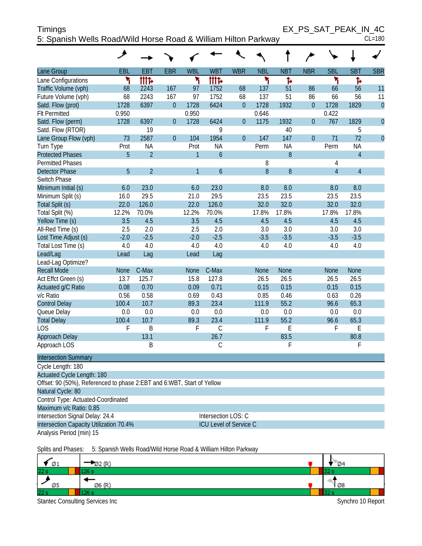| <b>Timings</b>                                                 | EX PS SAT PEAK IN 4C |        |
|----------------------------------------------------------------|----------------------|--------|
| 5: Spanish Wells Road/Wild Horse Road & William Hilton Parkway |                      | CL=180 |

|                                                                        | حر          |                |                |              |                        |                |             |             |                |                |                |                |
|------------------------------------------------------------------------|-------------|----------------|----------------|--------------|------------------------|----------------|-------------|-------------|----------------|----------------|----------------|----------------|
| Lane Group                                                             | <b>EBL</b>  | <b>EBT</b>     | <b>EBR</b>     | <b>WBL</b>   | <b>WBT</b>             | <b>WBR</b>     | <b>NBL</b>  | <b>NBT</b>  | <b>NBR</b>     | <b>SBL</b>     | <b>SBT</b>     | <b>SBR</b>     |
| Lane Configurations                                                    | ۲           | tttd           |                | ۲            | <b>iiit</b> d          |                | ۲           | Ъ           |                | ኻ              | Ъ              |                |
| Traffic Volume (vph)                                                   | 68          | 2243           | 167            | 97           | 1752                   | 68             | 137         | 51          | 86             | 66             | 56             | 11             |
| Future Volume (vph)                                                    | 68          | 2243           | 167            | 97           | 1752                   | 68             | 137         | 51          | 86             | 66             | 56             | 11             |
| Satd. Flow (prot)                                                      | 1728        | 6397           | $\theta$       | 1728         | 6424                   | $\theta$       | 1728        | 1932        | $\theta$       | 1728           | 1829           | $\mathbf{0}$   |
| <b>Flt Permitted</b>                                                   | 0.950       |                |                | 0.950        |                        |                | 0.646       |             |                | 0.422          |                |                |
| Satd. Flow (perm)                                                      | 1728        | 6397           | $\overline{0}$ | 1728         | 6424                   | $\theta$       | 1175        | 1932        | $\theta$       | 767            | 1829           | $\overline{0}$ |
| Satd. Flow (RTOR)                                                      |             | 19             |                |              | 9                      |                |             | 40          |                |                | 5              |                |
| Lane Group Flow (vph)                                                  | 73          | 2587           | $\theta$       | 104          | 1954                   | $\overline{0}$ | 147         | 147         | $\overline{0}$ | 71             | 72             | $\overline{0}$ |
| Turn Type                                                              | Prot        | <b>NA</b>      |                | Prot         | <b>NA</b>              |                | Perm        | <b>NA</b>   |                | Perm           | <b>NA</b>      |                |
| <b>Protected Phases</b>                                                | 5           | $\overline{2}$ |                | $\mathbf{1}$ | $\mathfrak b$          |                |             | 8           |                |                | $\overline{4}$ |                |
| <b>Permitted Phases</b>                                                |             |                |                |              |                        |                | 8           |             |                | 4              |                |                |
| <b>Detector Phase</b>                                                  | 5           | $\overline{2}$ |                | 1            | $\boldsymbol{6}$       |                | 8           | 8           |                | $\overline{4}$ | $\overline{4}$ |                |
| Switch Phase                                                           |             |                |                |              |                        |                |             |             |                |                |                |                |
| Minimum Initial (s)                                                    | 6.0         | 23.0           |                | 6.0          | 23.0                   |                | 8.0         | 8.0         |                | 8.0            | 8.0            |                |
| Minimum Split (s)                                                      | 16.0        | 29.5           |                | 21.0         | 29.5                   |                | 23.5        | 23.5        |                | 23.5           | 23.5           |                |
| Total Split (s)                                                        | 22.0        | 126.0          |                | 22.0         | 126.0                  |                | 32.0        | 32.0        |                | 32.0           | 32.0           |                |
| Total Split (%)                                                        | 12.2%       | 70.0%          |                | 12.2%        | 70.0%                  |                | 17.8%       | 17.8%       |                | 17.8%          | 17.8%          |                |
| Yellow Time (s)                                                        | 3.5         | 4.5            |                | 3.5          | 4.5                    |                | 4.5         | 4.5         |                | 4.5            | 4.5            |                |
| All-Red Time (s)                                                       | 2.5         | 2.0            |                | 2.5          | 2.0                    |                | 3.0         | 3.0         |                | 3.0            | 3.0            |                |
| Lost Time Adjust (s)                                                   | $-2.0$      | $-2.5$         |                | $-2.0$       | $-2.5$                 |                | $-3.5$      | $-3.5$      |                | $-3.5$         | $-3.5$         |                |
| Total Lost Time (s)                                                    | 4.0         | 4.0            |                | 4.0          | 4.0                    |                | 4.0         | 4.0         |                | 4.0            | 4.0            |                |
| Lead/Lag                                                               | Lead        | Lag            |                | Lead         | Lag                    |                |             |             |                |                |                |                |
| Lead-Lag Optimize?<br><b>Recall Mode</b>                               | <b>None</b> | C-Max          |                | <b>None</b>  | C-Max                  |                | <b>None</b> | <b>None</b> |                | None           | None           |                |
| Act Effct Green (s)                                                    | 13.7        | 125.7          |                | 15.8         | 127.8                  |                | 26.5        | 26.5        |                | 26.5           | 26.5           |                |
| Actuated g/C Ratio                                                     | 0.08        | 0.70           |                | 0.09         | 0.71                   |                | 0.15        | 0.15        |                | 0.15           | 0.15           |                |
| v/c Ratio                                                              | 0.56        | 0.58           |                | 0.69         | 0.43                   |                | 0.85        | 0.46        |                | 0.63           | 0.26           |                |
| <b>Control Delay</b>                                                   | 100.4       | 10.7           |                | 89.3         | 23.4                   |                | 111.9       | 55.2        |                | 96.6           | 65.3           |                |
| Queue Delay                                                            | 0.0         | 0.0            |                | 0.0          | 0.0                    |                | 0.0         | 0.0         |                | 0.0            | 0.0            |                |
| <b>Total Delay</b>                                                     | 100.4       | 10.7           |                | 89.3         | 23.4                   |                | 111.9       | 55.2        |                | 96.6           | 65.3           |                |
| LOS                                                                    | F           | B              |                | F            | $\mathsf C$            |                | F           | E           |                | F              | E              |                |
| Approach Delay                                                         |             | 13.1           |                |              | 26.7                   |                |             | 83.5        |                |                | 80.8           |                |
| Approach LOS                                                           |             | B              |                |              | C                      |                |             | F           |                |                | F              |                |
| <b>Intersection Summary</b>                                            |             |                |                |              |                        |                |             |             |                |                |                |                |
| Cycle Length: 180                                                      |             |                |                |              |                        |                |             |             |                |                |                |                |
| <b>Actuated Cycle Length: 180</b>                                      |             |                |                |              |                        |                |             |             |                |                |                |                |
| Offset: 90 (50%), Referenced to phase 2:EBT and 6:WBT, Start of Yellow |             |                |                |              |                        |                |             |             |                |                |                |                |
| Natural Cycle: 80                                                      |             |                |                |              |                        |                |             |             |                |                |                |                |
| Control Type: Actuated-Coordinated                                     |             |                |                |              |                        |                |             |             |                |                |                |                |
| Maximum v/c Ratio: 0.85                                                |             |                |                |              |                        |                |             |             |                |                |                |                |
| Intersection Signal Delay: 24.4                                        |             |                |                |              | Intersection LOS: C    |                |             |             |                |                |                |                |
| Intersection Capacity Utilization 70.4%                                |             |                |                |              | ICU Level of Service C |                |             |             |                |                |                |                |
| Analysis Period (min) 15                                               |             |                |                |              |                        |                |             |             |                |                |                |                |

Splits and Phases: 5: Spanish Wells Road/Wild Horse Road & William Hilton Parkway

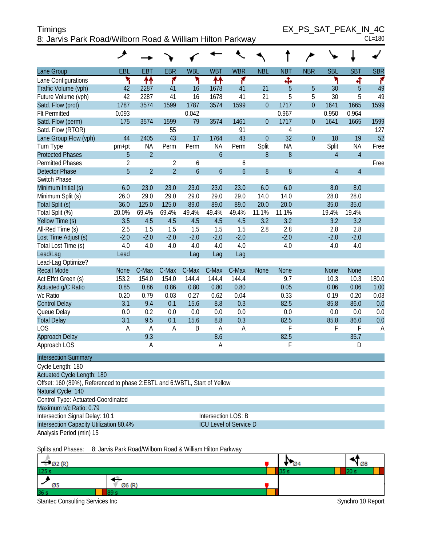| <b>Timings</b>                                            | EX PS SAT PEAK IN 4C |
|-----------------------------------------------------------|----------------------|
| 8: Jarvis Park Road/Wilborn Road & William Hilton Parkway | $CL = 180$           |

| Lane Group                                                                  | EBL            | EBT            | <b>EBR</b>     | <b>WBL</b>       | <b>WBT</b>          | <b>WBR</b>                    | <b>NBL</b>       | <b>NBT</b>       | <b>NBR</b>       | <b>SBL</b>     | <b>SBT</b>     | <b>SBR</b> |
|-----------------------------------------------------------------------------|----------------|----------------|----------------|------------------|---------------------|-------------------------------|------------------|------------------|------------------|----------------|----------------|------------|
| Lane Configurations                                                         | ۲              | ₩              | ۴              | ۳                | ↟↟                  | ۴                             |                  | Ф                |                  | ۲              | 4              | ۴          |
| Traffic Volume (vph)                                                        | 42             | 2287           | 41             | 16               | 1678                | 41                            | 21               | 5                | 5                | 30             | 5              | 49         |
| Future Volume (vph)                                                         | 42             | 2287           | 41             | 16               | 1678                | 41                            | 21               | 5                | 5                | 30             | 5              | 49         |
| Satd. Flow (prot)                                                           | 1787           | 3574           | 1599           | 1787             | 3574                | 1599                          | $\overline{0}$   | 1717             | $\overline{0}$   | 1641           | 1665           | 1599       |
| <b>Flt Permitted</b>                                                        | 0.093          |                |                | 0.042            |                     |                               |                  | 0.967            |                  | 0.950          | 0.964          |            |
| Satd. Flow (perm)                                                           | 175            | 3574           | 1599           | 79               | 3574                | 1461                          | $\theta$         | 1717             | $\boldsymbol{0}$ | 1641           | 1665           | 1599       |
| Satd. Flow (RTOR)                                                           |                |                | 55             |                  |                     | 91                            |                  | $\overline{4}$   |                  |                |                | 127        |
| Lane Group Flow (vph)                                                       | 44             | 2405           | 43             | 17               | 1764                | 43                            | $\overline{0}$   | 32               | $\overline{0}$   | 18             | 19             | 52         |
| Turn Type                                                                   | pm+pt          | <b>NA</b>      | Perm           | Perm             | <b>NA</b>           | Perm                          | Split            | <b>NA</b>        |                  | Split          | <b>NA</b>      | Free       |
| <b>Protected Phases</b>                                                     | 5              | $\overline{2}$ |                |                  | $\ddot{\mathbf{6}}$ |                               | $\boldsymbol{8}$ | $\, 8$           |                  | $\overline{4}$ | $\overline{4}$ |            |
| <b>Permitted Phases</b>                                                     | $\overline{2}$ |                | $\overline{2}$ | 6                |                     | 6                             |                  |                  |                  |                |                | Free       |
| <b>Detector Phase</b>                                                       | 5              | $\overline{2}$ | $\overline{2}$ | $\boldsymbol{6}$ | $\boldsymbol{6}$    | $\mathfrak b$                 | $\boldsymbol{8}$ | $\boldsymbol{8}$ |                  | $\overline{4}$ | $\overline{4}$ |            |
| Switch Phase                                                                |                |                |                |                  |                     |                               |                  |                  |                  |                |                |            |
| Minimum Initial (s)                                                         | 6.0            | 23.0           | 23.0           | 23.0             | 23.0                | 23.0                          | 6.0              | 6.0              |                  | 8.0            | 8.0            |            |
| Minimum Split (s)                                                           | 26.0           | 29.0           | 29.0           | 29.0             | 29.0                | 29.0                          | 14.0             | 14.0             |                  | 28.0           | 28.0           |            |
| Total Split (s)                                                             | 36.0           | 125.0          | 125.0          | 89.0             | 89.0                | 89.0                          | 20.0             | 20.0             |                  | 35.0           | 35.0           |            |
| Total Split (%)                                                             | 20.0%          | 69.4%          | 69.4%          | 49.4%            | 49.4%               | 49.4%                         | 11.1%            | 11.1%            |                  | 19.4%          | 19.4%          |            |
| Yellow Time (s)                                                             | 3.5            | 4.5            | 4.5            | 4.5              | 4.5                 | 4.5                           | 3.2              | 3.2              |                  | 3.2            | 3.2            |            |
| All-Red Time (s)                                                            | 2.5            | 1.5            | 1.5            | 1.5              | 1.5                 | 1.5                           | 2.8              | 2.8              |                  | 2.8            | 2.8            |            |
| Lost Time Adjust (s)                                                        | $-2.0$         | $-2.0$         | $-2.0$         | $-2.0$           | $-2.0$              | $-2.0$                        |                  | $-2.0$           |                  | $-2.0$         | $-2.0$         |            |
| Total Lost Time (s)                                                         | 4.0            | 4.0            | 4.0            | 4.0              | 4.0                 | 4.0                           |                  | 4.0              |                  | 4.0            | 4.0            |            |
| Lead/Lag                                                                    | Lead           |                |                | Lag              | Lag                 | Lag                           |                  |                  |                  |                |                |            |
| Lead-Lag Optimize?                                                          |                |                |                |                  |                     |                               |                  |                  |                  |                |                |            |
| <b>Recall Mode</b>                                                          | <b>None</b>    | C-Max          | C-Max          | C-Max            | C-Max               | C-Max                         | <b>None</b>      | <b>None</b>      |                  | <b>None</b>    | <b>None</b>    |            |
| Act Effct Green (s)                                                         | 153.2          | 154.0          | 154.0          | 144.4            | 144.4               | 144.4                         |                  | 9.7              |                  | 10.3           | 10.3           | 180.0      |
| Actuated g/C Ratio                                                          | 0.85           | 0.86           | 0.86           | 0.80             | 0.80                | 0.80                          |                  | 0.05             |                  | 0.06           | 0.06           | 1.00       |
| v/c Ratio                                                                   | 0.20           | 0.79           | 0.03           | 0.27             | 0.62                | 0.04                          |                  | 0.33             |                  | 0.19           | 0.20           | 0.03       |
| <b>Control Delay</b>                                                        | 3.1            | 9.4            | 0.1            | 15.6             | 8.8                 | 0.3                           |                  | 82.5             |                  | 85.8           | 86.0           | 0.0        |
| Queue Delay                                                                 | $0.0\,$        | 0.2            | 0.0            | 0.0              | 0.0                 | 0.0                           |                  | 0.0              |                  | 0.0            | 0.0            | 0.0        |
| <b>Total Delay</b>                                                          | 3.1            | 9.5            | 0.1            | 15.6             | 8.8                 | 0.3                           |                  | 82.5             |                  | 85.8           | 86.0           | 0.0        |
| <b>LOS</b>                                                                  | A              | A              | A              | B                | A                   | A                             |                  | F                |                  | F              | F              | A          |
| Approach Delay                                                              |                | 9.3            |                |                  | 8.6                 |                               |                  | 82.5             |                  |                | 35.7           |            |
| Approach LOS                                                                |                | A              |                |                  | A                   |                               |                  | F                |                  |                | D              |            |
| <b>Intersection Summary</b>                                                 |                |                |                |                  |                     |                               |                  |                  |                  |                |                |            |
| Cycle Length: 180                                                           |                |                |                |                  |                     |                               |                  |                  |                  |                |                |            |
| Actuated Cycle Length: 180                                                  |                |                |                |                  |                     |                               |                  |                  |                  |                |                |            |
| Offset: 160 (89%), Referenced to phase 2: EBTL and 6: WBTL, Start of Yellow |                |                |                |                  |                     |                               |                  |                  |                  |                |                |            |
| Natural Cycle: 140                                                          |                |                |                |                  |                     |                               |                  |                  |                  |                |                |            |
| Control Type: Actuated-Coordinated                                          |                |                |                |                  |                     |                               |                  |                  |                  |                |                |            |
| Maximum v/c Ratio: 0.79                                                     |                |                |                |                  |                     |                               |                  |                  |                  |                |                |            |
| Intersection Signal Delay: 10.1                                             |                |                |                |                  |                     | Intersection LOS: B           |                  |                  |                  |                |                |            |
| Intersection Capacity Utilization 80.4%                                     |                |                |                |                  |                     | <b>ICU Level of Service D</b> |                  |                  |                  |                |                |            |
| Analysis Period (min) 15                                                    |                |                |                |                  |                     |                               |                  |                  |                  |                |                |            |

Splits and Phases: 8: Jarvis Park Road/Wilborn Road & William Hilton Parkway

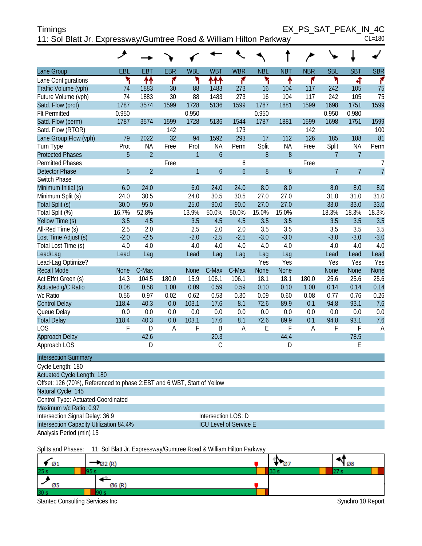| <b>Timings</b>                                                     | EX PS SAT PEAK IN 4C |  |
|--------------------------------------------------------------------|----------------------|--|
| 11: Sol Blatt Jr. Expressway/Gumtree Road & William Hilton Parkway | $CL = 180$           |  |

|                             | حر          |                |                |                |                |                |             |             |                |                |                |                |
|-----------------------------|-------------|----------------|----------------|----------------|----------------|----------------|-------------|-------------|----------------|----------------|----------------|----------------|
| Lane Group                  | EBL         | <b>EBT</b>     | <b>EBR</b>     | <b>WBL</b>     | <b>WBT</b>     | <b>WBR</b>     | <b>NBL</b>  | <b>NBT</b>  | <b>NBR</b>     | <b>SBL</b>     | <b>SBT</b>     | <b>SBR</b>     |
| Lane Configurations         | ۲           | ↑↑             | ۴              | ۲              | ተተ             | ۴              | ۲           | ↟           | ۴              | ۲              | 4              | ۴              |
| Traffic Volume (vph)        | 74          | 1883           | 30             | 88             | 1483           | 273            | 16          | 104         | 117            | 242            | 105            | 75             |
| Future Volume (vph)         | 74          | 1883           | 30             | 88             | 1483           | 273            | 16          | 104         | 117            | 242            | 105            | 75             |
| Satd. Flow (prot)           | 1787        | 3574           | 1599           | 1728           | 5136           | 1599           | 1787        | 1881        | 1599           | 1698           | 1751           | 1599           |
| <b>Flt Permitted</b>        | 0.950       |                |                | 0.950          |                |                | 0.950       |             |                | 0.950          | 0.980          |                |
| Satd. Flow (perm)           | 1787        | 3574           | 1599           | 1728           | 5136           | 1544           | 1787        | 1881        | 1599           | 1698           | 1751           | 1599           |
| Satd. Flow (RTOR)           |             |                | 142            |                |                | 173            |             |             | 142            |                |                | 100            |
| Lane Group Flow (vph)       | 79          | 2022           | 32             | 94             | 1592           | 293            | 17          | 112         | 126            | 185            | 188            | 81             |
| Turn Type                   | Prot        | <b>NA</b>      | Free           | Prot           | <b>NA</b>      | Perm           | Split       | <b>NA</b>   | Free           | Split          | <b>NA</b>      | Perm           |
| <b>Protected Phases</b>     | 5           | $\overline{2}$ |                | $\mathbf{1}$   | $\mathfrak b$  |                | 8           | 8           |                | $\overline{7}$ | $\overline{7}$ |                |
| <b>Permitted Phases</b>     |             |                | Free           |                |                | 6              |             |             | Free           |                |                | $\overline{7}$ |
| <b>Detector Phase</b>       | 5           | $\overline{2}$ |                | $\overline{1}$ | $\overline{6}$ | $\overline{6}$ | 8           | 8           |                | $\overline{7}$ | $\overline{7}$ | $\overline{7}$ |
| Switch Phase                |             |                |                |                |                |                |             |             |                |                |                |                |
| Minimum Initial (s)         | 6.0         | 24.0           |                | 6.0            | 24.0           | 24.0           | 8.0         | 8.0         |                | 8.0            | 8.0            | 8.0            |
| Minimum Split (s)           | 24.0        | 30.5           |                | 24.0           | 30.5           | 30.5           | 27.0        | 27.0        |                | 31.0           | 31.0           | 31.0           |
| Total Split (s)             | 30.0        | 95.0           |                | 25.0           | 90.0           | 90.0           | 27.0        | 27.0        |                | 33.0           | 33.0           | 33.0           |
| Total Split (%)             | 16.7%       | 52.8%          |                | 13.9%          | 50.0%          | 50.0%          | 15.0%       | 15.0%       |                | 18.3%          | 18.3%          | 18.3%          |
| Yellow Time (s)             | 3.5         | 4.5            |                | 3.5            | 4.5            | 4.5            | 3.5         | 3.5         |                | 3.5            | 3.5            | 3.5            |
| All-Red Time (s)            | 2.5         | 2.0            |                | 2.5            | 2.0            | 2.0            | 3.5         | 3.5         |                | 3.5            | 3.5            | 3.5            |
| Lost Time Adjust (s)        | $-2.0$      | $-2.5$         |                | $-2.0$         | $-2.5$         | $-2.5$         | $-3.0$      | $-3.0$      |                | $-3.0$         | $-3.0$         | $-3.0$         |
| Total Lost Time (s)         | 4.0         | 4.0            |                | 4.0            | 4.0            | 4.0            | 4.0         | 4.0         |                | 4.0            | 4.0            | 4.0            |
| Lead/Lag                    | Lead        | Lag            |                | Lead           | Lag            | Lag            | Lag         | Lag         |                | Lead           | Lead           | Lead           |
| Lead-Lag Optimize?          |             |                |                |                |                |                | Yes         | Yes         |                | Yes            | Yes            | Yes            |
| <b>Recall Mode</b>          | <b>None</b> | C-Max          |                | None           | C-Max          | C-Max          | <b>None</b> | <b>None</b> |                | None           | None           | None           |
| Act Effct Green (s)         | 14.3        | 104.5          | 180.0          | 15.9           | 106.1          | 106.1          | 18.1        | 18.1        | 180.0          | 25.6           | 25.6           | 25.6           |
| Actuated g/C Ratio          | 0.08        | 0.58           | 1.00           | 0.09           | 0.59           | 0.59           | 0.10        | 0.10        | 1.00           | 0.14           | 0.14           | 0.14           |
| v/c Ratio                   | 0.56        | 0.97           | 0.02           | 0.62           | 0.53           | 0.30           | 0.09        | 0.60        | 0.08           | 0.77           | 0.76           | 0.26           |
| <b>Control Delay</b>        | 118.4       | 40.3           | 0.0            | 103.1          | 17.6           | 8.1            | 72.6        | 89.9        | 0.1            | 94.8           | 93.1           | 7.6            |
| Queue Delay                 | 0.0         | 0.0            | 0.0            | 0.0            | 0.0            | 0.0            | 0.0         | 0.0         | 0.0            | 0.0            | 0.0            | 0.0            |
| <b>Total Delay</b>          | 118.4       | 40.3           | 0.0            | 103.1          | 17.6           | 8.1            | 72.6        | 89.9        | 0.1            | 94.8           | 93.1           | 7.6            |
| LOS                         | F           | D              | $\overline{A}$ | F              | B              | $\overline{A}$ | E           | F           | $\overline{A}$ | F              | F              | $\overline{A}$ |
| Approach Delay              |             | 42.6           |                |                | 20.3           |                |             | 44.4        |                |                | 78.5           |                |
| Approach LOS                |             | D              |                |                | $\mathsf{C}$   |                |             | D           |                |                | E              |                |
| <b>Intersection Summary</b> |             |                |                |                |                |                |             |             |                |                |                |                |
| Cycle Length: 180           |             |                |                |                |                |                |             |             |                |                |                |                |

| Uyuu Lungun 100                                                         |                               |
|-------------------------------------------------------------------------|-------------------------------|
| Actuated Cycle Length: 180                                              |                               |
| Offset: 126 (70%), Referenced to phase 2:EBT and 6:WBT, Start of Yellow |                               |
| Natural Cycle: 145                                                      |                               |
| Control Type: Actuated-Coordinated                                      |                               |
| Maximum v/c Ratio: 0.97                                                 |                               |
| Intersection Signal Delay: 36.9                                         | Intersection LOS: D           |
| Intersection Capacity Utilization 84.4%                                 | <b>ICU Level of Service E</b> |
|                                                                         |                               |

Analysis Period (min) 15

Splits and Phases: 11: Sol Blatt Jr. Expressway/Gumtree Road & William Hilton Parkway

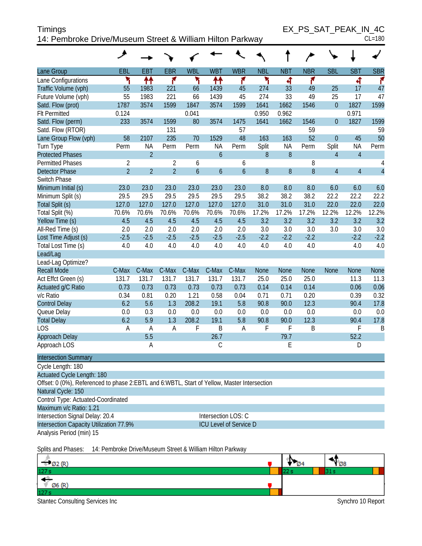| <b>Timings</b>                                            | EX PS SAT PEAK IN 4C |
|-----------------------------------------------------------|----------------------|
| 14: Pembroke Drive/Museum Street & William Hilton Parkway | $CL = 180$           |

|                                                                                             | ◢                                |                |                                  |               |                  |                               |             |            |             |                  |                |                     |
|---------------------------------------------------------------------------------------------|----------------------------------|----------------|----------------------------------|---------------|------------------|-------------------------------|-------------|------------|-------------|------------------|----------------|---------------------|
| Lane Group                                                                                  | EBL                              | <b>EBT</b>     | <b>EBR</b>                       | <b>WBL</b>    | <b>WBT</b>       | <b>WBR</b>                    | <b>NBL</b>  | <b>NBT</b> | <b>NBR</b>  | <b>SBL</b>       | <b>SBT</b>     | <b>SBR</b>          |
| Lane Configurations                                                                         | ۲                                | ₩              | ۴                                | ۲             | ↟↟               | ۴                             | ኻ           | ची         | ۴           |                  | 4              | ۴                   |
| Traffic Volume (vph)                                                                        | 55                               | 1983           | 221                              | 66            | 1439             | 45                            | 274         | 33         | 49          | 25               | 17             | 47                  |
| Future Volume (vph)                                                                         | 55                               | 1983           | 221                              | 66            | 1439             | 45                            | 274         | 33         | 49          | 25               | 17             | 47                  |
| Satd. Flow (prot)                                                                           | 1787                             | 3574           | 1599                             | 1847          | 3574             | 1599                          | 1641        | 1662       | 1546        | $\boldsymbol{0}$ | 1827           | 1599                |
| <b>Flt Permitted</b>                                                                        | 0.124                            |                |                                  | 0.041         |                  |                               | 0.950       | 0.962      |             |                  | 0.971          |                     |
| Satd. Flow (perm)                                                                           | 233                              | 3574           | 1599                             | 80            | 3574             | 1475                          | 1641        | 1662       | 1546        | $\mathbf 0$      | 1827           | 1599                |
| Satd. Flow (RTOR)                                                                           |                                  |                | 131                              |               |                  | 57                            |             |            | 59          |                  |                | 59                  |
| Lane Group Flow (vph)                                                                       | 58                               | 2107           | 235                              | 70            | 1529             | 48                            | 163         | 163        | 52          | $\overline{0}$   | 45             | 50                  |
| Turn Type                                                                                   | Perm                             | <b>NA</b>      | Perm                             | Perm          | <b>NA</b>        | Perm                          | Split       | <b>NA</b>  | Perm        | Split            | <b>NA</b>      | Perm                |
| <b>Protected Phases</b>                                                                     |                                  | $\overline{2}$ |                                  |               | $\boldsymbol{6}$ |                               | 8           | $8\,$      |             | $\overline{4}$   | $\overline{4}$ |                     |
| <b>Permitted Phases</b>                                                                     | $\overline{2}$<br>$\overline{2}$ |                | $\overline{2}$<br>$\overline{2}$ | 6             |                  | 6                             |             |            | 8<br>8      |                  |                | 4<br>$\overline{4}$ |
| <b>Detector Phase</b><br><b>Switch Phase</b>                                                |                                  | $\overline{2}$ |                                  | $\mathfrak b$ | 6                | $\boldsymbol{6}$              | 8           | $8\,$      |             | $\overline{4}$   | $\overline{4}$ |                     |
| Minimum Initial (s)                                                                         | 23.0                             | 23.0           | 23.0                             | 23.0          | 23.0             | 23.0                          | 8.0         | 8.0        | 8.0         | 6.0              | 6.0            | 6.0                 |
| Minimum Split (s)                                                                           | 29.5                             | 29.5           | 29.5                             | 29.5          | 29.5             | 29.5                          | 38.2        | 38.2       | 38.2        | 22.2             | 22.2           | 22.2                |
| Total Split (s)                                                                             | 127.0                            | 127.0          | 127.0                            | 127.0         | 127.0            | 127.0                         | 31.0        | 31.0       | 31.0        | 22.0             | 22.0           | 22.0                |
| Total Split (%)                                                                             | 70.6%                            | 70.6%          | 70.6%                            | 70.6%         | 70.6%            | 70.6%                         | 17.2%       | 17.2%      | 17.2%       | 12.2%            | 12.2%          | 12.2%               |
| Yellow Time (s)                                                                             | 4.5                              | 4.5            | 4.5                              | 4.5           | 4.5              | 4.5                           | 3.2         | 3.2        | 3.2         | 3.2              | 3.2            | 3.2                 |
| All-Red Time (s)                                                                            | 2.0                              | 2.0            | 2.0                              | 2.0           | 2.0              | 2.0                           | 3.0         | 3.0        | 3.0         | 3.0              | 3.0            | 3.0                 |
| Lost Time Adjust (s)                                                                        | $-2.5$                           | $-2.5$         | $-2.5$                           | $-2.5$        | $-2.5$           | $-2.5$                        | $-2.2$      | $-2.2$     | $-2.2$      |                  | $-2.2$         | $-2.2$              |
| Total Lost Time (s)                                                                         | 4.0                              | 4.0            | 4.0                              | 4.0           | 4.0              | 4.0                           | 4.0         | 4.0        | 4.0         |                  | 4.0            | 4.0                 |
| Lead/Lag                                                                                    |                                  |                |                                  |               |                  |                               |             |            |             |                  |                |                     |
| Lead-Lag Optimize?                                                                          |                                  |                |                                  |               |                  |                               |             |            |             |                  |                |                     |
| <b>Recall Mode</b>                                                                          | C-Max                            | C-Max          | C-Max                            | C-Max         | C-Max            | C-Max                         | <b>None</b> | None       | <b>None</b> | <b>None</b>      | <b>None</b>    | <b>None</b>         |
| Act Effct Green (s)                                                                         | 131.7                            | 131.7          | 131.7                            | 131.7         | 131.7            | 131.7                         | 25.0        | 25.0       | 25.0        |                  | 11.3           | 11.3                |
| Actuated g/C Ratio                                                                          | 0.73                             | 0.73           | 0.73                             | 0.73          | 0.73             | 0.73                          | 0.14        | 0.14       | 0.14        |                  | 0.06           | 0.06                |
| v/c Ratio                                                                                   | 0.34                             | 0.81           | 0.20                             | 1.21          | 0.58             | 0.04                          | 0.71        | 0.71       | 0.20        |                  | 0.39           | 0.32                |
| <b>Control Delay</b>                                                                        | 6.2                              | 5.6            | 1.3                              | 208.2         | 19.1             | 5.8                           | 90.8        | 90.0       | 12.3        |                  | 90.4           | 17.8                |
| Queue Delay                                                                                 | 0.0                              | 0.3            | 0.0                              | 0.0           | 0.0              | 0.0                           | 0.0         | 0.0        | 0.0         |                  | 0.0            | 0.0                 |
| <b>Total Delay</b>                                                                          | 6.2                              | 5.9            | 1.3                              | 208.2         | 19.1             | 5.8                           | 90.8        | 90.0       | 12.3        |                  | 90.4           | 17.8                |
| LOS                                                                                         | A                                | A              | A                                | F             | B                | A                             | F           | F          | B           |                  | F              | B                   |
| Approach Delay                                                                              |                                  | 5.5            |                                  |               | 26.7             |                               |             | 79.7       |             |                  | 52.2           |                     |
| Approach LOS                                                                                |                                  | Α              |                                  |               | C                |                               |             | E          |             |                  | D              |                     |
| <b>Intersection Summary</b>                                                                 |                                  |                |                                  |               |                  |                               |             |            |             |                  |                |                     |
| Cycle Length: 180                                                                           |                                  |                |                                  |               |                  |                               |             |            |             |                  |                |                     |
| Actuated Cycle Length: 180                                                                  |                                  |                |                                  |               |                  |                               |             |            |             |                  |                |                     |
| Offset: 0 (0%), Referenced to phase 2:EBTL and 6:WBTL, Start of Yellow, Master Intersection |                                  |                |                                  |               |                  |                               |             |            |             |                  |                |                     |
| Natural Cycle: 150                                                                          |                                  |                |                                  |               |                  |                               |             |            |             |                  |                |                     |
| Control Type: Actuated-Coordinated                                                          |                                  |                |                                  |               |                  |                               |             |            |             |                  |                |                     |
| Maximum v/c Ratio: 1.21                                                                     |                                  |                |                                  |               |                  |                               |             |            |             |                  |                |                     |
| Intersection Signal Delay: 20.4                                                             |                                  |                |                                  |               |                  | Intersection LOS: C           |             |            |             |                  |                |                     |
| Intersection Capacity Utilization 77.9%                                                     |                                  |                |                                  |               |                  | <b>ICU Level of Service D</b> |             |            |             |                  |                |                     |
| Analysis Period (min) 15                                                                    |                                  |                |                                  |               |                  |                               |             |            |             |                  |                |                     |
|                                                                                             |                                  |                |                                  |               |                  |                               |             |            |             |                  |                |                     |



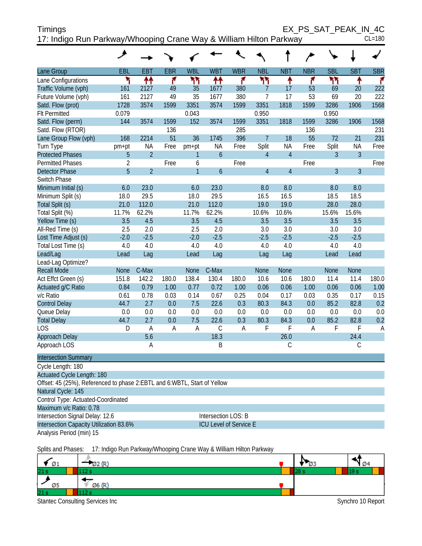| <b>Timings</b>                                                     | EX PS SAT PEAK IN 4C |
|--------------------------------------------------------------------|----------------------|
| 17: Indigo Run Parkway/Whooping Crane Way & William Hilton Parkway | $CL = 180$           |

|                                                                            | عر             |                |                |                |               |            |                |                |            |                |                |            |
|----------------------------------------------------------------------------|----------------|----------------|----------------|----------------|---------------|------------|----------------|----------------|------------|----------------|----------------|------------|
| Lane Group                                                                 | EBL            | <b>EBT</b>     | <b>EBR</b>     | <b>WBL</b>     | <b>WBT</b>    | <b>WBR</b> | <b>NBL</b>     | <b>NBT</b>     | <b>NBR</b> | <b>SBL</b>     | <b>SBT</b>     | <b>SBR</b> |
| Lane Configurations                                                        | ۳              | 忭              | ۴              | ካካ             | ₩             | ۴          | ሻሻ             | ٠              | ۴          | ۲٢             | ٠              | ۴          |
| Traffic Volume (vph)                                                       | 161            | 2127           | 49             | 35             | 1677          | 380        | 7              | 17             | 53         | 69             | 20             | 222        |
| Future Volume (vph)                                                        | 161            | 2127           | 49             | 35             | 1677          | 380        | $\overline{7}$ | 17             | 53         | 69             | 20             | 222        |
| Satd. Flow (prot)                                                          | 1728           | 3574           | 1599           | 3351           | 3574          | 1599       | 3351           | 1818           | 1599       | 3286           | 1906           | 1568       |
| <b>Flt Permitted</b>                                                       | 0.079          |                |                | 0.043          |               |            | 0.950          |                |            | 0.950          |                |            |
| Satd. Flow (perm)                                                          | 144            | 3574           | 1599           | 152            | 3574          | 1599       | 3351           | 1818           | 1599       | 3286           | 1906           | 1568       |
| Satd. Flow (RTOR)                                                          |                |                | 136            |                |               | 285        |                |                | 136        |                |                | 231        |
| Lane Group Flow (vph)                                                      | 168            | 2214           | 51             | 36             | 1745          | 396        | $\overline{7}$ | 18             | 55         | 72             | 21             | 231        |
| Turn Type                                                                  | pm+pt          | <b>NA</b>      | Free           | pm+pt          | ΝA            | Free       | Split          | <b>NA</b>      | Free       | Split          | <b>NA</b>      | Free       |
| <b>Protected Phases</b>                                                    | 5              | $\overline{2}$ |                | 1              | $\mathfrak b$ |            | $\overline{4}$ | $\overline{4}$ |            | 3              | $\overline{3}$ |            |
| <b>Permitted Phases</b>                                                    | $\overline{2}$ |                | Free           | 6              |               | Free       |                |                | Free       |                |                | Free       |
| <b>Detector Phase</b>                                                      | 5              | $\overline{2}$ |                | $\overline{1}$ | $\mathfrak b$ |            | $\overline{4}$ | $\overline{4}$ |            | $\overline{3}$ | $\overline{3}$ |            |
| Switch Phase                                                               |                |                |                |                |               |            |                |                |            |                |                |            |
| Minimum Initial (s)                                                        | 6.0            | 23.0           |                | 6.0            | 23.0          |            | 8.0            | 8.0            |            | 8.0            | 8.0            |            |
| Minimum Split (s)                                                          | 18.0           | 29.5           |                | 18.0           | 29.5          |            | 16.5           | 16.5           |            | 18.5           | 18.5           |            |
| Total Split (s)                                                            | 21.0           | 112.0          |                | 21.0           | 112.0         |            | 19.0           | 19.0           |            | 28.0           | 28.0           |            |
| Total Split (%)                                                            | 11.7%          | 62.2%          |                | 11.7%          | 62.2%         |            | 10.6%          | 10.6%          |            | 15.6%          | 15.6%          |            |
| Yellow Time (s)                                                            | 3.5            | 4.5            |                | 3.5            | 4.5           |            | 3.5            | 3.5            |            | 3.5            | 3.5            |            |
| All-Red Time (s)                                                           | 2.5            | 2.0            |                | 2.5            | 2.0           |            | 3.0            | 3.0            |            | 3.0            | 3.0            |            |
| Lost Time Adjust (s)                                                       | $-2.0$         | $-2.5$         |                | $-2.0$         | $-2.5$        |            | $-2.5$         | $-2.5$         |            | $-2.5$         | $-2.5$         |            |
| Total Lost Time (s)                                                        | 4.0            | 4.0            |                | 4.0            | 4.0           |            | 4.0            | 4.0            |            | 4.0            | 4.0            |            |
| Lead/Lag                                                                   | Lead           | Lag            |                | Lead           | Lag           |            | Lag            | Lag            |            | Lead           | Lead           |            |
| Lead-Lag Optimize?                                                         |                |                |                |                |               |            |                |                |            |                |                |            |
| <b>Recall Mode</b>                                                         | None           | C-Max          |                | None           | C-Max         |            | None           | None           |            | None           | <b>None</b>    |            |
| Act Effct Green (s)                                                        | 151.8          | 142.2          | 180.0          | 138.4          | 130.4         | 180.0      | 10.6           | 10.6           | 180.0      | 11.4           | 11.4           | 180.0      |
| Actuated g/C Ratio                                                         | 0.84           | 0.79           | 1.00           | 0.77           | 0.72          | 1.00       | 0.06           | 0.06           | 1.00       | 0.06           | 0.06           | 1.00       |
| v/c Ratio                                                                  | 0.61           | 0.78           | 0.03           | 0.14           | 0.67          | 0.25       | 0.04           | 0.17           | 0.03       | 0.35           | 0.17           | 0.15       |
| <b>Control Delay</b>                                                       | 44.7           | 2.7            | 0.0            | 7.5            | 22.6          | 0.3        | 80.3           | 84.3           | 0.0        | 85.2           | 82.8           | 0.2        |
| Queue Delay                                                                | 0.0            | 0.0            | 0.0            | 0.0            | 0.0           | 0.0        | 0.0            | 0.0            | 0.0        | 0.0            | 0.0            | 0.0        |
| <b>Total Delay</b>                                                         | 44.7           | 2.7            | 0.0            | 7.5            | 22.6          | 0.3        | 80.3           | 84.3           | 0.0        | 85.2           | 82.8           | 0.2        |
| <b>LOS</b>                                                                 | D              | A              | $\overline{A}$ | A              | $\mathsf C$   | A          | F              | F              | Α          | F              | F              | A          |
| Approach Delay                                                             |                | 5.6            |                |                | 18.3          |            |                | 26.0           |            |                | 24.4           |            |
| Approach LOS                                                               |                | A              |                |                | B             |            |                | $\mathsf C$    |            |                | $\mathsf C$    |            |
| <b>Intersection Summary</b>                                                |                |                |                |                |               |            |                |                |            |                |                |            |
| Cycle Length: 180                                                          |                |                |                |                |               |            |                |                |            |                |                |            |
| Actuated Cycle Length: 180                                                 |                |                |                |                |               |            |                |                |            |                |                |            |
| Offset: 45 (25%), Referenced to phase 2: EBTL and 6: WBTL, Start of Yellow |                |                |                |                |               |            |                |                |            |                |                |            |
| Natural Cycle: 145                                                         |                |                |                |                |               |            |                |                |            |                |                |            |
| Control Type: Actuated-Coordinated                                         |                |                |                |                |               |            |                |                |            |                |                |            |
| Maximum v/c Ratio: 0.78                                                    |                |                |                |                |               |            |                |                |            |                |                |            |

Intersection Signal Delay: 12.6 Intersection LOS: B

Analysis Period (min) 15

Intersection Capacity Utilization 83.6% ICU Level of Service E

Splits and Phases: 17: Indigo Run Parkway/Whooping Crane Way & William Hilton Parkway

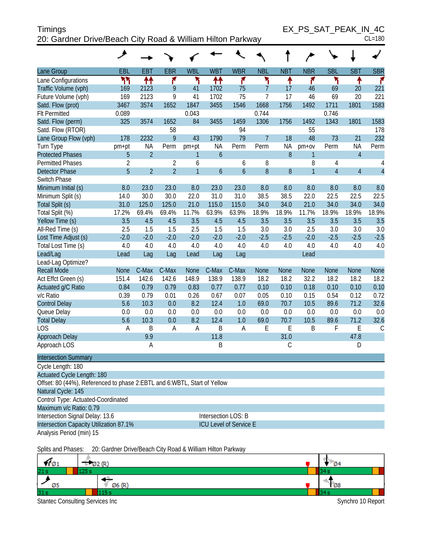| <b>Timings</b>                                             | EX PS SAT PEAK IN 4C |
|------------------------------------------------------------|----------------------|
| 20: Gardner Drive/Beach City Road & William Hilton Parkway | $CL = 180$           |

| EBL<br><b>EBT</b><br><b>EBR</b><br><b>WBL</b><br><b>WBT</b><br><b>WBR</b><br><b>NBL</b><br><b>NBT</b><br><b>NBR</b><br><b>SBL</b><br><b>SBT</b><br><b>SBR</b><br>Lane Group<br>ካካ<br>↟↟<br>۴<br>۲<br>۲<br>۲<br>↟↟<br>۴<br>۴<br>Lane Configurations<br>↟<br>↟<br>Traffic Volume (vph)<br>9<br>75<br>$\overline{7}$<br>46<br>221<br>169<br>2123<br>41<br>1702<br>17<br>69<br>20 |  |
|-------------------------------------------------------------------------------------------------------------------------------------------------------------------------------------------------------------------------------------------------------------------------------------------------------------------------------------------------------------------------------|--|
|                                                                                                                                                                                                                                                                                                                                                                               |  |
|                                                                                                                                                                                                                                                                                                                                                                               |  |
|                                                                                                                                                                                                                                                                                                                                                                               |  |
| 9<br>$\overline{7}$<br>Future Volume (vph)<br>169<br>2123<br>41<br>1702<br>75<br>17<br>46<br>69<br>20<br>221                                                                                                                                                                                                                                                                  |  |
| 3574<br>1546<br>1668<br>1756<br>1711<br>1583<br>Satd. Flow (prot)<br>3467<br>1652<br>1847<br>3455<br>1492<br>1801                                                                                                                                                                                                                                                             |  |
| <b>Flt Permitted</b><br>0.089<br>0.043<br>0.744<br>0.746                                                                                                                                                                                                                                                                                                                      |  |
| Satd. Flow (perm)<br>325<br>3574<br>1652<br>84<br>1306<br>1343<br>3455<br>1459<br>1756<br>1492<br>1801<br>1583                                                                                                                                                                                                                                                                |  |
| 58<br>55<br>Satd. Flow (RTOR)<br>94<br>178                                                                                                                                                                                                                                                                                                                                    |  |
| 9<br>$\overline{7}$<br>232<br>178<br>43<br>79<br>48<br>73<br>21<br>Lane Group Flow (vph)<br>2232<br>1790<br>18                                                                                                                                                                                                                                                                |  |
| <b>NA</b><br><b>NA</b><br>NA<br><b>NA</b><br>Perm<br>Perm<br>Perm<br>Turn Type<br>pm+pt<br>Perm<br>pm+pt<br>Perm<br>$pm+ov$                                                                                                                                                                                                                                                   |  |
| $\mathbf 6$<br>$\boldsymbol{8}$<br>$\overline{4}$<br>$\overline{2}$<br><b>Protected Phases</b><br>5<br>$\mathbf{1}$<br>1                                                                                                                                                                                                                                                      |  |
| $\overline{2}$<br>8<br><b>Permitted Phases</b><br>$\overline{2}$<br>6<br>6<br>8<br>$\overline{4}$                                                                                                                                                                                                                                                                             |  |
| 5<br>$\overline{2}$<br>8<br>$\overline{2}$<br>$\mathbf{1}$<br>$\ddot{\mathbf{6}}$<br>$\boldsymbol{6}$<br>$\boldsymbol{8}$<br>$\overline{1}$<br>$\overline{4}$<br>$\overline{4}$<br><b>Detector Phase</b>                                                                                                                                                                      |  |
| Switch Phase                                                                                                                                                                                                                                                                                                                                                                  |  |
| Minimum Initial (s)<br>8.0<br>23.0<br>23.0<br>8.0<br>23.0<br>23.0<br>8.0<br>8.0<br>8.0<br>8.0<br>8.0<br>8.0                                                                                                                                                                                                                                                                   |  |
| 22.0<br>31.0<br>38.5<br>38.5<br>22.0<br>22.5<br>22.5<br>22.5<br>Minimum Split (s)<br>14.0<br>30.0<br>30.0<br>31.0                                                                                                                                                                                                                                                             |  |
| 125.0<br>125.0<br>21.0<br>115.0<br>115.0<br>34.0<br>34.0<br>21.0<br>34.0<br>34.0<br>34.0<br>Total Split (s)<br>31.0                                                                                                                                                                                                                                                           |  |
| 69.4%<br>11.7%<br>63.9%<br>63.9%<br>18.9%<br>18.9%<br>18.9%<br>18.9%<br>Total Split (%)<br>17.2%<br>69.4%<br>18.9%<br>11.7%                                                                                                                                                                                                                                                   |  |
| 3.5<br>3.5<br>4.5<br>4.5<br>3.5<br>4.5<br>4.5<br>3.5<br>3.5<br>3.5<br>3.5<br>3.5<br>Yellow Time (s)                                                                                                                                                                                                                                                                           |  |
| 2.5<br>1.5<br>1.5<br>1.5<br>3.0<br>3.0<br>2.5<br>3.0<br>3.0<br>3.0<br>All-Red Time (s)<br>1.5<br>2.5                                                                                                                                                                                                                                                                          |  |
| Lost Time Adjust (s)<br>$-2.0$<br>$-2.0$<br>$-2.0$<br>$-2.5$<br>$-2.0$<br>$-2.5$<br>$-2.5$<br>$-2.0$<br>$-2.0$<br>$-2.0$<br>$-2.5$<br>$-2.5$                                                                                                                                                                                                                                  |  |
| 4.0<br>4.0<br>4.0<br>4.0<br>4.0<br>4.0<br>4.0<br>4.0<br>Total Lost Time (s)<br>4.0<br>4.0<br>4.0<br>4.0                                                                                                                                                                                                                                                                       |  |
| Lead/Lag<br>Lead<br>Lead<br>Lag<br>Lag<br>Lag<br>Lag<br>Lead                                                                                                                                                                                                                                                                                                                  |  |
| Lead-Lag Optimize?                                                                                                                                                                                                                                                                                                                                                            |  |
| <b>Recall Mode</b><br>C-Max<br>C-Max<br>C-Max<br>C-Max<br><b>None</b><br><b>None</b><br>None<br><b>None</b><br><b>None</b><br><b>None</b><br><b>None</b><br>None                                                                                                                                                                                                              |  |
| Act Effct Green (s)<br>151.4<br>142.6<br>142.6<br>148.9<br>138.9<br>138.9<br>18.2<br>18.2<br>32.2<br>18.2<br>18.2<br>18.2                                                                                                                                                                                                                                                     |  |
| 0.79<br>0.77<br>Actuated g/C Ratio<br>0.84<br>0.79<br>0.83<br>0.77<br>0.10<br>0.10<br>0.18<br>0.10<br>0.10<br>0.10                                                                                                                                                                                                                                                            |  |
| 0.54<br>v/c Ratio<br>0.39<br>0.79<br>0.01<br>0.26<br>0.67<br>0.07<br>0.05<br>0.10<br>0.15<br>0.12<br>0.72                                                                                                                                                                                                                                                                     |  |
| 5.6<br>10.3<br>8.2<br>12.4<br>10.5<br>89.6<br>71.2<br>32.6<br><b>Control Delay</b><br>0.0<br>1.0<br>69.0<br>70.7                                                                                                                                                                                                                                                              |  |
| 0.0<br>0.0<br>0.0<br>0.0<br>Queue Delay<br>0.0<br>0.0<br>0.0<br>0.0<br>0.0<br>0.0<br>0.0<br>0.0                                                                                                                                                                                                                                                                               |  |
| 5.6<br>10.3<br>0.0<br>8.2<br>12.4<br>1.0<br>71.2<br>32.6<br><b>Total Delay</b><br>69.0<br>70.7<br>10.5<br>89.6                                                                                                                                                                                                                                                                |  |
| $\mathsf E$<br><b>LOS</b><br>$\mathsf B$<br>B<br>$\overline{A}$<br>E<br>E<br>B<br>F<br>A<br>A<br>A                                                                                                                                                                                                                                                                            |  |
| 9.9<br>11.8<br>31.0<br>47.8<br>Approach Delay                                                                                                                                                                                                                                                                                                                                 |  |
| B<br>C<br>Approach LOS<br>A<br>D                                                                                                                                                                                                                                                                                                                                              |  |
| <b>Intersection Summary</b>                                                                                                                                                                                                                                                                                                                                                   |  |
| Cycle Length: 180                                                                                                                                                                                                                                                                                                                                                             |  |
| Actuated Cycle Length: 180                                                                                                                                                                                                                                                                                                                                                    |  |
| Offset: 80 (44%), Referenced to phase 2:EBTL and 6:WBTL, Start of Yellow                                                                                                                                                                                                                                                                                                      |  |
| Natural Cycle: 145                                                                                                                                                                                                                                                                                                                                                            |  |
| Control Type: Actuated-Coordinated                                                                                                                                                                                                                                                                                                                                            |  |
| Maximum v/c Ratio: 0.79                                                                                                                                                                                                                                                                                                                                                       |  |
| Intersection LOS: B<br>Intersection Signal Delay: 13.6                                                                                                                                                                                                                                                                                                                        |  |
| Intersection Capacity Utilization 87.1%<br>ICU Level of Service E                                                                                                                                                                                                                                                                                                             |  |
| Analysis Period (min) 15                                                                                                                                                                                                                                                                                                                                                      |  |

Splits and Phases: 20: Gardner Drive/Beach City Road & William Hilton Parkway

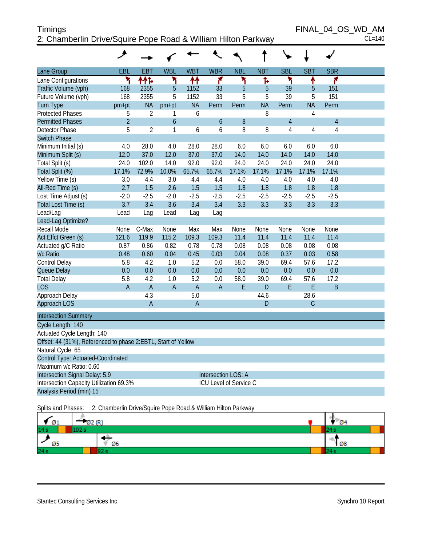# Timings FINAL\_04\_OS\_WD\_AM<br>2<sup>.</sup> Chamberlin Drive/Squire Pope Road & William Hilton Parkway 2: Chamberlin Drive/Squire Pope Road & William Hilton Parkway

|                                                               | ۸              |                |                  |                |                        |             |             |                |             |                |  |
|---------------------------------------------------------------|----------------|----------------|------------------|----------------|------------------------|-------------|-------------|----------------|-------------|----------------|--|
| Lane Group                                                    | EBL            | <b>EBT</b>     | <b>WBL</b>       | <b>WBT</b>     | <b>WBR</b>             | <b>NBL</b>  | <b>NBT</b>  | <b>SBL</b>     | <b>SBT</b>  | <b>SBR</b>     |  |
| Lane Configurations                                           | ۲              | ተተኈ            | ۲                | ↟↟             | ۴                      | ۲           | Ъ           | ۲              | ↟           | ۴              |  |
| Traffic Volume (vph)                                          | 168            | 2355           | 5                | 1152           | 33                     | 5           | 5           | 39             | 5           | 151            |  |
| Future Volume (vph)                                           | 168            | 2355           | 5                | 1152           | 33                     | 5           | 5           | 39             | 5           | 151            |  |
| <b>Turn Type</b>                                              | pm+pt          | <b>NA</b>      | pm+pt            | <b>NA</b>      | Perm                   | Perm        | <b>NA</b>   | Perm           | <b>NA</b>   | Perm           |  |
| <b>Protected Phases</b>                                       | 5              | $\overline{2}$ | 1                | 6              |                        |             | 8           |                | 4           |                |  |
| <b>Permitted Phases</b>                                       | $\overline{2}$ |                | $\boldsymbol{6}$ |                | 6                      | $8\,$       |             | $\overline{4}$ |             | $\overline{4}$ |  |
| <b>Detector Phase</b>                                         | 5              | $\overline{2}$ | 1                | 6              | 6                      | 8           | 8           | 4              | 4           | $\overline{4}$ |  |
| <b>Switch Phase</b>                                           |                |                |                  |                |                        |             |             |                |             |                |  |
| Minimum Initial (s)                                           | 4.0            | 28.0           | 4.0              | 28.0           | 28.0                   | 6.0         | 6.0         | 6.0            | 6.0         | 6.0            |  |
| Minimum Split (s)                                             | 12.0           | 37.0           | 12.0             | 37.0           | 37.0                   | 14.0        | 14.0        | 14.0           | 14.0        | 14.0           |  |
| Total Split (s)                                               | 24.0           | 102.0          | 14.0             | 92.0           | 92.0                   | 24.0        | 24.0        | 24.0           | 24.0        | 24.0           |  |
| Total Split (%)                                               | 17.1%          | 72.9%          | 10.0%            | 65.7%          | 65.7%                  | 17.1%       | 17.1%       | 17.1%          | 17.1%       | 17.1%          |  |
| Yellow Time (s)                                               | 3.0            | 4.4            | 3.0              | 4.4            | 4.4                    | 4.0         | 4.0         | 4.0            | 4.0         | 4.0            |  |
| All-Red Time (s)                                              | 2.7            | 1.5            | 2.6              | 1.5            | 1.5                    | 1.8         | 1.8         | 1.8            | 1.8         | 1.8            |  |
| Lost Time Adjust (s)                                          | $-2.0$         | $-2.5$         | $-2.0$           | $-2.5$         | $-2.5$                 | $-2.5$      | $-2.5$      | $-2.5$         | $-2.5$      | $-2.5$         |  |
| Total Lost Time (s)                                           | 3.7            | 3.4            | 3.6              | 3.4            | 3.4                    | 3.3         | 3.3         | 3.3            | 3.3         | 3.3            |  |
| Lead/Lag                                                      | Lead           | Lag            | Lead             | Lag            | Lag                    |             |             |                |             |                |  |
| Lead-Lag Optimize?                                            |                |                |                  |                |                        |             |             |                |             |                |  |
| Recall Mode                                                   | None           | C-Max          | None             | Max            | Max                    | None        | None        | None           | None        | None           |  |
| Act Effct Green (s)                                           | 121.6          | 119.9          | 115.2            | 109.3          | 109.3                  | 11.4        | 11.4        | 11.4           | 11.4        | 11.4           |  |
| Actuated g/C Ratio                                            | 0.87           | 0.86           | 0.82             | 0.78           | 0.78                   | 0.08        | 0.08        | 0.08           | 0.08        | 0.08           |  |
| v/c Ratio                                                     | 0.48           | 0.60           | 0.04             | 0.45           | 0.03                   | 0.04        | 0.08        | 0.37           | 0.03        | 0.58           |  |
| Control Delay                                                 | 5.8            | 4.2            | 1.0              | 5.2            | 0.0                    | 58.0        | 39.0        | 69.4           | 57.6        | 17.2           |  |
| Queue Delay                                                   | 0.0            | 0.0            | 0.0              | 0.0            | 0.0                    | 0.0         | 0.0         | 0.0            | 0.0         | 0.0            |  |
| <b>Total Delay</b>                                            | 5.8            | 4.2            | 1.0              | 5.2            | 0.0                    | 58.0        | 39.0        | 69.4           | 57.6        | 17.2           |  |
| <b>LOS</b>                                                    | $\overline{A}$ | $\overline{A}$ | $\overline{A}$   | $\overline{A}$ | $\overline{A}$         | $\mathsf E$ | $\mathsf D$ | E              | E           | $\sf B$        |  |
| Approach Delay                                                |                | 4.3            |                  | 5.0            |                        |             | 44.6        |                | 28.6        |                |  |
| Approach LOS                                                  |                | $\overline{A}$ |                  | $\mathsf A$    |                        |             | D           |                | $\mathsf C$ |                |  |
| <b>Intersection Summary</b>                                   |                |                |                  |                |                        |             |             |                |             |                |  |
| Cycle Length: 140                                             |                |                |                  |                |                        |             |             |                |             |                |  |
| Actuated Cycle Length: 140                                    |                |                |                  |                |                        |             |             |                |             |                |  |
| Offset: 44 (31%), Referenced to phase 2:EBTL, Start of Yellow |                |                |                  |                |                        |             |             |                |             |                |  |
| Natural Cycle: 65                                             |                |                |                  |                |                        |             |             |                |             |                |  |
| Control Type: Actuated-Coordinated                            |                |                |                  |                |                        |             |             |                |             |                |  |
| Maximum v/c Ratio: 0.60                                       |                |                |                  |                |                        |             |             |                |             |                |  |
| Intersection Signal Delay: 5.9                                |                |                |                  |                | Intersection LOS: A    |             |             |                |             |                |  |
| Intersection Capacity Utilization 69.3%                       |                |                |                  |                | ICU Level of Service C |             |             |                |             |                |  |
| Analysis Period (min) 15                                      |                |                |                  |                |                        |             |             |                |             |                |  |

Splits and Phases: 2: Chamberlin Drive/Squire Pope Road & William Hilton Parkway

| Ø1  | 02(R) |    | 04 |
|-----|-------|----|----|
| 14s |       |    |    |
| Ø5  |       | Ø6 | Ø8 |
| 24s |       |    |    |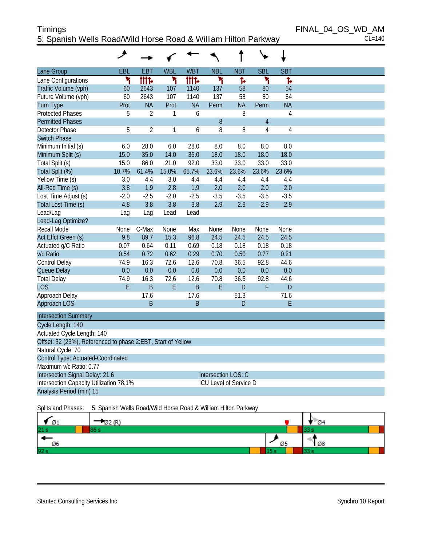# Timings FINAL\_04\_OS\_WD\_AM 5: Spanish Wells Road/Wild Horse Road & William Hilton Parkway CL=140

|                                                              | ۸            |                |              |                |                     |                        |                |                |  |
|--------------------------------------------------------------|--------------|----------------|--------------|----------------|---------------------|------------------------|----------------|----------------|--|
| Lane Group                                                   | EBL          | <b>EBT</b>     | <b>WBL</b>   | <b>WBT</b>     | <b>NBL</b>          | <b>NBT</b>             | <b>SBL</b>     | <b>SBT</b>     |  |
| Lane Configurations                                          | ۲            | <b>tttt</b>    | ۲            | <b>tttt</b>    | ۲                   | Ъ                      | ۲              | Ъ              |  |
| Traffic Volume (vph)                                         | 60           | 2643           | 107          | 1140           | 137                 | 58                     | 80             | 54             |  |
| Future Volume (vph)                                          | 60           | 2643           | 107          | 1140           | 137                 | 58                     | 80             | 54             |  |
| <b>Turn Type</b>                                             | Prot         | <b>NA</b>      | Prot         | <b>NA</b>      | Perm                | <b>NA</b>              | Perm           | <b>NA</b>      |  |
| <b>Protected Phases</b>                                      | 5            | $\overline{2}$ | 1            | 6              |                     | 8                      |                | 4              |  |
| <b>Permitted Phases</b>                                      |              |                |              |                | 8                   |                        | $\overline{4}$ |                |  |
| <b>Detector Phase</b>                                        | 5            | $\overline{2}$ | 1            | 6              | 8                   | 8                      | $\overline{4}$ | $\overline{4}$ |  |
| <b>Switch Phase</b>                                          |              |                |              |                |                     |                        |                |                |  |
| Minimum Initial (s)                                          | 6.0          | 28.0           | 6.0          | 28.0           | 8.0                 | 8.0                    | 8.0            | 8.0            |  |
| Minimum Split (s)                                            | 15.0         | 35.0           | 14.0         | 35.0           | 18.0                | 18.0                   | 18.0           | 18.0           |  |
| Total Split (s)                                              | 15.0         | 86.0           | 21.0         | 92.0           | 33.0                | 33.0                   | 33.0           | 33.0           |  |
| Total Split (%)                                              | 10.7%        | 61.4%          | 15.0%        | 65.7%          | 23.6%               | 23.6%                  | 23.6%          | 23.6%          |  |
| Yellow Time (s)                                              | 3.0          | 4.4            | 3.0          | 4.4            | 4.4                 | 4.4                    | 4.4            | 4.4            |  |
| All-Red Time (s)                                             | 3.8          | 1.9            | 2.8          | 1.9            | 2.0                 | 2.0                    | 2.0            | 2.0            |  |
| Lost Time Adjust (s)                                         | $-2.0$       | $-2.5$         | $-2.0$       | $-2.5$         | $-3.5$              | $-3.5$                 | $-3.5$         | $-3.5$         |  |
| Total Lost Time (s)                                          | 4.8          | 3.8            | 3.8          | 3.8            | 2.9                 | 2.9                    | 2.9            | 2.9            |  |
| Lead/Lag                                                     | Lag          | Lag            | Lead         | Lead           |                     |                        |                |                |  |
| Lead-Lag Optimize?                                           |              |                |              |                |                     |                        |                |                |  |
| Recall Mode                                                  | <b>None</b>  | C-Max          | None         | Max            | None                | <b>None</b>            | None           | None           |  |
| Act Effct Green (s)                                          | 9.8          | 89.7           | 15.3         | 96.8           | 24.5                | 24.5                   | 24.5           | 24.5<br>0.18   |  |
| Actuated g/C Ratio<br>v/c Ratio                              | 0.07<br>0.54 | 0.64<br>0.72   | 0.11<br>0.62 | 0.69<br>0.29   | 0.18<br>0.70        | 0.18<br>0.50           | 0.18<br>0.77   | 0.21           |  |
| Control Delay                                                | 74.9         | 16.3           | 72.6         | 12.6           | 70.8                | 36.5                   | 92.8           | 44.6           |  |
| Queue Delay                                                  | 0.0          | 0.0            | 0.0          | 0.0            | 0.0                 | 0.0                    | 0.0            | 0.0            |  |
| <b>Total Delay</b>                                           | 74.9         | 16.3           | 72.6         | 12.6           | 70.8                | 36.5                   | 92.8           | 44.6           |  |
| <b>LOS</b>                                                   | E            | B              | E            | $\overline{B}$ | E                   | $\mathsf{D}$           | F              | $\overline{D}$ |  |
| Approach Delay                                               |              | 17.6           |              | 17.6           |                     | 51.3                   |                | 71.6           |  |
| Approach LOS                                                 |              | B              |              | B              |                     | $\mathsf D$            |                | E              |  |
|                                                              |              |                |              |                |                     |                        |                |                |  |
| <b>Intersection Summary</b>                                  |              |                |              |                |                     |                        |                |                |  |
| Cycle Length: 140                                            |              |                |              |                |                     |                        |                |                |  |
| Actuated Cycle Length: 140                                   |              |                |              |                |                     |                        |                |                |  |
| Offset: 32 (23%), Referenced to phase 2:EBT, Start of Yellow |              |                |              |                |                     |                        |                |                |  |
| Natural Cycle: 70                                            |              |                |              |                |                     |                        |                |                |  |
| Control Type: Actuated-Coordinated                           |              |                |              |                |                     |                        |                |                |  |
| Maximum v/c Ratio: 0.77                                      |              |                |              |                |                     |                        |                |                |  |
| Intersection Signal Delay: 21.6                              |              |                |              |                | Intersection LOS: C |                        |                |                |  |
| Intersection Capacity Utilization 78.1%                      |              |                |              |                |                     | ICU Level of Service D |                |                |  |
| Analysis Period (min) 15                                     |              |                |              |                |                     |                        |                |                |  |
|                                                              |              |                |              |                |                     |                        |                |                |  |

Splits and Phases: 5: Spanish Wells Road/Wild Horse Road & William Hilton Parkway

| Ø1   |   |             | $\mathcal{D}$ 4 |  |
|------|---|-------------|-----------------|--|
| 21s  |   |             |                 |  |
| Ø6   |   | <u>ני ש</u> | Ø8              |  |
| 92 s | ÷ |             |                 |  |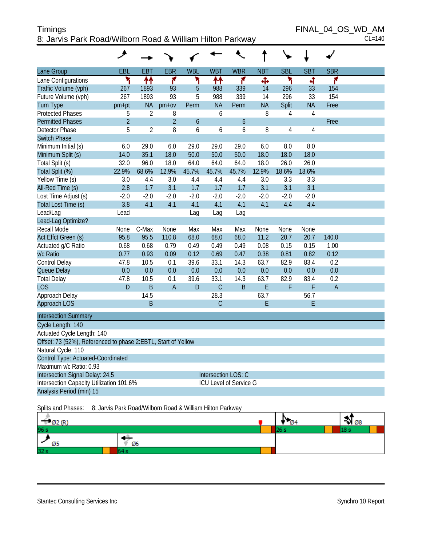#### Timings FINAL\_04\_OS\_WD\_AM 8: Jarvis Park Road/Wilborn Road & William Hilton Parkway CL=140

|                                                               | عر             |                |                |            |                        |               |            |            |                |            |  |
|---------------------------------------------------------------|----------------|----------------|----------------|------------|------------------------|---------------|------------|------------|----------------|------------|--|
| Lane Group                                                    | EBL            | <b>EBT</b>     | <b>EBR</b>     | <b>WBL</b> | <b>WBT</b>             | <b>WBR</b>    | <b>NBT</b> | <b>SBL</b> | <b>SBT</b>     | <b>SBR</b> |  |
| Lane Configurations                                           | ۲              | ቶቶ             | ۴              | ۲          | ↟↟                     | ۴             | Ф          | ۲          | 4              | ۴          |  |
| Traffic Volume (vph)                                          | 267            | 1893           | 93             | 5          | 988                    | 339           | 14         | 296        | 33             | 154        |  |
| Future Volume (vph)                                           | 267            | 1893           | 93             | 5          | 988                    | 339           | 14         | 296        | 33             | 154        |  |
| <b>Turn Type</b>                                              | $pm+pt$        | <b>NA</b>      | $pm+ov$        | Perm       | <b>NA</b>              | Perm          | <b>NA</b>  | Split      | <b>NA</b>      | Free       |  |
| <b>Protected Phases</b>                                       | 5              | $\overline{2}$ | 8              |            | 6                      |               | 8          | 4          | $\overline{4}$ |            |  |
| <b>Permitted Phases</b>                                       | $\overline{2}$ |                | $\overline{2}$ | 6          |                        | $\mathfrak b$ |            |            |                | Free       |  |
| Detector Phase                                                | 5              | $\overline{2}$ | 8              | 6          | 6                      | 6             | 8          | 4          | 4              |            |  |
| <b>Switch Phase</b>                                           |                |                |                |            |                        |               |            |            |                |            |  |
| Minimum Initial (s)                                           | 6.0            | 29.0           | 6.0            | 29.0       | 29.0                   | 29.0          | 6.0        | 8.0        | 8.0            |            |  |
| Minimum Split (s)                                             | 14.0           | 35.1           | 18.0           | 50.0       | 50.0                   | 50.0          | 18.0       | 18.0       | 18.0           |            |  |
| Total Split (s)                                               | 32.0           | 96.0           | 18.0           | 64.0       | 64.0                   | 64.0          | 18.0       | 26.0       | 26.0           |            |  |
| Total Split (%)                                               | 22.9%          | 68.6%          | 12.9%          | 45.7%      | 45.7%                  | 45.7%         | 12.9%      | 18.6%      | 18.6%          |            |  |
| Yellow Time (s)                                               | 3.0            | 4.4            | 3.0            | 4.4        | 4.4                    | 4.4           | 3.0        | 3.3        | 3.3            |            |  |
| All-Red Time (s)                                              | 2.8            | 1.7            | 3.1            | 1.7        | 1.7                    | 1.7           | 3.1        | 3.1        | 3.1            |            |  |
| Lost Time Adjust (s)                                          | $-2.0$         | $-2.0$         | $-2.0$         | $-2.0$     | $-2.0$                 | $-2.0$        | $-2.0$     | $-2.0$     | $-2.0$         |            |  |
| Total Lost Time (s)                                           | 3.8            | 4.1            | 4.1            | 4.1        | 4.1                    | 4.1           | 4.1        | 4.4        | 4.4            |            |  |
| Lead/Lag                                                      | Lead           |                |                | Lag        | Lag                    | Lag           |            |            |                |            |  |
| Lead-Lag Optimize?                                            |                |                |                |            |                        |               |            |            |                |            |  |
| Recall Mode                                                   | None           | C-Max          | None           | Max        | Max                    | Max           | None       | None       | None           |            |  |
| Act Effct Green (s)                                           | 95.8           | 95.5           | 110.8          | 68.0       | 68.0                   | 68.0          | 11.2       | 20.7       | 20.7           | 140.0      |  |
| Actuated g/C Ratio                                            | 0.68           | 0.68           | 0.79           | 0.49       | 0.49                   | 0.49          | 0.08       | 0.15       | 0.15           | 1.00       |  |
| v/c Ratio                                                     | 0.77           | 0.93           | 0.09           | 0.12       | 0.69                   | 0.47          | 0.38       | 0.81       | 0.82           | 0.12       |  |
| Control Delay                                                 | 47.8           | 10.5           | 0.1            | 39.6       | 33.1                   | 14.3          | 63.7       | 82.9       | 83.4           | 0.2        |  |
| Queue Delay                                                   | 0.0            | 0.0            | 0.0            | 0.0        | 0.0                    | 0.0           | 0.0        | 0.0        | 0.0            | 0.0        |  |
| <b>Total Delay</b>                                            | 47.8           | 10.5           | 0.1            | 39.6       | 33.1                   | 14.3          | 63.7       | 82.9       | 83.4           | 0.2        |  |
| <b>LOS</b>                                                    | D              | B              | $\overline{A}$ | D          | $\overline{C}$         | B             | E          | F          | F              | A          |  |
| Approach Delay                                                |                | 14.5           |                |            | 28.3                   |               | 63.7       |            | 56.7           |            |  |
| Approach LOS                                                  |                | B              |                |            | $\overline{C}$         |               | E          |            | E              |            |  |
| <b>Intersection Summary</b>                                   |                |                |                |            |                        |               |            |            |                |            |  |
| Cycle Length: 140                                             |                |                |                |            |                        |               |            |            |                |            |  |
| Actuated Cycle Length: 140                                    |                |                |                |            |                        |               |            |            |                |            |  |
| Offset: 73 (52%), Referenced to phase 2:EBTL, Start of Yellow |                |                |                |            |                        |               |            |            |                |            |  |
| Natural Cycle: 110                                            |                |                |                |            |                        |               |            |            |                |            |  |
| Control Type: Actuated-Coordinated                            |                |                |                |            |                        |               |            |            |                |            |  |
| Maximum v/c Ratio: 0.93                                       |                |                |                |            |                        |               |            |            |                |            |  |
| Intersection Signal Delay: 24.5                               |                |                |                |            | Intersection LOS: C    |               |            |            |                |            |  |
| Intersection Capacity Utilization 101.6%                      |                |                |                |            | ICU Level of Service G |               |            |            |                |            |  |
| Analysis Period (min) 15                                      |                |                |                |            |                        |               |            |            |                |            |  |
|                                                               |                |                |                |            |                        |               |            |            |                |            |  |

Splits and Phases: 8: Jarvis Park Road/Wilborn Road & William Hilton Parkway

|                 |    | Ø4 | $\rightarrow 08$ |  |
|-----------------|----|----|------------------|--|
| 96 s            |    |    |                  |  |
| Ø5              | Ø6 |    |                  |  |
| 32 <sub>s</sub> |    |    |                  |  |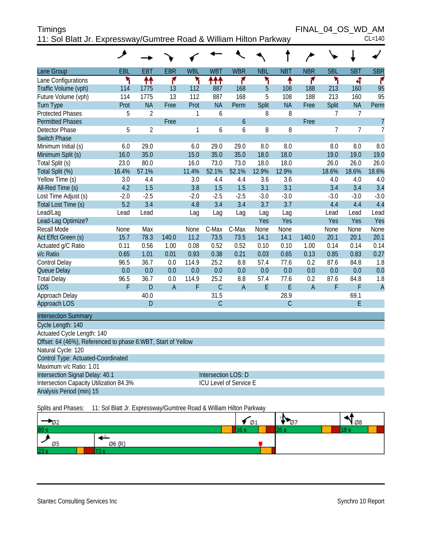| Timings                                                            | FINAL 04 OS WD AM |
|--------------------------------------------------------------------|-------------------|
| 11: Sol Blatt Jr. Expressway/Gumtree Road & William Hilton Parkway | $CL=140$          |

|                                                              | ᢣ      |                |                |            |                |                        |            | Î              | $\overline{\phantom{a}}$ |            |                |                |
|--------------------------------------------------------------|--------|----------------|----------------|------------|----------------|------------------------|------------|----------------|--------------------------|------------|----------------|----------------|
| Lane Group                                                   | EBL    | EBT            | <b>EBR</b>     | <b>WBL</b> | <b>WBT</b>     | <b>WBR</b>             | <b>NBL</b> | <b>NBT</b>     | <b>NBR</b>               | <b>SBL</b> | <b>SBT</b>     | <b>SBR</b>     |
| Lane Configurations                                          | ۲      | 林              | ۴              | ۲          | ተተተ            | ۴                      | ۲          | ۸              | ۴                        | ۳          | 4              | ۴              |
| Traffic Volume (vph)                                         | 114    | 1775           | 13             | 112        | 887            | 168                    | 5          | 108            | 188                      | 213        | 160            | 95             |
| Future Volume (vph)                                          | 114    | 1775           | 13             | 112        | 887            | 168                    | 5          | 108            | 188                      | 213        | 160            | 95             |
| <b>Turn Type</b>                                             | Prot   | <b>NA</b>      | Free           | Prot       | <b>NA</b>      | Perm                   | Split      | <b>NA</b>      | Free                     | Split      | <b>NA</b>      | Perm           |
| <b>Protected Phases</b>                                      | 5      | $\overline{2}$ |                | 1          | 6              |                        | 8          | 8              |                          | 7          | $\overline{7}$ |                |
| <b>Permitted Phases</b>                                      |        |                | Free           |            |                | 6                      |            |                | Free                     |            |                | $\overline{7}$ |
| <b>Detector Phase</b>                                        | 5      | $\overline{2}$ |                | 1          | 6              | 6                      | 8          | 8              |                          | 7          | $\overline{7}$ | $\overline{1}$ |
| <b>Switch Phase</b>                                          |        |                |                |            |                |                        |            |                |                          |            |                |                |
| Minimum Initial (s)                                          | 6.0    | 29.0           |                | 6.0        | 29.0           | 29.0                   | 8.0        | 8.0            |                          | 8.0        | 8.0            | 8.0            |
| Minimum Split (s)                                            | 16.0   | 35.0           |                | 15.0       | 35.0           | 35.0                   | 18.0       | 18.0           |                          | 19.0       | 19.0           | 19.0           |
| Total Split (s)                                              | 23.0   | 80.0           |                | 16.0       | 73.0           | 73.0                   | 18.0       | 18.0           |                          | 26.0       | 26.0           | 26.0           |
| Total Split (%)                                              | 16.4%  | 57.1%          |                | 11.4%      | 52.1%          | 52.1%                  | 12.9%      | 12.9%          |                          | 18.6%      | 18.6%          | 18.6%          |
| Yellow Time (s)                                              | 3.0    | 4.4            |                | 3.0        | 4.4            | 4.4                    | 3.6        | 3.6            |                          | 4.0        | 4.0            | 4.0            |
| All-Red Time (s)                                             | 4.2    | 1.5            |                | 3.8        | 1.5            | 1.5                    | 3.1        | 3.1            |                          | 3.4        | 3.4            | 3.4            |
| Lost Time Adjust (s)                                         | $-2.0$ | $-2.5$         |                | $-2.0$     | $-2.5$         | $-2.5$                 | $-3.0$     | $-3.0$         |                          | $-3.0$     | $-3.0$         | $-3.0$         |
| Total Lost Time (s)                                          | 5.2    | 3.4            |                | 4.8        | 3.4            | 3.4                    | 3.7        | 3.7            |                          | 4.4        | 4.4            | 4.4            |
| Lead/Lag                                                     | Lead   | Lead           |                | Lag        | Lag            | Lag                    | Lag        | Lag            |                          | Lead       | Lead           | Lead           |
| Lead-Lag Optimize?                                           |        |                |                |            |                |                        | Yes        | Yes            |                          | Yes        | Yes            | Yes            |
| Recall Mode                                                  | None   | Max            |                | None       | C-Max          | C-Max                  | None       | None           |                          | None       | None           | None           |
| Act Effct Green (s)                                          | 15.7   | 78.3           | 140.0          | 11.2       | 73.5           | 73.5                   | 14.1       | 14.1           | 140.0                    | 20.1       | 20.1           | 20.1           |
| Actuated g/C Ratio                                           | 0.11   | 0.56           | 1.00           | 0.08       | 0.52           | 0.52                   | 0.10       | 0.10           | 1.00                     | 0.14       | 0.14           | 0.14           |
| v/c Ratio                                                    | 0.65   | 1.01           | 0.01           | 0.93       | 0.38           | 0.21                   | 0.03       | 0.65           | 0.13                     | 0.85       | 0.83           | 0.27           |
| Control Delay                                                | 96.5   | 36.7           | 0.0            | 114.9      | 25.2           | 8.8                    | 57.4       | 77.6           | 0.2                      | 87.6       | 84.8           | 1.8            |
| Queue Delay                                                  | 0.0    | 0.0            | 0.0            | 0.0        | 0.0            | 0.0                    | 0.0        | 0.0            | 0.0                      | 0.0        | 0.0            | 0.0            |
| <b>Total Delay</b>                                           | 96.5   | 36.7           | 0.0            | 114.9      | 25.2           | 8.8                    | 57.4       | 77.6           | 0.2                      | 87.6       | 84.8           | 1.8            |
| <b>LOS</b>                                                   | F      | $\mathsf{D}$   | $\overline{A}$ | F          | $\mathsf{C}$   | $\overline{A}$         | E          | E              | $\overline{A}$           | F          | F              | $\overline{A}$ |
| Approach Delay                                               |        | 40.0           |                |            | 31.5           |                        |            | 28.9           |                          |            | 69.1           |                |
| Approach LOS                                                 |        | $\overline{D}$ |                |            | $\overline{C}$ |                        |            | $\overline{C}$ |                          |            | E              |                |
| <b>Intersection Summary</b>                                  |        |                |                |            |                |                        |            |                |                          |            |                |                |
| Cycle Length: 140                                            |        |                |                |            |                |                        |            |                |                          |            |                |                |
| Actuated Cycle Length: 140                                   |        |                |                |            |                |                        |            |                |                          |            |                |                |
| Offset: 64 (46%), Referenced to phase 6:WBT, Start of Yellow |        |                |                |            |                |                        |            |                |                          |            |                |                |
| Natural Cycle: 120                                           |        |                |                |            |                |                        |            |                |                          |            |                |                |
| Control Type: Actuated-Coordinated                           |        |                |                |            |                |                        |            |                |                          |            |                |                |
| Maximum v/c Ratio: 1.01                                      |        |                |                |            |                |                        |            |                |                          |            |                |                |
| Intersection Signal Delay: 40.1                              |        |                |                |            |                | Intersection LOS: D    |            |                |                          |            |                |                |
| Intersection Capacity Utilization 84.3%                      |        |                |                |            |                | ICU Level of Service E |            |                |                          |            |                |                |
| Analysis Period (min) 15                                     |        |                |                |            |                |                        |            |                |                          |            |                |                |

Splits and Phases: 11: Sol Blatt Jr. Expressway/Gumtree Road & William Hilton Parkway

| v.   |        | Ø1   | ъ.<br>- 07 | Ø8 |
|------|--------|------|------------|----|
| 80 s |        | IO S |            |    |
| Ø5   | Ø6 (R) |      |            |    |
| 23 s |        |      |            |    |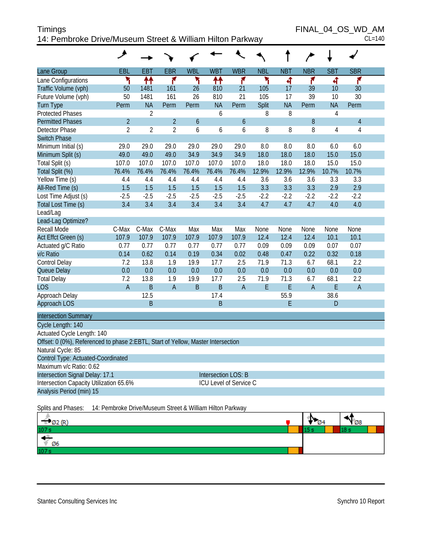| Timings                                                   | FINAL 04 OS WD AM |
|-----------------------------------------------------------|-------------------|
| 14: Pembroke Drive/Museum Street & William Hilton Parkway | $CL=140$          |

 $FINAL_04_OS_WD_AM_{CL=140}$ 

|                                                                                  | عر             |                |                |                  |                        |                  |              |            |                |                |                |  |
|----------------------------------------------------------------------------------|----------------|----------------|----------------|------------------|------------------------|------------------|--------------|------------|----------------|----------------|----------------|--|
| Lane Group                                                                       | EBL            | <b>EBT</b>     | <b>EBR</b>     | <b>WBL</b>       | <b>WBT</b>             | <b>WBR</b>       | <b>NBL</b>   | <b>NBT</b> | <b>NBR</b>     | <b>SBT</b>     | <b>SBR</b>     |  |
| Lane Configurations                                                              | ۳              | ↟↟             | ۴              | ۲                | ₩                      | ۴                | ۲            | 4          | ۴              | 4              | ۴              |  |
| Traffic Volume (vph)                                                             | 50             | 1481           | 161            | 26               | 810                    | 21               | 105          | 17         | 39             | 10             | 30             |  |
| Future Volume (vph)                                                              | 50             | 1481           | 161            | 26               | 810                    | 21               | 105          | 17         | 39             | 10             | 30             |  |
| <b>Turn Type</b>                                                                 | Perm           | <b>NA</b>      | Perm           | Perm             | <b>NA</b>              | Perm             | <b>Split</b> | <b>NA</b>  | Perm           | <b>NA</b>      | Perm           |  |
| <b>Protected Phases</b>                                                          |                | $\overline{2}$ |                |                  | 6                      |                  | 8            | 8          |                | 4              |                |  |
| <b>Permitted Phases</b>                                                          | $\overline{2}$ |                | $\overline{2}$ | $\boldsymbol{6}$ |                        | $\boldsymbol{6}$ |              |            | 8              |                | $\overline{4}$ |  |
| Detector Phase                                                                   | $\overline{2}$ | $\overline{2}$ | $\overline{2}$ | 6                | 6                      | 6                | 8            | 8          | 8              | $\overline{4}$ | 4              |  |
| <b>Switch Phase</b>                                                              |                |                |                |                  |                        |                  |              |            |                |                |                |  |
| Minimum Initial (s)                                                              | 29.0           | 29.0           | 29.0           | 29.0             | 29.0                   | 29.0             | 8.0          | 8.0        | 8.0            | 6.0            | 6.0            |  |
| Minimum Split (s)                                                                | 49.0           | 49.0           | 49.0           | 34.9             | 34.9                   | 34.9             | 18.0         | 18.0       | 18.0           | 15.0           | 15.0           |  |
| Total Split (s)                                                                  | 107.0          | 107.0          | 107.0          | 107.0            | 107.0                  | 107.0            | 18.0         | 18.0       | 18.0           | 15.0           | 15.0           |  |
| Total Split (%)                                                                  | 76.4%          | 76.4%          | 76.4%          | 76.4%            | 76.4%                  | 76.4%            | 12.9%        | 12.9%      | 12.9%          | 10.7%          | 10.7%          |  |
| Yellow Time (s)                                                                  | 4.4            | 4.4            | 4.4            | 4.4              | 4.4                    | 4.4              | 3.6          | 3.6        | 3.6            | 3.3            | 3.3            |  |
| All-Red Time (s)                                                                 | 1.5            | 1.5            | 1.5            | 1.5              | 1.5                    | 1.5              | 3.3          | 3.3        | 3.3            | 2.9            | 2.9            |  |
| Lost Time Adjust (s)                                                             | $-2.5$         | $-2.5$         | $-2.5$         | $-2.5$           | $-2.5$                 | $-2.5$           | $-2.2$       | $-2.2$     | $-2.2$         | $-2.2$         | $-2.2$         |  |
| Total Lost Time (s)                                                              | 3.4            | 3.4            | 3.4            | 3.4              | 3.4                    | 3.4              | 4.7          | 4.7        | 4.7            | 4.0            | 4.0            |  |
| Lead/Lag                                                                         |                |                |                |                  |                        |                  |              |            |                |                |                |  |
| Lead-Lag Optimize?                                                               |                |                |                |                  |                        |                  |              |            |                |                |                |  |
| Recall Mode                                                                      | C-Max          | C-Max          | C-Max          | Max              | Max                    | Max              | None         | None       | None           | None           | None           |  |
| Act Effct Green (s)                                                              | 107.9          | 107.9          | 107.9          | 107.9            | 107.9                  | 107.9            | 12.4         | 12.4       | 12.4           | 10.1           | 10.1           |  |
| Actuated g/C Ratio                                                               | 0.77           | 0.77           | 0.77           | 0.77             | 0.77                   | 0.77             | 0.09         | 0.09       | 0.09           | 0.07           | 0.07           |  |
| v/c Ratio                                                                        | 0.14           | 0.62           | 0.14           | 0.19             | 0.34                   | 0.02             | 0.48         | 0.47       | 0.22           | 0.32           | 0.18           |  |
| Control Delay                                                                    | 7.2            | 13.8           | 1.9            | 19.9             | 17.7                   | 2.5              | 71.9         | 71.3       | 6.7            | 68.1           | 2.2            |  |
| Queue Delay                                                                      | 0.0            | 0.0            | 0.0            | 0.0              | 0.0                    | 0.0              | 0.0          | 0.0        | 0.0            | 0.0            | 0.0            |  |
| <b>Total Delay</b>                                                               | 7.2            | 13.8           | 1.9            | 19.9             | 17.7                   | 2.5              | 71.9         | 71.3       | 6.7            | 68.1           | 2.2            |  |
| <b>LOS</b>                                                                       | A              | B              | $\overline{A}$ | $\sf B$          | $\mathsf B$            | $\sf A$          | E            | E          | $\overline{A}$ | E              | $\mathsf A$    |  |
| Approach Delay                                                                   |                | 12.5           |                |                  | 17.4                   |                  |              | 55.9       |                | 38.6           |                |  |
| Approach LOS                                                                     |                | B              |                |                  | $\mathsf B$            |                  |              | E          |                | D              |                |  |
| <b>Intersection Summary</b>                                                      |                |                |                |                  |                        |                  |              |            |                |                |                |  |
| Cycle Length: 140                                                                |                |                |                |                  |                        |                  |              |            |                |                |                |  |
| Actuated Cycle Length: 140                                                       |                |                |                |                  |                        |                  |              |            |                |                |                |  |
| Offset: 0 (0%), Referenced to phase 2:EBTL, Start of Yellow, Master Intersection |                |                |                |                  |                        |                  |              |            |                |                |                |  |
| Natural Cycle: 85                                                                |                |                |                |                  |                        |                  |              |            |                |                |                |  |
| Control Type: Actuated-Coordinated                                               |                |                |                |                  |                        |                  |              |            |                |                |                |  |
| Maximum v/c Ratio: 0.62                                                          |                |                |                |                  |                        |                  |              |            |                |                |                |  |
| Intersection Signal Delay: 17.1                                                  |                |                |                |                  | Intersection LOS: B    |                  |              |            |                |                |                |  |
| Intersection Capacity Utilization 65.6%                                          |                |                |                |                  | ICU Level of Service C |                  |              |            |                |                |                |  |
| Analysis Period (min) 15                                                         |                |                |                |                  |                        |                  |              |            |                |                |                |  |
| Splits and Phases: 14: Pembroke Drive/Museum Street & William Hilton Parkway     |                |                |                |                  |                        |                  |              |            |                |                |                |  |

| $\frac{102(R)}{107s}$ | т.<br>Ø4 | $\sqrt{28}$ |  |
|-----------------------|----------|-------------|--|
|                       |          |             |  |
| $\sqrt{06}$           |          |             |  |
| 107 <sub>s</sub>      |          |             |  |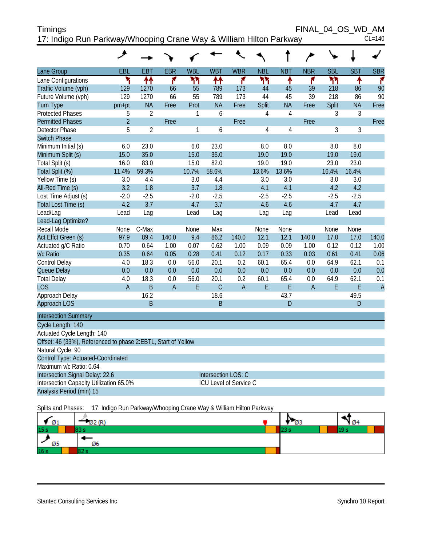| <b>Timings</b>                                                     | FINAL 04 OS WD AM |  |          |
|--------------------------------------------------------------------|-------------------|--|----------|
| 17: Indigo Run Parkway/Whooping Crane Way & William Hilton Parkway |                   |  | $CL=140$ |

|                                                               | عر             |                |                |              |                        |                |                |                |                |                |                |                |
|---------------------------------------------------------------|----------------|----------------|----------------|--------------|------------------------|----------------|----------------|----------------|----------------|----------------|----------------|----------------|
| Lane Group                                                    | EBL            | <b>EBT</b>     | EBR            | <b>WBL</b>   | <b>WBT</b>             | <b>WBR</b>     | <b>NBL</b>     | <b>NBT</b>     | <b>NBR</b>     | <b>SBL</b>     | <b>SBT</b>     | <b>SBR</b>     |
| Lane Configurations                                           | ۲              | ↟↟             | ۴              | ካካ           | ተተ                     | ۴              | ካካ             | ↟              | ۴              | ሻሻ             | ↟              | ۴              |
| Traffic Volume (vph)                                          | 129            | 1270           | 66             | 55           | 789                    | 173            | 44             | 45             | 39             | 218            | 86             | 90             |
| Future Volume (vph)                                           | 129            | 1270           | 66             | 55           | 789                    | 173            | 44             | 45             | 39             | 218            | 86             | 90             |
| <b>Turn Type</b>                                              | pm+pt          | <b>NA</b>      | Free           | Prot         | <b>NA</b>              | Free           | Split          | <b>NA</b>      | Free           | Split          | <b>NA</b>      | Free           |
| <b>Protected Phases</b>                                       | 5              | $\overline{2}$ |                | 1            | 6                      |                | 4              | $\overline{4}$ |                | 3              | 3              |                |
| <b>Permitted Phases</b>                                       | $\overline{2}$ |                | Free           |              |                        | Free           |                |                | Free           |                |                | Free           |
| <b>Detector Phase</b>                                         | 5              | $\overline{2}$ |                | $\mathbf{1}$ | 6                      |                | $\overline{4}$ | $\overline{4}$ |                | $\overline{3}$ | $\overline{3}$ |                |
| <b>Switch Phase</b>                                           |                |                |                |              |                        |                |                |                |                |                |                |                |
| Minimum Initial (s)                                           | 6.0            | 23.0           |                | 6.0          | 23.0                   |                | 8.0            | 8.0            |                | 8.0            | 8.0            |                |
| Minimum Split (s)                                             | 15.0           | 35.0           |                | 15.0         | 35.0                   |                | 19.0           | 19.0           |                | 19.0           | 19.0           |                |
| Total Split (s)                                               | 16.0           | 83.0           |                | 15.0         | 82.0                   |                | 19.0           | 19.0           |                | 23.0           | 23.0           |                |
| Total Split (%)                                               | 11.4%          | 59.3%          |                | 10.7%        | 58.6%                  |                | 13.6%          | 13.6%          |                | 16.4%          | 16.4%          |                |
| Yellow Time (s)                                               | 3.0            | 4.4            |                | 3.0          | 4.4                    |                | 3.0            | 3.0            |                | 3.0            | 3.0            |                |
| All-Red Time (s)                                              | 3.2            | 1.8            |                | 3.7          | 1.8                    |                | 4.1            | 4.1            |                | 4.2            | 4.2            |                |
| Lost Time Adjust (s)                                          | $-2.0$         | $-2.5$         |                | $-2.0$       | $-2.5$                 |                | $-2.5$         | $-2.5$         |                | $-2.5$         | $-2.5$         |                |
| Total Lost Time (s)                                           | 4.2            | 3.7            |                | 4.7          | 3.7                    |                | 4.6            | 4.6            |                | 4.7            | 4.7            |                |
| Lead/Lag                                                      | Lead           | Lag            |                | Lead         | Lag                    |                | Lag            | Lag            |                | Lead           | Lead           |                |
| Lead-Lag Optimize?                                            |                |                |                |              |                        |                |                |                |                |                |                |                |
| Recall Mode                                                   | None           | C-Max          |                | None         | Max                    |                | None           | None           |                | None           | None           |                |
| Act Effct Green (s)                                           | 97.9           | 89.4           | 140.0          | 9.4          | 86.2                   | 140.0          | 12.1           | 12.1           | 140.0          | 17.0           | 17.0           | 140.0          |
| Actuated g/C Ratio                                            | 0.70           | 0.64           | 1.00           | 0.07         | 0.62                   | 1.00           | 0.09           | 0.09           | 1.00           | 0.12           | 0.12           | 1.00           |
| v/c Ratio                                                     | 0.35           | 0.64           | 0.05           | 0.28         | 0.41                   | 0.12           | 0.17           | 0.33           | 0.03           | 0.61           | 0.41           | 0.06           |
| Control Delay                                                 | 4.0            | 18.3           | 0.0            | 56.0         | 20.1                   | 0.2            | 60.1           | 65.4           | 0.0            | 64.9           | 62.1           | 0.1            |
| Queue Delay                                                   | 0.0            | 0.0            | 0.0            | 0.0          | 0.0                    | 0.0            | 0.0            | 0.0            | 0.0            | 0.0            | 0.0            | 0.0            |
| <b>Total Delay</b>                                            | 4.0            | 18.3           | 0.0            | 56.0         | 20.1                   | 0.2            | 60.1           | 65.4           | 0.0            | 64.9           | 62.1           | 0.1            |
| <b>LOS</b>                                                    | $\overline{A}$ | B              | $\overline{A}$ | E            | $\overline{C}$         | $\overline{A}$ | E              | E              | $\overline{A}$ | E              | E              | $\overline{A}$ |
| Approach Delay                                                |                | 16.2           |                |              | 18.6                   |                |                | 43.7           |                |                | 49.5           |                |
| Approach LOS                                                  |                | B              |                |              | B                      |                |                | D              |                |                | D              |                |
| <b>Intersection Summary</b>                                   |                |                |                |              |                        |                |                |                |                |                |                |                |
| Cycle Length: 140                                             |                |                |                |              |                        |                |                |                |                |                |                |                |
| Actuated Cycle Length: 140                                    |                |                |                |              |                        |                |                |                |                |                |                |                |
| Offset: 46 (33%), Referenced to phase 2:EBTL, Start of Yellow |                |                |                |              |                        |                |                |                |                |                |                |                |
| Natural Cycle: 90                                             |                |                |                |              |                        |                |                |                |                |                |                |                |
| Control Type: Actuated-Coordinated                            |                |                |                |              |                        |                |                |                |                |                |                |                |
| Maximum v/c Ratio: 0.64                                       |                |                |                |              |                        |                |                |                |                |                |                |                |
| Intersection Signal Delay: 22.6                               |                |                |                |              | Intersection LOS: C    |                |                |                |                |                |                |                |
| Intersection Capacity Utilization 65.0%                       |                |                |                |              | ICU Level of Service C |                |                |                |                |                |                |                |
| Analysis Period (min) 15                                      |                |                |                |              |                        |                |                |                |                |                |                |                |

Splits and Phases: 17: Indigo Run Parkway/Whooping Crane Way & William Hilton Parkway

| Ø1              |    | כש | Y Ø4 |
|-----------------|----|----|------|
| 15 <sub>s</sub> |    |    |      |
| Ø5              | Ø6 |    |      |
| 16 <sub>s</sub> |    |    |      |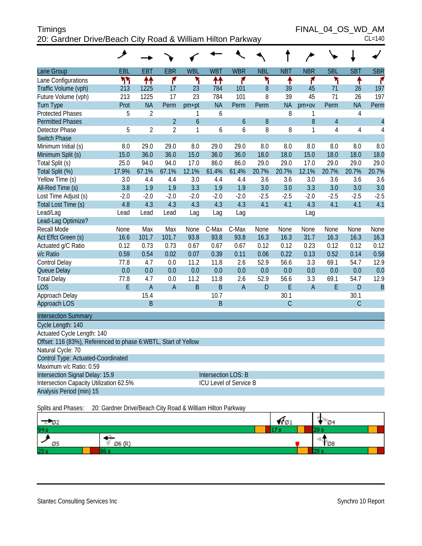| <b>Timings</b>                                             | FINAL 04 OS WD AM |
|------------------------------------------------------------|-------------------|
| 20: Gardner Drive/Beach City Road & William Hilton Parkway | $CL=140$          |

FINAL\_04\_OS\_WD\_AM

|                                                                 | ◢          |                |                |                |            |                        |            |            |            |                |                |                |
|-----------------------------------------------------------------|------------|----------------|----------------|----------------|------------|------------------------|------------|------------|------------|----------------|----------------|----------------|
| Lane Group                                                      | <b>EBL</b> | <b>EBT</b>     | <b>EBR</b>     | <b>WBL</b>     | <b>WBT</b> | <b>WBR</b>             | <b>NBL</b> | <b>NBT</b> | <b>NBR</b> | <b>SBL</b>     | <b>SBT</b>     | <b>SBR</b>     |
| Lane Configurations                                             | ካካ         | 11             | ۴              | ۲              | ቶቶ         | ۴                      | ۲          | ۸          | ۴          | ۲              | ٠              | ۴              |
| Traffic Volume (vph)                                            | 213        | 1225           | 17             | 23             | 784        | 101                    | 8          | 39         | 45         | 71             | 26             | 197            |
| Future Volume (vph)                                             | 213        | 1225           | 17             | 23             | 784        | 101                    | 8          | 39         | 45         | 71             | 26             | 197            |
| <b>Turn Type</b>                                                | Prot       | <b>NA</b>      | Perm           | $pm+pt$        | <b>NA</b>  | Perm                   | Perm       | <b>NA</b>  | $pm+ov$    | Perm           | <b>NA</b>      | Perm           |
| <b>Protected Phases</b>                                         | 5          | $\overline{2}$ |                | 1              | 6          |                        |            | 8          | 1          |                | $\overline{4}$ |                |
| <b>Permitted Phases</b>                                         |            |                | $\overline{2}$ | $\overline{6}$ |            | $\boldsymbol{6}$       | 8          |            | 8          | $\overline{4}$ |                | $\overline{4}$ |
| <b>Detector Phase</b>                                           | 5          | $\overline{2}$ | $\overline{2}$ | $\mathbf{1}$   | 6          | 6                      | 8          | 8          | 1          | 4              | 4              | 4              |
| <b>Switch Phase</b>                                             |            |                |                |                |            |                        |            |            |            |                |                |                |
| Minimum Initial (s)                                             | 8.0        | 29.0           | 29.0           | 8.0            | 29.0       | 29.0                   | 8.0        | 8.0        | 8.0        | 8.0            | 8.0            | 8.0            |
| Minimum Split (s)                                               | 15.0       | 36.0           | 36.0           | 15.0           | 36.0       | 36.0                   | 18.0       | 18.0       | 15.0       | 18.0           | 18.0           | 18.0           |
| Total Split (s)                                                 | 25.0       | 94.0           | 94.0           | 17.0           | 86.0       | 86.0                   | 29.0       | 29.0       | 17.0       | 29.0           | 29.0           | 29.0           |
| Total Split (%)                                                 | 17.9%      | 67.1%          | 67.1%          | 12.1%          | 61.4%      | 61.4%                  | 20.7%      | 20.7%      | 12.1%      | 20.7%          | 20.7%          | 20.7%          |
| Yellow Time (s)                                                 | 3.0        | 4.4            | 4.4            | 3.0            | 4.4        | 4.4                    | 3.6        | 3.6        | 3.0        | 3.6            | 3.6            | 3.6            |
| All-Red Time (s)                                                | 3.8        | 1.9            | 1.9            | 3.3            | 1.9        | 1.9                    | 3.0        | 3.0        | 3.3        | 3.0            | 3.0            | 3.0            |
| Lost Time Adjust (s)                                            | $-2.0$     | $-2.0$         | $-2.0$         | $-2.0$         | $-2.0$     | $-2.0$                 | $-2.5$     | $-2.5$     | $-2.0$     | $-2.5$         | $-2.5$         | $-2.5$         |
| Total Lost Time (s)                                             | 4.8        | 4.3            | 4.3            | 4.3            | 4.3        | 4.3                    | 4.1        | 4.1        | 4.3        | 4.1            | 4.1            | 4.1            |
| Lead/Lag                                                        | Lead       | Lead           | Lead           | Lag            | Lag        | Lag                    |            |            | Lag        |                |                |                |
| Lead-Lag Optimize?                                              |            |                |                |                |            |                        |            |            |            |                |                |                |
| Recall Mode                                                     | None       | Max            | Max            | None           | C-Max      | C-Max                  | None       | None       | None       | None           | None           | None           |
| Act Effct Green (s)                                             | 16.6       | 101.7          | 101.7          | 93.8           | 93.8       | 93.8                   | 16.3       | 16.3       | 31.7       | 16.3           | 16.3           | 16.3           |
| Actuated g/C Ratio                                              | 0.12       | 0.73           | 0.73           | 0.67           | 0.67       | 0.67                   | 0.12       | 0.12       | 0.23       | 0.12           | 0.12           | 0.12           |
| v/c Ratio                                                       | 0.59       | 0.54           | 0.02           | 0.07           | 0.39       | 0.11                   | 0.06       | 0.22       | 0.13       | 0.52           | 0.14           | 0.58           |
| <b>Control Delay</b>                                            | 77.8       | 4.7            | 0.0            | 11.2           | 11.8       | 2.6                    | 52.9       | 56.6       | 3.3        | 69.1           | 54.7           | 12.9           |
| Queue Delay                                                     | 0.0        | 0.0            | 0.0            | 0.0            | 0.0        | 0.0                    | 0.0        | 0.0        | 0.0        | 0.0            | 0.0            | 0.0            |
| <b>Total Delay</b>                                              | 77.8       | 4.7            | 0.0            | 11.2           | 11.8       | 2.6                    | 52.9       | 56.6       | 3.3        | 69.1           | 54.7           | 12.9           |
| <b>LOS</b>                                                      | E          | $\overline{A}$ | A              | $\mathsf B$    | B          | $\overline{A}$         | D          | E          | A          | E              | D              | $\overline{B}$ |
| Approach Delay                                                  |            | 15.4           |                |                | 10.7       |                        |            | 30.1       |            |                | 30.1           |                |
| Approach LOS                                                    |            | B              |                |                | B          |                        |            | C          |            |                | $\overline{C}$ |                |
| <b>Intersection Summary</b>                                     |            |                |                |                |            |                        |            |            |            |                |                |                |
| Cycle Length: 140                                               |            |                |                |                |            |                        |            |            |            |                |                |                |
| Actuated Cycle Length: 140                                      |            |                |                |                |            |                        |            |            |            |                |                |                |
| Offset: 116 (83%), Referenced to phase 6: WBTL, Start of Yellow |            |                |                |                |            |                        |            |            |            |                |                |                |
| Natural Cycle: 70                                               |            |                |                |                |            |                        |            |            |            |                |                |                |
| Control Type: Actuated-Coordinated                              |            |                |                |                |            |                        |            |            |            |                |                |                |
| Maximum v/c Ratio: 0.59                                         |            |                |                |                |            |                        |            |            |            |                |                |                |
| Intersection Signal Delay: 15.9<br><b>Intersection LOS: B</b>   |            |                |                |                |            |                        |            |            |            |                |                |                |
| Intersection Capacity Utilization 62.5%                         |            |                |                |                |            | ICU Level of Service B |            |            |            |                |                |                |
| Analysis Period (min) 15                                        |            |                |                |                |            |                        |            |            |            |                |                |                |
|                                                                 |            |                |                |                |            |                        |            |            |            |                |                |                |

Splits and Phases: 20: Gardner Drive/Beach City Road & William Hilton Parkway

| $\sqrt{2}$ |        | Y 01 | $\blacksquare$ 04 |
|------------|--------|------|-------------------|
| 94s        |        |      |                   |
| Ø5         | Ø6 (R) |      | $\sqrt{28}$       |
| 25s        |        |      |                   |

т τ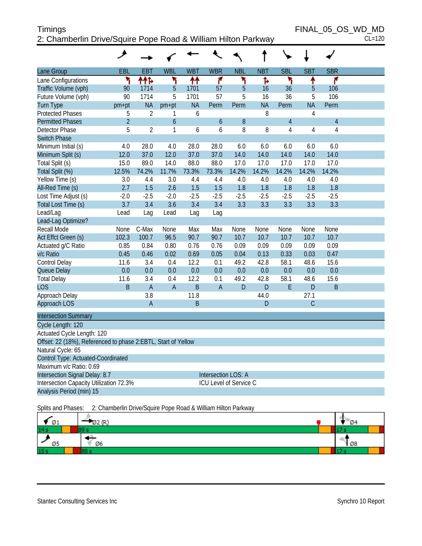# Timings FINAL\_05\_OS\_WD\_MD 2: Chamberlin Drive/Squire Pope Road & William Hilton Parkway CL=120

|                                                               | عر             |                |                |              |                     |                        |            |            |                |                |  |
|---------------------------------------------------------------|----------------|----------------|----------------|--------------|---------------------|------------------------|------------|------------|----------------|----------------|--|
| Lane Group                                                    | EBL            | <b>EBT</b>     | <b>WBL</b>     | <b>WBT</b>   | <b>WBR</b>          | <b>NBL</b>             | <b>NBT</b> | <b>SBL</b> | <b>SBT</b>     | <b>SBR</b>     |  |
| Lane Configurations                                           | ۳              | ተተኑ            | ۲              | ↟↟           | ۴                   | ۲                      | ħ          | ۲          | ↟              | ۴              |  |
| Traffic Volume (vph)                                          | 90             | 1714           | 5              | 1701         | 57                  | 5                      | 16         | 36         | 5              | 106            |  |
| Future Volume (vph)                                           | 90             | 1714           | 5              | 1701         | 57                  | 5                      | 16         | 36         | 5              | 106            |  |
| <b>Turn Type</b>                                              | pm+pt          | <b>NA</b>      | $pm+pt$        | <b>NA</b>    | Perm                | Perm                   | <b>NA</b>  | Perm       | <b>NA</b>      | Perm           |  |
| <b>Protected Phases</b>                                       | 5              | $\overline{2}$ | 1              | 6            |                     |                        | 8          |            | $\overline{4}$ |                |  |
| <b>Permitted Phases</b>                                       | $\overline{2}$ |                | 6              |              | 6                   | 8                      |            | $\sqrt{4}$ |                | $\overline{4}$ |  |
| <b>Detector Phase</b>                                         | 5              | $\overline{2}$ | 1              | 6            | 6                   | 8                      | 8          | 4          | 4              | $\overline{4}$ |  |
| <b>Switch Phase</b>                                           |                |                |                |              |                     |                        |            |            |                |                |  |
| Minimum Initial (s)                                           | 4.0            | 28.0           | 4.0            | 28.0         | 28.0                | 6.0                    | 6.0        | 6.0        | 6.0            | 6.0            |  |
| Minimum Split (s)                                             | 12.0           | 37.0           | 12.0           | 37.0         | 37.0                | 14.0                   | 14.0       | 14.0       | 14.0           | 14.0           |  |
| Total Split (s)                                               | 15.0           | 89.0           | 14.0           | 88.0         | 88.0                | 17.0                   | 17.0       | 17.0       | 17.0           | 17.0           |  |
| Total Split (%)                                               | 12.5%          | 74.2%          | 11.7%          | 73.3%        | 73.3%               | 14.2%                  | 14.2%      | 14.2%      | 14.2%          | 14.2%          |  |
| Yellow Time (s)                                               | 3.0            | 4.4            | 3.0            | 4.4          | 4.4                 | 4.0                    | 4.0        | 4.0        | 4.0            | 4.0            |  |
| All-Red Time (s)                                              | 2.7            | 1.5            | 2.6            | 1.5          | 1.5                 | 1.8                    | 1.8        | 1.8        | 1.8            | 1.8            |  |
| Lost Time Adjust (s)                                          | $-2.0$         | $-2.5$         | $-2.0$         | $-2.5$       | $-2.5$              | $-2.5$                 | $-2.5$     | $-2.5$     | $-2.5$         | $-2.5$         |  |
| Total Lost Time (s)                                           | 3.7            | 3.4            | 3.6            | 3.4          | 3.4                 | 3.3                    | 3.3        | 3.3        | 3.3            | 3.3            |  |
| Lead/Lag                                                      | Lead           | Lag            | Lead           | Lag          | Lag                 |                        |            |            |                |                |  |
| Lead-Lag Optimize?                                            |                |                |                |              |                     |                        |            |            |                |                |  |
| Recall Mode                                                   | None           | C-Max          | None           | Max          | Max                 | None                   | None       | None       | None           | None           |  |
| Act Effct Green (s)                                           | 102.3          | 100.7          | 96.5           | 90.7         | 90.7                | 10.7                   | 10.7       | 10.7       | 10.7           | 10.7           |  |
| Actuated g/C Ratio                                            | 0.85           | 0.84           | 0.80           | 0.76         | 0.76                | 0.09                   | 0.09       | 0.09       | 0.09           | 0.09           |  |
| v/c Ratio                                                     | 0.45           | 0.46           | 0.02           | 0.69         | 0.05                | 0.04                   | 0.13       | 0.33       | 0.03           | 0.47           |  |
| Control Delay                                                 | 11.6           | 3.4            | 0.4            | 12.2         | 0.1                 | 49.2                   | 42.8       | 58.1       | 48.6           | 15.6           |  |
| Queue Delay                                                   | 0.0            | 0.0            | 0.0            | 0.0          | 0.0                 | 0.0                    | 0.0        | 0.0        | 0.0            | 0.0            |  |
| <b>Total Delay</b>                                            | 11.6           | 3.4            | 0.4            | 12.2         | 0.1                 | 49.2                   | 42.8       | 58.1       | 48.6           | 15.6           |  |
| <b>LOS</b>                                                    | B              | $\overline{A}$ | $\overline{A}$ | B            | $\overline{A}$      | D                      | D          | E          | D              | B              |  |
| Approach Delay                                                |                | 3.8            |                | 11.8         |                     |                        | 44.0       |            | 27.1           |                |  |
| Approach LOS                                                  |                | $\overline{A}$ |                | <sub>B</sub> |                     |                        | D          |            | C              |                |  |
| <b>Intersection Summary</b>                                   |                |                |                |              |                     |                        |            |            |                |                |  |
| Cycle Length: 120                                             |                |                |                |              |                     |                        |            |            |                |                |  |
| Actuated Cycle Length: 120                                    |                |                |                |              |                     |                        |            |            |                |                |  |
| Offset: 22 (18%), Referenced to phase 2:EBTL, Start of Yellow |                |                |                |              |                     |                        |            |            |                |                |  |
| Natural Cycle: 65                                             |                |                |                |              |                     |                        |            |            |                |                |  |
| Control Type: Actuated-Coordinated                            |                |                |                |              |                     |                        |            |            |                |                |  |
| Maximum v/c Ratio: 0.69                                       |                |                |                |              |                     |                        |            |            |                |                |  |
| Intersection Signal Delay: 8.7                                |                |                |                |              | Intersection LOS: A |                        |            |            |                |                |  |
| Intersection Capacity Utilization 72.3%                       |                |                |                |              |                     | ICU Level of Service C |            |            |                |                |  |
| Analysis Period (min) 15                                      |                |                |                |              |                     |                        |            |            |                |                |  |

Splits and Phases: 2: Chamberlin Drive/Squire Pope Road & William Hilton Parkway

| Ø1              | (R)<br>້ | <b>Ø4</b> |
|-----------------|----------|-----------|
| 14s             |          |           |
| Ø5              | Ø6       | Ø8        |
| 15 <sub>s</sub> |          |           |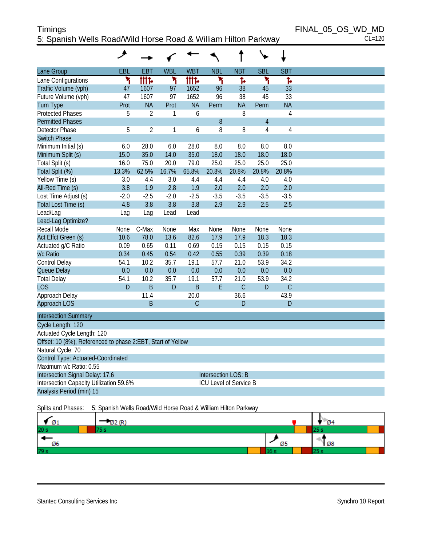# Timings FINAL\_05\_OS\_WD\_MD 5: Spanish Wells Road/Wild Horse Road & William Hilton Parkway CL=120

|                                                             | ۸      |                |            |               |                            |               |                |                |  |
|-------------------------------------------------------------|--------|----------------|------------|---------------|----------------------------|---------------|----------------|----------------|--|
| Lane Group                                                  | EBL    | <b>EBT</b>     | <b>WBL</b> | <b>WBT</b>    | <b>NBL</b>                 | <b>NBT</b>    | <b>SBL</b>     | <b>SBT</b>     |  |
| Lane Configurations                                         | ۲      | <b>tite</b>    | ۲          | <b>tite</b>   | ۲                          | Ъ             | ۲              | Ъ              |  |
| Traffic Volume (vph)                                        | 47     | 1607           | 97         | 1652          | 96                         | 38            | 45             | 33             |  |
| Future Volume (vph)                                         | 47     | 1607           | 97         | 1652          | 96                         | 38            | 45             | 33             |  |
| <b>Turn Type</b>                                            | Prot   | <b>NA</b>      | Prot       | <b>NA</b>     | Perm                       | <b>NA</b>     | Perm           | <b>NA</b>      |  |
| <b>Protected Phases</b>                                     | 5      | $\overline{2}$ | 1          | 6             |                            | 8             |                | 4              |  |
| <b>Permitted Phases</b>                                     |        |                |            |               | 8                          |               | $\overline{4}$ |                |  |
| <b>Detector Phase</b>                                       | 5      | $\overline{2}$ | 1          | 6             | 8                          | 8             | 4              | $\overline{4}$ |  |
| <b>Switch Phase</b>                                         |        |                |            |               |                            |               |                |                |  |
| Minimum Initial (s)                                         | 6.0    | 28.0           | 6.0        | 28.0          | 8.0                        | 8.0           | 8.0            | 8.0            |  |
| Minimum Split (s)                                           | 15.0   | 35.0           | 14.0       | 35.0          | 18.0                       | 18.0          | 18.0           | 18.0           |  |
| Total Split (s)                                             | 16.0   | 75.0           | 20.0       | 79.0          | 25.0                       | 25.0          | 25.0           | 25.0           |  |
| Total Split (%)                                             | 13.3%  | 62.5%          | 16.7%      | 65.8%         | 20.8%                      | 20.8%         | 20.8%          | 20.8%          |  |
| Yellow Time (s)                                             | 3.0    | 4.4            | 3.0        | 4.4           | 4.4                        | 4.4           | 4.0            | 4.0            |  |
| All-Red Time (s)                                            | 3.8    | 1.9            | 2.8        | 1.9           | 2.0                        | 2.0           | 2.0            | 2.0            |  |
| Lost Time Adjust (s)                                        | $-2.0$ | $-2.5$         | $-2.0$     | $-2.5$        | $-3.5$                     | $-3.5$        | $-3.5$         | $-3.5$         |  |
| Total Lost Time (s)                                         | 4.8    | 3.8            | 3.8        | 3.8           | 2.9                        | 2.9           | 2.5            | 2.5            |  |
| Lead/Lag                                                    | Lag    | Lag            | Lead       | Lead          |                            |               |                |                |  |
| Lead-Lag Optimize?                                          |        |                |            |               |                            |               |                |                |  |
| Recall Mode                                                 | None   | C-Max          | None       | Max           | None                       | None          | None           | None           |  |
| Act Effct Green (s)                                         | 10.6   | 78.0           | 13.6       | 82.6          | 17.9                       | 17.9          | 18.3           | 18.3           |  |
| Actuated g/C Ratio                                          | 0.09   | 0.65           | 0.11       | 0.69          | 0.15                       | 0.15          | 0.15           | 0.15           |  |
| v/c Ratio                                                   | 0.34   | 0.45           | 0.54       | 0.42          | 0.55                       | 0.39          | 0.39           | 0.18           |  |
| Control Delay                                               | 54.1   | 10.2           | 35.7       | 19.1          | 57.7                       | 21.0          | 53.9           | 34.2           |  |
| Queue Delay                                                 | 0.0    | 0.0            | 0.0        | 0.0           | 0.0                        | 0.0           | 0.0            | 0.0            |  |
| <b>Total Delay</b>                                          | 54.1   | 10.2           | 35.7       | 19.1          | 57.7                       | 21.0          | 53.9           | 34.2           |  |
| <b>LOS</b>                                                  | D      | B              | D          | B             | E                          | $\mathcal{C}$ | D              | $\mathcal{C}$  |  |
| Approach Delay                                              |        | 11.4           |            | 20.0          |                            | 36.6          |                | 43.9           |  |
| Approach LOS                                                |        | <sub>B</sub>   |            | $\mathcal{C}$ |                            | D             |                | D              |  |
| <b>Intersection Summary</b>                                 |        |                |            |               |                            |               |                |                |  |
| Cycle Length: 120                                           |        |                |            |               |                            |               |                |                |  |
| Actuated Cycle Length: 120                                  |        |                |            |               |                            |               |                |                |  |
| Offset: 10 (8%), Referenced to phase 2:EBT, Start of Yellow |        |                |            |               |                            |               |                |                |  |
| Natural Cycle: 70                                           |        |                |            |               |                            |               |                |                |  |
| Control Type: Actuated-Coordinated                          |        |                |            |               |                            |               |                |                |  |
| Maximum v/c Ratio: 0.55                                     |        |                |            |               |                            |               |                |                |  |
| Intersection Signal Delay: 17.6                             |        |                |            |               | <b>Intersection LOS: B</b> |               |                |                |  |
| Intersection Capacity Utilization 59.6%                     |        |                |            |               | ICU Level of Service B     |               |                |                |  |
| Analysis Period (min) 15                                    |        |                |            |               |                            |               |                |                |  |
|                                                             |        |                |            |               |                            |               |                |                |  |

#### Splits and Phases: 5: Spanish Wells Road/Wild Horse Road & William Hilton Parkway

| Ø1              |     | Ø4 |  |
|-----------------|-----|----|--|
| 20 <sub>h</sub> |     |    |  |
| Ø6              | . . | Ø8 |  |
| 79 :            |     |    |  |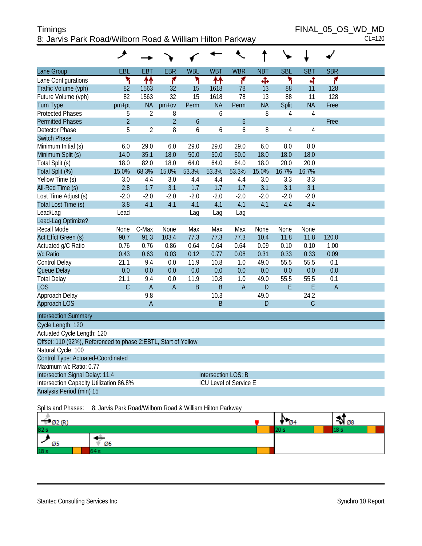# Timings FINAL\_05\_OS\_WD\_MD 8: Jarvis Park Road/Wilborn Road & William Hilton Parkway CL=120

| Lane Group                                                     | EBL            | EBT            | <b>EBR</b>     | <b>WBL</b>     | <b>WBT</b> | <b>WBR</b>             | <b>NBT</b> | <b>SBL</b>     | <b>SBT</b>     | <b>SBR</b>     |  |
|----------------------------------------------------------------|----------------|----------------|----------------|----------------|------------|------------------------|------------|----------------|----------------|----------------|--|
| Lane Configurations                                            | ۲              | ቶቶ             | ۴              | ۲              | ቶቶ         | ۴                      | Ф          | ۲              | 4              | ۴              |  |
| Traffic Volume (vph)                                           | 82             | 1563           | 32             | 15             | 1618       | 78                     | 13         | 88             | 11             | 128            |  |
| Future Volume (vph)                                            | 82             | 1563           | 32             | 15             | 1618       | 78                     | 13         | 88             | 11             | 128            |  |
| <b>Turn Type</b>                                               | pm+pt          | <b>NA</b>      | $pm+ov$        | Perm           | <b>NA</b>  | Perm                   | <b>NA</b>  | Split          | <b>NA</b>      | Free           |  |
| <b>Protected Phases</b>                                        | 5              | $\overline{2}$ | 8              |                | 6          |                        | 8          | $\overline{4}$ | $\overline{4}$ |                |  |
| <b>Permitted Phases</b>                                        | $\overline{2}$ |                | $\overline{2}$ | $\overline{6}$ |            | 6                      |            |                |                | Free           |  |
| <b>Detector Phase</b>                                          | 5              | $\overline{2}$ | 8              | 6              | 6          | 6                      | 8          | 4              | 4              |                |  |
| <b>Switch Phase</b>                                            |                |                |                |                |            |                        |            |                |                |                |  |
| Minimum Initial (s)                                            | 6.0            | 29.0           | 6.0            | 29.0           | 29.0       | 29.0                   | 6.0        | 8.0            | 8.0            |                |  |
| Minimum Split (s)                                              | 14.0           | 35.1           | 18.0           | 50.0           | 50.0       | 50.0                   | 18.0       | 18.0           | 18.0           |                |  |
| Total Split (s)                                                | 18.0           | 82.0           | 18.0           | 64.0           | 64.0       | 64.0                   | 18.0       | 20.0           | 20.0           |                |  |
| Total Split (%)                                                | 15.0%          | 68.3%          | 15.0%          | 53.3%          | 53.3%      | 53.3%                  | 15.0%      | 16.7%          | 16.7%          |                |  |
| Yellow Time (s)                                                | 3.0            | 4.4            | 3.0            | 4.4            | 4.4        | 4.4                    | 3.0        | 3.3            | 3.3            |                |  |
| All-Red Time (s)                                               | 2.8            | 1.7            | 3.1            | 1.7            | 1.7        | 1.7                    | 3.1        | 3.1            | 3.1            |                |  |
| Lost Time Adjust (s)                                           | $-2.0$         | $-2.0$         | $-2.0$         | $-2.0$         | $-2.0$     | $-2.0$                 | $-2.0$     | $-2.0$         | $-2.0$         |                |  |
| Total Lost Time (s)                                            | 3.8            | 4.1            | 4.1            | 4.1            | 4.1        | 4.1                    | 4.1        | 4.4            | 4.4            |                |  |
| Lead/Lag                                                       | Lead           |                |                | Lag            | Lag        | Lag                    |            |                |                |                |  |
| Lead-Lag Optimize?                                             |                |                |                |                |            |                        |            |                |                |                |  |
| Recall Mode                                                    | None           | C-Max          | None           | Max            | Max        | Max                    | None       | None           | None           |                |  |
| Act Effct Green (s)                                            | 90.7           | 91.3           | 103.4          | 77.3           | 77.3       | 77.3                   | 10.4       | 11.8           | 11.8           | 120.0          |  |
| Actuated g/C Ratio                                             | 0.76           | 0.76           | 0.86           | 0.64           | 0.64       | 0.64                   | 0.09       | 0.10           | 0.10           | 1.00           |  |
| v/c Ratio                                                      | 0.43           | 0.63           | 0.03           | 0.12           | 0.77       | 0.08                   | 0.31       | 0.33           | 0.33           | 0.09           |  |
| Control Delay                                                  | 21.1           | 9.4            | 0.0            | 11.9           | 10.8       | 1.0                    | 49.0       | 55.5           | 55.5           | 0.1            |  |
| Queue Delay                                                    | 0.0            | 0.0            | 0.0            | 0.0            | 0.0        | 0.0                    | 0.0        | 0.0            | 0.0            | 0.0            |  |
| <b>Total Delay</b>                                             | 21.1           | 9.4            | 0.0            | 11.9           | 10.8       | 1.0                    | 49.0       | 55.5           | 55.5           | 0.1            |  |
| <b>LOS</b>                                                     | $\overline{C}$ | $\overline{A}$ | $\overline{A}$ | B              | B          | $\overline{A}$         | D          | $\mathsf E$    | E              | $\overline{A}$ |  |
| Approach Delay                                                 |                | 9.8            |                |                | 10.3       |                        | 49.0       |                | 24.2           |                |  |
| Approach LOS                                                   |                | $\overline{A}$ |                |                | B          |                        | D          |                | C              |                |  |
| <b>Intersection Summary</b>                                    |                |                |                |                |            |                        |            |                |                |                |  |
| Cycle Length: 120                                              |                |                |                |                |            |                        |            |                |                |                |  |
| Actuated Cycle Length: 120                                     |                |                |                |                |            |                        |            |                |                |                |  |
| Offset: 110 (92%), Referenced to phase 2:EBTL, Start of Yellow |                |                |                |                |            |                        |            |                |                |                |  |
| Natural Cycle: 100                                             |                |                |                |                |            |                        |            |                |                |                |  |
| Control Type: Actuated-Coordinated                             |                |                |                |                |            |                        |            |                |                |                |  |
| Maximum v/c Ratio: 0.77                                        |                |                |                |                |            |                        |            |                |                |                |  |
| Intersection Signal Delay: 11.4<br><b>Intersection LOS: B</b>  |                |                |                |                |            |                        |            |                |                |                |  |
| Intersection Capacity Utilization 86.8%                        |                |                |                |                |            | ICU Level of Service E |            |                |                |                |  |
| Analysis Period (min) 15                                       |                |                |                |                |            |                        |            |                |                |                |  |

Splits and Phases: 8: Jarvis Park Road/Wilborn Road & William Hilton Parkway

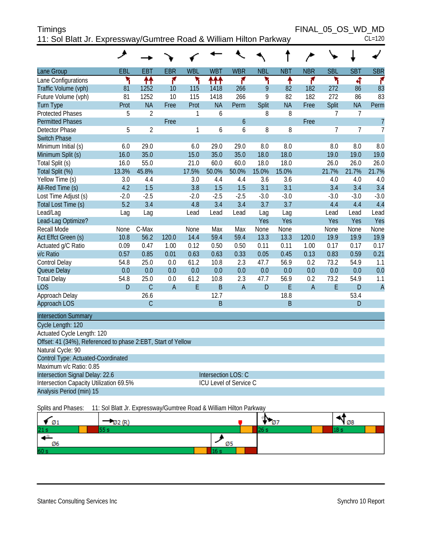| Timings                                                            | FINAL 05 OS WD MD |  |          |
|--------------------------------------------------------------------|-------------------|--|----------|
| 11: Sol Blatt Jr. Expressway/Gumtree Road & William Hilton Parkway |                   |  | $CL=120$ |

|                                                              | ۸      |                |                |            |                        |               |            |            |                |                |                |                |
|--------------------------------------------------------------|--------|----------------|----------------|------------|------------------------|---------------|------------|------------|----------------|----------------|----------------|----------------|
| Lane Group                                                   | EBL    | <b>EBT</b>     | <b>EBR</b>     | <b>WBL</b> | <b>WBT</b>             | <b>WBR</b>    | <b>NBL</b> | <b>NBT</b> | <b>NBR</b>     | <b>SBL</b>     | <b>SBT</b>     | <b>SBR</b>     |
| Lane Configurations                                          | ۲      | ↟↟             | ۴              | ۲          | ተተተ                    | ۴             | ۲          | ቶ          | ۴              | ۳              | 4              | ۴              |
| Traffic Volume (vph)                                         | 81     | 1252           | 10             | 115        | 1418                   | 266           | 9          | 82         | 182            | 272            | 86             | 83             |
| Future Volume (vph)                                          | 81     | 1252           | 10             | 115        | 1418                   | 266           | 9          | 82         | 182            | 272            | 86             | 83             |
| <b>Turn Type</b>                                             | Prot   | <b>NA</b>      | Free           | Prot       | <b>NA</b>              | Perm          | Split      | <b>NA</b>  | Free           | Split          | <b>NA</b>      | Perm           |
| <b>Protected Phases</b>                                      | 5      | $\overline{2}$ |                | 1          | 6                      |               | 8          | 8          |                | $\overline{7}$ | $\overline{7}$ |                |
| <b>Permitted Phases</b>                                      |        |                | Free           |            |                        | $\mathfrak b$ |            |            | Free           |                |                | $\overline{7}$ |
| <b>Detector Phase</b>                                        | 5      | $\overline{2}$ |                | 1          | 6                      | 6             | 8          | 8          |                | 7              | $\overline{7}$ | $\overline{7}$ |
| <b>Switch Phase</b>                                          |        |                |                |            |                        |               |            |            |                |                |                |                |
| Minimum Initial (s)                                          | 6.0    | 29.0           |                | 6.0        | 29.0                   | 29.0          | 8.0        | 8.0        |                | 8.0            | 8.0            | 8.0            |
| Minimum Split (s)                                            | 16.0   | 35.0           |                | 15.0       | 35.0                   | 35.0          | 18.0       | 18.0       |                | 19.0           | 19.0           | 19.0           |
| Total Split (s)                                              | 16.0   | 55.0           |                | 21.0       | 60.0                   | 60.0          | 18.0       | 18.0       |                | 26.0           | 26.0           | 26.0           |
| Total Split (%)                                              | 13.3%  | 45.8%          |                | 17.5%      | 50.0%                  | 50.0%         | 15.0%      | 15.0%      |                | 21.7%          | 21.7%          | 21.7%          |
| Yellow Time (s)                                              | 3.0    | 4.4            |                | 3.0        | 4.4                    | 4.4           | 3.6        | 3.6        |                | 4.0            | 4.0            | 4.0            |
| All-Red Time (s)                                             | 4.2    | 1.5            |                | 3.8        | 1.5                    | 1.5           | 3.1        | 3.1        |                | 3.4            | 3.4            | 3.4            |
| Lost Time Adjust (s)                                         | $-2.0$ | $-2.5$         |                | $-2.0$     | $-2.5$                 | $-2.5$        | $-3.0$     | $-3.0$     |                | $-3.0$         | $-3.0$         | $-3.0$         |
| Total Lost Time (s)                                          | 5.2    | 3.4            |                | 4.8        | 3.4                    | 3.4           | 3.7        | 3.7        |                | 4.4            | 4.4            | 4.4            |
| Lead/Lag                                                     | Lag    | Lag            |                | Lead       | Lead                   | Lead          | Lag        | Lag        |                | Lead           | Lead           | Lead           |
| Lead-Lag Optimize?                                           |        |                |                |            |                        |               | Yes        | Yes        |                | Yes            | Yes            | Yes            |
| Recall Mode                                                  | None   | C-Max          |                | None       | Max                    | Max           | None       | None       |                | None           | None           | None           |
| Act Effct Green (s)                                          | 10.8   | 56.2           | 120.0          | 14.4       | 59.4                   | 59.4          | 13.3       | 13.3       | 120.0          | 19.9           | 19.9           | 19.9           |
| Actuated g/C Ratio                                           | 0.09   | 0.47           | 1.00           | 0.12       | 0.50                   | 0.50          | 0.11       | 0.11       | 1.00           | 0.17           | 0.17           | 0.17           |
| v/c Ratio                                                    | 0.57   | 0.85           | 0.01           | 0.63       | 0.63                   | 0.33          | 0.05       | 0.45       | 0.13           | 0.83           | 0.59           | 0.21           |
| Control Delay                                                | 54.8   | 25.0           | 0.0            | 61.2       | 10.8                   | 2.3           | 47.7       | 56.9       | 0.2            | 73.2           | 54.9           | 1.1            |
| Queue Delay                                                  | 0.0    | 0.0            | 0.0            | 0.0        | 0.0                    | 0.0           | 0.0        | 0.0        | 0.0            | 0.0            | 0.0            | 0.0            |
| <b>Total Delay</b>                                           | 54.8   | 25.0           | 0.0            | 61.2       | 10.8                   | 2.3           | 47.7       | 56.9       | 0.2            | 73.2           | 54.9           | 1.1            |
| <b>LOS</b>                                                   | D      | $\mathsf{C}$   | $\overline{A}$ | E          | B                      | A             | D          | E          | $\overline{A}$ | E              | D              | $\overline{A}$ |
| Approach Delay                                               |        | 26.6           |                |            | 12.7                   |               |            | 18.8       |                |                | 53.4           |                |
| Approach LOS                                                 |        | $\mathsf{C}$   |                |            | $\mathsf B$            |               |            | B          |                |                | D              |                |
| <b>Intersection Summary</b>                                  |        |                |                |            |                        |               |            |            |                |                |                |                |
| Cycle Length: 120                                            |        |                |                |            |                        |               |            |            |                |                |                |                |
| Actuated Cycle Length: 120                                   |        |                |                |            |                        |               |            |            |                |                |                |                |
| Offset: 41 (34%), Referenced to phase 2:EBT, Start of Yellow |        |                |                |            |                        |               |            |            |                |                |                |                |
| Natural Cycle: 90                                            |        |                |                |            |                        |               |            |            |                |                |                |                |
| Control Type: Actuated-Coordinated                           |        |                |                |            |                        |               |            |            |                |                |                |                |
| Maximum v/c Ratio: 0.85                                      |        |                |                |            |                        |               |            |            |                |                |                |                |
| Intersection Signal Delay: 22.6                              |        |                |                |            | Intersection LOS: C    |               |            |            |                |                |                |                |
| Intersection Capacity Utilization 69.5%                      |        |                |                |            | ICU Level of Service C |               |            |            |                |                |                |                |
| Analysis Period (min) 15                                     |        |                |                |            |                        |               |            |            |                |                |                |                |
|                                                              |        |                |                |            |                        |               |            |            |                |                |                |                |

Splits and Phases: 11: Sol Blatt Jr. Expressway/Gumtree Road & William Hilton Parkway

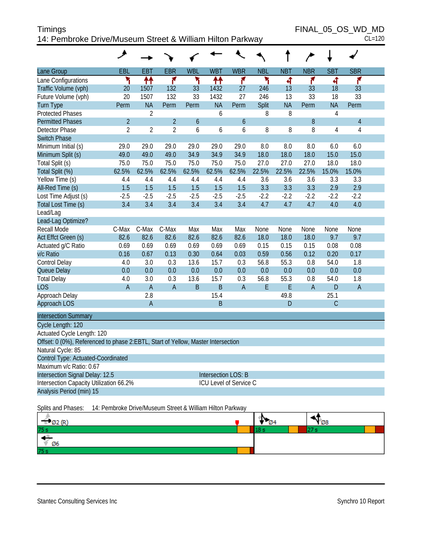| Timings                                                   | FINAL 05 OS WD MD |
|-----------------------------------------------------------|-------------------|
| 14: Pembroke Drive/Museum Street & William Hilton Parkway | $CL=120$          |

| Lane Group                                                                       | EBL                                                       | <b>EBT</b>     | <b>EBR</b>     | <b>WBL</b>       | <b>WBT</b>                 | <b>WBR</b>  | <b>NBL</b> | <b>NBT</b> | <b>NBR</b>     | <b>SBT</b>  | <b>SBR</b>     |  |
|----------------------------------------------------------------------------------|-----------------------------------------------------------|----------------|----------------|------------------|----------------------------|-------------|------------|------------|----------------|-------------|----------------|--|
| Lane Configurations                                                              | ۲                                                         | ↟↟             | ۴              | ۲                | ₩                          | ۴           | ۲          | ৰ          | ۴              | 4           | ۴              |  |
| Traffic Volume (vph)                                                             | 20                                                        | 1507           | 132            | 33               | 1432                       | 27          | 246        | 13         | 33             | 18          | 33             |  |
| Future Volume (vph)                                                              | 20                                                        | 1507           | 132            | 33               | 1432                       | 27          | 246        | 13         | 33             | 18          | 33             |  |
| <b>Turn Type</b>                                                                 | Perm                                                      | <b>NA</b>      | Perm           | Perm             | <b>NA</b>                  | Perm        | Split      | <b>NA</b>  | Perm           | <b>NA</b>   | Perm           |  |
| <b>Protected Phases</b>                                                          |                                                           | $\overline{2}$ |                |                  | 6                          |             | 8          | 8          |                | 4           |                |  |
| <b>Permitted Phases</b>                                                          | $\overline{2}$                                            |                | $\overline{2}$ | $\boldsymbol{6}$ |                            | 6           |            |            | 8              |             | $\sqrt{4}$     |  |
| Detector Phase                                                                   | 2                                                         | $\overline{2}$ | $\overline{2}$ | 6                | 6                          | 6           | 8          | 8          | 8              | 4           | $\overline{4}$ |  |
| <b>Switch Phase</b>                                                              |                                                           |                |                |                  |                            |             |            |            |                |             |                |  |
| Minimum Initial (s)                                                              | 29.0                                                      | 29.0           | 29.0           | 29.0             | 29.0                       | 29.0        | 8.0        | 8.0        | 8.0            | 6.0         | 6.0            |  |
| Minimum Split (s)                                                                | 49.0                                                      | 49.0           | 49.0           | 34.9             | 34.9                       | 34.9        | 18.0       | 18.0       | 18.0           | 15.0        | 15.0           |  |
| Total Split (s)                                                                  | 75.0                                                      | 75.0           | 75.0           | 75.0             | 75.0                       | 75.0        | 27.0       | 27.0       | 27.0           | 18.0        | 18.0           |  |
| Total Split (%)                                                                  | 62.5%                                                     | 62.5%          | 62.5%          | 62.5%            | 62.5%                      | 62.5%       | 22.5%      | 22.5%      | 22.5%          | 15.0%       | 15.0%          |  |
| Yellow Time (s)                                                                  | 4.4                                                       | 4.4            | 4.4            | 4.4              | 4.4                        | 4.4         | 3.6        | 3.6        | 3.6            | 3.3         | 3.3            |  |
| All-Red Time (s)                                                                 | 1.5                                                       | 1.5            | 1.5            | 1.5              | 1.5                        | 1.5         | 3.3        | 3.3        | 3.3            | 2.9         | 2.9            |  |
| Lost Time Adjust (s)                                                             | $-2.5$                                                    | $-2.5$         | $-2.5$         | $-2.5$           | $-2.5$                     | $-2.5$      | $-2.2$     | $-2.2$     | $-2.2$         | $-2.2$      | $-2.2$         |  |
| Total Lost Time (s)                                                              | 3.4                                                       | 3.4            | 3.4            | 3.4              | 3.4                        | 3.4         | 4.7        | 4.7        | 4.7            | 4.0         | 4.0            |  |
| Lead/Lag                                                                         |                                                           |                |                |                  |                            |             |            |            |                |             |                |  |
| Lead-Lag Optimize?                                                               |                                                           |                |                |                  |                            |             |            |            |                |             |                |  |
| Recall Mode                                                                      | C-Max                                                     | C-Max          | C-Max          | Max              | Max                        | Max         | None       | None       | None           | None        | None           |  |
| Act Effct Green (s)                                                              | 82.6                                                      | 82.6           | 82.6           | 82.6             | 82.6                       | 82.6        | 18.0       | 18.0       | 18.0           | 9.7         | 9.7            |  |
| Actuated g/C Ratio                                                               | 0.69                                                      | 0.69           | 0.69           | 0.69             | 0.69                       | 0.69        | 0.15       | 0.15       | 0.15           | 0.08        | 0.08           |  |
| v/c Ratio                                                                        | 0.16                                                      | 0.67           | 0.13           | 0.30             | 0.64                       | 0.03        | 0.59       | 0.56       | 0.12           | 0.20        | 0.17           |  |
| Control Delay                                                                    | 4.0                                                       | 3.0            | 0.3            | 13.6             | 15.7                       | 0.3         | 56.8       | 55.3       | 0.8            | 54.0        | 1.8            |  |
| Queue Delay                                                                      | 0.0                                                       | 0.0            | 0.0            | 0.0              | 0.0                        | 0.0         | 0.0        | 0.0        | 0.0            | 0.0         | 0.0            |  |
| <b>Total Delay</b>                                                               | 4.0                                                       | 3.0            | 0.3            | 13.6             | 15.7                       | 0.3         | 56.8       | 55.3       | 0.8            | 54.0        | 1.8            |  |
| <b>LOS</b>                                                                       | $\overline{A}$                                            | $\overline{A}$ | $\overline{A}$ | $\mathsf B$      | $\mathsf B$                | $\mathsf A$ | E          | E          | $\overline{A}$ | ${\sf D}$   | $\overline{A}$ |  |
| Approach Delay                                                                   |                                                           | 2.8            |                |                  | 15.4                       |             |            | 49.8       |                | 25.1        |                |  |
| Approach LOS                                                                     |                                                           | $\overline{A}$ |                |                  | $\mathsf B$                |             |            | ${\sf D}$  |                | $\mathsf C$ |                |  |
| <b>Intersection Summary</b>                                                      |                                                           |                |                |                  |                            |             |            |            |                |             |                |  |
| Cycle Length: 120                                                                |                                                           |                |                |                  |                            |             |            |            |                |             |                |  |
| Actuated Cycle Length: 120                                                       |                                                           |                |                |                  |                            |             |            |            |                |             |                |  |
| Offset: 0 (0%), Referenced to phase 2:EBTL, Start of Yellow, Master Intersection |                                                           |                |                |                  |                            |             |            |            |                |             |                |  |
| Natural Cycle: 85                                                                |                                                           |                |                |                  |                            |             |            |            |                |             |                |  |
| Control Type: Actuated-Coordinated                                               |                                                           |                |                |                  |                            |             |            |            |                |             |                |  |
| Maximum v/c Ratio: 0.67                                                          |                                                           |                |                |                  |                            |             |            |            |                |             |                |  |
| Intersection Signal Delay: 12.5                                                  |                                                           |                |                |                  | <b>Intersection LOS: B</b> |             |            |            |                |             |                |  |
| Intersection Capacity Utilization 66.2%                                          |                                                           |                |                |                  | ICU Level of Service C     |             |            |            |                |             |                |  |
| Analysis Period (min) 15                                                         |                                                           |                |                |                  |                            |             |            |            |                |             |                |  |
| Splits and Phases:                                                               | 14: Pembroke Drive/Museum Street & William Hilton Parkway |                |                |                  |                            |             |            |            |                |             |                |  |

|      | T. | $\sqrt{28}$ |
|------|----|-------------|
| 75 s |    |             |
| Ø6   |    |             |
| 75s  |    |             |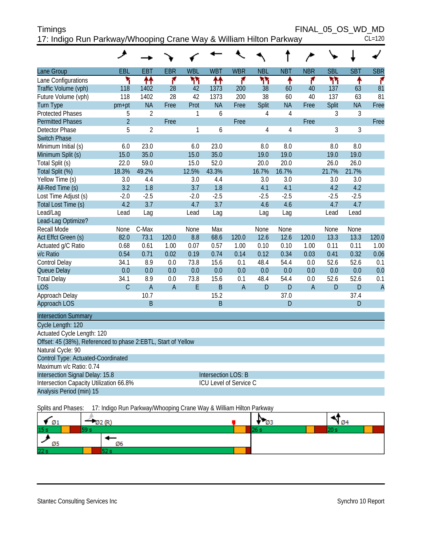| <b>Timings</b>                                                     | FINAL 05 OS WD MD |          |
|--------------------------------------------------------------------|-------------------|----------|
| 17: Indigo Run Parkway/Whooping Crane Way & William Hilton Parkway |                   | $CL=120$ |

|                                                               | ᢣ              |                |                |            |                            |                |                |                |                |            |            |                |
|---------------------------------------------------------------|----------------|----------------|----------------|------------|----------------------------|----------------|----------------|----------------|----------------|------------|------------|----------------|
| Lane Group                                                    | EBL            | <b>EBT</b>     | <b>EBR</b>     | <b>WBL</b> | <b>WBT</b>                 | <b>WBR</b>     | <b>NBL</b>     | <b>NBT</b>     | <b>NBR</b>     | <b>SBL</b> | <b>SBT</b> | <b>SBR</b>     |
| Lane Configurations                                           | ۲              | ↟↟             | ۴              | ካካ         | ተተ                         | ۴              | ካካ             | ↟              | ۴              | ሻሻ         | ↟          | ۴              |
| Traffic Volume (vph)                                          | 118            | 1402           | 28             | 42         | 1373                       | 200            | 38             | 60             | 40             | 137        | 63         | 81             |
| Future Volume (vph)                                           | 118            | 1402           | 28             | 42         | 1373                       | 200            | 38             | 60             | 40             | 137        | 63         | 81             |
| <b>Turn Type</b>                                              | pm+pt          | <b>NA</b>      | Free           | Prot       | <b>NA</b>                  | Free           | Split          | <b>NA</b>      | Free           | Split      | <b>NA</b>  | Free           |
| <b>Protected Phases</b>                                       | 5              | $\overline{2}$ |                | 1          | 6                          |                | 4              | $\overline{4}$ |                | 3          | 3          |                |
| <b>Permitted Phases</b>                                       | $\overline{2}$ |                | Free           |            |                            | Free           |                |                | Free           |            |            | Free           |
| <b>Detector Phase</b>                                         | 5              | $\overline{2}$ |                | 1          | 6                          |                | $\overline{4}$ | $\overline{4}$ |                | 3          | 3          |                |
| <b>Switch Phase</b>                                           |                |                |                |            |                            |                |                |                |                |            |            |                |
| Minimum Initial (s)                                           | 6.0            | 23.0           |                | 6.0        | 23.0                       |                | 8.0            | 8.0            |                | 8.0        | 8.0        |                |
| Minimum Split (s)                                             | 15.0           | 35.0           |                | 15.0       | 35.0                       |                | 19.0           | 19.0           |                | 19.0       | 19.0       |                |
| Total Split (s)                                               | 22.0           | 59.0           |                | 15.0       | 52.0                       |                | 20.0           | 20.0           |                | 26.0       | 26.0       |                |
| Total Split (%)                                               | 18.3%          | 49.2%          |                | 12.5%      | 43.3%                      |                | 16.7%          | 16.7%          |                | 21.7%      | 21.7%      |                |
| Yellow Time (s)                                               | 3.0            | 4.4            |                | 3.0        | 4.4                        |                | 3.0            | 3.0            |                | 3.0        | 3.0        |                |
| All-Red Time (s)                                              | 3.2            | 1.8            |                | 3.7        | 1.8                        |                | 4.1            | 4.1            |                | 4.2        | 4.2        |                |
| Lost Time Adjust (s)                                          | $-2.0$         | $-2.5$         |                | $-2.0$     | $-2.5$                     |                | $-2.5$         | $-2.5$         |                | $-2.5$     | $-2.5$     |                |
| Total Lost Time (s)                                           | 4.2            | 3.7            |                | 4.7        | 3.7                        |                | 4.6            | 4.6            |                | 4.7        | 4.7        |                |
| Lead/Lag                                                      | Lead           | Lag            |                | Lead       | Lag                        |                | Lag            | Lag            |                | Lead       | Lead       |                |
| Lead-Lag Optimize?                                            |                |                |                |            |                            |                |                |                |                |            |            |                |
| Recall Mode                                                   | None           | C-Max          |                | None       | Max                        |                | None           | None           |                | None       | None       |                |
| Act Effct Green (s)                                           | 82.0           | 73.1           | 120.0          | 8.8        | 68.6                       | 120.0          | 12.6           | 12.6           | 120.0          | 13.3       | 13.3       | 120.0          |
| Actuated g/C Ratio                                            | 0.68           | 0.61           | 1.00           | 0.07       | 0.57                       | 1.00           | 0.10           | 0.10           | 1.00           | 0.11       | 0.11       | 1.00           |
| v/c Ratio                                                     | 0.54           | 0.71           | 0.02           | 0.19       | 0.74                       | 0.14           | 0.12           | 0.34           | 0.03           | 0.41       | 0.32       | 0.06           |
| Control Delay                                                 | 34.1           | 8.9            | 0.0            | 73.8       | 15.6                       | 0.1            | 48.4           | 54.4           | 0.0            | 52.6       | 52.6       | 0.1            |
| Queue Delay                                                   | 0.0            | 0.0            | 0.0            | 0.0        | 0.0                        | 0.0            | 0.0            | 0.0            | 0.0            | 0.0        | 0.0        | 0.0            |
| <b>Total Delay</b>                                            | 34.1           | 8.9            | 0.0            | 73.8       | 15.6                       | 0.1            | 48.4           | 54.4           | 0.0            | 52.6       | 52.6       | 0.1            |
| <b>LOS</b>                                                    | $\mathcal{C}$  | $\overline{A}$ | $\overline{A}$ | E          | $\mathsf B$                | $\overline{A}$ | D              | D              | $\overline{A}$ | D          | D          | $\overline{A}$ |
| Approach Delay                                                |                | 10.7           |                |            | 15.2                       |                |                | 37.0           |                |            | 37.4       |                |
| <b>Approach LOS</b>                                           |                | B              |                |            | B                          |                |                | D              |                |            | D          |                |
| <b>Intersection Summary</b>                                   |                |                |                |            |                            |                |                |                |                |            |            |                |
| Cycle Length: 120                                             |                |                |                |            |                            |                |                |                |                |            |            |                |
| Actuated Cycle Length: 120                                    |                |                |                |            |                            |                |                |                |                |            |            |                |
| Offset: 45 (38%), Referenced to phase 2:EBTL, Start of Yellow |                |                |                |            |                            |                |                |                |                |            |            |                |
| Natural Cycle: 90                                             |                |                |                |            |                            |                |                |                |                |            |            |                |
| Control Type: Actuated-Coordinated                            |                |                |                |            |                            |                |                |                |                |            |            |                |
| Maximum v/c Ratio: 0.74                                       |                |                |                |            |                            |                |                |                |                |            |            |                |
| Intersection Signal Delay: 15.8                               |                |                |                |            | <b>Intersection LOS: B</b> |                |                |                |                |            |            |                |
| Intersection Capacity Utilization 66.8%                       |                |                |                |            | ICU Level of Service C     |                |                |                |                |            |            |                |
| Analysis Period (min) 15                                      |                |                |                |            |                            |                |                |                |                |            |            |                |

Splits and Phases: 17: Indigo Run Parkway/Whooping Crane Way & William Hilton Parkway

| * Ø1            | י המזיר | ທາ | $\sqrt{04}$ |
|-----------------|---------|----|-------------|
| 15 <sub>s</sub> |         |    |             |
| Ø5              | Ø6      |    |             |
| 22s             |         |    |             |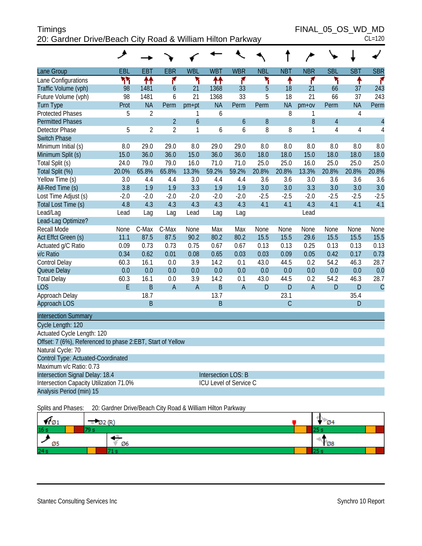| <b>Timings</b>                                             | FINAL 05 OS WD MD |
|------------------------------------------------------------|-------------------|
| 20: Gardner Drive/Beach City Road & William Hilton Parkway | $CL=120$          |

FINAL\_05\_OS\_WD\_MD

| ۰, |
|----|
|----|

| Lane Group                                                 | EBL    | <b>EBT</b>     | <b>EBR</b>     | <b>WBL</b>       | <b>WBT</b>          | <b>WBR</b>             | <b>NBL</b>   | <b>NBT</b>  | <b>NBR</b>     | <b>SBL</b>     | <b>SBT</b>   | <b>SBR</b>     |
|------------------------------------------------------------|--------|----------------|----------------|------------------|---------------------|------------------------|--------------|-------------|----------------|----------------|--------------|----------------|
| Lane Configurations                                        | ሻሻ     | ↟↟             | ۴              | ۲                | ቶቶ                  | ۴                      | ۲            | ۰           | ۴              | ኻ              | ٠            | ۴              |
| Traffic Volume (vph)                                       | 98     | 1481           | $\overline{6}$ | 21               | 1368                | 33                     | 5            | 18          | 21             | 66             | 37           | 243            |
| Future Volume (vph)                                        | 98     | 1481           | 6              | 21               | 1368                | 33                     | 5            | 18          | 21             | 66             | 37           | 243            |
| <b>Turn Type</b>                                           | Prot   | <b>NA</b>      | Perm           | $pm+pt$          | <b>NA</b>           | Perm                   | Perm         | <b>NA</b>   | $pm+ov$        | Perm           | <b>NA</b>    | Perm           |
| <b>Protected Phases</b>                                    | 5      | 2              |                | 1                | 6                   |                        |              | 8           | 1              |                | 4            |                |
| <b>Permitted Phases</b>                                    |        |                | $\overline{2}$ | $\boldsymbol{6}$ |                     | $\mathfrak b$          | $\, 8$       |             | 8              | $\overline{4}$ |              | $\overline{4}$ |
| <b>Detector Phase</b>                                      | 5      | $\overline{2}$ | $\overline{2}$ | 1                | 6                   | 6                      | 8            | 8           | 1              | 4              | 4            | $\overline{4}$ |
| <b>Switch Phase</b>                                        |        |                |                |                  |                     |                        |              |             |                |                |              |                |
| Minimum Initial (s)                                        | 8.0    | 29.0           | 29.0           | 8.0              | 29.0                | 29.0                   | 8.0          | 8.0         | 8.0            | 8.0            | 8.0          | 8.0            |
| Minimum Split (s)                                          | 15.0   | 36.0           | 36.0           | 15.0             | 36.0                | 36.0                   | 18.0         | 18.0        | 15.0           | 18.0           | 18.0         | 18.0           |
| Total Split (s)                                            | 24.0   | 79.0           | 79.0           | 16.0             | 71.0                | 71.0                   | 25.0         | 25.0        | 16.0           | 25.0           | 25.0         | 25.0           |
| Total Split (%)                                            | 20.0%  | 65.8%          | 65.8%          | 13.3%            | 59.2%               | 59.2%                  | 20.8%        | 20.8%       | 13.3%          | 20.8%          | 20.8%        | 20.8%          |
| Yellow Time (s)                                            | 3.0    | 4.4            | 4.4            | 3.0              | 4.4                 | 4.4                    | 3.6          | 3.6         | 3.0            | 3.6            | 3.6          | 3.6            |
| All-Red Time (s)                                           | 3.8    | 1.9            | 1.9            | 3.3              | 1.9                 | 1.9                    | 3.0          | 3.0         | 3.3            | 3.0            | 3.0          | 3.0            |
| Lost Time Adjust (s)                                       | $-2.0$ | $-2.0$         | $-2.0$         | $-2.0$           | $-2.0$              | $-2.0$                 | $-2.5$       | $-2.5$      | $-2.0$         | $-2.5$         | $-2.5$       | $-2.5$         |
| Total Lost Time (s)                                        | 4.8    | 4.3            | 4.3            | 4.3              | 4.3                 | 4.3                    | 4.1          | 4.1         | 4.3            | 4.1            | 4.1          | 4.1            |
| Lead/Lag                                                   | Lead   | Lag            | Lag            | Lead             | Lag                 | Lag                    |              |             | Lead           |                |              |                |
| Lead-Lag Optimize?                                         |        |                |                |                  |                     |                        |              |             |                |                |              |                |
| Recall Mode                                                | None   | C-Max          | C-Max          | None             | Max                 | Max                    | None         | None        | None           | None           | None         | None           |
| Act Effct Green (s)                                        | 11.1   | 87.5           | 87.5           | 90.2             | 80.2                | 80.2                   | 15.5         | 15.5        | 29.6           | 15.5           | 15.5         | 15.5           |
| Actuated g/C Ratio                                         | 0.09   | 0.73           | 0.73           | 0.75             | 0.67                | 0.67                   | 0.13         | 0.13        | 0.25           | 0.13           | 0.13         | 0.13           |
| v/c Ratio                                                  | 0.34   | 0.62           | 0.01           | 0.08             | 0.65                | 0.03                   | 0.03         | 0.09        | 0.05           | 0.42           | 0.17         | 0.73           |
| Control Delay                                              | 60.3   | 16.1           | 0.0            | 3.9              | 14.2                | 0.1                    | 43.0         | 44.5        | 0.2            | 54.2           | 46.3         | 28.7           |
| Queue Delay                                                | 0.0    | 0.0            | 0.0            | 0.0              | 0.0                 | 0.0                    | 0.0          | 0.0         | 0.0            | 0.0            | 0.0          | 0.0            |
| <b>Total Delay</b>                                         | 60.3   | 16.1           | 0.0            | 3.9              | 14.2                | 0.1                    | 43.0         | 44.5        | 0.2            | 54.2           | 46.3         | 28.7           |
| <b>LOS</b>                                                 | E      | B              | $\overline{A}$ | $\mathsf A$      | B                   | $\overline{A}$         | $\mathsf{D}$ | D           | $\overline{A}$ | $\mathsf{D}$   | $\mathsf{D}$ | $\mathsf{C}$   |
| Approach Delay                                             |        | 18.7           |                |                  | 13.7                |                        |              | 23.1        |                |                | 35.4         |                |
| Approach LOS                                               |        | B              |                |                  | B                   |                        |              | $\mathsf C$ |                |                | D            |                |
| <b>Intersection Summary</b>                                |        |                |                |                  |                     |                        |              |             |                |                |              |                |
| Cycle Length: 120                                          |        |                |                |                  |                     |                        |              |             |                |                |              |                |
| Actuated Cycle Length: 120                                 |        |                |                |                  |                     |                        |              |             |                |                |              |                |
| Offset: 7 (6%), Referenced to phase 2:EBT, Start of Yellow |        |                |                |                  |                     |                        |              |             |                |                |              |                |
| Natural Cycle: 70                                          |        |                |                |                  |                     |                        |              |             |                |                |              |                |
| Control Type: Actuated-Coordinated                         |        |                |                |                  |                     |                        |              |             |                |                |              |                |
| Maximum v/c Ratio: 0.73                                    |        |                |                |                  |                     |                        |              |             |                |                |              |                |
| Intersection Signal Delay: 18.4                            |        |                |                |                  | Intersection LOS: B |                        |              |             |                |                |              |                |
| Intersection Capacity Utilization 71.0%                    |        |                |                |                  |                     | ICU Level of Service C |              |             |                |                |              |                |
| Analysis Period (min) 15                                   |        |                |                |                  |                     |                        |              |             |                |                |              |                |
|                                                            |        |                |                |                  |                     |                        |              |             |                |                |              |                |

Splits and Phases: 20: Gardner Drive/Beach City Road & William Hilton Parkway

| וש ד            | <b>D2 (R)</b> | - 04                       |  |
|-----------------|---------------|----------------------------|--|
| 16 <sub>s</sub> |               | za:                        |  |
|                 | Ø6            | $\overline{\mathcal{O}}$ 8 |  |
| 24s             |               |                            |  |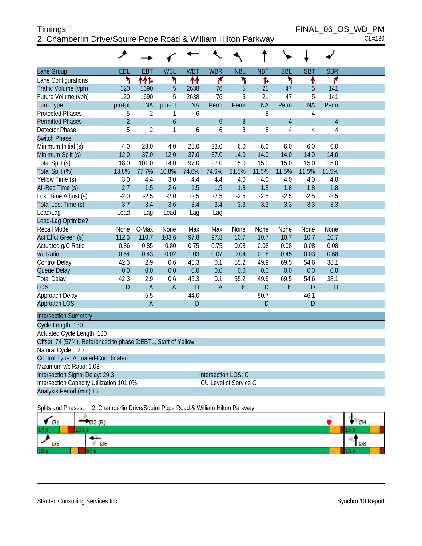# Timings FINAL\_06\_OS\_WD\_PM 2: Chamberlin Drive/Squire Pope Road & William Hilton Parkway CL=130

| . . |  | ៴៴∟ |   |   |
|-----|--|-----|---|---|
|     |  |     | = | ŕ |

|                                                               | ۶              |                |                |                |                               |            |            |                |                |                |  |
|---------------------------------------------------------------|----------------|----------------|----------------|----------------|-------------------------------|------------|------------|----------------|----------------|----------------|--|
| Lane Group                                                    | EBL            | <b>EBT</b>     | <b>WBL</b>     | <b>WBT</b>     | <b>WBR</b>                    | <b>NBL</b> | <b>NBT</b> | <b>SBL</b>     | <b>SBT</b>     | <b>SBR</b>     |  |
| Lane Configurations                                           | ۲              | ተተኈ            | ۲              | ↟↟             | ۴                             | ۲          | ħ          | ۲              | ↟              | ۴              |  |
| Traffic Volume (vph)                                          | 120            | 1690           | 5              | 2638           | 76                            | 5          | 21         | 47             | 5              | 141            |  |
| Future Volume (vph)                                           | 120            | 1690           | 5              | 2638           | 76                            | 5          | 21         | 47             | 5              | 141            |  |
| <b>Turn Type</b>                                              | pm+pt          | <b>NA</b>      | $pm+pt$        | <b>NA</b>      | Perm                          | Perm       | <b>NA</b>  | Perm           | <b>NA</b>      | Perm           |  |
| <b>Protected Phases</b>                                       | 5              | $\overline{2}$ | 1              | 6              |                               |            | 8          |                | 4              |                |  |
| <b>Permitted Phases</b>                                       | $\overline{2}$ |                | 6              |                | 6                             | 8          |            | $\overline{4}$ |                | $\overline{4}$ |  |
| <b>Detector Phase</b>                                         | 5              | $\overline{2}$ | $\mathbf{1}$   | 6              | 6                             | 8          | 8          | $\overline{4}$ | $\overline{4}$ | $\overline{4}$ |  |
| <b>Switch Phase</b>                                           |                |                |                |                |                               |            |            |                |                |                |  |
| Minimum Initial (s)                                           | 4.0            | 28.0           | 4.0            | 28.0           | 28.0                          | 6.0        | 6.0        | 6.0            | 6.0            | 6.0            |  |
| Minimum Split (s)                                             | 12.0           | 37.0           | 12.0           | 37.0           | 37.0                          | 14.0       | 14.0       | 14.0           | 14.0           | 14.0           |  |
| Total Split (s)                                               | 18.0           | 101.0          | 14.0           | 97.0           | 97.0                          | 15.0       | 15.0       | 15.0           | 15.0           | 15.0           |  |
| Total Split (%)                                               | 13.8%          | 77.7%          | 10.8%          | 74.6%          | 74.6%                         | 11.5%      | 11.5%      | 11.5%          | 11.5%          | 11.5%          |  |
| Yellow Time (s)                                               | 3.0            | 4.4            | 3.0            | 4.4            | 4.4                           | 4.0        | 4.0        | 4.0            | 4.0            | 4.0            |  |
| All-Red Time (s)                                              | 2.7            | 1.5            | 2.6            | 1.5            | 1.5                           | 1.8        | 1.8        | 1.8            | 1.8            | 1.8            |  |
| Lost Time Adjust (s)                                          | $-2.0$         | $-2.5$         | $-2.0$         | $-2.5$         | $-2.5$                        | $-2.5$     | $-2.5$     | $-2.5$         | $-2.5$         | $-2.5$         |  |
| Total Lost Time (s)                                           | 3.7            | 3.4            | 3.6            | 3.4            | 3.4                           | 3.3        | 3.3        | 3.3            | 3.3            | 3.3            |  |
| Lead/Lag                                                      | Lead           | Lag            | Lead           | Lag            | Lag                           |            |            |                |                |                |  |
| Lead-Lag Optimize?                                            |                |                |                |                |                               |            |            |                |                |                |  |
| Recall Mode                                                   | None           | C-Max          | None           | Max            | Max                           | None       | None       | None           | None           | None           |  |
| Act Effct Green (s)                                           | 112.3          | 110.7          | 103.6          | 97.8           | 97.8                          | 10.7       | 10.7       | 10.7           | 10.7           | 10.7           |  |
| Actuated g/C Ratio                                            | 0.86           | 0.85           | 0.80           | 0.75           | 0.75                          | 0.08       | 0.08       | 0.08           | 0.08           | 0.08           |  |
| v/c Ratio                                                     | 0.64           | 0.43           | 0.02           | 1.03           | 0.07                          | 0.04       | 0.18       | 0.45           | 0.03           | 0.68           |  |
| Control Delay                                                 | 42.3           | 2.9            | 0.6            | 45.3           | 0.1                           | 55.2       | 49.9       | 69.5           | 54.6           | 38.1           |  |
| Queue Delay                                                   | 0.0            | 0.0            | 0.0            | 0.0            | 0.0                           | 0.0        | 0.0        | 0.0            | 0.0            | 0.0            |  |
| <b>Total Delay</b>                                            | 42.3           | 2.9            | 0.6            | 45.3           | 0.1                           | 55.2       | 49.9       | 69.5           | 54.6           | 38.1           |  |
| <b>LOS</b>                                                    | D              | $\overline{A}$ | $\overline{A}$ | $\overline{D}$ | $\overline{A}$                | E          | D          | E              | D              | D              |  |
| Approach Delay                                                |                | 5.5            |                | 44.0           |                               |            | 50.7       |                | 46.1           |                |  |
| Approach LOS                                                  |                | $\overline{A}$ |                | $\overline{D}$ |                               |            | D          |                | D              |                |  |
| <b>Intersection Summary</b>                                   |                |                |                |                |                               |            |            |                |                |                |  |
| Cycle Length: 130                                             |                |                |                |                |                               |            |            |                |                |                |  |
| Actuated Cycle Length: 130                                    |                |                |                |                |                               |            |            |                |                |                |  |
| Offset: 74 (57%), Referenced to phase 2:EBTL, Start of Yellow |                |                |                |                |                               |            |            |                |                |                |  |
| Natural Cycle: 120                                            |                |                |                |                |                               |            |            |                |                |                |  |
| Control Type: Actuated-Coordinated                            |                |                |                |                |                               |            |            |                |                |                |  |
| Maximum v/c Ratio: 1.03                                       |                |                |                |                |                               |            |            |                |                |                |  |
| Intersection Signal Delay: 29.3                               |                |                |                |                | Intersection LOS: C           |            |            |                |                |                |  |
| Intersection Capacity Utilization 101.0%                      |                |                |                |                | <b>ICU Level of Service G</b> |            |            |                |                |                |  |
| Analysis Period (min) 15                                      |                |                |                |                |                               |            |            |                |                |                |  |

Splits and Phases: 2: Chamberlin Drive/Squire Pope Road & William Hilton Parkway

| Ø1              |    | <b>Ø4</b>   |
|-----------------|----|-------------|
| 14s             |    |             |
| Ø5              | Ø6 | $\sqrt{28}$ |
| 18 <sub>s</sub> |    |             |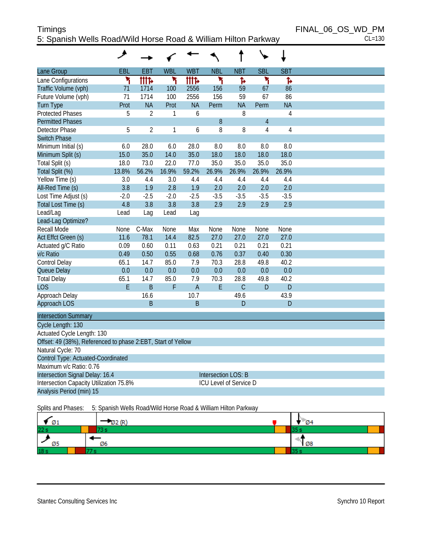#### Timings FINAL\_06\_OS\_WD\_PM 5: Spanish Wells Road/Wild Horse Road & William Hilton Parkway CL=130

| <b>WBT</b><br><b>NBT</b><br><b>SBT</b><br>EBL<br>EBT<br><b>WBL</b><br><b>NBL</b><br><b>SBL</b><br>Lane Group<br><b>Illf&gt;</b><br>Lane Configurations<br>۲<br><b>tite</b><br>۲<br>۲<br>۲<br>ħ<br>Ъ<br>Traffic Volume (vph)<br>2556<br>156<br>59<br>71<br>1714<br>100<br>67<br>86<br>71<br>156<br>Future Volume (vph)<br>1714<br>100<br>2556<br>59<br>67<br>86<br><b>NA</b><br>Prot<br><b>NA</b><br><b>NA</b><br><b>NA</b><br><b>Turn Type</b><br>Prot<br>Perm<br>Perm<br><b>Protected Phases</b><br>5<br>$\overline{2}$<br>8<br>$\sqrt{4}$<br>1<br>6<br><b>Permitted Phases</b><br>8<br>$\overline{4}$<br>5<br>$\overline{2}$<br>8<br>1<br>8<br>4<br>Detector Phase<br>6<br>4<br><b>Switch Phase</b><br>Minimum Initial (s)<br>6.0<br>28.0<br>6.0<br>28.0<br>8.0<br>8.0<br>8.0<br>8.0<br>Minimum Split (s)<br>15.0<br>35.0<br>14.0<br>35.0<br>18.0<br>18.0<br>18.0<br>18.0<br>35.0<br>35.0<br>35.0<br>Total Split (s)<br>18.0<br>73.0<br>22.0<br>77.0<br>35.0<br>Total Split (%)<br>13.8%<br>56.2%<br>16.9%<br>59.2%<br>26.9%<br>26.9%<br>26.9%<br>26.9%<br>Yellow Time (s)<br>3.0<br>4.4<br>3.0<br>4.4<br>4.4<br>4.4<br>4.4<br>4.4<br>3.8<br>1.9<br>2.8<br>1.9<br>2.0<br>2.0<br>2.0<br>2.0<br>All-Red Time (s)<br>$-3.5$<br>$-3.5$<br>Lost Time Adjust (s)<br>$-2.0$<br>$-2.5$<br>$-2.0$<br>$-2.5$<br>$-3.5$<br>$-3.5$<br>4.8<br>3.8<br>3.8<br>3.8<br>2.9<br>2.9<br>2.9<br>Total Lost Time (s)<br>2.9<br>Lead/Lag<br>Lead<br>Lead<br>Lag<br>Lag<br>Lead-Lag Optimize?<br>Recall Mode<br>C-Max<br>None<br>Max<br>None<br>None<br>None<br>None<br>None<br>78.1<br>14.4<br>82.5<br>27.0<br>27.0<br>27.0<br>27.0<br>Act Effct Green (s)<br>11.6<br>0.63<br>0.21<br>0.21<br>0.21<br>0.21<br>Actuated g/C Ratio<br>0.09<br>0.60<br>0.11<br>0.55<br>0.76<br>0.37<br>0.30<br>v/c Ratio<br>0.49<br>0.50<br>0.68<br>0.40<br>85.0<br>7.9<br>70.3<br>Control Delay<br>65.1<br>14.7<br>28.8<br>49.8<br>40.2<br>0.0<br>0.0<br>0.0<br>0.0<br>0.0<br>0.0<br>0.0<br>Queue Delay<br>0.0<br>85.0<br>65.1<br>70.3<br>28.8<br><b>Total Delay</b><br>14.7<br>7.9<br>49.8<br>40.2<br>E<br>B<br>F<br>$\overline{A}$<br>E<br>$\mathcal{C}$<br>$\overline{D}$<br><b>LOS</b><br>D<br>Approach Delay<br>16.6<br>10.7<br>49.6<br>43.9<br>Approach LOS<br>B<br>B<br>D<br>D<br><b>Intersection Summary</b><br>Cycle Length: 130<br>Actuated Cycle Length: 130<br>Offset: 49 (38%), Referenced to phase 2:EBT, Start of Yellow<br>Natural Cycle: 70<br>Control Type: Actuated-Coordinated<br>Maximum v/c Ratio: 0.76<br>Intersection Signal Delay: 16.4<br>Intersection LOS: B<br>Intersection Capacity Utilization 75.8%<br>ICU Level of Service D<br>Analysis Period (min) 15 | ◢ |  |  |  |  |
|---------------------------------------------------------------------------------------------------------------------------------------------------------------------------------------------------------------------------------------------------------------------------------------------------------------------------------------------------------------------------------------------------------------------------------------------------------------------------------------------------------------------------------------------------------------------------------------------------------------------------------------------------------------------------------------------------------------------------------------------------------------------------------------------------------------------------------------------------------------------------------------------------------------------------------------------------------------------------------------------------------------------------------------------------------------------------------------------------------------------------------------------------------------------------------------------------------------------------------------------------------------------------------------------------------------------------------------------------------------------------------------------------------------------------------------------------------------------------------------------------------------------------------------------------------------------------------------------------------------------------------------------------------------------------------------------------------------------------------------------------------------------------------------------------------------------------------------------------------------------------------------------------------------------------------------------------------------------------------------------------------------------------------------------------------------------------------------------------------------------------------------------------------------------------------------------------------------------------------------------------------------------------------------------------------------------------------------------------------------------------------------------------------------------------------------------------------------------------------------------------------------------------------------------------------------------------------------------------------------------------------------------------|---|--|--|--|--|
|                                                                                                                                                                                                                                                                                                                                                                                                                                                                                                                                                                                                                                                                                                                                                                                                                                                                                                                                                                                                                                                                                                                                                                                                                                                                                                                                                                                                                                                                                                                                                                                                                                                                                                                                                                                                                                                                                                                                                                                                                                                                                                                                                                                                                                                                                                                                                                                                                                                                                                                                                                                                                                                   |   |  |  |  |  |
|                                                                                                                                                                                                                                                                                                                                                                                                                                                                                                                                                                                                                                                                                                                                                                                                                                                                                                                                                                                                                                                                                                                                                                                                                                                                                                                                                                                                                                                                                                                                                                                                                                                                                                                                                                                                                                                                                                                                                                                                                                                                                                                                                                                                                                                                                                                                                                                                                                                                                                                                                                                                                                                   |   |  |  |  |  |
|                                                                                                                                                                                                                                                                                                                                                                                                                                                                                                                                                                                                                                                                                                                                                                                                                                                                                                                                                                                                                                                                                                                                                                                                                                                                                                                                                                                                                                                                                                                                                                                                                                                                                                                                                                                                                                                                                                                                                                                                                                                                                                                                                                                                                                                                                                                                                                                                                                                                                                                                                                                                                                                   |   |  |  |  |  |
|                                                                                                                                                                                                                                                                                                                                                                                                                                                                                                                                                                                                                                                                                                                                                                                                                                                                                                                                                                                                                                                                                                                                                                                                                                                                                                                                                                                                                                                                                                                                                                                                                                                                                                                                                                                                                                                                                                                                                                                                                                                                                                                                                                                                                                                                                                                                                                                                                                                                                                                                                                                                                                                   |   |  |  |  |  |
|                                                                                                                                                                                                                                                                                                                                                                                                                                                                                                                                                                                                                                                                                                                                                                                                                                                                                                                                                                                                                                                                                                                                                                                                                                                                                                                                                                                                                                                                                                                                                                                                                                                                                                                                                                                                                                                                                                                                                                                                                                                                                                                                                                                                                                                                                                                                                                                                                                                                                                                                                                                                                                                   |   |  |  |  |  |
|                                                                                                                                                                                                                                                                                                                                                                                                                                                                                                                                                                                                                                                                                                                                                                                                                                                                                                                                                                                                                                                                                                                                                                                                                                                                                                                                                                                                                                                                                                                                                                                                                                                                                                                                                                                                                                                                                                                                                                                                                                                                                                                                                                                                                                                                                                                                                                                                                                                                                                                                                                                                                                                   |   |  |  |  |  |
|                                                                                                                                                                                                                                                                                                                                                                                                                                                                                                                                                                                                                                                                                                                                                                                                                                                                                                                                                                                                                                                                                                                                                                                                                                                                                                                                                                                                                                                                                                                                                                                                                                                                                                                                                                                                                                                                                                                                                                                                                                                                                                                                                                                                                                                                                                                                                                                                                                                                                                                                                                                                                                                   |   |  |  |  |  |
|                                                                                                                                                                                                                                                                                                                                                                                                                                                                                                                                                                                                                                                                                                                                                                                                                                                                                                                                                                                                                                                                                                                                                                                                                                                                                                                                                                                                                                                                                                                                                                                                                                                                                                                                                                                                                                                                                                                                                                                                                                                                                                                                                                                                                                                                                                                                                                                                                                                                                                                                                                                                                                                   |   |  |  |  |  |
|                                                                                                                                                                                                                                                                                                                                                                                                                                                                                                                                                                                                                                                                                                                                                                                                                                                                                                                                                                                                                                                                                                                                                                                                                                                                                                                                                                                                                                                                                                                                                                                                                                                                                                                                                                                                                                                                                                                                                                                                                                                                                                                                                                                                                                                                                                                                                                                                                                                                                                                                                                                                                                                   |   |  |  |  |  |
|                                                                                                                                                                                                                                                                                                                                                                                                                                                                                                                                                                                                                                                                                                                                                                                                                                                                                                                                                                                                                                                                                                                                                                                                                                                                                                                                                                                                                                                                                                                                                                                                                                                                                                                                                                                                                                                                                                                                                                                                                                                                                                                                                                                                                                                                                                                                                                                                                                                                                                                                                                                                                                                   |   |  |  |  |  |
|                                                                                                                                                                                                                                                                                                                                                                                                                                                                                                                                                                                                                                                                                                                                                                                                                                                                                                                                                                                                                                                                                                                                                                                                                                                                                                                                                                                                                                                                                                                                                                                                                                                                                                                                                                                                                                                                                                                                                                                                                                                                                                                                                                                                                                                                                                                                                                                                                                                                                                                                                                                                                                                   |   |  |  |  |  |
|                                                                                                                                                                                                                                                                                                                                                                                                                                                                                                                                                                                                                                                                                                                                                                                                                                                                                                                                                                                                                                                                                                                                                                                                                                                                                                                                                                                                                                                                                                                                                                                                                                                                                                                                                                                                                                                                                                                                                                                                                                                                                                                                                                                                                                                                                                                                                                                                                                                                                                                                                                                                                                                   |   |  |  |  |  |
|                                                                                                                                                                                                                                                                                                                                                                                                                                                                                                                                                                                                                                                                                                                                                                                                                                                                                                                                                                                                                                                                                                                                                                                                                                                                                                                                                                                                                                                                                                                                                                                                                                                                                                                                                                                                                                                                                                                                                                                                                                                                                                                                                                                                                                                                                                                                                                                                                                                                                                                                                                                                                                                   |   |  |  |  |  |
|                                                                                                                                                                                                                                                                                                                                                                                                                                                                                                                                                                                                                                                                                                                                                                                                                                                                                                                                                                                                                                                                                                                                                                                                                                                                                                                                                                                                                                                                                                                                                                                                                                                                                                                                                                                                                                                                                                                                                                                                                                                                                                                                                                                                                                                                                                                                                                                                                                                                                                                                                                                                                                                   |   |  |  |  |  |
|                                                                                                                                                                                                                                                                                                                                                                                                                                                                                                                                                                                                                                                                                                                                                                                                                                                                                                                                                                                                                                                                                                                                                                                                                                                                                                                                                                                                                                                                                                                                                                                                                                                                                                                                                                                                                                                                                                                                                                                                                                                                                                                                                                                                                                                                                                                                                                                                                                                                                                                                                                                                                                                   |   |  |  |  |  |
|                                                                                                                                                                                                                                                                                                                                                                                                                                                                                                                                                                                                                                                                                                                                                                                                                                                                                                                                                                                                                                                                                                                                                                                                                                                                                                                                                                                                                                                                                                                                                                                                                                                                                                                                                                                                                                                                                                                                                                                                                                                                                                                                                                                                                                                                                                                                                                                                                                                                                                                                                                                                                                                   |   |  |  |  |  |
|                                                                                                                                                                                                                                                                                                                                                                                                                                                                                                                                                                                                                                                                                                                                                                                                                                                                                                                                                                                                                                                                                                                                                                                                                                                                                                                                                                                                                                                                                                                                                                                                                                                                                                                                                                                                                                                                                                                                                                                                                                                                                                                                                                                                                                                                                                                                                                                                                                                                                                                                                                                                                                                   |   |  |  |  |  |
|                                                                                                                                                                                                                                                                                                                                                                                                                                                                                                                                                                                                                                                                                                                                                                                                                                                                                                                                                                                                                                                                                                                                                                                                                                                                                                                                                                                                                                                                                                                                                                                                                                                                                                                                                                                                                                                                                                                                                                                                                                                                                                                                                                                                                                                                                                                                                                                                                                                                                                                                                                                                                                                   |   |  |  |  |  |
|                                                                                                                                                                                                                                                                                                                                                                                                                                                                                                                                                                                                                                                                                                                                                                                                                                                                                                                                                                                                                                                                                                                                                                                                                                                                                                                                                                                                                                                                                                                                                                                                                                                                                                                                                                                                                                                                                                                                                                                                                                                                                                                                                                                                                                                                                                                                                                                                                                                                                                                                                                                                                                                   |   |  |  |  |  |
|                                                                                                                                                                                                                                                                                                                                                                                                                                                                                                                                                                                                                                                                                                                                                                                                                                                                                                                                                                                                                                                                                                                                                                                                                                                                                                                                                                                                                                                                                                                                                                                                                                                                                                                                                                                                                                                                                                                                                                                                                                                                                                                                                                                                                                                                                                                                                                                                                                                                                                                                                                                                                                                   |   |  |  |  |  |
|                                                                                                                                                                                                                                                                                                                                                                                                                                                                                                                                                                                                                                                                                                                                                                                                                                                                                                                                                                                                                                                                                                                                                                                                                                                                                                                                                                                                                                                                                                                                                                                                                                                                                                                                                                                                                                                                                                                                                                                                                                                                                                                                                                                                                                                                                                                                                                                                                                                                                                                                                                                                                                                   |   |  |  |  |  |
|                                                                                                                                                                                                                                                                                                                                                                                                                                                                                                                                                                                                                                                                                                                                                                                                                                                                                                                                                                                                                                                                                                                                                                                                                                                                                                                                                                                                                                                                                                                                                                                                                                                                                                                                                                                                                                                                                                                                                                                                                                                                                                                                                                                                                                                                                                                                                                                                                                                                                                                                                                                                                                                   |   |  |  |  |  |
|                                                                                                                                                                                                                                                                                                                                                                                                                                                                                                                                                                                                                                                                                                                                                                                                                                                                                                                                                                                                                                                                                                                                                                                                                                                                                                                                                                                                                                                                                                                                                                                                                                                                                                                                                                                                                                                                                                                                                                                                                                                                                                                                                                                                                                                                                                                                                                                                                                                                                                                                                                                                                                                   |   |  |  |  |  |
|                                                                                                                                                                                                                                                                                                                                                                                                                                                                                                                                                                                                                                                                                                                                                                                                                                                                                                                                                                                                                                                                                                                                                                                                                                                                                                                                                                                                                                                                                                                                                                                                                                                                                                                                                                                                                                                                                                                                                                                                                                                                                                                                                                                                                                                                                                                                                                                                                                                                                                                                                                                                                                                   |   |  |  |  |  |
|                                                                                                                                                                                                                                                                                                                                                                                                                                                                                                                                                                                                                                                                                                                                                                                                                                                                                                                                                                                                                                                                                                                                                                                                                                                                                                                                                                                                                                                                                                                                                                                                                                                                                                                                                                                                                                                                                                                                                                                                                                                                                                                                                                                                                                                                                                                                                                                                                                                                                                                                                                                                                                                   |   |  |  |  |  |
|                                                                                                                                                                                                                                                                                                                                                                                                                                                                                                                                                                                                                                                                                                                                                                                                                                                                                                                                                                                                                                                                                                                                                                                                                                                                                                                                                                                                                                                                                                                                                                                                                                                                                                                                                                                                                                                                                                                                                                                                                                                                                                                                                                                                                                                                                                                                                                                                                                                                                                                                                                                                                                                   |   |  |  |  |  |
|                                                                                                                                                                                                                                                                                                                                                                                                                                                                                                                                                                                                                                                                                                                                                                                                                                                                                                                                                                                                                                                                                                                                                                                                                                                                                                                                                                                                                                                                                                                                                                                                                                                                                                                                                                                                                                                                                                                                                                                                                                                                                                                                                                                                                                                                                                                                                                                                                                                                                                                                                                                                                                                   |   |  |  |  |  |
|                                                                                                                                                                                                                                                                                                                                                                                                                                                                                                                                                                                                                                                                                                                                                                                                                                                                                                                                                                                                                                                                                                                                                                                                                                                                                                                                                                                                                                                                                                                                                                                                                                                                                                                                                                                                                                                                                                                                                                                                                                                                                                                                                                                                                                                                                                                                                                                                                                                                                                                                                                                                                                                   |   |  |  |  |  |
|                                                                                                                                                                                                                                                                                                                                                                                                                                                                                                                                                                                                                                                                                                                                                                                                                                                                                                                                                                                                                                                                                                                                                                                                                                                                                                                                                                                                                                                                                                                                                                                                                                                                                                                                                                                                                                                                                                                                                                                                                                                                                                                                                                                                                                                                                                                                                                                                                                                                                                                                                                                                                                                   |   |  |  |  |  |
|                                                                                                                                                                                                                                                                                                                                                                                                                                                                                                                                                                                                                                                                                                                                                                                                                                                                                                                                                                                                                                                                                                                                                                                                                                                                                                                                                                                                                                                                                                                                                                                                                                                                                                                                                                                                                                                                                                                                                                                                                                                                                                                                                                                                                                                                                                                                                                                                                                                                                                                                                                                                                                                   |   |  |  |  |  |
|                                                                                                                                                                                                                                                                                                                                                                                                                                                                                                                                                                                                                                                                                                                                                                                                                                                                                                                                                                                                                                                                                                                                                                                                                                                                                                                                                                                                                                                                                                                                                                                                                                                                                                                                                                                                                                                                                                                                                                                                                                                                                                                                                                                                                                                                                                                                                                                                                                                                                                                                                                                                                                                   |   |  |  |  |  |
|                                                                                                                                                                                                                                                                                                                                                                                                                                                                                                                                                                                                                                                                                                                                                                                                                                                                                                                                                                                                                                                                                                                                                                                                                                                                                                                                                                                                                                                                                                                                                                                                                                                                                                                                                                                                                                                                                                                                                                                                                                                                                                                                                                                                                                                                                                                                                                                                                                                                                                                                                                                                                                                   |   |  |  |  |  |
|                                                                                                                                                                                                                                                                                                                                                                                                                                                                                                                                                                                                                                                                                                                                                                                                                                                                                                                                                                                                                                                                                                                                                                                                                                                                                                                                                                                                                                                                                                                                                                                                                                                                                                                                                                                                                                                                                                                                                                                                                                                                                                                                                                                                                                                                                                                                                                                                                                                                                                                                                                                                                                                   |   |  |  |  |  |
|                                                                                                                                                                                                                                                                                                                                                                                                                                                                                                                                                                                                                                                                                                                                                                                                                                                                                                                                                                                                                                                                                                                                                                                                                                                                                                                                                                                                                                                                                                                                                                                                                                                                                                                                                                                                                                                                                                                                                                                                                                                                                                                                                                                                                                                                                                                                                                                                                                                                                                                                                                                                                                                   |   |  |  |  |  |
|                                                                                                                                                                                                                                                                                                                                                                                                                                                                                                                                                                                                                                                                                                                                                                                                                                                                                                                                                                                                                                                                                                                                                                                                                                                                                                                                                                                                                                                                                                                                                                                                                                                                                                                                                                                                                                                                                                                                                                                                                                                                                                                                                                                                                                                                                                                                                                                                                                                                                                                                                                                                                                                   |   |  |  |  |  |
|                                                                                                                                                                                                                                                                                                                                                                                                                                                                                                                                                                                                                                                                                                                                                                                                                                                                                                                                                                                                                                                                                                                                                                                                                                                                                                                                                                                                                                                                                                                                                                                                                                                                                                                                                                                                                                                                                                                                                                                                                                                                                                                                                                                                                                                                                                                                                                                                                                                                                                                                                                                                                                                   |   |  |  |  |  |
|                                                                                                                                                                                                                                                                                                                                                                                                                                                                                                                                                                                                                                                                                                                                                                                                                                                                                                                                                                                                                                                                                                                                                                                                                                                                                                                                                                                                                                                                                                                                                                                                                                                                                                                                                                                                                                                                                                                                                                                                                                                                                                                                                                                                                                                                                                                                                                                                                                                                                                                                                                                                                                                   |   |  |  |  |  |
|                                                                                                                                                                                                                                                                                                                                                                                                                                                                                                                                                                                                                                                                                                                                                                                                                                                                                                                                                                                                                                                                                                                                                                                                                                                                                                                                                                                                                                                                                                                                                                                                                                                                                                                                                                                                                                                                                                                                                                                                                                                                                                                                                                                                                                                                                                                                                                                                                                                                                                                                                                                                                                                   |   |  |  |  |  |
|                                                                                                                                                                                                                                                                                                                                                                                                                                                                                                                                                                                                                                                                                                                                                                                                                                                                                                                                                                                                                                                                                                                                                                                                                                                                                                                                                                                                                                                                                                                                                                                                                                                                                                                                                                                                                                                                                                                                                                                                                                                                                                                                                                                                                                                                                                                                                                                                                                                                                                                                                                                                                                                   |   |  |  |  |  |

Splits and Phases: 5: Spanish Wells Road/Wild Horse Road & William Hilton Parkway

| Ø1              | / ID' | $-04$     |
|-----------------|-------|-----------|
| 22 <sub>s</sub> |       |           |
| Ø5              | Ø6    | <b>08</b> |
| 18 <sub>s</sub> |       |           |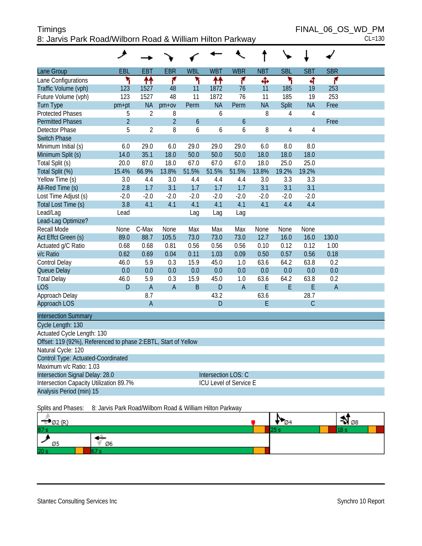| Timings                                                   | FINAL 06 OS WD PM |
|-----------------------------------------------------------|-------------------|
| 8: Jarvis Park Road/Wilborn Road & William Hilton Parkway | $CL=130$          |

|                                                                | ♦ر             |                |                |               |            |                        |            |                |                |            |  |
|----------------------------------------------------------------|----------------|----------------|----------------|---------------|------------|------------------------|------------|----------------|----------------|------------|--|
| Lane Group                                                     | EBL            | <b>EBT</b>     | <b>EBR</b>     | <b>WBL</b>    | <b>WBT</b> | <b>WBR</b>             | <b>NBT</b> | <b>SBL</b>     | <b>SBT</b>     | <b>SBR</b> |  |
| Lane Configurations                                            | ۳              | ቶቶ             | 7              | ۲             | ቶቶ         | ۴                      | Ф          | ۲              | 4              | ۴          |  |
| Traffic Volume (vph)                                           | 123            | 1527           | 48             | 11            | 1872       | 76                     | 11         | 185            | 19             | 253        |  |
| Future Volume (vph)                                            | 123            | 1527           | 48             | 11            | 1872       | 76                     | 11         | 185            | 19             | 253        |  |
| <b>Turn Type</b>                                               | pm+pt          | <b>NA</b>      | $pm+ov$        | Perm          | <b>NA</b>  | Perm                   | <b>NA</b>  | Split          | <b>NA</b>      | Free       |  |
| <b>Protected Phases</b>                                        | 5              | $\overline{2}$ | 8              |               | 6          |                        | 8          | $\overline{4}$ | $\overline{4}$ |            |  |
| <b>Permitted Phases</b>                                        | $\overline{2}$ |                | $\overline{2}$ | $\mathfrak b$ |            | $\boldsymbol{6}$       |            |                |                | Free       |  |
| Detector Phase                                                 | 5              | $\overline{2}$ | 8              | 6             | 6          | 6                      | 8          | $\overline{4}$ | $\overline{4}$ |            |  |
| <b>Switch Phase</b>                                            |                |                |                |               |            |                        |            |                |                |            |  |
| Minimum Initial (s)                                            | 6.0            | 29.0           | 6.0            | 29.0          | 29.0       | 29.0                   | 6.0        | 8.0            | 8.0            |            |  |
| Minimum Split (s)                                              | 14.0           | 35.1           | 18.0           | 50.0          | 50.0       | 50.0                   | 18.0       | 18.0           | 18.0           |            |  |
| Total Split (s)                                                | 20.0           | 87.0           | 18.0           | 67.0          | 67.0       | 67.0                   | 18.0       | 25.0           | 25.0           |            |  |
| Total Split (%)                                                | 15.4%          | 66.9%          | 13.8%          | 51.5%         | 51.5%      | 51.5%                  | 13.8%      | 19.2%          | 19.2%          |            |  |
| Yellow Time (s)                                                | 3.0            | 4.4            | 3.0            | 4.4           | 4.4        | 4.4                    | 3.0        | 3.3            | 3.3            |            |  |
| All-Red Time (s)                                               | 2.8            | 1.7            | 3.1            | 1.7           | 1.7        | 1.7                    | 3.1        | 3.1            | 3.1            |            |  |
| Lost Time Adjust (s)                                           | $-2.0$         | $-2.0$         | $-2.0$         | $-2.0$        | $-2.0$     | $-2.0$                 | $-2.0$     | $-2.0$         | $-2.0$         |            |  |
| Total Lost Time (s)                                            | 3.8            | 4.1            | 4.1            | 4.1           | 4.1        | 4.1                    | 4.1        | 4.4            | 4.4            |            |  |
| Lead/Lag                                                       | Lead           |                |                | Lag           | Lag        | Lag                    |            |                |                |            |  |
| Lead-Lag Optimize?                                             |                |                |                |               |            |                        |            |                |                |            |  |
| Recall Mode                                                    | None           | C-Max          | None           | Max           | Max        | Max                    | None       | None           | None           |            |  |
| Act Effct Green (s)                                            | 89.0           | 88.7           | 105.5          | 73.0          | 73.0       | 73.0                   | 12.7       | 16.0           | 16.0           | 130.0      |  |
| Actuated g/C Ratio                                             | 0.68           | 0.68           | 0.81           | 0.56          | 0.56       | 0.56                   | 0.10       | 0.12           | 0.12           | 1.00       |  |
| v/c Ratio                                                      | 0.62           | 0.69           | 0.04           | 0.11          | 1.03       | 0.09                   | 0.50       | 0.57           | 0.56           | 0.18       |  |
| Control Delay                                                  | 46.0           | 5.9            | 0.3            | 15.9          | 45.0       | 1.0                    | 63.6       | 64.2           | 63.8           | 0.2        |  |
| Queue Delay                                                    | 0.0            | 0.0            | 0.0            | 0.0           | 0.0        | 0.0                    | 0.0        | 0.0            | 0.0            | 0.0        |  |
| <b>Total Delay</b>                                             | 46.0           | 5.9            | 0.3            | 15.9          | 45.0       | 1.0                    | 63.6       | 64.2           | 63.8           | 0.2        |  |
| <b>LOS</b>                                                     | D              | $\overline{A}$ | $\overline{A}$ | $\mathsf B$   | D          | $\overline{A}$         | E          | $\mathsf E$    | E              | A          |  |
| Approach Delay                                                 |                | 8.7            |                |               | 43.2       |                        | 63.6       |                | 28.7           |            |  |
| Approach LOS                                                   |                | $\overline{A}$ |                |               | D          |                        | E          |                | $\mathsf{C}$   |            |  |
| <b>Intersection Summary</b>                                    |                |                |                |               |            |                        |            |                |                |            |  |
| Cycle Length: 130                                              |                |                |                |               |            |                        |            |                |                |            |  |
| Actuated Cycle Length: 130                                     |                |                |                |               |            |                        |            |                |                |            |  |
| Offset: 119 (92%), Referenced to phase 2:EBTL, Start of Yellow |                |                |                |               |            |                        |            |                |                |            |  |
| Natural Cycle: 120                                             |                |                |                |               |            |                        |            |                |                |            |  |
| Control Type: Actuated-Coordinated                             |                |                |                |               |            |                        |            |                |                |            |  |
| Maximum v/c Ratio: 1.03                                        |                |                |                |               |            |                        |            |                |                |            |  |
| Intersection Signal Delay: 28.0                                |                |                |                |               |            | Intersection LOS: C    |            |                |                |            |  |
| Intersection Capacity Utilization 89.7%                        |                |                |                |               |            | ICU Level of Service E |            |                |                |            |  |
| Analysis Period (min) 15                                       |                |                |                |               |            |                        |            |                |                |            |  |

Splits and Phases: 8: Jarvis Park Road/Wilborn Road & William Hilton Parkway

| <b>DZ</b>       |  | $\bullet$ 08 |
|-----------------|--|--------------|
| 87 s            |  |              |
| Ø6              |  |              |
| 20 <sub>s</sub> |  |              |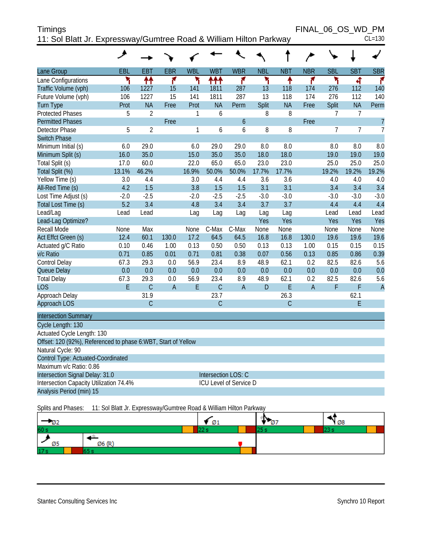| <b>Timings</b>                                                     | FINAL 06 OS WD PM |          |
|--------------------------------------------------------------------|-------------------|----------|
| 11: Sol Blatt Jr. Expressway/Gumtree Road & William Hilton Parkway |                   | $CL=130$ |

|                                                               | عر     |                |                |            |                               |                  |            |            |                |                |                |                |
|---------------------------------------------------------------|--------|----------------|----------------|------------|-------------------------------|------------------|------------|------------|----------------|----------------|----------------|----------------|
| Lane Group                                                    | EBL    | <b>EBT</b>     | <b>EBR</b>     | <b>WBL</b> | <b>WBT</b>                    | <b>WBR</b>       | <b>NBL</b> | <b>NBT</b> | <b>NBR</b>     | <b>SBL</b>     | <b>SBT</b>     | <b>SBR</b>     |
| Lane Configurations                                           | ۲      | ↟↟             | ۴              | ۲          | ተተተ                           | ۴                | ۲          | ٠          | ۴              | ۳              | 4              | ۴              |
| Traffic Volume (vph)                                          | 106    | 1227           | 15             | 141        | 1811                          | 287              | 13         | 118        | 174            | 276            | 112            | 140            |
| Future Volume (vph)                                           | 106    | 1227           | 15             | 141        | 1811                          | 287              | 13         | 118        | 174            | 276            | 112            | 140            |
| <b>Turn Type</b>                                              | Prot   | <b>NA</b>      | Free           | Prot       | <b>NA</b>                     | Perm             | Split      | <b>NA</b>  | Free           | Split          | <b>NA</b>      | Perm           |
| <b>Protected Phases</b>                                       | 5      | $\overline{2}$ |                | 1          | 6                             |                  | 8          | 8          |                | $\overline{7}$ | $\overline{7}$ |                |
| <b>Permitted Phases</b>                                       |        |                | Free           |            |                               | $\boldsymbol{6}$ |            |            | Free           |                |                | $\overline{7}$ |
| <b>Detector Phase</b>                                         | 5      | $\overline{2}$ |                | 1          | 6                             | 6                | 8          | 8          |                | $\overline{7}$ | $\overline{7}$ | $\overline{7}$ |
| <b>Switch Phase</b>                                           |        |                |                |            |                               |                  |            |            |                |                |                |                |
| Minimum Initial (s)                                           | 6.0    | 29.0           |                | 6.0        | 29.0                          | 29.0             | 8.0        | 8.0        |                | 8.0            | 8.0            | 8.0            |
| Minimum Split (s)                                             | 16.0   | 35.0           |                | 15.0       | 35.0                          | 35.0             | 18.0       | 18.0       |                | 19.0           | 19.0           | 19.0           |
| Total Split (s)                                               | 17.0   | 60.0           |                | 22.0       | 65.0                          | 65.0             | 23.0       | 23.0       |                | 25.0           | 25.0           | 25.0           |
| Total Split (%)                                               | 13.1%  | 46.2%          |                | 16.9%      | 50.0%                         | 50.0%            | 17.7%      | 17.7%      |                | 19.2%          | 19.2%          | 19.2%          |
| Yellow Time (s)                                               | 3.0    | 4.4            |                | 3.0        | 4.4                           | 4.4              | 3.6        | 3.6        |                | 4.0            | 4.0            | 4.0            |
| All-Red Time (s)                                              | 4.2    | 1.5            |                | 3.8        | 1.5                           | 1.5              | 3.1        | 3.1        |                | 3.4            | 3.4            | 3.4            |
| Lost Time Adjust (s)                                          | $-2.0$ | $-2.5$         |                | $-2.0$     | $-2.5$                        | $-2.5$           | $-3.0$     | $-3.0$     |                | $-3.0$         | $-3.0$         | $-3.0$         |
| Total Lost Time (s)                                           | 5.2    | 3.4            |                | 4.8        | 3.4                           | 3.4              | 3.7        | 3.7        |                | 4.4            | 4.4            | 4.4            |
| Lead/Lag                                                      | Lead   | Lead           |                | Lag        | Lag                           | Lag              | Lag        | Lag        |                | Lead           | Lead           | Lead           |
| Lead-Lag Optimize?                                            |        |                |                |            |                               |                  | Yes        | Yes        |                | Yes            | <b>Yes</b>     | Yes            |
| <b>Recall Mode</b>                                            | None   | Max            |                | None       | C-Max                         | C-Max            | None       | None       |                | None           | None           | None           |
| Act Effct Green (s)                                           | 12.4   | 60.1           | 130.0          | 17.2       | 64.5                          | 64.5             | 16.8       | 16.8       | 130.0          | 19.6           | 19.6           | 19.6           |
| Actuated g/C Ratio                                            | 0.10   | 0.46           | 1.00           | 0.13       | 0.50                          | 0.50             | 0.13       | 0.13       | 1.00           | 0.15           | 0.15           | 0.15           |
| v/c Ratio                                                     | 0.71   | 0.85           | 0.01           | 0.71       | 0.81                          | 0.38             | 0.07       | 0.56       | 0.13           | 0.85           | 0.86           | 0.39           |
| Control Delay                                                 | 67.3   | 29.3           | 0.0            | 56.9       | 23.4                          | 8.9              | 48.9       | 62.1       | 0.2            | 82.5           | 82.6           | 5.6            |
| Queue Delay                                                   | 0.0    | 0.0            | 0.0            | 0.0        | 0.0                           | 0.0              | 0.0        | 0.0        | 0.0            | 0.0            | 0.0            | 0.0            |
| <b>Total Delay</b>                                            | 67.3   | 29.3           | 0.0            | 56.9       | 23.4                          | 8.9              | 48.9       | 62.1       | 0.2            | 82.5           | 82.6           | 5.6            |
| <b>LOS</b>                                                    | E      | $\mathcal{C}$  | $\overline{A}$ | E          | $\mathsf{C}$                  | $\overline{A}$   | D          | E          | $\overline{A}$ | F              | F              | $\overline{A}$ |
| Approach Delay                                                |        | 31.9           |                |            | 23.7                          |                  |            | 26.3       |                |                | 62.1           |                |
| Approach LOS                                                  |        | C              |                |            | C                             |                  |            | C          |                |                | E              |                |
| <b>Intersection Summary</b>                                   |        |                |                |            |                               |                  |            |            |                |                |                |                |
| Cycle Length: 130                                             |        |                |                |            |                               |                  |            |            |                |                |                |                |
| Actuated Cycle Length: 130                                    |        |                |                |            |                               |                  |            |            |                |                |                |                |
| Offset: 120 (92%), Referenced to phase 6:WBT, Start of Yellow |        |                |                |            |                               |                  |            |            |                |                |                |                |
| Natural Cycle: 90                                             |        |                |                |            |                               |                  |            |            |                |                |                |                |
| Control Type: Actuated-Coordinated                            |        |                |                |            |                               |                  |            |            |                |                |                |                |
| Maximum v/c Ratio: 0.86                                       |        |                |                |            |                               |                  |            |            |                |                |                |                |
| Intersection Signal Delay: 31.0                               |        |                |                |            | Intersection LOS: C           |                  |            |            |                |                |                |                |
| Intersection Capacity Utilization 74.4%                       |        |                |                |            | <b>ICU Level of Service D</b> |                  |            |            |                |                |                |                |
| Analysis Period (min) 15                                      |        |                |                |            |                               |                  |            |            |                |                |                |                |

Splits and Phases: 11: Sol Blatt Jr. Expressway/Gumtree Road & William Hilton Parkway

|                 |        | Ø1 | Ø8 |
|-----------------|--------|----|----|
| 60 s            |        |    |    |
| כש              | Ø6 (P' |    |    |
| 17 <sub>s</sub> |        |    |    |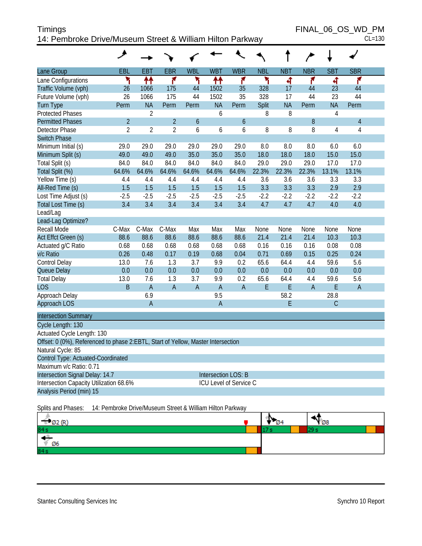| Timings                                                   | FINAL 06 OS WD PM |
|-----------------------------------------------------------|-------------------|
| 14: Pembroke Drive/Museum Street & William Hilton Parkway | $CL=130$          |

|                                                                                  | حر             |                |                |                  |                               |                  |            |            |                |                |                |  |
|----------------------------------------------------------------------------------|----------------|----------------|----------------|------------------|-------------------------------|------------------|------------|------------|----------------|----------------|----------------|--|
| Lane Group                                                                       | EBL            | <b>EBT</b>     | <b>EBR</b>     | <b>WBL</b>       | <b>WBT</b>                    | <b>WBR</b>       | <b>NBL</b> | <b>NBT</b> | <b>NBR</b>     | <b>SBT</b>     | <b>SBR</b>     |  |
| Lane Configurations                                                              | ۲              | ↟↟             | ۴              | ۲                | ↟↟                            | ۴                | ۲          | 4          | ۴              | 4              | ۴              |  |
| Traffic Volume (vph)                                                             | 26             | 1066           | 175            | 44               | 1502                          | 35               | 328        | 17         | 44             | 23             | 44             |  |
| Future Volume (vph)                                                              | 26             | 1066           | 175            | 44               | 1502                          | 35               | 328        | 17         | 44             | 23             | 44             |  |
| <b>Turn Type</b>                                                                 | Perm           | <b>NA</b>      | Perm           | Perm             | <b>NA</b>                     | Perm             | Split      | <b>NA</b>  | Perm           | <b>NA</b>      | Perm           |  |
| <b>Protected Phases</b>                                                          |                | $\overline{2}$ |                |                  | 6                             |                  | 8          | 8          |                | $\overline{4}$ |                |  |
| <b>Permitted Phases</b>                                                          | $\overline{2}$ |                | $\overline{2}$ | $\boldsymbol{6}$ |                               | $\boldsymbol{6}$ |            |            | 8              |                | $\overline{4}$ |  |
| <b>Detector Phase</b>                                                            | $\overline{2}$ | $\overline{2}$ | $\overline{2}$ | 6                | 6                             | 6                | 8          | 8          | 8              | $\overline{4}$ | $\overline{4}$ |  |
| <b>Switch Phase</b>                                                              |                |                |                |                  |                               |                  |            |            |                |                |                |  |
| Minimum Initial (s)                                                              | 29.0           | 29.0           | 29.0           | 29.0             | 29.0                          | 29.0             | 8.0        | 8.0        | 8.0            | 6.0            | 6.0            |  |
| Minimum Split (s)                                                                | 49.0           | 49.0           | 49.0           | 35.0             | 35.0                          | 35.0             | 18.0       | 18.0       | 18.0           | 15.0           | 15.0           |  |
| Total Split (s)                                                                  | 84.0           | 84.0           | 84.0           | 84.0             | 84.0                          | 84.0             | 29.0       | 29.0       | 29.0           | 17.0           | 17.0           |  |
| Total Split (%)                                                                  | 64.6%          | 64.6%          | 64.6%          | 64.6%            | 64.6%                         | 64.6%            | 22.3%      | 22.3%      | 22.3%          | 13.1%          | 13.1%          |  |
| Yellow Time (s)                                                                  | 4.4            | 4.4            | 4.4            | 4.4              | 4.4                           | 4.4              | 3.6        | 3.6        | 3.6            | 3.3            | 3.3            |  |
| All-Red Time (s)                                                                 | 1.5            | 1.5            | 1.5            | 1.5              | 1.5                           | 1.5              | 3.3        | 3.3        | 3.3            | 2.9            | 2.9            |  |
| Lost Time Adjust (s)                                                             | $-2.5$         | $-2.5$         | $-2.5$         | $-2.5$           | $-2.5$                        | $-2.5$           | $-2.2$     | $-2.2$     | $-2.2$         | $-2.2$         | $-2.2$         |  |
| Total Lost Time (s)                                                              | 3.4            | 3.4            | 3.4            | 3.4              | 3.4                           | 3.4              | 4.7        | 4.7        | 4.7            | 4.0            | 4.0            |  |
| Lead/Lag                                                                         |                |                |                |                  |                               |                  |            |            |                |                |                |  |
| Lead-Lag Optimize?                                                               |                |                |                |                  |                               |                  |            |            |                |                |                |  |
| Recall Mode                                                                      | C-Max          | C-Max          | C-Max          | Max              | Max                           | Max              | None       | None       | None           | None           | None           |  |
| Act Effct Green (s)                                                              | 88.6           | 88.6           | 88.6           | 88.6             | 88.6                          | 88.6             | 21.4       | 21.4       | 21.4           | 10.3           | 10.3           |  |
| Actuated g/C Ratio                                                               | 0.68           | 0.68           | 0.68           | 0.68             | 0.68                          | 0.68             | 0.16       | 0.16       | 0.16           | 0.08           | 0.08           |  |
| v/c Ratio                                                                        | 0.26           | 0.48           | 0.17           | 0.19             | 0.68                          | 0.04             | 0.71       | 0.69       | 0.15           | 0.25           | 0.24           |  |
| Control Delay                                                                    | 13.0           | 7.6            | 1.3            | 3.7              | 9.9                           | 0.2              | 65.6       | 64.4       | 4.4            | 59.6           | 5.6            |  |
| Queue Delay                                                                      | 0.0            | 0.0            | 0.0            | 0.0              | 0.0                           | 0.0              | 0.0        | 0.0        | 0.0            | 0.0            | 0.0            |  |
| <b>Total Delay</b>                                                               | 13.0           | 7.6            | 1.3            | 3.7              | 9.9                           | 0.2              | 65.6       | 64.4       | 4.4            | 59.6           | 5.6            |  |
| <b>LOS</b>                                                                       | B              | $\overline{A}$ | $\overline{A}$ | $\overline{A}$   | $\overline{A}$                | $\overline{A}$   | E          | E          | $\overline{A}$ | E              | $\overline{A}$ |  |
| Approach Delay                                                                   |                | 6.9            |                |                  | 9.5                           |                  |            | 58.2       |                | 28.8           |                |  |
| Approach LOS                                                                     |                | $\overline{A}$ |                |                  | $\overline{A}$                |                  |            | E          |                | $\mathsf{C}$   |                |  |
| <b>Intersection Summary</b>                                                      |                |                |                |                  |                               |                  |            |            |                |                |                |  |
| Cycle Length: 130                                                                |                |                |                |                  |                               |                  |            |            |                |                |                |  |
| Actuated Cycle Length: 130                                                       |                |                |                |                  |                               |                  |            |            |                |                |                |  |
| Offset: 0 (0%), Referenced to phase 2:EBTL, Start of Yellow, Master Intersection |                |                |                |                  |                               |                  |            |            |                |                |                |  |
| Natural Cycle: 85                                                                |                |                |                |                  |                               |                  |            |            |                |                |                |  |
| Control Type: Actuated-Coordinated                                               |                |                |                |                  |                               |                  |            |            |                |                |                |  |
| Maximum v/c Ratio: 0.71                                                          |                |                |                |                  |                               |                  |            |            |                |                |                |  |
| Intersection Signal Delay: 14.7                                                  |                |                |                |                  | <b>Intersection LOS: B</b>    |                  |            |            |                |                |                |  |
| Intersection Capacity Utilization 68.6%                                          |                |                |                |                  | <b>ICU Level of Service C</b> |                  |            |            |                |                |                |  |
| Analysis Period (min) 15                                                         |                |                |                |                  |                               |                  |            |            |                |                |                |  |
|                                                                                  |                |                |                |                  |                               |                  |            |            |                |                |                |  |

Splits and Phases: 14: Pembroke Drive/Museum Street & William Hilton Parkway

| $m = 2m$ | в.<br>Ø4 | $\sqrt{28}$ |
|----------|----------|-------------|
| 84 s     |          |             |
| Ø6       |          |             |
| 84s      |          |             |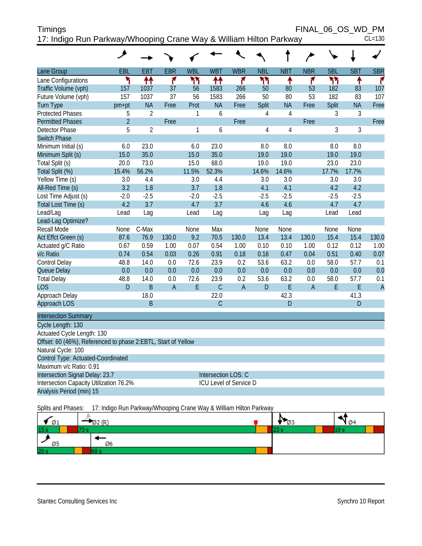| <b>Timings</b>                                                     | FINAL 06 OS WD PM |          |
|--------------------------------------------------------------------|-------------------|----------|
| 17: Indigo Run Parkway/Whooping Crane Way & William Hilton Parkway |                   | $CL=130$ |

|                                                               | ᢣ              |                |                |              |                               |                |                |                |                |              |            |                |
|---------------------------------------------------------------|----------------|----------------|----------------|--------------|-------------------------------|----------------|----------------|----------------|----------------|--------------|------------|----------------|
| Lane Group                                                    | EBL            | EBT            | <b>EBR</b>     | <b>WBL</b>   | <b>WBT</b>                    | <b>WBR</b>     | <b>NBL</b>     | <b>NBT</b>     | <b>NBR</b>     | <b>SBL</b>   | <b>SBT</b> | <b>SBR</b>     |
| Lane Configurations                                           | ۲              | ↟↟             | ۴              | ካካ           | ↟↟                            | ۴              | ሻሻ             | ↟              | ۴              | ካካ           | ↟          | r              |
| Traffic Volume (vph)                                          | 157            | 1037           | 37             | 56           | 1583                          | 266            | 50             | 80             | 53             | 182          | 83         | 107            |
| Future Volume (vph)                                           | 157            | 1037           | 37             | 56           | 1583                          | 266            | 50             | 80             | 53             | 182          | 83         | 107            |
| <b>Turn Type</b>                                              | $pm+pt$        | <b>NA</b>      | Free           | Prot         | <b>NA</b>                     | Free           | Split          | <b>NA</b>      | Free           | <b>Split</b> | <b>NA</b>  | Free           |
| <b>Protected Phases</b>                                       | 5              | $\overline{2}$ |                | $\mathbf{1}$ | 6                             |                | 4              | $\overline{4}$ |                | 3            | 3          |                |
| <b>Permitted Phases</b>                                       | $\overline{2}$ |                | Free           |              |                               | Free           |                |                | Free           |              |            | Free           |
| Detector Phase                                                | 5              | $\overline{2}$ |                | 1            | 6                             |                | $\overline{4}$ | 4              |                | 3            | 3          |                |
| <b>Switch Phase</b>                                           |                |                |                |              |                               |                |                |                |                |              |            |                |
| Minimum Initial (s)                                           | 6.0            | 23.0           |                | 6.0          | 23.0                          |                | 8.0            | 8.0            |                | 8.0          | 8.0        |                |
| Minimum Split (s)                                             | 15.0           | 35.0           |                | 15.0         | 35.0                          |                | 19.0           | 19.0           |                | 19.0         | 19.0       |                |
| Total Split (s)                                               | 20.0           | 73.0           |                | 15.0         | 68.0                          |                | 19.0           | 19.0           |                | 23.0         | 23.0       |                |
| Total Split (%)                                               | 15.4%          | 56.2%          |                | 11.5%        | 52.3%                         |                | 14.6%          | 14.6%          |                | 17.7%        | 17.7%      |                |
| Yellow Time (s)                                               | 3.0            | 4.4            |                | 3.0          | 4.4                           |                | 3.0            | 3.0            |                | 3.0          | 3.0        |                |
| All-Red Time (s)                                              | 3.2            | 1.8            |                | 3.7          | 1.8                           |                | 4.1            | 4.1            |                | 4.2          | 4.2        |                |
| Lost Time Adjust (s)                                          | $-2.0$         | $-2.5$         |                | $-2.0$       | $-2.5$                        |                | $-2.5$         | $-2.5$         |                | $-2.5$       | $-2.5$     |                |
| Total Lost Time (s)                                           | 4.2            | 3.7            |                | 4.7          | 3.7                           |                | 4.6            | 4.6            |                | 4.7          | 4.7        |                |
| Lead/Lag                                                      | Lead           | Lag            |                | Lead         | Lag                           |                | Lag            | Lag            |                | Lead         | Lead       |                |
| Lead-Lag Optimize?                                            |                |                |                |              |                               |                |                |                |                |              |            |                |
| <b>Recall Mode</b>                                            | None           | C-Max          |                | None         | Max                           |                | None           | None           |                | None         | None       |                |
| Act Effct Green (s)                                           | 87.6           | 76.9           | 130.0          | 9.2          | 70.5                          | 130.0          | 13.4           | 13.4           | 130.0          | 15.4         | 15.4       | 130.0          |
| Actuated g/C Ratio                                            | 0.67           | 0.59           | 1.00           | 0.07         | 0.54                          | 1.00           | 0.10           | 0.10           | 1.00           | 0.12         | 0.12       | 1.00           |
| v/c Ratio                                                     | 0.74           | 0.54           | 0.03           | 0.26         | 0.91                          | 0.18           | 0.16           | 0.47           | 0.04           | 0.51         | 0.40       | 0.07           |
| Control Delay                                                 | 48.8           | 14.0           | 0.0            | 72.6         | 23.9                          | 0.2            | 53.6           | 63.2           | 0.0            | 58.0         | 57.7       | 0.1            |
| Queue Delay                                                   | 0.0            | 0.0            | 0.0            | 0.0          | 0.0                           | 0.0            | 0.0            | 0.0            | 0.0            | 0.0          | 0.0        | 0.0            |
| <b>Total Delay</b>                                            | 48.8           | 14.0           | 0.0            | 72.6         | 23.9                          | 0.2            | 53.6           | 63.2           | 0.0            | 58.0         | 57.7       | 0.1            |
| <b>LOS</b>                                                    | D              | B              | $\overline{A}$ | E            | $\mathcal{C}$                 | $\overline{A}$ | D              | E              | $\overline{A}$ | E            | E          | $\overline{A}$ |
| Approach Delay                                                |                | 18.0           |                |              | 22.0                          |                |                | 42.3           |                |              | 41.3       |                |
| Approach LOS                                                  |                | B              |                |              | C                             |                |                | D              |                |              | D          |                |
| <b>Intersection Summary</b>                                   |                |                |                |              |                               |                |                |                |                |              |            |                |
| Cycle Length: 130                                             |                |                |                |              |                               |                |                |                |                |              |            |                |
| Actuated Cycle Length: 130                                    |                |                |                |              |                               |                |                |                |                |              |            |                |
| Offset: 60 (46%), Referenced to phase 2:EBTL, Start of Yellow |                |                |                |              |                               |                |                |                |                |              |            |                |
| Natural Cycle: 100                                            |                |                |                |              |                               |                |                |                |                |              |            |                |
| Control Type: Actuated-Coordinated                            |                |                |                |              |                               |                |                |                |                |              |            |                |
| Maximum v/c Ratio: 0.91                                       |                |                |                |              |                               |                |                |                |                |              |            |                |
| Intersection Signal Delay: 23.7                               |                |                |                |              | Intersection LOS: C           |                |                |                |                |              |            |                |
| Intersection Capacity Utilization 76.2%                       |                |                |                |              | <b>ICU Level of Service D</b> |                |                |                |                |              |            |                |
| Analysis Period (min) 15                                      |                |                |                |              |                               |                |                |                |                |              |            |                |

Splits and Phases: 17: Indigo Run Parkway/Whooping Crane Way & William Hilton Parkway

| Ø1              | 2 (R)<br>$\sim$ | Ø3 | Ø4 |
|-----------------|-----------------|----|----|
| 15 <sub>s</sub> |                 |    |    |
| Ø5              | Ø6              |    |    |
| 20 s            |                 |    |    |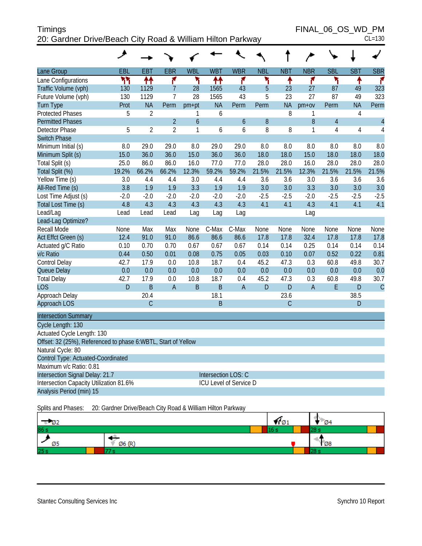| <b>Timings</b>                                             | FINAL 06 OS WD PM |
|------------------------------------------------------------|-------------------|
| 20: Gardner Drive/Beach City Road & William Hilton Parkway | $CL=130$          |

|                                                               | حر          |                |                |                |            |                        |            |                |                |                |                |                |
|---------------------------------------------------------------|-------------|----------------|----------------|----------------|------------|------------------------|------------|----------------|----------------|----------------|----------------|----------------|
| Lane Group                                                    | EBL         | <b>EBT</b>     | <b>EBR</b>     | <b>WBL</b>     | <b>WBT</b> | <b>WBR</b>             | <b>NBL</b> | <b>NBT</b>     | <b>NBR</b>     | <b>SBL</b>     | <b>SBT</b>     | <b>SBR</b>     |
| Lane Configurations                                           | ۲٢          | ↟↟             | ۴              | ۲              | ቶቶ         | ۴                      | ۲          | ۸              | ۴              | ۲              | ٠              | ۴              |
| Traffic Volume (vph)                                          | 130         | 1129           | $\overline{7}$ | 28             | 1565       | 43                     | 5          | 23             | 27             | 87             | 49             | 323            |
| Future Volume (vph)                                           | 130         | 1129           | $\overline{7}$ | 28             | 1565       | 43                     | 5          | 23             | 27             | 87             | 49             | 323            |
| <b>Turn Type</b>                                              | Prot        | <b>NA</b>      | Perm           | pm+pt          | <b>NA</b>  | Perm                   | Perm       | <b>NA</b>      | $pm+ov$        | Perm           | <b>NA</b>      | Perm           |
| <b>Protected Phases</b>                                       | 5           | $\overline{2}$ |                | 1              | 6          |                        |            | 8              | 1              |                | $\overline{4}$ |                |
| <b>Permitted Phases</b>                                       |             |                | $\overline{2}$ | $\overline{6}$ |            | $\boldsymbol{6}$       | 8          |                | 8              | $\overline{4}$ |                | $\overline{4}$ |
| <b>Detector Phase</b>                                         | 5           | $\overline{2}$ | $\overline{2}$ | 1              | 6          | 6                      | 8          | 8              | 1              | $\overline{4}$ | $\overline{4}$ | $\overline{4}$ |
| <b>Switch Phase</b>                                           |             |                |                |                |            |                        |            |                |                |                |                |                |
| Minimum Initial (s)                                           | 8.0         | 29.0           | 29.0           | 8.0            | 29.0       | 29.0                   | 8.0        | 8.0            | 8.0            | 8.0            | 8.0            | 8.0            |
| Minimum Split (s)                                             | 15.0        | 36.0           | 36.0           | 15.0           | 36.0       | 36.0                   | 18.0       | 18.0           | 15.0           | 18.0           | 18.0           | 18.0           |
| Total Split (s)                                               | 25.0        | 86.0           | 86.0           | 16.0           | 77.0       | 77.0                   | 28.0       | 28.0           | 16.0           | 28.0           | 28.0           | 28.0           |
| Total Split (%)                                               | 19.2%       | 66.2%          | 66.2%          | 12.3%          | 59.2%      | 59.2%                  | 21.5%      | 21.5%          | 12.3%          | 21.5%          | 21.5%          | 21.5%          |
| Yellow Time (s)                                               | 3.0         | 4.4            | 4.4            | 3.0            | 4.4        | 4.4                    | 3.6        | 3.6            | 3.0            | 3.6            | 3.6            | 3.6            |
| All-Red Time (s)                                              | 3.8         | 1.9            | 1.9            | 3.3            | 1.9        | 1.9                    | 3.0        | 3.0            | 3.3            | 3.0            | 3.0            | 3.0            |
| Lost Time Adjust (s)                                          | $-2.0$      | $-2.0$         | $-2.0$         | $-2.0$         | $-2.0$     | $-2.0$                 | $-2.5$     | $-2.5$         | $-2.0$         | $-2.5$         | $-2.5$         | $-2.5$         |
| Total Lost Time (s)                                           | 4.8         | 4.3            | 4.3            | 4.3            | 4.3        | 4.3                    | 4.1        | 4.1            | 4.3            | 4.1            | 4.1            | 4.1            |
| Lead/Lag                                                      | Lead        | Lead           | Lead           | Lag            | Lag        | Lag                    |            |                | Lag            |                |                |                |
| Lead-Lag Optimize?                                            |             |                |                |                |            |                        |            |                |                |                |                |                |
| <b>Recall Mode</b>                                            | <b>None</b> | Max            | Max            | <b>None</b>    | C-Max      | C-Max                  | None       | None           | None           | None           | None           | None           |
| Act Effct Green (s)                                           | 12.4        | 91.0           | 91.0           | 86.6           | 86.6       | 86.6                   | 17.8       | 17.8           | 32.4           | 17.8           | 17.8           | 17.8           |
| Actuated g/C Ratio                                            | 0.10        | 0.70           | 0.70           | 0.67           | 0.67       | 0.67                   | 0.14       | 0.14           | 0.25           | 0.14           | 0.14           | 0.14           |
| v/c Ratio                                                     | 0.44        | 0.50           | 0.01           | 0.08           | 0.75       | 0.05                   | 0.03       | 0.10           | 0.07           | 0.52           | 0.22           | 0.81           |
| Control Delay                                                 | 42.7        | 17.9           | 0.0            | 10.8           | 18.7       | 0.4                    | 45.2       | 47.3           | 0.3            | 60.8           | 49.8           | 30.7           |
| Queue Delay                                                   | 0.0         | 0.0            | 0.0            | 0.0            | 0.0        | 0.0                    | 0.0        | 0.0            | 0.0            | 0.0            | 0.0            | 0.0            |
| <b>Total Delay</b>                                            | 42.7        | 17.9           | 0.0            | 10.8           | 18.7       | 0.4                    | 45.2       | 47.3           | 0.3            | 60.8           | 49.8           | 30.7           |
| <b>LOS</b>                                                    | D           | B              | $\overline{A}$ | $\overline{B}$ | B          | A                      | D          | D              | $\overline{A}$ | E              | D              | $\mathcal{C}$  |
| Approach Delay                                                |             | 20.4           |                |                | 18.1       |                        |            | 23.6           |                |                | 38.5           |                |
| Approach LOS                                                  |             | $\overline{C}$ |                |                | B          |                        |            | $\overline{C}$ |                |                | D              |                |
| <b>Intersection Summary</b>                                   |             |                |                |                |            |                        |            |                |                |                |                |                |
| Cycle Length: 130                                             |             |                |                |                |            |                        |            |                |                |                |                |                |
| Actuated Cycle Length: 130                                    |             |                |                |                |            |                        |            |                |                |                |                |                |
| Offset: 32 (25%), Referenced to phase 6:WBTL, Start of Yellow |             |                |                |                |            |                        |            |                |                |                |                |                |
| Natural Cycle: 80                                             |             |                |                |                |            |                        |            |                |                |                |                |                |
| Control Type: Actuated-Coordinated                            |             |                |                |                |            |                        |            |                |                |                |                |                |
| Maximum v/c Ratio: 0.81                                       |             |                |                |                |            |                        |            |                |                |                |                |                |
| Intersection Signal Delay: 21.7                               |             |                |                |                |            | Intersection LOS: C    |            |                |                |                |                |                |
| Intersection Capacity Utilization 81.6%                       |             |                |                |                |            | ICU Level of Service D |            |                |                |                |                |                |
| Analysis Period (min) 15                                      |             |                |                |                |            |                        |            |                |                |                |                |                |

Splits and Phases: 20: Gardner Drive/Beach City Road & William Hilton Parkway

| $\rightarrow 02$ |        | VI 01 | $-04$       |  |
|------------------|--------|-------|-------------|--|
| 86 s             |        | 16s   |             |  |
| Ø5               | Ø6 (R) |       | $\sqrt{28}$ |  |
| 25s              |        |       |             |  |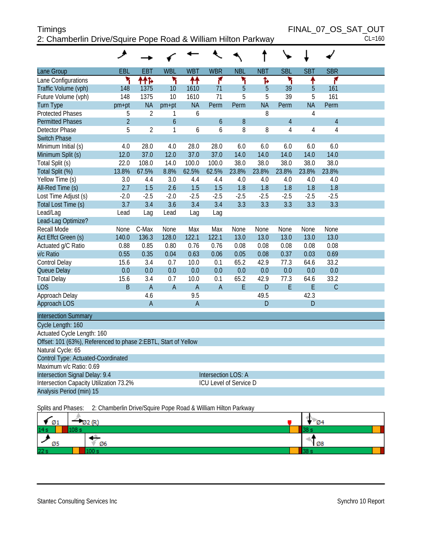# Timings FINAL\_07\_OS\_SAT\_OUT 2: Chamberlin Drive/Squire Pope Road & William Hilton Parkway CL=160

| Lane Group                                                     | EBL            | EBT            | <b>WBL</b>     | <b>WBT</b>     | <b>WBR</b>             | <b>NBL</b> | <b>NBT</b> | <b>SBL</b>     | <b>SBT</b> | <b>SBR</b>     |  |
|----------------------------------------------------------------|----------------|----------------|----------------|----------------|------------------------|------------|------------|----------------|------------|----------------|--|
| Lane Configurations                                            | ۲              | 林              | ۲              | ↟↟             | ۴                      | ۲          | Ъ          | ۲              | ↟          | ۴              |  |
| Traffic Volume (vph)                                           | 148            | 1375           | 10             | 1610           | 71                     | 5          | 5          | 39             | 5          | 161            |  |
| Future Volume (vph)                                            | 148            | 1375           | 10             | 1610           | 71                     | 5          | 5          | 39             | 5          | 161            |  |
| <b>Turn Type</b>                                               | pm+pt          | <b>NA</b>      | $pm+pt$        | <b>NA</b>      | Perm                   | Perm       | <b>NA</b>  | Perm           | <b>NA</b>  | Perm           |  |
| <b>Protected Phases</b>                                        | 5              | $\overline{2}$ | 1              | 6              |                        |            | 8          |                | 4          |                |  |
| <b>Permitted Phases</b>                                        | $\overline{2}$ |                | $\overline{6}$ |                | 6                      | 8          |            | $\overline{4}$ |            | $\overline{4}$ |  |
| <b>Detector Phase</b>                                          | 5              | $\overline{2}$ | 1              | 6              | 6                      | 8          | 8          | 4              | 4          | 4              |  |
| <b>Switch Phase</b>                                            |                |                |                |                |                        |            |            |                |            |                |  |
| Minimum Initial (s)                                            | 4.0            | 28.0           | 4.0            | 28.0           | 28.0                   | 6.0        | 6.0        | 6.0            | 6.0        | 6.0            |  |
| Minimum Split (s)                                              | 12.0           | 37.0           | 12.0           | 37.0           | 37.0                   | 14.0       | 14.0       | 14.0           | 14.0       | 14.0           |  |
| Total Split (s)                                                | 22.0           | 108.0          | 14.0           | 100.0          | 100.0                  | 38.0       | 38.0       | 38.0           | 38.0       | 38.0           |  |
| Total Split (%)                                                | 13.8%          | 67.5%          | 8.8%           | 62.5%          | 62.5%                  | 23.8%      | 23.8%      | 23.8%          | 23.8%      | 23.8%          |  |
| Yellow Time (s)                                                | 3.0            | 4.4            | 3.0            | 4.4            | 4.4                    | 4.0        | 4.0        | 4.0            | 4.0        | 4.0            |  |
| All-Red Time (s)                                               | 2.7            | 1.5            | 2.6            | 1.5            | 1.5                    | 1.8        | 1.8        | 1.8            | 1.8        | 1.8            |  |
| Lost Time Adjust (s)                                           | $-2.0$         | $-2.5$         | $-2.0$         | $-2.5$         | $-2.5$                 | $-2.5$     | $-2.5$     | $-2.5$         | $-2.5$     | $-2.5$         |  |
| Total Lost Time (s)                                            | 3.7            | 3.4            | 3.6            | 3.4            | 3.4                    | 3.3        | 3.3        | 3.3            | 3.3        | 3.3            |  |
| Lead/Lag                                                       | Lead           | Lag            | Lead           | Lag            | Lag                    |            |            |                |            |                |  |
| Lead-Lag Optimize?                                             |                |                |                |                |                        |            |            |                |            |                |  |
| Recall Mode                                                    | None           | C-Max          | None           | Max            | Max                    | None       | None       | None           | None       | None           |  |
| Act Effct Green (s)                                            | 140.0          | 136.3          | 128.0          | 122.1          | 122.1                  | 13.0       | 13.0       | 13.0           | 13.0       | 13.0           |  |
| Actuated g/C Ratio                                             | 0.88           | 0.85           | 0.80           | 0.76           | 0.76                   | 0.08       | 0.08       | 0.08           | 0.08       | 0.08           |  |
| v/c Ratio                                                      | 0.55           | 0.35           | 0.04           | 0.63           | 0.06                   | 0.05       | 0.08       | 0.37           | 0.03       | 0.69           |  |
| Control Delay                                                  | 15.6           | 3.4            | 0.7            | 10.0           | 0.1                    | 65.2       | 42.9       | 77.3           | 64.6       | 33.2           |  |
| Queue Delay                                                    | 0.0            | 0.0            | 0.0            | 0.0            | 0.0                    | 0.0        | 0.0        | 0.0            | 0.0        | 0.0            |  |
| <b>Total Delay</b>                                             | 15.6           | 3.4            | 0.7            | 10.0           | 0.1                    | 65.2       | 42.9       | 77.3           | 64.6       | 33.2           |  |
| <b>LOS</b>                                                     | <sub>B</sub>   | $\overline{A}$ | $\overline{A}$ | $\overline{A}$ | $\overline{A}$         | E          | D          | E              | E          | $\mathcal{C}$  |  |
| Approach Delay                                                 |                | 4.6            |                | 9.5            |                        |            | 49.5       |                | 42.3       |                |  |
| Approach LOS                                                   |                | $\overline{A}$ |                | $\overline{A}$ |                        |            | D          |                | D          |                |  |
| <b>Intersection Summary</b>                                    |                |                |                |                |                        |            |            |                |            |                |  |
| Cycle Length: 160                                              |                |                |                |                |                        |            |            |                |            |                |  |
| Actuated Cycle Length: 160                                     |                |                |                |                |                        |            |            |                |            |                |  |
| Offset: 101 (63%), Referenced to phase 2:EBTL, Start of Yellow |                |                |                |                |                        |            |            |                |            |                |  |
| Natural Cycle: 65                                              |                |                |                |                |                        |            |            |                |            |                |  |
| Control Type: Actuated-Coordinated                             |                |                |                |                |                        |            |            |                |            |                |  |
| Maximum v/c Ratio: 0.69                                        |                |                |                |                |                        |            |            |                |            |                |  |
| Intersection Signal Delay: 9.4                                 |                |                |                |                | Intersection LOS: A    |            |            |                |            |                |  |
| Intersection Capacity Utilization 73.2%                        |                |                |                |                | ICU Level of Service D |            |            |                |            |                |  |
| Analysis Period (min) 15                                       |                |                |                |                |                        |            |            |                |            |                |  |
|                                                                |                |                |                |                |                        |            |            |                |            |                |  |

Splits and Phases: 2: Chamberlin Drive/Squire Pope Road & William Hilton Parkway

| $\blacksquare$ 01 | 02(R) | - Ø4        |
|-------------------|-------|-------------|
| 14s               | 108s  |             |
| Ø5                | Ø6    | $\sqrt{28}$ |
| 22s               |       |             |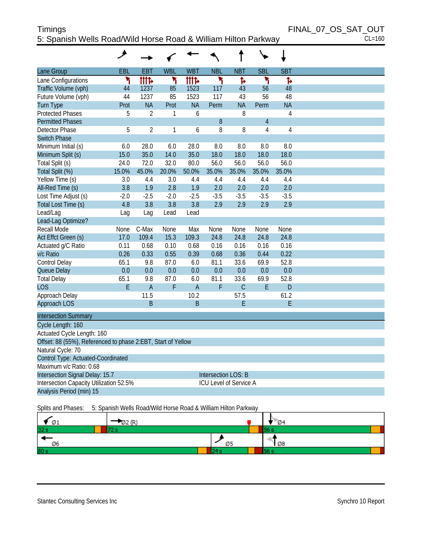# Timings FINAL\_07\_OS\_SAT\_OUT 5: Spanish Wells Road/Wild Horse Road & William Hilton Parkway CL=160

|                                                              | $\overline{\phantom{a}}$ |                |              |                |                            |                               |                |                |
|--------------------------------------------------------------|--------------------------|----------------|--------------|----------------|----------------------------|-------------------------------|----------------|----------------|
| Lane Group                                                   | EBL                      | EBT            | <b>WBL</b>   | <b>WBT</b>     | <b>NBL</b>                 | <b>NBT</b>                    | <b>SBL</b>     | <b>SBT</b>     |
| Lane Configurations                                          | ۲                        | <b>tite</b>    | ۲            | <b>tite</b>    | ۲                          | Ъ                             | ۲              | Ъ              |
| Traffic Volume (vph)                                         | 44                       | 1237           | 85           | 1523           | 117                        | 43                            | 56             | 48             |
| Future Volume (vph)                                          | 44                       | 1237           | 85           | 1523           | 117                        | 43                            | 56             | 48             |
| <b>Turn Type</b>                                             | Prot                     | <b>NA</b>      | Prot         | <b>NA</b>      | Perm                       | <b>NA</b>                     | Perm           | <b>NA</b>      |
| <b>Protected Phases</b>                                      | 5                        | $\overline{2}$ | 1            | 6              |                            | 8                             |                | 4              |
| <b>Permitted Phases</b>                                      |                          |                |              |                | 8                          |                               | $\overline{4}$ |                |
| <b>Detector Phase</b>                                        | 5                        | $\overline{2}$ | $\mathbf{1}$ | 6              | 8                          | 8                             | $\overline{4}$ | $\overline{4}$ |
| <b>Switch Phase</b>                                          |                          |                |              |                |                            |                               |                |                |
| Minimum Initial (s)                                          | 6.0                      | 28.0           | 6.0          | 28.0           | 8.0                        | 8.0                           | 8.0            | 8.0            |
| Minimum Split (s)                                            | 15.0                     | 35.0           | 14.0         | 35.0           | 18.0                       | 18.0                          | 18.0           | 18.0           |
| Total Split (s)                                              | 24.0                     | 72.0           | 32.0         | 80.0           | 56.0                       | 56.0                          | 56.0           | 56.0           |
| Total Split (%)                                              | 15.0%                    | 45.0%          | 20.0%        | 50.0%          | 35.0%                      | 35.0%                         | 35.0%          | 35.0%          |
| Yellow Time (s)                                              | 3.0                      | 4.4            | 3.0          | 4.4            | 4.4                        | 4.4                           | 4.4            | 4.4            |
| All-Red Time (s)                                             | 3.8                      | 1.9            | 2.8          | 1.9            | 2.0                        | 2.0                           | 2.0            | 2.0            |
| Lost Time Adjust (s)                                         | $-2.0$                   | $-2.5$         | $-2.0$       | $-2.5$         | $-3.5$                     | $-3.5$                        | $-3.5$         | $-3.5$         |
| Total Lost Time (s)                                          | 4.8                      | 3.8            | 3.8          | 3.8            | 2.9                        | 2.9                           | 2.9            | 2.9            |
| Lead/Lag                                                     | Lag                      | Lag            | Lead         | Lead           |                            |                               |                |                |
| Lead-Lag Optimize?                                           |                          |                |              |                |                            |                               |                |                |
| Recall Mode                                                  | None                     | C-Max          | None         | Max            | None                       | None                          | None           | None           |
| Act Effct Green (s)                                          | 17.0                     | 109.4          | 15.3         | 109.3          | 24.8                       | 24.8                          | 24.8           | 24.8           |
| Actuated g/C Ratio                                           | 0.11                     | 0.68           | 0.10         | 0.68           | 0.16                       | 0.16                          | 0.16           | 0.16           |
| v/c Ratio                                                    | 0.26                     | 0.33           | 0.55         | 0.39           | 0.68                       | 0.36                          | 0.44           | 0.22           |
| Control Delay                                                | 65.1                     | 9.8            | 87.0         | 6.0            | 81.1                       | 33.6                          | 69.9           | 52.8           |
| Queue Delay                                                  | 0.0                      | 0.0            | 0.0          | 0.0            | 0.0                        | 0.0                           | 0.0            | 0.0            |
| <b>Total Delay</b>                                           | 65.1                     | 9.8            | 87.0         | 6.0            | 81.1                       | 33.6                          | 69.9           | 52.8           |
| <b>LOS</b>                                                   | E                        | $\overline{A}$ | F            | $\overline{A}$ | F                          | $\mathcal{C}$                 | E              | D              |
| Approach Delay                                               |                          | 11.5           |              | 10.2           |                            | 57.5                          |                | 61.2           |
| Approach LOS                                                 |                          | B              |              | B              |                            | Ε                             |                | Е              |
| <b>Intersection Summary</b>                                  |                          |                |              |                |                            |                               |                |                |
| Cycle Length: 160                                            |                          |                |              |                |                            |                               |                |                |
| Actuated Cycle Length: 160                                   |                          |                |              |                |                            |                               |                |                |
| Offset: 88 (55%), Referenced to phase 2:EBT, Start of Yellow |                          |                |              |                |                            |                               |                |                |
| Natural Cycle: 70                                            |                          |                |              |                |                            |                               |                |                |
| Control Type: Actuated-Coordinated                           |                          |                |              |                |                            |                               |                |                |
| Maximum v/c Ratio: 0.68                                      |                          |                |              |                |                            |                               |                |                |
| Intersection Signal Delay: 15.7                              |                          |                |              |                | <b>Intersection LOS: B</b> |                               |                |                |
| Intersection Capacity Utilization 52.5%                      |                          |                |              |                |                            | <b>ICU Level of Service A</b> |                |                |
| Analysis Period (min) 15                                     |                          |                |              |                |                            |                               |                |                |
|                                                              |                          |                |              |                |                            |                               |                |                |

Splits and Phases: 5: Spanish Wells Road/Wild Horse Road & William Hilton Parkway

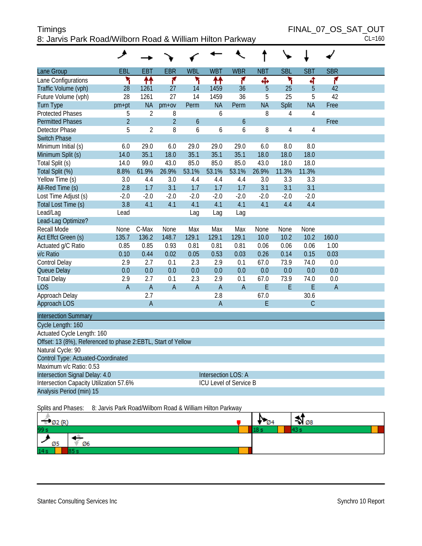# Timings FINAL\_07\_OS\_SAT\_OUT 8: Jarvis Park Road/Wilborn Road & William Hilton Parkway CL=160

| <b>SBL</b><br>EBL<br><b>EBT</b><br><b>EBR</b><br><b>WBL</b><br><b>WBT</b><br><b>WBR</b><br><b>NBT</b><br><b>SBT</b><br><b>SBR</b><br>Lane Configurations<br>۲<br>↟↟<br>۴<br>۲<br>↟↟<br>۴<br>۲<br>۴<br>Ф<br>ৰ<br>28<br>1261<br>27<br>1459<br>5<br>25<br>5<br>42<br>14<br>36<br>28<br>27<br>1459<br>36<br>25<br>5<br>42<br>1261<br>14<br>5<br><b>NA</b><br><b>NA</b><br><b>NA</b><br>Split<br><b>NA</b><br>pm+pt<br>$pm+ov$<br>Perm<br>Perm<br>Free<br>5<br>$\overline{2}$<br>8<br>6<br>8<br>$\overline{4}$<br>4<br>$\overline{2}$<br>$\overline{2}$<br>$\ddot{\mathbf{6}}$<br>$\boldsymbol{6}$<br>Free<br>5<br>8<br>$\overline{2}$<br>6<br>6<br>6<br>8<br>$\overline{4}$<br>4<br>6.0<br>29.0<br>6.0<br>29.0<br>29.0<br>29.0<br>6.0<br>8.0<br>8.0<br>35.1<br>35.1<br>35.1<br>35.1<br>Minimum Split (s)<br>14.0<br>18.0<br>18.0<br>18.0<br>18.0<br>99.0<br>43.0<br>85.0<br>43.0<br>18.0<br>18.0<br>Total Split (s)<br>14.0<br>85.0<br>85.0<br>8.8%<br>61.9%<br>26.9%<br>53.1%<br>26.9%<br>11.3%<br>11.3%<br>Total Split (%)<br>53.1%<br>53.1%<br>Yellow Time (s)<br>3.0<br>4.4<br>3.0<br>4.4<br>4.4<br>4.4<br>3.0<br>3.3<br>3.3<br>2.8<br>1.7<br>1.7<br>1.7<br>3.1<br>3.1<br>All-Red Time (s)<br>3.1<br>1.7<br>3.1<br>$-2.0$<br>$-2.0$<br>$-2.0$<br>$-2.0$<br>$-2.0$<br>Lost Time Adjust (s)<br>$-2.0$<br>$-2.0$<br>$-2.0$<br>$-2.0$<br>Total Lost Time (s)<br>3.8<br>4.1<br>4.1<br>4.1<br>4.1<br>4.1<br>4.1<br>4.4<br>4.4<br>Lead/Lag<br>Lead<br>Lag<br>Lag<br>Lag<br>Lead-Lag Optimize?<br><b>Recall Mode</b><br>C-Max<br>Max<br>Max<br>None<br>None<br>Max<br>None<br>None<br>None<br>136.2<br>129.1<br>10.2<br>Act Effct Green (s)<br>135.7<br>148.7<br>129.1<br>129.1<br>10.0<br>10.2<br>160.0<br>Actuated g/C Ratio<br>0.85<br>0.85<br>0.93<br>0.81<br>0.81<br>0.81<br>0.06<br>0.06<br>0.06<br>1.00<br>v/c Ratio<br>0.10<br>0.44<br>0.02<br>0.05<br>0.53<br>0.03<br>0.26<br>0.14<br>0.15<br>0.03<br>2.9<br>2.7<br>2.3<br>2.9<br>73.9<br>0.0<br>Control Delay<br>0.1<br>0.1<br>67.0<br>74.0<br>0.0<br>0.0<br>0.0<br>0.0<br>0.0<br>Queue Delay<br>0.0<br>0.0<br>0.0<br>0.0<br>0.0<br>2.9<br>0.1<br>2.9<br>67.0<br>73.9<br><b>Total Delay</b><br>2.7<br>2.3<br>0.1<br>74.0<br>0.0<br><b>LOS</b><br>$\overline{A}$<br>$\overline{A}$<br>$\overline{A}$<br>$\overline{A}$<br>E<br>E<br>E<br>$\overline{A}$<br>$\overline{A}$<br>$\overline{A}$<br>2.7<br>2.8<br>Approach Delay<br>67.0<br>30.6<br>Approach LOS<br>$\overline{A}$<br>$\mathsf{C}$<br>$\overline{A}$<br>E<br><b>Intersection Summary</b><br>Cycle Length: 160<br>Actuated Cycle Length: 160<br>Offset: 13 (8%), Referenced to phase 2:EBTL, Start of Yellow<br>Natural Cycle: 90<br>Control Type: Actuated-Coordinated<br>Maximum v/c Ratio: 0.53 |                          |  |  |  |  |  |  |
|---------------------------------------------------------------------------------------------------------------------------------------------------------------------------------------------------------------------------------------------------------------------------------------------------------------------------------------------------------------------------------------------------------------------------------------------------------------------------------------------------------------------------------------------------------------------------------------------------------------------------------------------------------------------------------------------------------------------------------------------------------------------------------------------------------------------------------------------------------------------------------------------------------------------------------------------------------------------------------------------------------------------------------------------------------------------------------------------------------------------------------------------------------------------------------------------------------------------------------------------------------------------------------------------------------------------------------------------------------------------------------------------------------------------------------------------------------------------------------------------------------------------------------------------------------------------------------------------------------------------------------------------------------------------------------------------------------------------------------------------------------------------------------------------------------------------------------------------------------------------------------------------------------------------------------------------------------------------------------------------------------------------------------------------------------------------------------------------------------------------------------------------------------------------------------------------------------------------------------------------------------------------------------------------------------------------------------------------------------------------------------------------------------------------------------------------------------------------------------------------------------------------------------------------------------------------------------------------------------------------------------------------------------------------------------------------------------------|--------------------------|--|--|--|--|--|--|
|                                                                                                                                                                                                                                                                                                                                                                                                                                                                                                                                                                                                                                                                                                                                                                                                                                                                                                                                                                                                                                                                                                                                                                                                                                                                                                                                                                                                                                                                                                                                                                                                                                                                                                                                                                                                                                                                                                                                                                                                                                                                                                                                                                                                                                                                                                                                                                                                                                                                                                                                                                                                                                                                                                               | Lane Group               |  |  |  |  |  |  |
|                                                                                                                                                                                                                                                                                                                                                                                                                                                                                                                                                                                                                                                                                                                                                                                                                                                                                                                                                                                                                                                                                                                                                                                                                                                                                                                                                                                                                                                                                                                                                                                                                                                                                                                                                                                                                                                                                                                                                                                                                                                                                                                                                                                                                                                                                                                                                                                                                                                                                                                                                                                                                                                                                                               |                          |  |  |  |  |  |  |
|                                                                                                                                                                                                                                                                                                                                                                                                                                                                                                                                                                                                                                                                                                                                                                                                                                                                                                                                                                                                                                                                                                                                                                                                                                                                                                                                                                                                                                                                                                                                                                                                                                                                                                                                                                                                                                                                                                                                                                                                                                                                                                                                                                                                                                                                                                                                                                                                                                                                                                                                                                                                                                                                                                               | Traffic Volume (vph)     |  |  |  |  |  |  |
|                                                                                                                                                                                                                                                                                                                                                                                                                                                                                                                                                                                                                                                                                                                                                                                                                                                                                                                                                                                                                                                                                                                                                                                                                                                                                                                                                                                                                                                                                                                                                                                                                                                                                                                                                                                                                                                                                                                                                                                                                                                                                                                                                                                                                                                                                                                                                                                                                                                                                                                                                                                                                                                                                                               | Future Volume (vph)      |  |  |  |  |  |  |
|                                                                                                                                                                                                                                                                                                                                                                                                                                                                                                                                                                                                                                                                                                                                                                                                                                                                                                                                                                                                                                                                                                                                                                                                                                                                                                                                                                                                                                                                                                                                                                                                                                                                                                                                                                                                                                                                                                                                                                                                                                                                                                                                                                                                                                                                                                                                                                                                                                                                                                                                                                                                                                                                                                               | <b>Turn Type</b>         |  |  |  |  |  |  |
|                                                                                                                                                                                                                                                                                                                                                                                                                                                                                                                                                                                                                                                                                                                                                                                                                                                                                                                                                                                                                                                                                                                                                                                                                                                                                                                                                                                                                                                                                                                                                                                                                                                                                                                                                                                                                                                                                                                                                                                                                                                                                                                                                                                                                                                                                                                                                                                                                                                                                                                                                                                                                                                                                                               | <b>Protected Phases</b>  |  |  |  |  |  |  |
|                                                                                                                                                                                                                                                                                                                                                                                                                                                                                                                                                                                                                                                                                                                                                                                                                                                                                                                                                                                                                                                                                                                                                                                                                                                                                                                                                                                                                                                                                                                                                                                                                                                                                                                                                                                                                                                                                                                                                                                                                                                                                                                                                                                                                                                                                                                                                                                                                                                                                                                                                                                                                                                                                                               | <b>Permitted Phases</b>  |  |  |  |  |  |  |
|                                                                                                                                                                                                                                                                                                                                                                                                                                                                                                                                                                                                                                                                                                                                                                                                                                                                                                                                                                                                                                                                                                                                                                                                                                                                                                                                                                                                                                                                                                                                                                                                                                                                                                                                                                                                                                                                                                                                                                                                                                                                                                                                                                                                                                                                                                                                                                                                                                                                                                                                                                                                                                                                                                               | <b>Detector Phase</b>    |  |  |  |  |  |  |
|                                                                                                                                                                                                                                                                                                                                                                                                                                                                                                                                                                                                                                                                                                                                                                                                                                                                                                                                                                                                                                                                                                                                                                                                                                                                                                                                                                                                                                                                                                                                                                                                                                                                                                                                                                                                                                                                                                                                                                                                                                                                                                                                                                                                                                                                                                                                                                                                                                                                                                                                                                                                                                                                                                               | <b>Switch Phase</b>      |  |  |  |  |  |  |
|                                                                                                                                                                                                                                                                                                                                                                                                                                                                                                                                                                                                                                                                                                                                                                                                                                                                                                                                                                                                                                                                                                                                                                                                                                                                                                                                                                                                                                                                                                                                                                                                                                                                                                                                                                                                                                                                                                                                                                                                                                                                                                                                                                                                                                                                                                                                                                                                                                                                                                                                                                                                                                                                                                               | Minimum Initial (s)      |  |  |  |  |  |  |
|                                                                                                                                                                                                                                                                                                                                                                                                                                                                                                                                                                                                                                                                                                                                                                                                                                                                                                                                                                                                                                                                                                                                                                                                                                                                                                                                                                                                                                                                                                                                                                                                                                                                                                                                                                                                                                                                                                                                                                                                                                                                                                                                                                                                                                                                                                                                                                                                                                                                                                                                                                                                                                                                                                               |                          |  |  |  |  |  |  |
|                                                                                                                                                                                                                                                                                                                                                                                                                                                                                                                                                                                                                                                                                                                                                                                                                                                                                                                                                                                                                                                                                                                                                                                                                                                                                                                                                                                                                                                                                                                                                                                                                                                                                                                                                                                                                                                                                                                                                                                                                                                                                                                                                                                                                                                                                                                                                                                                                                                                                                                                                                                                                                                                                                               |                          |  |  |  |  |  |  |
|                                                                                                                                                                                                                                                                                                                                                                                                                                                                                                                                                                                                                                                                                                                                                                                                                                                                                                                                                                                                                                                                                                                                                                                                                                                                                                                                                                                                                                                                                                                                                                                                                                                                                                                                                                                                                                                                                                                                                                                                                                                                                                                                                                                                                                                                                                                                                                                                                                                                                                                                                                                                                                                                                                               |                          |  |  |  |  |  |  |
|                                                                                                                                                                                                                                                                                                                                                                                                                                                                                                                                                                                                                                                                                                                                                                                                                                                                                                                                                                                                                                                                                                                                                                                                                                                                                                                                                                                                                                                                                                                                                                                                                                                                                                                                                                                                                                                                                                                                                                                                                                                                                                                                                                                                                                                                                                                                                                                                                                                                                                                                                                                                                                                                                                               |                          |  |  |  |  |  |  |
|                                                                                                                                                                                                                                                                                                                                                                                                                                                                                                                                                                                                                                                                                                                                                                                                                                                                                                                                                                                                                                                                                                                                                                                                                                                                                                                                                                                                                                                                                                                                                                                                                                                                                                                                                                                                                                                                                                                                                                                                                                                                                                                                                                                                                                                                                                                                                                                                                                                                                                                                                                                                                                                                                                               |                          |  |  |  |  |  |  |
|                                                                                                                                                                                                                                                                                                                                                                                                                                                                                                                                                                                                                                                                                                                                                                                                                                                                                                                                                                                                                                                                                                                                                                                                                                                                                                                                                                                                                                                                                                                                                                                                                                                                                                                                                                                                                                                                                                                                                                                                                                                                                                                                                                                                                                                                                                                                                                                                                                                                                                                                                                                                                                                                                                               |                          |  |  |  |  |  |  |
|                                                                                                                                                                                                                                                                                                                                                                                                                                                                                                                                                                                                                                                                                                                                                                                                                                                                                                                                                                                                                                                                                                                                                                                                                                                                                                                                                                                                                                                                                                                                                                                                                                                                                                                                                                                                                                                                                                                                                                                                                                                                                                                                                                                                                                                                                                                                                                                                                                                                                                                                                                                                                                                                                                               |                          |  |  |  |  |  |  |
|                                                                                                                                                                                                                                                                                                                                                                                                                                                                                                                                                                                                                                                                                                                                                                                                                                                                                                                                                                                                                                                                                                                                                                                                                                                                                                                                                                                                                                                                                                                                                                                                                                                                                                                                                                                                                                                                                                                                                                                                                                                                                                                                                                                                                                                                                                                                                                                                                                                                                                                                                                                                                                                                                                               |                          |  |  |  |  |  |  |
|                                                                                                                                                                                                                                                                                                                                                                                                                                                                                                                                                                                                                                                                                                                                                                                                                                                                                                                                                                                                                                                                                                                                                                                                                                                                                                                                                                                                                                                                                                                                                                                                                                                                                                                                                                                                                                                                                                                                                                                                                                                                                                                                                                                                                                                                                                                                                                                                                                                                                                                                                                                                                                                                                                               |                          |  |  |  |  |  |  |
|                                                                                                                                                                                                                                                                                                                                                                                                                                                                                                                                                                                                                                                                                                                                                                                                                                                                                                                                                                                                                                                                                                                                                                                                                                                                                                                                                                                                                                                                                                                                                                                                                                                                                                                                                                                                                                                                                                                                                                                                                                                                                                                                                                                                                                                                                                                                                                                                                                                                                                                                                                                                                                                                                                               |                          |  |  |  |  |  |  |
|                                                                                                                                                                                                                                                                                                                                                                                                                                                                                                                                                                                                                                                                                                                                                                                                                                                                                                                                                                                                                                                                                                                                                                                                                                                                                                                                                                                                                                                                                                                                                                                                                                                                                                                                                                                                                                                                                                                                                                                                                                                                                                                                                                                                                                                                                                                                                                                                                                                                                                                                                                                                                                                                                                               |                          |  |  |  |  |  |  |
|                                                                                                                                                                                                                                                                                                                                                                                                                                                                                                                                                                                                                                                                                                                                                                                                                                                                                                                                                                                                                                                                                                                                                                                                                                                                                                                                                                                                                                                                                                                                                                                                                                                                                                                                                                                                                                                                                                                                                                                                                                                                                                                                                                                                                                                                                                                                                                                                                                                                                                                                                                                                                                                                                                               |                          |  |  |  |  |  |  |
|                                                                                                                                                                                                                                                                                                                                                                                                                                                                                                                                                                                                                                                                                                                                                                                                                                                                                                                                                                                                                                                                                                                                                                                                                                                                                                                                                                                                                                                                                                                                                                                                                                                                                                                                                                                                                                                                                                                                                                                                                                                                                                                                                                                                                                                                                                                                                                                                                                                                                                                                                                                                                                                                                                               |                          |  |  |  |  |  |  |
|                                                                                                                                                                                                                                                                                                                                                                                                                                                                                                                                                                                                                                                                                                                                                                                                                                                                                                                                                                                                                                                                                                                                                                                                                                                                                                                                                                                                                                                                                                                                                                                                                                                                                                                                                                                                                                                                                                                                                                                                                                                                                                                                                                                                                                                                                                                                                                                                                                                                                                                                                                                                                                                                                                               |                          |  |  |  |  |  |  |
|                                                                                                                                                                                                                                                                                                                                                                                                                                                                                                                                                                                                                                                                                                                                                                                                                                                                                                                                                                                                                                                                                                                                                                                                                                                                                                                                                                                                                                                                                                                                                                                                                                                                                                                                                                                                                                                                                                                                                                                                                                                                                                                                                                                                                                                                                                                                                                                                                                                                                                                                                                                                                                                                                                               |                          |  |  |  |  |  |  |
|                                                                                                                                                                                                                                                                                                                                                                                                                                                                                                                                                                                                                                                                                                                                                                                                                                                                                                                                                                                                                                                                                                                                                                                                                                                                                                                                                                                                                                                                                                                                                                                                                                                                                                                                                                                                                                                                                                                                                                                                                                                                                                                                                                                                                                                                                                                                                                                                                                                                                                                                                                                                                                                                                                               |                          |  |  |  |  |  |  |
|                                                                                                                                                                                                                                                                                                                                                                                                                                                                                                                                                                                                                                                                                                                                                                                                                                                                                                                                                                                                                                                                                                                                                                                                                                                                                                                                                                                                                                                                                                                                                                                                                                                                                                                                                                                                                                                                                                                                                                                                                                                                                                                                                                                                                                                                                                                                                                                                                                                                                                                                                                                                                                                                                                               |                          |  |  |  |  |  |  |
|                                                                                                                                                                                                                                                                                                                                                                                                                                                                                                                                                                                                                                                                                                                                                                                                                                                                                                                                                                                                                                                                                                                                                                                                                                                                                                                                                                                                                                                                                                                                                                                                                                                                                                                                                                                                                                                                                                                                                                                                                                                                                                                                                                                                                                                                                                                                                                                                                                                                                                                                                                                                                                                                                                               |                          |  |  |  |  |  |  |
|                                                                                                                                                                                                                                                                                                                                                                                                                                                                                                                                                                                                                                                                                                                                                                                                                                                                                                                                                                                                                                                                                                                                                                                                                                                                                                                                                                                                                                                                                                                                                                                                                                                                                                                                                                                                                                                                                                                                                                                                                                                                                                                                                                                                                                                                                                                                                                                                                                                                                                                                                                                                                                                                                                               |                          |  |  |  |  |  |  |
|                                                                                                                                                                                                                                                                                                                                                                                                                                                                                                                                                                                                                                                                                                                                                                                                                                                                                                                                                                                                                                                                                                                                                                                                                                                                                                                                                                                                                                                                                                                                                                                                                                                                                                                                                                                                                                                                                                                                                                                                                                                                                                                                                                                                                                                                                                                                                                                                                                                                                                                                                                                                                                                                                                               |                          |  |  |  |  |  |  |
|                                                                                                                                                                                                                                                                                                                                                                                                                                                                                                                                                                                                                                                                                                                                                                                                                                                                                                                                                                                                                                                                                                                                                                                                                                                                                                                                                                                                                                                                                                                                                                                                                                                                                                                                                                                                                                                                                                                                                                                                                                                                                                                                                                                                                                                                                                                                                                                                                                                                                                                                                                                                                                                                                                               |                          |  |  |  |  |  |  |
|                                                                                                                                                                                                                                                                                                                                                                                                                                                                                                                                                                                                                                                                                                                                                                                                                                                                                                                                                                                                                                                                                                                                                                                                                                                                                                                                                                                                                                                                                                                                                                                                                                                                                                                                                                                                                                                                                                                                                                                                                                                                                                                                                                                                                                                                                                                                                                                                                                                                                                                                                                                                                                                                                                               |                          |  |  |  |  |  |  |
|                                                                                                                                                                                                                                                                                                                                                                                                                                                                                                                                                                                                                                                                                                                                                                                                                                                                                                                                                                                                                                                                                                                                                                                                                                                                                                                                                                                                                                                                                                                                                                                                                                                                                                                                                                                                                                                                                                                                                                                                                                                                                                                                                                                                                                                                                                                                                                                                                                                                                                                                                                                                                                                                                                               |                          |  |  |  |  |  |  |
|                                                                                                                                                                                                                                                                                                                                                                                                                                                                                                                                                                                                                                                                                                                                                                                                                                                                                                                                                                                                                                                                                                                                                                                                                                                                                                                                                                                                                                                                                                                                                                                                                                                                                                                                                                                                                                                                                                                                                                                                                                                                                                                                                                                                                                                                                                                                                                                                                                                                                                                                                                                                                                                                                                               |                          |  |  |  |  |  |  |
|                                                                                                                                                                                                                                                                                                                                                                                                                                                                                                                                                                                                                                                                                                                                                                                                                                                                                                                                                                                                                                                                                                                                                                                                                                                                                                                                                                                                                                                                                                                                                                                                                                                                                                                                                                                                                                                                                                                                                                                                                                                                                                                                                                                                                                                                                                                                                                                                                                                                                                                                                                                                                                                                                                               |                          |  |  |  |  |  |  |
|                                                                                                                                                                                                                                                                                                                                                                                                                                                                                                                                                                                                                                                                                                                                                                                                                                                                                                                                                                                                                                                                                                                                                                                                                                                                                                                                                                                                                                                                                                                                                                                                                                                                                                                                                                                                                                                                                                                                                                                                                                                                                                                                                                                                                                                                                                                                                                                                                                                                                                                                                                                                                                                                                                               |                          |  |  |  |  |  |  |
| Intersection Signal Delay: 4.0<br><b>Intersection LOS: A</b>                                                                                                                                                                                                                                                                                                                                                                                                                                                                                                                                                                                                                                                                                                                                                                                                                                                                                                                                                                                                                                                                                                                                                                                                                                                                                                                                                                                                                                                                                                                                                                                                                                                                                                                                                                                                                                                                                                                                                                                                                                                                                                                                                                                                                                                                                                                                                                                                                                                                                                                                                                                                                                                  |                          |  |  |  |  |  |  |
| Intersection Capacity Utilization 57.6%<br><b>ICU Level of Service B</b>                                                                                                                                                                                                                                                                                                                                                                                                                                                                                                                                                                                                                                                                                                                                                                                                                                                                                                                                                                                                                                                                                                                                                                                                                                                                                                                                                                                                                                                                                                                                                                                                                                                                                                                                                                                                                                                                                                                                                                                                                                                                                                                                                                                                                                                                                                                                                                                                                                                                                                                                                                                                                                      |                          |  |  |  |  |  |  |
|                                                                                                                                                                                                                                                                                                                                                                                                                                                                                                                                                                                                                                                                                                                                                                                                                                                                                                                                                                                                                                                                                                                                                                                                                                                                                                                                                                                                                                                                                                                                                                                                                                                                                                                                                                                                                                                                                                                                                                                                                                                                                                                                                                                                                                                                                                                                                                                                                                                                                                                                                                                                                                                                                                               | Analysis Period (min) 15 |  |  |  |  |  |  |

Splits and Phases: 8: Jarvis Park Road/Wilborn Road & William Hilton Parkway

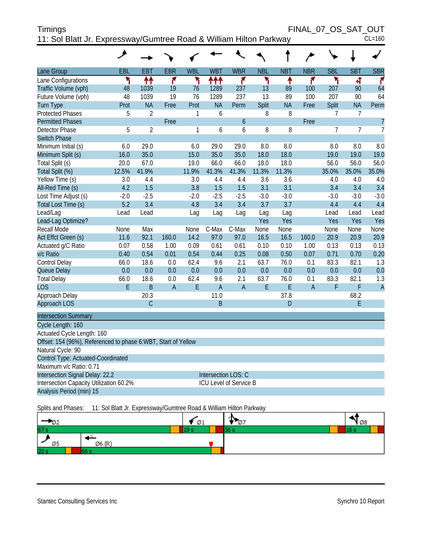| <b>Timings</b>                                                     |  | FINAL 07 OS SAT OUT |
|--------------------------------------------------------------------|--|---------------------|
| 11: Sol Blatt Jr. Expressway/Gumtree Road & William Hilton Parkway |  | $CL=160$            |

|                                                               | عر     |                |                |            |                |                        |            |            |                |            |                |                |
|---------------------------------------------------------------|--------|----------------|----------------|------------|----------------|------------------------|------------|------------|----------------|------------|----------------|----------------|
| Lane Group                                                    | EBL    | <b>EBT</b>     | <b>EBR</b>     | <b>WBL</b> | <b>WBT</b>     | <b>WBR</b>             | <b>NBL</b> | <b>NBT</b> | <b>NBR</b>     | <b>SBL</b> | <b>SBT</b>     | <b>SBR</b>     |
| Lane Configurations                                           | ۲      | ↟↟             | ۴              | ۲          | <u>ለተተ</u>     | ۴                      | ۲          | ↟          | ۴              | ۲          | 4              | ۴              |
| Traffic Volume (vph)                                          | 48     | 1039           | 19             | 76         | 1289           | 237                    | 13         | 89         | 100            | 207        | 90             | 64             |
| Future Volume (vph)                                           | 48     | 1039           | 19             | 76         | 1289           | 237                    | 13         | 89         | 100            | 207        | 90             | 64             |
| <b>Turn Type</b>                                              | Prot   | <b>NA</b>      | Free           | Prot       | <b>NA</b>      | Perm                   | Split      | <b>NA</b>  | Free           | Split      | <b>NA</b>      | Perm           |
| <b>Protected Phases</b>                                       | 5      | $\overline{2}$ |                | 1          | 6              |                        | 8          | 8          |                | 7          | $\overline{7}$ |                |
| <b>Permitted Phases</b>                                       |        |                | Free           |            |                | $\boldsymbol{6}$       |            |            | Free           |            |                | $\overline{7}$ |
| <b>Detector Phase</b>                                         | 5      | $\overline{2}$ |                | 1          | 6              | 6                      | 8          | 8          |                | 7          | $\overline{7}$ | $\overline{1}$ |
| <b>Switch Phase</b>                                           |        |                |                |            |                |                        |            |            |                |            |                |                |
| Minimum Initial (s)                                           | 6.0    | 29.0           |                | 6.0        | 29.0           | 29.0                   | 8.0        | 8.0        |                | 8.0        | 8.0            | 8.0            |
| Minimum Split (s)                                             | 16.0   | 35.0           |                | 15.0       | 35.0           | 35.0                   | 18.0       | 18.0       |                | 19.0       | 19.0           | 19.0           |
| Total Split (s)                                               | 20.0   | 67.0           |                | 19.0       | 66.0           | 66.0                   | 18.0       | 18.0       |                | 56.0       | 56.0           | 56.0           |
| Total Split (%)                                               | 12.5%  | 41.9%          |                | 11.9%      | 41.3%          | 41.3%                  | 11.3%      | 11.3%      |                | 35.0%      | 35.0%          | 35.0%          |
| Yellow Time (s)                                               | 3.0    | 4.4            |                | 3.0        | 4.4            | 4.4                    | 3.6        | 3.6        |                | 4.0        | 4.0            | 4.0            |
| All-Red Time (s)                                              | 4.2    | 1.5            |                | 3.8        | 1.5            | 1.5                    | 3.1        | 3.1        |                | 3.4        | 3.4            | 3.4            |
| Lost Time Adjust (s)                                          | $-2.0$ | $-2.5$         |                | $-2.0$     | $-2.5$         | $-2.5$                 | $-3.0$     | $-3.0$     |                | $-3.0$     | $-3.0$         | $-3.0$         |
| Total Lost Time (s)                                           | 5.2    | 3.4            |                | 4.8        | 3.4            | 3.4                    | 3.7        | 3.7        |                | 4.4        | 4.4            | 4.4            |
| Lead/Lag                                                      | Lead   | Lead           |                | Lag        | Lag            | Lag                    | Lag        | Lag        |                | Lead       | Lead           | Lead           |
| Lead-Lag Optimize?                                            |        |                |                |            |                |                        | Yes        | Yes        |                | Yes        | Yes            | Yes            |
| <b>Recall Mode</b>                                            | None   | Max            |                | None       | C-Max          | C-Max                  | None       | None       |                | None       | None           | None           |
| Act Effct Green (s)                                           | 11.6   | 92.1           | 160.0          | 14.2       | 97.0           | 97.0                   | 16.5       | 16.5       | 160.0          | 20.9       | 20.9           | 20.9           |
| Actuated g/C Ratio                                            | 0.07   | 0.58           | 1.00           | 0.09       | 0.61           | 0.61                   | 0.10       | 0.10       | 1.00           | 0.13       | 0.13           | 0.13           |
| v/c Ratio                                                     | 0.40   | 0.54           | 0.01           | 0.54       | 0.44           | 0.25                   | 0.08       | 0.50       | 0.07           | 0.71       | 0.70           | 0.20           |
| Control Delay                                                 | 66.0   | 18.6           | 0.0            | 62.4       | 9.6            | 2.1                    | 63.7       | 76.0       | 0.1            | 83.3       | 82.1           | 1.3            |
| Queue Delay                                                   | 0.0    | 0.0            | 0.0            | 0.0        | 0.0            | 0.0                    | 0.0        | 0.0        | 0.0            | 0.0        | 0.0            | 0.0            |
| <b>Total Delay</b>                                            | 66.0   | 18.6           | 0.0            | 62.4       | 9.6            | 2.1                    | 63.7       | 76.0       | 0.1            | 83.3       | 82.1           | 1.3            |
| <b>LOS</b>                                                    | E      | B              | $\overline{A}$ | E          | $\overline{A}$ | $\overline{A}$         | E          | E          | $\overline{A}$ | F          | F              | $\overline{A}$ |
| Approach Delay                                                |        | 20.3           |                |            | 11.0           |                        |            | 37.8       |                |            | 68.2           |                |
| <b>Approach LOS</b>                                           |        | $\overline{C}$ |                |            | B              |                        |            | D          |                |            | E              |                |
| <b>Intersection Summary</b>                                   |        |                |                |            |                |                        |            |            |                |            |                |                |
| Cycle Length: 160                                             |        |                |                |            |                |                        |            |            |                |            |                |                |
| Actuated Cycle Length: 160                                    |        |                |                |            |                |                        |            |            |                |            |                |                |
| Offset: 154 (96%), Referenced to phase 6:WBT, Start of Yellow |        |                |                |            |                |                        |            |            |                |            |                |                |
| Natural Cycle: 90                                             |        |                |                |            |                |                        |            |            |                |            |                |                |
| Control Type: Actuated-Coordinated                            |        |                |                |            |                |                        |            |            |                |            |                |                |
| Maximum v/c Ratio: 0.71                                       |        |                |                |            |                |                        |            |            |                |            |                |                |
| Intersection Signal Delay: 22.2                               |        |                |                |            |                | Intersection LOS: C    |            |            |                |            |                |                |
| Intersection Capacity Utilization 60.2%                       |        |                |                |            |                | ICU Level of Service B |            |            |                |            |                |                |
| Analysis Period (min) 15                                      |        |                |                |            |                |                        |            |            |                |            |                |                |

Splits and Phases: 11: Sol Blatt Jr. Expressway/Gumtree Road & William Hilton Parkway

| ЮZ.             | Ø1 | w<br>נ ש | 108  |
|-----------------|----|----------|------|
| 67 s            |    |          | 10 S |
| Ø6 (P'<br>Ø5    |    |          |      |
| 20 <sub>s</sub> |    |          |      |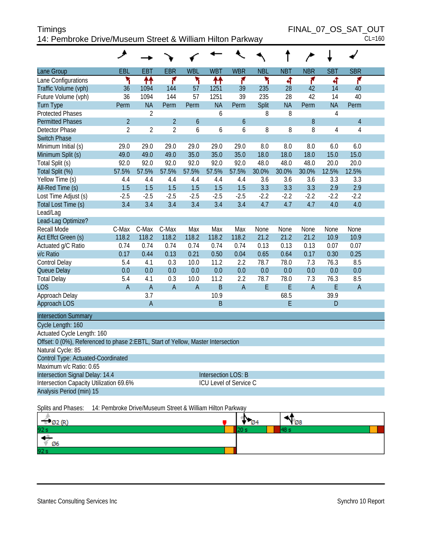| <b>Timings</b>                                            | FINAL 07 OS SAT OUT |
|-----------------------------------------------------------|---------------------|
| 14: Pembroke Drive/Museum Street & William Hilton Parkway | $CL=160$            |

FINAL\_07\_OS\_SAT\_OUT

|                                                                                  | هر                                                        |                |                |              |                     |                        |             |             |              |             |                |  |
|----------------------------------------------------------------------------------|-----------------------------------------------------------|----------------|----------------|--------------|---------------------|------------------------|-------------|-------------|--------------|-------------|----------------|--|
| Lane Group                                                                       | <b>EBL</b>                                                | <b>EBT</b>     | <b>EBR</b>     | <b>WBL</b>   | <b>WBT</b>          | <b>WBR</b>             | <b>NBL</b>  | <b>NBT</b>  | <b>NBR</b>   | <b>SBT</b>  | <b>SBR</b>     |  |
| Lane Configurations                                                              | ۲                                                         | ↟↟             | ۴              | ۲            | 11                  | ۴                      | ۲           | ची          | ۴            | ची          | ۴              |  |
| Traffic Volume (vph)                                                             | 36                                                        | 1094           | 144            | 57           | 1251                | 39                     | 235         | 28          | 42           | 14          | 40             |  |
| Future Volume (vph)                                                              | 36                                                        | 1094           | 144            | 57           | 1251                | 39                     | 235         | 28          | 42           | 14          | 40             |  |
| Turn Type                                                                        | Perm                                                      | <b>NA</b>      | Perm           | Perm         | <b>NA</b>           | Perm                   | Split       | <b>NA</b>   | Perm         | <b>NA</b>   | Perm           |  |
| <b>Protected Phases</b>                                                          |                                                           | 2              |                |              | 6                   |                        | 8           | 8           |              | 4           |                |  |
| <b>Permitted Phases</b>                                                          | $\overline{2}$                                            |                | $\overline{2}$ | 6            |                     | 6                      |             |             | 8            |             | $\overline{4}$ |  |
| Detector Phase                                                                   | $\overline{2}$                                            | $\overline{2}$ | $\overline{2}$ | 6            | 6                   | 6                      | 8           | 8           | 8            | 4           | $\overline{4}$ |  |
| <b>Switch Phase</b>                                                              |                                                           |                |                |              |                     |                        |             |             |              |             |                |  |
| Minimum Initial (s)                                                              | 29.0                                                      | 29.0           | 29.0           | 29.0         | 29.0                | 29.0                   | 8.0         | 8.0         | 8.0          | 6.0         | 6.0            |  |
| Minimum Split (s)                                                                | 49.0                                                      | 49.0           | 49.0           | 35.0         | 35.0                | 35.0                   | 18.0        | 18.0        | 18.0         | 15.0        | 15.0           |  |
| Total Split (s)                                                                  | 92.0                                                      | 92.0           | 92.0           | 92.0         | 92.0                | 92.0                   | 48.0        | 48.0        | 48.0         | 20.0        | 20.0           |  |
| Total Split (%)                                                                  | 57.5%                                                     | 57.5%          | 57.5%          | 57.5%        | 57.5%               | 57.5%                  | 30.0%       | 30.0%       | 30.0%        | 12.5%       | 12.5%          |  |
| Yellow Time (s)                                                                  | 4.4                                                       | 4.4            | 4.4            | 4.4          | 4.4                 | 4.4                    | 3.6         | 3.6         | 3.6          | 3.3         | 3.3            |  |
| All-Red Time (s)                                                                 | 1.5                                                       | 1.5            | 1.5            | 1.5          | 1.5                 | 1.5                    | 3.3         | 3.3         | 3.3          | 2.9         | 2.9            |  |
| Lost Time Adjust (s)                                                             | $-2.5$                                                    | $-2.5$         | $-2.5$         | $-2.5$       | $-2.5$              | $-2.5$                 | $-2.2$      | $-2.2$      | $-2.2$       | $-2.2$      | $-2.2$         |  |
| Total Lost Time (s)                                                              | 3.4                                                       | 3.4            | 3.4            | 3.4          | 3.4                 | 3.4                    | 4.7         | 4.7         | 4.7          | 4.0         | 4.0            |  |
| Lead/Lag                                                                         |                                                           |                |                |              |                     |                        |             |             |              |             |                |  |
| Lead-Lag Optimize?                                                               |                                                           |                |                |              |                     |                        |             |             |              |             |                |  |
| Recall Mode                                                                      | C-Max                                                     | C-Max          | C-Max          | Max          | Max                 | Max                    | None        | None        | None         | None        | None           |  |
| Act Effct Green (s)                                                              | 118.2                                                     | 118.2          | 118.2          | 118.2        | 118.2               | 118.2                  | 21.2        | 21.2        | 21.2         | 10.9        | 10.9           |  |
| Actuated g/C Ratio                                                               | 0.74                                                      | 0.74           | 0.74           | 0.74         | 0.74                | 0.74                   | 0.13        | 0.13        | 0.13         | 0.07        | 0.07           |  |
| v/c Ratio                                                                        | 0.17                                                      | 0.44           | 0.13           | 0.21         | 0.50                | 0.04                   | 0.65        | 0.64        | 0.17         | 0.30        | 0.25           |  |
| Control Delay                                                                    | 5.4                                                       | 4.1            | 0.3            | 10.0         | 11.2                | 2.2                    | 78.7        | 78.0        | 7.3          | 76.3        | 8.5            |  |
| Queue Delay                                                                      | 0.0<br>5.4                                                | 0.0<br>4.1     | 0.0<br>0.3     | 0.0<br>10.0  | 0.0<br>11.2         | 0.0<br>2.2             | 0.0<br>78.7 | 0.0<br>78.0 | 0.0<br>7.3   | 0.0<br>76.3 | 0.0<br>8.5     |  |
| <b>Total Delay</b><br><b>LOS</b>                                                 | $\overline{A}$                                            | $\overline{A}$ | $\overline{A}$ | $\mathsf{A}$ | $\sf B$             | $\mathsf A$            | E           | E           | $\mathsf{A}$ | E           | $\overline{A}$ |  |
| Approach Delay                                                                   |                                                           | 3.7            |                |              | 10.9                |                        |             | 68.5        |              | 39.9        |                |  |
| Approach LOS                                                                     |                                                           | $\mathsf A$    |                |              | B                   |                        |             | E           |              | D           |                |  |
|                                                                                  |                                                           |                |                |              |                     |                        |             |             |              |             |                |  |
| <b>Intersection Summary</b>                                                      |                                                           |                |                |              |                     |                        |             |             |              |             |                |  |
| Cycle Length: 160                                                                |                                                           |                |                |              |                     |                        |             |             |              |             |                |  |
| Actuated Cycle Length: 160                                                       |                                                           |                |                |              |                     |                        |             |             |              |             |                |  |
| Offset: 0 (0%), Referenced to phase 2:EBTL, Start of Yellow, Master Intersection |                                                           |                |                |              |                     |                        |             |             |              |             |                |  |
| Natural Cycle: 85                                                                |                                                           |                |                |              |                     |                        |             |             |              |             |                |  |
| Control Type: Actuated-Coordinated<br>Maximum v/c Ratio: 0.65                    |                                                           |                |                |              |                     |                        |             |             |              |             |                |  |
| Intersection Signal Delay: 14.4                                                  |                                                           |                |                |              | Intersection LOS: B |                        |             |             |              |             |                |  |
| Intersection Capacity Utilization 69.6%                                          |                                                           |                |                |              |                     | ICU Level of Service C |             |             |              |             |                |  |
| Analysis Period (min) 15                                                         |                                                           |                |                |              |                     |                        |             |             |              |             |                |  |
|                                                                                  |                                                           |                |                |              |                     |                        |             |             |              |             |                |  |
| Splits and Phases:                                                               | 14: Pembroke Drive/Museum Street & William Hilton Parkway |                |                |              |                     |                        |             |             |              |             |                |  |

| $(7)$ $(8)$<br>ЮZ. | 'N<br>$\varnothing$ 4 | 108 |  |
|--------------------|-----------------------|-----|--|
| 92 s               |                       |     |  |
| - 13<br>Ø6         |                       |     |  |
| 92 s               |                       |     |  |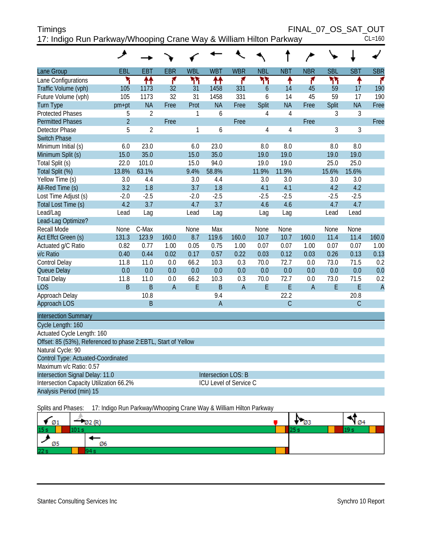| <b>Timings</b>                                                     | FINAL 07 OS SAT OUT |
|--------------------------------------------------------------------|---------------------|
| 17: Indigo Run Parkway/Whooping Crane Way & William Hilton Parkway | $CL = 160$          |

| EBL<br>EBT<br><b>EBR</b><br><b>WBL</b><br><b>WBT</b><br><b>WBR</b><br><b>NBL</b><br><b>NBT</b><br><b>NBR</b><br><b>SBL</b><br>Lane Group | <b>SBT</b><br><b>SBR</b> |
|------------------------------------------------------------------------------------------------------------------------------------------|--------------------------|
| 林<br>۳<br>۴<br>۲٢<br>۲٢<br>ቶ<br>ካነ<br>ቶቶ<br>۴<br>۴<br>Lane Configurations                                                                | ۴<br>ቶ                   |
| Traffic Volume (vph)<br>1173<br>32<br>1458<br>331<br>45<br>59<br>105<br>31<br>$\overline{6}$<br>14                                       | 190<br>17                |
| Future Volume (vph)<br>105<br>1173<br>32<br>31<br>331<br>45<br>59<br>1458<br>6<br>14                                                     | 190<br>17                |
| <b>NA</b><br>Prot<br><b>NA</b><br>Split<br><b>NA</b><br>Split<br><b>Turn Type</b><br>pm+pt<br>Free<br>Free<br>Free                       | <b>NA</b><br>Free        |
| $\overline{2}$<br><b>Protected Phases</b><br>6<br>$\sqrt{4}$<br>3<br>5<br>$\mathbf{1}$<br>4                                              | 3                        |
| $\overline{2}$<br><b>Permitted Phases</b><br>Free<br>Free<br>Free                                                                        | Free                     |
| <b>Detector Phase</b><br>5<br>$\overline{2}$<br>3<br>1<br>6<br>4<br>4                                                                    | 3                        |
| <b>Switch Phase</b>                                                                                                                      |                          |
| 6.0<br>23.0<br>23.0<br>8.0<br>Minimum Initial (s)<br>6.0<br>8.0<br>8.0                                                                   | 8.0                      |
| 35.0<br>15.0<br>35.0<br>19.0<br>19.0<br>Minimum Split (s)<br>15.0<br>19.0                                                                | 19.0                     |
| 101.0<br>15.0<br>94.0<br>19.0<br>25.0<br>Total Split (s)<br>22.0<br>19.0                                                                 | 25.0                     |
| 13.8%<br>63.1%<br>9.4%<br>58.8%<br>11.9%<br>11.9%<br>15.6%<br>Total Split (%)                                                            | 15.6%                    |
| Yellow Time (s)<br>4.4<br>3.0<br>3.0<br>3.0<br>4.4<br>3.0<br>3.0                                                                         | 3.0                      |
| 3.2<br>1.8<br>3.7<br>All-Red Time (s)<br>1.8<br>4.1<br>4.1<br>4.2                                                                        | 4.2                      |
| $-2.5$<br>Lost Time Adjust (s)<br>$-2.0$<br>$-2.5$<br>$-2.0$<br>$-2.5$<br>$-2.5$<br>$-2.5$                                               | $-2.5$                   |
| 4.2<br>3.7<br>4.7<br>3.7<br>4.6<br>4.7<br>Total Lost Time (s)<br>4.6                                                                     | 4.7                      |
| Lead/Lag<br>Lead<br>Lead<br>Lag<br>Lead<br>Lag<br>Lag<br>Lag                                                                             | Lead                     |
| Lead-Lag Optimize?                                                                                                                       |                          |
| <b>Recall Mode</b><br>C-Max<br>Max<br>None<br>None<br>None<br>None<br>None                                                               | None                     |
| Act Effct Green (s)<br>131.3<br>123.9<br>160.0<br>8.7<br>119.6<br>160.0<br>10.7<br>10.7<br>160.0<br>11.4                                 | 11.4<br>160.0            |
| 0.82<br>0.77<br>0.05<br>0.75<br>0.07<br>Actuated g/C Ratio<br>1.00<br>1.00<br>0.07<br>0.07<br>1.00                                       | 0.07<br>1.00             |
| 0.57<br>0.22<br>0.26<br>v/c Ratio<br>0.40<br>0.44<br>0.02<br>0.17<br>0.03<br>0.12<br>0.03                                                | 0.13<br>0.13             |
| Control Delay<br>11.8<br>11.0<br>0.0<br>66.2<br>10.3<br>0.3<br>70.0<br>72.7<br>0.0<br>73.0                                               | 71.5<br>0.2              |
| 0.0<br>0.0<br>0.0<br>0.0<br>0.0<br>0.0<br>0.0<br>0.0<br>Queue Delay<br>0.0<br>0.0                                                        | 0.0<br>0.0               |
| 72.7<br><b>Total Delay</b><br>11.8<br>11.0<br>0.0<br>66.2<br>10.3<br>0.3<br>70.0<br>0.0<br>73.0                                          | 71.5<br>0.2              |
| B<br>B<br>$\overline{A}$<br>E<br>$\overline{B}$<br>$\overline{A}$<br>E<br>E<br>E<br><b>LOS</b><br>$\overline{A}$                         | E<br>$\overline{A}$      |
| 22.2<br>Approach Delay<br>10.8<br>9.4                                                                                                    | 20.8                     |
| $\overline{C}$<br>Approach LOS<br>B<br>$\overline{A}$                                                                                    | $\mathsf C$              |
| <b>Intersection Summary</b>                                                                                                              |                          |
| Cycle Length: 160                                                                                                                        |                          |
| Actuated Cycle Length: 160                                                                                                               |                          |
| Offset: 85 (53%), Referenced to phase 2:EBTL, Start of Yellow                                                                            |                          |
| Natural Cycle: 90                                                                                                                        |                          |
| Control Type: Actuated-Coordinated                                                                                                       |                          |
| Maximum v/c Ratio: 0.57                                                                                                                  |                          |
| Intersection Signal Delay: 11.0<br>Intersection LOS: B                                                                                   |                          |
| Intersection Capacity Utilization 66.2%<br>ICU Level of Service C                                                                        |                          |
| Analysis Period (min) 15                                                                                                                 |                          |

Splits and Phases: 17: Indigo Run Parkway/Whooping Crane Way & William Hilton Parkway

| $\sqrt{01}$     | an ann. | כש | $\varnothing$ |
|-----------------|---------|----|---------------|
| 15 <sub>s</sub> |         |    |               |
| Ø5              | Ø6      |    |               |
| 22s             |         |    |               |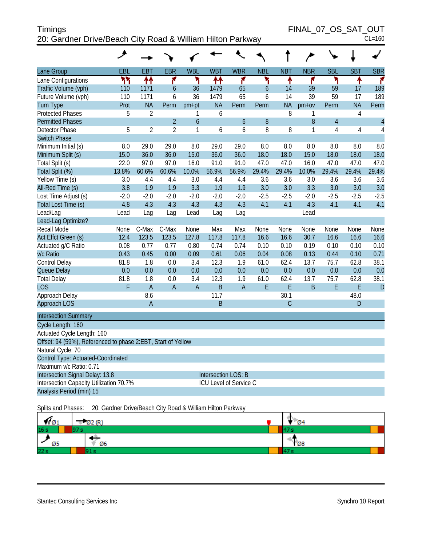| <b>Timings</b>                                             | FINAL 07 OS SAT OUT |
|------------------------------------------------------------|---------------------|
| 20: Gardner Drive/Beach City Road & William Hilton Parkway | $CL=160$            |

| Lane Group                                                   | EBL    | <b>EBT</b>     | <b>EBR</b>     | <b>WBL</b>     | <b>WBT</b>          | <b>WBR</b>             | <b>NBL</b>     | <b>NBT</b>   | <b>NBR</b> | <b>SBL</b> | <b>SBT</b>     | <b>SBR</b>     |
|--------------------------------------------------------------|--------|----------------|----------------|----------------|---------------------|------------------------|----------------|--------------|------------|------------|----------------|----------------|
| Lane Configurations                                          | ካካ     | ↟↟             | ۴              | ۲              | ↟↟                  | ۴                      | ۲              | ۸            | ۴          | ۲          | ↟              | ۴              |
| Traffic Volume (vph)                                         | 110    | 1171           | $\overline{6}$ | 36             | 1479                | 65                     | $\overline{6}$ | 14           | 39         | 59         | 17             | 189            |
| Future Volume (vph)                                          | 110    | 1171           | 6              | 36             | 1479                | 65                     | 6              | 14           | 39         | 59         | 17             | 189            |
| <b>Turn Type</b>                                             | Prot   | <b>NA</b>      | Perm           | $pm+pt$        | <b>NA</b>           | Perm                   | Perm           | <b>NA</b>    | $pm+ov$    | Perm       | <b>NA</b>      | Perm           |
| <b>Protected Phases</b>                                      | 5      | $\overline{2}$ |                | 1              | 6                   |                        |                | 8            | 1          |            | $\overline{4}$ |                |
| <b>Permitted Phases</b>                                      |        |                | $\overline{2}$ | 6              |                     | 6                      | 8              |              | 8          | 4          |                | $\overline{4}$ |
| <b>Detector Phase</b>                                        | 5      | $\overline{2}$ | $\overline{2}$ | 1              | 6                   | 6                      | 8              | 8            | 1          | 4          | 4              | 4              |
| <b>Switch Phase</b>                                          |        |                |                |                |                     |                        |                |              |            |            |                |                |
| Minimum Initial (s)                                          | 8.0    | 29.0           | 29.0           | 8.0            | 29.0                | 29.0                   | 8.0            | 8.0          | 8.0        | 8.0        | 8.0            | 8.0            |
| Minimum Split (s)                                            | 15.0   | 36.0           | 36.0           | 15.0           | 36.0                | 36.0                   | 18.0           | 18.0         | 15.0       | 18.0       | 18.0           | 18.0           |
| Total Split (s)                                              | 22.0   | 97.0           | 97.0           | 16.0           | 91.0                | 91.0                   | 47.0           | 47.0         | 16.0       | 47.0       | 47.0           | 47.0           |
| Total Split (%)                                              | 13.8%  | 60.6%          | 60.6%          | 10.0%          | 56.9%               | 56.9%                  | 29.4%          | 29.4%        | 10.0%      | 29.4%      | 29.4%          | 29.4%          |
| Yellow Time (s)                                              | 3.0    | 4.4            | 4.4            | 3.0            | 4.4                 | 4.4                    | 3.6            | 3.6          | 3.0        | 3.6        | 3.6            | 3.6            |
| All-Red Time (s)                                             | 3.8    | 1.9            | 1.9            | 3.3            | 1.9                 | 1.9                    | 3.0            | 3.0          | 3.3        | 3.0        | 3.0            | 3.0            |
| Lost Time Adjust (s)                                         | $-2.0$ | $-2.0$         | $-2.0$         | $-2.0$         | $-2.0$              | $-2.0$                 | $-2.5$         | $-2.5$       | $-2.0$     | $-2.5$     | $-2.5$         | $-2.5$         |
| Total Lost Time (s)                                          | 4.8    | 4.3            | 4.3            | 4.3            | 4.3                 | 4.3                    | 4.1            | 4.1          | 4.3        | 4.1        | 4.1            | 4.1            |
| Lead/Lag                                                     | Lead   | Lag            | Lag            | Lead           | Lag                 | Lag                    |                |              | Lead       |            |                |                |
| Lead-Lag Optimize?                                           |        |                |                |                |                     |                        |                |              |            |            |                |                |
| Recall Mode                                                  | None   | C-Max          | C-Max          | None           | Max                 | Max                    | None           | None         | None       | None       | None           | None           |
| Act Effct Green (s)                                          | 12.4   | 123.5          | 123.5          | 127.8          | 117.8               | 117.8                  | 16.6           | 16.6         | 30.7       | 16.6       | 16.6           | 16.6           |
| Actuated g/C Ratio                                           | 0.08   | 0.77           | 0.77           | 0.80           | 0.74                | 0.74                   | 0.10           | 0.10         | 0.19       | 0.10       | 0.10           | 0.10           |
| v/c Ratio                                                    | 0.43   | 0.45           | 0.00           | 0.09           | 0.61                | 0.06                   | 0.04           | 0.08         | 0.13       | 0.44       | 0.10           | 0.71           |
| Control Delay                                                | 81.8   | 1.8            | 0.0            | 3.4            | 12.3                | 1.9                    | 61.0           | 62.4         | 13.7       | 75.7       | 62.8           | 38.1           |
| Queue Delay                                                  | 0.0    | 0.0            | 0.0            | 0.0            | 0.0                 | 0.0                    | 0.0            | 0.0          | 0.0        | 0.0        | 0.0            | 0.0            |
| <b>Total Delay</b>                                           | 81.8   | 1.8            | 0.0            | 3.4            | 12.3                | 1.9                    | 61.0           | 62.4         | 13.7       | 75.7       | 62.8           | 38.1           |
| <b>LOS</b>                                                   | F      | $\overline{A}$ | $\overline{A}$ | $\overline{A}$ | $\overline{B}$      | $\overline{A}$         | E              | E            | B          | E          | E              | D              |
| Approach Delay                                               |        | 8.6            |                |                | 11.7                |                        |                | 30.1         |            |            | 48.0           |                |
| Approach LOS                                                 |        | $\overline{A}$ |                |                | B                   |                        |                | $\mathcal C$ |            |            | D              |                |
| <b>Intersection Summary</b>                                  |        |                |                |                |                     |                        |                |              |            |            |                |                |
| Cycle Length: 160                                            |        |                |                |                |                     |                        |                |              |            |            |                |                |
| Actuated Cycle Length: 160                                   |        |                |                |                |                     |                        |                |              |            |            |                |                |
| Offset: 94 (59%), Referenced to phase 2:EBT, Start of Yellow |        |                |                |                |                     |                        |                |              |            |            |                |                |
| Natural Cycle: 70                                            |        |                |                |                |                     |                        |                |              |            |            |                |                |
| Control Type: Actuated-Coordinated                           |        |                |                |                |                     |                        |                |              |            |            |                |                |
| Maximum v/c Ratio: 0.71                                      |        |                |                |                |                     |                        |                |              |            |            |                |                |
| Intersection Signal Delay: 13.8                              |        |                |                |                | Intersection LOS: B |                        |                |              |            |            |                |                |
| Intersection Capacity Utilization 70.7%                      |        |                |                |                |                     | ICU Level of Service C |                |              |            |            |                |                |
| Analysis Period (min) 15                                     |        |                |                |                |                     |                        |                |              |            |            |                |                |

Splits and Phases: 20: Gardner Drive/Beach City Road & William Hilton Parkway

| $\blacksquare$ 01 | $\nabla$ 2 (R) | U.<br>- 04                |
|-------------------|----------------|---------------------------|
| 16s               |                | $\overline{a}$            |
| Ø5                | Ø6             | $\mathcal{L}_{\emptyset}$ |
| 22s               |                |                           |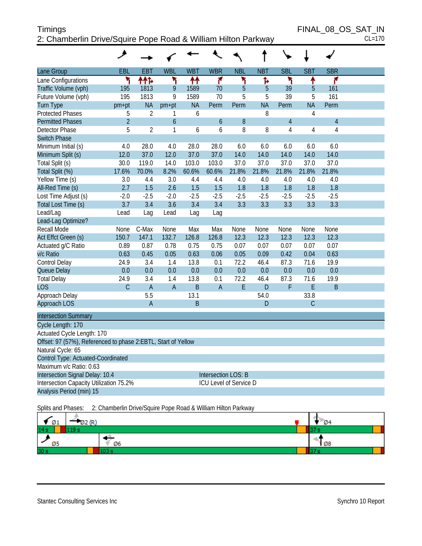#### Timings FINAL\_08\_OS\_SAT\_IN 2: Chamberlin Drive/Squire Pope Road & William Hilton Parkway CL=170

| 2. Gridribenin Drive/Squire Pope Rodu & William Hilton Parkway |                |                |                  |            |                               |            |            |                |             |                | $UL - 110$ |
|----------------------------------------------------------------|----------------|----------------|------------------|------------|-------------------------------|------------|------------|----------------|-------------|----------------|------------|
|                                                                | ᢣ              |                |                  |            |                               |            |            |                |             |                |            |
| Lane Group                                                     | EBL            | <b>EBT</b>     | <b>WBL</b>       | <b>WBT</b> | <b>WBR</b>                    | <b>NBL</b> | <b>NBT</b> | <b>SBL</b>     | <b>SBT</b>  | <b>SBR</b>     |            |
| Lane Configurations                                            | ٦              | ተተኑ            | ۲                | ₩          | ۴                             | ۲          | ħ          | ኻ              | ↑           | ۴              |            |
| Traffic Volume (vph)                                           | 195            | 1813           | 9                | 1589       | 70                            | 5          | 5          | 39             | 5           | 161            |            |
| Future Volume (vph)                                            | 195            | 1813           | 9                | 1589       | 70                            | 5          | 5          | 39             | 5           | 161            |            |
| Turn Type                                                      | pm+pt          | <b>NA</b>      | pm+pt            | <b>NA</b>  | Perm                          | Perm       | <b>NA</b>  | Perm           | <b>NA</b>   | Perm           |            |
| <b>Protected Phases</b>                                        | 5              | 2              | 1                | 6          |                               |            | 8          |                | 4           |                |            |
| <b>Permitted Phases</b>                                        | $\overline{2}$ |                | $\boldsymbol{6}$ |            | 6                             | 8          |            | $\overline{4}$ |             | $\overline{4}$ |            |
| Detector Phase                                                 | 5              | 2              | 1                | 6          | 6                             | 8          | 8          | 4              | 4           | $\overline{4}$ |            |
| Switch Phase                                                   |                |                |                  |            |                               |            |            |                |             |                |            |
| Minimum Initial (s)                                            | 4.0            | 28.0           | 4.0              | 28.0       | 28.0                          | 6.0        | 6.0        | 6.0            | 6.0         | 6.0            |            |
| Minimum Split (s)                                              | 12.0           | 37.0           | 12.0             | 37.0       | 37.0                          | 14.0       | 14.0       | 14.0           | 14.0        | 14.0           |            |
| Total Split (s)                                                | 30.0           | 119.0          | 14.0             | 103.0      | 103.0                         | 37.0       | 37.0       | 37.0           | 37.0        | 37.0           |            |
| Total Split (%)                                                | 17.6%          | 70.0%          | 8.2%             | 60.6%      | 60.6%                         | 21.8%      | 21.8%      | 21.8%          | 21.8%       | 21.8%          |            |
| Yellow Time (s)                                                | 3.0            | 4.4            | 3.0              | 4.4        | 4.4                           | 4.0        | 4.0        | 4.0            | 4.0         | 4.0            |            |
| All-Red Time (s)                                               | 2.7            | 1.5            | 2.6              | 1.5        | 1.5                           | 1.8        | 1.8        | 1.8            | 1.8         | 1.8            |            |
| Lost Time Adjust (s)                                           | $-2.0$         | $-2.5$         | $-2.0$           | $-2.5$     | $-2.5$                        | $-2.5$     | $-2.5$     | $-2.5$         | $-2.5$      | $-2.5$         |            |
| Total Lost Time (s)                                            | 3.7            | 3.4            | 3.6              | 3.4        | 3.4                           | 3.3        | 3.3        | 3.3            | 3.3         | 3.3            |            |
| Lead/Lag                                                       | Lead           | Lag            | Lead             | Lag        | Lag                           |            |            |                |             |                |            |
| Lead-Lag Optimize?                                             |                |                |                  |            |                               |            |            |                |             |                |            |
| Recall Mode                                                    | None           | C-Max          | None             | Max        | Max                           | None       | None       | None           | None        | None           |            |
| Act Effct Green (s)                                            | 150.7          | 147.1          | 132.7            | 126.8      | 126.8                         | 12.3       | 12.3       | 12.3           | 12.3        | 12.3           |            |
| Actuated g/C Ratio                                             | 0.89           | 0.87           | 0.78             | 0.75       | 0.75                          | 0.07       | 0.07       | 0.07           | 0.07        | 0.07           |            |
| v/c Ratio                                                      | 0.63           | 0.45           | 0.05             | 0.63       | 0.06                          | 0.05       | 0.09       | 0.42           | 0.04        | 0.63           |            |
| <b>Control Delay</b>                                           | 24.9           | 3.4            | 1.4              | 13.8       | 0.1                           | 72.2       | 46.4       | 87.3           | 71.6        | 19.9           |            |
| Queue Delay                                                    | 0.0            | 0.0            | 0.0              | 0.0        | 0.0                           | 0.0        | 0.0        | 0.0            | 0.0         | 0.0            |            |
| <b>Total Delay</b>                                             | 24.9           | 3.4            | 1.4              | 13.8       | 0.1                           | 72.2       | 46.4       | 87.3           | 71.6        | 19.9           |            |
| <b>LOS</b>                                                     | $\mathsf{C}$   | $\mathsf{A}$   | $\overline{A}$   | $\sf B$    | $\overline{A}$                | E          | D          | F              | E           | B              |            |
| Approach Delay                                                 |                | 5.5            |                  | 13.1       |                               |            | 54.0       |                | 33.8        |                |            |
| Approach LOS                                                   |                | $\overline{A}$ |                  | $\sf B$    |                               |            | D          |                | $\mathsf C$ |                |            |
| <b>Intersection Summary</b>                                    |                |                |                  |            |                               |            |            |                |             |                |            |
| Cycle Length: 170                                              |                |                |                  |            |                               |            |            |                |             |                |            |
| Actuated Cycle Length: 170                                     |                |                |                  |            |                               |            |            |                |             |                |            |
| Offset: 97 (57%), Referenced to phase 2:EBTL, Start of Yellow  |                |                |                  |            |                               |            |            |                |             |                |            |
| Natural Cycle: 65                                              |                |                |                  |            |                               |            |            |                |             |                |            |
| Control Type: Actuated-Coordinated                             |                |                |                  |            |                               |            |            |                |             |                |            |
| Maximum v/c Ratio: 0.63                                        |                |                |                  |            |                               |            |            |                |             |                |            |
| Intersection Signal Delay: 10.4                                |                |                |                  |            | Intersection LOS: B           |            |            |                |             |                |            |
| Intersection Capacity Utilization 75.2%                        |                |                |                  |            | <b>ICU Level of Service D</b> |            |            |                |             |                |            |
| Analysis Period (min) 15                                       |                |                |                  |            |                               |            |            |                |             |                |            |
|                                                                |                |                |                  |            |                               |            |            |                |             |                |            |

Splits and Phases: 2: Chamberlin Drive/Squire Pope Road & William Hilton Parkway

| D2(R)<br>Ø1   | $\mathbf{F}_{\emptyset 4}$ |
|---------------|----------------------------|
| 14s<br>19 s   |                            |
| Ø6<br>-<br>Ø5 | \  Ø8                      |
| 30 s          |                            |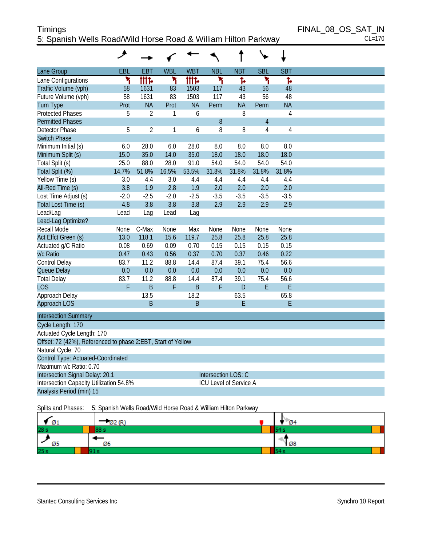# Timings FINAL\_08\_OS\_SAT\_IN 5: Spanish Wells Road/Wild Horse Road & William Hilton Parkway CL=170

|                                                              | و           |                |              |             |                        |            |                |                |  |
|--------------------------------------------------------------|-------------|----------------|--------------|-------------|------------------------|------------|----------------|----------------|--|
| <b>Lane Group</b>                                            | EBL         | <b>EBT</b>     | <b>WBL</b>   | <b>WBT</b>  | <b>NBL</b>             | <b>NBT</b> | <b>SBL</b>     | <b>SBT</b>     |  |
| Lane Configurations                                          | ۲           | <b>tite</b>    | ۲            | <b>TTTP</b> | ۲                      | Ъ          | ۲              | ħ              |  |
| Traffic Volume (vph)                                         | 58          | 1631           | 83           | 1503        | 117                    | 43         | 56             | 48             |  |
| Future Volume (vph)                                          | 58          | 1631           | 83           | 1503        | 117                    | 43         | 56             | 48             |  |
| <b>Turn Type</b>                                             | Prot        | <b>NA</b>      | Prot         | <b>NA</b>   | Perm                   | <b>NA</b>  | Perm           | <b>NA</b>      |  |
| <b>Protected Phases</b>                                      | 5           | $\overline{2}$ | 1            | 6           |                        | 8          |                | 4              |  |
| <b>Permitted Phases</b>                                      |             |                |              |             | 8                      |            | $\overline{4}$ |                |  |
| <b>Detector Phase</b>                                        | 5           | $\overline{2}$ | $\mathbf{1}$ | 6           | 8                      | 8          | 4              | $\overline{4}$ |  |
| <b>Switch Phase</b>                                          |             |                |              |             |                        |            |                |                |  |
| Minimum Initial (s)                                          | 6.0         | 28.0           | 6.0          | 28.0        | 8.0                    | 8.0        | 8.0            | 8.0            |  |
| Minimum Split (s)                                            | 15.0        | 35.0           | 14.0         | 35.0        | 18.0                   | 18.0       | 18.0           | 18.0           |  |
| Total Split (s)                                              | 25.0        | 88.0           | 28.0         | 91.0        | 54.0                   | 54.0       | 54.0           | 54.0           |  |
| Total Split (%)                                              | 14.7%       | 51.8%          | 16.5%        | 53.5%       | 31.8%                  | 31.8%      | 31.8%          | 31.8%          |  |
| Yellow Time (s)                                              | 3.0         | 4.4            | 3.0          | 4.4         | 4.4                    | 4.4        | 4.4            | 4.4            |  |
| All-Red Time (s)                                             | 3.8         | 1.9            | 2.8          | 1.9         | 2.0                    | 2.0        | 2.0            | 2.0            |  |
| Lost Time Adjust (s)                                         | $-2.0$      | $-2.5$         | $-2.0$       | $-2.5$      | $-3.5$                 | $-3.5$     | $-3.5$         | $-3.5$         |  |
| Total Lost Time (s)                                          | 4.8         | 3.8            | 3.8          | 3.8         | 2.9                    | 2.9        | 2.9            | 2.9            |  |
| Lead/Lag                                                     | Lead        | Lag            | Lead         | Lag         |                        |            |                |                |  |
| Lead-Lag Optimize?                                           |             |                |              |             |                        |            |                |                |  |
| <b>Recall Mode</b>                                           | <b>None</b> | C-Max          | None         | Max         | None                   | None       | None           | None           |  |
| Act Effct Green (s)                                          | 13.0        | 118.1          | 15.6         | 119.7       | 25.8                   | 25.8       | 25.8           | 25.8           |  |
| Actuated g/C Ratio                                           | 0.08        | 0.69           | 0.09         | 0.70        | 0.15                   | 0.15       | 0.15           | 0.15           |  |
| v/c Ratio                                                    | 0.47        | 0.43           | 0.56         | 0.37        | 0.70                   | 0.37       | 0.46           | 0.22           |  |
| Control Delay                                                | 83.7        | 11.2           | 88.8         | 14.4        | 87.4                   | 39.1       | 75.4           | 56.6           |  |
| Queue Delay                                                  | 0.0         | 0.0            | 0.0          | 0.0         | 0.0                    | 0.0        | 0.0            | 0.0            |  |
| <b>Total Delay</b>                                           | 83.7        | 11.2           | 88.8         | 14.4        | 87.4                   | 39.1       | 75.4           | 56.6           |  |
| LOS                                                          | F           | $\overline{B}$ | F            | B           | F                      | D          | E              | E              |  |
| Approach Delay                                               |             | 13.5<br>B      |              | 18.2        |                        | 63.5       |                | 65.8           |  |
| Approach LOS                                                 |             |                |              | B           |                        | E          |                | E              |  |
| <b>Intersection Summary</b>                                  |             |                |              |             |                        |            |                |                |  |
| Cycle Length: 170                                            |             |                |              |             |                        |            |                |                |  |
| Actuated Cycle Length: 170                                   |             |                |              |             |                        |            |                |                |  |
| Offset: 72 (42%), Referenced to phase 2:EBT, Start of Yellow |             |                |              |             |                        |            |                |                |  |
| Natural Cycle: 70                                            |             |                |              |             |                        |            |                |                |  |
| Control Type: Actuated-Coordinated                           |             |                |              |             |                        |            |                |                |  |
| Maximum v/c Ratio: 0.70                                      |             |                |              |             |                        |            |                |                |  |
| Intersection Signal Delay: 20.1                              |             |                |              |             | Intersection LOS: C    |            |                |                |  |
| Intersection Capacity Utilization 54.8%                      |             |                |              |             | ICU Level of Service A |            |                |                |  |
| Analysis Period (min) 15                                     |             |                |              |             |                        |            |                |                |  |
|                                                              |             |                |              |             |                        |            |                |                |  |

Splits and Phases: 5: Spanish Wells Road/Wild Horse Road & William Hilton Parkway

| * 01            | $-22(R)$ | $-04$      |
|-----------------|----------|------------|
| 28 <sub>s</sub> | 88 s     |            |
| Ø5              | Ø6       | <b>108</b> |
| 25s             |          |            |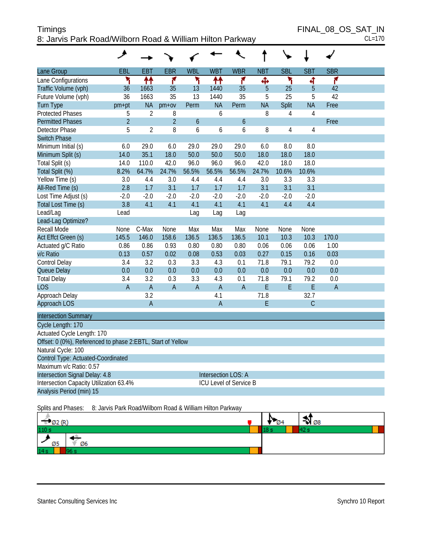| Timings                                                   | FINAL 08 OS SAT IN |
|-----------------------------------------------------------|--------------------|
| 8: Jarvis Park Road/Wilborn Road & William Hilton Parkway | $CL=170$           |

| Lane Group                                                  | EBL            | <b>EBT</b>     | <b>EBR</b>     | <b>WBL</b>     | <b>WBT</b>          | <b>WBR</b>                    | <b>NBT</b> | <b>SBL</b>     | <b>SBT</b>     | <b>SBR</b>     |  |
|-------------------------------------------------------------|----------------|----------------|----------------|----------------|---------------------|-------------------------------|------------|----------------|----------------|----------------|--|
| Lane Configurations                                         | ۲              | ↟↟             | ۴              | ۲              | ↟↟                  | ۴                             | Ф          | ۲              | 4              | ۴              |  |
| Traffic Volume (vph)                                        | 36             | 1663           | 35             | 13             | 1440                | 35                            | 5          | 25             | $\overline{5}$ | 42             |  |
| Future Volume (vph)                                         | 36             | 1663           | 35             | 13             | 1440                | 35                            | 5          | 25             | 5              | 42             |  |
| <b>Turn Type</b>                                            | pm+pt          | <b>NA</b>      | $pm+ov$        | Perm           | <b>NA</b>           | Perm                          | <b>NA</b>  | Split          | <b>NA</b>      | Free           |  |
| <b>Protected Phases</b>                                     | 5              | $\overline{2}$ | 8              |                | 6                   |                               | 8          | $\overline{4}$ | $\overline{4}$ |                |  |
| <b>Permitted Phases</b>                                     | $\overline{2}$ |                | $\overline{2}$ | 6              |                     | 6                             |            |                |                | Free           |  |
| <b>Detector Phase</b>                                       | 5              | $\overline{2}$ | 8              | 6              | 6                   | 6                             | 8          | 4              | 4              |                |  |
| <b>Switch Phase</b>                                         |                |                |                |                |                     |                               |            |                |                |                |  |
| Minimum Initial (s)                                         | 6.0            | 29.0           | 6.0            | 29.0           | 29.0                | 29.0                          | 6.0        | 8.0            | 8.0            |                |  |
| Minimum Split (s)                                           | 14.0           | 35.1           | 18.0           | 50.0           | 50.0                | 50.0                          | 18.0       | 18.0           | 18.0           |                |  |
| Total Split (s)                                             | 14.0           | 110.0          | 42.0           | 96.0           | 96.0                | 96.0                          | 42.0       | 18.0           | 18.0           |                |  |
| Total Split (%)                                             | 8.2%           | 64.7%          | 24.7%          | 56.5%          | 56.5%               | 56.5%                         | 24.7%      | 10.6%          | 10.6%          |                |  |
| Yellow Time (s)                                             | 3.0            | 4.4            | 3.0            | 4.4            | 4.4                 | 4.4                           | 3.0        | 3.3            | 3.3            |                |  |
| All-Red Time (s)                                            | 2.8            | 1.7            | 3.1            | 1.7            | 1.7                 | 1.7                           | 3.1        | 3.1            | 3.1            |                |  |
| Lost Time Adjust (s)                                        | $-2.0$         | $-2.0$         | $-2.0$         | $-2.0$         | $-2.0$              | $-2.0$                        | $-2.0$     | $-2.0$         | $-2.0$         |                |  |
| Total Lost Time (s)                                         | 3.8            | 4.1            | 4.1            | 4.1            | 4.1                 | 4.1                           | 4.1        | 4.4            | 4.4            |                |  |
| Lead/Lag                                                    | Lead           |                |                | Lag            | Lag                 | Lag                           |            |                |                |                |  |
| Lead-Lag Optimize?                                          |                |                |                |                |                     |                               |            |                |                |                |  |
| <b>Recall Mode</b>                                          | <b>None</b>    | C-Max          | None           | Max            | Max                 | Max                           | None       | None           | None           |                |  |
| Act Effct Green (s)                                         | 145.5          | 146.0          | 158.6          | 136.5          | 136.5               | 136.5                         | 10.1       | 10.3           | 10.3           | 170.0          |  |
| Actuated g/C Ratio                                          | 0.86           | 0.86           | 0.93           | 0.80           | 0.80                | 0.80                          | 0.06       | 0.06           | 0.06           | 1.00           |  |
| v/c Ratio                                                   | 0.13           | 0.57           | 0.02           | 0.08           | 0.53                | 0.03                          | 0.27       | 0.15           | 0.16           | 0.03           |  |
| Control Delay                                               | 3.4            | 3.2            | 0.3            | 3.3            | 4.3                 | 0.1                           | 71.8       | 79.1           | 79.2           | 0.0            |  |
| Queue Delay                                                 | 0.0            | 0.0            | 0.0            | 0.0            | 0.0                 | 0.0                           | 0.0        | 0.0            | 0.0            | 0.0            |  |
| <b>Total Delay</b>                                          | 3.4            | 3.2            | 0.3            | 3.3            | 4.3                 | 0.1                           | 71.8       | 79.1           | 79.2           | 0.0            |  |
| <b>LOS</b>                                                  | $\overline{A}$ | $\overline{A}$ | $\overline{A}$ | $\overline{A}$ | $\overline{A}$      | $\overline{A}$                | E          | E              | E              | $\overline{A}$ |  |
| Approach Delay                                              |                | 3.2            |                |                | 4.1                 |                               | 71.8       |                | 32.7           |                |  |
| Approach LOS                                                |                | $\overline{A}$ |                |                | $\overline{A}$      |                               | E          |                | C              |                |  |
| <b>Intersection Summary</b>                                 |                |                |                |                |                     |                               |            |                |                |                |  |
| Cycle Length: 170                                           |                |                |                |                |                     |                               |            |                |                |                |  |
| Actuated Cycle Length: 170                                  |                |                |                |                |                     |                               |            |                |                |                |  |
| Offset: 0 (0%), Referenced to phase 2:EBTL, Start of Yellow |                |                |                |                |                     |                               |            |                |                |                |  |
| Natural Cycle: 100                                          |                |                |                |                |                     |                               |            |                |                |                |  |
| Control Type: Actuated-Coordinated                          |                |                |                |                |                     |                               |            |                |                |                |  |
| Maximum v/c Ratio: 0.57                                     |                |                |                |                |                     |                               |            |                |                |                |  |
| Intersection Signal Delay: 4.8                              |                |                |                |                | Intersection LOS: A |                               |            |                |                |                |  |
| Intersection Capacity Utilization 63.4%                     |                |                |                |                |                     | <b>ICU Level of Service B</b> |            |                |                |                |  |
| Analysis Period (min) 15                                    |                |                |                |                |                     |                               |            |                |                |                |  |

Splits and Phases: 8: Jarvis Park Road/Wilborn Road & William Hilton Parkway

| Los Anti<br>$Z$ <i>VILV</i> | - 04 | - -<br>$\rightarrow$ 08 |
|-----------------------------|------|-------------------------|
| 110 s                       |      |                         |
| Ø6<br>Ø5                    |      |                         |
| 14s                         |      |                         |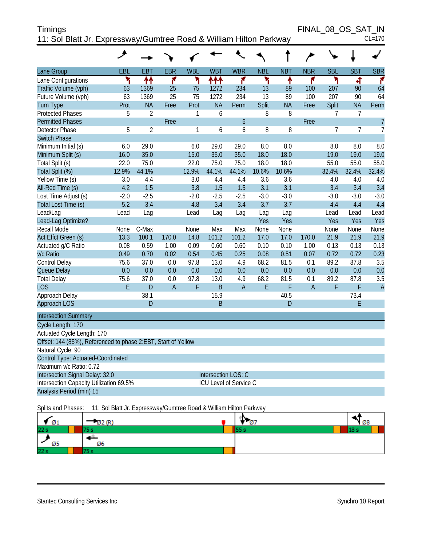| Timings                                                            | FINAL 08 OS SAT IN |
|--------------------------------------------------------------------|--------------------|
| 11: Sol Blatt Jr. Expressway/Gumtree Road & William Hilton Parkway | $CL=170$           |

|                                                               | ۸      |                |                 |            |                     |                               |            |            |                |                |                |                |
|---------------------------------------------------------------|--------|----------------|-----------------|------------|---------------------|-------------------------------|------------|------------|----------------|----------------|----------------|----------------|
| Lane Group                                                    | EBL    | EBT            | <b>EBR</b>      | <b>WBL</b> | <b>WBT</b>          | <b>WBR</b>                    | <b>NBL</b> | <b>NBT</b> | <b>NBR</b>     | <b>SBL</b>     | <b>SBT</b>     | <b>SBR</b>     |
| Lane Configurations                                           | ۲      | ↟↟             | ۴               | ۲          | ተተተ                 | ۴                             | ۲          | ↟          | ۴              | ኻ              | ची             | ۴              |
| Traffic Volume (vph)                                          | 63     | 1369           | 25              | 75         | 1272                | 234                           | 13         | 89         | 100            | 207            | 90             | 64             |
| Future Volume (vph)                                           | 63     | 1369           | $\overline{25}$ | 75         | 1272                | 234                           | 13         | 89         | 100            | 207            | 90             | 64             |
| <b>Turn Type</b>                                              | Prot   | <b>NA</b>      | Free            | Prot       | <b>NA</b>           | Perm                          | Split      | <b>NA</b>  | Free           | Split          | <b>NA</b>      | Perm           |
| <b>Protected Phases</b>                                       | 5      | $\overline{2}$ |                 | 1          | 6                   |                               | 8          | 8          |                | $\overline{7}$ | $\overline{7}$ |                |
| <b>Permitted Phases</b>                                       |        |                | Free            |            |                     | 6                             |            |            | Free           |                |                | $\overline{7}$ |
| Detector Phase                                                | 5      | $\overline{2}$ |                 | 1          | 6                   | 6                             | 8          | 8          |                | $\overline{7}$ | $\overline{7}$ | $\overline{7}$ |
| <b>Switch Phase</b>                                           |        |                |                 |            |                     |                               |            |            |                |                |                |                |
| Minimum Initial (s)                                           | 6.0    | 29.0           |                 | 6.0        | 29.0                | 29.0                          | 8.0        | 8.0        |                | 8.0            | 8.0            | 8.0            |
| Minimum Split (s)                                             | 16.0   | 35.0           |                 | 15.0       | 35.0                | 35.0                          | 18.0       | 18.0       |                | 19.0           | 19.0           | 19.0           |
| Total Split (s)                                               | 22.0   | 75.0           |                 | 22.0       | 75.0                | 75.0                          | 18.0       | 18.0       |                | 55.0           | 55.0           | 55.0           |
| Total Split (%)                                               | 12.9%  | 44.1%          |                 | 12.9%      | 44.1%               | 44.1%                         | 10.6%      | 10.6%      |                | 32.4%          | 32.4%          | 32.4%          |
| Yellow Time (s)                                               | 3.0    | 4.4            |                 | 3.0        | 4.4                 | 4.4                           | 3.6        | 3.6        |                | 4.0            | 4.0            | 4.0            |
| All-Red Time (s)                                              | 4.2    | 1.5            |                 | 3.8        | 1.5                 | 1.5                           | 3.1        | 3.1        |                | 3.4            | 3.4            | 3.4            |
| Lost Time Adjust (s)                                          | $-2.0$ | $-2.5$         |                 | $-2.0$     | $-2.5$              | $-2.5$                        | $-3.0$     | $-3.0$     |                | $-3.0$         | $-3.0$         | $-3.0$         |
| Total Lost Time (s)                                           | 5.2    | 3.4            |                 | 4.8        | 3.4                 | 3.4                           | 3.7        | 3.7        |                | 4.4            | 4.4            | 4.4            |
| Lead/Lag                                                      | Lead   | Lag            |                 | Lead       | Lag                 | Lag                           | Lag        | Lag        |                | Lead           | Lead           | Lead           |
| Lead-Lag Optimize?                                            |        |                |                 |            |                     |                               | Yes        | Yes        |                | Yes            | Yes            | Yes            |
| Recall Mode                                                   | None   | C-Max          |                 | None       | Max                 | Max                           | None       | None       |                | None           | None           | None           |
| Act Effct Green (s)                                           | 13.3   | 100.1          | 170.0           | 14.8       | 101.2               | 101.2                         | 17.0       | 17.0       | 170.0          | 21.9           | 21.9           | 21.9           |
| Actuated g/C Ratio                                            | 0.08   | 0.59           | 1.00            | 0.09       | 0.60                | 0.60                          | 0.10       | 0.10       | 1.00           | 0.13           | 0.13           | 0.13           |
| v/c Ratio                                                     | 0.49   | 0.70           | 0.02            | 0.54       | 0.45                | 0.25                          | 0.08       | 0.51       | 0.07           | 0.72           | 0.72           | 0.23           |
| Control Delay                                                 | 75.6   | 37.0           | 0.0             | 97.8       | 13.0                | 4.9                           | 68.2       | 81.5       | 0.1            | 89.2           | 87.8           | 3.5            |
| Queue Delay                                                   | 0.0    | 0.0            | 0.0             | 0.0        | 0.0                 | 0.0                           | 0.0        | 0.0        | 0.0            | 0.0            | 0.0            | 0.0            |
| <b>Total Delay</b>                                            | 75.6   | 37.0           | 0.0             | 97.8       | 13.0                | 4.9                           | 68.2       | 81.5       | 0.1            | 89.2           | 87.8           | 3.5            |
| <b>LOS</b>                                                    | E      | D              | $\overline{A}$  | F          | $\overline{B}$      | $\overline{A}$                | E          | F          | $\overline{A}$ | F              | F              | $\overline{A}$ |
| Approach Delay                                                |        | 38.1           |                 |            | 15.9                |                               |            | 40.5       |                |                | 73.4           |                |
| <b>Approach LOS</b>                                           |        | D              |                 |            | B                   |                               |            | D          |                |                | E              |                |
| <b>Intersection Summary</b>                                   |        |                |                 |            |                     |                               |            |            |                |                |                |                |
| Cycle Length: 170                                             |        |                |                 |            |                     |                               |            |            |                |                |                |                |
| Actuated Cycle Length: 170                                    |        |                |                 |            |                     |                               |            |            |                |                |                |                |
| Offset: 144 (85%), Referenced to phase 2:EBT, Start of Yellow |        |                |                 |            |                     |                               |            |            |                |                |                |                |
| Natural Cycle: 90                                             |        |                |                 |            |                     |                               |            |            |                |                |                |                |
| Control Type: Actuated-Coordinated                            |        |                |                 |            |                     |                               |            |            |                |                |                |                |
| Maximum v/c Ratio: 0.72                                       |        |                |                 |            |                     |                               |            |            |                |                |                |                |
| Intersection Signal Delay: 32.0                               |        |                |                 |            | Intersection LOS: C |                               |            |            |                |                |                |                |
| Intersection Capacity Utilization 69.5%                       |        |                |                 |            |                     | <b>ICU Level of Service C</b> |            |            |                |                |                |                |
| Analysis Period (min) 15                                      |        |                |                 |            |                     |                               |            |            |                |                |                |                |

Splits and Phases: 11: Sol Blatt Jr. Expressway/Gumtree Road & William Hilton Parkway

| Ø1        | 202(R) | n<br>Ø, | 80 ۲ |  |
|-----------|--------|---------|------|--|
| 22s       |        |         |      |  |
|           |        |         |      |  |
| øε<br>ט ש | Ø6     |         |      |  |
| 22s       |        |         |      |  |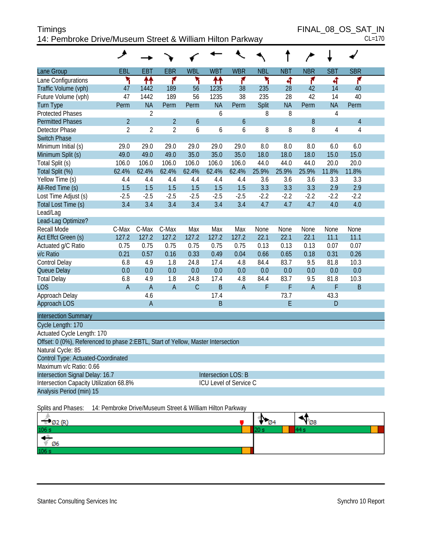| Timings                                                   | FINAL 08 OS SAT IN |
|-----------------------------------------------------------|--------------------|
| 14: Pembroke Drive/Museum Street & William Hilton Parkway | $CL=170$           |

FINAL\_08\_OS\_SAT\_IN<br>CL=170

|                                                                                  | ᢣ                                                         |                |                |                  |                        |                  |            |            |                |                |                |  |
|----------------------------------------------------------------------------------|-----------------------------------------------------------|----------------|----------------|------------------|------------------------|------------------|------------|------------|----------------|----------------|----------------|--|
| Lane Group                                                                       | EBL                                                       | <b>EBT</b>     | <b>EBR</b>     | <b>WBL</b>       | <b>WBT</b>             | <b>WBR</b>       | <b>NBL</b> | <b>NBT</b> | <b>NBR</b>     | <b>SBT</b>     | <b>SBR</b>     |  |
| Lane Configurations                                                              | ۲                                                         | ↟↟             | ۴              | ٦                | ↟↟                     | ۴                | ۲          | बी         | ۴              | ची             | ۴              |  |
| Traffic Volume (vph)                                                             | 47                                                        | 1442           | 189            | 56               | 1235                   | 38               | 235        | 28         | 42             | 14             | 40             |  |
| Future Volume (vph)                                                              | 47                                                        | 1442           | 189            | 56               | 1235                   | 38               | 235        | 28         | 42             | 14             | 40             |  |
| Turn Type                                                                        | Perm                                                      | <b>NA</b>      | Perm           | Perm             | <b>NA</b>              | Perm             | Split      | <b>NA</b>  | Perm           | <b>NA</b>      | Perm           |  |
| <b>Protected Phases</b>                                                          |                                                           | $\overline{2}$ |                |                  | 6                      |                  | 8          | 8          |                | $\overline{4}$ |                |  |
| <b>Permitted Phases</b>                                                          | $\overline{2}$                                            |                | $\overline{2}$ | $\boldsymbol{6}$ |                        | $\boldsymbol{6}$ |            |            | 8              |                | $\overline{4}$ |  |
| Detector Phase                                                                   | $\overline{2}$                                            | $\overline{2}$ | $\overline{2}$ | 6                | 6                      | 6                | 8          | 8          | 8              | 4              | $\sqrt{4}$     |  |
| <b>Switch Phase</b>                                                              |                                                           |                |                |                  |                        |                  |            |            |                |                |                |  |
| Minimum Initial (s)                                                              | 29.0                                                      | 29.0           | 29.0           | 29.0             | 29.0                   | 29.0             | 8.0        | 8.0        | 8.0            | 6.0            | 6.0            |  |
| Minimum Split (s)                                                                | 49.0                                                      | 49.0           | 49.0           | 35.0             | 35.0                   | 35.0             | 18.0       | 18.0       | 18.0           | 15.0           | 15.0           |  |
| Total Split (s)                                                                  | 106.0                                                     | 106.0          | 106.0          | 106.0            | 106.0                  | 106.0            | 44.0       | 44.0       | 44.0           | 20.0           | 20.0           |  |
| Total Split (%)                                                                  | 62.4%                                                     | 62.4%          | 62.4%          | 62.4%            | 62.4%                  | 62.4%            | 25.9%      | 25.9%      | 25.9%          | 11.8%          | 11.8%          |  |
| Yellow Time (s)                                                                  | 4.4                                                       | 4.4            | 4.4            | 4.4              | 4.4                    | 4.4              | 3.6        | 3.6        | 3.6            | 3.3            | 3.3            |  |
| All-Red Time (s)                                                                 | 1.5                                                       | 1.5            | 1.5            | 1.5              | 1.5                    | 1.5              | 3.3        | 3.3        | 3.3            | 2.9            | 2.9            |  |
| Lost Time Adjust (s)                                                             | $-2.5$                                                    | $-2.5$         | $-2.5$         | $-2.5$           | $-2.5$                 | $-2.5$           | $-2.2$     | $-2.2$     | $-2.2$         | $-2.2$         | $-2.2$         |  |
| Total Lost Time (s)                                                              | 3.4                                                       | 3.4            | 3.4            | 3.4              | 3.4                    | 3.4              | 4.7        | 4.7        | 4.7            | 4.0            | 4.0            |  |
| Lead/Lag                                                                         |                                                           |                |                |                  |                        |                  |            |            |                |                |                |  |
| Lead-Lag Optimize?                                                               |                                                           |                |                |                  |                        |                  |            |            |                |                |                |  |
| Recall Mode                                                                      | C-Max                                                     | C-Max          | C-Max          | Max              | Max                    | Max              | None       | None       | None           | None           | None           |  |
| Act Effct Green (s)                                                              | 127.2                                                     | 127.2          | 127.2          | 127.2            | 127.2                  | 127.2            | 22.1       | 22.1       | 22.1           | 11.1           | 11.1           |  |
| Actuated g/C Ratio                                                               | 0.75                                                      | 0.75           | 0.75           | 0.75             | 0.75                   | 0.75             | 0.13       | 0.13       | 0.13           | 0.07           | 0.07           |  |
| v/c Ratio                                                                        | 0.21                                                      | 0.57           | 0.16           | 0.33             | 0.49                   | 0.04             | 0.66       | 0.65       | 0.18           | 0.31           | 0.26           |  |
| Control Delay                                                                    | 6.8                                                       | 4.9            | 1.8            | 24.8             | 17.4                   | 4.8              | 84.4       | 83.7       | 9.5            | 81.8           | 10.3           |  |
| Queue Delay                                                                      | 0.0                                                       | 0.0            | 0.0            | 0.0              | 0.0                    | 0.0              | 0.0        | 0.0        | 0.0            | 0.0            | 0.0            |  |
| <b>Total Delay</b>                                                               | 6.8                                                       | 4.9            | 1.8            | 24.8             | 17.4                   | 4.8              | 84.4       | 83.7       | 9.5            | 81.8           | 10.3           |  |
| <b>LOS</b>                                                                       | A                                                         | $\overline{A}$ | $\mathsf{A}$   | $\mathsf{C}$     | $\mathsf B$            | $\overline{A}$   | F          | F          | $\overline{A}$ | F              | $\sf B$        |  |
| Approach Delay                                                                   |                                                           | 4.6            |                |                  | 17.4                   |                  |            | 73.7       |                | 43.3           |                |  |
| Approach LOS                                                                     |                                                           | $\mathsf A$    |                |                  | $\mathsf B$            |                  |            | E          |                | D              |                |  |
| <b>Intersection Summary</b>                                                      |                                                           |                |                |                  |                        |                  |            |            |                |                |                |  |
| Cycle Length: 170                                                                |                                                           |                |                |                  |                        |                  |            |            |                |                |                |  |
| Actuated Cycle Length: 170                                                       |                                                           |                |                |                  |                        |                  |            |            |                |                |                |  |
| Offset: 0 (0%), Referenced to phase 2:EBTL, Start of Yellow, Master Intersection |                                                           |                |                |                  |                        |                  |            |            |                |                |                |  |
| Natural Cycle: 85                                                                |                                                           |                |                |                  |                        |                  |            |            |                |                |                |  |
| Control Type: Actuated-Coordinated                                               |                                                           |                |                |                  |                        |                  |            |            |                |                |                |  |
| Maximum v/c Ratio: 0.66                                                          |                                                           |                |                |                  |                        |                  |            |            |                |                |                |  |
| Intersection Signal Delay: 16.7                                                  |                                                           |                |                |                  | Intersection LOS: B    |                  |            |            |                |                |                |  |
| Intersection Capacity Utilization 68.8%                                          |                                                           |                |                |                  | ICU Level of Service C |                  |            |            |                |                |                |  |
| Analysis Period (min) 15                                                         |                                                           |                |                |                  |                        |                  |            |            |                |                |                |  |
| Splits and Phases:                                                               | 14: Pembroke Drive/Museum Street & William Hilton Parkway |                |                |                  |                        |                  |            |            |                |                |                |  |

| $\Rightarrow$ Ø2 (R) | Tv.<br>$\sqrt{04}$ | $\mathbb{Y}_{\varnothing 8}$ |
|----------------------|--------------------|------------------------------|
| 106 s                |                    |                              |
| - 43<br>$\angle$ 06  |                    |                              |
| 106 s                |                    |                              |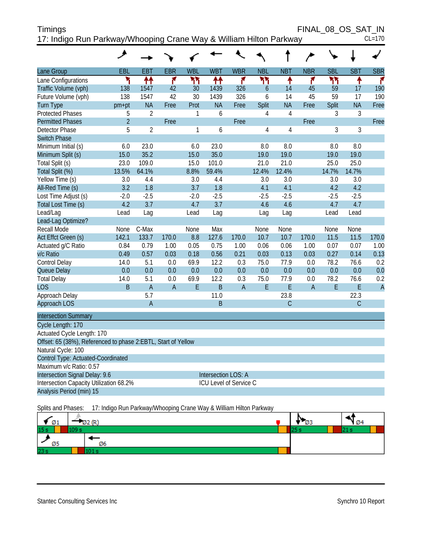| <b>Timings</b>                                                     | FINAL 08 OS SAT IN |
|--------------------------------------------------------------------|--------------------|
| 17: Indigo Run Parkway/Whooping Crane Way & William Hilton Parkway | $CL=170$           |

|                                                               | ᢣ              |                |                |            |                               |                |            |                |                |            |               |                |
|---------------------------------------------------------------|----------------|----------------|----------------|------------|-------------------------------|----------------|------------|----------------|----------------|------------|---------------|----------------|
| Lane Group                                                    | EBL            | <b>EBT</b>     | <b>EBR</b>     | <b>WBL</b> | <b>WBT</b>                    | <b>WBR</b>     | <b>NBL</b> | <b>NBT</b>     | <b>NBR</b>     | <b>SBL</b> | <b>SBT</b>    | <b>SBR</b>     |
| Lane Configurations                                           | ۲              | ↟↟             | ۴              | ካኘ         | ቶቶ                            | ۴              | ካነ         | ቶ              | ۴              | ካካ         | ٠             | ۴              |
| Traffic Volume (vph)                                          | 138            | 1547           | 42             | 30         | 1439                          | 326            | 6          | 14             | 45             | 59         | 17            | 190            |
| Future Volume (vph)                                           | 138            | 1547           | 42             | 30         | 1439                          | 326            | 6          | 14             | 45             | 59         | 17            | 190            |
| <b>Turn Type</b>                                              | pm+pt          | <b>NA</b>      | Free           | Prot       | <b>NA</b>                     | Free           | Split      | <b>NA</b>      | Free           | Split      | <b>NA</b>     | Free           |
| <b>Protected Phases</b>                                       | 5              | $\overline{2}$ |                | 1          | 6                             |                | 4          | $\overline{4}$ |                | 3          | 3             |                |
| <b>Permitted Phases</b>                                       | $\overline{2}$ |                | Free           |            |                               | Free           |            |                | Free           |            |               | Free           |
| Detector Phase                                                | 5              | $\overline{2}$ |                | 1          | 6                             |                | 4          | $\overline{4}$ |                | 3          | 3             |                |
| <b>Switch Phase</b>                                           |                |                |                |            |                               |                |            |                |                |            |               |                |
| Minimum Initial (s)                                           | 6.0            | 23.0           |                | 6.0        | 23.0                          |                | 8.0        | 8.0            |                | 8.0        | 8.0           |                |
| Minimum Split (s)                                             | 15.0           | 35.2           |                | 15.0       | 35.0                          |                | 19.0       | 19.0           |                | 19.0       | 19.0          |                |
| Total Split (s)                                               | 23.0           | 109.0          |                | 15.0       | 101.0                         |                | 21.0       | 21.0           |                | 25.0       | 25.0          |                |
| Total Split (%)                                               | 13.5%          | 64.1%          |                | 8.8%       | 59.4%                         |                | 12.4%      | 12.4%          |                | 14.7%      | 14.7%         |                |
| Yellow Time (s)                                               | 3.0            | 4.4            |                | 3.0        | 4.4                           |                | 3.0        | 3.0            |                | 3.0        | 3.0           |                |
| All-Red Time (s)                                              | 3.2            | 1.8            |                | 3.7        | 1.8                           |                | 4.1        | 4.1            |                | 4.2        | 4.2           |                |
| Lost Time Adjust (s)                                          | $-2.0$         | $-2.5$         |                | $-2.0$     | $-2.5$                        |                | $-2.5$     | $-2.5$         |                | $-2.5$     | $-2.5$        |                |
| Total Lost Time (s)                                           | 4.2            | 3.7            |                | 4.7        | 3.7                           |                | 4.6        | 4.6            |                | 4.7        | 4.7           |                |
| Lead/Lag                                                      | Lead           | Lag            |                | Lead       | Lag                           |                | Lag        | Lag            |                | Lead       | Lead          |                |
| Lead-Lag Optimize?                                            |                |                |                |            |                               |                |            |                |                |            |               |                |
| <b>Recall Mode</b>                                            | None           | C-Max          |                | None       | Max                           |                | None       | None           |                | None       | None          |                |
| Act Effct Green (s)                                           | 142.1          | 133.7          | 170.0          | 8.8        | 127.6                         | 170.0          | 10.7       | 10.7           | 170.0          | 11.5       | 11.5          | 170.0          |
| Actuated g/C Ratio                                            | 0.84           | 0.79           | 1.00           | 0.05       | 0.75                          | 1.00           | 0.06       | 0.06           | 1.00           | 0.07       | 0.07          | 1.00           |
| v/c Ratio                                                     | 0.49           | 0.57           | 0.03           | 0.18       | 0.56                          | 0.21           | 0.03       | 0.13           | 0.03           | 0.27       | 0.14          | 0.13           |
| Control Delay                                                 | 14.0           | 5.1            | 0.0            | 69.9       | 12.2                          | 0.3            | 75.0       | 77.9           | 0.0            | 78.2       | 76.6          | 0.2            |
| Queue Delay                                                   | 0.0            | 0.0            | 0.0            | 0.0        | 0.0                           | 0.0            | 0.0        | 0.0            | 0.0            | 0.0        | 0.0           | 0.0            |
| <b>Total Delay</b>                                            | 14.0           | 5.1            | 0.0            | 69.9       | 12.2                          | 0.3            | 75.0       | 77.9           | 0.0            | 78.2       | 76.6          | 0.2            |
| <b>LOS</b>                                                    | B              | $\overline{A}$ | $\overline{A}$ | E          | $\mathsf B$                   | $\overline{A}$ | E          | E              | $\overline{A}$ | E          | E             | $\overline{A}$ |
| Approach Delay                                                |                | 5.7            |                |            | 11.0                          |                |            | 23.8           |                |            | 22.3          |                |
| Approach LOS                                                  |                | $\overline{A}$ |                |            | <sub>B</sub>                  |                |            | C              |                |            | $\mathcal{C}$ |                |
| <b>Intersection Summary</b>                                   |                |                |                |            |                               |                |            |                |                |            |               |                |
| Cycle Length: 170                                             |                |                |                |            |                               |                |            |                |                |            |               |                |
| Actuated Cycle Length: 170                                    |                |                |                |            |                               |                |            |                |                |            |               |                |
| Offset: 65 (38%), Referenced to phase 2:EBTL, Start of Yellow |                |                |                |            |                               |                |            |                |                |            |               |                |
| Natural Cycle: 100                                            |                |                |                |            |                               |                |            |                |                |            |               |                |
| Control Type: Actuated-Coordinated                            |                |                |                |            |                               |                |            |                |                |            |               |                |
| Maximum v/c Ratio: 0.57                                       |                |                |                |            |                               |                |            |                |                |            |               |                |
| Intersection Signal Delay: 9.6                                |                |                |                |            | Intersection LOS: A           |                |            |                |                |            |               |                |
| Intersection Capacity Utilization 68.2%                       |                |                |                |            | <b>ICU Level of Service C</b> |                |            |                |                |            |               |                |
| Analysis Period (min) 15                                      |                |                |                |            |                               |                |            |                |                |            |               |                |

Splits and Phases: 17: Indigo Run Parkway/Whooping Crane Way & William Hilton Parkway

| $\blacksquare$ 01 | 02(R) | Ø3 | 104 |
|-------------------|-------|----|-----|
| 15 <sub>s</sub>   |       |    |     |
| Ø5                | Ø6    |    |     |
| 23 s              |       |    |     |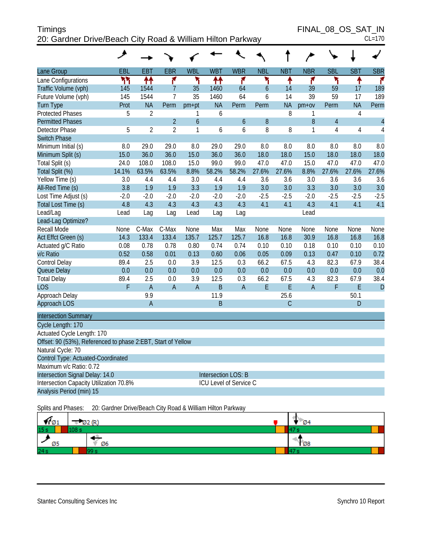| <b>Timings</b>                                             | FINAL 08 OS SAT IN |
|------------------------------------------------------------|--------------------|
| 20: Gardner Drive/Beach City Road & William Hilton Parkway | $CL=170$           |

FINAL\_08\_OS\_SAT\_IN<br>CL=170

|                                                              | ◢      |                |                |                |                     |                               |                |              |                |                |                |                |
|--------------------------------------------------------------|--------|----------------|----------------|----------------|---------------------|-------------------------------|----------------|--------------|----------------|----------------|----------------|----------------|
| Lane Group                                                   | EBL    | <b>EBT</b>     | <b>EBR</b>     | <b>WBL</b>     | <b>WBT</b>          | <b>WBR</b>                    | <b>NBL</b>     | <b>NBT</b>   | <b>NBR</b>     | <b>SBL</b>     | <b>SBT</b>     | <b>SBR</b>     |
| Lane Configurations                                          | ۲٢     | ቶቶ             | ۴              | ۳              | ቶቶ                  | ۴                             | ۲              | ٠            | ۴              | ۳              | ٠              | ۴              |
| Traffic Volume (vph)                                         | 145    | 1544           | $\overline{7}$ | 35             | 1460                | 64                            | $\overline{6}$ | 14           | 39             | 59             | 17             | 189            |
| Future Volume (vph)                                          | 145    | 1544           | $\overline{7}$ | 35             | 1460                | 64                            | 6              | 14           | 39             | 59             | 17             | 189            |
| <b>Turn Type</b>                                             | Prot   | <b>NA</b>      | Perm           | $pm+pt$        | <b>NA</b>           | Perm                          | Perm           | <b>NA</b>    | $pm+ov$        | Perm           | <b>NA</b>      | Perm           |
| <b>Protected Phases</b>                                      | 5      | $\overline{2}$ |                | 1              | 6                   |                               |                | 8            | 1              |                | $\overline{4}$ |                |
| <b>Permitted Phases</b>                                      |        |                | $\overline{2}$ | $\overline{6}$ |                     | $\mathfrak b$                 | 8              |              | 8              | $\overline{4}$ |                | $\overline{4}$ |
| Detector Phase                                               | 5      | $\overline{2}$ | $\overline{2}$ | 1              | 6                   | 6                             | 8              | 8            | 1              | 4              | $\overline{4}$ | $\overline{4}$ |
| <b>Switch Phase</b>                                          |        |                |                |                |                     |                               |                |              |                |                |                |                |
| Minimum Initial (s)                                          | 8.0    | 29.0           | 29.0           | 8.0            | 29.0                | 29.0                          | 8.0            | 8.0          | 8.0            | 8.0            | 8.0            | 8.0            |
| Minimum Split (s)                                            | 15.0   | 36.0           | 36.0           | 15.0           | 36.0                | 36.0                          | 18.0           | 18.0         | 15.0           | 18.0           | 18.0           | 18.0           |
| Total Split (s)                                              | 24.0   | 108.0          | 108.0          | 15.0           | 99.0                | 99.0                          | 47.0           | 47.0         | 15.0           | 47.0           | 47.0           | 47.0           |
| Total Split (%)                                              | 14.1%  | 63.5%          | 63.5%          | 8.8%           | 58.2%               | 58.2%                         | 27.6%          | 27.6%        | 8.8%           | 27.6%          | 27.6%          | 27.6%          |
| Yellow Time (s)                                              | 3.0    | 4.4            | 4.4            | 3.0            | 4.4                 | 4.4                           | 3.6            | 3.6          | 3.0            | 3.6            | 3.6            | 3.6            |
| All-Red Time (s)                                             | 3.8    | 1.9            | 1.9            | 3.3            | 1.9                 | 1.9                           | 3.0            | 3.0          | 3.3            | 3.0            | 3.0            | 3.0            |
| Lost Time Adjust (s)                                         | $-2.0$ | $-2.0$         | $-2.0$         | $-2.0$         | $-2.0$              | $-2.0$                        | $-2.5$         | $-2.5$       | $-2.0$         | $-2.5$         | $-2.5$         | $-2.5$         |
| Total Lost Time (s)                                          | 4.8    | 4.3            | 4.3            | 4.3            | 4.3                 | 4.3                           | 4.1            | 4.1          | 4.3            | 4.1            | 4.1            | 4.1            |
| Lead/Lag                                                     | Lead   | Lag            | Lag            | Lead           | Lag                 | Lag                           |                |              | Lead           |                |                |                |
| Lead-Lag Optimize?                                           |        |                |                |                |                     |                               |                |              |                |                |                |                |
| <b>Recall Mode</b>                                           | None   | C-Max          | C-Max          | None           | Max                 | Max                           | None           | None         | None           | None           | None           | None           |
| Act Effct Green (s)                                          | 14.3   | 133.4          | 133.4          | 135.7          | 125.7               | 125.7                         | 16.8           | 16.8         | 30.9           | 16.8           | 16.8           | 16.8           |
| Actuated g/C Ratio                                           | 0.08   | 0.78           | 0.78           | 0.80           | 0.74                | 0.74                          | 0.10           | 0.10         | 0.18           | 0.10           | 0.10           | 0.10           |
| v/c Ratio                                                    | 0.52   | 0.58           | 0.01           | 0.13           | 0.60                | 0.06                          | 0.05           | 0.09         | 0.13           | 0.47           | 0.10           | 0.72           |
| Control Delay                                                | 89.4   | 2.5            | 0.0            | 3.9            | 12.5                | 0.3                           | 66.2           | 67.5         | 4.3            | 82.3           | 67.9           | 38.4           |
| Queue Delay                                                  | 0.0    | 0.0            | 0.0            | 0.0            | 0.0                 | 0.0                           | 0.0            | 0.0          | 0.0            | 0.0            | 0.0            | 0.0            |
| <b>Total Delay</b>                                           | 89.4   | 2.5            | 0.0            | 3.9            | 12.5                | 0.3                           | 66.2           | 67.5         | 4.3            | 82.3           | 67.9           | 38.4           |
| <b>LOS</b>                                                   | F      | $\overline{A}$ | $\overline{A}$ | $\overline{A}$ | B                   | $\overline{A}$                | E              | E            | $\overline{A}$ | F              | E              | D              |
| Approach Delay                                               |        | 9.9            |                |                | 11.9                |                               |                | 25.6         |                |                | 50.1           |                |
| Approach LOS                                                 |        | A              |                |                | B                   |                               |                | $\mathsf{C}$ |                |                | D              |                |
| <b>Intersection Summary</b>                                  |        |                |                |                |                     |                               |                |              |                |                |                |                |
| Cycle Length: 170                                            |        |                |                |                |                     |                               |                |              |                |                |                |                |
| Actuated Cycle Length: 170                                   |        |                |                |                |                     |                               |                |              |                |                |                |                |
| Offset: 90 (53%), Referenced to phase 2:EBT, Start of Yellow |        |                |                |                |                     |                               |                |              |                |                |                |                |
| Natural Cycle: 70                                            |        |                |                |                |                     |                               |                |              |                |                |                |                |
| Control Type: Actuated-Coordinated                           |        |                |                |                |                     |                               |                |              |                |                |                |                |
| Maximum v/c Ratio: 0.72                                      |        |                |                |                |                     |                               |                |              |                |                |                |                |
| Intersection Signal Delay: 14.0                              |        |                |                |                | Intersection LOS: B |                               |                |              |                |                |                |                |
| Intersection Capacity Utilization 70.8%                      |        |                |                |                |                     | <b>ICU Level of Service C</b> |                |              |                |                |                |                |
| Analysis Period (min) 15                                     |        |                |                |                |                     |                               |                |              |                |                |                |                |
|                                                              |        |                |                |                |                     |                               |                |              |                |                |                |                |

Splits and Phases: 20: Gardner Drive/Beach City Road & William Hilton Parkway

| $\P\emptyset$ 1 | $\sqrt{22}$ (R) | <b>Ø4</b>       |
|-----------------|-----------------|-----------------|
| 15 s            |                 |                 |
| Ø5              | Ø6              | $\overline{68}$ |
| 24s             |                 |                 |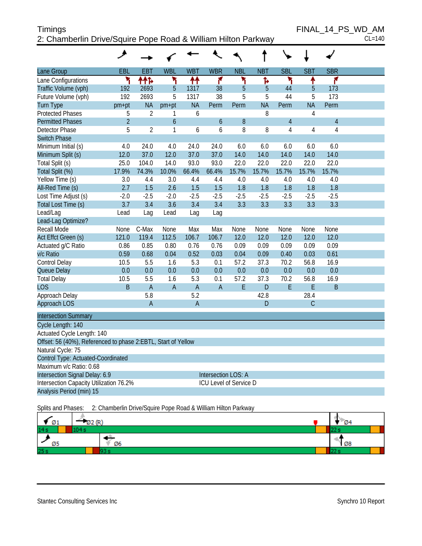# Timings FINAL\_14\_PS\_WD\_AM 2: Chamberlin Drive/Squire Pope Road & William Hilton Parkway CL=140

|                                                               | عر             |                |                |              |                               |            |            |                |            |                |  |
|---------------------------------------------------------------|----------------|----------------|----------------|--------------|-------------------------------|------------|------------|----------------|------------|----------------|--|
| Lane Group                                                    | EBL            | <b>EBT</b>     | <b>WBL</b>     | <b>WBT</b>   | <b>WBR</b>                    | <b>NBL</b> | <b>NBT</b> | <b>SBL</b>     | <b>SBT</b> | <b>SBR</b>     |  |
| Lane Configurations                                           | ۲              | ተተኈ            | ۲              | ↟↟           | ۴                             | ۲          | Ъ          | ۲              | ↟          | ۴              |  |
| Traffic Volume (vph)                                          | 192            | 2693           | 5              | 1317         | 38                            | 5          | 5          | 44             | 5          | 173            |  |
| Future Volume (vph)                                           | 192            | 2693           | 5              | 1317         | 38                            | 5          | 5          | 44             | 5          | 173            |  |
| <b>Turn Type</b>                                              | pm+pt          | <b>NA</b>      | $pm+pt$        | <b>NA</b>    | Perm                          | Perm       | <b>NA</b>  | Perm           | <b>NA</b>  | Perm           |  |
| <b>Protected Phases</b>                                       | 5              | $\overline{2}$ | 1              | 6            |                               |            | 8          |                | 4          |                |  |
| <b>Permitted Phases</b>                                       | $\overline{2}$ |                | $\overline{6}$ |              | $\overline{6}$                | 8          |            | $\overline{4}$ |            | $\overline{4}$ |  |
| Detector Phase                                                | 5              | $\overline{2}$ | 1              | 6            | 6                             | 8          | 8          | 4              | 4          | 4              |  |
| <b>Switch Phase</b>                                           |                |                |                |              |                               |            |            |                |            |                |  |
| Minimum Initial (s)                                           | 4.0            | 24.0           | 4.0            | 24.0         | 24.0                          | 6.0        | 6.0        | 6.0            | 6.0        | 6.0            |  |
| Minimum Split (s)                                             | 12.0           | 37.0           | 12.0           | 37.0         | 37.0                          | 14.0       | 14.0       | 14.0           | 14.0       | 14.0           |  |
| Total Split (s)                                               | 25.0           | 104.0          | 14.0           | 93.0         | 93.0                          | 22.0       | 22.0       | 22.0           | 22.0       | 22.0           |  |
| Total Split (%)                                               | 17.9%          | 74.3%          | 10.0%          | 66.4%        | 66.4%                         | 15.7%      | 15.7%      | 15.7%          | 15.7%      | 15.7%          |  |
| Yellow Time (s)                                               | 3.0            | 4.4            | 3.0            | 4.4          | 4.4                           | 4.0        | 4.0        | 4.0            | 4.0        | 4.0            |  |
| All-Red Time (s)                                              | 2.7            | 1.5            | 2.6            | 1.5          | 1.5                           | 1.8        | 1.8        | 1.8            | 1.8        | 1.8            |  |
| Lost Time Adjust (s)                                          | $-2.0$         | $-2.5$         | $-2.0$         | $-2.5$       | $-2.5$                        | $-2.5$     | $-2.5$     | $-2.5$         | $-2.5$     | $-2.5$         |  |
| Total Lost Time (s)                                           | 3.7            | 3.4            | 3.6            | 3.4          | 3.4                           | 3.3        | 3.3        | 3.3            | 3.3        | 3.3            |  |
| Lead/Lag                                                      | Lead           | Lag            | Lead           | Lag          | Lag                           |            |            |                |            |                |  |
| Lead-Lag Optimize?                                            |                |                |                |              |                               |            |            |                |            |                |  |
| <b>Recall Mode</b>                                            | None           | C-Max          | None           | Max          | Max                           | None       | None       | None           | None       | None           |  |
| Act Effct Green (s)                                           | 121.0          | 119.4          | 112.5          | 106.7        | 106.7                         | 12.0       | 12.0       | 12.0           | 12.0       | 12.0           |  |
| Actuated g/C Ratio                                            | 0.86           | 0.85           | 0.80           | 0.76         | 0.76                          | 0.09       | 0.09       | 0.09           | 0.09       | 0.09           |  |
| v/c Ratio                                                     | 0.59           | 0.68           | 0.04           | 0.52         | 0.03                          | 0.04       | 0.09       | 0.40           | 0.03       | 0.61           |  |
| Control Delay                                                 | 10.5           | 5.5            | 1.6            | 5.3          | 0.1                           | 57.2       | 37.3       | 70.2           | 56.8       | 16.9           |  |
| Queue Delay                                                   | 0.0            | 0.0            | 0.0            | 0.0          | 0.0                           | 0.0        | 0.0        | 0.0            | 0.0        | 0.0            |  |
| <b>Total Delay</b>                                            | 10.5           | 5.5            | 1.6            | 5.3          | 0.1                           | 57.2       | 37.3       | 70.2           | 56.8       | 16.9           |  |
| <b>LOS</b>                                                    | <sub>B</sub>   | $\overline{A}$ | $\overline{A}$ | $\mathsf{A}$ | $\overline{A}$                | E          | D          | E              | E          | <sub>B</sub>   |  |
| Approach Delay                                                |                | 5.8            |                | 5.2          |                               |            | 42.8       |                | 28.4       |                |  |
| Approach LOS                                                  |                | $\overline{A}$ |                | A            |                               |            | D          |                | C          |                |  |
| <b>Intersection Summary</b>                                   |                |                |                |              |                               |            |            |                |            |                |  |
| Cycle Length: 140                                             |                |                |                |              |                               |            |            |                |            |                |  |
| Actuated Cycle Length: 140                                    |                |                |                |              |                               |            |            |                |            |                |  |
| Offset: 56 (40%), Referenced to phase 2:EBTL, Start of Yellow |                |                |                |              |                               |            |            |                |            |                |  |
| Natural Cycle: 75                                             |                |                |                |              |                               |            |            |                |            |                |  |
| Control Type: Actuated-Coordinated                            |                |                |                |              |                               |            |            |                |            |                |  |
| Maximum v/c Ratio: 0.68                                       |                |                |                |              |                               |            |            |                |            |                |  |
| Intersection Signal Delay: 6.9                                |                |                |                |              | Intersection LOS: A           |            |            |                |            |                |  |
| Intersection Capacity Utilization 76.2%                       |                |                |                |              | <b>ICU Level of Service D</b> |            |            |                |            |                |  |
| Analysis Period (min) 15                                      |                |                |                |              |                               |            |            |                |            |                |  |

Splits and Phases: 2: Chamberlin Drive/Squire Pope Road & William Hilton Parkway

| Ø1  | ſD. | <b>Ø4</b> |  |
|-----|-----|-----------|--|
| 14s |     |           |  |
| Ø5  | Ø6  | 1 Ø8      |  |
| 25s |     |           |  |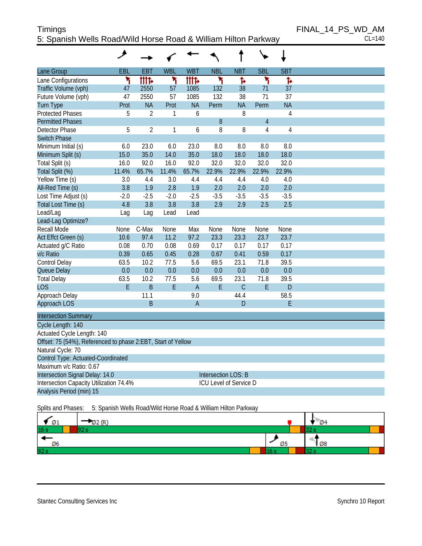# Timings FINAL\_14\_PS\_WD\_AM 5: Spanish Wells Road/Wild Horse Road & William Hilton Parkway CL=140

| Lane Group                                                   | EBL    | EBT            | <b>WBL</b> | <b>WBT</b>     | <b>NBL</b>                    | <b>NBT</b>     | <b>SBL</b>     | <b>SBT</b>     |  |
|--------------------------------------------------------------|--------|----------------|------------|----------------|-------------------------------|----------------|----------------|----------------|--|
| Lane Configurations                                          | ۲      | <b>ITT</b>     | ۲          | <b>tttt</b>    | ۲                             | Ъ              | ۲              | Ъ              |  |
| Traffic Volume (vph)                                         | 47     | 2550           | 57         | 1085           | 132                           | 38             | 71             | 37             |  |
| Future Volume (vph)                                          | 47     | 2550           | 57         | 1085           | 132                           | 38             | 71             | 37             |  |
| <b>Turn Type</b>                                             | Prot   | <b>NA</b>      | Prot       | <b>NA</b>      | Perm                          | <b>NA</b>      | Perm           | <b>NA</b>      |  |
| <b>Protected Phases</b>                                      | 5      | $\overline{2}$ | 1          | 6              |                               | 8              |                | $\overline{4}$ |  |
| <b>Permitted Phases</b>                                      |        |                |            |                | 8                             |                | $\overline{4}$ |                |  |
| Detector Phase                                               | 5      | $\overline{2}$ | 1          | 6              | 8                             | 8              | 4              | 4              |  |
| <b>Switch Phase</b>                                          |        |                |            |                |                               |                |                |                |  |
| Minimum Initial (s)                                          | 6.0    | 23.0           | 6.0        | 23.0           | 8.0                           | 8.0            | 8.0            | 8.0            |  |
| Minimum Split (s)                                            | 15.0   | 35.0           | 14.0       | 35.0           | 18.0                          | 18.0           | 18.0           | 18.0           |  |
| Total Split (s)                                              | 16.0   | 92.0           | 16.0       | 92.0           | 32.0                          | 32.0           | 32.0           | 32.0           |  |
| Total Split (%)                                              | 11.4%  | 65.7%          | 11.4%      | 65.7%          | 22.9%                         | 22.9%          | 22.9%          | 22.9%          |  |
| Yellow Time (s)                                              | 3.0    | 4.4            | 3.0        | 4.4            | 4.4                           | 4.4            | 4.0            | 4.0            |  |
| All-Red Time (s)                                             | 3.8    | 1.9            | 2.8        | 1.9            | 2.0                           | 2.0            | 2.0            | 2.0            |  |
| Lost Time Adjust (s)                                         | $-2.0$ | $-2.5$         | $-2.0$     | $-2.5$         | $-3.5$                        | $-3.5$         | $-3.5$         | $-3.5$         |  |
| Total Lost Time (s)                                          | 4.8    | 3.8            | 3.8        | 3.8            | 2.9                           | 2.9            | 2.5            | 2.5            |  |
| Lead/Lag                                                     | Lag    | Lag            | Lead       | Lead           |                               |                |                |                |  |
| Lead-Lag Optimize?                                           |        |                |            |                |                               |                |                |                |  |
| <b>Recall Mode</b>                                           | None   | C-Max          | None       | Max            | None                          | None           | None           | None           |  |
| Act Effct Green (s)                                          | 10.6   | 97.4           | 11.2       | 97.2           | 23.3                          | 23.3           | 23.7           | 23.7           |  |
| Actuated g/C Ratio                                           | 0.08   | 0.70           | 0.08       | 0.69           | 0.17                          | 0.17           | 0.17           | 0.17           |  |
| v/c Ratio                                                    | 0.39   | 0.65           | 0.45       | 0.28           | 0.67                          | 0.41           | 0.59           | 0.17           |  |
| Control Delay                                                | 63.5   | 10.2           | 77.5       | 5.6            | 69.5                          | 23.1           | 71.8           | 39.5           |  |
| Queue Delay                                                  | 0.0    | 0.0            | 0.0        | 0.0            | 0.0                           | 0.0            | 0.0            | 0.0            |  |
| <b>Total Delay</b>                                           | 63.5   | 10.2           | 77.5       | 5.6            | 69.5                          | 23.1           | 71.8           | 39.5           |  |
| <b>LOS</b>                                                   | E      | B              | E          | $\overline{A}$ | E                             | $\overline{C}$ | E              | D              |  |
| Approach Delay                                               |        | 11.1           |            | 9.0            |                               | 44.4           |                | 58.5           |  |
| Approach LOS                                                 |        | <sub>B</sub>   |            | $\overline{A}$ |                               | D              |                | E              |  |
| <b>Intersection Summary</b>                                  |        |                |            |                |                               |                |                |                |  |
| Cycle Length: 140                                            |        |                |            |                |                               |                |                |                |  |
| Actuated Cycle Length: 140                                   |        |                |            |                |                               |                |                |                |  |
| Offset: 75 (54%), Referenced to phase 2:EBT, Start of Yellow |        |                |            |                |                               |                |                |                |  |
| Natural Cycle: 70                                            |        |                |            |                |                               |                |                |                |  |
| Control Type: Actuated-Coordinated                           |        |                |            |                |                               |                |                |                |  |
| Maximum v/c Ratio: 0.67                                      |        |                |            |                |                               |                |                |                |  |
| Intersection Signal Delay: 14.0                              |        |                |            |                | <b>Intersection LOS: B</b>    |                |                |                |  |
| Intersection Capacity Utilization 74.4%                      |        |                |            |                | <b>ICU Level of Service D</b> |                |                |                |  |
| Analysis Period (min) 15                                     |        |                |            |                |                               |                |                |                |  |

Splits and Phases: 5: Spanish Wells Road/Wild Horse Road & William Hilton Parkway

| Ø1              | 7 ID' |                | $\mathcal{D}$ 4 |
|-----------------|-------|----------------|-----------------|
| 16 <sub>s</sub> |       |                |                 |
| Ø6              |       | טע             | $\sqrt{28}$     |
| 92 s            |       | $\cdot$<br>16. |                 |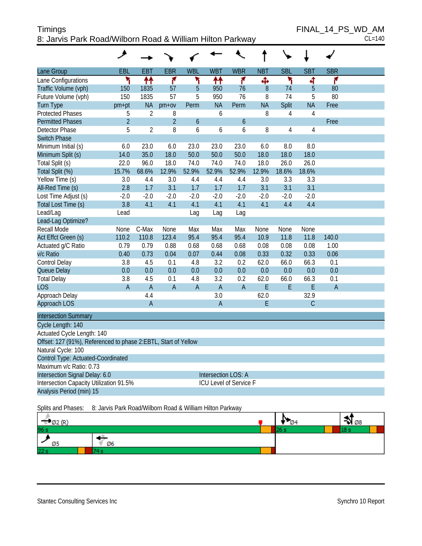| <b>Timings</b>                                            | FINAL 14 PS WD AM |
|-----------------------------------------------------------|-------------------|
| 8: Jarvis Park Road/Wilborn Road & William Hilton Parkway | $CL=140$          |

|                                                                | هر             |                |                |              |                     |                        |             |                |                |                |  |
|----------------------------------------------------------------|----------------|----------------|----------------|--------------|---------------------|------------------------|-------------|----------------|----------------|----------------|--|
| Lane Group                                                     | EBL            | <b>EBT</b>     | <b>EBR</b>     | <b>WBL</b>   | <b>WBT</b>          | <b>WBR</b>             | <b>NBT</b>  | <b>SBL</b>     | <b>SBT</b>     | <b>SBR</b>     |  |
| Lane Configurations                                            | ١              | ↟↟             | ۴              | ۲            | ↟↟                  | ۴                      | Ф           | ۲              | 4              | ۴              |  |
| Traffic Volume (vph)                                           | 150            | 1835           | 57             | 5            | 950                 | 76                     | 8           | 74             | 5              | 80             |  |
| Future Volume (vph)                                            | 150            | 1835           | 57             | 5            | 950                 | 76                     | 8           | 74             | 5              | 80             |  |
| <b>Turn Type</b>                                               | pm+pt          | <b>NA</b>      | $pm+ov$        | Perm         | <b>NA</b>           | Perm                   | <b>NA</b>   | Split          | <b>NA</b>      | Free           |  |
| <b>Protected Phases</b>                                        | 5              | $\overline{2}$ | 8              |              | 6                   |                        | 8           | 4              | 4              |                |  |
| <b>Permitted Phases</b>                                        | $\overline{2}$ |                | $\overline{2}$ | 6            |                     | 6                      |             |                |                | Free           |  |
| Detector Phase                                                 | 5              | $\overline{2}$ | 8              | 6            | 6                   | 6                      | 8           | $\overline{4}$ | $\overline{4}$ |                |  |
| <b>Switch Phase</b>                                            |                |                |                |              |                     |                        |             |                |                |                |  |
| Minimum Initial (s)                                            | 6.0            | 23.0           | 6.0            | 23.0         | 23.0                | 23.0                   | 6.0         | 8.0            | 8.0            |                |  |
| Minimum Split (s)                                              | 14.0           | 35.0           | 18.0           | 50.0         | 50.0                | 50.0                   | 18.0        | 18.0           | 18.0           |                |  |
| Total Split (s)                                                | 22.0           | 96.0           | 18.0           | 74.0         | 74.0                | 74.0                   | 18.0        | 26.0           | 26.0           |                |  |
| Total Split (%)                                                | 15.7%          | 68.6%          | 12.9%          | 52.9%        | 52.9%               | 52.9%                  | 12.9%       | 18.6%          | 18.6%          |                |  |
| Yellow Time (s)                                                | 3.0            | 4.4            | 3.0            | 4.4          | 4.4                 | 4.4                    | 3.0         | 3.3            | 3.3            |                |  |
| All-Red Time (s)                                               | 2.8            | 1.7            | 3.1            | 1.7          | 1.7                 | 1.7                    | 3.1         | 3.1            | 3.1            |                |  |
| Lost Time Adjust (s)                                           | $-2.0$         | $-2.0$         | $-2.0$         | $-2.0$       | $-2.0$              | $-2.0$                 | $-2.0$      | $-2.0$         | $-2.0$         |                |  |
| Total Lost Time (s)                                            | 3.8            | 4.1            | 4.1            | 4.1          | 4.1                 | 4.1                    | 4.1         | 4.4            | 4.4            |                |  |
| Lead/Lag                                                       | Lead           |                |                | Lag          | Lag                 | Lag                    |             |                |                |                |  |
| Lead-Lag Optimize?                                             |                |                |                |              |                     |                        |             |                |                |                |  |
| Recall Mode                                                    | <b>None</b>    | C-Max          | <b>None</b>    | Max          | Max                 | Max                    | <b>None</b> | None           | <b>None</b>    |                |  |
| Act Effct Green (s)                                            | 110.2          | 110.8          | 123.4          | 95.4         | 95.4                | 95.4                   | 10.9        | 11.8           | 11.8           | 140.0          |  |
| Actuated g/C Ratio                                             | 0.79           | 0.79           | 0.88           | 0.68         | 0.68                | 0.68                   | 0.08        | 0.08           | 0.08           | 1.00           |  |
| v/c Ratio                                                      | 0.40           | 0.73           | 0.04           | 0.07         | 0.44                | 0.08                   | 0.33        | 0.32           | 0.33           | 0.06           |  |
| Control Delay                                                  | 3.8            | 4.5            | 0.1            | 4.8          | 3.2                 | 0.2                    | 62.0        | 66.0           | 66.3           | 0.1            |  |
| Queue Delay                                                    | 0.0            | 0.0            | 0.0            | 0.0          | 0.0                 | 0.0                    | 0.0         | 0.0            | 0.0            | 0.0            |  |
| <b>Total Delay</b>                                             | 3.8            | 4.5            | 0.1            | 4.8          | 3.2                 | 0.2                    | 62.0        | 66.0           | 66.3           | 0.1            |  |
| <b>LOS</b>                                                     | $\overline{A}$ | $\overline{A}$ | $\overline{A}$ | $\mathsf{A}$ | $\overline{A}$      | $\overline{A}$         | E           | E              | E              | $\overline{A}$ |  |
| Approach Delay                                                 |                | 4.4            |                |              | 3.0                 |                        | 62.0        |                | 32.9           |                |  |
| Approach LOS                                                   |                | $\overline{A}$ |                |              | $\overline{A}$      |                        | E           |                | $\mathsf{C}$   |                |  |
| <b>Intersection Summary</b>                                    |                |                |                |              |                     |                        |             |                |                |                |  |
| Cycle Length: 140                                              |                |                |                |              |                     |                        |             |                |                |                |  |
| Actuated Cycle Length: 140                                     |                |                |                |              |                     |                        |             |                |                |                |  |
| Offset: 127 (91%), Referenced to phase 2:EBTL, Start of Yellow |                |                |                |              |                     |                        |             |                |                |                |  |
| Natural Cycle: 100                                             |                |                |                |              |                     |                        |             |                |                |                |  |
| Control Type: Actuated-Coordinated                             |                |                |                |              |                     |                        |             |                |                |                |  |
| Maximum v/c Ratio: 0.73                                        |                |                |                |              |                     |                        |             |                |                |                |  |
| Intersection Signal Delay: 6.0                                 |                |                |                |              | Intersection LOS: A |                        |             |                |                |                |  |
| Intersection Capacity Utilization 91.5%                        |                |                |                |              |                     | ICU Level of Service F |             |                |                |                |  |
| Analysis Period (min) 15                                       |                |                |                |              |                     |                        |             |                |                |                |  |

Splits and Phases: 8: Jarvis Park Road/Wilborn Road & William Hilton Parkway

| 650<br><b>DZ</b> |    | Ø4 | $\rightarrow 08$ |  |
|------------------|----|----|------------------|--|
| 96 s             |    |    |                  |  |
| Ø5               | Ø6 |    |                  |  |
| 22 <sub>s</sub>  |    |    |                  |  |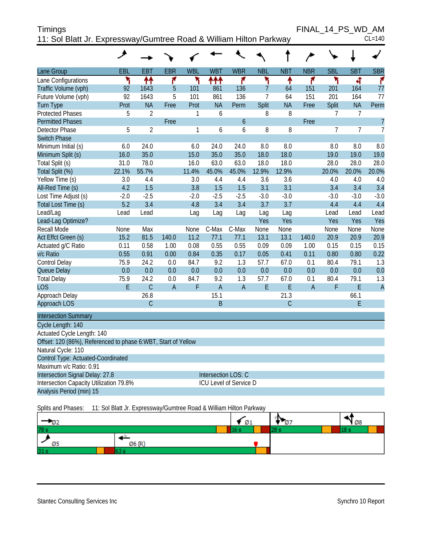| <b>Timings</b>                                                     | FINAL 14 PS WD AM |          |
|--------------------------------------------------------------------|-------------------|----------|
| 11: Sol Blatt Jr. Expressway/Gumtree Road & William Hilton Parkway |                   | $CL=140$ |

|                                                               | ᢣ            |                |                |              |                |                        |                |              | $\rightarrow$  |                |                |                |
|---------------------------------------------------------------|--------------|----------------|----------------|--------------|----------------|------------------------|----------------|--------------|----------------|----------------|----------------|----------------|
| Lane Group                                                    | EBL          | <b>EBT</b>     | <b>EBR</b>     | <b>WBL</b>   | <b>WBT</b>     | <b>WBR</b>             | <b>NBL</b>     | <b>NBT</b>   | <b>NBR</b>     | <b>SBL</b>     | <b>SBT</b>     | <b>SBR</b>     |
| Lane Configurations                                           | ۲            | 11             | ۴              | ۲            | ተተተ            | ۴                      | ۲              | ቶ            | ۴              | ۲              | 4              | ۴              |
| Traffic Volume (vph)                                          | 92           | 1643           | 5              | 101          | 861            | 136                    | $\overline{7}$ | 64           | 151            | 201            | 164            | 77             |
| Future Volume (vph)                                           | 92           | 1643           | 5              | 101          | 861            | 136                    | $\overline{7}$ | 64           | 151            | 201            | 164            | 77             |
| <b>Turn Type</b>                                              | Prot         | <b>NA</b>      | Free           | Prot         | <b>NA</b>      | Perm                   | <b>Split</b>   | <b>NA</b>    | Free           | Split          | <b>NA</b>      | Perm           |
| <b>Protected Phases</b>                                       | 5            | $\overline{2}$ |                | 1            | 6              |                        | 8              | 8            |                | $\overline{7}$ | 7              |                |
| <b>Permitted Phases</b>                                       |              |                | Free           |              |                | 6                      |                |              | Free           |                |                | $\overline{7}$ |
| Detector Phase                                                | 5            | $\overline{2}$ |                | 1            | 6              | 6                      | 8              | 8            |                | 7              | $\overline{7}$ | $\overline{7}$ |
| <b>Switch Phase</b>                                           |              |                |                |              |                |                        |                |              |                |                |                |                |
| Minimum Initial (s)                                           | 6.0          | 24.0           |                | 6.0          | 24.0           | 24.0                   | 8.0            | 8.0          |                | 8.0            | 8.0            | 8.0            |
| Minimum Split (s)                                             | 16.0         | 35.0           |                | 15.0         | 35.0           | 35.0                   | 18.0           | 18.0         |                | 19.0           | 19.0           | 19.0           |
| Total Split (s)                                               | 31.0         | 78.0           |                | 16.0         | 63.0           | 63.0                   | 18.0           | 18.0         |                | 28.0           | 28.0           | 28.0           |
| Total Split (%)                                               | 22.1%        | 55.7%          |                | 11.4%        | 45.0%          | 45.0%                  | 12.9%          | 12.9%        |                | 20.0%          | 20.0%          | 20.0%          |
| Yellow Time (s)                                               | 3.0          | 4.4            |                | 3.0          | 4.4            | 4.4                    | 3.6            | 3.6          |                | 4.0            | 4.0            | 4.0            |
| All-Red Time (s)                                              | 4.2          | 1.5            |                | 3.8          | 1.5            | 1.5                    | 3.1            | 3.1          |                | 3.4            | 3.4            | 3.4            |
| Lost Time Adjust (s)                                          | $-2.0$       | $-2.5$         |                | $-2.0$       | $-2.5$         | $-2.5$                 | $-3.0$         | $-3.0$       |                | $-3.0$         | $-3.0$         | $-3.0$         |
| Total Lost Time (s)                                           | 5.2          | 3.4            |                | 4.8          | 3.4            | 3.4                    | 3.7            | 3.7          |                | 4.4            | 4.4            | 4.4            |
| Lead/Lag                                                      | Lead         | Lead           |                | Lag          | Lag            | Lag                    | Lag            | Lag          |                | Lead           | Lead           | Lead           |
| Lead-Lag Optimize?                                            |              |                |                |              |                |                        | Yes            | Yes          |                | Yes            | <b>Yes</b>     | Yes            |
| <b>Recall Mode</b>                                            | None         | Max            |                | None         | C-Max          | C-Max                  | None           | None         |                | None           | None           | None           |
| Act Effct Green (s)                                           | 15.2         | 81.5<br>0.58   | 140.0          | 11.2<br>0.08 | 77.1<br>0.55   | 77.1<br>0.55           | 13.1           | 13.1         | 140.0          | 20.9<br>0.15   | 20.9           | 20.9           |
| Actuated g/C Ratio<br>v/c Ratio                               | 0.11<br>0.55 | 0.91           | 1.00           | 0.84         | 0.35           | 0.17                   | 0.09           | 0.09<br>0.41 | 1.00<br>0.11   | 0.80           | 0.15<br>0.80   | 0.15<br>0.22   |
| Control Delay                                                 | 75.9         | 24.2           | 0.00<br>0.0    | 84.7         | 9.2            | 1.3                    | 0.05<br>57.7   | 67.0         | 0.1            | 80.4           | 79.1           | 1.3            |
| Queue Delay                                                   | 0.0          | 0.0            | 0.0            | 0.0          | 0.0            | 0.0                    | 0.0            | 0.0          | 0.0            | 0.0            | 0.0            | 0.0            |
| <b>Total Delay</b>                                            | 75.9         | 24.2           | 0.0            | 84.7         | 9.2            | 1.3                    | 57.7           | 67.0         | 0.1            | 80.4           | 79.1           | 1.3            |
| <b>LOS</b>                                                    | E            | $\mathsf C$    | $\overline{A}$ | F            | $\overline{A}$ | $\overline{A}$         | E              | E            | $\overline{A}$ | F              | E              | $\overline{A}$ |
| Approach Delay                                                |              | 26.8           |                |              | 15.1           |                        |                | 21.3         |                |                | 66.1           |                |
| Approach LOS                                                  |              | $\mathcal{C}$  |                |              | B              |                        |                | C            |                |                | E              |                |
| <b>Intersection Summary</b>                                   |              |                |                |              |                |                        |                |              |                |                |                |                |
| Cycle Length: 140                                             |              |                |                |              |                |                        |                |              |                |                |                |                |
| Actuated Cycle Length: 140                                    |              |                |                |              |                |                        |                |              |                |                |                |                |
| Offset: 120 (86%), Referenced to phase 6:WBT, Start of Yellow |              |                |                |              |                |                        |                |              |                |                |                |                |
| Natural Cycle: 110                                            |              |                |                |              |                |                        |                |              |                |                |                |                |
| Control Type: Actuated-Coordinated                            |              |                |                |              |                |                        |                |              |                |                |                |                |
| Maximum v/c Ratio: 0.91                                       |              |                |                |              |                |                        |                |              |                |                |                |                |
| Intersection Signal Delay: 27.8                               |              |                |                |              |                | Intersection LOS: C    |                |              |                |                |                |                |
| Intersection Capacity Utilization 79.8%                       |              |                |                |              |                | ICU Level of Service D |                |              |                |                |                |                |
| Analysis Period (min) 15                                      |              |                |                |              |                |                        |                |              |                |                |                |                |
|                                                               |              |                |                |              |                |                        |                |              |                |                |                |                |

Splits and Phases: 11: Sol Blatt Jr. Expressway/Gumtree Road & William Hilton Parkway

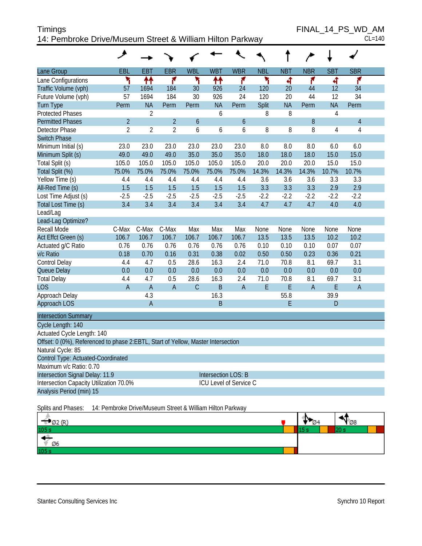| <b>Timings</b>                                            | FINAL 14 PS WD AM |
|-----------------------------------------------------------|-------------------|
| 14: Pembroke Drive/Museum Street & William Hilton Parkway | $CL=140$          |

 $FINAL_14_PS_WD_AM_{CL=140}$ 

|                                                                                  | هر                                                        |                |                |              |                            |                  |            |            |                |                |                |  |
|----------------------------------------------------------------------------------|-----------------------------------------------------------|----------------|----------------|--------------|----------------------------|------------------|------------|------------|----------------|----------------|----------------|--|
| Lane Group                                                                       | <b>EBL</b>                                                | <b>EBT</b>     | <b>EBR</b>     | <b>WBL</b>   | <b>WBT</b>                 | <b>WBR</b>       | <b>NBL</b> | <b>NBT</b> | <b>NBR</b>     | <b>SBT</b>     | <b>SBR</b>     |  |
| Lane Configurations                                                              | ۳                                                         | ↟↟             | ۴              | ۲            | ₩                          | ۴                | ۲          | 4          | ۴              | 4              | ۴              |  |
| Traffic Volume (vph)                                                             | 57                                                        | 1694           | 184            | 30           | 926                        | 24               | 120        | 20         | 44             | 12             | 34             |  |
| Future Volume (vph)                                                              | 57                                                        | 1694           | 184            | 30           | 926                        | 24               | 120        | 20         | 44             | 12             | 34             |  |
| <b>Turn Type</b>                                                                 | Perm                                                      | <b>NA</b>      | Perm           | Perm         | <b>NA</b>                  | Perm             | Split      | <b>NA</b>  | Perm           | <b>NA</b>      | Perm           |  |
| <b>Protected Phases</b>                                                          |                                                           | 2              |                |              | 6                          |                  | 8          | 8          |                | 4              |                |  |
| <b>Permitted Phases</b>                                                          | $\overline{2}$                                            |                | $\overline{2}$ | 6            |                            | $\boldsymbol{6}$ |            |            | 8              |                | $\overline{4}$ |  |
| Detector Phase                                                                   | $\overline{2}$                                            | $\overline{2}$ | $\overline{2}$ | 6            | 6                          | 6                | 8          | 8          | 8              | $\overline{4}$ | 4              |  |
| <b>Switch Phase</b>                                                              |                                                           |                |                |              |                            |                  |            |            |                |                |                |  |
| Minimum Initial (s)                                                              | 23.0                                                      | 23.0           | 23.0           | 23.0         | 23.0                       | 23.0             | 8.0        | 8.0        | 8.0            | 6.0            | 6.0            |  |
| Minimum Split (s)                                                                | 49.0                                                      | 49.0           | 49.0           | 35.0         | 35.0                       | 35.0             | 18.0       | 18.0       | 18.0           | 15.0           | 15.0           |  |
| Total Split (s)                                                                  | 105.0                                                     | 105.0          | 105.0          | 105.0        | 105.0                      | 105.0            | 20.0       | 20.0       | 20.0           | 15.0           | 15.0           |  |
| Total Split (%)                                                                  | 75.0%                                                     | 75.0%          | 75.0%          | 75.0%        | 75.0%                      | 75.0%            | 14.3%      | 14.3%      | 14.3%          | 10.7%          | 10.7%          |  |
| Yellow Time (s)                                                                  | 4.4                                                       | 4.4            | 4.4            | 4.4          | 4.4                        | 4.4              | 3.6        | 3.6        | 3.6            | 3.3            | 3.3            |  |
| All-Red Time (s)                                                                 | 1.5                                                       | 1.5            | 1.5            | 1.5          | 1.5                        | 1.5              | 3.3        | 3.3        | 3.3            | 2.9            | 2.9            |  |
| Lost Time Adjust (s)                                                             | $-2.5$                                                    | $-2.5$         | $-2.5$         | $-2.5$       | $-2.5$                     | $-2.5$           | $-2.2$     | $-2.2$     | $-2.2$         | $-2.2$         | $-2.2$         |  |
| Total Lost Time (s)                                                              | 3.4                                                       | 3.4            | 3.4            | 3.4          | 3.4                        | 3.4              | 4.7        | 4.7        | 4.7            | 4.0            | 4.0            |  |
| Lead/Lag                                                                         |                                                           |                |                |              |                            |                  |            |            |                |                |                |  |
| Lead-Lag Optimize?                                                               |                                                           |                |                |              |                            |                  |            |            |                |                |                |  |
| Recall Mode                                                                      | C-Max                                                     | C-Max          | C-Max          | Max          | Max                        | Max              | None       | None       | None           | None           | None           |  |
| Act Effct Green (s)                                                              | 106.7                                                     | 106.7          | 106.7          | 106.7        | 106.7                      | 106.7            | 13.5       | 13.5       | 13.5           | 10.2           | 10.2           |  |
| Actuated g/C Ratio                                                               | 0.76                                                      | 0.76           | 0.76           | 0.76         | 0.76                       | 0.76             | 0.10       | 0.10       | 0.10           | 0.07           | 0.07           |  |
| v/c Ratio                                                                        | 0.18                                                      | 0.70           | 0.16           | 0.31         | 0.38                       | 0.02             | 0.50       | 0.50       | 0.23           | 0.36           | 0.21           |  |
| Control Delay                                                                    | 4.4                                                       | 4.7            | 0.5            | 28.6         | 16.3                       | 2.4              | 71.0       | 70.8       | 8.1            | 69.7           | 3.1            |  |
| Queue Delay                                                                      | 0.0                                                       | 0.0            | 0.0            | 0.0          | 0.0                        | 0.0              | 0.0        | 0.0        | 0.0            | 0.0            | 0.0            |  |
| <b>Total Delay</b>                                                               | 4.4                                                       | 4.7            | 0.5            | 28.6         | 16.3                       | 2.4              | 71.0       | 70.8       | 8.1            | 69.7           | 3.1            |  |
| <b>LOS</b>                                                                       | $\overline{A}$                                            | $\overline{A}$ | $\overline{A}$ | $\mathsf{C}$ | $\mathsf B$                | $\overline{A}$   | E          | E          | $\overline{A}$ | E              | $\mathsf A$    |  |
| Approach Delay                                                                   |                                                           | 4.3            |                |              | 16.3                       |                  |            | 55.8       |                | 39.9           |                |  |
| Approach LOS                                                                     |                                                           | $\mathsf{A}$   |                |              | $\overline{B}$             |                  |            | E          |                | D              |                |  |
| <b>Intersection Summary</b>                                                      |                                                           |                |                |              |                            |                  |            |            |                |                |                |  |
| Cycle Length: 140                                                                |                                                           |                |                |              |                            |                  |            |            |                |                |                |  |
| Actuated Cycle Length: 140                                                       |                                                           |                |                |              |                            |                  |            |            |                |                |                |  |
| Offset: 0 (0%), Referenced to phase 2:EBTL, Start of Yellow, Master Intersection |                                                           |                |                |              |                            |                  |            |            |                |                |                |  |
| Natural Cycle: 85                                                                |                                                           |                |                |              |                            |                  |            |            |                |                |                |  |
| Control Type: Actuated-Coordinated                                               |                                                           |                |                |              |                            |                  |            |            |                |                |                |  |
| Maximum v/c Ratio: 0.70                                                          |                                                           |                |                |              |                            |                  |            |            |                |                |                |  |
| Intersection Signal Delay: 11.9                                                  |                                                           |                |                |              | <b>Intersection LOS: B</b> |                  |            |            |                |                |                |  |
| Intersection Capacity Utilization 70.0%                                          |                                                           |                |                |              | ICU Level of Service C     |                  |            |            |                |                |                |  |
| Analysis Period (min) 15                                                         |                                                           |                |                |              |                            |                  |            |            |                |                |                |  |
| Splits and Phases:                                                               | 14: Pembroke Drive/Museum Street & William Hilton Parkway |                |                |              |                            |                  |            |            |                |                |                |  |

| $-$ Ø2 (R <sup>Y</sup> |  | $\sqrt{28}$ |  |
|------------------------|--|-------------|--|
| 105 s                  |  |             |  |
| $\angle$ 06            |  |             |  |
| 105s                   |  |             |  |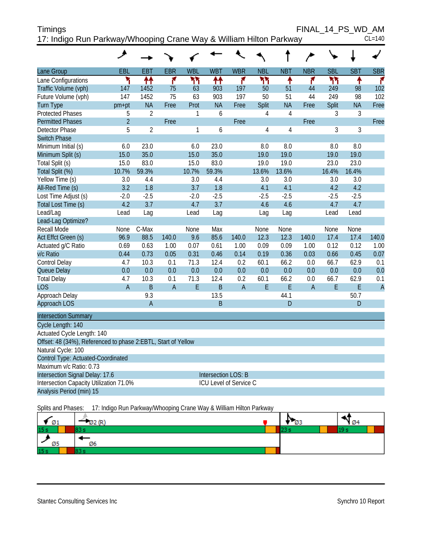| <b>Timings</b>                                                     | FINAL 14 PS WD AM |
|--------------------------------------------------------------------|-------------------|
| 17: Indigo Run Parkway/Whooping Crane Way & William Hilton Parkway | $CL=140$          |

|                                                               | ᢣ              |                |                |              |                        |                |                |                |                |            |            |                |
|---------------------------------------------------------------|----------------|----------------|----------------|--------------|------------------------|----------------|----------------|----------------|----------------|------------|------------|----------------|
| Lane Group                                                    | EBL            | <b>EBT</b>     | <b>EBR</b>     | <b>WBL</b>   | <b>WBT</b>             | <b>WBR</b>     | <b>NBL</b>     | <b>NBT</b>     | <b>NBR</b>     | <b>SBL</b> | <b>SBT</b> | <b>SBR</b>     |
| Lane Configurations                                           | ۲              | ↟↟             | ۴              | ሻሻ           | ቶቶ                     | ۴              | ካነ             | ٠              | ۴              | ካኘ         | ٠          | ۴              |
| Traffic Volume (vph)                                          | 147            | 1452           | 75             | 63           | 903                    | 197            | 50             | 51             | 44             | 249        | 98         | 102            |
| Future Volume (vph)                                           | 147            | 1452           | 75             | 63           | 903                    | 197            | 50             | 51             | 44             | 249        | 98         | 102            |
| <b>Turn Type</b>                                              | pm+pt          | <b>NA</b>      | Free           | Prot         | <b>NA</b>              | Free           | Split          | <b>NA</b>      | Free           | Split      | <b>NA</b>  | Free           |
| <b>Protected Phases</b>                                       | 5              | $\overline{2}$ |                | 1            | 6                      |                | $\overline{4}$ | $\overline{4}$ |                | 3          | 3          |                |
| <b>Permitted Phases</b>                                       | $\overline{2}$ |                | Free           |              |                        | Free           |                |                | Free           |            |            | Free           |
| <b>Detector Phase</b>                                         | 5              | $\overline{2}$ |                | $\mathbf{1}$ | 6                      |                | $\overline{4}$ | $\overline{4}$ |                | 3          | 3          |                |
| <b>Switch Phase</b>                                           |                |                |                |              |                        |                |                |                |                |            |            |                |
| Minimum Initial (s)                                           | 6.0            | 23.0           |                | 6.0          | 23.0                   |                | 8.0            | 8.0            |                | 8.0        | 8.0        |                |
| Minimum Split (s)                                             | 15.0           | 35.0           |                | 15.0         | 35.0                   |                | 19.0           | 19.0           |                | 19.0       | 19.0       |                |
| Total Split (s)                                               | 15.0           | 83.0           |                | 15.0         | 83.0                   |                | 19.0           | 19.0           |                | 23.0       | 23.0       |                |
| Total Split (%)                                               | 10.7%          | 59.3%          |                | 10.7%        | 59.3%                  |                | 13.6%          | 13.6%          |                | 16.4%      | 16.4%      |                |
| Yellow Time (s)                                               | 3.0            | 4.4            |                | 3.0          | 4.4                    |                | 3.0            | 3.0            |                | 3.0        | 3.0        |                |
| All-Red Time (s)                                              | 3.2            | 1.8            |                | 3.7          | 1.8                    |                | 4.1            | 4.1            |                | 4.2        | 4.2        |                |
| Lost Time Adjust (s)                                          | $-2.0$         | $-2.5$         |                | $-2.0$       | $-2.5$                 |                | $-2.5$         | $-2.5$         |                | $-2.5$     | $-2.5$     |                |
| Total Lost Time (s)                                           | 4.2            | 3.7            |                | 4.7          | 3.7                    |                | 4.6            | 4.6            |                | 4.7        | 4.7        |                |
| Lead/Lag                                                      | Lead           | Lag            |                | Lead         | Lag                    |                | Lag            | Lag            |                | Lead       | Lead       |                |
| Lead-Lag Optimize?                                            |                |                |                |              |                        |                |                |                |                |            |            |                |
| <b>Recall Mode</b>                                            | None           | C-Max          |                | None         | Max                    |                | None           | None           |                | None       | None       |                |
| Act Effct Green (s)                                           | 96.9           | 88.5           | 140.0          | 9.6          | 85.6                   | 140.0          | 12.3           | 12.3           | 140.0          | 17.4       | 17.4       | 140.0          |
| Actuated g/C Ratio                                            | 0.69           | 0.63           | 1.00           | 0.07         | 0.61                   | 1.00           | 0.09           | 0.09           | 1.00           | 0.12       | 0.12       | 1.00           |
| v/c Ratio                                                     | 0.44           | 0.73           | 0.05           | 0.31         | 0.46                   | 0.14           | 0.19           | 0.36           | 0.03           | 0.66       | 0.45       | 0.07           |
| Control Delay                                                 | 4.7            | 10.3           | 0.1            | 71.3         | 12.4                   | 0.2            | 60.1           | 66.2           | 0.0            | 66.7       | 62.9       | 0.1            |
| Queue Delay                                                   | 0.0            | 0.0            | 0.0            | 0.0          | 0.0                    | 0.0            | 0.0            | 0.0            | 0.0            | 0.0        | 0.0        | 0.0            |
| <b>Total Delay</b>                                            | 4.7            | 10.3           | 0.1            | 71.3         | 12.4                   | 0.2            | 60.1           | 66.2           | 0.0            | 66.7       | 62.9       | 0.1            |
| <b>LOS</b>                                                    | $\overline{A}$ | $\mathsf B$    | $\overline{A}$ | E            | $\overline{B}$         | $\overline{A}$ | E              | E              | $\overline{A}$ | E          | E          | $\overline{A}$ |
| Approach Delay                                                |                | 9.3            |                |              | 13.5                   |                |                | 44.1           |                |            | 50.7       |                |
| <b>Approach LOS</b>                                           |                | A              |                |              | B                      |                |                | D              |                |            | D          |                |
| <b>Intersection Summary</b>                                   |                |                |                |              |                        |                |                |                |                |            |            |                |
| Cycle Length: 140                                             |                |                |                |              |                        |                |                |                |                |            |            |                |
| Actuated Cycle Length: 140                                    |                |                |                |              |                        |                |                |                |                |            |            |                |
| Offset: 48 (34%), Referenced to phase 2:EBTL, Start of Yellow |                |                |                |              |                        |                |                |                |                |            |            |                |
| Natural Cycle: 100                                            |                |                |                |              |                        |                |                |                |                |            |            |                |
| Control Type: Actuated-Coordinated                            |                |                |                |              |                        |                |                |                |                |            |            |                |
| Maximum v/c Ratio: 0.73                                       |                |                |                |              |                        |                |                |                |                |            |            |                |
| Intersection Signal Delay: 17.6                               |                |                |                |              | Intersection LOS: B    |                |                |                |                |            |            |                |
| Intersection Capacity Utilization 71.0%                       |                |                |                |              | ICU Level of Service C |                |                |                |                |            |            |                |
| Analysis Period (min) 15                                      |                |                |                |              |                        |                |                |                |                |            |            |                |

Splits and Phases: 17: Indigo Run Parkway/Whooping Crane Way & William Hilton Parkway

| $\sqrt{01}$     | ້  | Ø3 | $\varnothing$ 4 |
|-----------------|----|----|-----------------|
| 15 <sub>s</sub> |    |    |                 |
| Ø5              | Ø6 |    |                 |
| 15 <sub>s</sub> |    |    |                 |

Stantec Consulting Services Inc **Synchro 10 Report** Synchro 10 Report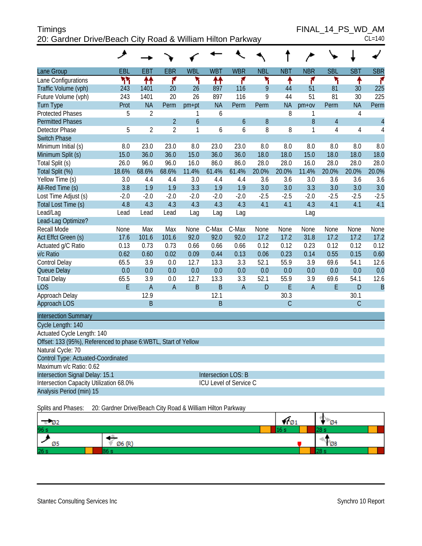| <b>Timings</b>                                             | FINAL 14 PS WD AM |
|------------------------------------------------------------|-------------------|
| 20: Gardner Drive/Beach City Road & William Hilton Parkway | $CL=140$          |

FINAL\_14\_PS\_WD\_AM

|                                                                 | ◢      |                |                |            |                     |                               |            |              |                |                |               |                |
|-----------------------------------------------------------------|--------|----------------|----------------|------------|---------------------|-------------------------------|------------|--------------|----------------|----------------|---------------|----------------|
| Lane Group                                                      | EBL    | EBT            | <b>EBR</b>     | <b>WBL</b> | <b>WBT</b>          | <b>WBR</b>                    | <b>NBL</b> | <b>NBT</b>   | <b>NBR</b>     | <b>SBL</b>     | <b>SBT</b>    | <b>SBR</b>     |
| Lane Configurations                                             | ۲٢     | 11             | ۴              | ۲          | ↟↟                  | ۴                             | ۲          | ↟            | ۴              | ۲              | ۸             | ۴              |
| Traffic Volume (vph)                                            | 243    | 1401           | 20             | 26         | 897                 | 116                           | 9          | 44           | 51             | 81             | 30            | 225            |
| Future Volume (vph)                                             | 243    | 1401           | 20             | 26         | 897                 | 116                           | 9          | 44           | 51             | 81             | 30            | 225            |
| <b>Turn Type</b>                                                | Prot   | <b>NA</b>      | Perm           | pm+pt      | <b>NA</b>           | Perm                          | Perm       | <b>NA</b>    | $pm+ov$        | Perm           | <b>NA</b>     | Perm           |
| <b>Protected Phases</b>                                         | 5      | $\overline{2}$ |                | 1          | 6                   |                               |            | 8            | 1              |                | 4             |                |
| <b>Permitted Phases</b>                                         |        |                | $\overline{2}$ | 6          |                     | 6                             | 8          |              | 8              | $\overline{4}$ |               | $\overline{4}$ |
| Detector Phase                                                  | 5      | $\overline{2}$ | $\overline{2}$ | 1          | 6                   | 6                             | 8          | 8            | 1              | $\overline{4}$ | 4             | 4              |
| <b>Switch Phase</b>                                             |        |                |                |            |                     |                               |            |              |                |                |               |                |
| Minimum Initial (s)                                             | 8.0    | 23.0           | 23.0           | 8.0        | 23.0                | 23.0                          | 8.0        | 8.0          | 8.0            | 8.0            | 8.0           | 8.0            |
| Minimum Split (s)                                               | 15.0   | 36.0           | 36.0           | 15.0       | 36.0                | 36.0                          | 18.0       | 18.0         | 15.0           | 18.0           | 18.0          | 18.0           |
| Total Split (s)                                                 | 26.0   | 96.0           | 96.0           | 16.0       | 86.0                | 86.0                          | 28.0       | 28.0         | 16.0           | 28.0           | 28.0          | 28.0           |
| Total Split (%)                                                 | 18.6%  | 68.6%          | 68.6%          | 11.4%      | 61.4%               | 61.4%                         | 20.0%      | 20.0%        | 11.4%          | 20.0%          | 20.0%         | 20.0%          |
| Yellow Time (s)                                                 | 3.0    | 4.4            | 4.4            | 3.0        | 4.4                 | 4.4                           | 3.6        | 3.6          | 3.0            | 3.6            | 3.6           | 3.6            |
| All-Red Time (s)                                                | 3.8    | 1.9            | 1.9            | 3.3        | 1.9                 | 1.9                           | 3.0        | 3.0          | 3.3            | 3.0            | 3.0           | 3.0            |
| Lost Time Adjust (s)                                            | $-2.0$ | $-2.0$         | $-2.0$         | $-2.0$     | $-2.0$              | $-2.0$                        | $-2.5$     | $-2.5$       | $-2.0$         | $-2.5$         | $-2.5$        | $-2.5$         |
| Total Lost Time (s)                                             | 4.8    | 4.3            | 4.3            | 4.3        | 4.3                 | 4.3                           | 4.1        | 4.1          | 4.3            | 4.1            | 4.1           | 4.1            |
| Lead/Lag                                                        | Lead   | Lead           | Lead           | Lag        | Lag                 | Lag                           |            |              | Lag            |                |               |                |
| Lead-Lag Optimize?                                              |        |                |                |            |                     |                               |            |              |                |                |               |                |
| Recall Mode                                                     | None   | Max            | Max            | None       | C-Max               | C-Max                         | None       | None         | None           | None           | None          | None           |
| Act Effct Green (s)                                             | 17.6   | 101.6          | 101.6          | 92.0       | 92.0                | 92.0                          | 17.2       | 17.2         | 31.8           | 17.2           | 17.2          | 17.2           |
| Actuated g/C Ratio                                              | 0.13   | 0.73           | 0.73           | 0.66       | 0.66                | 0.66                          | 0.12       | 0.12         | 0.23           | 0.12           | 0.12          | 0.12           |
| v/c Ratio                                                       | 0.62   | 0.60           | 0.02           | 0.09       | 0.44                | 0.13                          | 0.06       | 0.23         | 0.14           | 0.55           | 0.15          | 0.60           |
| Control Delay                                                   | 65.5   | 3.9            | 0.0            | 12.7       | 13.3                | 3.3                           | 52.1       | 55.9         | 3.9            | 69.6           | 54.1          | 12.6           |
| Queue Delay                                                     | 0.0    | 0.0            | 0.0            | 0.0        | 0.0                 | 0.0                           | 0.0        | 0.0          | 0.0            | 0.0            | 0.0           | 0.0            |
| <b>Total Delay</b>                                              | 65.5   | 3.9            | 0.0            | 12.7       | 13.3                | 3.3                           | 52.1       | 55.9         | 3.9            | 69.6           | 54.1          | 12.6           |
| <b>LOS</b>                                                      | E      | $\overline{A}$ | $\overline{A}$ | B          | B                   | $\overline{A}$                | D          | E            | $\overline{A}$ | E              | D             | $\overline{B}$ |
| Approach Delay                                                  |        | 12.9           |                |            | 12.1                |                               |            | 30.3         |                |                | 30.1          |                |
| Approach LOS                                                    |        | B              |                |            | B                   |                               |            | $\mathsf{C}$ |                |                | $\mathcal{C}$ |                |
| <b>Intersection Summary</b>                                     |        |                |                |            |                     |                               |            |              |                |                |               |                |
| Cycle Length: 140                                               |        |                |                |            |                     |                               |            |              |                |                |               |                |
| Actuated Cycle Length: 140                                      |        |                |                |            |                     |                               |            |              |                |                |               |                |
| Offset: 133 (95%), Referenced to phase 6: WBTL, Start of Yellow |        |                |                |            |                     |                               |            |              |                |                |               |                |
| Natural Cycle: 70                                               |        |                |                |            |                     |                               |            |              |                |                |               |                |
| Control Type: Actuated-Coordinated                              |        |                |                |            |                     |                               |            |              |                |                |               |                |
| Maximum v/c Ratio: 0.62                                         |        |                |                |            |                     |                               |            |              |                |                |               |                |
| Intersection Signal Delay: 15.1                                 |        |                |                |            | Intersection LOS: B |                               |            |              |                |                |               |                |
| Intersection Capacity Utilization 68.0%                         |        |                |                |            |                     | <b>ICU Level of Service C</b> |            |              |                |                |               |                |
| Analysis Period (min) 15                                        |        |                |                |            |                     |                               |            |              |                |                |               |                |
|                                                                 |        |                |                |            |                     |                               |            |              |                |                |               |                |

Splits and Phases: 20: Gardner Drive/Beach City Road & William Hilton Parkway

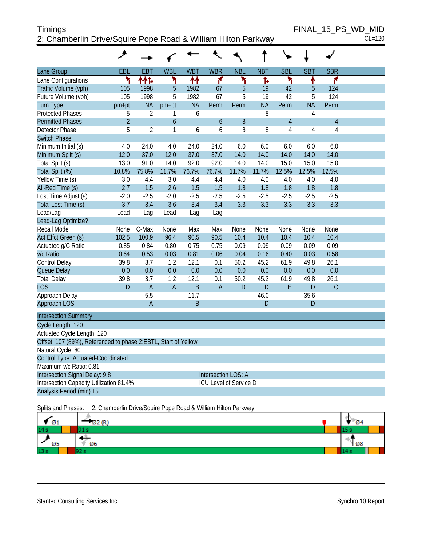# Timings FINAL\_15\_PS\_WD\_MID 2: Chamberlin Drive/Squire Pope Road & William Hilton Parkway CL=120

|                                                                | حر             |                |                |            |                        |             |            |                |                |                |  |
|----------------------------------------------------------------|----------------|----------------|----------------|------------|------------------------|-------------|------------|----------------|----------------|----------------|--|
| Lane Group                                                     | EBL            | <b>EBT</b>     | <b>WBL</b>     | <b>WBT</b> | <b>WBR</b>             | <b>NBL</b>  | <b>NBT</b> | <b>SBL</b>     | <b>SBT</b>     | <b>SBR</b>     |  |
| Lane Configurations                                            | ۲              | 林              | ۲              | ₩          | ۴                      | ۲           | ħ          | ۲              | ↟              | ۴              |  |
| Traffic Volume (vph)                                           | 105            | 1998           | $\overline{5}$ | 1982       | 67                     | 5           | 19         | 42             | 5              | 124            |  |
| Future Volume (vph)                                            | 105            | 1998           | 5              | 1982       | 67                     | 5           | 19         | 42             | 5              | 124            |  |
| <b>Turn Type</b>                                               | pm+pt          | <b>NA</b>      | $pm+pt$        | <b>NA</b>  | Perm                   | Perm        | <b>NA</b>  | Perm           | <b>NA</b>      | Perm           |  |
| <b>Protected Phases</b>                                        | 5              | $\overline{2}$ | 1              | 6          |                        |             | 8          |                | $\overline{4}$ |                |  |
| <b>Permitted Phases</b>                                        | $\overline{2}$ |                | 6              |            | 6                      | 8           |            | $\overline{4}$ |                | $\overline{4}$ |  |
| <b>Detector Phase</b>                                          | 5              | $\overline{2}$ | 1              | 6          | 6                      | 8           | 8          | 4              | 4              | 4              |  |
| <b>Switch Phase</b>                                            |                |                |                |            |                        |             |            |                |                |                |  |
| Minimum Initial (s)                                            | 4.0            | 24.0           | 4.0            | 24.0       | 24.0                   | 6.0         | 6.0        | 6.0            | 6.0            | 6.0            |  |
| Minimum Split (s)                                              | 12.0           | 37.0           | 12.0           | 37.0       | 37.0                   | 14.0        | 14.0       | 14.0           | 14.0           | 14.0           |  |
| Total Split (s)                                                | 13.0           | 91.0           | 14.0           | 92.0       | 92.0                   | 14.0        | 14.0       | 15.0           | 15.0           | 15.0           |  |
| Total Split (%)                                                | 10.8%          | 75.8%          | 11.7%          | 76.7%      | 76.7%                  | 11.7%       | 11.7%      | 12.5%          | 12.5%          | 12.5%          |  |
| Yellow Time (s)                                                | 3.0            | 4.4            | 3.0            | 4.4        | 4.4                    | 4.0         | 4.0        | 4.0            | 4.0            | 4.0            |  |
| All-Red Time (s)                                               | 2.7            | 1.5            | 2.6            | 1.5        | 1.5                    | 1.8         | 1.8        | 1.8            | 1.8            | 1.8            |  |
| Lost Time Adjust (s)                                           | $-2.0$         | $-2.5$         | $-2.0$         | $-2.5$     | $-2.5$                 | $-2.5$      | $-2.5$     | $-2.5$         | $-2.5$         | $-2.5$         |  |
| Total Lost Time (s)                                            | 3.7            | 3.4            | 3.6            | 3.4        | 3.4                    | 3.3         | 3.3        | 3.3            | 3.3            | 3.3            |  |
| Lead/Lag                                                       | Lead           | Lag            | Lead           | Lag        | Lag                    |             |            |                |                |                |  |
| Lead-Lag Optimize?                                             |                |                |                |            |                        |             |            |                |                |                |  |
| Recall Mode                                                    | None           | C-Max          | None           | Max        | Max                    | None        | None       | None           | None           | None           |  |
| Act Effct Green (s)                                            | 102.5          | 100.9          | 96.4           | 90.5       | 90.5                   | 10.4        | 10.4       | 10.4           | 10.4           | 10.4           |  |
| Actuated g/C Ratio                                             | 0.85           | 0.84           | 0.80           | 0.75       | 0.75                   | 0.09        | 0.09       | 0.09           | 0.09           | 0.09           |  |
| v/c Ratio                                                      | 0.64           | 0.53           | 0.03           | 0.81       | 0.06                   | 0.04        | 0.16       | 0.40           | 0.03           | 0.58           |  |
| Control Delay                                                  | 39.8           | 3.7            | 1.2            | 12.1       | 0.1                    | 50.2        | 45.2       | 61.9           | 49.8           | 26.1           |  |
| Queue Delay                                                    | 0.0            | 0.0            | 0.0            | 0.0        | 0.0                    | 0.0         | 0.0        | 0.0            | 0.0            | 0.0            |  |
| <b>Total Delay</b>                                             | 39.8           | 3.7            | 1.2            | 12.1       | 0.1                    | 50.2        | 45.2       | 61.9           | 49.8           | 26.1           |  |
| LOS                                                            | $\mathsf{D}$   | $\overline{A}$ | $\overline{A}$ | B          | $\overline{A}$         | $\mathsf D$ | D          | E              | D              | $\mathsf{C}$   |  |
| Approach Delay                                                 |                | 5.5            |                | 11.7       |                        |             | 46.0       |                | 35.6           |                |  |
| Approach LOS                                                   |                | $\overline{A}$ |                | B          |                        |             | D          |                | D              |                |  |
| <b>Intersection Summary</b>                                    |                |                |                |            |                        |             |            |                |                |                |  |
| Cycle Length: 120                                              |                |                |                |            |                        |             |            |                |                |                |  |
| Actuated Cycle Length: 120                                     |                |                |                |            |                        |             |            |                |                |                |  |
| Offset: 107 (89%), Referenced to phase 2:EBTL, Start of Yellow |                |                |                |            |                        |             |            |                |                |                |  |
| Natural Cycle: 80                                              |                |                |                |            |                        |             |            |                |                |                |  |
| Control Type: Actuated-Coordinated                             |                |                |                |            |                        |             |            |                |                |                |  |
| Maximum v/c Ratio: 0.81                                        |                |                |                |            |                        |             |            |                |                |                |  |
| Intersection Signal Delay: 9.8                                 |                |                |                |            | Intersection LOS: A    |             |            |                |                |                |  |
| Intersection Capacity Utilization 81.4%                        |                |                |                |            | ICU Level of Service D |             |            |                |                |                |  |
| Analysis Period (min) 15                                       |                |                |                |            |                        |             |            |                |                |                |  |
|                                                                |                |                |                |            |                        |             |            |                |                |                |  |

Splits and Phases: 2: Chamberlin Drive/Squire Pope Road & William Hilton Parkway

| Ø1  | (R)<br>$\sim$ | 04 |
|-----|---------------|----|
| 14s |               |    |
| Ø5  | Ø6            | Ø8 |
| 13s |               |    |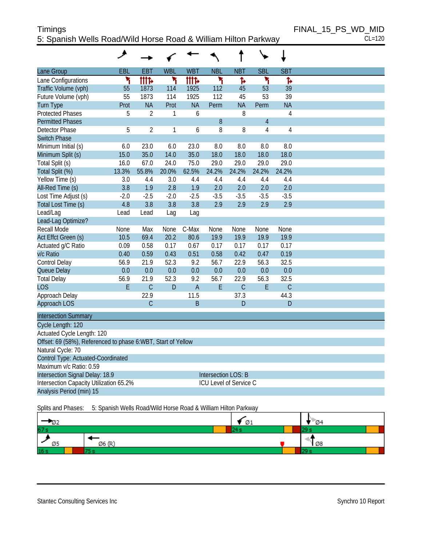# Timings FINAL\_15\_PS\_WD\_MID 5: Spanish Wells Road/Wild Horse Road & William Hilton Parkway CL=120

|                                                              | ◢      |                |            |                |                            |                        |                |             |
|--------------------------------------------------------------|--------|----------------|------------|----------------|----------------------------|------------------------|----------------|-------------|
| Lane Group                                                   | EBL    | <b>EBT</b>     | <b>WBL</b> | <b>WBT</b>     | <b>NBL</b>                 | <b>NBT</b>             | <b>SBL</b>     | <b>SBT</b>  |
| Lane Configurations                                          | ۲      | <b>itite</b>   | ۲          | <b>tite</b>    | ۲                          | Ъ                      | ۲              | Ъ           |
| Traffic Volume (vph)                                         | 55     | 1873           | 114        | 1925           | 112                        | 45                     | 53             | 39          |
| Future Volume (vph)                                          | 55     | 1873           | 114        | 1925           | 112                        | 45                     | 53             | 39          |
| <b>Turn Type</b>                                             | Prot   | <b>NA</b>      | Prot       | <b>NA</b>      | Perm                       | <b>NA</b>              | Perm           | <b>NA</b>   |
| <b>Protected Phases</b>                                      | 5      | $\overline{2}$ | 1          | 6              |                            | 8                      |                | $\sqrt{4}$  |
| <b>Permitted Phases</b>                                      |        |                |            |                | 8                          |                        | $\overline{4}$ |             |
| <b>Detector Phase</b>                                        | 5      | $\overline{2}$ | 1          | 6              | 8                          | 8                      | $\overline{4}$ | 4           |
| <b>Switch Phase</b>                                          |        |                |            |                |                            |                        |                |             |
| Minimum Initial (s)                                          | 6.0    | 23.0           | 6.0        | 23.0           | 8.0                        | 8.0                    | 8.0            | 8.0         |
| Minimum Split (s)                                            | 15.0   | 35.0           | 14.0       | 35.0           | 18.0                       | 18.0                   | 18.0           | 18.0        |
| Total Split (s)                                              | 16.0   | 67.0           | 24.0       | 75.0           | 29.0                       | 29.0                   | 29.0           | 29.0        |
| Total Split (%)                                              | 13.3%  | 55.8%          | 20.0%      | 62.5%          | 24.2%                      | 24.2%                  | 24.2%          | 24.2%       |
| Yellow Time (s)                                              | 3.0    | 4.4            | 3.0        | 4.4            | 4.4                        | 4.4                    | 4.4            | 4.4         |
| All-Red Time (s)                                             | 3.8    | 1.9            | 2.8        | 1.9            | 2.0                        | 2.0                    | 2.0            | 2.0         |
| Lost Time Adjust (s)                                         | $-2.0$ | $-2.5$         | $-2.0$     | $-2.5$         | $-3.5$                     | $-3.5$                 | $-3.5$         | $-3.5$      |
| Total Lost Time (s)                                          | 4.8    | 3.8            | 3.8        | 3.8            | 2.9                        | 2.9                    | 2.9            | 2.9         |
| Lead/Lag                                                     | Lead   | Lead           | Lag        | Lag            |                            |                        |                |             |
| Lead-Lag Optimize?                                           |        |                |            |                |                            |                        |                |             |
| <b>Recall Mode</b>                                           | None   | Max            | None       | C-Max          | None                       | None                   | None           | None        |
| Act Effct Green (s)                                          | 10.5   | 69.4           | 20.2       | 80.6           | 19.9                       | 19.9                   | 19.9           | 19.9        |
| Actuated g/C Ratio                                           | 0.09   | 0.58           | 0.17       | 0.67           | 0.17                       | 0.17                   | 0.17           | 0.17        |
| v/c Ratio                                                    | 0.40   | 0.59           | 0.43       | 0.51           | 0.58                       | 0.42                   | 0.47           | 0.19        |
| Control Delay                                                | 56.9   | 21.9           | 52.3       | 9.2            | 56.7                       | 22.9                   | 56.3           | 32.5        |
| Queue Delay                                                  | 0.0    | 0.0            | 0.0        | 0.0            | 0.0                        | 0.0                    | 0.0            | 0.0         |
| <b>Total Delay</b>                                           | 56.9   | 21.9           | 52.3       | 9.2            | 56.7                       | 22.9                   | 56.3           | 32.5        |
| <b>LOS</b>                                                   | E      | $\mathsf{C}$   | D          | $\overline{A}$ | E                          | $\mathsf{C}$           | E              | $\mathsf C$ |
| Approach Delay                                               |        | 22.9           |            | 11.5           |                            | 37.3                   |                | 44.3        |
| Approach LOS                                                 |        | $\mathsf{C}$   |            | B              |                            | D                      |                | D           |
| <b>Intersection Summary</b>                                  |        |                |            |                |                            |                        |                |             |
| Cycle Length: 120                                            |        |                |            |                |                            |                        |                |             |
| Actuated Cycle Length: 120                                   |        |                |            |                |                            |                        |                |             |
| Offset: 69 (58%), Referenced to phase 6:WBT, Start of Yellow |        |                |            |                |                            |                        |                |             |
| Natural Cycle: 70                                            |        |                |            |                |                            |                        |                |             |
| Control Type: Actuated-Coordinated                           |        |                |            |                |                            |                        |                |             |
| Maximum v/c Ratio: 0.59                                      |        |                |            |                |                            |                        |                |             |
| Intersection Signal Delay: 18.9                              |        |                |            |                | <b>Intersection LOS: B</b> |                        |                |             |
| Intersection Capacity Utilization 65.2%                      |        |                |            |                |                            | ICU Level of Service C |                |             |
| Analysis Period (min) 15                                     |        |                |            |                |                            |                        |                |             |

Splits and Phases: 5: Spanish Wells Road/Wild Horse Road & William Hilton Parkway

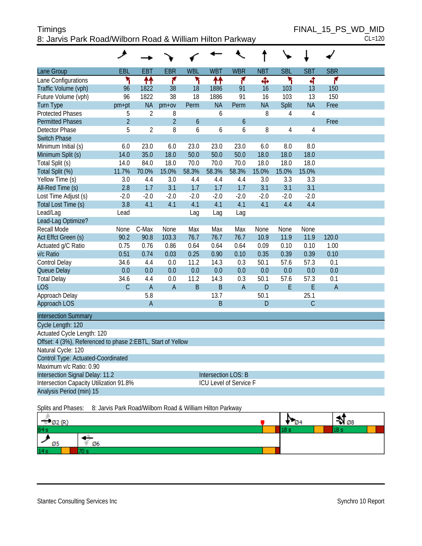| Timings                                                   | FINAL 15 PS WD MID |
|-----------------------------------------------------------|--------------------|
| 8: Jarvis Park Road/Wilborn Road & William Hilton Parkway | $CL=120$           |

| Lane Group                                                  | EBL            | <b>EBT</b>     | <b>EBR</b>     | <b>WBL</b> | <b>WBT</b>          | <b>WBR</b>                    | <b>NBT</b> | <b>SBL</b>     | <b>SBT</b>     | <b>SBR</b>     |  |
|-------------------------------------------------------------|----------------|----------------|----------------|------------|---------------------|-------------------------------|------------|----------------|----------------|----------------|--|
| Lane Configurations                                         | ۲              | ↟↟             | ۴              | ۲          | ↟↟                  | ۴                             | Ф          | ኻ              | 4              | ۴              |  |
| Traffic Volume (vph)                                        | 96             | 1822           | 38             | 18         | 1886                | 91                            | 16         | 103            | 13             | 150            |  |
| Future Volume (vph)                                         | 96             | 1822           | 38             | 18         | 1886                | 91                            | 16         | 103            | 13             | 150            |  |
| <b>Turn Type</b>                                            | pm+pt          | <b>NA</b>      | $pm+ov$        | Perm       | <b>NA</b>           | Perm                          | <b>NA</b>  | Split          | <b>NA</b>      | Free           |  |
| <b>Protected Phases</b>                                     | 5              | $\overline{2}$ | 8              |            | 6                   |                               | 8          | 4              | 4              |                |  |
| <b>Permitted Phases</b>                                     | $\overline{2}$ |                | $\overline{2}$ | 6          |                     | 6                             |            |                |                | Free           |  |
| Detector Phase                                              | 5              | $\overline{2}$ | 8              | 6          | 6                   | 6                             | 8          | $\overline{4}$ | 4              |                |  |
| <b>Switch Phase</b>                                         |                |                |                |            |                     |                               |            |                |                |                |  |
| Minimum Initial (s)                                         | 6.0            | 23.0           | 6.0            | 23.0       | 23.0                | 23.0                          | 6.0        | 8.0            | 8.0            |                |  |
| Minimum Split (s)                                           | 14.0           | 35.0           | 18.0           | 50.0       | 50.0                | 50.0                          | 18.0       | 18.0           | 18.0           |                |  |
| Total Split (s)                                             | 14.0           | 84.0           | 18.0           | 70.0       | 70.0                | 70.0                          | 18.0       | 18.0           | 18.0           |                |  |
| Total Split (%)                                             | 11.7%          | 70.0%          | 15.0%          | 58.3%      | 58.3%               | 58.3%                         | 15.0%      | 15.0%          | 15.0%          |                |  |
| Yellow Time (s)                                             | 3.0            | 4.4            | 3.0            | 4.4        | 4.4                 | 4.4                           | 3.0        | 3.3            | 3.3            |                |  |
| All-Red Time (s)                                            | 2.8            | 1.7            | 3.1            | 1.7        | 1.7                 | 1.7                           | 3.1        | 3.1            | 3.1            |                |  |
| Lost Time Adjust (s)                                        | $-2.0$         | $-2.0$         | $-2.0$         | $-2.0$     | $-2.0$              | $-2.0$                        | $-2.0$     | $-2.0$         | $-2.0$         |                |  |
| Total Lost Time (s)                                         | 3.8            | 4.1            | 4.1            | 4.1        | 4.1                 | 4.1                           | 4.1        | 4.4            | 4.4            |                |  |
| Lead/Lag                                                    | Lead           |                |                | Lag        | Lag                 | Lag                           |            |                |                |                |  |
| Lead-Lag Optimize?                                          |                |                |                |            |                     |                               |            |                |                |                |  |
| <b>Recall Mode</b>                                          | None           | C-Max          | None           | Max        | Max                 | Max                           | None       | None           | None           |                |  |
| Act Effct Green (s)                                         | 90.2           | 90.8           | 103.3          | 76.7       | 76.7                | 76.7                          | 10.9       | 11.9           | 11.9           | 120.0          |  |
| Actuated g/C Ratio                                          | 0.75           | 0.76           | 0.86           | 0.64       | 0.64                | 0.64                          | 0.09       | 0.10           | 0.10           | 1.00           |  |
| v/c Ratio                                                   | 0.51           | 0.74           | 0.03           | 0.25       | 0.90                | 0.10                          | 0.35       | 0.39           | 0.39           | 0.10           |  |
| Control Delay                                               | 34.6           | 4.4            | 0.0            | 11.2       | 14.3                | 0.3                           | 50.1       | 57.6           | 57.3           | 0.1            |  |
| Queue Delay                                                 | 0.0            | 0.0            | 0.0            | 0.0        | 0.0                 | 0.0                           | 0.0        | 0.0            | 0.0            | 0.0            |  |
| <b>Total Delay</b>                                          | 34.6           | 4.4            | 0.0            | 11.2       | 14.3                | 0.3                           | 50.1       | 57.6           | 57.3           | 0.1            |  |
| <b>LOS</b>                                                  | $\mathcal{C}$  | $\overline{A}$ | $\overline{A}$ | B          | B                   | $\overline{A}$                | D          | E              | E              | $\overline{A}$ |  |
| Approach Delay                                              |                | 5.8            |                |            | 13.7                |                               | 50.1       |                | 25.1           |                |  |
| Approach LOS                                                |                | $\overline{A}$ |                |            | B                   |                               | D          |                | $\overline{C}$ |                |  |
| <b>Intersection Summary</b>                                 |                |                |                |            |                     |                               |            |                |                |                |  |
| Cycle Length: 120                                           |                |                |                |            |                     |                               |            |                |                |                |  |
| Actuated Cycle Length: 120                                  |                |                |                |            |                     |                               |            |                |                |                |  |
| Offset: 4 (3%), Referenced to phase 2:EBTL, Start of Yellow |                |                |                |            |                     |                               |            |                |                |                |  |
| Natural Cycle: 120                                          |                |                |                |            |                     |                               |            |                |                |                |  |
| Control Type: Actuated-Coordinated                          |                |                |                |            |                     |                               |            |                |                |                |  |
| Maximum v/c Ratio: 0.90                                     |                |                |                |            |                     |                               |            |                |                |                |  |
| Intersection Signal Delay: 11.2                             |                |                |                |            | Intersection LOS: B |                               |            |                |                |                |  |
| Intersection Capacity Utilization 91.8%                     |                |                |                |            |                     | <b>ICU Level of Service F</b> |            |                |                |                |  |
| Analysis Period (min) 15                                    |                |                |                |            |                     |                               |            |                |                |                |  |

Splits and Phases: 8: Jarvis Park Road/Wilborn Road & William Hilton Parkway

|                |  | Ø8 |  |
|----------------|--|----|--|
| 84 s           |  |    |  |
| Ø6<br>æe<br>טע |  |    |  |
| 14s            |  |    |  |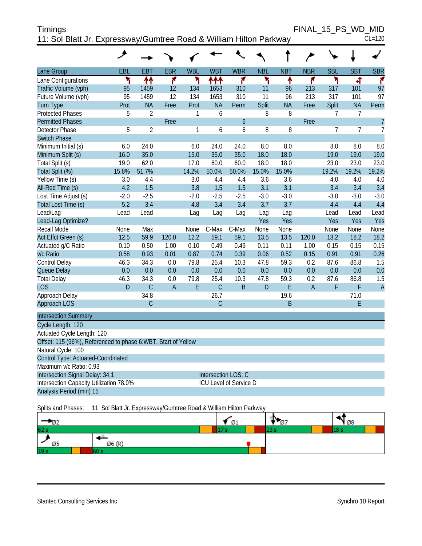| <b>Timings</b>                                                     |  | FINAL 15 PS WD MID |
|--------------------------------------------------------------------|--|--------------------|
| 11: Sol Blatt Jr. Expressway/Gumtree Road & William Hilton Parkway |  | $CL=120$           |

|                                                               | ۸      |                |                |              |                     |                        |            |            |                |            |                |                |
|---------------------------------------------------------------|--------|----------------|----------------|--------------|---------------------|------------------------|------------|------------|----------------|------------|----------------|----------------|
| Lane Group                                                    | EBL    | <b>EBT</b>     | <b>EBR</b>     | <b>WBL</b>   | <b>WBT</b>          | <b>WBR</b>             | <b>NBL</b> | <b>NBT</b> | <b>NBR</b>     | <b>SBL</b> | <b>SBT</b>     | <b>SBR</b>     |
| Lane Configurations                                           | ۲      | 11             | ۴              | ۲            | ተተተ                 | ۴                      | ۲          | ٠          | ۴              | ۲          | बी             | ۴              |
| Traffic Volume (vph)                                          | 95     | 1459           | 12             | 134          | 1653                | 310                    | 11         | 96         | 213            | 317        | 101            | 97             |
| Future Volume (vph)                                           | 95     | 1459           | 12             | 134          | 1653                | 310                    | 11         | 96         | 213            | 317        | 101            | 97             |
| <b>Turn Type</b>                                              | Prot   | <b>NA</b>      | Free           | Prot         | <b>NA</b>           | Perm                   | Split      | <b>NA</b>  | Free           | Split      | <b>NA</b>      | Perm           |
| <b>Protected Phases</b>                                       | 5      | $\overline{2}$ |                | 1            | 6                   |                        | 8          | 8          |                | 7          | 7              |                |
| <b>Permitted Phases</b>                                       |        |                | Free           |              |                     | $\boldsymbol{6}$       |            |            | Free           |            |                | $\overline{1}$ |
| <b>Detector Phase</b>                                         | 5      | $\overline{2}$ |                | $\mathbf{1}$ | 6                   | 6                      | 8          | 8          |                | 7          | $\overline{7}$ | $\overline{7}$ |
| <b>Switch Phase</b>                                           |        |                |                |              |                     |                        |            |            |                |            |                |                |
| Minimum Initial (s)                                           | 6.0    | 24.0           |                | 6.0          | 24.0                | 24.0                   | 8.0        | 8.0        |                | 8.0        | 8.0            | 8.0            |
| Minimum Split (s)                                             | 16.0   | 35.0           |                | 15.0         | 35.0                | 35.0                   | 18.0       | 18.0       |                | 19.0       | 19.0           | 19.0           |
| Total Split (s)                                               | 19.0   | 62.0           |                | 17.0         | 60.0                | 60.0                   | 18.0       | 18.0       |                | 23.0       | 23.0           | 23.0           |
| Total Split (%)                                               | 15.8%  | 51.7%          |                | 14.2%        | 50.0%               | 50.0%                  | 15.0%      | 15.0%      |                | 19.2%      | 19.2%          | 19.2%          |
| Yellow Time (s)                                               | 3.0    | 4.4            |                | 3.0          | 4.4                 | 4.4                    | 3.6        | 3.6        |                | 4.0        | 4.0            | 4.0            |
| All-Red Time (s)                                              | 4.2    | 1.5            |                | 3.8          | 1.5                 | 1.5                    | 3.1        | 3.1        |                | 3.4        | 3.4            | 3.4            |
| Lost Time Adjust (s)                                          | $-2.0$ | $-2.5$         |                | $-2.0$       | $-2.5$              | $-2.5$                 | $-3.0$     | $-3.0$     |                | $-3.0$     | $-3.0$         | $-3.0$         |
| Total Lost Time (s)                                           | 5.2    | 3.4            |                | 4.8          | 3.4                 | 3.4                    | 3.7        | 3.7        |                | 4.4        | 4.4            | 4.4            |
| Lead/Lag                                                      | Lead   | Lead           |                | Lag          | Lag                 | Lag                    | Lag        | Lag        |                | Lead       | Lead           | Lead           |
| Lead-Lag Optimize?                                            |        |                |                |              |                     |                        | Yes        | Yes        |                | Yes        | Yes            | Yes            |
| <b>Recall Mode</b>                                            | None   | Max            |                | None         | C-Max               | C-Max                  | None       | None       |                | None       | None           | None           |
| Act Effct Green (s)                                           | 12.5   | 59.9           | 120.0          | 12.2         | 59.1                | 59.1                   | 13.5       | 13.5       | 120.0          | 18.2       | 18.2           | 18.2           |
| Actuated g/C Ratio                                            | 0.10   | 0.50           | 1.00           | 0.10         | 0.49                | 0.49                   | 0.11       | 0.11       | 1.00           | 0.15       | 0.15           | 0.15           |
| v/c Ratio                                                     | 0.58   | 0.93           | 0.01           | 0.87         | 0.74                | 0.39                   | 0.06       | 0.52       | 0.15           | 0.91       | 0.91           | 0.26           |
| Control Delay                                                 | 46.3   | 34.3           | 0.0            | 79.8         | 25.4                | 10.3                   | 47.8       | 59.3       | 0.2            | 87.6       | 86.8           | 1.5            |
| Queue Delay                                                   | 0.0    | 0.0            | 0.0            | 0.0          | 0.0                 | 0.0                    | 0.0        | 0.0        | 0.0            | 0.0        | 0.0            | 0.0            |
| <b>Total Delay</b>                                            | 46.3   | 34.3           | 0.0            | 79.8         | 25.4                | 10.3                   | 47.8       | 59.3       | 0.2            | 87.6       | 86.8           | 1.5            |
| <b>LOS</b>                                                    | D      | $\overline{C}$ | $\overline{A}$ | E            | $\mathcal{C}$       | B                      | D          | E          | $\overline{A}$ | F          | F              | $\overline{A}$ |
| Approach Delay                                                |        | 34.8           |                |              | 26.7                |                        |            | 19.6       |                |            | 71.0           |                |
| Approach LOS                                                  |        | $\mathsf C$    |                |              | $\mathsf C$         |                        |            | B          |                |            | E              |                |
| <b>Intersection Summary</b>                                   |        |                |                |              |                     |                        |            |            |                |            |                |                |
| Cycle Length: 120                                             |        |                |                |              |                     |                        |            |            |                |            |                |                |
| Actuated Cycle Length: 120                                    |        |                |                |              |                     |                        |            |            |                |            |                |                |
| Offset: 115 (96%), Referenced to phase 6:WBT, Start of Yellow |        |                |                |              |                     |                        |            |            |                |            |                |                |
| Natural Cycle: 100                                            |        |                |                |              |                     |                        |            |            |                |            |                |                |
| Control Type: Actuated-Coordinated                            |        |                |                |              |                     |                        |            |            |                |            |                |                |
| Maximum v/c Ratio: 0.93                                       |        |                |                |              |                     |                        |            |            |                |            |                |                |
| Intersection Signal Delay: 34.1                               |        |                |                |              | Intersection LOS: C |                        |            |            |                |            |                |                |
| Intersection Capacity Utilization 78.0%                       |        |                |                |              |                     | ICU Level of Service D |            |            |                |            |                |                |
| Analysis Period (min) 15                                      |        |                |                |              |                     |                        |            |            |                |            |                |                |

Splits and Phases: 11: Sol Blatt Jr. Expressway/Gumtree Road & William Hilton Parkway

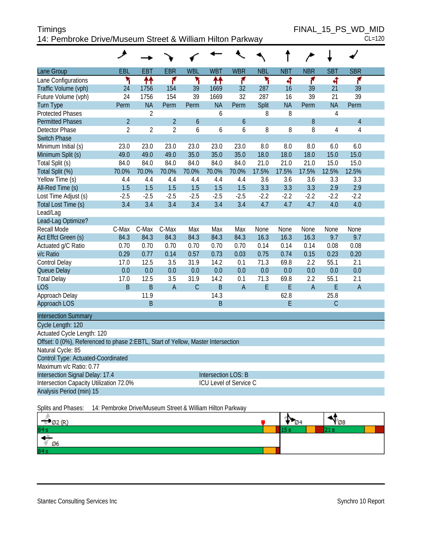| Timings                                                   | FINAL 15 PS WD MID |
|-----------------------------------------------------------|--------------------|
| 14: Pembroke Drive/Museum Street & William Hilton Parkway | $CL=120$           |

| ۰, |  |
|----|--|

|                                                                                  | ۶                                                         |                |                |                  |                        |               |            |            |             |                |                |  |
|----------------------------------------------------------------------------------|-----------------------------------------------------------|----------------|----------------|------------------|------------------------|---------------|------------|------------|-------------|----------------|----------------|--|
| Lane Group                                                                       | <b>EBL</b>                                                | <b>EBT</b>     | <b>EBR</b>     | <b>WBL</b>       | <b>WBT</b>             | <b>WBR</b>    | <b>NBL</b> | <b>NBT</b> | <b>NBR</b>  | <b>SBT</b>     | <b>SBR</b>     |  |
| Lane Configurations                                                              | ۲                                                         | ↟↟             | ۴              | ۲                | ↟↟                     | ۴             | ۲          | ৰ          | ۴           | 4              | ۴              |  |
| Traffic Volume (vph)                                                             | 24                                                        | 1756           | 154            | 39               | 1669                   | 32            | 287        | 16         | 39          | 21             | 39             |  |
| Future Volume (vph)                                                              | 24                                                        | 1756           | 154            | 39               | 1669                   | 32            | 287        | 16         | 39          | 21             | 39             |  |
| <b>Turn Type</b>                                                                 | Perm                                                      | <b>NA</b>      | Perm           | Perm             | <b>NA</b>              | Perm          | Split      | <b>NA</b>  | Perm        | <b>NA</b>      | Perm           |  |
| <b>Protected Phases</b>                                                          |                                                           | $\overline{2}$ |                |                  | 6                      |               | 8          | 8          |             | $\overline{4}$ |                |  |
| <b>Permitted Phases</b>                                                          | $\overline{2}$                                            |                | $\overline{2}$ | $\boldsymbol{6}$ |                        | $\mathfrak b$ |            |            | $8\,$       |                | $\sqrt{4}$     |  |
| <b>Detector Phase</b>                                                            | $\overline{2}$                                            | $\overline{2}$ | $\overline{2}$ | 6                | 6                      | 6             | 8          | 8          | 8           | 4              | $\overline{4}$ |  |
| <b>Switch Phase</b>                                                              |                                                           |                |                |                  |                        |               |            |            |             |                |                |  |
| Minimum Initial (s)                                                              | 23.0                                                      | 23.0           | 23.0           | 23.0             | 23.0                   | 23.0          | 8.0        | 8.0        | 8.0         | 6.0            | 6.0            |  |
| Minimum Split (s)                                                                | 49.0                                                      | 49.0           | 49.0           | 35.0             | 35.0                   | 35.0          | 18.0       | 18.0       | 18.0        | 15.0           | 15.0           |  |
| Total Split (s)                                                                  | 84.0                                                      | 84.0           | 84.0           | 84.0             | 84.0                   | 84.0          | 21.0       | 21.0       | 21.0        | 15.0           | 15.0           |  |
| Total Split (%)                                                                  | 70.0%                                                     | 70.0%          | 70.0%          | 70.0%            | 70.0%                  | 70.0%         | 17.5%      | 17.5%      | 17.5%       | 12.5%          | 12.5%          |  |
| Yellow Time (s)                                                                  | 4.4                                                       | 4.4            | 4.4            | 4.4              | 4.4                    | 4.4           | 3.6        | 3.6        | 3.6         | 3.3            | 3.3            |  |
| All-Red Time (s)                                                                 | 1.5                                                       | 1.5            | 1.5            | 1.5              | 1.5                    | 1.5           | 3.3        | 3.3        | 3.3         | 2.9            | 2.9            |  |
| Lost Time Adjust (s)                                                             | $-2.5$                                                    | $-2.5$         | $-2.5$         | $-2.5$           | $-2.5$                 | $-2.5$        | $-2.2$     | $-2.2$     | $-2.2$      | $-2.2$         | $-2.2$         |  |
| Total Lost Time (s)                                                              | 3.4                                                       | 3.4            | 3.4            | 3.4              | 3.4                    | 3.4           | 4.7        | 4.7        | 4.7         | 4.0            | 4.0            |  |
| Lead/Lag                                                                         |                                                           |                |                |                  |                        |               |            |            |             |                |                |  |
| Lead-Lag Optimize?                                                               |                                                           |                |                |                  |                        |               |            |            |             |                |                |  |
| Recall Mode                                                                      | C-Max                                                     | C-Max          | C-Max          | Max              | Max                    | Max           | None       | None       | None        | None           | None           |  |
| Act Effct Green (s)                                                              | 84.3                                                      | 84.3           | 84.3           | 84.3             | 84.3                   | 84.3          | 16.3       | 16.3       | 16.3        | 9.7            | 9.7            |  |
| Actuated g/C Ratio                                                               | 0.70                                                      | 0.70           | 0.70           | 0.70             | 0.70                   | 0.70          | 0.14       | 0.14       | 0.14        | 0.08           | 0.08           |  |
| v/c Ratio                                                                        | 0.29                                                      | 0.77           | 0.14           | 0.57             | 0.73                   | 0.03          | 0.75       | 0.74       | 0.15        | 0.23           | 0.20           |  |
| Control Delay                                                                    | 17.0                                                      | 12.5           | 3.5            | 31.9             | 14.2                   | 0.1           | 71.3       | 69.8       | 2.2         | 55.1           | 2.1            |  |
| Queue Delay                                                                      | 0.0                                                       | 0.0            | 0.0            | 0.0              | 0.0                    | 0.0           | 0.0        | 0.0        | 0.0         | 0.0            | 0.0            |  |
| <b>Total Delay</b>                                                               | 17.0                                                      | 12.5           | 3.5            | 31.9             | 14.2                   | 0.1           | 71.3       | 69.8       | 2.2         | 55.1           | 2.1            |  |
| <b>LOS</b>                                                                       | $\mathsf B$                                               | $\sf B$        | $\overline{A}$ | $\mathsf C$      | $\mathsf B$            | $\mathsf A$   | E          | E          | $\mathsf A$ | E              | $\overline{A}$ |  |
| Approach Delay                                                                   |                                                           | 11.9           |                |                  | 14.3                   |               |            | 62.8       |             | 25.8           |                |  |
| Approach LOS                                                                     |                                                           | B              |                |                  | $\mathsf B$            |               |            | E          |             | $\mathsf C$    |                |  |
| <b>Intersection Summary</b>                                                      |                                                           |                |                |                  |                        |               |            |            |             |                |                |  |
| Cycle Length: 120                                                                |                                                           |                |                |                  |                        |               |            |            |             |                |                |  |
| Actuated Cycle Length: 120                                                       |                                                           |                |                |                  |                        |               |            |            |             |                |                |  |
| Offset: 0 (0%), Referenced to phase 2:EBTL, Start of Yellow, Master Intersection |                                                           |                |                |                  |                        |               |            |            |             |                |                |  |
| Natural Cycle: 85                                                                |                                                           |                |                |                  |                        |               |            |            |             |                |                |  |
| Control Type: Actuated-Coordinated                                               |                                                           |                |                |                  |                        |               |            |            |             |                |                |  |
| Maximum v/c Ratio: 0.77                                                          |                                                           |                |                |                  |                        |               |            |            |             |                |                |  |
| Intersection Signal Delay: 17.4                                                  |                                                           |                |                |                  | Intersection LOS: B    |               |            |            |             |                |                |  |
| Intersection Capacity Utilization 72.0%                                          |                                                           |                |                |                  | ICU Level of Service C |               |            |            |             |                |                |  |
| Analysis Period (min) 15                                                         |                                                           |                |                |                  |                        |               |            |            |             |                |                |  |
|                                                                                  |                                                           |                |                |                  |                        |               |            |            |             |                |                |  |
| Splits and Phases:                                                               | 14: Pembroke Drive/Museum Street & William Hilton Parkway |                |                |                  |                        |               |            |            |             |                |                |  |

|                 | 13<br>דש |  |  |
|-----------------|----------|--|--|
| 84 <sub>3</sub> |          |  |  |
| Ø6              |          |  |  |
| 84s             |          |  |  |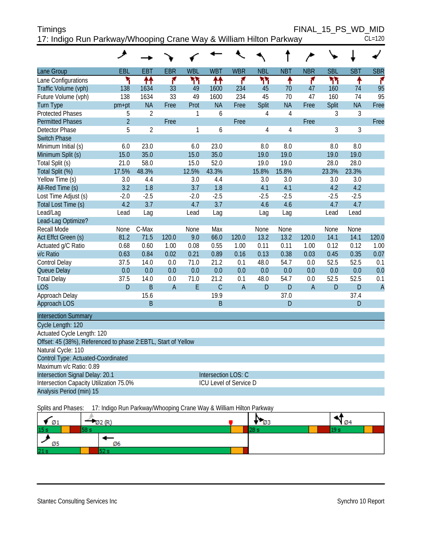| <b>Timings</b>                                                     | FINAL 15 PS WD MID |
|--------------------------------------------------------------------|--------------------|
| 17: Indigo Run Parkway/Whooping Crane Way & William Hilton Parkway | $CL=120$           |

|                                                               | ۸                                                                  |                |                |             |                        |                |            |                | $\overline{\phantom{a}}$ |              |              |                |
|---------------------------------------------------------------|--------------------------------------------------------------------|----------------|----------------|-------------|------------------------|----------------|------------|----------------|--------------------------|--------------|--------------|----------------|
| Lane Group                                                    | EBL                                                                | <b>EBT</b>     | <b>EBR</b>     | <b>WBL</b>  | <b>WBT</b>             | <b>WBR</b>     | <b>NBL</b> | <b>NBT</b>     | <b>NBR</b>               | <b>SBL</b>   | <b>SBT</b>   | <b>SBR</b>     |
| Lane Configurations                                           | ۲                                                                  | ↟↟             | ۴              | ካካ          | 11                     | ۴              | ካካ         | ↟              | ۴                        | ካካ           | ۸            | ۴              |
| Traffic Volume (vph)                                          | 138                                                                | 1634           | 33             | 49          | 1600                   | 234            | 45         | 70             | 47                       | 160          | 74           | 95             |
| Future Volume (vph)                                           | 138                                                                | 1634           | 33             | 49          | 1600                   | 234            | 45         | 70             | 47                       | 160          | 74           | 95             |
| <b>Turn Type</b>                                              | pm+pt                                                              | <b>NA</b>      | Free           | Prot        | <b>NA</b>              | Free           | Split      | <b>NA</b>      | Free                     | Split        | <b>NA</b>    | Free           |
| <b>Protected Phases</b>                                       | 5                                                                  | $\overline{2}$ |                | 1           | 6                      |                | 4          | $\overline{4}$ |                          | 3            | 3            |                |
| <b>Permitted Phases</b>                                       | $\overline{2}$                                                     |                | Free           |             |                        | Free           |            |                | Free                     |              |              | Free           |
| <b>Detector Phase</b>                                         | 5                                                                  | $\overline{2}$ |                | 1           | 6                      |                | 4          | $\overline{4}$ |                          | 3            | 3            |                |
| <b>Switch Phase</b>                                           |                                                                    |                |                |             |                        |                |            |                |                          |              |              |                |
| Minimum Initial (s)                                           | 6.0                                                                | 23.0           |                | 6.0         | 23.0                   |                | 8.0        | 8.0            |                          | 8.0          | 8.0          |                |
| Minimum Split (s)                                             | 15.0                                                               | 35.0           |                | 15.0        | 35.0                   |                | 19.0       | 19.0           |                          | 19.0         | 19.0         |                |
| Total Split (s)                                               | 21.0                                                               | 58.0           |                | 15.0        | 52.0                   |                | 19.0       | 19.0           |                          | 28.0         | 28.0         |                |
| Total Split (%)                                               | 17.5%                                                              | 48.3%          |                | 12.5%       | 43.3%                  |                | 15.8%      | 15.8%          |                          | 23.3%        | 23.3%        |                |
| Yellow Time (s)                                               | 3.0                                                                | 4.4            |                | 3.0         | 4.4                    |                | 3.0        | 3.0            |                          | 3.0          | 3.0          |                |
| All-Red Time (s)                                              | 3.2                                                                | 1.8            |                | 3.7         | 1.8                    |                | 4.1        | 4.1            |                          | 4.2          | 4.2          |                |
| Lost Time Adjust (s)                                          | $-2.0$                                                             | $-2.5$         |                | $-2.0$      | $-2.5$                 |                | $-2.5$     | $-2.5$         |                          | $-2.5$       | $-2.5$       |                |
| Total Lost Time (s)                                           | 4.2                                                                | 3.7            |                | 4.7         | 3.7                    |                | 4.6        | 4.6            |                          | 4.7          | 4.7          |                |
| Lead/Lag                                                      | Lead                                                               | Lag            |                | Lead        | Lag                    |                | Lag        | Lag            |                          | Lead         | Lead         |                |
| Lead-Lag Optimize?                                            |                                                                    |                |                |             |                        |                |            |                |                          |              |              |                |
| Recall Mode                                                   | None                                                               | C-Max          |                | None        | Max                    |                | None       | None           |                          | None         | None         |                |
| Act Effct Green (s)                                           | 81.2                                                               | 71.5           | 120.0          | 9.0         | 66.0                   | 120.0          | 13.2       | 13.2           | 120.0                    | 14.1         | 14.1         | 120.0          |
| Actuated g/C Ratio                                            | 0.68                                                               | 0.60           | 1.00           | 0.08        | 0.55                   | 1.00           | 0.11       | 0.11           | 1.00                     | 0.12         | 0.12         | 1.00           |
| v/c Ratio                                                     | 0.63                                                               | 0.84           | 0.02           | 0.21        | 0.89                   | 0.16           | 0.13       | 0.38           | 0.03                     | 0.45         | 0.35         | 0.07           |
| Control Delay                                                 | 37.5                                                               | 14.0           | 0.0            | 71.0        | 21.2                   | 0.1            | 48.0       | 54.7           | 0.0                      | 52.5         | 52.5         | 0.1            |
| Queue Delay                                                   | 0.0                                                                | 0.0            | 0.0            | 0.0         | 0.0                    | 0.0            | 0.0        | 0.0            | 0.0                      | 0.0          | 0.0          | 0.0            |
| <b>Total Delay</b>                                            | 37.5                                                               | 14.0           | 0.0            | 71.0        | 21.2                   | 0.1            | 48.0       | 54.7           | 0.0                      | 52.5         | 52.5         | 0.1            |
| <b>LOS</b>                                                    | D                                                                  | B              | $\overline{A}$ | $\mathsf E$ | $\mathsf C$            | $\overline{A}$ | D          | $\mathsf D$    | $\overline{A}$           | $\mathsf{D}$ | $\mathsf{D}$ | $\overline{A}$ |
| Approach Delay                                                |                                                                    | 15.6           |                |             | 19.9                   |                |            | 37.0           |                          |              | 37.4         |                |
| Approach LOS                                                  |                                                                    | B              |                |             | $\mathsf B$            |                |            | D              |                          |              | $\mathsf{D}$ |                |
| <b>Intersection Summary</b>                                   |                                                                    |                |                |             |                        |                |            |                |                          |              |              |                |
| Cycle Length: 120                                             |                                                                    |                |                |             |                        |                |            |                |                          |              |              |                |
| Actuated Cycle Length: 120                                    |                                                                    |                |                |             |                        |                |            |                |                          |              |              |                |
| Offset: 45 (38%), Referenced to phase 2:EBTL, Start of Yellow |                                                                    |                |                |             |                        |                |            |                |                          |              |              |                |
| Natural Cycle: 110                                            |                                                                    |                |                |             |                        |                |            |                |                          |              |              |                |
| Control Type: Actuated-Coordinated                            |                                                                    |                |                |             |                        |                |            |                |                          |              |              |                |
| Maximum v/c Ratio: 0.89                                       |                                                                    |                |                |             |                        |                |            |                |                          |              |              |                |
| Intersection Signal Delay: 20.1                               |                                                                    |                |                |             | Intersection LOS: C    |                |            |                |                          |              |              |                |
| Intersection Capacity Utilization 75.0%                       |                                                                    |                |                |             | ICU Level of Service D |                |            |                |                          |              |              |                |
| Analysis Period (min) 15                                      |                                                                    |                |                |             |                        |                |            |                |                          |              |              |                |
| Splits and Phases:                                            | 17: Indigo Run Parkway/Whooping Crane Way & William Hilton Parkway |                |                |             |                        |                |            |                |                          |              |              |                |

 $\frac{1}{\sqrt{\frac{1}{1}}\cdot\frac{1}{1}}$  $\frac{4}{102}$  (R)  $N_{\varnothing3}$  $\epsilon_{\varnothing 1}$  $15 s$  $28 s$  $19<sub>s</sub>$  $58 s$ ۰ Ø5 Ø6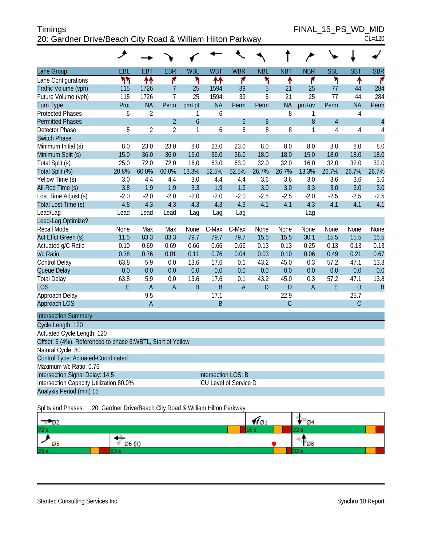| <b>Timings</b>                                             | FINAL 15 PS WD MID |
|------------------------------------------------------------|--------------------|
| 20: Gardner Drive/Beach City Road & William Hilton Parkway | $CL=120$           |

FINAL\_15\_PS\_WD\_MID

| ۰, |  |
|----|--|
|    |  |

|                                                             | عر     |                |                |                |                            |                        |            |              |                |                |              |                |
|-------------------------------------------------------------|--------|----------------|----------------|----------------|----------------------------|------------------------|------------|--------------|----------------|----------------|--------------|----------------|
| Lane Group                                                  | EBL    | EBT            | <b>EBR</b>     | <b>WBL</b>     | <b>WBT</b>                 | <b>WBR</b>             | <b>NBL</b> | <b>NBT</b>   | <b>NBR</b>     | <b>SBL</b>     | <b>SBT</b>   | <b>SBR</b>     |
| Lane Configurations                                         | ካካ     | ↟↟             | ۴              | ۲              | ቶቶ                         | ۴                      | ٢          | ۸            | ۴              | ۲              | ۸            | ۴              |
| Traffic Volume (vph)                                        | 115    | 1726           | $\overline{7}$ | 25             | 1594                       | 39                     | 5          | 21           | 25             | 77             | 44           | 284            |
| Future Volume (vph)                                         | 115    | 1726           | 7              | 25             | 1594                       | 39                     | 5          | 21           | 25             | 77             | 44           | 284            |
| <b>Turn Type</b>                                            | Prot   | <b>NA</b>      | Perm           | $pm+pt$        | <b>NA</b>                  | Perm                   | Perm       | <b>NA</b>    | $pm+ov$        | Perm           | <b>NA</b>    | Perm           |
| <b>Protected Phases</b>                                     | 5      | $\overline{2}$ |                | 1              | 6                          |                        |            | 8            | 1              |                | 4            |                |
| <b>Permitted Phases</b>                                     |        |                | $\overline{2}$ | $\overline{6}$ |                            | $\ddot{\mathbf{6}}$    | 8          |              | 8              | $\overline{4}$ |              | $\overline{4}$ |
| <b>Detector Phase</b>                                       | 5      | $\overline{2}$ | $\overline{2}$ | 1              | 6                          | 6                      | 8          | 8            | 1              | 4              | 4            | 4              |
| <b>Switch Phase</b>                                         |        |                |                |                |                            |                        |            |              |                |                |              |                |
| Minimum Initial (s)                                         | 8.0    | 23.0           | 23.0           | 8.0            | 23.0                       | 23.0                   | 8.0        | 8.0          | 8.0            | 8.0            | 8.0          | 8.0            |
| Minimum Split (s)                                           | 15.0   | 36.0           | 36.0           | 15.0           | 36.0                       | 36.0                   | 18.0       | 18.0         | 15.0           | 18.0           | 18.0         | 18.0           |
| Total Split (s)                                             | 25.0   | 72.0           | 72.0           | 16.0           | 63.0                       | 63.0                   | 32.0       | 32.0         | 16.0           | 32.0           | 32.0         | 32.0           |
| Total Split (%)                                             | 20.8%  | 60.0%          | 60.0%          | 13.3%          | 52.5%                      | 52.5%                  | 26.7%      | 26.7%        | 13.3%          | 26.7%          | 26.7%        | 26.7%          |
| Yellow Time (s)                                             | 3.0    | 4.4            | 4.4            | 3.0            | 4.4                        | 4.4                    | 3.6        | 3.6          | 3.0            | 3.6            | 3.6          | 3.6            |
| All-Red Time (s)                                            | 3.8    | 1.9            | 1.9            | 3.3            | 1.9                        | 1.9                    | 3.0        | 3.0          | 3.3            | 3.0            | 3.0          | 3.0            |
| Lost Time Adjust (s)                                        | $-2.0$ | $-2.0$         | $-2.0$         | $-2.0$         | $-2.0$                     | $-2.0$                 | $-2.5$     | $-2.5$       | $-2.0$         | $-2.5$         | $-2.5$       | $-2.5$         |
| Total Lost Time (s)                                         | 4.8    | 4.3            | 4.3            | 4.3            | 4.3                        | 4.3                    | 4.1        | 4.1          | 4.3            | 4.1            | 4.1          | 4.1            |
| Lead/Lag                                                    | Lead   | Lead           | Lead           | Lag            | Lag                        | Lag                    |            |              | Lag            |                |              |                |
| Lead-Lag Optimize?                                          |        |                |                |                |                            |                        |            |              |                |                |              |                |
| Recall Mode                                                 | None   | Max            | Max            | None           | C-Max                      | C-Max                  | None       | None         | None           | None           | None         | None           |
| Act Effct Green (s)                                         | 11.5   | 83.3           | 83.3           | 79.7           | 79.7                       | 79.7                   | 15.5       | 15.5         | 30.1           | 15.5           | 15.5         | 15.5           |
| Actuated g/C Ratio                                          | 0.10   | 0.69           | 0.69           | 0.66           | 0.66                       | 0.66                   | 0.13       | 0.13         | 0.25           | 0.13           | 0.13         | 0.13           |
| v/c Ratio                                                   | 0.38   | 0.76           | 0.01           | 0.11           | 0.76                       | 0.04                   | 0.03       | 0.10         | 0.06           | 0.49           | 0.21         | 0.67           |
| Control Delay                                               | 63.8   | 5.9            | 0.0            | 13.6           | 17.6                       | 0.1                    | 43.2       | 45.0         | 0.3            | 57.2           | 47.1         | 13.8           |
| Queue Delay                                                 | 0.0    | 0.0            | 0.0            | 0.0            | 0.0                        | 0.0                    | 0.0        | 0.0          | 0.0            | 0.0            | 0.0          | 0.0            |
| <b>Total Delay</b>                                          | 63.8   | 5.9            | 0.0            | 13.6           | 17.6                       | 0.1                    | 43.2       | 45.0         | 0.3            | 57.2           | 47.1         | 13.8           |
| <b>LOS</b>                                                  | E      | $\overline{A}$ | $\overline{A}$ | $\sf B$        | $\mathsf B$                | $\mathsf A$            | D          | $\mathsf{D}$ | $\overline{A}$ | E              | $\mathsf D$  | $\overline{B}$ |
| Approach Delay                                              |        | 9.5            |                |                | 17.1                       |                        |            | 22.9         |                |                | 25.7         |                |
| Approach LOS                                                |        | $\overline{A}$ |                |                | $\mathsf B$                |                        |            | $\mathsf{C}$ |                |                | $\mathsf{C}$ |                |
| <b>Intersection Summary</b>                                 |        |                |                |                |                            |                        |            |              |                |                |              |                |
| Cycle Length: 120                                           |        |                |                |                |                            |                        |            |              |                |                |              |                |
| Actuated Cycle Length: 120                                  |        |                |                |                |                            |                        |            |              |                |                |              |                |
| Offset: 5 (4%), Referenced to phase 6:WBTL, Start of Yellow |        |                |                |                |                            |                        |            |              |                |                |              |                |
| Natural Cycle: 80                                           |        |                |                |                |                            |                        |            |              |                |                |              |                |
| Control Type: Actuated-Coordinated                          |        |                |                |                |                            |                        |            |              |                |                |              |                |
| Maximum v/c Ratio: 0.76                                     |        |                |                |                |                            |                        |            |              |                |                |              |                |
| Intersection Signal Delay: 14.5                             |        |                |                |                | <b>Intersection LOS: B</b> |                        |            |              |                |                |              |                |
| Intersection Capacity Utilization 80.0%                     |        |                |                |                |                            | ICU Level of Service D |            |              |                |                |              |                |
| Analysis Period (min) 15                                    |        |                |                |                |                            |                        |            |              |                |                |              |                |
|                                                             |        |                |                |                |                            |                        |            |              |                |                |              |                |

Splits and Phases: 20: Gardner Drive/Beach City Road & William Hilton Parkway

| — Øż |        | Y 01 | - Ø4      |
|------|--------|------|-----------|
| 72 s |        | 16 s |           |
| Ø5   | Ø6 (R) |      | <b>Ø8</b> |
| 25s  |        |      |           |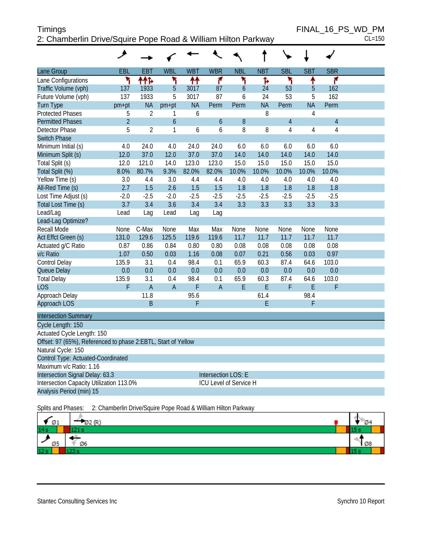#### Timings FINAL\_16\_PS\_WD\_PM 2: Chamberlin Drive/Squire Pope R

| 2: Chamberlin Drive/Squire Pope Road & William Hilton Parkway |            |            |            |            |            |            |            |            |            |            |  |
|---------------------------------------------------------------|------------|------------|------------|------------|------------|------------|------------|------------|------------|------------|--|
|                                                               |            |            |            |            |            |            |            |            |            |            |  |
| Lane Group                                                    | <b>EBL</b> | <b>EBT</b> | <b>WBL</b> | <b>WBT</b> | <b>WBR</b> | <b>NBL</b> | <b>NBT</b> | <b>SBL</b> | <b>SBT</b> | <b>SBR</b> |  |
| Lane Configurations                                           |            | ቶቶኈ        |            | ቶቶ         |            |            |            |            |            |            |  |
| Traffic Volume (vph)                                          | 137        | 1933       | 5          | 3017       | 87         | 6          | 24         | 53         | 5          | 162        |  |
| Future Volume (vph)                                           | 137        | 1933       | 5          | 3017       | 87         | b          | 24         | 53         | 5          | 162        |  |
| Turn Type                                                     | pm+pt      | <b>NA</b>  | $pm+pt$    | <b>NA</b>  | Perm       | Perm       | <b>NA</b>  | Perm       | <b>NA</b>  | Perm       |  |
| <b>Protected Phases</b>                                       | 5          |            |            | b          |            |            | 8          |            |            |            |  |
| <b>Permitted Phases</b>                                       | C          |            | 6          |            | 6          | 8          |            |            |            | 4          |  |
| Detector Phase                                                | 5          | 2          |            | 6          | 6          | 8          | 8          |            |            | 4          |  |
| <b>Switch Phase</b>                                           |            |            |            |            |            |            |            |            |            |            |  |
| Minimum Initial (s)                                           | 4.0        | 24.0       | 4.0        | 24.0       | 24.0       | 6.0        | 6.0        | 6.0        | 6.0        | 6.0        |  |
| Minimum Split (s)                                             | 12.0       | 37.0       | 12.0       | 37.0       | 37.0       | 14.0       | 14.0       | 14.0       | 14.0       | 14.0       |  |

| Minimum Initial (s)         | 4.0    | 24.0           | 4.0            | 24.0   | 24.0           | 6.0    | 6.0    | 6.0    | 6.0    | 6.0    |  |
|-----------------------------|--------|----------------|----------------|--------|----------------|--------|--------|--------|--------|--------|--|
| Minimum Split (s)           | 12.0   | 37.0           | 12.0           | 37.0   | 37.0           | 14.0   | 14.0   | 14.0   | 14.0   | 14.0   |  |
| Total Split (s)             | 12.0   | 121.0          | 14.0           | 123.0  | 123.0          | 15.0   | 15.0   | 15.0   | 15.0   | 15.0   |  |
| Total Split (%)             | 8.0%   | 80.7%          | 9.3%           | 82.0%  | 82.0%          | 10.0%  | 10.0%  | 10.0%  | 10.0%  | 10.0%  |  |
| Yellow Time (s)             | 3.0    | 4.4            | 3.0            | 4.4    | 4.4            | 4.0    | 4.0    | 4.0    | 4.0    | 4.0    |  |
| All-Red Time (s)            | 2.7    | 1.5            | 2.6            | 1.5    | 1.5            | 1.8    | 1.8    | 1.8    | 1.8    | 1.8    |  |
| Lost Time Adjust (s)        | $-2.0$ | $-2.5$         | $-2.0$         | $-2.5$ | $-2.5$         | $-2.5$ | $-2.5$ | $-2.5$ | $-2.5$ | $-2.5$ |  |
| Total Lost Time (s)         | 3.7    | 3.4            | 3.6            | 3.4    | 3.4            | 3.3    | 3.3    | 3.3    | 3.3    | 3.3    |  |
| Lead/Lag                    | Lead   | Lag            | Lead           | Lag    | Lag            |        |        |        |        |        |  |
| Lead-Lag Optimize?          |        |                |                |        |                |        |        |        |        |        |  |
| Recall Mode                 | None   | C-Max          | None           | Max    | Max            | None   | None   | None   | None   | None   |  |
| Act Effct Green (s)         | 131.0  | 129.6          | 125.5          | 119.6  | 119.6          | 11.7   | 11.7   | 11.7   | 11.7   | 11.7   |  |
| Actuated g/C Ratio          | 0.87   | 0.86           | 0.84           | 0.80   | 0.80           | 0.08   | 0.08   | 0.08   | 0.08   | 0.08   |  |
| v/c Ratio                   | 1.07   | 0.50           | 0.03           | 1.16   | 0.08           | 0.07   | 0.21   | 0.56   | 0.03   | 0.97   |  |
| <b>Control Delay</b>        | 135.9  | 3.1            | 0.4            | 98.4   | 0.1            | 65.9   | 60.3   | 87.4   | 64.6   | 103.0  |  |
| Queue Delay                 | 0.0    | 0.0            | 0.0            | 0.0    | 0.0            | 0.0    | 0.0    | 0.0    | 0.0    | 0.0    |  |
| <b>Total Delay</b>          | 135.9  | 3.1            | 0.4            | 98.4   | 0.1            | 65.9   | 60.3   | 87.4   | 64.6   | 103.0  |  |
| LOS                         | F      | $\overline{A}$ | $\overline{A}$ | F      | $\overline{A}$ | Ε      | Ε      | F      | Ε      | F      |  |
| Approach Delay              |        | 11.8           |                | 95.6   |                |        | 61.4   |        | 98.4   |        |  |
| Approach LOS                |        | B              |                | F      |                |        | Е      |        | F      |        |  |
| <b>Intersection Summary</b> |        |                |                |        |                |        |        |        |        |        |  |
| Cycle Length: 150           |        |                |                |        |                |        |        |        |        |        |  |
|                             |        |                |                |        |                |        |        |        |        |        |  |

#### Actuated Cycle Length: 150 Offset: 97 (65%), Referenced to phase 2:EBTL, Start of Yellow Natural Cycle: 150 Control Type: Actuated-Coordinated Maximum v/c Ratio: 1.16 Intersection Signal Delay: 63.3 Intersection LOS: E Intersection Capacity Utilization 113.0% ICU Level of Service H Analysis Period (min) 15

Splits and Phases: 2: Chamberlin Drive/Squire Pope Road & William Hilton Parkway

| Ø1              | 2(R)<br>∞∠ | <b>04</b> |
|-----------------|------------|-----------|
| 14s             |            |           |
| Ø5              | Ø6         | 1 Ø8      |
| 12 <sub>s</sub> | ---        |           |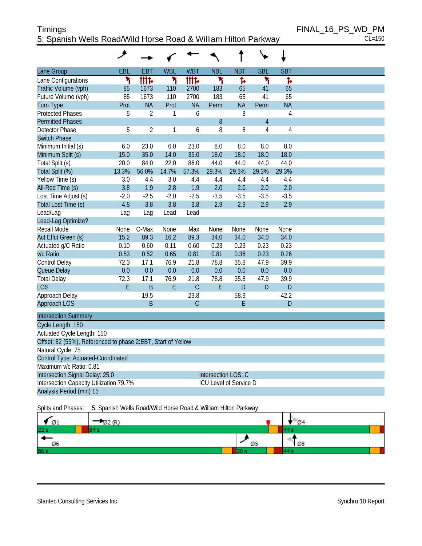#### Timings FINAL\_16\_PS\_WD\_PM 5: Spanish Wells Road/Wild Horse Road & William Hilton Parkway CL=150

|                                                              | ᢣ      |                |            |                |                        |            |                |                |
|--------------------------------------------------------------|--------|----------------|------------|----------------|------------------------|------------|----------------|----------------|
| Lane Group                                                   | EBL    | <b>EBT</b>     | <b>WBL</b> | <b>WBT</b>     | <b>NBL</b>             | <b>NBT</b> | <b>SBL</b>     | <b>SBT</b>     |
| Lane Configurations                                          | ۲      | <b>tite</b>    | ۲          | <b>tite</b>    | ۲                      | Ъ          | ۲              | Ъ              |
| Traffic Volume (vph)                                         | 85     | 1673           | 110        | 2700           | 183                    | 65         | 41             | 65             |
| Future Volume (vph)                                          | 85     | 1673           | 110        | 2700           | 183                    | 65         | 41             | 65             |
| <b>Turn Type</b>                                             | Prot   | <b>NA</b>      | Prot       | <b>NA</b>      | Perm                   | <b>NA</b>  | Perm           | <b>NA</b>      |
| <b>Protected Phases</b>                                      | 5      | $\overline{2}$ | 1          | 6              |                        | 8          |                | $\overline{4}$ |
| <b>Permitted Phases</b>                                      |        |                |            |                | 8                      |            | $\overline{4}$ |                |
| <b>Detector Phase</b>                                        | 5      | $\overline{2}$ | 1          | 6              | 8                      | 8          | 4              | 4              |
| <b>Switch Phase</b>                                          |        |                |            |                |                        |            |                |                |
| Minimum Initial (s)                                          | 6.0    | 23.0           | 6.0        | 23.0           | 8.0                    | 8.0        | 8.0            | 8.0            |
| Minimum Split (s)                                            | 15.0   | 35.0           | 14.0       | 35.0           | 18.0                   | 18.0       | 18.0           | 18.0           |
| Total Split (s)                                              | 20.0   | 84.0           | 22.0       | 86.0           | 44.0                   | 44.0       | 44.0           | 44.0           |
| Total Split (%)                                              | 13.3%  | 56.0%          | 14.7%      | 57.3%          | 29.3%                  | 29.3%      | 29.3%          | 29.3%          |
| Yellow Time (s)                                              | 3.0    | 4.4            | 3.0        | 4.4            | 4.4                    | 4.4        | 4.4            | 4.4            |
| All-Red Time (s)                                             | 3.8    | 1.9            | 2.8        | 1.9            | 2.0                    | 2.0        | 2.0            | 2.0            |
| Lost Time Adjust (s)                                         | $-2.0$ | $-2.5$         | $-2.0$     | $-2.5$         | $-3.5$                 | $-3.5$     | $-3.5$         | $-3.5$         |
| Total Lost Time (s)                                          | 4.8    | 3.8            | 3.8        | 3.8            | 2.9                    | 2.9        | 2.9            | 2.9            |
| Lead/Lag                                                     | Lag    | Lag            | Lead       | Lead           |                        |            |                |                |
| Lead-Lag Optimize?                                           |        |                |            |                |                        |            |                |                |
| <b>Recall Mode</b>                                           | None   | C-Max          | None       | Max            | None                   | None       | None           | None           |
| Act Effct Green (s)                                          | 15.2   | 89.3           | 16.2       | 89.3           | 34.0                   | 34.0       | 34.0           | 34.0           |
| Actuated g/C Ratio                                           | 0.10   | 0.60           | 0.11       | 0.60           | 0.23                   | 0.23       | 0.23           | 0.23           |
| v/c Ratio                                                    | 0.53   | 0.52           | 0.65       | 0.81           | 0.81                   | 0.36       | 0.23           | 0.26           |
| Control Delay                                                | 72.3   | 17.1           | 76.9       | 21.8           | 78.8                   | 35.8       | 47.9           | 39.9           |
| Queue Delay                                                  | 0.0    | 0.0            | 0.0        | 0.0            | 0.0                    | 0.0        | 0.0            | 0.0            |
| <b>Total Delay</b>                                           | 72.3   | 17.1           | 76.9       | 21.8           | 78.8                   | 35.8       | 47.9           | 39.9           |
| <b>LOS</b>                                                   | E      | B              | E          | $\overline{C}$ | E                      | D          | D              | D              |
| Approach Delay                                               |        | 19.5           |            | 23.8           |                        | 58.9       |                | 42.2           |
| Approach LOS                                                 |        | B              |            | $\mathcal{C}$  |                        | E          |                | D              |
| <b>Intersection Summary</b>                                  |        |                |            |                |                        |            |                |                |
| Cycle Length: 150                                            |        |                |            |                |                        |            |                |                |
| Actuated Cycle Length: 150                                   |        |                |            |                |                        |            |                |                |
| Offset: 82 (55%), Referenced to phase 2:EBT, Start of Yellow |        |                |            |                |                        |            |                |                |
| Natural Cycle: 75                                            |        |                |            |                |                        |            |                |                |
| Control Type: Actuated-Coordinated                           |        |                |            |                |                        |            |                |                |
| Maximum v/c Ratio: 0.81                                      |        |                |            |                |                        |            |                |                |
| Intersection Signal Delay: 25.0                              |        |                |            |                | Intersection LOS: C    |            |                |                |
| Intersection Capacity Utilization 79.7%                      |        |                |            |                | ICU Level of Service D |            |                |                |
| Analysis Period (min) 15                                     |        |                |            |                |                        |            |                |                |

#### Splits and Phases: 5: Spanish Wells Road/Wild Horse Road & William Hilton Parkway

| Ø1   | $AD$ $AD^*$ |    | <b>Ø4</b>   |  |
|------|-------------|----|-------------|--|
| 22s  |             |    |             |  |
| Ø6   |             | Ø5 | $\sqrt{28}$ |  |
| 86 s |             |    |             |  |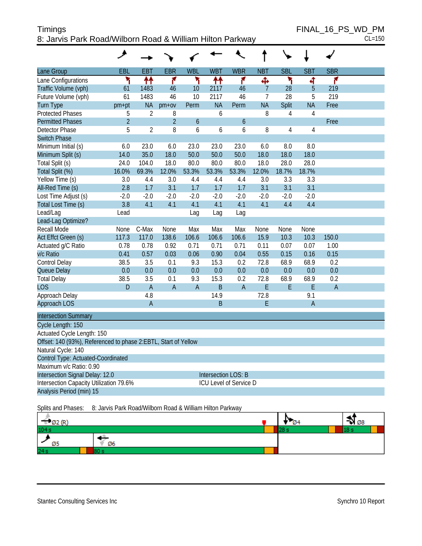| Timings                                                   | FINAL 16 PS WD PM |
|-----------------------------------------------------------|-------------------|
| 8: Jarvis Park Road/Wilborn Road & William Hilton Parkway | $CL = 150$        |

|                                                                | ◢              |                |                |            |                        |            |                |                |                |            |  |
|----------------------------------------------------------------|----------------|----------------|----------------|------------|------------------------|------------|----------------|----------------|----------------|------------|--|
| Lane Group                                                     | EBL            | <b>EBT</b>     | <b>EBR</b>     | <b>WBL</b> | <b>WBT</b>             | <b>WBR</b> | <b>NBT</b>     | <b>SBL</b>     | <b>SBT</b>     | <b>SBR</b> |  |
| Lane Configurations                                            | ۲              | ₩              | ۴              | ۲          | ↟↟                     | ۴          | ф              | ۲              | 4              | ۴          |  |
| Traffic Volume (vph)                                           | 61             | 1483           | 46             | 10         | 2117                   | 46         | $\overline{7}$ | 28             | 5              | 219        |  |
| Future Volume (vph)                                            | 61             | 1483           | 46             | 10         | 2117                   | 46         | $\overline{7}$ | 28             | 5              | 219        |  |
| Turn Type                                                      | pm+pt          | <b>NA</b>      | $pm+ov$        | Perm       | <b>NA</b>              | Perm       | <b>NA</b>      | Split          | <b>NA</b>      | Free       |  |
| <b>Protected Phases</b>                                        | 5              | $\overline{2}$ | 8              |            | 6                      |            | 8              | 4              | $\overline{4}$ |            |  |
| <b>Permitted Phases</b>                                        | $\overline{2}$ |                | $\overline{2}$ | 6          |                        | 6          |                |                |                | Free       |  |
| Detector Phase                                                 | 5              | $\overline{2}$ | 8              | 6          | 6                      | 6          | 8              | $\overline{4}$ | 4              |            |  |
| <b>Switch Phase</b>                                            |                |                |                |            |                        |            |                |                |                |            |  |
| Minimum Initial (s)                                            | 6.0            | 23.0           | 6.0            | 23.0       | 23.0                   | 23.0       | 6.0            | 8.0            | 8.0            |            |  |
| Minimum Split (s)                                              | 14.0           | 35.0           | 18.0           | 50.0       | 50.0                   | 50.0       | 18.0           | 18.0           | 18.0           |            |  |
| Total Split (s)                                                | 24.0           | 104.0          | 18.0           | 80.0       | 80.0                   | 80.0       | 18.0           | 28.0           | 28.0           |            |  |
| Total Split (%)                                                | 16.0%          | 69.3%          | 12.0%          | 53.3%      | 53.3%                  | 53.3%      | 12.0%          | 18.7%          | 18.7%          |            |  |
| Yellow Time (s)                                                | 3.0            | 4.4            | 3.0            | 4.4        | 4.4                    | 4.4        | 3.0            | 3.3            | 3.3            |            |  |
| All-Red Time (s)                                               | 2.8            | 1.7            | 3.1            | 1.7        | 1.7                    | 1.7        | 3.1            | 3.1            | 3.1            |            |  |
| Lost Time Adjust (s)                                           | $-2.0$         | $-2.0$         | $-2.0$         | $-2.0$     | $-2.0$                 | $-2.0$     | $-2.0$         | $-2.0$         | $-2.0$         |            |  |
| Total Lost Time (s)                                            | 3.8            | 4.1            | 4.1            | 4.1        | 4.1                    | 4.1        | 4.1            | 4.4            | 4.4            |            |  |
| Lead/Lag                                                       | Lead           |                |                | Lag        | Lag                    | Lag        |                |                |                |            |  |
| Lead-Lag Optimize?                                             |                |                |                |            |                        |            |                |                |                |            |  |
| Recall Mode                                                    | None           | C-Max          | None           | Max        | Max                    | Max        | None           | None           | None           |            |  |
| Act Effct Green (s)                                            | 117.3          | 117.0          | 138.6          | 106.6      | 106.6                  | 106.6      | 15.9           | 10.3           | 10.3           | 150.0      |  |
| Actuated g/C Ratio                                             | 0.78           | 0.78           | 0.92           | 0.71       | 0.71                   | 0.71       | 0.11           | 0.07           | 0.07           | 1.00       |  |
| v/c Ratio                                                      | 0.41           | 0.57           | 0.03           | 0.06       | 0.90                   | 0.04       | 0.55           | 0.15           | 0.16           | 0.15       |  |
| Control Delay                                                  | 38.5           | 3.5            | 0.1            | 9.3        | 15.3                   | 0.2        | 72.8           | 68.9           | 68.9           | 0.2        |  |
| Queue Delay                                                    | 0.0            | 0.0            | 0.0            | 0.0        | 0.0                    | 0.0        | 0.0            | 0.0            | 0.0            | 0.0        |  |
| <b>Total Delay</b>                                             | 38.5           | 3.5            | 0.1            | 9.3        | 15.3                   | 0.2        | 72.8           | 68.9           | 68.9           | 0.2        |  |
| LOS                                                            | D              | $\mathsf{A}$   | A              | A          | B                      | A          | E              | E              | E              | A          |  |
| Approach Delay                                                 |                | 4.8            |                |            | 14.9                   |            | 72.8           |                | 9.1            |            |  |
| Approach LOS                                                   |                | $\mathsf A$    |                |            | B                      |            | E              |                | $\overline{A}$ |            |  |
| <b>Intersection Summary</b>                                    |                |                |                |            |                        |            |                |                |                |            |  |
| Cycle Length: 150                                              |                |                |                |            |                        |            |                |                |                |            |  |
| Actuated Cycle Length: 150                                     |                |                |                |            |                        |            |                |                |                |            |  |
| Offset: 140 (93%), Referenced to phase 2:EBTL, Start of Yellow |                |                |                |            |                        |            |                |                |                |            |  |
| Natural Cycle: 140                                             |                |                |                |            |                        |            |                |                |                |            |  |
| Control Type: Actuated-Coordinated                             |                |                |                |            |                        |            |                |                |                |            |  |
| Maximum v/c Ratio: 0.90                                        |                |                |                |            |                        |            |                |                |                |            |  |
| Intersection Signal Delay: 12.0                                |                |                |                |            | Intersection LOS: B    |            |                |                |                |            |  |
| Intersection Capacity Utilization 79.6%                        |                |                |                |            | ICU Level of Service D |            |                |                |                |            |  |
| Analysis Period (min) 15                                       |                |                |                |            |                        |            |                |                |                |            |  |
|                                                                |                |                |                |            |                        |            |                |                |                |            |  |

Splits and Phases: 8: Jarvis Park Road/Wilborn Road & William Hilton Parkway

| Ø2 (R) |    |  | ২২। ⊘৪ |
|--------|----|--|--------|
| 104 s  |    |  |        |
| Ø5     | Ø6 |  |        |
| 24s    |    |  |        |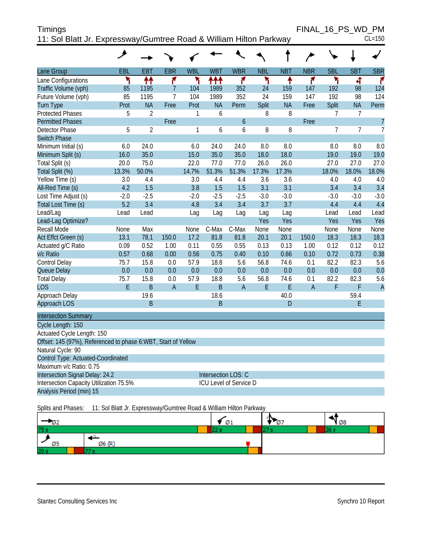| <b>Timings</b>                                                     | FINAL 16 PS WD PM |            |
|--------------------------------------------------------------------|-------------------|------------|
| 11: Sol Blatt Jr. Expressway/Gumtree Road & William Hilton Parkway |                   | $CL = 150$ |

|                                                               | ◢      |                |                |            |                      |                               |            |            | $\overline{ }$ |                |                |                |
|---------------------------------------------------------------|--------|----------------|----------------|------------|----------------------|-------------------------------|------------|------------|----------------|----------------|----------------|----------------|
| Lane Group                                                    | EBL    | <b>EBT</b>     | <b>EBR</b>     | <b>WBL</b> | <b>WBT</b>           | <b>WBR</b>                    | <b>NBL</b> | <b>NBT</b> | <b>NBR</b>     | <b>SBL</b>     | <b>SBT</b>     | <b>SBR</b>     |
| Lane Configurations                                           | ٢      | 11             | ۴              | ۲          | ተተተ                  | ۴                             | ۲          | ٠          | ۴              | ۲              | 4              | ۴              |
| Traffic Volume (vph)                                          | 85     | 1195           | 7              | 104        | 1989                 | 352                           | 24         | 159        | 147            | 192            | 98             | 124            |
| Future Volume (vph)                                           | 85     | 1195           | $\overline{7}$ | 104        | 1989                 | 352                           | 24         | 159        | 147            | 192            | 98             | 124            |
| <b>Turn Type</b>                                              | Prot   | <b>NA</b>      | Free           | Prot       | <b>NA</b>            | Perm                          | Split      | <b>NA</b>  | Free           | Split          | <b>NA</b>      | Perm           |
| <b>Protected Phases</b>                                       | 5      | $\overline{2}$ |                | 1          | 6                    |                               | 8          | 8          |                | 7              | 7              |                |
| <b>Permitted Phases</b>                                       |        |                | Free           |            |                      | 6                             |            |            | Free           |                |                | $\overline{7}$ |
| Detector Phase                                                | 5      | $\overline{2}$ |                | 1          | 6                    | 6                             | 8          | 8          |                | $\overline{7}$ | $\overline{7}$ | $\overline{1}$ |
| <b>Switch Phase</b>                                           |        |                |                |            |                      |                               |            |            |                |                |                |                |
| Minimum Initial (s)                                           | 6.0    | 24.0           |                | 6.0        | 24.0                 | 24.0                          | 8.0        | 8.0        |                | 8.0            | 8.0            | 8.0            |
| Minimum Split (s)                                             | 16.0   | 35.0           |                | 15.0       | 35.0                 | 35.0                          | 18.0       | 18.0       |                | 19.0           | 19.0           | 19.0           |
| Total Split (s)                                               | 20.0   | 75.0           |                | 22.0       | 77.0                 | 77.0                          | 26.0       | 26.0       |                | 27.0           | 27.0           | 27.0           |
| Total Split (%)                                               | 13.3%  | 50.0%          |                | 14.7%      | 51.3%                | 51.3%                         | 17.3%      | 17.3%      |                | 18.0%          | 18.0%          | 18.0%          |
| Yellow Time (s)                                               | 3.0    | 4.4            |                | 3.0        | 4.4                  | 4.4                           | 3.6        | 3.6        |                | 4.0            | 4.0            | 4.0            |
| All-Red Time (s)                                              | 4.2    | 1.5            |                | 3.8        | 1.5                  | 1.5                           | 3.1        | 3.1        |                | 3.4            | 3.4            | 3.4            |
| Lost Time Adjust (s)                                          | $-2.0$ | $-2.5$         |                | $-2.0$     | $-2.5$               | $-2.5$                        | $-3.0$     | $-3.0$     |                | $-3.0$         | $-3.0$         | $-3.0$         |
| Total Lost Time (s)                                           | 5.2    | 3.4            |                | 4.8        | 3.4                  | 3.4                           | 3.7        | 3.7        |                | 4.4            | 4.4            | 4.4            |
| Lead/Lag                                                      | Lead   | Lead           |                | Lag        | Lag                  | Lag                           | Lag        | Lag        |                | Lead           | Lead           | Lead           |
| Lead-Lag Optimize?                                            |        |                |                |            |                      |                               | Yes        | Yes        |                | Yes            | Yes            | Yes            |
| Recall Mode                                                   | None   | Max            |                | None       | C-Max                | C-Max                         | None       | None       |                | None           | None           | None           |
| Act Effct Green (s)                                           | 13.1   | 78.1           | 150.0          | 17.2       | 81.8                 | 81.8                          | 20.1       | 20.1       | 150.0          | 18.3           | 18.3           | 18.3           |
| Actuated g/C Ratio                                            | 0.09   | 0.52           | 1.00           | 0.11       | 0.55                 | 0.55                          | 0.13       | 0.13       | 1.00           | 0.12           | 0.12           | 0.12           |
| v/c Ratio                                                     | 0.57   | 0.68           | 0.00           | 0.56       | 0.75                 | 0.40                          | 0.10       | 0.66       | 0.10           | 0.72           | 0.73           | 0.38           |
| Control Delay                                                 | 75.7   | 15.8           | 0.0            | 57.9       | 18.8                 | 5.6                           | 56.8       | 74.6       | 0.1            | 82.2           | 82.3           | 5.6            |
| Queue Delay                                                   | 0.0    | 0.0            | 0.0            | 0.0        | 0.0                  | 0.0                           | 0.0        | 0.0        | 0.0            | 0.0            | 0.0            | 0.0            |
| <b>Total Delay</b>                                            | 75.7   | 15.8           | 0.0            | 57.9       | 18.8                 | 5.6                           | 56.8       | 74.6       | 0.1            | 82.2           | 82.3           | 5.6            |
| <b>LOS</b>                                                    | E      | B              | $\overline{A}$ | E          | B                    | A                             | F          | E          | $\overline{A}$ | F              | F              | $\overline{A}$ |
| Approach Delay                                                |        | 19.6           |                |            | 18.6<br><sub>B</sub> |                               |            | 40.0       |                |                | 59.4<br>F      |                |
| Approach LOS                                                  |        | B              |                |            |                      |                               |            | D          |                |                |                |                |
| <b>Intersection Summary</b>                                   |        |                |                |            |                      |                               |            |            |                |                |                |                |
| Cycle Length: 150                                             |        |                |                |            |                      |                               |            |            |                |                |                |                |
| Actuated Cycle Length: 150                                    |        |                |                |            |                      |                               |            |            |                |                |                |                |
| Offset: 145 (97%), Referenced to phase 6:WBT, Start of Yellow |        |                |                |            |                      |                               |            |            |                |                |                |                |
| Natural Cycle: 90                                             |        |                |                |            |                      |                               |            |            |                |                |                |                |
| <b>Control Type: Actuated-Coordinated</b>                     |        |                |                |            |                      |                               |            |            |                |                |                |                |
| Maximum v/c Ratio: 0.75                                       |        |                |                |            |                      |                               |            |            |                |                |                |                |
| Intersection Signal Delay: 24.2                               |        |                |                |            |                      | Intersection LOS: C           |            |            |                |                |                |                |
| Intersection Capacity Utilization 75.5%                       |        |                |                |            |                      | <b>ICU Level of Service D</b> |            |            |                |                |                |                |
| Analysis Period (min) 15                                      |        |                |                |            |                      |                               |            |            |                |                |                |                |

Splits and Phases: 11: Sol Blatt Jr. Expressway/Gumtree Road & William Hilton Parkway

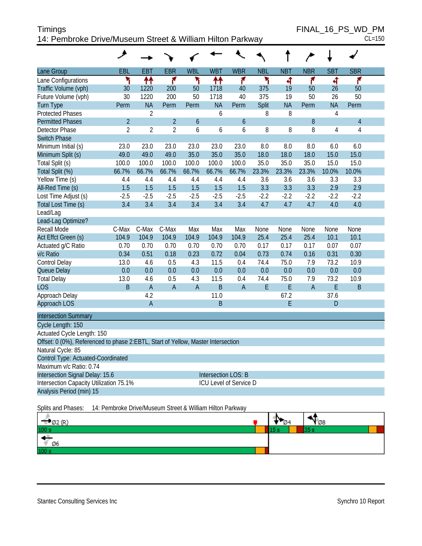| Timings                                                   | FINAL 16 PS WD PM |
|-----------------------------------------------------------|-------------------|
| 14: Pembroke Drive/Museum Street & William Hilton Parkway | $CL = 150$        |

FINAL\_16\_PS\_WD\_PM<br>CL=150

|                                                                                  | ◢                                                         |                |                |                  |                            |                  |            |            |             |                |                |  |
|----------------------------------------------------------------------------------|-----------------------------------------------------------|----------------|----------------|------------------|----------------------------|------------------|------------|------------|-------------|----------------|----------------|--|
| Lane Group                                                                       | EBL                                                       | <b>EBT</b>     | <b>EBR</b>     | <b>WBL</b>       | <b>WBT</b>                 | <b>WBR</b>       | <b>NBL</b> | <b>NBT</b> | <b>NBR</b>  | <b>SBT</b>     | <b>SBR</b>     |  |
| Lane Configurations                                                              | ۲                                                         | ₩              | ۴              | ۲                | ↟↟                         | ۴                | ኻ          | ৰ          | ۴           | 4              | ۴              |  |
| Traffic Volume (vph)                                                             | 30                                                        | 1220           | 200            | 50               | 1718                       | 40               | 375        | 19         | 50          | 26             | 50             |  |
| Future Volume (vph)                                                              | 30                                                        | 1220           | 200            | 50               | 1718                       | 40               | 375        | 19         | 50          | 26             | 50             |  |
| <b>Turn Type</b>                                                                 | Perm                                                      | <b>NA</b>      | Perm           | Perm             | <b>NA</b>                  | Perm             | Split      | <b>NA</b>  | Perm        | <b>NA</b>      | Perm           |  |
| <b>Protected Phases</b>                                                          |                                                           | $\overline{2}$ |                |                  | 6                          |                  | 8          | 8          |             | $\overline{4}$ |                |  |
| <b>Permitted Phases</b>                                                          | $\overline{2}$                                            |                | $\overline{2}$ | $\boldsymbol{6}$ |                            | $\boldsymbol{6}$ |            |            | 8           |                | $\overline{4}$ |  |
| <b>Detector Phase</b>                                                            | $\overline{2}$                                            | $\overline{2}$ | $\overline{2}$ | 6                | 6                          | 6                | 8          | 8          | 8           | 4              | 4              |  |
| <b>Switch Phase</b>                                                              |                                                           |                |                |                  |                            |                  |            |            |             |                |                |  |
| Minimum Initial (s)                                                              | 23.0                                                      | 23.0           | 23.0           | 23.0             | 23.0                       | 23.0             | 8.0        | 8.0        | 8.0         | 6.0            | 6.0            |  |
| Minimum Split (s)                                                                | 49.0                                                      | 49.0           | 49.0           | 35.0             | 35.0                       | 35.0             | 18.0       | 18.0       | 18.0        | 15.0           | 15.0           |  |
| Total Split (s)                                                                  | 100.0                                                     | 100.0          | 100.0          | 100.0            | 100.0                      | 100.0            | 35.0       | 35.0       | 35.0        | 15.0           | 15.0           |  |
| Total Split (%)                                                                  | 66.7%                                                     | 66.7%          | 66.7%          | 66.7%            | 66.7%                      | 66.7%            | 23.3%      | 23.3%      | 23.3%       | 10.0%          | 10.0%          |  |
| Yellow Time (s)                                                                  | 4.4                                                       | 4.4            | 4.4            | 4.4              | 4.4                        | 4.4              | 3.6        | 3.6        | 3.6         | 3.3            | 3.3            |  |
| All-Red Time (s)                                                                 | 1.5                                                       | 1.5            | 1.5            | 1.5              | 1.5                        | 1.5              | 3.3        | 3.3        | 3.3         | 2.9            | 2.9            |  |
| Lost Time Adjust (s)                                                             | $-2.5$                                                    | $-2.5$         | $-2.5$         | $-2.5$           | $-2.5$                     | $-2.5$           | $-2.2$     | $-2.2$     | $-2.2$      | $-2.2$         | $-2.2$         |  |
| Total Lost Time (s)                                                              | 3.4                                                       | 3.4            | 3.4            | 3.4              | 3.4                        | 3.4              | 4.7        | 4.7        | 4.7         | 4.0            | 4.0            |  |
| Lead/Lag                                                                         |                                                           |                |                |                  |                            |                  |            |            |             |                |                |  |
| Lead-Lag Optimize?                                                               |                                                           |                |                |                  |                            |                  |            |            |             |                |                |  |
| Recall Mode                                                                      | C-Max                                                     | C-Max          | C-Max          | Max              | Max                        | Max              | None       | None       | None        | None           | None           |  |
| Act Effct Green (s)                                                              | 104.9                                                     | 104.9          | 104.9          | 104.9            | 104.9                      | 104.9            | 25.4       | 25.4       | 25.4        | 10.1           | 10.1           |  |
| Actuated g/C Ratio                                                               | 0.70                                                      | 0.70           | 0.70           | 0.70             | 0.70                       | 0.70             | 0.17       | 0.17       | 0.17        | 0.07           | 0.07           |  |
| v/c Ratio                                                                        | 0.34                                                      | 0.51           | 0.18           | 0.23             | 0.72                       | 0.04             | 0.73       | 0.74       | 0.16        | 0.31           | 0.30           |  |
| Control Delay                                                                    | 13.0                                                      | 4.6            | 0.5            | 4.3              | 11.5                       | 0.4              | 74.4       | 75.0       | 7.9         | 73.2           | 10.9           |  |
| Queue Delay                                                                      | 0.0                                                       | 0.0            | 0.0            | 0.0              | 0.0                        | 0.0              | 0.0        | 0.0        | 0.0         | 0.0            | 0.0            |  |
| <b>Total Delay</b>                                                               | 13.0                                                      | 4.6            | 0.5            | 4.3              | 11.5                       | 0.4              | 74.4       | 75.0       | 7.9         | 73.2           | 10.9           |  |
| <b>LOS</b>                                                                       | $\mathsf B$                                               | $\mathsf A$    | $\mathsf A$    | $\mathsf A$      | B                          | $\mathsf A$      | E          | E          | $\mathsf A$ | E              | B              |  |
| Approach Delay                                                                   |                                                           | 4.2            |                |                  | 11.0                       |                  |            | 67.2       |             | 37.6           |                |  |
| Approach LOS                                                                     |                                                           | $\mathsf A$    |                |                  | B                          |                  |            | Е          |             | D              |                |  |
| <b>Intersection Summary</b>                                                      |                                                           |                |                |                  |                            |                  |            |            |             |                |                |  |
| Cycle Length: 150                                                                |                                                           |                |                |                  |                            |                  |            |            |             |                |                |  |
| Actuated Cycle Length: 150                                                       |                                                           |                |                |                  |                            |                  |            |            |             |                |                |  |
| Offset: 0 (0%), Referenced to phase 2:EBTL, Start of Yellow, Master Intersection |                                                           |                |                |                  |                            |                  |            |            |             |                |                |  |
| Natural Cycle: 85                                                                |                                                           |                |                |                  |                            |                  |            |            |             |                |                |  |
| Control Type: Actuated-Coordinated                                               |                                                           |                |                |                  |                            |                  |            |            |             |                |                |  |
| Maximum v/c Ratio: 0.74                                                          |                                                           |                |                |                  |                            |                  |            |            |             |                |                |  |
| Intersection Signal Delay: 15.6                                                  |                                                           |                |                |                  | <b>Intersection LOS: B</b> |                  |            |            |             |                |                |  |
| Intersection Capacity Utilization 75.1%                                          |                                                           |                |                |                  | ICU Level of Service D     |                  |            |            |             |                |                |  |
| Analysis Period (min) 15                                                         |                                                           |                |                |                  |                            |                  |            |            |             |                |                |  |
| Splits and Phases:                                                               | 14: Pembroke Drive/Museum Street & William Hilton Parkway |                |                |                  |                            |                  |            |            |             |                |                |  |

| $\Rightarrow$ 02 (R) | т.<br>$\varnothing$ 4 | $\mathbf{v}_{\varnothing 8}$ |
|----------------------|-----------------------|------------------------------|
| 100 s                |                       | $-1$                         |
| -43<br>7 Ø6<br>w     |                       |                              |
| 100s                 |                       |                              |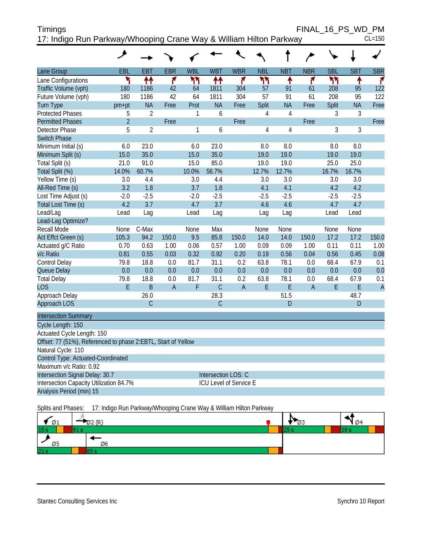| <b>Timings</b>                                                     | FINAL 16 PS WD PM |            |  |
|--------------------------------------------------------------------|-------------------|------------|--|
| 17: Indigo Run Parkway/Whooping Crane Way & William Hilton Parkway |                   | $CL = 150$ |  |

|                                                               | ᢣ              |                |                |              |                               |                |                |                | $\overline{\phantom{a}}$ |            |            |                |
|---------------------------------------------------------------|----------------|----------------|----------------|--------------|-------------------------------|----------------|----------------|----------------|--------------------------|------------|------------|----------------|
| Lane Group                                                    | EBL            | EBT            | <b>EBR</b>     | <b>WBL</b>   | <b>WBT</b>                    | <b>WBR</b>     | <b>NBL</b>     | <b>NBT</b>     | <b>NBR</b>               | <b>SBL</b> | <b>SBT</b> | <b>SBR</b>     |
| Lane Configurations                                           | ۳              | 林              | ۴              | ካኘ           | ቶቶ                            | ۴              | ካነ             | ٠              | ۴                        | ۲٢         | ۸          | ۴              |
| Traffic Volume (vph)                                          | 180            | 1186           | 42             | 64           | 1811                          | 304            | 57             | 91             | 61                       | 208        | 95         | 122            |
| Future Volume (vph)                                           | 180            | 1186           | 42             | 64           | 1811                          | 304            | 57             | 91             | 61                       | 208        | 95         | 122            |
| <b>Turn Type</b>                                              | pm+pt          | <b>NA</b>      | Free           | Prot         | <b>NA</b>                     | Free           | Split          | <b>NA</b>      | Free                     | Split      | <b>NA</b>  | Free           |
| <b>Protected Phases</b>                                       | 5              | $\overline{2}$ |                | $\mathbf{1}$ | 6                             |                | 4              | $\overline{4}$ |                          | 3          | 3          |                |
| <b>Permitted Phases</b>                                       | $\overline{2}$ |                | Free           |              |                               | Free           |                |                | Free                     |            |            | Free           |
| <b>Detector Phase</b>                                         | 5              | $\overline{2}$ |                | $\mathbf{1}$ | 6                             |                | $\overline{4}$ | $\overline{4}$ |                          | 3          | 3          |                |
| <b>Switch Phase</b>                                           |                |                |                |              |                               |                |                |                |                          |            |            |                |
| Minimum Initial (s)                                           | 6.0            | 23.0           |                | 6.0          | 23.0                          |                | 8.0            | 8.0            |                          | 8.0        | 8.0        |                |
| Minimum Split (s)                                             | 15.0           | 35.0           |                | 15.0         | 35.0                          |                | 19.0           | 19.0           |                          | 19.0       | 19.0       |                |
| Total Split (s)                                               | 21.0           | 91.0           |                | 15.0         | 85.0                          |                | 19.0           | 19.0           |                          | 25.0       | 25.0       |                |
| Total Split (%)                                               | 14.0%          | 60.7%          |                | 10.0%        | 56.7%                         |                | 12.7%          | 12.7%          |                          | 16.7%      | 16.7%      |                |
| Yellow Time (s)                                               | 3.0            | 4.4            |                | 3.0          | 4.4                           |                | 3.0            | 3.0            |                          | 3.0        | 3.0        |                |
| All-Red Time (s)                                              | 3.2            | 1.8            |                | 3.7          | 1.8                           |                | 4.1            | 4.1            |                          | 4.2        | 4.2        |                |
| Lost Time Adjust (s)                                          | $-2.0$         | $-2.5$         |                | $-2.0$       | $-2.5$                        |                | $-2.5$         | $-2.5$         |                          | $-2.5$     | $-2.5$     |                |
| Total Lost Time (s)                                           | 4.2            | 3.7            |                | 4.7          | 3.7                           |                | 4.6            | 4.6            |                          | 4.7        | 4.7        |                |
| Lead/Lag                                                      | Lead           | Lag            |                | Lead         | Lag                           |                | Lag            | Lag            |                          | Lead       | Lead       |                |
| Lead-Lag Optimize?                                            |                |                |                |              |                               |                |                |                |                          |            |            |                |
| <b>Recall Mode</b>                                            | None           | C-Max          |                | None         | Max                           |                | None           | None           |                          | None       | None       |                |
| Act Effct Green (s)                                           | 105.3          | 94.2           | 150.0          | 9.5          | 85.8                          | 150.0          | 14.0           | 14.0           | 150.0                    | 17.2       | 17.2       | 150.0          |
| Actuated g/C Ratio                                            | 0.70           | 0.63           | 1.00           | 0.06         | 0.57                          | 1.00           | 0.09           | 0.09           | 1.00                     | 0.11       | 0.11       | 1.00           |
| v/c Ratio                                                     | 0.81           | 0.55           | 0.03           | 0.32         | 0.92                          | 0.20           | 0.19           | 0.56           | 0.04                     | 0.56       | 0.45       | 0.08           |
| Control Delay                                                 | 79.8           | 18.8           | 0.0            | 81.7         | 31.1                          | 0.2            | 63.8           | 78.1           | 0.0                      | 68.4       | 67.9       | 0.1            |
| Queue Delay                                                   | 0.0            | 0.0            | 0.0            | 0.0          | 0.0                           | 0.0            | 0.0            | 0.0            | 0.0                      | 0.0        | 0.0        | 0.0            |
| <b>Total Delay</b>                                            | 79.8           | 18.8           | 0.0            | 81.7         | 31.1                          | 0.2            | 63.8           | 78.1           | 0.0                      | 68.4       | 67.9       | 0.1            |
| <b>LOS</b>                                                    | E              | $\mathsf B$    | $\overline{A}$ | F            | $\mathsf{C}$                  | $\overline{A}$ | E              | E              | $\overline{A}$           | E          | E          | $\overline{A}$ |
| Approach Delay                                                |                | 26.0           |                |              | 28.3                          |                |                | 51.5           |                          |            | 48.7       |                |
| Approach LOS                                                  |                | $\mathsf{C}$   |                |              | $\mathcal{C}$                 |                |                | D              |                          |            | D          |                |
| <b>Intersection Summary</b>                                   |                |                |                |              |                               |                |                |                |                          |            |            |                |
| Cycle Length: 150                                             |                |                |                |              |                               |                |                |                |                          |            |            |                |
| Actuated Cycle Length: 150                                    |                |                |                |              |                               |                |                |                |                          |            |            |                |
| Offset: 77 (51%), Referenced to phase 2:EBTL, Start of Yellow |                |                |                |              |                               |                |                |                |                          |            |            |                |
| Natural Cycle: 110                                            |                |                |                |              |                               |                |                |                |                          |            |            |                |
| Control Type: Actuated-Coordinated                            |                |                |                |              |                               |                |                |                |                          |            |            |                |
| Maximum v/c Ratio: 0.92                                       |                |                |                |              |                               |                |                |                |                          |            |            |                |
| Intersection Signal Delay: 30.7                               |                |                |                |              | Intersection LOS: C           |                |                |                |                          |            |            |                |
| Intersection Capacity Utilization 84.7%                       |                |                |                |              | <b>ICU Level of Service E</b> |                |                |                |                          |            |            |                |
| Analysis Period (min) 15                                      |                |                |                |              |                               |                |                |                |                          |            |            |                |
|                                                               |                |                |                |              |                               |                |                |                |                          |            |            |                |

Splits and Phases: 17: Indigo Run Parkway/Whooping Crane Way & William Hilton Parkway

| Ø1              | ום/ כו | כש | Ø4 |  |
|-----------------|--------|----|----|--|
| 15 s            |        |    |    |  |
| כש              | Ø6     |    |    |  |
| 21 <sub>s</sub> |        |    |    |  |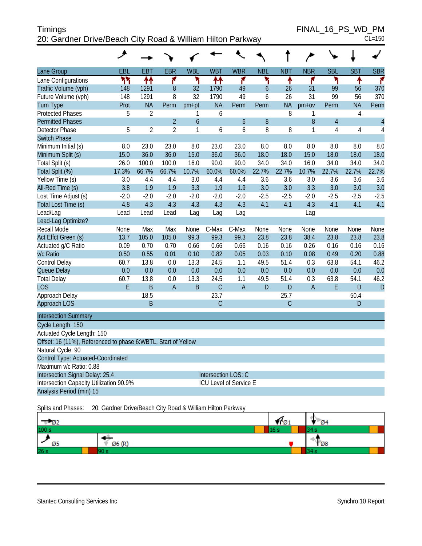| <b>Timings</b>                                             | FINAL 16 PS WD PM |
|------------------------------------------------------------|-------------------|
| 20: Gardner Drive/Beach City Road & William Hilton Parkway | $CL = 150$        |

 $FINAL_16_PS_WD_PM$ <br>CL=150

|                                                               | ᢣ                                                          |                |                |                  |             |                        |                  |             |                |                |                |                          |
|---------------------------------------------------------------|------------------------------------------------------------|----------------|----------------|------------------|-------------|------------------------|------------------|-------------|----------------|----------------|----------------|--------------------------|
| Lane Group                                                    | EBL                                                        | <b>EBT</b>     | <b>EBR</b>     | <b>WBL</b>       | <b>WBT</b>  | <b>WBR</b>             | <b>NBL</b>       | <b>NBT</b>  | <b>NBR</b>     | <b>SBL</b>     | <b>SBT</b>     | <b>SBR</b>               |
| Lane Configurations                                           | ካካ                                                         | ↑↑             | ۴              | ۲                | ↟↟          | ۴                      | ۲                | ↟           | ۴              | ۲              | ↟              | ۴                        |
| Traffic Volume (vph)                                          | 148                                                        | 1291           | $\, 8$         | 32               | 1790        | 49                     | $\boldsymbol{6}$ | 26          | 31             | 99             | 56             | 370                      |
| Future Volume (vph)                                           | 148                                                        | 1291           | 8              | 32               | 1790        | 49                     | 6                | 26          | 31             | 99             | 56             | 370                      |
| Turn Type                                                     | Prot                                                       | <b>NA</b>      | Perm           | $pm+pt$          | <b>NA</b>   | Perm                   | Perm             | <b>NA</b>   | $pm+ov$        | Perm           | <b>NA</b>      | Perm                     |
| <b>Protected Phases</b>                                       | 5                                                          | $\overline{2}$ |                | 1                | 6           |                        |                  | 8           | 1              |                | $\sqrt{4}$     |                          |
| <b>Permitted Phases</b>                                       |                                                            |                | $\overline{2}$ | $\boldsymbol{6}$ |             | $\boldsymbol{6}$       | $\, 8$           |             | 8              | $\overline{4}$ |                | $\overline{\mathcal{L}}$ |
| Detector Phase                                                | 5                                                          | $\overline{2}$ | $\overline{2}$ | 1                | 6           | 6                      | 8                | 8           | 1              | 4              | $\overline{4}$ | $\overline{4}$           |
| <b>Switch Phase</b>                                           |                                                            |                |                |                  |             |                        |                  |             |                |                |                |                          |
| Minimum Initial (s)                                           | 8.0                                                        | 23.0           | 23.0           | 8.0              | 23.0        | 23.0                   | 8.0              | 8.0         | 8.0            | 8.0            | 8.0            | 8.0                      |
| Minimum Split (s)                                             | 15.0                                                       | 36.0           | 36.0           | 15.0             | 36.0        | 36.0                   | 18.0             | 18.0        | 15.0           | 18.0           | 18.0           | 18.0                     |
| Total Split (s)                                               | 26.0                                                       | 100.0          | 100.0          | 16.0             | 90.0        | 90.0                   | 34.0             | 34.0        | 16.0           | 34.0           | 34.0           | 34.0                     |
| Total Split (%)                                               | 17.3%                                                      | 66.7%          | 66.7%          | 10.7%            | 60.0%       | 60.0%                  | 22.7%            | 22.7%       | 10.7%          | 22.7%          | 22.7%          | 22.7%                    |
| Yellow Time (s)                                               | 3.0                                                        | 4.4            | 4.4            | 3.0              | 4.4         | 4.4                    | 3.6              | 3.6         | 3.0            | 3.6            | 3.6            | 3.6                      |
| All-Red Time (s)                                              | 3.8                                                        | 1.9            | 1.9            | 3.3              | 1.9         | 1.9                    | 3.0              | 3.0         | 3.3            | 3.0            | 3.0            | 3.0                      |
| Lost Time Adjust (s)                                          | $-2.0$                                                     | $-2.0$         | $-2.0$         | $-2.0$           | $-2.0$      | $-2.0$                 | $-2.5$           | $-2.5$      | $-2.0$         | $-2.5$         | $-2.5$         | $-2.5$                   |
| Total Lost Time (s)                                           | 4.8                                                        | 4.3            | 4.3            | 4.3              | 4.3         | 4.3                    | 4.1              | 4.1         | 4.3            | 4.1            | 4.1            | 4.1                      |
| Lead/Lag                                                      | Lead                                                       | Lead           | Lead           | Lag              | Lag         | Lag                    |                  |             | Lag            |                |                |                          |
| Lead-Lag Optimize?                                            |                                                            |                |                |                  |             |                        |                  |             |                |                |                |                          |
| Recall Mode                                                   | None                                                       | Max            | Max            | None             | C-Max       | C-Max                  | None             | None        | None           | None           | None           | None                     |
| Act Effct Green (s)                                           | 13.7                                                       | 105.0          | 105.0          | 99.3             | 99.3        | 99.3                   | 23.8             | 23.8        | 38.4           | 23.8           | 23.8           | 23.8                     |
| Actuated g/C Ratio                                            | 0.09                                                       | 0.70           | 0.70           | 0.66             | 0.66        | 0.66                   | 0.16             | 0.16        | 0.26           | 0.16           | 0.16           | 0.16                     |
| v/c Ratio                                                     | 0.50                                                       | 0.55           | 0.01           | 0.10             | 0.82        | 0.05                   | 0.03             | 0.10        | 0.08           | 0.49           | 0.20           | 0.88                     |
| Control Delay                                                 | 60.7                                                       | 13.8           | 0.0            | 13.3             | 24.5        | 1.1                    | 49.5             | 51.4        | 0.3            | 63.8           | 54.1           | 46.2                     |
| Queue Delay                                                   | 0.0                                                        | 0.0            | 0.0            | 0.0              | 0.0         | 0.0                    | 0.0              | 0.0         | 0.0            | 0.0            | 0.0            | 0.0                      |
| <b>Total Delay</b>                                            | 60.7                                                       | 13.8           | $0.0\,$        | 13.3             | 24.5        | 1.1                    | 49.5             | 51.4        | 0.3            | 63.8           | 54.1           | 46.2                     |
| <b>LOS</b>                                                    | E                                                          | $\mathsf B$    | $\overline{A}$ | $\sf B$          | $\mathsf C$ | $\mathsf A$            | D                | D           | $\overline{A}$ | E              | D              | $\mathsf{D}$             |
| Approach Delay                                                |                                                            | 18.5           |                |                  | 23.7        |                        |                  | 25.7        |                |                | 50.4           |                          |
| <b>Approach LOS</b>                                           |                                                            | $\mathsf B$    |                |                  | $\mathsf C$ |                        |                  | $\mathsf C$ |                |                | ${\sf D}$      |                          |
| <b>Intersection Summary</b>                                   |                                                            |                |                |                  |             |                        |                  |             |                |                |                |                          |
| Cycle Length: 150                                             |                                                            |                |                |                  |             |                        |                  |             |                |                |                |                          |
| Actuated Cycle Length: 150                                    |                                                            |                |                |                  |             |                        |                  |             |                |                |                |                          |
| Offset: 16 (11%), Referenced to phase 6:WBTL, Start of Yellow |                                                            |                |                |                  |             |                        |                  |             |                |                |                |                          |
| Natural Cycle: 90                                             |                                                            |                |                |                  |             |                        |                  |             |                |                |                |                          |
| Control Type: Actuated-Coordinated                            |                                                            |                |                |                  |             |                        |                  |             |                |                |                |                          |
| Maximum v/c Ratio: 0.88                                       |                                                            |                |                |                  |             |                        |                  |             |                |                |                |                          |
| Intersection Signal Delay: 25.4                               |                                                            |                |                |                  |             | Intersection LOS: C    |                  |             |                |                |                |                          |
| Intersection Capacity Utilization 90.9%                       |                                                            |                |                |                  |             | ICU Level of Service E |                  |             |                |                |                |                          |
| Analysis Period (min) 15                                      |                                                            |                |                |                  |             |                        |                  |             |                |                |                |                          |
| Splits and Phases:                                            | 20: Gardner Drive/Beach City Road & William Hilton Parkway |                |                |                  |             |                        |                  |             |                |                |                |                          |



Stantec Consulting Services Inc **Synchro 10 Report** Synchro 10 Report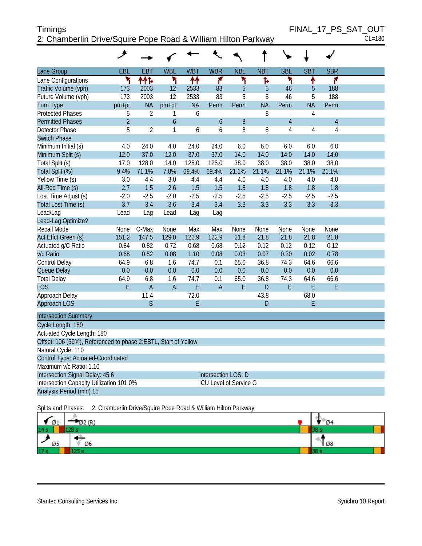# Timings Timings FINAL\_17\_PS\_SAT\_OUT 2: Chamberlin Drive/Squire Pope Road & William Hilton Parkway CL=180

|                                                                | ᢣ              |                |                |            |                        |            |            |                |                |                |  |
|----------------------------------------------------------------|----------------|----------------|----------------|------------|------------------------|------------|------------|----------------|----------------|----------------|--|
| Lane Group                                                     | EBL            | EBT            | <b>WBL</b>     | <b>WBT</b> | <b>WBR</b>             | <b>NBL</b> | <b>NBT</b> | <b>SBL</b>     | <b>SBT</b>     | <b>SBR</b>     |  |
| Lane Configurations                                            | ۲              | ተተኈ            | ۲              | ቶቶ         | ۴                      | ۲          | ħ          | ۲              | ۰              | 7              |  |
| Traffic Volume (vph)                                           | 173            | 2003           | 12             | 2533       | 83                     | 5          | 5          | 46             | 5              | 188            |  |
| Future Volume (vph)                                            | 173            | 2003           | 12             | 2533       | 83                     | 5          | 5          | 46             | 5              | 188            |  |
| <b>Turn Type</b>                                               | pm+pt          | <b>NA</b>      | pm+pt          | <b>NA</b>  | Perm                   | Perm       | <b>NA</b>  | Perm           | <b>NA</b>      | Perm           |  |
| <b>Protected Phases</b>                                        | 5              | $\overline{2}$ | 1              | 6          |                        |            | 8          |                | $\overline{4}$ |                |  |
| <b>Permitted Phases</b>                                        | $\overline{2}$ |                | $\mathfrak b$  |            | $\boldsymbol{6}$       | 8          |            | $\overline{4}$ |                | $\overline{4}$ |  |
| <b>Detector Phase</b>                                          | 5              | $\overline{2}$ | 1              | 6          | 6                      | 8          | 8          | $\overline{4}$ | $\overline{4}$ | $\overline{4}$ |  |
| <b>Switch Phase</b>                                            |                |                |                |            |                        |            |            |                |                |                |  |
| Minimum Initial (s)                                            | 4.0            | 24.0           | 4.0            | 24.0       | 24.0                   | 6.0        | 6.0        | 6.0            | 6.0            | 6.0            |  |
| Minimum Split (s)                                              | 12.0           | 37.0           | 12.0           | 37.0       | 37.0                   | 14.0       | 14.0       | 14.0           | 14.0           | 14.0           |  |
| Total Split (s)                                                | 17.0           | 128.0          | 14.0           | 125.0      | 125.0                  | 38.0       | 38.0       | 38.0           | 38.0           | 38.0           |  |
| Total Split (%)                                                | 9.4%           | 71.1%          | 7.8%           | 69.4%      | 69.4%                  | 21.1%      | 21.1%      | 21.1%          | 21.1%          | 21.1%          |  |
| Yellow Time (s)                                                | 3.0            | 4.4            | 3.0            | 4.4        | 4.4                    | 4.0        | 4.0        | 4.0            | 4.0            | 4.0            |  |
| All-Red Time (s)                                               | 2.7            | 1.5            | 2.6            | 1.5        | 1.5                    | 1.8        | 1.8        | 1.8            | 1.8            | 1.8            |  |
| Lost Time Adjust (s)                                           | $-2.0$         | $-2.5$         | $-2.0$         | $-2.5$     | $-2.5$                 | $-2.5$     | $-2.5$     | $-2.5$         | $-2.5$         | $-2.5$         |  |
| Total Lost Time (s)                                            | 3.7            | 3.4            | 3.6            | 3.4        | 3.4                    | 3.3        | 3.3        | 3.3            | 3.3            | 3.3            |  |
| Lead/Lag                                                       | Lead           | Lag            | Lead           | Lag        | Lag                    |            |            |                |                |                |  |
| Lead-Lag Optimize?                                             |                |                |                |            |                        |            |            |                |                |                |  |
| <b>Recall Mode</b>                                             | None           | C-Max          | None           | Max        | Max                    | None       | None       | None           | None           | None           |  |
| Act Effct Green (s)                                            | 151.2          | 147.5          | 129.0          | 122.9      | 122.9                  | 21.8       | 21.8       | 21.8           | 21.8           | 21.8           |  |
| Actuated g/C Ratio                                             | 0.84           | 0.82           | 0.72           | 0.68       | 0.68                   | 0.12       | 0.12       | 0.12           | 0.12           | 0.12           |  |
| v/c Ratio                                                      | 0.68           | 0.52           | 0.08           | 1.10       | 0.08                   | 0.03       | 0.07       | 0.30           | 0.02           | 0.78           |  |
| Control Delay                                                  | 64.9           | 6.8            | 1.6            | 74.7       | 0.1                    | 65.0       | 36.8       | 74.3           | 64.6           | 66.6           |  |
| Queue Delay                                                    | 0.0            | 0.0            | 0.0            | 0.0        | 0.0                    | 0.0        | 0.0        | 0.0            | 0.0            | 0.0            |  |
| <b>Total Delay</b>                                             | 64.9           | 6.8            | 1.6            | 74.7       | 0.1                    | 65.0       | 36.8       | 74.3           | 64.6           | 66.6           |  |
| <b>LOS</b>                                                     | E              | $\overline{A}$ | $\overline{A}$ | E          | $\overline{A}$         | E          | D.         | E              | E              | F              |  |
| Approach Delay                                                 |                | 11.4           |                | 72.0       |                        |            | 43.8       |                | 68.0           |                |  |
| Approach LOS                                                   |                | B              |                | E          |                        |            | D          |                | E              |                |  |
| <b>Intersection Summary</b>                                    |                |                |                |            |                        |            |            |                |                |                |  |
| Cycle Length: 180                                              |                |                |                |            |                        |            |            |                |                |                |  |
| Actuated Cycle Length: 180                                     |                |                |                |            |                        |            |            |                |                |                |  |
| Offset: 106 (59%), Referenced to phase 2:EBTL, Start of Yellow |                |                |                |            |                        |            |            |                |                |                |  |
| Natural Cycle: 110                                             |                |                |                |            |                        |            |            |                |                |                |  |
| Control Type: Actuated-Coordinated                             |                |                |                |            |                        |            |            |                |                |                |  |
| Maximum v/c Ratio: 1.10                                        |                |                |                |            |                        |            |            |                |                |                |  |
| Intersection Signal Delay: 45.6                                |                |                |                |            | Intersection LOS: D    |            |            |                |                |                |  |
| Intersection Capacity Utilization 101.0%                       |                |                |                |            | ICU Level of Service G |            |            |                |                |                |  |
| Analysis Period (min) 15                                       |                |                |                |            |                        |            |            |                |                |                |  |

Splits and Phases: 2: Chamberlin Drive/Squire Pope Road & William Hilton Parkway

| Ø1              | 02(R) | <b>Ø4</b> |
|-----------------|-------|-----------|
| 14s             |       |           |
| Ø5              | Ø6    | ¶ Ø8      |
| 17 <sub>s</sub> | --    |           |

Stantec Consulting Services Inc **Synchro 10 Report** Synchro 10 Report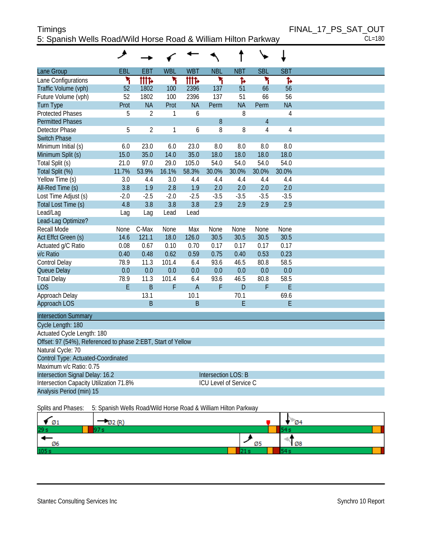# Timings Timings FINAL\_17\_PS\_SAT\_OUT 5: Spanish Wells Road/Wild Horse Road & William Hilton Parkway CL=180

|                                                              | عر     |                |            |                |                            |                               |                |                |  |
|--------------------------------------------------------------|--------|----------------|------------|----------------|----------------------------|-------------------------------|----------------|----------------|--|
| Lane Group                                                   | EBL    | EBT            | <b>WBL</b> | <b>WBT</b>     | <b>NBL</b>                 | <b>NBT</b>                    | <b>SBL</b>     | <b>SBT</b>     |  |
| Lane Configurations                                          | ۲      | <b>itite</b>   | ۲          | <b>iiit</b> d  | ۲                          | Ъ                             | ۲              | Ъ              |  |
| Traffic Volume (vph)                                         | 52     | 1802           | 100        | 2396           | 137                        | 51                            | 66             | 56             |  |
| Future Volume (vph)                                          | 52     | 1802           | 100        | 2396           | 137                        | 51                            | 66             | 56             |  |
| <b>Turn Type</b>                                             | Prot   | <b>NA</b>      | Prot       | <b>NA</b>      | Perm                       | <b>NA</b>                     | Perm           | <b>NA</b>      |  |
| Protected Phases                                             | 5      | $\overline{2}$ | 1          | 6              |                            | 8                             |                | 4              |  |
| <b>Permitted Phases</b>                                      |        |                |            |                | 8                          |                               | $\overline{4}$ |                |  |
| <b>Detector Phase</b>                                        | 5      | $\overline{2}$ | 1          | 6              | 8                          | 8                             | $\overline{4}$ | $\overline{4}$ |  |
| <b>Switch Phase</b>                                          |        |                |            |                |                            |                               |                |                |  |
| Minimum Initial (s)                                          | 6.0    | 23.0           | 6.0        | 23.0           | 8.0                        | 8.0                           | 8.0            | 8.0            |  |
| Minimum Split (s)                                            | 15.0   | 35.0           | 14.0       | 35.0           | 18.0                       | 18.0                          | 18.0           | 18.0           |  |
| Total Split (s)                                              | 21.0   | 97.0           | 29.0       | 105.0          | 54.0                       | 54.0                          | 54.0           | 54.0           |  |
| Total Split (%)                                              | 11.7%  | 53.9%          | 16.1%      | 58.3%          | 30.0%                      | 30.0%                         | 30.0%          | 30.0%          |  |
| Yellow Time (s)                                              | 3.0    | 4.4            | 3.0        | 4.4            | 4.4                        | 4.4                           | 4.4            | 4.4            |  |
| All-Red Time (s)                                             | 3.8    | 1.9            | 2.8        | 1.9            | 2.0                        | 2.0                           | 2.0            | 2.0            |  |
| Lost Time Adjust (s)                                         | $-2.0$ | $-2.5$         | $-2.0$     | $-2.5$         | $-3.5$                     | $-3.5$                        | $-3.5$         | $-3.5$         |  |
| Total Lost Time (s)                                          | 4.8    | 3.8            | 3.8        | 3.8            | 2.9                        | 2.9                           | 2.9            | 2.9            |  |
| Lead/Lag                                                     | Lag    | Lag            | Lead       | Lead           |                            |                               |                |                |  |
| Lead-Lag Optimize?                                           |        |                |            |                |                            |                               |                |                |  |
| Recall Mode                                                  | None   | C-Max          | None       | Max            | None                       | None                          | None           | None           |  |
| Act Effct Green (s)                                          | 14.6   | 121.1          | 18.0       | 126.0          | 30.5                       | 30.5                          | 30.5           | 30.5           |  |
| Actuated g/C Ratio                                           | 0.08   | 0.67           | 0.10       | 0.70           | 0.17                       | 0.17                          | 0.17           | 0.17           |  |
| v/c Ratio                                                    | 0.40   | 0.48           | 0.62       | 0.59           | 0.75                       | 0.40                          | 0.53           | 0.23           |  |
| Control Delay                                                | 78.9   | 11.3           | 101.4      | 6.4            | 93.6                       | 46.5                          | 80.8           | 58.5           |  |
| Queue Delay                                                  | 0.0    | 0.0            | 0.0        | 0.0            | 0.0                        | 0.0                           | 0.0            | 0.0            |  |
| <b>Total Delay</b>                                           | 78.9   | 11.3           | 101.4      | 6.4            | 93.6                       | 46.5                          | 80.8           | 58.5           |  |
| <b>LOS</b>                                                   | E      | $\overline{B}$ | F          | $\overline{A}$ | F                          | $\mathsf{D}$                  | F              | E              |  |
| Approach Delay                                               |        | 13.1           |            | 10.1           |                            | 70.1                          |                | 69.6           |  |
| Approach LOS                                                 |        | B              |            | B              |                            | E                             |                | E              |  |
| <b>Intersection Summary</b>                                  |        |                |            |                |                            |                               |                |                |  |
| Cycle Length: 180                                            |        |                |            |                |                            |                               |                |                |  |
| Actuated Cycle Length: 180                                   |        |                |            |                |                            |                               |                |                |  |
| Offset: 97 (54%), Referenced to phase 2:EBT, Start of Yellow |        |                |            |                |                            |                               |                |                |  |
| Natural Cycle: 70                                            |        |                |            |                |                            |                               |                |                |  |
| Control Type: Actuated-Coordinated                           |        |                |            |                |                            |                               |                |                |  |
| Maximum v/c Ratio: 0.75                                      |        |                |            |                |                            |                               |                |                |  |
| Intersection Signal Delay: 16.2                              |        |                |            |                | <b>Intersection LOS: B</b> |                               |                |                |  |
| Intersection Capacity Utilization 71.8%                      |        |                |            |                |                            | <b>ICU Level of Service C</b> |                |                |  |
| Analysis Period (min) 15                                     |        |                |            |                |                            |                               |                |                |  |
|                                                              |        |                |            |                |                            |                               |                |                |  |

Splits and Phases: 5: Spanish Wells Road/Wild Horse Road & William Hilton Parkway

| Ø1              |    | $\mathcal{D}$ 4 |
|-----------------|----|-----------------|
| 29 <sub>s</sub> |    |                 |
| Ø6              | Ø5 | N Ø8            |
| 105s            |    |                 |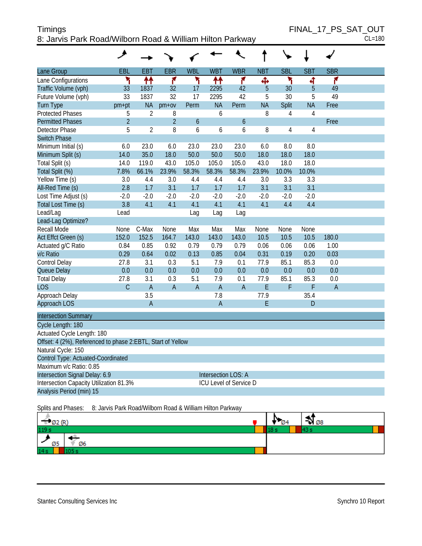#### Timings Timings FINAL\_17\_PS\_SAT\_OUT 8: Jarvis Park Road/Wilborn Road & William Hilton Parkway CL=180

|                                                             | خر             |                |                |                |                               |                |             |              |                |                |  |
|-------------------------------------------------------------|----------------|----------------|----------------|----------------|-------------------------------|----------------|-------------|--------------|----------------|----------------|--|
| Lane Group                                                  | EBL            | EBT            | <b>EBR</b>     | <b>WBL</b>     | <b>WBT</b>                    | <b>WBR</b>     | <b>NBT</b>  | <b>SBL</b>   | <b>SBT</b>     | <b>SBR</b>     |  |
| Lane Configurations                                         | ۲              | ₩              | 7              | ۳              | ተተ                            | ۴              | Ф           | ۲            | 4              | ۴              |  |
| Traffic Volume (vph)                                        | 33             | 1837           | 32             | 17             | 2295                          | 42             | 5           | 30           | 5              | 49             |  |
| Future Volume (vph)                                         | 33             | 1837           | 32             | 17             | 2295                          | 42             | 5           | 30           | 5              | 49             |  |
| <b>Turn Type</b>                                            | pm+pt          | <b>NA</b>      | $pm+ov$        | Perm           | <b>NA</b>                     | Perm           | <b>NA</b>   | <b>Split</b> | <b>NA</b>      | Free           |  |
| <b>Protected Phases</b>                                     | 5              | 2              | 8              |                | 6                             |                | 8           | 4            | 4              |                |  |
| <b>Permitted Phases</b>                                     | $\overline{2}$ |                | $\overline{2}$ | 6              |                               | 6              |             |              |                | Free           |  |
| Detector Phase                                              | 5              | $\overline{2}$ | 8              | 6              | 6                             | 6              | 8           | 4            | $\overline{4}$ |                |  |
| <b>Switch Phase</b>                                         |                |                |                |                |                               |                |             |              |                |                |  |
| Minimum Initial (s)                                         | 6.0            | 23.0           | 6.0            | 23.0           | 23.0                          | 23.0           | 6.0         | 8.0          | 8.0            |                |  |
| Minimum Split (s)                                           | 14.0           | 35.0           | 18.0           | 50.0           | 50.0                          | 50.0           | 18.0        | 18.0         | 18.0           |                |  |
| Total Split (s)                                             | 14.0           | 119.0          | 43.0           | 105.0          | 105.0                         | 105.0          | 43.0        | 18.0         | 18.0           |                |  |
| Total Split (%)                                             | 7.8%           | 66.1%          | 23.9%          | 58.3%          | 58.3%                         | 58.3%          | 23.9%       | 10.0%        | 10.0%          |                |  |
| Yellow Time (s)                                             | 3.0            | 4.4            | 3.0            | 4.4            | 4.4                           | 4.4            | 3.0         | 3.3          | 3.3            |                |  |
| All-Red Time (s)                                            | 2.8            | 1.7            | 3.1            | 1.7            | 1.7                           | 1.7            | 3.1         | 3.1          | 3.1            |                |  |
| Lost Time Adjust (s)                                        | $-2.0$         | $-2.0$         | $-2.0$         | $-2.0$         | $-2.0$                        | $-2.0$         | $-2.0$      | $-2.0$       | $-2.0$         |                |  |
| Total Lost Time (s)                                         | 3.8            | 4.1            | 4.1            | 4.1            | 4.1                           | 4.1            | 4.1         | 4.4          | 4.4            |                |  |
| Lead/Lag                                                    | Lead           |                |                | Lag            | Lag                           | Lag            |             |              |                |                |  |
| Lead-Lag Optimize?                                          |                |                |                |                |                               |                |             |              |                |                |  |
| Recall Mode                                                 | None           | C-Max          | None           | Max            | Max                           | Max            | None        | None         | None           |                |  |
| Act Effct Green (s)                                         | 152.0          | 152.5          | 164.7          | 143.0          | 143.0                         | 143.0          | 10.5        | 10.5         | 10.5           | 180.0          |  |
| Actuated g/C Ratio                                          | 0.84           | 0.85           | 0.92           | 0.79           | 0.79                          | 0.79           | 0.06        | 0.06         | 0.06           | 1.00           |  |
| v/c Ratio                                                   | 0.29           | 0.64           | 0.02           | 0.13           | 0.85                          | 0.04           | 0.31        | 0.19         | 0.20           | 0.03           |  |
| Control Delay                                               | 27.8           | 3.1            | 0.3            | 5.1            | 7.9                           | 0.1            | 77.9        | 85.1         | 85.3           | 0.0            |  |
| Queue Delay                                                 | 0.0            | 0.0            | 0.0            | 0.0            | 0.0                           | 0.0            | 0.0         | 0.0          | 0.0            | 0.0            |  |
| <b>Total Delay</b>                                          | 27.8           | 3.1            | 0.3            | 5.1            | 7.9                           | 0.1            | 77.9        | 85.1         | 85.3           | 0.0            |  |
| <b>LOS</b>                                                  | $\mathcal{C}$  | $\overline{A}$ | $\overline{A}$ | $\overline{A}$ | $\overline{A}$                | $\overline{A}$ | $\mathsf E$ | F            | F              | $\overline{A}$ |  |
| Approach Delay                                              |                | 3.5            |                |                | 7.8                           |                | 77.9        |              | 35.4           |                |  |
| Approach LOS                                                |                | $\overline{A}$ |                |                | $\overline{A}$                |                | E           |              | D              |                |  |
| <b>Intersection Summary</b>                                 |                |                |                |                |                               |                |             |              |                |                |  |
| Cycle Length: 180                                           |                |                |                |                |                               |                |             |              |                |                |  |
| Actuated Cycle Length: 180                                  |                |                |                |                |                               |                |             |              |                |                |  |
| Offset: 4 (2%), Referenced to phase 2:EBTL, Start of Yellow |                |                |                |                |                               |                |             |              |                |                |  |
| Natural Cycle: 150                                          |                |                |                |                |                               |                |             |              |                |                |  |
| Control Type: Actuated-Coordinated                          |                |                |                |                |                               |                |             |              |                |                |  |
| Maximum v/c Ratio: 0.85                                     |                |                |                |                |                               |                |             |              |                |                |  |
| Intersection Signal Delay: 6.9                              |                |                |                |                | <b>Intersection LOS: A</b>    |                |             |              |                |                |  |
| Intersection Capacity Utilization 81.3%                     |                |                |                |                | <b>ICU Level of Service D</b> |                |             |              |                |                |  |
| Analysis Period (min) 15                                    |                |                |                |                |                               |                |             |              |                |                |  |

Splits and Phases: 8: Jarvis Park Road/Wilborn Road & William Hilton Parkway

| $\sqrt{02(R)}$   | $\sqrt{04}$ | $\rightarrow 08$ |
|------------------|-------------|------------------|
| 119 <sub>s</sub> |             |                  |
| Ø6<br>Ø5         |             |                  |
| 14s              |             |                  |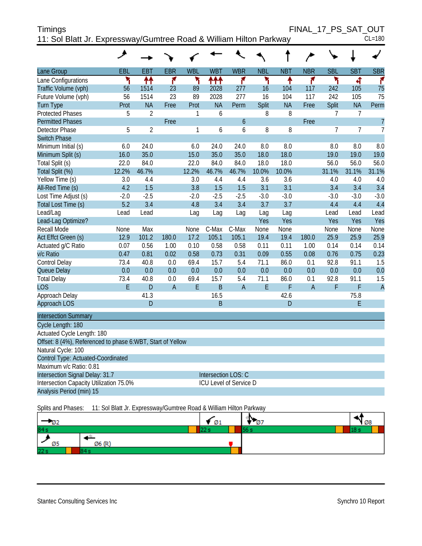| <b>Timings</b>                                                     |  | FINAL 17 PS SAT OUT |
|--------------------------------------------------------------------|--|---------------------|
| 11: Sol Blatt Jr. Expressway/Gumtree Road & William Hilton Parkway |  | $CL = 180$          |

|                                                            | ᢣ      |                |                |            |                |                               |            |            |                |                |                |                |
|------------------------------------------------------------|--------|----------------|----------------|------------|----------------|-------------------------------|------------|------------|----------------|----------------|----------------|----------------|
| Lane Group                                                 | EBL    | <b>EBT</b>     | <b>EBR</b>     | <b>WBL</b> | <b>WBT</b>     | <b>WBR</b>                    | <b>NBL</b> | <b>NBT</b> | <b>NBR</b>     | <b>SBL</b>     | <b>SBT</b>     | <b>SBR</b>     |
| Lane Configurations                                        | ۲      | ↟↟             | 7              | ۲          | ተተተ            | ۴                             | ۲          | ۸          | ۴              | ۲              | 4              | ۴              |
| Traffic Volume (vph)                                       | 56     | 1514           | 23             | 89         | 2028           | 277                           | 16         | 104        | 117            | 242            | 105            | 75             |
| Future Volume (vph)                                        | 56     | 1514           | 23             | 89         | 2028           | 277                           | 16         | 104        | 117            | 242            | 105            | 75             |
| <b>Turn Type</b>                                           | Prot   | <b>NA</b>      | Free           | Prot       | <b>NA</b>      | Perm                          | Split      | <b>NA</b>  | Free           | Split          | <b>NA</b>      | Perm           |
| <b>Protected Phases</b>                                    | 5      | $\overline{2}$ |                | 1          | 6              |                               | 8          | 8          |                | $\overline{7}$ | $\overline{7}$ |                |
| <b>Permitted Phases</b>                                    |        |                | Free           |            |                | $\boldsymbol{6}$              |            |            | Free           |                |                | $\overline{7}$ |
| <b>Detector Phase</b>                                      | 5      | $\overline{2}$ |                | 1          | 6              | 6                             | 8          | 8          |                | $\overline{7}$ | $\overline{7}$ | $\overline{7}$ |
| <b>Switch Phase</b>                                        |        |                |                |            |                |                               |            |            |                |                |                |                |
| Minimum Initial (s)                                        | 6.0    | 24.0           |                | 6.0        | 24.0           | 24.0                          | 8.0        | 8.0        |                | 8.0            | 8.0            | 8.0            |
| Minimum Split (s)                                          | 16.0   | 35.0           |                | 15.0       | 35.0           | 35.0                          | 18.0       | 18.0       |                | 19.0           | 19.0           | 19.0           |
| Total Split (s)                                            | 22.0   | 84.0           |                | 22.0       | 84.0           | 84.0                          | 18.0       | 18.0       |                | 56.0           | 56.0           | 56.0           |
| Total Split (%)                                            | 12.2%  | 46.7%          |                | 12.2%      | 46.7%          | 46.7%                         | 10.0%      | 10.0%      |                | 31.1%          | 31.1%          | 31.1%          |
| Yellow Time (s)                                            | 3.0    | 4.4            |                | 3.0        | 4.4            | 4.4                           | 3.6        | 3.6        |                | 4.0            | 4.0            | 4.0            |
| All-Red Time (s)                                           | 4.2    | 1.5            |                | 3.8        | 1.5            | 1.5                           | 3.1        | 3.1        |                | 3.4            | 3.4            | 3.4            |
| Lost Time Adjust (s)                                       | $-2.0$ | $-2.5$         |                | $-2.0$     | $-2.5$         | $-2.5$                        | $-3.0$     | $-3.0$     |                | $-3.0$         | $-3.0$         | $-3.0$         |
| Total Lost Time (s)                                        | 5.2    | 3.4            |                | 4.8        | 3.4            | 3.4                           | 3.7        | 3.7        |                | 4.4            | 4.4            | 4.4            |
| Lead/Lag                                                   | Lead   | Lead           |                | Lag        | Lag            | Lag                           | Lag        | Lag        |                | Lead           | Lead           | Lead           |
| Lead-Lag Optimize?                                         |        |                |                |            |                |                               | Yes        | Yes        |                | Yes            | Yes            | Yes            |
| <b>Recall Mode</b>                                         | None   | Max            |                | None       | C-Max          | C-Max                         | None       | None       |                | None           | None           | None           |
| Act Effct Green (s)                                        | 12.9   | 101.2          | 180.0          | 17.2       | 105.1          | 105.1                         | 19.4       | 19.4       | 180.0          | 25.9           | 25.9           | 25.9           |
| Actuated g/C Ratio                                         | 0.07   | 0.56           | 1.00           | 0.10       | 0.58           | 0.58                          | 0.11       | 0.11       | 1.00           | 0.14           | 0.14           | 0.14           |
| v/c Ratio                                                  | 0.47   | 0.81           | 0.02           | 0.58       | 0.73           | 0.31                          | 0.09       | 0.55       | 0.08           | 0.76           | 0.75           | 0.23           |
| Control Delay                                              | 73.4   | 40.8           | 0.0            | 69.4       | 15.7           | 5.4                           | 71.1       | 86.0       | 0.1            | 92.8           | 91.1           | 1.5            |
| Queue Delay                                                | 0.0    | 0.0            | 0.0            | 0.0        | 0.0            | 0.0                           | 0.0        | 0.0        | 0.0            | 0.0            | 0.0            | 0.0            |
| <b>Total Delay</b>                                         | 73.4   | 40.8           | 0.0            | 69.4       | 15.7           | 5.4                           | 71.1       | 86.0       | 0.1            | 92.8           | 91.1           | 1.5            |
| <b>LOS</b>                                                 | E      | D              | $\overline{A}$ | E          | $\overline{B}$ | $\overline{A}$                | E          | F          | $\overline{A}$ | F              | F              | $\overline{A}$ |
| Approach Delay                                             |        | 41.3           |                |            | 16.5           |                               |            | 42.6       |                |                | 75.8           |                |
| Approach LOS                                               |        | D              |                |            | B              |                               |            | D          |                |                | E              |                |
| <b>Intersection Summary</b>                                |        |                |                |            |                |                               |            |            |                |                |                |                |
| Cycle Length: 180                                          |        |                |                |            |                |                               |            |            |                |                |                |                |
| Actuated Cycle Length: 180                                 |        |                |                |            |                |                               |            |            |                |                |                |                |
| Offset: 8 (4%), Referenced to phase 6:WBT, Start of Yellow |        |                |                |            |                |                               |            |            |                |                |                |                |
| Natural Cycle: 100                                         |        |                |                |            |                |                               |            |            |                |                |                |                |
| Control Type: Actuated-Coordinated                         |        |                |                |            |                |                               |            |            |                |                |                |                |
| Maximum v/c Ratio: 0.81                                    |        |                |                |            |                |                               |            |            |                |                |                |                |
| Intersection Signal Delay: 31.7                            |        |                |                |            |                | Intersection LOS: C           |            |            |                |                |                |                |
| Intersection Capacity Utilization 75.0%                    |        |                |                |            |                | <b>ICU Level of Service D</b> |            |            |                |                |                |                |
| Analysis Period (min) 15                                   |        |                |                |            |                |                               |            |            |                |                |                |                |

Splits and Phases: 11: Sol Blatt Jr. Expressway/Gumtree Road & William Hilton Parkway

| - 122 |        | * Ø1 | IΝ.<br>$\sqrt{97}$ | 108  |
|-------|--------|------|--------------------|------|
| 84 s  |        |      | 56                 | 10 D |
| Ø5    | Ø6 (R) |      |                    |      |
| 22s   |        |      |                    |      |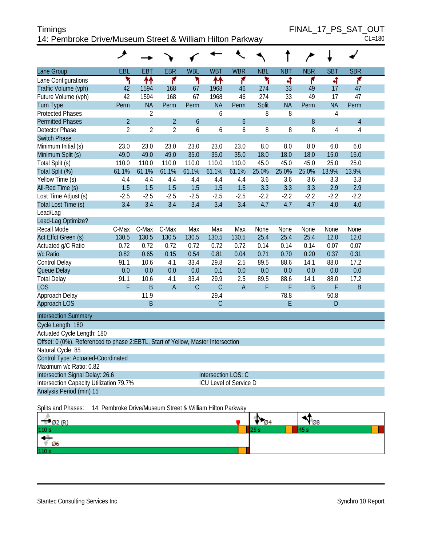| <b>Timings</b>                                            | FINAL 17 PS SAT OUT |
|-----------------------------------------------------------|---------------------|
| 14: Pembroke Drive/Museum Street & William Hilton Parkway | $CL = 180$          |

|                                                                                  | هر             |                                                           |                |             |                     |                        |            |            |            |            |                |  |
|----------------------------------------------------------------------------------|----------------|-----------------------------------------------------------|----------------|-------------|---------------------|------------------------|------------|------------|------------|------------|----------------|--|
| Lane Group                                                                       | <b>EBL</b>     | <b>EBT</b>                                                | <b>EBR</b>     | <b>WBL</b>  | <b>WBT</b>          | <b>WBR</b>             | <b>NBL</b> | <b>NBT</b> | <b>NBR</b> | <b>SBT</b> | <b>SBR</b>     |  |
| Lane Configurations                                                              | ۲              | ↟↟                                                        | ۴              | ۲           | ₩                   | ۴                      | ۲          | बी         | ۴          | ची         | ۴              |  |
| Traffic Volume (vph)                                                             | 42             | 1594                                                      | 168            | 67          | 1968                | 46                     | 274        | 33         | 49         | 17         | 47             |  |
| Future Volume (vph)                                                              | 42             | 1594                                                      | 168            | 67          | 1968                | 46                     | 274        | 33         | 49         | 17         | 47             |  |
| Turn Type                                                                        | Perm           | <b>NA</b>                                                 | Perm           | Perm        | <b>NA</b>           | Perm                   | Split      | <b>NA</b>  | Perm       | <b>NA</b>  | Perm           |  |
| <b>Protected Phases</b>                                                          |                | 2                                                         |                |             | 6                   |                        | 8          | 8          |            | 4          |                |  |
| <b>Permitted Phases</b>                                                          | $\overline{2}$ |                                                           | $\overline{2}$ | 6           |                     | 6                      |            |            | 8          |            | $\overline{4}$ |  |
| <b>Detector Phase</b>                                                            | $\overline{2}$ | $\overline{2}$                                            | $\overline{2}$ | 6           | 6                   | 6                      | 8          | 8          | 8          | 4          | $\overline{4}$ |  |
| <b>Switch Phase</b>                                                              |                |                                                           |                |             |                     |                        |            |            |            |            |                |  |
| Minimum Initial (s)                                                              | 23.0           | 23.0                                                      | 23.0           | 23.0        | 23.0                | 23.0                   | 8.0        | 8.0        | 8.0        | 6.0        | 6.0            |  |
| Minimum Split (s)                                                                | 49.0           | 49.0                                                      | 49.0           | 35.0        | 35.0                | 35.0                   | 18.0       | 18.0       | 18.0       | 15.0       | 15.0           |  |
| Total Split (s)                                                                  | 110.0          | 110.0                                                     | 110.0          | 110.0       | 110.0               | 110.0                  | 45.0       | 45.0       | 45.0       | 25.0       | 25.0           |  |
| Total Split (%)                                                                  | 61.1%          | 61.1%                                                     | 61.1%          | 61.1%       | 61.1%               | 61.1%                  | 25.0%      | 25.0%      | 25.0%      | 13.9%      | 13.9%          |  |
| Yellow Time (s)                                                                  | 4.4            | 4.4                                                       | 4.4            | 4.4         | 4.4                 | 4.4                    | 3.6        | 3.6        | 3.6        | 3.3        | 3.3            |  |
| All-Red Time (s)                                                                 | 1.5            | 1.5                                                       | 1.5            | 1.5         | 1.5                 | 1.5                    | 3.3        | 3.3        | 3.3        | 2.9        | 2.9            |  |
| Lost Time Adjust (s)                                                             | $-2.5$         | $-2.5$                                                    | $-2.5$         | $-2.5$      | $-2.5$              | $-2.5$                 | $-2.2$     | $-2.2$     | $-2.2$     | $-2.2$     | $-2.2$         |  |
| Total Lost Time (s)                                                              | 3.4            | 3.4                                                       | 3.4            | 3.4         | 3.4                 | 3.4                    | 4.7        | 4.7        | 4.7        | 4.0        | 4.0            |  |
| Lead/Lag                                                                         |                |                                                           |                |             |                     |                        |            |            |            |            |                |  |
| Lead-Lag Optimize?                                                               |                |                                                           |                |             |                     |                        |            |            |            |            |                |  |
| Recall Mode                                                                      | C-Max          | C-Max                                                     | C-Max          | Max         | Max                 | Max                    | None       | None       | None       | None       | None           |  |
| Act Effct Green (s)                                                              | 130.5          | 130.5                                                     | 130.5          | 130.5       | 130.5               | 130.5                  | 25.4       | 25.4       | 25.4       | 12.0       | 12.0           |  |
| Actuated g/C Ratio                                                               | 0.72           | 0.72                                                      | 0.72           | 0.72        | 0.72                | 0.72                   | 0.14       | 0.14       | 0.14       | 0.07       | 0.07           |  |
| v/c Ratio                                                                        | 0.82           | 0.65                                                      | 0.15           | 0.54        | 0.81                | 0.04                   | 0.71       | 0.70       | 0.20       | 0.37       | 0.31           |  |
| Control Delay                                                                    | 91.1           | 10.6                                                      | 4.1            | 33.4        | 29.8                | 2.5                    | 89.5       | 88.6       | 14.1       | 88.0       | 17.2           |  |
| Queue Delay                                                                      | 0.0            | 0.0                                                       | 0.0            | 0.0         | 0.1                 | 0.0                    | 0.0        | 0.0        | 0.0        | 0.0        | 0.0            |  |
| <b>Total Delay</b>                                                               | 91.1           | 10.6                                                      | 4.1            | 33.4        | 29.9                | 2.5                    | 89.5       | 88.6       | 14.1       | 88.0       | 17.2           |  |
| <b>LOS</b>                                                                       | F              | $\sf B$                                                   | $\overline{A}$ | $\mathsf C$ | $\mathsf C$         | $\mathsf A$            | F          | F          | $\sf B$    | F          | $\sf B$        |  |
| Approach Delay                                                                   |                | 11.9                                                      |                |             | 29.4                |                        |            | 78.8       |            | 50.8       |                |  |
| Approach LOS                                                                     |                | $\sf B$                                                   |                |             | $\mathsf C$         |                        |            | E          |            | D          |                |  |
| <b>Intersection Summary</b>                                                      |                |                                                           |                |             |                     |                        |            |            |            |            |                |  |
| Cycle Length: 180                                                                |                |                                                           |                |             |                     |                        |            |            |            |            |                |  |
| Actuated Cycle Length: 180                                                       |                |                                                           |                |             |                     |                        |            |            |            |            |                |  |
| Offset: 0 (0%), Referenced to phase 2:EBTL, Start of Yellow, Master Intersection |                |                                                           |                |             |                     |                        |            |            |            |            |                |  |
| Natural Cycle: 85                                                                |                |                                                           |                |             |                     |                        |            |            |            |            |                |  |
| Control Type: Actuated-Coordinated                                               |                |                                                           |                |             |                     |                        |            |            |            |            |                |  |
| Maximum v/c Ratio: 0.82                                                          |                |                                                           |                |             |                     |                        |            |            |            |            |                |  |
| Intersection Signal Delay: 26.6                                                  |                |                                                           |                |             | Intersection LOS: C |                        |            |            |            |            |                |  |
| Intersection Capacity Utilization 79.7%                                          |                |                                                           |                |             |                     | ICU Level of Service D |            |            |            |            |                |  |
| Analysis Period (min) 15                                                         |                |                                                           |                |             |                     |                        |            |            |            |            |                |  |
| Splits and Phases:                                                               |                | 14: Pembroke Drive/Museum Street & William Hilton Parkway |                |             |                     |                        |            |            |            |            |                |  |

| $\frac{6 \cdot 62}{10 \text{ s}}$ (R) | N | $\mathbf{v}_{\varnothing 8}$ |
|---------------------------------------|---|------------------------------|
|                                       |   |                              |
| - 49<br>∜ Ø6                          |   |                              |
| 110 s                                 |   |                              |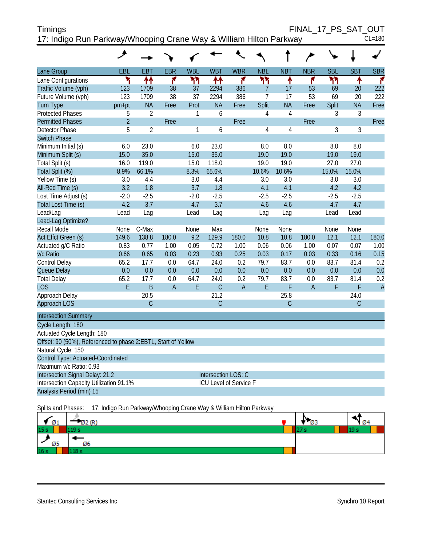| <b>Timings</b>                                                     | FINAL 17 PS SAT OUT |            |
|--------------------------------------------------------------------|---------------------|------------|
| 17: Indigo Run Parkway/Whooping Crane Way & William Hilton Parkway |                     | $CL = 180$ |

| Χl | J. |
|----|----|

|                                                               | عر             |                |                |            |                               |                |                |                |                |            |                |                |
|---------------------------------------------------------------|----------------|----------------|----------------|------------|-------------------------------|----------------|----------------|----------------|----------------|------------|----------------|----------------|
| Lane Group                                                    | EBL            | <b>EBT</b>     | <b>EBR</b>     | <b>WBL</b> | <b>WBT</b>                    | <b>WBR</b>     | <b>NBL</b>     | <b>NBT</b>     | <b>NBR</b>     | <b>SBL</b> | <b>SBT</b>     | <b>SBR</b>     |
| Lane Configurations                                           | ۲              | ↟↟             | ۴              | ካካ         | ↟↟                            | ۴              | ۲٢             | ↟              | ۴              | ካኘ         | ↟              | ۴              |
| Traffic Volume (vph)                                          | 123            | 1709           | 38             | 37         | 2294                          | 386            | 7              | 17             | 53             | 69         | 20             | 222            |
| Future Volume (vph)                                           | 123            | 1709           | 38             | 37         | 2294                          | 386            | $\overline{7}$ | 17             | 53             | 69         | 20             | 222            |
| <b>Turn Type</b>                                              | pm+pt          | <b>NA</b>      | Free           | Prot       | <b>NA</b>                     | Free           | <b>Split</b>   | <b>NA</b>      | Free           | Split      | <b>NA</b>      | Free           |
| <b>Protected Phases</b>                                       | 5              | $\overline{2}$ |                | 1          | 6                             |                | 4              | 4              |                | 3          | 3              |                |
| <b>Permitted Phases</b>                                       | $\overline{2}$ |                | Free           |            |                               | Free           |                |                | Free           |            |                | Free           |
| Detector Phase                                                | 5              | $\overline{2}$ |                | 1          | 6                             |                | $\overline{4}$ | $\overline{4}$ |                | 3          | $\overline{3}$ |                |
| <b>Switch Phase</b>                                           |                |                |                |            |                               |                |                |                |                |            |                |                |
| Minimum Initial (s)                                           | 6.0            | 23.0           |                | 6.0        | 23.0                          |                | 8.0            | 8.0            |                | 8.0        | 8.0            |                |
| Minimum Split (s)                                             | 15.0           | 35.0           |                | 15.0       | 35.0                          |                | 19.0           | 19.0           |                | 19.0       | 19.0           |                |
| Total Split (s)                                               | 16.0           | 119.0          |                | 15.0       | 118.0                         |                | 19.0           | 19.0           |                | 27.0       | 27.0           |                |
| Total Split (%)                                               | 8.9%           | 66.1%          |                | 8.3%       | 65.6%                         |                | 10.6%          | 10.6%          |                | 15.0%      | 15.0%          |                |
| Yellow Time (s)                                               | 3.0            | 4.4            |                | 3.0        | 4.4                           |                | 3.0            | 3.0            |                | 3.0        | 3.0            |                |
| All-Red Time (s)                                              | 3.2            | 1.8            |                | 3.7        | 1.8                           |                | 4.1            | 4.1            |                | 4.2        | 4.2            |                |
| Lost Time Adjust (s)                                          | $-2.0$         | $-2.5$         |                | $-2.0$     | $-2.5$                        |                | $-2.5$         | $-2.5$         |                | $-2.5$     | $-2.5$         |                |
| Total Lost Time (s)                                           | 4.2            | 3.7            |                | 4.7        | 3.7                           |                | 4.6            | 4.6            |                | 4.7        | 4.7            |                |
| Lead/Lag                                                      | Lead           | Lag            |                | Lead       | Lag                           |                | Lag            | Lag            |                | Lead       | Lead           |                |
| Lead-Lag Optimize?                                            |                |                |                |            |                               |                |                |                |                |            |                |                |
| Recall Mode                                                   | None           | C-Max          |                | None       | Max                           |                | None           | None           |                | None       | None           |                |
| Act Effct Green (s)                                           | 149.6          | 138.8          | 180.0          | 9.2        | 129.9                         | 180.0          | 10.8           | 10.8           | 180.0          | 12.1       | 12.1           | 180.0          |
| Actuated g/C Ratio                                            | 0.83           | 0.77           | 1.00           | 0.05       | 0.72                          | 1.00           | 0.06           | 0.06           | 1.00           | 0.07       | 0.07           | 1.00           |
| v/c Ratio                                                     | 0.66           | 0.65           | 0.03           | 0.23       | 0.93                          | 0.25           | 0.03           | 0.17           | 0.03           | 0.33       | 0.16           | 0.15           |
| Control Delay                                                 | 65.2           | 17.7           | 0.0            | 64.7       | 24.0                          | 0.2            | 79.7           | 83.7           | 0.0            | 83.7       | 81.4           | 0.2            |
| Queue Delay                                                   | 0.0            | 0.0            | 0.0            | 0.0        | 0.0                           | 0.0            | 0.0            | 0.0            | 0.0            | 0.0        | 0.0            | 0.0            |
| <b>Total Delay</b>                                            | 65.2           | 17.7           | 0.0            | 64.7       | 24.0                          | 0.2            | 79.7           | 83.7           | 0.0            | 83.7       | 81.4           | 0.2            |
| <b>LOS</b>                                                    | E              | B              | $\overline{A}$ | E          | $\mathsf{C}$                  | $\overline{A}$ | E              | F              | $\overline{A}$ | F          | F              | $\overline{A}$ |
| Approach Delay                                                |                | 20.5           |                |            | 21.2                          |                |                | 25.8           |                |            | 24.0           |                |
| Approach LOS                                                  |                | $\overline{C}$ |                |            | $\mathsf{C}$                  |                |                | C              |                |            | C              |                |
| <b>Intersection Summary</b>                                   |                |                |                |            |                               |                |                |                |                |            |                |                |
| Cycle Length: 180                                             |                |                |                |            |                               |                |                |                |                |            |                |                |
| Actuated Cycle Length: 180                                    |                |                |                |            |                               |                |                |                |                |            |                |                |
| Offset: 90 (50%), Referenced to phase 2:EBTL, Start of Yellow |                |                |                |            |                               |                |                |                |                |            |                |                |
| Natural Cycle: 150                                            |                |                |                |            |                               |                |                |                |                |            |                |                |
| Control Type: Actuated-Coordinated                            |                |                |                |            |                               |                |                |                |                |            |                |                |
| Maximum v/c Ratio: 0.93                                       |                |                |                |            |                               |                |                |                |                |            |                |                |
| Intersection Signal Delay: 21.2                               |                |                |                |            | Intersection LOS: C           |                |                |                |                |            |                |                |
| Intersection Capacity Utilization 91.1%                       |                |                |                |            | <b>ICU Level of Service F</b> |                |                |                |                |            |                |                |
| Analysis Period (min) 15                                      |                |                |                |            |                               |                |                |                |                |            |                |                |

Splits and Phases: 17: Indigo Run Parkway/Whooping Crane Way & William Hilton Parkway

|                  | <b>DL</b> |  | - <i>C</i> he |
|------------------|-----------|--|---------------|
| $\frac{61}{15s}$ |           |  |               |
| Ø5               | Ø6        |  |               |
| 16 <sub>s</sub>  |           |  |               |

Stantec Consulting Services Inc **Synchro 10 Report** Synchro 10 Report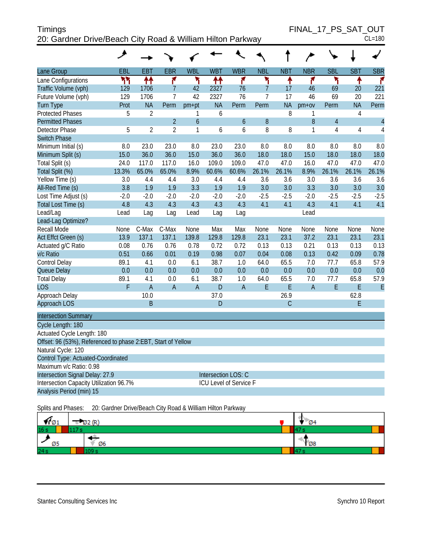| <b>Timings</b>                                             | FINAL 17 PS SAT OUT |
|------------------------------------------------------------|---------------------|
| 20: Gardner Drive/Beach City Road & William Hilton Parkway | $CL = 180$          |

FINAL\_17\_PS\_SAT\_OUT

| ۰, | 80 |
|----|----|

|                                                              | عر     |                |                |                |                        |                |                |              |                |                |                |                |
|--------------------------------------------------------------|--------|----------------|----------------|----------------|------------------------|----------------|----------------|--------------|----------------|----------------|----------------|----------------|
| <b>Lane Group</b>                                            | EBL    | <b>EBT</b>     | <b>EBR</b>     | <b>WBL</b>     | <b>WBT</b>             | <b>WBR</b>     | <b>NBL</b>     | <b>NBT</b>   | <b>NBR</b>     | <b>SBL</b>     | <b>SBT</b>     | <b>SBR</b>     |
| Lane Configurations                                          | ۲٢     | ↟↟             | ۴              | ۲              | ቶቶ                     | ۴              | ۲              | ↟            | 7              | ۳              | ٠              | ۴              |
| Traffic Volume (vph)                                         | 129    | 1706           | $\overline{7}$ | 42             | 2327                   | 76             | $\overline{7}$ | 17           | 46             | 69             | 20             | 221            |
| Future Volume (vph)                                          | 129    | 1706           | $\overline{7}$ | 42             | 2327                   | 76             | 7              | 17           | 46             | 69             | 20             | 221            |
| <b>Turn Type</b>                                             | Prot   | <b>NA</b>      | Perm           | $pm+pt$        | <b>NA</b>              | Perm           | Perm           | <b>NA</b>    | $pm+ov$        | Perm           | <b>NA</b>      | Perm           |
| <b>Protected Phases</b>                                      | 5      | $\overline{2}$ |                | 1              | 6                      |                |                | 8            | 1              |                | $\overline{4}$ |                |
| <b>Permitted Phases</b>                                      |        |                | $\overline{2}$ | $\overline{6}$ |                        | $\mathfrak b$  | 8              |              | 8              | $\overline{4}$ |                | $\overline{4}$ |
| <b>Detector Phase</b>                                        | 5      | $\overline{2}$ | $\overline{2}$ | 1              | 6                      | 6              | 8              | 8            | $\mathbf{1}$   | 4              | 4              | 4              |
| <b>Switch Phase</b>                                          |        |                |                |                |                        |                |                |              |                |                |                |                |
| Minimum Initial (s)                                          | 8.0    | 23.0           | 23.0           | 8.0            | 23.0                   | 23.0           | 8.0            | 8.0          | 8.0            | 8.0            | 8.0            | 8.0            |
| Minimum Split (s)                                            | 15.0   | 36.0           | 36.0           | 15.0           | 36.0                   | 36.0           | 18.0           | 18.0         | 15.0           | 18.0           | 18.0           | 18.0           |
| Total Split (s)                                              | 24.0   | 117.0          | 117.0          | 16.0           | 109.0                  | 109.0          | 47.0           | 47.0         | 16.0           | 47.0           | 47.0           | 47.0           |
| Total Split (%)                                              | 13.3%  | 65.0%          | 65.0%          | 8.9%           | 60.6%                  | 60.6%          | 26.1%          | 26.1%        | 8.9%           | 26.1%          | 26.1%          | 26.1%          |
| Yellow Time (s)                                              | 3.0    | 4.4            | 4.4            | 3.0            | 4.4                    | 4.4            | 3.6            | 3.6          | 3.0            | 3.6            | 3.6            | 3.6            |
| All-Red Time (s)                                             | 3.8    | 1.9            | 1.9            | 3.3            | 1.9                    | 1.9            | 3.0            | 3.0          | 3.3            | 3.0            | 3.0            | 3.0            |
| Lost Time Adjust (s)                                         | $-2.0$ | $-2.0$         | $-2.0$         | $-2.0$         | $-2.0$                 | $-2.0$         | $-2.5$         | $-2.5$       | $-2.0$         | $-2.5$         | $-2.5$         | $-2.5$         |
| Total Lost Time (s)                                          | 4.8    | 4.3            | 4.3            | 4.3            | 4.3                    | 4.3            | 4.1            | 4.1          | 4.3            | 4.1            | 4.1            | 4.1            |
| Lead/Lag                                                     | Lead   | Lag            | Lag            | Lead           | Lag                    | Lag            |                |              | Lead           |                |                |                |
| Lead-Lag Optimize?                                           |        |                |                |                |                        |                |                |              |                |                |                |                |
| Recall Mode                                                  | None   | C-Max          | C-Max          | None           | Max                    | Max            | None           | None         | None           | None           | None           | None           |
| Act Effct Green (s)                                          | 13.9   | 137.1          | 137.1          | 139.8          | 129.8                  | 129.8          | 23.1           | 23.1         | 37.2           | 23.1           | 23.1           | 23.1           |
| Actuated g/C Ratio                                           | 0.08   | 0.76           | 0.76           | 0.78           | 0.72                   | 0.72           | 0.13           | 0.13         | 0.21           | 0.13           | 0.13           | 0.13           |
| v/c Ratio                                                    | 0.51   | 0.66           | 0.01           | 0.19           | 0.98                   | 0.07           | 0.04           | 0.08         | 0.13           | 0.42           | 0.09           | 0.78           |
| Control Delay                                                | 89.1   | 4.1            | 0.0            | 6.1            | 38.7                   | 1.0            | 64.0           | 65.5         | 7.0            | 77.7           | 65.8           | 57.9           |
| Queue Delay                                                  | 0.0    | 0.0            | 0.0            | 0.0            | 0.0                    | 0.0            | 0.0            | 0.0          | 0.0            | 0.0            | 0.0            | 0.0            |
| <b>Total Delay</b>                                           | 89.1   | 4.1            | 0.0            | 6.1            | 38.7                   | 1.0            | 64.0           | 65.5         | 7.0            | 77.7           | 65.8           | 57.9           |
| <b>LOS</b>                                                   | F      | $\overline{A}$ | $\overline{A}$ | $\overline{A}$ | D                      | $\overline{A}$ | E              | E            | $\overline{A}$ | E              | E              | E              |
| Approach Delay                                               |        | 10.0           |                |                | 37.0                   |                |                | 26.9         |                |                | 62.8           |                |
| Approach LOS                                                 |        | B              |                |                | D                      |                |                | $\mathsf{C}$ |                |                | E              |                |
| <b>Intersection Summary</b>                                  |        |                |                |                |                        |                |                |              |                |                |                |                |
| Cycle Length: 180                                            |        |                |                |                |                        |                |                |              |                |                |                |                |
| Actuated Cycle Length: 180                                   |        |                |                |                |                        |                |                |              |                |                |                |                |
| Offset: 96 (53%), Referenced to phase 2:EBT, Start of Yellow |        |                |                |                |                        |                |                |              |                |                |                |                |
| Natural Cycle: 120                                           |        |                |                |                |                        |                |                |              |                |                |                |                |
| Control Type: Actuated-Coordinated                           |        |                |                |                |                        |                |                |              |                |                |                |                |
| Maximum v/c Ratio: 0.98                                      |        |                |                |                |                        |                |                |              |                |                |                |                |
| Intersection Signal Delay: 27.9                              |        |                |                |                | Intersection LOS: C    |                |                |              |                |                |                |                |
| Intersection Capacity Utilization 96.7%                      |        |                |                |                | ICU Level of Service F |                |                |              |                |                |                |                |
| Analysis Period (min) 15                                     |        |                |                |                |                        |                |                |              |                |                |                |                |
|                                                              |        |                |                |                |                        |                |                |              |                |                |                |                |

Splits and Phases: 20: Gardner Drive/Beach City Road & William Hilton Parkway

| VI 01 | 22 (R)<br>ЮZ. | <b>04</b>     |
|-------|---------------|---------------|
| 16s   |               |               |
| Ø5    | Ø6            | $\frac{1}{2}$ |
| 24 s  |               |               |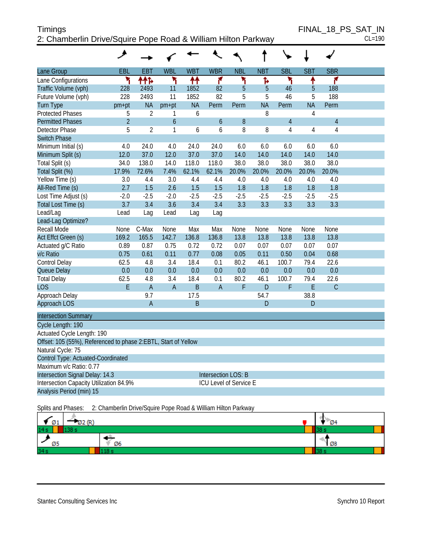#### Timings FINAL\_18\_PS\_SAT\_IN 2: Chamberlin Drive/Squire Pope Road & William Hilton Parkway CL=190

| Lane Group<br>Lane Configurations<br>Traffic Volume (vph)<br>Future Volume (vph)<br><b>Turn Type</b><br><b>Protected Phases</b><br><b>Permitted Phases</b><br>Detector Phase<br><b>Switch Phase</b><br>Minimum Initial (s)<br>Minimum Split (s)<br>Total Split (s)<br>Total Split (%)<br>Yellow Time (s)<br>All-Red Time (s)<br>Lost Time Adjust (s)<br>Total Lost Time (s)<br>Lead/Lag<br>Lead-Lag Optimize?<br><b>Recall Mode</b><br>Act Effct Green (s)<br>Actuated g/C Ratio<br>v/c Ratio<br>Control Delay<br>Queue Delay<br><b>Total Delay</b> | EBL<br>۲<br>228<br>228<br>pm+pt<br>5<br>$\overline{2}$<br>5<br>4.0<br>12.0<br>34.0<br>17.9%<br>3.0<br>2.7<br>$-2.0$<br>3.7<br>Lead | <b>EBT</b><br>ተተኈ<br>2493<br>2493<br><b>NA</b><br>$\overline{2}$<br>$\overline{2}$<br>24.0<br>37.0<br>138.0<br>72.6%<br>4.4<br>1.5<br>$-2.5$ | <b>WBL</b><br>۲<br>11<br>11<br>$pm+pt$<br>1<br>6<br>1<br>4.0<br>12.0<br>14.0<br>7.4%<br>3.0<br>2.6 | <b>WBT</b><br>ቶቶ<br>1852<br>1852<br><b>NA</b><br>6<br>6<br>24.0<br>37.0<br>118.0<br>62.1%<br>4.4 | <b>WBR</b><br>۴<br>82<br>82<br>Perm<br>6<br>6<br>24.0<br>37.0<br>118.0<br>62.1% | <b>NBL</b><br>۲<br>5<br>5<br>Perm<br>8<br>8<br>6.0<br>14.0<br>38.0 | <b>NBT</b><br>ħ<br>5<br>5<br><b>NA</b><br>8<br>8<br>6.0<br>14.0<br>38.0 | <b>SBL</b><br>۲<br>46<br>46<br>Perm<br>$\overline{4}$<br>$\overline{4}$<br>6.0<br>14.0 | <b>SBT</b><br>۸<br>5<br>5<br><b>NA</b><br>$\overline{4}$<br>$\overline{4}$<br>6.0<br>14.0 | <b>SBR</b><br>۴<br>188<br>188<br>Perm<br>$\overline{4}$<br>$\overline{4}$<br>6.0<br>14.0 |  |
|-----------------------------------------------------------------------------------------------------------------------------------------------------------------------------------------------------------------------------------------------------------------------------------------------------------------------------------------------------------------------------------------------------------------------------------------------------------------------------------------------------------------------------------------------------|------------------------------------------------------------------------------------------------------------------------------------|----------------------------------------------------------------------------------------------------------------------------------------------|----------------------------------------------------------------------------------------------------|--------------------------------------------------------------------------------------------------|---------------------------------------------------------------------------------|--------------------------------------------------------------------|-------------------------------------------------------------------------|----------------------------------------------------------------------------------------|-------------------------------------------------------------------------------------------|------------------------------------------------------------------------------------------|--|
|                                                                                                                                                                                                                                                                                                                                                                                                                                                                                                                                                     |                                                                                                                                    |                                                                                                                                              |                                                                                                    |                                                                                                  |                                                                                 |                                                                    |                                                                         |                                                                                        |                                                                                           |                                                                                          |  |
|                                                                                                                                                                                                                                                                                                                                                                                                                                                                                                                                                     |                                                                                                                                    |                                                                                                                                              |                                                                                                    |                                                                                                  |                                                                                 |                                                                    |                                                                         |                                                                                        |                                                                                           |                                                                                          |  |
|                                                                                                                                                                                                                                                                                                                                                                                                                                                                                                                                                     |                                                                                                                                    |                                                                                                                                              |                                                                                                    |                                                                                                  |                                                                                 |                                                                    |                                                                         |                                                                                        |                                                                                           |                                                                                          |  |
|                                                                                                                                                                                                                                                                                                                                                                                                                                                                                                                                                     |                                                                                                                                    |                                                                                                                                              |                                                                                                    |                                                                                                  |                                                                                 |                                                                    |                                                                         |                                                                                        |                                                                                           |                                                                                          |  |
|                                                                                                                                                                                                                                                                                                                                                                                                                                                                                                                                                     |                                                                                                                                    |                                                                                                                                              |                                                                                                    |                                                                                                  |                                                                                 |                                                                    |                                                                         |                                                                                        |                                                                                           |                                                                                          |  |
|                                                                                                                                                                                                                                                                                                                                                                                                                                                                                                                                                     |                                                                                                                                    |                                                                                                                                              |                                                                                                    |                                                                                                  |                                                                                 |                                                                    |                                                                         |                                                                                        |                                                                                           |                                                                                          |  |
|                                                                                                                                                                                                                                                                                                                                                                                                                                                                                                                                                     |                                                                                                                                    |                                                                                                                                              |                                                                                                    |                                                                                                  |                                                                                 |                                                                    |                                                                         |                                                                                        |                                                                                           |                                                                                          |  |
|                                                                                                                                                                                                                                                                                                                                                                                                                                                                                                                                                     |                                                                                                                                    |                                                                                                                                              |                                                                                                    |                                                                                                  |                                                                                 |                                                                    |                                                                         |                                                                                        |                                                                                           |                                                                                          |  |
|                                                                                                                                                                                                                                                                                                                                                                                                                                                                                                                                                     |                                                                                                                                    |                                                                                                                                              |                                                                                                    |                                                                                                  |                                                                                 |                                                                    |                                                                         |                                                                                        |                                                                                           |                                                                                          |  |
|                                                                                                                                                                                                                                                                                                                                                                                                                                                                                                                                                     |                                                                                                                                    |                                                                                                                                              |                                                                                                    |                                                                                                  |                                                                                 |                                                                    |                                                                         |                                                                                        |                                                                                           |                                                                                          |  |
|                                                                                                                                                                                                                                                                                                                                                                                                                                                                                                                                                     |                                                                                                                                    |                                                                                                                                              |                                                                                                    |                                                                                                  |                                                                                 |                                                                    |                                                                         |                                                                                        |                                                                                           |                                                                                          |  |
|                                                                                                                                                                                                                                                                                                                                                                                                                                                                                                                                                     |                                                                                                                                    |                                                                                                                                              |                                                                                                    |                                                                                                  |                                                                                 |                                                                    |                                                                         | 38.0                                                                                   | 38.0                                                                                      | 38.0                                                                                     |  |
|                                                                                                                                                                                                                                                                                                                                                                                                                                                                                                                                                     |                                                                                                                                    |                                                                                                                                              |                                                                                                    |                                                                                                  |                                                                                 | 20.0%                                                              | 20.0%                                                                   | 20.0%                                                                                  | 20.0%                                                                                     | 20.0%                                                                                    |  |
|                                                                                                                                                                                                                                                                                                                                                                                                                                                                                                                                                     |                                                                                                                                    |                                                                                                                                              |                                                                                                    |                                                                                                  | 4.4                                                                             | 4.0                                                                | 4.0                                                                     | 4.0                                                                                    | 4.0                                                                                       | 4.0                                                                                      |  |
|                                                                                                                                                                                                                                                                                                                                                                                                                                                                                                                                                     |                                                                                                                                    |                                                                                                                                              |                                                                                                    | 1.5                                                                                              | 1.5                                                                             | 1.8                                                                | 1.8                                                                     | 1.8                                                                                    | 1.8                                                                                       | 1.8                                                                                      |  |
|                                                                                                                                                                                                                                                                                                                                                                                                                                                                                                                                                     |                                                                                                                                    |                                                                                                                                              | $-2.0$                                                                                             | $-2.5$                                                                                           | $-2.5$                                                                          | $-2.5$                                                             | $-2.5$                                                                  | $-2.5$                                                                                 | $-2.5$                                                                                    | $-2.5$                                                                                   |  |
|                                                                                                                                                                                                                                                                                                                                                                                                                                                                                                                                                     |                                                                                                                                    | 3.4                                                                                                                                          | 3.6                                                                                                | 3.4                                                                                              | 3.4                                                                             | 3.3                                                                | 3.3                                                                     | 3.3                                                                                    | 3.3                                                                                       | 3.3                                                                                      |  |
|                                                                                                                                                                                                                                                                                                                                                                                                                                                                                                                                                     |                                                                                                                                    | Lag                                                                                                                                          | Lead                                                                                               | Lag                                                                                              | Lag                                                                             |                                                                    |                                                                         |                                                                                        |                                                                                           |                                                                                          |  |
|                                                                                                                                                                                                                                                                                                                                                                                                                                                                                                                                                     |                                                                                                                                    |                                                                                                                                              |                                                                                                    |                                                                                                  |                                                                                 |                                                                    |                                                                         |                                                                                        |                                                                                           |                                                                                          |  |
|                                                                                                                                                                                                                                                                                                                                                                                                                                                                                                                                                     | None                                                                                                                               | C-Max                                                                                                                                        | None                                                                                               | Max                                                                                              | Max                                                                             | None                                                               | None                                                                    | None                                                                                   | None                                                                                      | None                                                                                     |  |
|                                                                                                                                                                                                                                                                                                                                                                                                                                                                                                                                                     | 169.2                                                                                                                              | 165.5                                                                                                                                        | 142.7                                                                                              | 136.8                                                                                            | 136.8                                                                           | 13.8                                                               | 13.8                                                                    | 13.8                                                                                   | 13.8                                                                                      | 13.8                                                                                     |  |
|                                                                                                                                                                                                                                                                                                                                                                                                                                                                                                                                                     | 0.89                                                                                                                               | 0.87                                                                                                                                         | 0.75                                                                                               | 0.72                                                                                             | 0.72                                                                            | 0.07                                                               | 0.07                                                                    | 0.07                                                                                   | 0.07                                                                                      | 0.07                                                                                     |  |
|                                                                                                                                                                                                                                                                                                                                                                                                                                                                                                                                                     | 0.75                                                                                                                               | 0.61                                                                                                                                         | 0.11                                                                                               | 0.77                                                                                             | 0.08                                                                            | 0.05                                                               | 0.11                                                                    | 0.50                                                                                   | 0.04                                                                                      | 0.68                                                                                     |  |
|                                                                                                                                                                                                                                                                                                                                                                                                                                                                                                                                                     | 62.5                                                                                                                               | 4.8                                                                                                                                          | 3.4                                                                                                | 18.4                                                                                             | 0.1                                                                             | 80.2                                                               | 46.1                                                                    | 100.7                                                                                  | 79.4                                                                                      | 22.6                                                                                     |  |
|                                                                                                                                                                                                                                                                                                                                                                                                                                                                                                                                                     | 0.0                                                                                                                                | 0.0                                                                                                                                          | 0.0                                                                                                | 0.0                                                                                              | 0.0                                                                             | 0.0                                                                | 0.0                                                                     | 0.0                                                                                    | 0.0                                                                                       | 0.0                                                                                      |  |
|                                                                                                                                                                                                                                                                                                                                                                                                                                                                                                                                                     | 62.5                                                                                                                               | 4.8                                                                                                                                          | 3.4                                                                                                | 18.4                                                                                             | 0.1                                                                             | 80.2                                                               | 46.1                                                                    | 100.7                                                                                  | 79.4                                                                                      | 22.6                                                                                     |  |
| <b>LOS</b>                                                                                                                                                                                                                                                                                                                                                                                                                                                                                                                                          | E                                                                                                                                  | $\overline{A}$                                                                                                                               | $\overline{A}$                                                                                     | B                                                                                                | $\overline{A}$                                                                  | F                                                                  | D                                                                       | F                                                                                      | E                                                                                         | $\overline{C}$                                                                           |  |
| Approach Delay                                                                                                                                                                                                                                                                                                                                                                                                                                                                                                                                      |                                                                                                                                    | 9.7                                                                                                                                          |                                                                                                    | 17.5                                                                                             |                                                                                 |                                                                    | 54.7                                                                    |                                                                                        | 38.8                                                                                      |                                                                                          |  |
| Approach LOS                                                                                                                                                                                                                                                                                                                                                                                                                                                                                                                                        |                                                                                                                                    | A                                                                                                                                            |                                                                                                    | B                                                                                                |                                                                                 |                                                                    | D                                                                       |                                                                                        | D                                                                                         |                                                                                          |  |
| <b>Intersection Summary</b>                                                                                                                                                                                                                                                                                                                                                                                                                                                                                                                         |                                                                                                                                    |                                                                                                                                              |                                                                                                    |                                                                                                  |                                                                                 |                                                                    |                                                                         |                                                                                        |                                                                                           |                                                                                          |  |
| Cycle Length: 190                                                                                                                                                                                                                                                                                                                                                                                                                                                                                                                                   |                                                                                                                                    |                                                                                                                                              |                                                                                                    |                                                                                                  |                                                                                 |                                                                    |                                                                         |                                                                                        |                                                                                           |                                                                                          |  |
| Actuated Cycle Length: 190                                                                                                                                                                                                                                                                                                                                                                                                                                                                                                                          |                                                                                                                                    |                                                                                                                                              |                                                                                                    |                                                                                                  |                                                                                 |                                                                    |                                                                         |                                                                                        |                                                                                           |                                                                                          |  |
| Offset: 105 (55%), Referenced to phase 2:EBTL, Start of Yellow                                                                                                                                                                                                                                                                                                                                                                                                                                                                                      |                                                                                                                                    |                                                                                                                                              |                                                                                                    |                                                                                                  |                                                                                 |                                                                    |                                                                         |                                                                                        |                                                                                           |                                                                                          |  |
| Natural Cycle: 75                                                                                                                                                                                                                                                                                                                                                                                                                                                                                                                                   |                                                                                                                                    |                                                                                                                                              |                                                                                                    |                                                                                                  |                                                                                 |                                                                    |                                                                         |                                                                                        |                                                                                           |                                                                                          |  |
| Control Type: Actuated-Coordinated                                                                                                                                                                                                                                                                                                                                                                                                                                                                                                                  |                                                                                                                                    |                                                                                                                                              |                                                                                                    |                                                                                                  |                                                                                 |                                                                    |                                                                         |                                                                                        |                                                                                           |                                                                                          |  |
| Maximum v/c Ratio: 0.77                                                                                                                                                                                                                                                                                                                                                                                                                                                                                                                             |                                                                                                                                    |                                                                                                                                              |                                                                                                    |                                                                                                  |                                                                                 |                                                                    |                                                                         |                                                                                        |                                                                                           |                                                                                          |  |
| Intersection Signal Delay: 14.3                                                                                                                                                                                                                                                                                                                                                                                                                                                                                                                     |                                                                                                                                    |                                                                                                                                              |                                                                                                    |                                                                                                  | <b>Intersection LOS: B</b>                                                      |                                                                    |                                                                         |                                                                                        |                                                                                           |                                                                                          |  |
| Intersection Capacity Utilization 84.9%                                                                                                                                                                                                                                                                                                                                                                                                                                                                                                             |                                                                                                                                    |                                                                                                                                              |                                                                                                    |                                                                                                  |                                                                                 | <b>ICU Level of Service E</b>                                      |                                                                         |                                                                                        |                                                                                           |                                                                                          |  |
| Analysis Period (min) 15                                                                                                                                                                                                                                                                                                                                                                                                                                                                                                                            |                                                                                                                                    |                                                                                                                                              |                                                                                                    |                                                                                                  |                                                                                 |                                                                    |                                                                         |                                                                                        |                                                                                           |                                                                                          |  |

Splits and Phases: 2: Chamberlin Drive/Squire Pope Road & William Hilton Parkway

| Ø1   | Zm 3 | <b>Ø4</b> |
|------|------|-----------|
| 14s  |      |           |
| Ø5   | Ø6   | Ø8        |
| 34 s |      |           |

Stantec Consulting Services Inc **Synchro 10 Report** Synchro 10 Report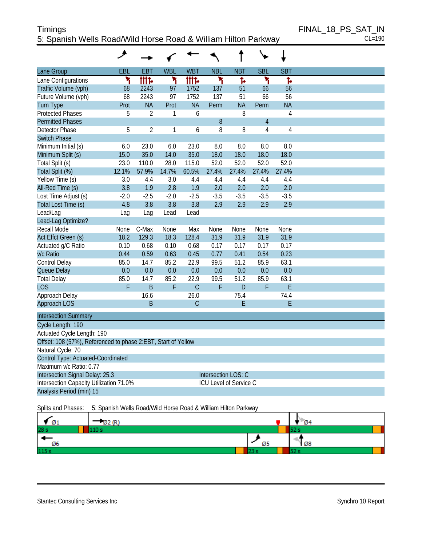# Timings FINAL\_18\_PS\_SAT\_IN 5: Spanish Wells Road/Wild Horse Road & William Hilton Parkway CL=190

|                                                               | و           |                |            |              |                        |              |                |                |  |
|---------------------------------------------------------------|-------------|----------------|------------|--------------|------------------------|--------------|----------------|----------------|--|
| Lane Group                                                    | EBL         | EBT            | <b>WBL</b> | <b>WBT</b>   | <b>NBL</b>             | <b>NBT</b>   | <b>SBL</b>     | <b>SBT</b>     |  |
| Lane Configurations                                           | ۲           | <b>tttt</b>    | ۲          | <b>TTTP</b>  | ۲                      | Ъ            | ۲              | Ъ              |  |
| Traffic Volume (vph)                                          | 68          | 2243           | 97         | 1752         | 137                    | 51           | 66             | 56             |  |
| Future Volume (vph)                                           | 68          | 2243           | 97         | 1752         | 137                    | 51           | 66             | 56             |  |
| <b>Turn Type</b>                                              | Prot        | <b>NA</b>      | Prot       | <b>NA</b>    | Perm                   | <b>NA</b>    | Perm           | <b>NA</b>      |  |
| <b>Protected Phases</b>                                       | 5           | $\overline{2}$ | 1          | 6            |                        | 8            |                | $\overline{4}$ |  |
| <b>Permitted Phases</b>                                       |             |                |            |              | 8                      |              | $\overline{4}$ |                |  |
| <b>Detector Phase</b>                                         | 5           | $\overline{2}$ | 1          | 6            | 8                      | 8            | $\overline{4}$ | $\overline{4}$ |  |
| <b>Switch Phase</b>                                           |             |                |            |              |                        |              |                |                |  |
| Minimum Initial (s)                                           | 6.0         | 23.0           | 6.0        | 23.0         | 8.0                    | 8.0          | 8.0            | 8.0            |  |
| Minimum Split (s)                                             | 15.0        | 35.0           | 14.0       | 35.0         | 18.0                   | 18.0         | 18.0           | 18.0           |  |
| Total Split (s)                                               | 23.0        | 110.0          | 28.0       | 115.0        | 52.0                   | 52.0         | 52.0           | 52.0           |  |
| Total Split (%)                                               | 12.1%       | 57.9%          | 14.7%      | 60.5%        | 27.4%                  | 27.4%        | 27.4%          | 27.4%          |  |
| Yellow Time (s)                                               | 3.0         | 4.4            | 3.0        | 4.4          | 4.4                    | 4.4          | 4.4            | 4.4            |  |
| All-Red Time (s)                                              | 3.8         | 1.9            | 2.8        | 1.9          | 2.0                    | 2.0          | 2.0            | 2.0            |  |
| Lost Time Adjust (s)                                          | $-2.0$      | $-2.5$         | $-2.0$     | $-2.5$       | $-3.5$                 | $-3.5$       | $-3.5$         | $-3.5$         |  |
| Total Lost Time (s)                                           | 4.8         | 3.8            | 3.8        | 3.8          | 2.9                    | 2.9          | 2.9            | 2.9            |  |
| Lead/Lag                                                      | Lag         | Lag            | Lead       | Lead         |                        |              |                |                |  |
| Lead-Lag Optimize?                                            |             |                |            |              |                        |              |                |                |  |
| Recall Mode                                                   | <b>None</b> | C-Max          | None       | Max          | <b>None</b>            | None         | None           | None           |  |
| Act Effct Green (s)                                           | 18.2        | 129.3          | 18.3       | 128.4        | 31.9                   | 31.9         | 31.9           | 31.9           |  |
| Actuated g/C Ratio                                            | 0.10        | 0.68           | 0.10       | 0.68         | 0.17                   | 0.17         | 0.17           | 0.17           |  |
| v/c Ratio                                                     | 0.44        | 0.59           | 0.63       | 0.45         | 0.77                   | 0.41         | 0.54           | 0.23           |  |
| Control Delay                                                 | 85.0        | 14.7           | 85.2       | 22.9         | 99.5                   | 51.2         | 85.9           | 63.1           |  |
| Queue Delay                                                   | 0.0         | 0.0            | 0.0        | 0.0          | 0.0                    | 0.0          | 0.0            | 0.0            |  |
| <b>Total Delay</b>                                            | 85.0        | 14.7           | 85.2       | 22.9         | 99.5                   | 51.2         | 85.9           | 63.1           |  |
| <b>LOS</b>                                                    | F           | $\overline{B}$ | F          | $\mathsf{C}$ | F                      | $\mathsf{D}$ | F              | E              |  |
| Approach Delay                                                |             | 16.6           |            | 26.0         |                        | 75.4         |                | 74.4           |  |
| Approach LOS                                                  |             | B              |            | $\mathsf C$  |                        | E            |                | E              |  |
| <b>Intersection Summary</b>                                   |             |                |            |              |                        |              |                |                |  |
| Cycle Length: 190                                             |             |                |            |              |                        |              |                |                |  |
| Actuated Cycle Length: 190                                    |             |                |            |              |                        |              |                |                |  |
| Offset: 108 (57%), Referenced to phase 2:EBT, Start of Yellow |             |                |            |              |                        |              |                |                |  |
| Natural Cycle: 70                                             |             |                |            |              |                        |              |                |                |  |
| Control Type: Actuated-Coordinated                            |             |                |            |              |                        |              |                |                |  |
| Maximum v/c Ratio: 0.77                                       |             |                |            |              |                        |              |                |                |  |
| Intersection Signal Delay: 25.3                               |             |                |            |              | Intersection LOS: C    |              |                |                |  |
| Intersection Capacity Utilization 71.0%                       |             |                |            |              | ICU Level of Service C |              |                |                |  |
| Analysis Period (min) 15                                      |             |                |            |              |                        |              |                |                |  |
| $\overline{\phantom{a}}$                                      |             |                |            |              |                        |              |                |                |  |

#### Splits and Phases: 5: Spanish Wells Road/Wild Horse Road & William Hilton Parkway

| Ø1              |    | $\mathcal{D}$ 4 |
|-----------------|----|-----------------|
| 28 <sub>s</sub> |    |                 |
| Ø6              | Ø5 | N Ø8            |
| 115s            |    |                 |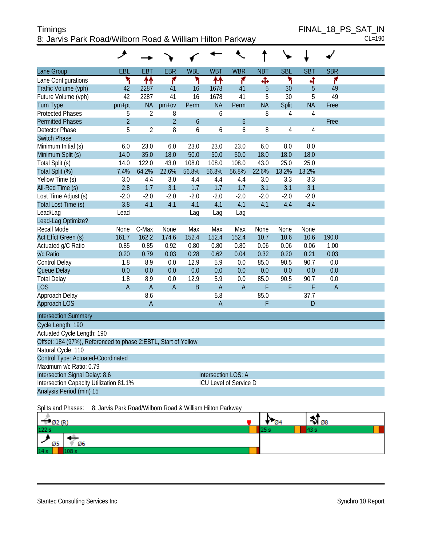# Timings FINAL\_18\_PS\_SAT\_IN 8: Jarvis Park Road/Wilborn Road & William Hilton Parkway CL=190

| Lane Group                                                     | EBL            | <b>EBT</b>     | <b>EBR</b>     | <b>WBL</b> | <b>WBT</b>          | <b>WBR</b>             | <b>NBT</b> | <b>SBL</b>     | <b>SBT</b>     | <b>SBR</b>     |  |
|----------------------------------------------------------------|----------------|----------------|----------------|------------|---------------------|------------------------|------------|----------------|----------------|----------------|--|
| Lane Configurations                                            | ۲              | ↟↟             | ۴              | ۲          | ↟↟                  | ۴                      | Ф          | ۲              | ৰ              | ۴              |  |
| Traffic Volume (vph)                                           | 42             | 2287           | 41             | 16         | 1678                | 41                     | 5          | 30             | $\overline{5}$ | 49             |  |
| Future Volume (vph)                                            | 42             | 2287           | 41             | 16         | 1678                | 41                     | 5          | 30             | 5              | 49             |  |
| <b>Turn Type</b>                                               | pm+pt          | <b>NA</b>      | $pm+ov$        | Perm       | <b>NA</b>           | Perm                   | <b>NA</b>  | Split          | <b>NA</b>      | Free           |  |
| <b>Protected Phases</b>                                        | 5              | $\overline{2}$ | 8              |            | 6                   |                        | 8          | $\overline{4}$ | $\overline{4}$ |                |  |
| <b>Permitted Phases</b>                                        | $\overline{2}$ |                | $\overline{2}$ | 6          |                     | $\boldsymbol{6}$       |            |                |                | Free           |  |
| Detector Phase                                                 | 5              | $\overline{2}$ | 8              | 6          | 6                   | 6                      | 8          | 4              | 4              |                |  |
| <b>Switch Phase</b>                                            |                |                |                |            |                     |                        |            |                |                |                |  |
| Minimum Initial (s)                                            | 6.0            | 23.0           | 6.0            | 23.0       | 23.0                | 23.0                   | 6.0        | 8.0            | 8.0            |                |  |
| Minimum Split (s)                                              | 14.0           | 35.0           | 18.0           | 50.0       | 50.0                | 50.0                   | 18.0       | 18.0           | 18.0           |                |  |
| Total Split (s)                                                | 14.0           | 122.0          | 43.0           | 108.0      | 108.0               | 108.0                  | 43.0       | 25.0           | 25.0           |                |  |
| Total Split (%)                                                | 7.4%           | 64.2%          | 22.6%          | 56.8%      | 56.8%               | 56.8%                  | 22.6%      | 13.2%          | 13.2%          |                |  |
| Yellow Time (s)                                                | 3.0            | 4.4            | 3.0            | 4.4        | 4.4                 | 4.4                    | 3.0        | 3.3            | 3.3            |                |  |
| All-Red Time (s)                                               | 2.8            | 1.7            | 3.1            | 1.7        | 1.7                 | 1.7                    | 3.1        | 3.1            | 3.1            |                |  |
| Lost Time Adjust (s)                                           | $-2.0$         | $-2.0$         | $-2.0$         | $-2.0$     | $-2.0$              | $-2.0$                 | $-2.0$     | $-2.0$         | $-2.0$         |                |  |
| Total Lost Time (s)                                            | 3.8            | 4.1            | 4.1            | 4.1        | 4.1                 | 4.1                    | 4.1        | 4.4            | 4.4            |                |  |
| Lead/Lag                                                       | Lead           |                |                | Lag        | Lag                 | Lag                    |            |                |                |                |  |
| Lead-Lag Optimize?                                             |                |                |                |            |                     |                        |            |                |                |                |  |
| Recall Mode                                                    | None           | C-Max          | None           | Max        | Max                 | Max                    | None       | None           | None           |                |  |
| Act Effct Green (s)                                            | 161.7          | 162.2          | 174.6          | 152.4      | 152.4               | 152.4                  | 10.7       | 10.6           | 10.6           | 190.0          |  |
| Actuated g/C Ratio                                             | 0.85           | 0.85           | 0.92           | 0.80       | 0.80                | 0.80                   | 0.06       | 0.06           | 0.06           | 1.00           |  |
| v/c Ratio                                                      | 0.20           | 0.79           | 0.03           | 0.28       | 0.62                | 0.04                   | 0.32       | 0.20           | 0.21           | 0.03           |  |
| Control Delay                                                  | 1.8            | 8.9            | 0.0            | 12.9       | 5.9                 | 0.0                    | 85.0       | 90.5           | 90.7           | 0.0            |  |
| Queue Delay                                                    | 0.0            | 0.0            | 0.0            | 0.0        | 0.0                 | 0.0                    | 0.0        | 0.0            | 0.0            | 0.0            |  |
| <b>Total Delay</b>                                             | 1.8            | 8.9            | 0.0            | 12.9       | 5.9                 | 0.0                    | 85.0       | 90.5           | 90.7           | 0.0            |  |
| LOS                                                            | $\overline{A}$ | $\overline{A}$ | $\overline{A}$ | B          | $\overline{A}$      | $\overline{A}$         | F          | F              | F              | $\overline{A}$ |  |
| Approach Delay                                                 |                | 8.6            |                |            | 5.8                 |                        | 85.0       |                | 37.7           |                |  |
| Approach LOS                                                   |                | $\overline{A}$ |                |            | $\overline{A}$      |                        | F          |                | D              |                |  |
| <b>Intersection Summary</b>                                    |                |                |                |            |                     |                        |            |                |                |                |  |
| Cycle Length: 190                                              |                |                |                |            |                     |                        |            |                |                |                |  |
| Actuated Cycle Length: 190                                     |                |                |                |            |                     |                        |            |                |                |                |  |
| Offset: 184 (97%), Referenced to phase 2:EBTL, Start of Yellow |                |                |                |            |                     |                        |            |                |                |                |  |
| Natural Cycle: 110                                             |                |                |                |            |                     |                        |            |                |                |                |  |
| Control Type: Actuated-Coordinated                             |                |                |                |            |                     |                        |            |                |                |                |  |
| Maximum v/c Ratio: 0.79                                        |                |                |                |            |                     |                        |            |                |                |                |  |
| Intersection Signal Delay: 8.6                                 |                |                |                |            | Intersection LOS: A |                        |            |                |                |                |  |
| Intersection Capacity Utilization 81.1%                        |                |                |                |            |                     | ICU Level of Service D |            |                |                |                |  |
| Analysis Period (min) 15                                       |                |                |                |            |                     |                        |            |                |                |                |  |

Splits and Phases: 8: Jarvis Park Road/Wilborn Road & William Hilton Parkway

| $\mathcal{O}2$ (R) | Ø4 | V 08 |
|--------------------|----|------|
| 122s               |    |      |
| Ø6<br>Ø5           |    |      |
| 14s                |    |      |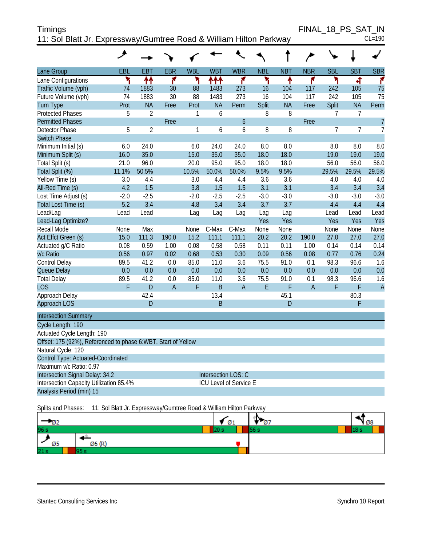| <b>Timings</b>                                                     | FINAL 18 PS SAT IN |
|--------------------------------------------------------------------|--------------------|
| 11: Sol Blatt Jr. Expressway/Gumtree Road & William Hilton Parkway | $CL=190$           |

|                                                               | ۸      |                |                |              |             |                               |            |            |                |                |                |                 |
|---------------------------------------------------------------|--------|----------------|----------------|--------------|-------------|-------------------------------|------------|------------|----------------|----------------|----------------|-----------------|
| Lane Group                                                    | EBL    | <b>EBT</b>     | <b>EBR</b>     | <b>WBL</b>   | <b>WBT</b>  | <b>WBR</b>                    | <b>NBL</b> | <b>NBT</b> | <b>NBR</b>     | <b>SBL</b>     | <b>SBT</b>     | <b>SBR</b>      |
| Lane Configurations                                           | ۲      | ↟↟             | ۴              | ۲            | ተተተ         | ۴                             | ۳          | ↟          | ۴              | ۲              | बी             | ۴               |
| Traffic Volume (vph)                                          | 74     | 1883           | 30             | 88           | 1483        | 273                           | 16         | 104        | 117            | 242            | 105            | 75              |
| Future Volume (vph)                                           | 74     | 1883           | 30             | 88           | 1483        | 273                           | 16         | 104        | 117            | 242            | 105            | $\overline{75}$ |
| <b>Turn Type</b>                                              | Prot   | <b>NA</b>      | Free           | Prot         | <b>NA</b>   | Perm                          | Split      | <b>NA</b>  | Free           | Split          | <b>NA</b>      | Perm            |
| <b>Protected Phases</b>                                       | 5      | $\overline{2}$ |                | 1            | 6           |                               | 8          | 8          |                | 7              | 7              |                 |
| <b>Permitted Phases</b>                                       |        |                | Free           |              |             | $\mathfrak b$                 |            |            | Free           |                |                | $\overline{7}$  |
| <b>Detector Phase</b>                                         | 5      | $\overline{2}$ |                | $\mathbf{1}$ | 6           | 6                             | 8          | 8          |                | $\overline{7}$ | $\overline{7}$ | $\overline{1}$  |
| <b>Switch Phase</b>                                           |        |                |                |              |             |                               |            |            |                |                |                |                 |
| Minimum Initial (s)                                           | 6.0    | 24.0           |                | 6.0          | 24.0        | 24.0                          | 8.0        | 8.0        |                | 8.0            | 8.0            | 8.0             |
| Minimum Split (s)                                             | 16.0   | 35.0           |                | 15.0         | 35.0        | 35.0                          | 18.0       | 18.0       |                | 19.0           | 19.0           | 19.0            |
| Total Split (s)                                               | 21.0   | 96.0           |                | 20.0         | 95.0        | 95.0                          | 18.0       | 18.0       |                | 56.0           | 56.0           | 56.0            |
| Total Split (%)                                               | 11.1%  | 50.5%          |                | 10.5%        | 50.0%       | 50.0%                         | 9.5%       | 9.5%       |                | 29.5%          | 29.5%          | 29.5%           |
| Yellow Time (s)                                               | 3.0    | 4.4            |                | 3.0          | 4.4         | 4.4                           | 3.6        | 3.6        |                | 4.0            | 4.0            | 4.0             |
| All-Red Time (s)                                              | 4.2    | 1.5            |                | 3.8          | 1.5         | 1.5                           | 3.1        | 3.1        |                | 3.4            | 3.4            | 3.4             |
| Lost Time Adjust (s)                                          | $-2.0$ | $-2.5$         |                | $-2.0$       | $-2.5$      | $-2.5$                        | $-3.0$     | $-3.0$     |                | $-3.0$         | $-3.0$         | $-3.0$          |
| Total Lost Time (s)                                           | 5.2    | 3.4            |                | 4.8          | 3.4         | 3.4                           | 3.7        | 3.7        |                | 4.4            | 4.4            | 4.4             |
| Lead/Lag                                                      | Lead   | Lead           |                | Lag          | Lag         | Lag                           | Lag        | Lag        |                | Lead           | Lead           | Lead            |
| Lead-Lag Optimize?                                            |        |                |                |              |             |                               | Yes        | Yes        |                | Yes            | Yes            | Yes             |
| Recall Mode                                                   | None   | Max            |                | None         | C-Max       | C-Max                         | None       | None       |                | None           | None           | None            |
| Act Effct Green (s)                                           | 15.0   | 111.3          | 190.0          | 15.2         | 111.1       | 111.1                         | 20.2       | 20.2       | 190.0          | 27.0           | 27.0           | 27.0            |
| Actuated g/C Ratio                                            | 0.08   | 0.59           | 1.00           | 0.08         | 0.58        | 0.58                          | 0.11       | 0.11       | 1.00           | 0.14           | 0.14           | 0.14            |
| v/c Ratio                                                     | 0.56   | 0.97           | 0.02           | 0.68         | 0.53        | 0.30                          | 0.09       | 0.56       | 0.08           | 0.77           | 0.76           | 0.24            |
| Control Delay                                                 | 89.5   | 41.2           | 0.0            | 85.0         | 11.0        | 3.6                           | 75.5       | 91.0       | 0.1            | 98.3           | 96.6           | 1.6             |
| Queue Delay                                                   | 0.0    | 0.0            | 0.0            | 0.0          | 0.0         | 0.0                           | 0.0        | 0.0        | 0.0            | 0.0            | 0.0            | 0.0             |
| <b>Total Delay</b>                                            | 89.5   | 41.2           | 0.0            | 85.0         | 11.0        | 3.6                           | 75.5       | 91.0       | 0.1            | 98.3           | 96.6           | 1.6             |
| <b>LOS</b>                                                    | F      | D              | $\overline{A}$ | F            | B           | $\overline{A}$                | E          | F          | $\overline{A}$ | F              | F              | $\overline{A}$  |
| Approach Delay                                                |        | 42.4           |                |              | 13.4        |                               |            | 45.1       |                |                | 80.3           |                 |
| Approach LOS                                                  |        | D              |                |              | $\mathsf B$ |                               |            | D          |                |                | F              |                 |
| <b>Intersection Summary</b>                                   |        |                |                |              |             |                               |            |            |                |                |                |                 |
| Cycle Length: 190                                             |        |                |                |              |             |                               |            |            |                |                |                |                 |
| Actuated Cycle Length: 190                                    |        |                |                |              |             |                               |            |            |                |                |                |                 |
| Offset: 175 (92%), Referenced to phase 6:WBT, Start of Yellow |        |                |                |              |             |                               |            |            |                |                |                |                 |
| Natural Cycle: 120                                            |        |                |                |              |             |                               |            |            |                |                |                |                 |
| Control Type: Actuated-Coordinated                            |        |                |                |              |             |                               |            |            |                |                |                |                 |
| Maximum v/c Ratio: 0.97                                       |        |                |                |              |             |                               |            |            |                |                |                |                 |
| Intersection Signal Delay: 34.2                               |        |                |                |              |             | Intersection LOS: C           |            |            |                |                |                |                 |
| Intersection Capacity Utilization 85.4%                       |        |                |                |              |             | <b>ICU Level of Service E</b> |            |            |                |                |                |                 |
| Analysis Period (min) 15                                      |        |                |                |              |             |                               |            |            |                |                |                |                 |

Splits and Phases: 11: Sol Blatt Jr. Expressway/Gumtree Road & William Hilton Parkway

| - Oz      | Ø1 | I٦<br>-07 | Ø8   |
|-----------|----|-----------|------|
| 96 s      |    | 56        | 18 s |
| Ø6 (R)    |    |           |      |
| Ø5<br>21s |    |           |      |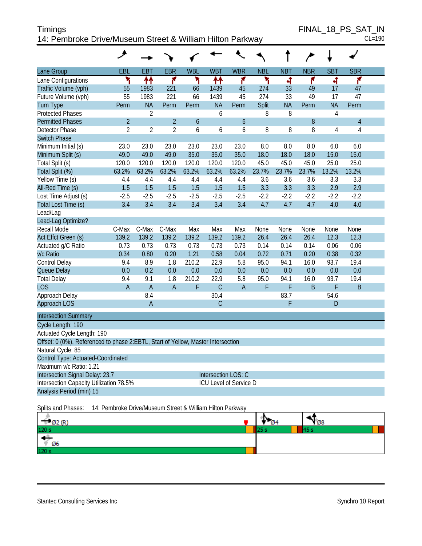| Timings                                                   | FINAL 18 PS SAT IN |
|-----------------------------------------------------------|--------------------|
| 14: Pembroke Drive/Museum Street & William Hilton Parkway | $CL=190$           |

FINAL\_18\_PS\_SAT\_IN<br>CL=190

|                                                                                  | عر                                                     |                |                |                  |                               |                  |            |            |            |                |                |  |
|----------------------------------------------------------------------------------|--------------------------------------------------------|----------------|----------------|------------------|-------------------------------|------------------|------------|------------|------------|----------------|----------------|--|
| Lane Group                                                                       | EBL                                                    | <b>EBT</b>     | <b>EBR</b>     | <b>WBL</b>       | <b>WBT</b>                    | <b>WBR</b>       | <b>NBL</b> | <b>NBT</b> | <b>NBR</b> | <b>SBT</b>     | <b>SBR</b>     |  |
| Lane Configurations                                                              | ۲                                                      | ↟↟             | ۴              | ٦                | ↟↟                            | ۴                | ۲          | बी         | ۴          | 4              | ۴              |  |
| Traffic Volume (vph)                                                             | 55                                                     | 1983           | 221            | 66               | 1439                          | 45               | 274        | 33         | 49         | 17             | 47             |  |
| Future Volume (vph)                                                              | 55                                                     | 1983           | 221            | 66               | 1439                          | 45               | 274        | 33         | 49         | 17             | 47             |  |
| <b>Turn Type</b>                                                                 | Perm                                                   | <b>NA</b>      | Perm           | Perm             | <b>NA</b>                     | Perm             | Split      | <b>NA</b>  | Perm       | <b>NA</b>      | Perm           |  |
| <b>Protected Phases</b>                                                          |                                                        | $\overline{2}$ |                |                  | 6                             |                  | 8          | 8          |            | $\overline{4}$ |                |  |
| <b>Permitted Phases</b>                                                          | $\overline{2}$                                         |                | $\overline{2}$ | $\boldsymbol{6}$ |                               | $\boldsymbol{6}$ |            |            | 8          |                | $\overline{4}$ |  |
| Detector Phase                                                                   | $\overline{2}$                                         | $\overline{2}$ | $\overline{2}$ | 6                | 6                             | 6                | 8          | 8          | 8          | $\overline{4}$ | $\sqrt{4}$     |  |
| <b>Switch Phase</b>                                                              |                                                        |                |                |                  |                               |                  |            |            |            |                |                |  |
| Minimum Initial (s)                                                              | 23.0                                                   | 23.0           | 23.0           | 23.0             | 23.0                          | 23.0             | 8.0        | 8.0        | 8.0        | 6.0            | 6.0            |  |
| Minimum Split (s)                                                                | 49.0                                                   | 49.0           | 49.0           | 35.0             | 35.0                          | 35.0             | 18.0       | 18.0       | 18.0       | 15.0           | 15.0           |  |
| Total Split (s)                                                                  | 120.0                                                  | 120.0          | 120.0          | 120.0            | 120.0                         | 120.0            | 45.0       | 45.0       | 45.0       | 25.0           | 25.0           |  |
| Total Split (%)                                                                  | 63.2%                                                  | 63.2%          | 63.2%          | 63.2%            | 63.2%                         | 63.2%            | 23.7%      | 23.7%      | 23.7%      | 13.2%          | 13.2%          |  |
| Yellow Time (s)                                                                  | 4.4                                                    | 4.4            | 4.4            | 4.4              | 4.4                           | 4.4              | 3.6        | 3.6        | 3.6        | 3.3            | 3.3            |  |
| All-Red Time (s)                                                                 | 1.5                                                    | 1.5            | 1.5            | 1.5              | 1.5                           | 1.5              | 3.3        | 3.3        | 3.3        | 2.9            | 2.9            |  |
| Lost Time Adjust (s)                                                             | $-2.5$                                                 | $-2.5$         | $-2.5$         | $-2.5$           | $-2.5$                        | $-2.5$           | $-2.2$     | $-2.2$     | $-2.2$     | $-2.2$         | $-2.2$         |  |
| Total Lost Time (s)                                                              | 3.4                                                    | 3.4            | 3.4            | 3.4              | 3.4                           | 3.4              | 4.7        | 4.7        | 4.7        | 4.0            | 4.0            |  |
| Lead/Lag                                                                         |                                                        |                |                |                  |                               |                  |            |            |            |                |                |  |
| Lead-Lag Optimize?                                                               |                                                        |                |                |                  |                               |                  |            |            |            |                |                |  |
| Recall Mode                                                                      | C-Max                                                  | C-Max          | C-Max          | Max              | Max                           | Max              | None       | None       | None       | None           | None           |  |
| Act Effct Green (s)                                                              | 139.2                                                  | 139.2          | 139.2          | 139.2            | 139.2                         | 139.2            | 26.4       | 26.4       | 26.4       | 12.3           | 12.3           |  |
| Actuated g/C Ratio                                                               | 0.73                                                   | 0.73           | 0.73           | 0.73             | 0.73                          | 0.73             | 0.14       | 0.14       | 0.14       | 0.06           | 0.06           |  |
| v/c Ratio                                                                        | 0.34                                                   | 0.80           | 0.20           | 1.21             | 0.58                          | 0.04             | 0.72       | 0.71       | 0.20       | 0.38           | 0.32           |  |
| Control Delay                                                                    | 9.4                                                    | 8.9            | 1.8            | 210.2            | 22.9                          | 5.8              | 95.0       | 94.1       | 16.0       | 93.7           | 19.4           |  |
| Queue Delay                                                                      | 0.0                                                    | 0.2            | 0.0            | 0.0              | 0.0                           | 0.0              | 0.0        | 0.0        | 0.0        | 0.0            | 0.0            |  |
| <b>Total Delay</b>                                                               | 9.4                                                    | 9.1            | 1.8            | 210.2            | 22.9                          | 5.8              | 95.0       | 94.1       | 16.0       | 93.7           | 19.4           |  |
| <b>LOS</b>                                                                       | A                                                      | $\overline{A}$ | $\overline{A}$ | F                | $\mathsf{C}$                  | $\overline{A}$   | F          | F          | B          | F              | $\sf B$        |  |
| Approach Delay                                                                   |                                                        | 8.4            |                |                  | 30.4                          |                  |            | 83.7       |            | 54.6           |                |  |
| Approach LOS                                                                     |                                                        | $\mathsf A$    |                |                  | $\mathsf{C}$                  |                  |            | F          |            | D              |                |  |
| <b>Intersection Summary</b>                                                      |                                                        |                |                |                  |                               |                  |            |            |            |                |                |  |
| Cycle Length: 190                                                                |                                                        |                |                |                  |                               |                  |            |            |            |                |                |  |
| Actuated Cycle Length: 190                                                       |                                                        |                |                |                  |                               |                  |            |            |            |                |                |  |
| Offset: 0 (0%), Referenced to phase 2:EBTL, Start of Yellow, Master Intersection |                                                        |                |                |                  |                               |                  |            |            |            |                |                |  |
| Natural Cycle: 85                                                                |                                                        |                |                |                  |                               |                  |            |            |            |                |                |  |
| Control Type: Actuated-Coordinated                                               |                                                        |                |                |                  |                               |                  |            |            |            |                |                |  |
| Maximum v/c Ratio: 1.21                                                          |                                                        |                |                |                  |                               |                  |            |            |            |                |                |  |
|                                                                                  | Intersection Signal Delay: 23.7<br>Intersection LOS: C |                |                |                  |                               |                  |            |            |            |                |                |  |
| Intersection Capacity Utilization 78.5%                                          |                                                        |                |                |                  | <b>ICU Level of Service D</b> |                  |            |            |            |                |                |  |
| Analysis Period (min) 15                                                         |                                                        |                |                |                  |                               |                  |            |            |            |                |                |  |
| 14: Pembroke Drive/Museum Street & William Hilton Parkway<br>Splits and Phases:  |                                                        |                |                |                  |                               |                  |            |            |            |                |                |  |

| $\frac{1}{20 \text{ s}}$ (R <sup>)</sup> | w | $\mathbf{v}_{\varnothing 8}$ |
|------------------------------------------|---|------------------------------|
|                                          |   |                              |
| - 45<br>$\sqrt{06}$                      |   |                              |
| 120 s                                    |   |                              |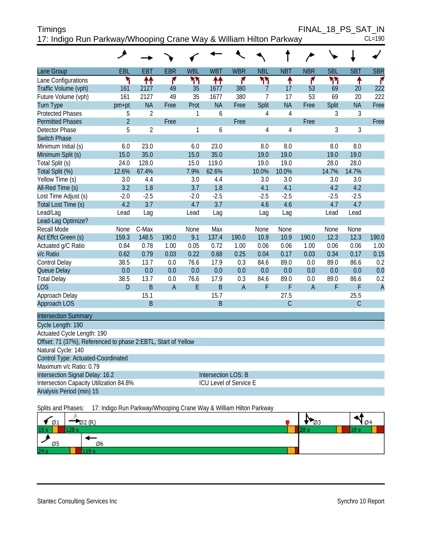| Timings                                                            | FINAL 18 PS SAT IN |
|--------------------------------------------------------------------|--------------------|
| 17: Indigo Run Parkway/Whooping Crane Way & William Hilton Parkway | $CL=190$           |

|                                                               | عر             |                |                |            |                            |                |                |                |                |            |            |                |
|---------------------------------------------------------------|----------------|----------------|----------------|------------|----------------------------|----------------|----------------|----------------|----------------|------------|------------|----------------|
| Lane Group                                                    | EBL            | <b>EBT</b>     | <b>EBR</b>     | <b>WBL</b> | <b>WBT</b>                 | <b>WBR</b>     | <b>NBL</b>     | <b>NBT</b>     | <b>NBR</b>     | <b>SBL</b> | <b>SBT</b> | <b>SBR</b>     |
| Lane Configurations                                           | ۲              | ↟↟             | ۴              | ሻሻ         | ቶቶ                         | ۴              | ካነ             | ٠              | ۴              | ካነ         | ↟          | ۴              |
| Traffic Volume (vph)                                          | 161            | 2127           | 49             | 35         | 1677                       | 380            | $\overline{7}$ | 17             | 53             | 69         | 20         | 222            |
| Future Volume (vph)                                           | 161            | 2127           | 49             | 35         | 1677                       | 380            | 7              | 17             | 53             | 69         | 20         | 222            |
| <b>Turn Type</b>                                              | pm+pt          | <b>NA</b>      | Free           | Prot       | <b>NA</b>                  | Free           | Split          | <b>NA</b>      | Free           | Split      | <b>NA</b>  | Free           |
| <b>Protected Phases</b>                                       | 5              | $\overline{2}$ |                | 1          | 6                          |                | $\overline{4}$ | $\overline{4}$ |                | 3          | 3          |                |
| <b>Permitted Phases</b>                                       | $\overline{2}$ |                | Free           |            |                            | Free           |                |                | Free           |            |            | Free           |
| Detector Phase                                                | 5              | $\overline{2}$ |                | 1          | 6                          |                | $\overline{4}$ | $\overline{4}$ |                | 3          | 3          |                |
| <b>Switch Phase</b>                                           |                |                |                |            |                            |                |                |                |                |            |            |                |
| Minimum Initial (s)                                           | 6.0            | 23.0           |                | 6.0        | 23.0                       |                | 8.0            | 8.0            |                | 8.0        | 8.0        |                |
| Minimum Split (s)                                             | 15.0           | 35.0           |                | 15.0       | 35.0                       |                | 19.0           | 19.0           |                | 19.0       | 19.0       |                |
| Total Split (s)                                               | 24.0           | 128.0          |                | 15.0       | 119.0                      |                | 19.0           | 19.0           |                | 28.0       | 28.0       |                |
| Total Split (%)                                               | 12.6%          | 67.4%          |                | 7.9%       | 62.6%                      |                | 10.0%          | 10.0%          |                | 14.7%      | 14.7%      |                |
| Yellow Time (s)                                               | 3.0            | 4.4            |                | 3.0        | 4.4                        |                | 3.0            | 3.0            |                | 3.0        | 3.0        |                |
| All-Red Time (s)                                              | 3.2            | 1.8            |                | 3.7        | 1.8                        |                | 4.1            | 4.1            |                | 4.2        | 4.2        |                |
| Lost Time Adjust (s)                                          | $-2.0$         | $-2.5$         |                | $-2.0$     | $-2.5$                     |                | $-2.5$         | $-2.5$         |                | $-2.5$     | $-2.5$     |                |
| Total Lost Time (s)                                           | 4.2            | 3.7            |                | 4.7        | 3.7                        |                | 4.6            | 4.6            |                | 4.7        | 4.7        |                |
| Lead/Lag                                                      | Lead           | Lag            |                | Lead       | Lag                        |                | Lag            | Lag            |                | Lead       | Lead       |                |
| Lead-Lag Optimize?                                            |                |                |                |            |                            |                |                |                |                |            |            |                |
| <b>Recall Mode</b>                                            | <b>None</b>    | C-Max          |                | None       | Max                        |                | None           | None           |                | None       | None       |                |
| Act Effct Green (s)                                           | 159.3          | 148.5          | 190.0          | 9.1        | 137.4                      | 190.0          | 10.9           | 10.9           | 190.0          | 12.3       | 12.3       | 190.0          |
| Actuated g/C Ratio                                            | 0.84           | 0.78           | 1.00           | 0.05       | 0.72                       | 1.00           | 0.06           | 0.06           | 1.00           | 0.06       | 0.06       | 1.00           |
| v/c Ratio                                                     | 0.62           | 0.79           | 0.03           | 0.22       | 0.68                       | 0.25           | 0.04           | 0.17           | 0.03           | 0.34       | 0.17       | 0.15           |
| Control Delay                                                 | 38.5           | 13.7           | 0.0            | 76.6       | 17.9                       | 0.3            | 84.6           | 89.0           | 0.0            | 89.0       | 86.6       | 0.2            |
| Queue Delay                                                   | 0.0            | 0.0            | 0.0            | 0.0        | 0.0                        | 0.0            | 0.0            | 0.0            | 0.0            | 0.0        | 0.0        | 0.0            |
| <b>Total Delay</b>                                            | 38.5           | 13.7           | 0.0            | 76.6       | 17.9                       | 0.3            | 84.6           | 89.0           | 0.0            | 89.0       | 86.6       | 0.2            |
| <b>LOS</b>                                                    | D              | B              | $\overline{A}$ | E          | $\mathsf B$                | $\overline{A}$ | F              | F              | $\overline{A}$ | F          | F          | $\overline{A}$ |
| Approach Delay                                                |                | 15.1           |                |            | 15.7                       |                |                | 27.5           |                |            | 25.5       |                |
| Approach LOS                                                  |                | B              |                |            | B                          |                |                | $\mathsf C$    |                |            | C          |                |
| <b>Intersection Summary</b>                                   |                |                |                |            |                            |                |                |                |                |            |            |                |
| Cycle Length: 190                                             |                |                |                |            |                            |                |                |                |                |            |            |                |
| Actuated Cycle Length: 190                                    |                |                |                |            |                            |                |                |                |                |            |            |                |
| Offset: 71 (37%), Referenced to phase 2:EBTL, Start of Yellow |                |                |                |            |                            |                |                |                |                |            |            |                |
| Natural Cycle: 140                                            |                |                |                |            |                            |                |                |                |                |            |            |                |
| Control Type: Actuated-Coordinated                            |                |                |                |            |                            |                |                |                |                |            |            |                |
| Maximum v/c Ratio: 0.79                                       |                |                |                |            |                            |                |                |                |                |            |            |                |
| Intersection Signal Delay: 16.2                               |                |                |                |            | <b>Intersection LOS: B</b> |                |                |                |                |            |            |                |
| Intersection Capacity Utilization 84.8%                       |                |                |                |            | ICU Level of Service E     |                |                |                |                |            |            |                |
| Analysis Period (min) 15                                      |                |                |                |            |                            |                |                |                |                |            |            |                |
|                                                               |                |                |                |            |                            |                |                |                |                |            |            |                |

Splits and Phases: 17: Indigo Run Parkway/Whooping Crane Way & William Hilton Parkway

| Ø1      | 02(R) | - 03 | "N Ø4 |
|---------|-------|------|-------|
| 15 s    |       |      | 19 S  |
| -<br>Ø5 | Ø6    |      |       |
| 24s     | ---   |      |       |